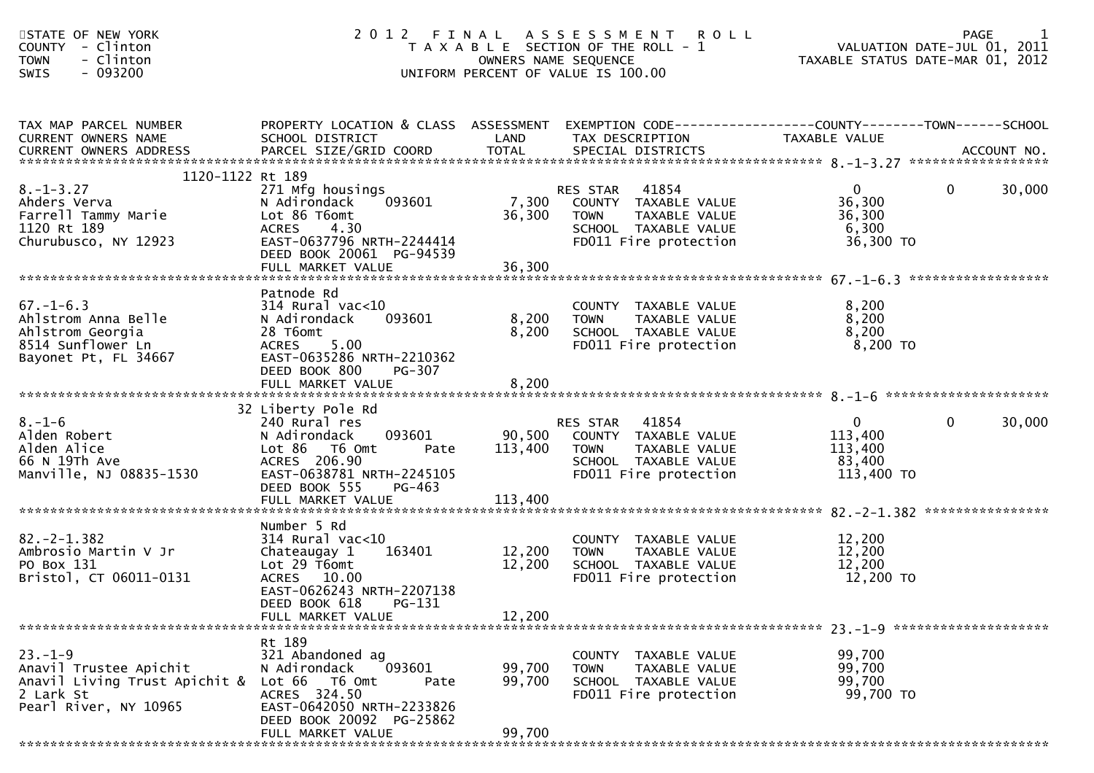| STATE OF NEW YORK<br>COUNTY - Clinton<br>- Clinton<br><b>TOWN</b><br>- 093200<br>SWIS                             |                                                                                                                                                                                |                            | 2012 FINAL ASSESSMENT ROLL<br>T A X A B L E SECTION OF THE ROLL - 1<br>OWNERS NAME SEQUENCE<br>UNIFORM PERCENT OF VALUE IS 100.00 | PAGE 1<br>VALUATION DATE-JUL 01, 2011<br>TAXABLE STATUS DATE 1115 01, 2011<br>TAXABLE STATUS DATE-MAR 01, 2012 |                        |
|-------------------------------------------------------------------------------------------------------------------|--------------------------------------------------------------------------------------------------------------------------------------------------------------------------------|----------------------------|-----------------------------------------------------------------------------------------------------------------------------------|----------------------------------------------------------------------------------------------------------------|------------------------|
| TAX MAP PARCEL NUMBER<br>CURRENT OWNERS NAME<br>CURRENT OWNERS ADDRESS                                            | PROPERTY LOCATION & CLASS ASSESSMENT EXEMPTION CODE----------------COUNTY-------TOWN------SCHOOL<br>SCHOOL DISTRICT                                                            | LAND                       | TAX DESCRIPTION                                                                                                                   | TAXABLE VALUE                                                                                                  |                        |
| 1120-1122 Rt 189<br>$8. - 1 - 3.27$<br>Ahders Verva<br>Farrell Tammy Marie<br>1120 Rt 189<br>Churubusco, NY 12923 | 271 Mfg housings<br>093601<br>N Adirondack<br>Lot 86 T6omt<br>ACRES 4.30<br>EAST-0637796 NRTH-2244414<br>DEED BOOK 20061 PG-94539                                              | 7,300<br>36,300            | RES STAR 41854<br>COUNTY TAXABLE VALUE<br>TAXABLE VALUE<br><b>TOWN</b><br>SCHOOL TAXABLE VALUE<br>FD011 Fire protection           | $\overline{0}$<br>36,300<br>36,300<br>6,300<br>36,300 TO                                                       | $\mathbf{0}$<br>30,000 |
| $67. - 1 - 6.3$<br>Ahlstrom Anna Belle<br>Ahlstrom Georgia<br>8514 Sunflower Ln<br>Bayonet Pt, FL 34667           | Patnode Rd<br>314 Rural vac<10<br>093601<br>N Adirondack<br>28 T6omt<br>5.00<br><b>ACRES</b><br>EAST-0635286 NRTH-2210362<br>DEED BOOK 800<br>PG-307<br>FULL MARKET VALUE      | 8,200<br>8,200<br>8,200    | COUNTY TAXABLE VALUE<br><b>TOWN</b><br>TAXABLE VALUE<br>SCHOOL TAXABLE VALUE<br>FD011 Fire protection                             | 8,200<br>8,200<br>8,200<br>8,200 TO                                                                            |                        |
| $8. - 1 - 6$<br>Alden Robert<br>Alden Alice<br>66 N 19Th Ave<br>Manville, NJ 08835-1530                           | 32 Liberty Pole Rd<br>240 Rural res<br>093601<br>N Adirondack<br>Lot 86 T6 Omt<br>Pate<br>ACRES 206.90<br>EAST-0638781 NRTH-2245105<br>DEED BOOK 555<br>PG-463                 | 90,500<br>113,400          | RES STAR 41854<br>COUNTY TAXABLE VALUE<br><b>TOWN</b><br>TAXABLE VALUE<br>SCHOOL TAXABLE VALUE<br>FD011 Fire protection           | $\mathbf{0}$<br>113,400<br>113,400<br>83,400<br>113,400 TO                                                     | $\mathbf{0}$<br>30,000 |
| $82, -2 - 1, 382$<br>Ambrosio Martin V Jr<br>PO Box 131<br>Bristol, CT 06011-0131                                 | Number 5 Rd<br>$314$ Rural vac<10<br>163401<br>Chateaugay 1<br>Lot $29$ T6omt<br>ACRES 10.00<br>EAST-0626243 NRTH-2207138<br>DEED BOOK 618 PG-131<br>FULL MARKET VALUE         | 12,200<br>12,200<br>12,200 | COUNTY TAXABLE VALUE<br><b>TOWN</b><br>TAXABLE VALUE<br>SCHOOL TAXABLE VALUE<br>FD011 Fire protection                             | 12,200<br>12,200<br>12,200<br>12,200 TO                                                                        |                        |
| $23. - 1 - 9$<br>Anavil Trustee Apichit<br>Anavil Living Trust Apichit &<br>2 Lark St<br>Pearl River, NY 10965    | Rt 189<br>321 Abandoned ag<br>093601<br>N Adirondack<br>Lot 66<br>T6 Omt<br>Pate<br>ACRES 324.50<br>EAST-0642050 NRTH-2233826<br>DEED BOOK 20092 PG-25862<br>FULL MARKET VALUE | 99,700<br>99,700<br>99,700 | COUNTY TAXABLE VALUE<br><b>TOWN</b><br>TAXABLE VALUE<br>SCHOOL TAXABLE VALUE<br>FD011 Fire protection                             | 99,700<br>99,700<br>99,700<br>99,700 TO                                                                        |                        |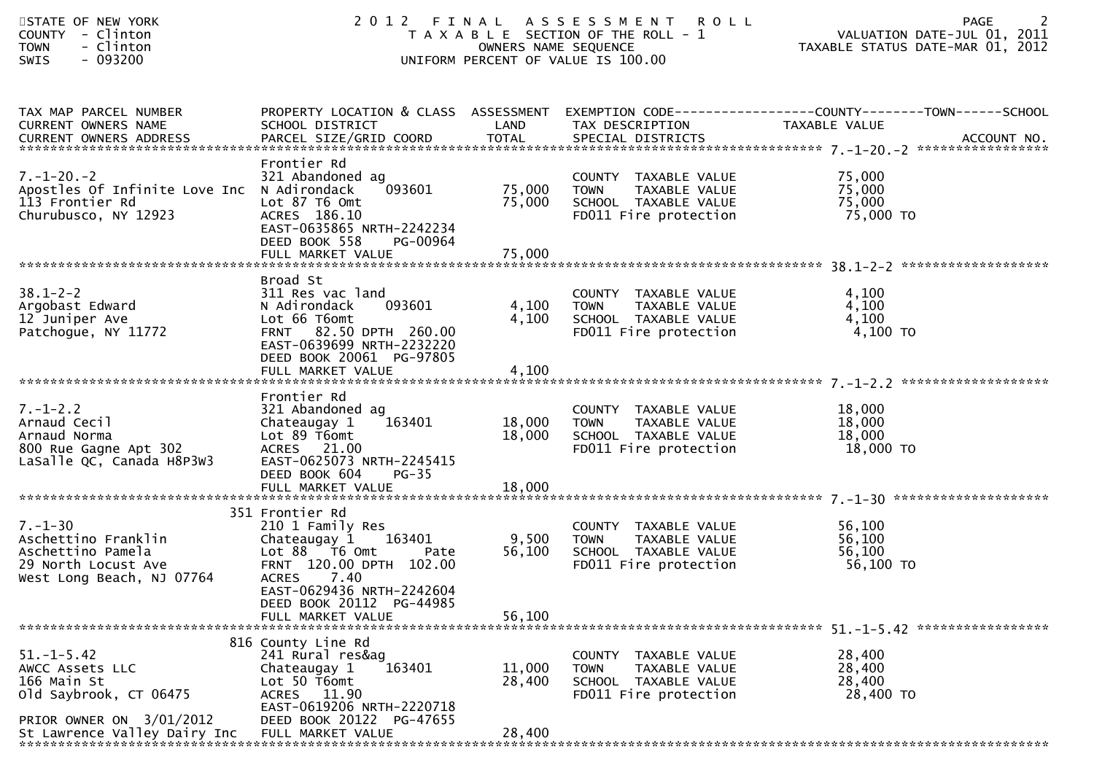| STATE OF NEW YORK<br>COUNTY - Clinton<br><b>TOWN</b><br>- Clinton<br>- 093200<br><b>SWIS</b>                                             |                                                                                                                                                                                                          |                            | 2012 FINAL ASSESSMENT ROLL<br>T A X A B L E SECTION OF THE ROLL - 1<br>OWNERS NAME SEQUENCE<br>UNIFORM PERCENT OF VALUE IS 100.00   | 2<br><b>PAGE</b><br>ROLL - 1<br>VALUATION DATE-JUL 01, 2011<br>TAXABLE STATUS DATE-MAR 01, 2012                   |
|------------------------------------------------------------------------------------------------------------------------------------------|----------------------------------------------------------------------------------------------------------------------------------------------------------------------------------------------------------|----------------------------|-------------------------------------------------------------------------------------------------------------------------------------|-------------------------------------------------------------------------------------------------------------------|
| TAX MAP PARCEL NUMBER<br>CURRENT OWNERS NAME                                                                                             | SCHOOL DISTRICT                                                                                                                                                                                          | LAND                       | TAX DESCRIPTION                                                                                                                     | PROPERTY LOCATION & CLASS ASSESSMENT EXEMPTION CODE----------------COUNTY-------TOWN------SCHOOL<br>TAXABLE VALUE |
| $7. - 1 - 20. - 2$<br>Apostles Of Infinite Love Inc N Adirondack<br>113 Frontier Rd<br>Churubusco, NY 12923                              | Frontier Rd<br>321 Abandoned ag<br>093601<br>Lot 87 T6 Omt<br>ACRES 186.10<br>EAST-0635865 NRTH-2242234<br>DEED BOOK 558<br>PG-00964                                                                     | 75,000 TOWN<br>75,000      | COUNTY TAXABLE VALUE<br>COUNTY TAXABLE VALUE<br>TOWN     TAXABLE VALUE<br>SCHOOL   TAXABLE VALUE<br>FD011 Fire protection 75,000 TO | 75,000<br>75,000<br>75,000                                                                                        |
|                                                                                                                                          | Broad St                                                                                                                                                                                                 |                            |                                                                                                                                     |                                                                                                                   |
| $38.1 - 2 - 2$<br>Argobast Edward<br>12 Juniper Ave<br>Patchogue, NY 11772                                                               | 311 Res vac land<br>093601<br>N Adirondack<br>Lot 66 T6omt<br>FRNT 82.50 DPTH 260.00<br>EAST-0639699 NRTH-2232220                                                                                        | 4,100<br>4,100             | COUNTY TAXABLE VALUE<br>COUNTY TAXABLE VALUE<br>TOWN   TAXABLE VALUE<br>SCHOOL  TAXABLE VALUE<br>FDO11 Fire protection              | 4,100<br>4,100<br>4,100<br>4,100 TO                                                                               |
|                                                                                                                                          | DEED BOOK 20061 PG-97805<br>FULL MARKET VALUE                                                                                                                                                            | 4,100                      |                                                                                                                                     |                                                                                                                   |
| $7. - 1 - 2.2$<br>Arnaud Cecil<br>Arnaud Norma<br>800 Rue Gagne Apt 302<br>LaSalle QC, Canada H8P3W3                                     | Frontier Rd<br>321 Abandoned ag<br>Chateaugay 1<br>163401<br>Lot 89 T6omt<br>ACRES 21.00<br>EAST-0625073 NRTH-2245415<br>DEED BOOK 604<br>$PG-35$                                                        | 18,000 TOWN<br>18,000      | COUNTY TAXABLE VALUE<br>COUNTY TAXABLE VALUE<br>TOWN     TAXABLE VALUE<br>SCHOOL   TAXABLE VALUE<br>FD011 Fire protection           | 18,000<br>18,000<br>18,000<br>18,000 TO                                                                           |
|                                                                                                                                          |                                                                                                                                                                                                          |                            |                                                                                                                                     |                                                                                                                   |
| $7. - 1 - 30$<br>Aschettino Franklin<br>Aschettino Pamela<br>29 North Locust Ave<br>West Long Beach, NJ 07764                            | 351 Frontier Rd<br>210 1 Family Res<br>Chateaugay 1 163401<br>Lot 88 T6 Omt<br>Pate<br>FRNT 120.00 DPTH 102.00<br>ACRES 7.40<br>EAST-0629436 NRTH-2242604                                                |                            | COUNTY TAXABLE VALUE<br>9,500 TOWN TAXABLE VALUE<br>56,100 SCHOOL TAXABLE VALUE<br>FD011 Fire protection                            | 56,100<br>56,100<br>56,100<br>56,100 TO                                                                           |
|                                                                                                                                          | DEED BOOK 20112 PG-44985<br>FULL MARKET VALUE                                                                                                                                                            | 56,100                     |                                                                                                                                     |                                                                                                                   |
| $51. - 1 - 5.42$<br>AWCC Assets LLC<br>166 Main St<br>old Saybrook, CT 06475<br>PRIOR OWNER ON 3/01/2012<br>St Lawrence Valley Dairy Inc | 816 County Line Rd<br>241 Rural res&ag<br>163401<br>Chateaugay 1<br>Lot 50 T6omt<br>ACRES 11.90<br>EAST-0619206 NRTH-2220718<br>DEED BOOK 20122 PG-47655<br>FULL MARKET VALUE<br>*********************** | 11,000<br>28,400<br>28,400 | TAXABLE VALUE<br><b>COUNTY</b><br><b>TOWN</b><br>TAXABLE VALUE<br>SCHOOL TAXABLE VALUE<br>FD011 Fire protection                     | 28,400<br>28,400<br>28,400<br>28,400 TO                                                                           |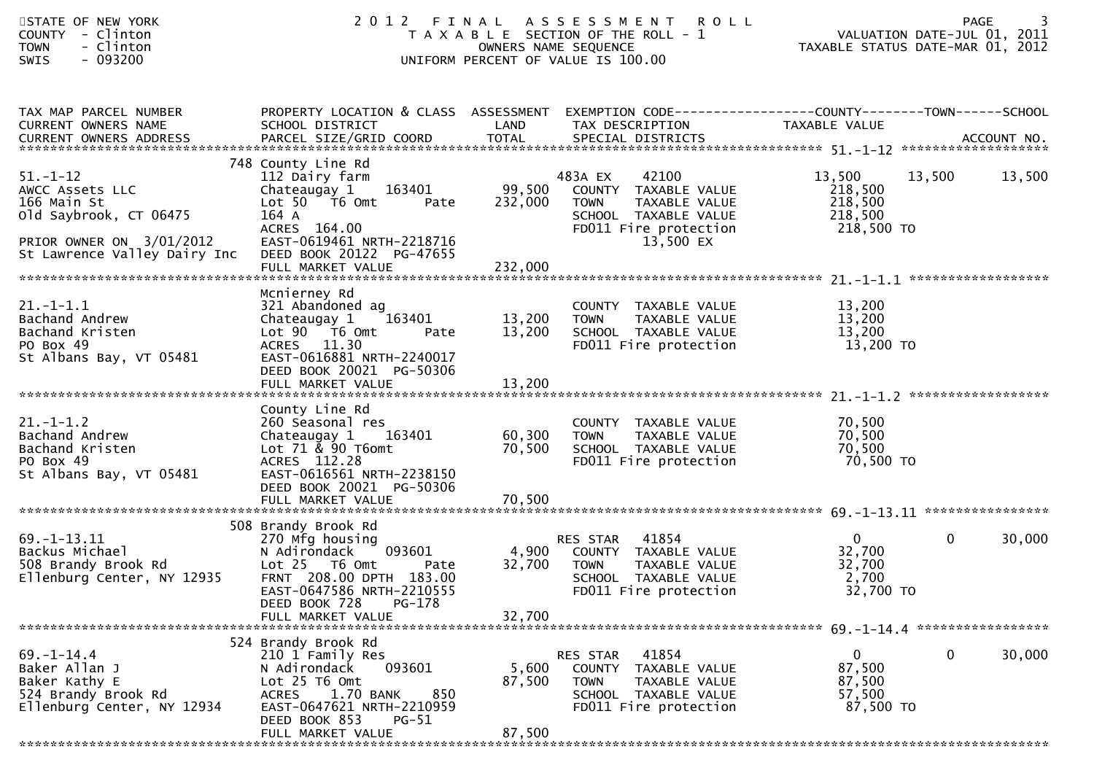| STATE OF NEW YORK<br>COUNTY - Clinton<br>- Clinton<br><b>TOWN</b><br>- 093200<br><b>SWIS</b>                                          |                                                                                                                                                                                                      |                            | 2012 FINAL ASSESSMENT<br><b>ROLL</b><br>T A X A B L E SECTION OF THE ROLL - 1<br>OWNERS NAME SEQUENCE<br>UNIFORM PERCENT OF VALUE IS 100.00 | VALUATION DATE-JUL 01, 2011<br>TAXABLE STATUS DATE-MAR 01, 2012 |              | 3<br><b>PAGE</b> |
|---------------------------------------------------------------------------------------------------------------------------------------|------------------------------------------------------------------------------------------------------------------------------------------------------------------------------------------------------|----------------------------|---------------------------------------------------------------------------------------------------------------------------------------------|-----------------------------------------------------------------|--------------|------------------|
| TAX MAP PARCEL NUMBER<br>CURRENT OWNERS NAME<br>CURRENT OWNERS ADDRESS                                                                | PROPERTY LOCATION & CLASS ASSESSMENT<br>SCHOOL DISTRICT                                                                                                                                              | LAND                       | EXEMPTION CODE------------------COUNTY--------TOWN------SCHOOL<br>TAX DESCRIPTION                                                           | TAXABLE VALUE                                                   |              |                  |
| $51 - 1 - 12$<br>AWCC Assets LLC<br>166 Main St<br>old Saybrook, CT 06475<br>PRIOR OWNER ON 3/01/2012<br>St Lawrence Valley Dairy Inc | 748 County Line Rd<br>112 Dairy farm<br>163401<br>Chateaugay 1<br>Lot 50 T6 Omt<br>Pate<br>164 A<br>ACRES 164.00<br>EAST-0619461 NRTH-2218716<br>DEED BOOK 20122 PG-47655                            | 99,500<br>232,000          | 42100<br>483A EX<br>COUNTY TAXABLE VALUE<br><b>TOWN</b><br>TAXABLE VALUE<br>SCHOOL TAXABLE VALUE<br>FD011 Fire protection<br>13,500 EX      | 13,500<br>218,500<br>218,500<br>218,500<br>218,500 TO           | 13,500       | 13,500           |
| $21. - 1 - 1.1$<br>Bachand Andrew<br>Bachand Kristen<br>PO Box 49<br>St Albans Bay, VT 05481                                          | Mcnierney Rd<br>321 Abandoned ag<br>163401<br>Chateaugay 1<br>Lot 90 T6 Omt<br>Pate<br>ACRES 11.30<br>EAST-0616881 NRTH-2240017<br>DEED BOOK 20021 PG-50306<br>FULL MARKET VALUE                     | 13,200<br>13,200<br>13,200 | COUNTY TAXABLE VALUE<br><b>TOWN</b><br>TAXABLE VALUE<br>SCHOOL TAXABLE VALUE<br>FD011 Fire protection                                       | 13,200<br>13,200<br>13,200<br>13,200 TO                         |              |                  |
| $21. - 1 - 1.2$<br>Bachand Andrew<br>Bachand Kristen<br>PO Box 49<br>St Albans Bay, VT 05481                                          | County Line Rd<br>260 Seasonal res<br>163401<br>Chateaugay 1<br>Lot $71$ & 90 T6omt<br>ACRES 112.28<br>EAST-0616561 NRTH-2238150<br>DEED BOOK 20021 PG-50306<br>FULL MARKET VALUE                    | 60,300<br>70,500<br>70,500 | COUNTY TAXABLE VALUE<br><b>TOWN</b><br>TAXABLE VALUE<br>SCHOOL TAXABLE VALUE<br>FD011 Fire protection                                       | 70,500<br>70,500<br>70,500<br>70,500 TO                         |              |                  |
| $69. -1 - 13.11$<br>Backus Michael<br>508 Brandy Brook Rd<br>Ellenburg Center, NY 12935                                               | 508 Brandy Brook Rd<br>270 Mfg housing<br>093601<br>N Adirondack<br>Lot 25 T6 Omt<br>Pate<br>FRNT 208.00 DPTH 183.00<br>EAST-0647586 NRTH-2210555<br>PG-178<br>DEED BOOK 728<br>FULL MARKET VALUE    | 4,900<br>32,700<br>32,700  | RES STAR<br>41854<br>COUNTY TAXABLE VALUE<br><b>TOWN</b><br>TAXABLE VALUE<br>SCHOOL TAXABLE VALUE<br>FD011 Fire protection                  | $\mathbf{0}$<br>32,700<br>32,700<br>2,700<br>32,700 TO          | $\mathbf{0}$ | 30,000           |
| $69. - 1 - 14.4$<br>Baker Allan J<br>Baker Kathy E<br>524 Brandy Brook Rd<br>Ellenburg Center, NY 12934                               | 524 Brandy Brook Rd<br>210 1 Family Res<br>093601<br>N Adirondack<br>Lot 25 T6 Omt<br>1.70 BANK<br><b>ACRES</b><br>850<br>EAST-0647621 NRTH-2210959<br>DEED BOOK 853<br>$PG-51$<br>FULL MARKET VALUE | 5,600<br>87,500<br>87,500  | 41854<br>RES STAR<br>COUNTY TAXABLE VALUE<br><b>TOWN</b><br>TAXABLE VALUE<br>SCHOOL TAXABLE VALUE<br>FD011 Fire protection                  | $\mathbf{0}$<br>87,500<br>87,500<br>57,500<br>87,500 TO         | 0            | 30,000           |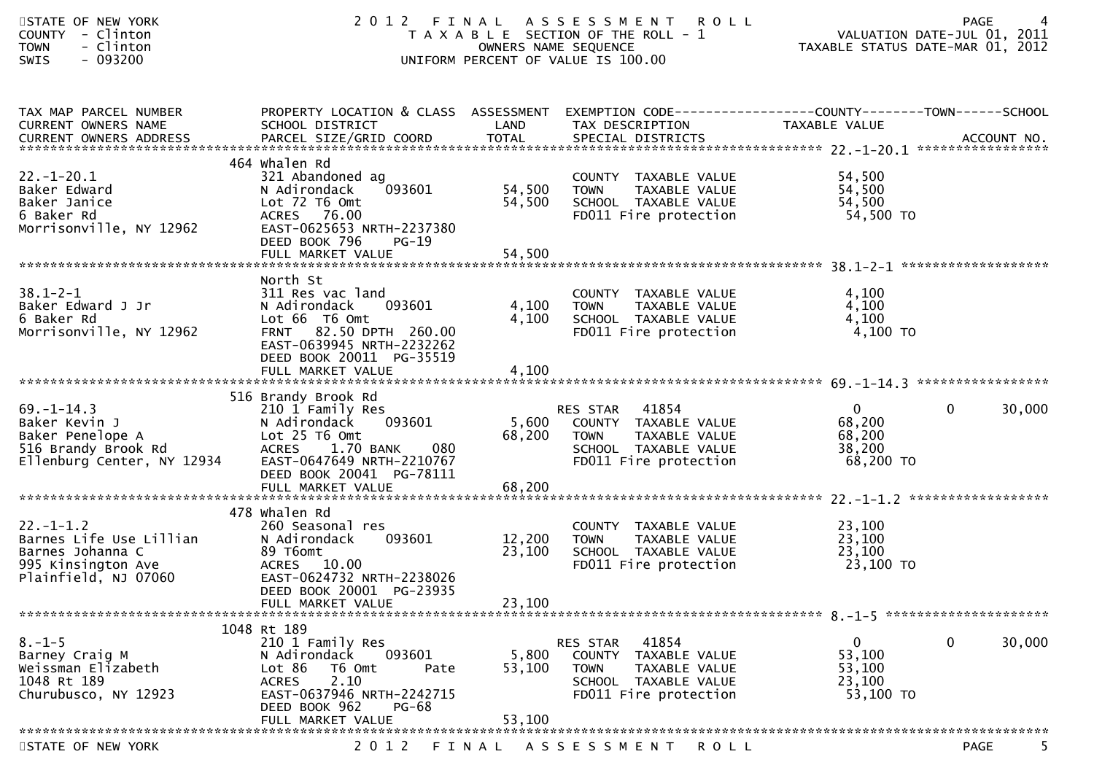| STATE OF NEW YORK<br>COUNTY - Clinton<br>- Clinton<br><b>TOWN</b><br>$-093200$<br>SWIS                       | 2012                                                                                                                                                                            | OWNERS NAME SEQUENCE       | FINAL ASSESSMENT ROLL<br>T A X A B L E SECTION OF THE ROLL - 1<br>UNIFORM PERCENT OF VALUE IS 100.00                       | TAXABLE STATUS DATE-MAR 01, 2012                          | <b>PAGE</b><br>VALUATION DATE-JUL 01, 2011 |
|--------------------------------------------------------------------------------------------------------------|---------------------------------------------------------------------------------------------------------------------------------------------------------------------------------|----------------------------|----------------------------------------------------------------------------------------------------------------------------|-----------------------------------------------------------|--------------------------------------------|
| TAX MAP PARCEL NUMBER<br>CURRENT OWNERS NAME                                                                 | PROPERTY LOCATION & CLASS ASSESSMENT EXEMPTION CODE----------------COUNTY-------TOWN------SCHOOL<br>SCHOOL DISTRICT                                                             | LAND                       | TAX DESCRIPTION                                                                                                            | TAXABLE VALUE                                             |                                            |
| $22. - 1 - 20.1$<br>Baker Edward<br>Baker Janice<br>6 Baker Rd<br>Morrisonville, NY 12962                    | 464 Whalen Rd<br>321 Abandoned ag<br>093601<br>N Adirondack<br>Lot 72 T6 Omt<br>ACRES 76.00<br>EAST-0625653 NRTH-2237380<br>DEED BOOK 796<br>$PG-19$                            | 54,500<br>54,500           | COUNTY TAXABLE VALUE<br><b>TOWN</b><br>TAXABLE VALUE<br>SCHOOL TAXABLE VALUE<br>FD011 Fire protection                      | 54,500<br>54,500<br>54,500<br>54,500 TO                   |                                            |
| $38.1 - 2 - 1$<br>Baker Edward J Jr<br>6 Baker Rd<br>Morrisonville, NY 12962                                 | North St<br>311 Res vac land<br>093601<br>N Adirondack<br>Lot 66 T6 Omt<br>FRNT 82.50 DPTH 260.00<br>EAST-0639945 NRTH-2232262<br>DEED BOOK 20011 PG-35519<br>FULL MARKET VALUE | 4,100<br>4,100<br>4,100    | COUNTY TAXABLE VALUE<br>TOWN TAXABLE VALUE<br>SCHOOL TAXABLE VALUE<br>FD011 Fire protection                                | 4,100<br>4,100<br>4,100<br>4,100 TO                       |                                            |
| $69. - 1 - 14.3$<br>Baker Kevin J<br>Baker Penelope A<br>516 Brandy Brook Rd<br>Ellenburg Center, NY 12934   | 516 Brandy Brook Rd<br>210 1 Family Res<br>N Adirondack<br>093601<br>Lot 25 T6 Omt<br><b>ACRES</b><br>1.70 BANK<br>080<br>EAST-0647649 NRTH-2210767<br>DEED BOOK 20041 PG-78111 | 5,600<br>68,200            | RES STAR 41854<br>COUNTY TAXABLE VALUE<br><b>TOWN</b><br>TAXABLE VALUE<br>SCHOOL TAXABLE VALUE<br>FD011 Fire protection    | $\overline{0}$<br>68,200<br>68,200<br>38,200<br>68,200 TO | 30,000<br>$\mathbf{0}$                     |
| $22. - 1 - 1.2$<br>Barnes Life Use Lillian<br>Barnes Johanna C<br>995 Kinsington Ave<br>Plainfield, NJ 07060 | 478 whalen Rd<br>260 Seasonal res<br>N Adirondack<br>093601<br>89 T6omt<br>ACRES 10.00<br>EAST-0624732 NRTH-2238026<br>DEED BOOK 20001 PG-23935<br>FULL MARKET VALUE            | 12,200<br>23,100<br>23,100 | COUNTY TAXABLE VALUE<br><b>TOWN</b><br>TAXABLE VALUE<br>SCHOOL TAXABLE VALUE<br>FD011 Fire protection                      | 23,100<br>23,100<br>23,100<br>23,100 TO                   |                                            |
| $8. - 1 - 5$<br>Barney Craig M<br>Weissman Elizabeth<br>1048 Rt 189<br>Churubusco, NY 12923                  | 1048 Rt 189<br>210 1 Family Res<br>N Adirondack<br>093601<br>Lot 86<br>T6 Omt<br>Pate<br>2.10<br><b>ACRES</b><br>EAST-0637946 NRTH-2242715<br>DEED BOOK 962<br>PG-68            | 5,800<br>53,100            | 41854<br><b>RES STAR</b><br>COUNTY TAXABLE VALUE<br>TOWN<br>TAXABLE VALUE<br>SCHOOL TAXABLE VALUE<br>FD011 Fire protection | $\mathbf{0}$<br>53,100<br>53,100<br>23,100<br>53,100 TO   | $\mathbf 0$<br>30,000                      |
| STATE OF NEW YORK                                                                                            | FULL MARKET VALUE<br>2 0 1 2                                                                                                                                                    | 53,100<br>FINAL            | A S S E S S M E N T<br>R O L L                                                                                             |                                                           | <b>PAGE</b>                                |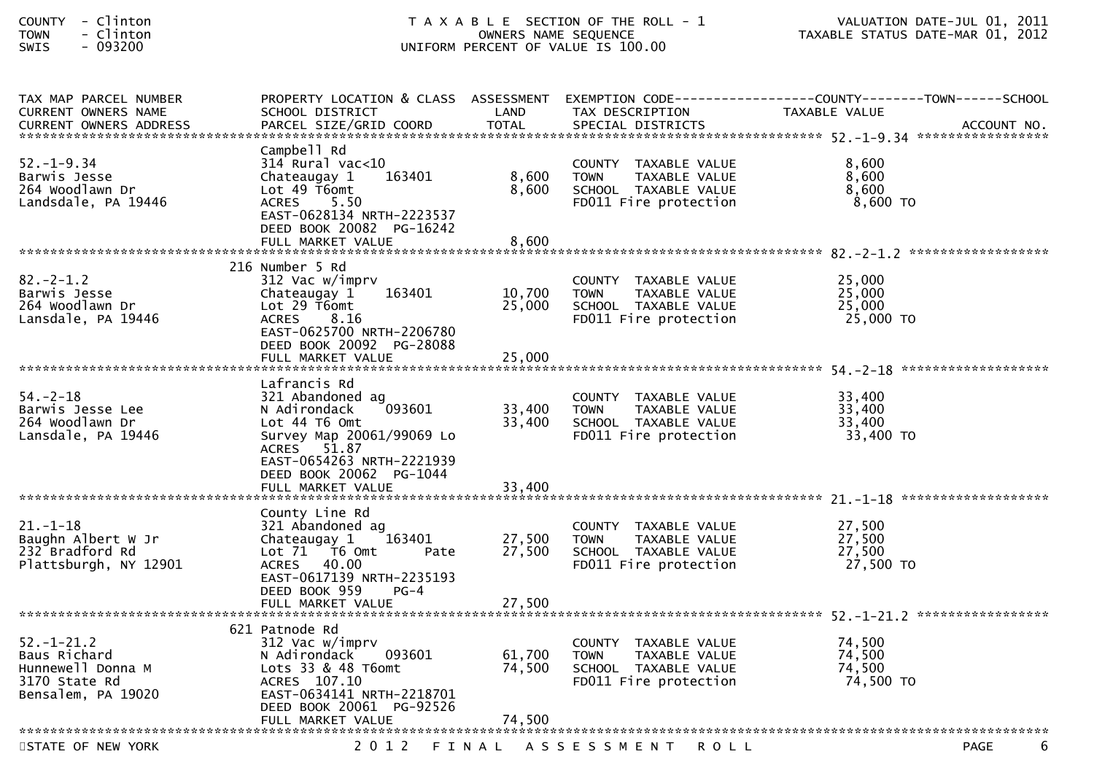| COUNTY        | Clinton |
|---------------|---------|
| <b>TOWN</b>   | Clinton |
| $\sim$ $\sim$ |         |

| TAX MAP PARCEL NUMBER<br>CURRENT OWNERS NAME | PROPERTY LOCATION & CLASS ASSESSMENT<br>SCHOOL DISTRICT | LAND         | EXEMPTION CODE--<br>TAX DESCRIPTION                  | --------------COUNTY--------TOWN------SCHOOL<br>TAXABLE VALUE |
|----------------------------------------------|---------------------------------------------------------|--------------|------------------------------------------------------|---------------------------------------------------------------|
| <b>CURRENT OWNERS ADDRESS</b>                | PARCEL SIZE/GRID COORD                                  | <b>TOTAL</b> | SPECIAL DISTRICTS                                    | ACCOUNT NO.                                                   |
|                                              | Campbell Rd                                             |              |                                                      |                                                               |
| $52. - 1 - 9.34$                             | $314$ Rural vac<10                                      |              | COUNTY TAXABLE VALUE                                 | 8,600                                                         |
| Barwis Jesse                                 | Chateaugay 1<br>163401                                  | 8,600        | TAXABLE VALUE<br><b>TOWN</b>                         | 8,600                                                         |
| 264 Woodlawn Dr<br>Landsdale, PA 19446       | Lot 49 T6omt<br>5.50<br><b>ACRES</b>                    | 8,600        | SCHOOL TAXABLE VALUE<br>FD011 Fire protection        | 8,600<br>8,600 TO                                             |
|                                              | EAST-0628134 NRTH-2223537                               |              |                                                      |                                                               |
|                                              | DEED BOOK 20082 PG-16242                                |              |                                                      |                                                               |
|                                              | FULL MARKET VALUE                                       | 8,600        |                                                      |                                                               |
|                                              | 216 Number 5 Rd                                         |              |                                                      |                                                               |
| $82 - 2 - 1.2$                               | 312 Vac w/imprv                                         |              | COUNTY TAXABLE VALUE                                 | 25,000                                                        |
| Barwis Jesse                                 | 163401<br>Chateaugay 1                                  | 10,700       | TAXABLE VALUE<br><b>TOWN</b>                         | 25,000                                                        |
| 264 Woodlawn Dr<br>Lansdale, PA 19446        | Lot 29 T6omt<br>8.16<br><b>ACRES</b>                    | 25,000       | SCHOOL TAXABLE VALUE<br>FD011 Fire protection        | 25,000<br>25,000 TO                                           |
|                                              | EAST-0625700 NRTH-2206780                               |              |                                                      |                                                               |
|                                              | DEED BOOK 20092 PG-28088                                |              |                                                      |                                                               |
|                                              | FULL MARKET VALUE                                       | 25,000       |                                                      |                                                               |
|                                              | Lafrancis Rd                                            |              |                                                      |                                                               |
| $54. - 2 - 18$                               | 321 Abandoned ag                                        |              | COUNTY TAXABLE VALUE                                 | 33,400                                                        |
| Barwis Jesse Lee                             | 093601<br>N Adirondack                                  | 33,400       | <b>TOWN</b><br>TAXABLE VALUE                         | 33,400                                                        |
| 264 Woodlawn Dr<br>Lansdale, PA 19446        | Lot 44 T6 Omt<br>Survey Map 20061/99069 Lo              | 33,400       | SCHOOL TAXABLE VALUE<br>FD011 Fire protection        | 33,400<br>33,400 TO                                           |
|                                              | ACRES 51.87                                             |              |                                                      |                                                               |
|                                              | EAST-0654263 NRTH-2221939                               |              |                                                      |                                                               |
|                                              | DEED BOOK 20062 PG-1044<br>FULL MARKET VALUE            | 33,400       |                                                      |                                                               |
|                                              |                                                         |              |                                                      |                                                               |
|                                              | County Line Rd                                          |              |                                                      |                                                               |
| $21. - 1 - 18$<br>Baughn Albert W Jr         | 321 Abandoned ag<br>Chateaugay 1<br>163401              | 27,500       | COUNTY TAXABLE VALUE<br>TAXABLE VALUE<br><b>TOWN</b> | 27,500<br>27,500                                              |
| 232 Bradford Rd                              | Lot 71  T6 0mt<br>Pate                                  | 27,500       | SCHOOL TAXABLE VALUE                                 | 27,500                                                        |
| Plattsburgh, NY 12901                        | ACRES 40.00                                             |              | FD011 Fire protection                                | 27,500 TO                                                     |
|                                              | EAST-0617139 NRTH-2235193                               |              |                                                      |                                                               |
|                                              | DEED BOOK 959<br>$PG-4$                                 |              |                                                      |                                                               |
|                                              |                                                         |              |                                                      |                                                               |
| $52. - 1 - 21.2$                             | 621 Patnode Rd<br>312 Vac w/imprv                       |              | COUNTY TAXABLE VALUE                                 | 74,500                                                        |
| Baus Richard                                 | N Adirondack<br>093601                                  | 61,700       | TAXABLE VALUE<br><b>TOWN</b>                         | 74,500                                                        |
| Hunnewell Donna M                            | Lots $33$ & $48$ T6omt                                  | 74,500       | SCHOOL TAXABLE VALUE                                 | 74,500                                                        |
| 3170 State Rd                                | ACRES 107.10                                            |              | FD011 Fire protection                                | 74,500 TO                                                     |
| Bensalem, PA 19020                           | EAST-0634141 NRTH-2218701<br>DEED BOOK 20061 PG-92526   |              |                                                      |                                                               |
|                                              | FULL MARKET VALUE                                       | 74.500       |                                                      |                                                               |
|                                              |                                                         |              |                                                      |                                                               |
| STATE OF NEW YORK                            | 2 0 1 2                                                 | FINAL        | A S S E S S M E N T<br><b>ROLL</b>                   | 6<br>PAGE                                                     |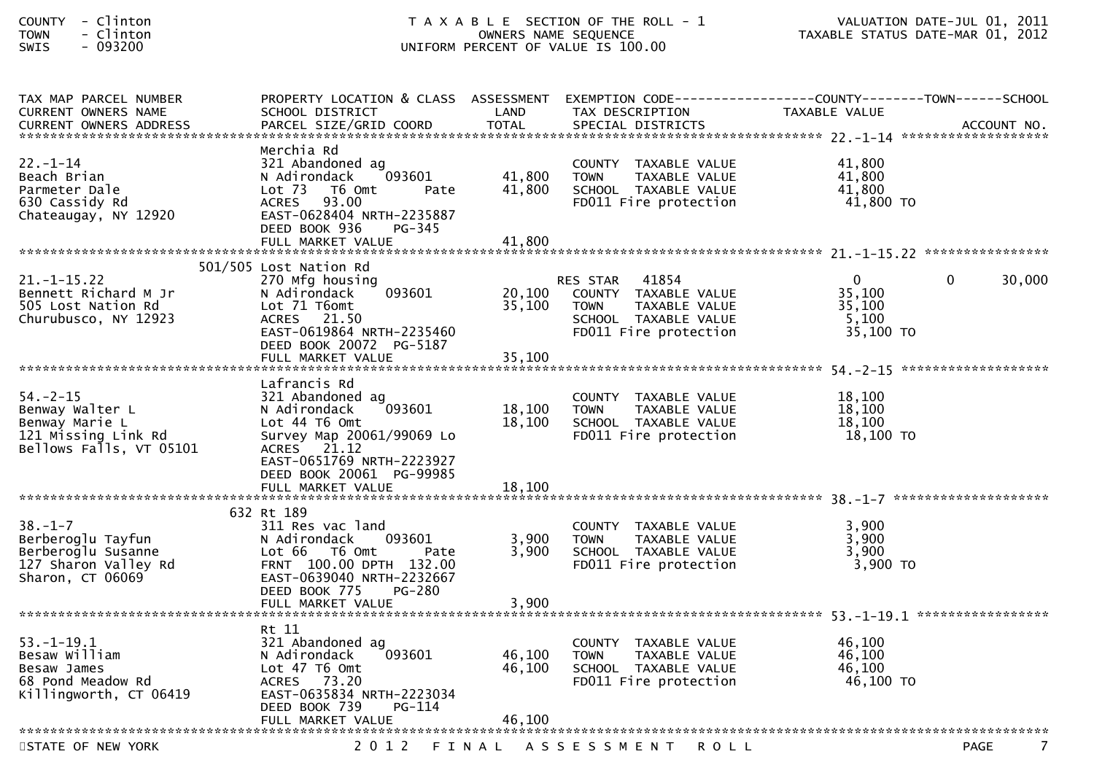| COUNTY | Clinton |  |
|--------|---------|--|
| TOWN   | Clinton |  |
| CUTC   | . noqon |  |

| TAX MAP PARCEL NUMBER      | PROPERTY LOCATION & CLASS ASSESSMENT |        | EXEMPTION CODE--             | -------------COUNTY--------TOWN------SCHOOL |                  |
|----------------------------|--------------------------------------|--------|------------------------------|---------------------------------------------|------------------|
| <b>CURRENT OWNERS NAME</b> | SCHOOL DISTRICT                      | LAND   | TAX DESCRIPTION              | TAXABLE VALUE                               |                  |
|                            |                                      |        |                              |                                             |                  |
|                            |                                      |        |                              |                                             |                  |
|                            | Merchia Rd                           |        |                              |                                             |                  |
| $22. - 1 - 14$             | 321 Abandoned ag                     |        | COUNTY TAXABLE VALUE         | 41,800                                      |                  |
| Beach Brian                | N Adirondack<br>093601               | 41,800 | TAXABLE VALUE<br><b>TOWN</b> | 41,800                                      |                  |
| Parmeter Dale              | $Lot$ 73<br>T6 Omt<br>Pate           | 41,800 | SCHOOL TAXABLE VALUE         | 41,800                                      |                  |
| 630 Cassidy Rd             | <b>ACRES</b><br>93.00                |        | FD011 Fire protection        | 41,800 TO                                   |                  |
| Chateaugay, NY 12920       | EAST-0628404 NRTH-2235887            |        |                              |                                             |                  |
|                            | DEED BOOK 936<br>PG-345              |        |                              |                                             |                  |
|                            | FULL MARKET VALUE                    | 41,800 |                              |                                             |                  |
|                            | 501/505 Lost Nation Rd               |        |                              |                                             |                  |
| $21. - 1 - 15.22$          | 270 Mfg housing                      |        | 41854<br><b>RES STAR</b>     | $\overline{0}$<br>$\Omega$                  | 30,000           |
| Bennett Richard M Jr       | 093601<br>N Adirondack               | 20,100 | COUNTY TAXABLE VALUE         | 35,100                                      |                  |
| 505 Lost Nation Rd         | Lot 71 T6omt                         | 35,100 | TAXABLE VALUE<br><b>TOWN</b> | 35,100                                      |                  |
| Churubusco, NY 12923       | ACRES 21.50                          |        | SCHOOL TAXABLE VALUE         | 5,100                                       |                  |
|                            | EAST-0619864 NRTH-2235460            |        | FD011 Fire protection        | 35,100 TO                                   |                  |
|                            | DEED BOOK 20072 PG-5187              |        |                              |                                             |                  |
|                            | FULL MARKET VALUE                    | 35,100 |                              |                                             |                  |
|                            |                                      |        |                              |                                             |                  |
|                            | Lafrancis Rd                         |        |                              |                                             |                  |
| $54. -2 - 15$              | 321 Abandoned ag                     |        | COUNTY TAXABLE VALUE         | 18,100                                      |                  |
| Benway Walter L            | 093601<br>N Adirondack               | 18,100 | <b>TOWN</b><br>TAXABLE VALUE | 18,100                                      |                  |
| Benway Marie L             | Lot 44 T6 Omt                        | 18,100 | SCHOOL TAXABLE VALUE         | 18,100                                      |                  |
| 121 Missing Link Rd        | Survey Map 20061/99069 Lo            |        | FD011 Fire protection        | $18,100$ TO                                 |                  |
| Bellows Falls, VT 05101    | ACRES 21.12                          |        |                              |                                             |                  |
|                            | EAST-0651769 NRTH-2223927            |        |                              |                                             |                  |
|                            | DEED BOOK 20061 PG-99985             |        |                              |                                             |                  |
|                            | FULL MARKET VALUE                    | 18,100 |                              |                                             |                  |
|                            |                                      |        |                              |                                             |                  |
|                            | 632 Rt 189                           |        |                              |                                             |                  |
| $38. - 1 - 7$              | 311 Res vac land                     |        | COUNTY TAXABLE VALUE         | 3,900                                       |                  |
| Berberoglu Tayfun          | 093601<br>N Adirondack               | 3,900  | <b>TOWN</b><br>TAXABLE VALUE | 3,900                                       |                  |
| Berberoglu Susanne         | Lot 66<br>T6 Omt<br>Pate             | 3.900  | SCHOOL TAXABLE VALUE         | 3,900                                       |                  |
| 127 Sharon Valley Rd       | FRNT 100.00 DPTH 132.00              |        | FD011 Fire protection        | 3,900 TO                                    |                  |
| Sharon, CT 06069           | EAST-0639040 NRTH-2232667            |        |                              |                                             |                  |
|                            | DEED BOOK 775<br><b>PG-280</b>       |        |                              |                                             |                  |
|                            |                                      |        |                              |                                             |                  |
|                            |                                      |        |                              |                                             |                  |
|                            | Rt 11                                |        |                              |                                             |                  |
| $53. - 1 - 19.1$           | 321 Abandoned ag                     |        | COUNTY TAXABLE VALUE         | 46,100                                      |                  |
| Besaw William              | 093601<br>N Adirondack               | 46,100 | <b>TOWN</b><br>TAXABLE VALUE | 46,100                                      |                  |
| Besaw James                | Lot 47 T6 Omt                        | 46.100 | SCHOOL TAXABLE VALUE         | 46.100                                      |                  |
| 68 Pond Meadow Rd          | <b>ACRES</b><br>73.20                |        | FD011 Fire protection        | 46,100 TO                                   |                  |
| Killingworth, CT 06419     | EAST-0635834 NRTH-2223034            |        |                              |                                             |                  |
|                            | DEED BOOK 739<br>PG-114              |        |                              |                                             |                  |
|                            | FULL MARKET VALUE                    | 46.100 |                              |                                             |                  |
|                            |                                      |        |                              |                                             |                  |
| STATE OF NEW YORK          | 2 0 1 2                              | FINAL  | ASSESSMENT ROLL              |                                             | <b>PAGE</b><br>7 |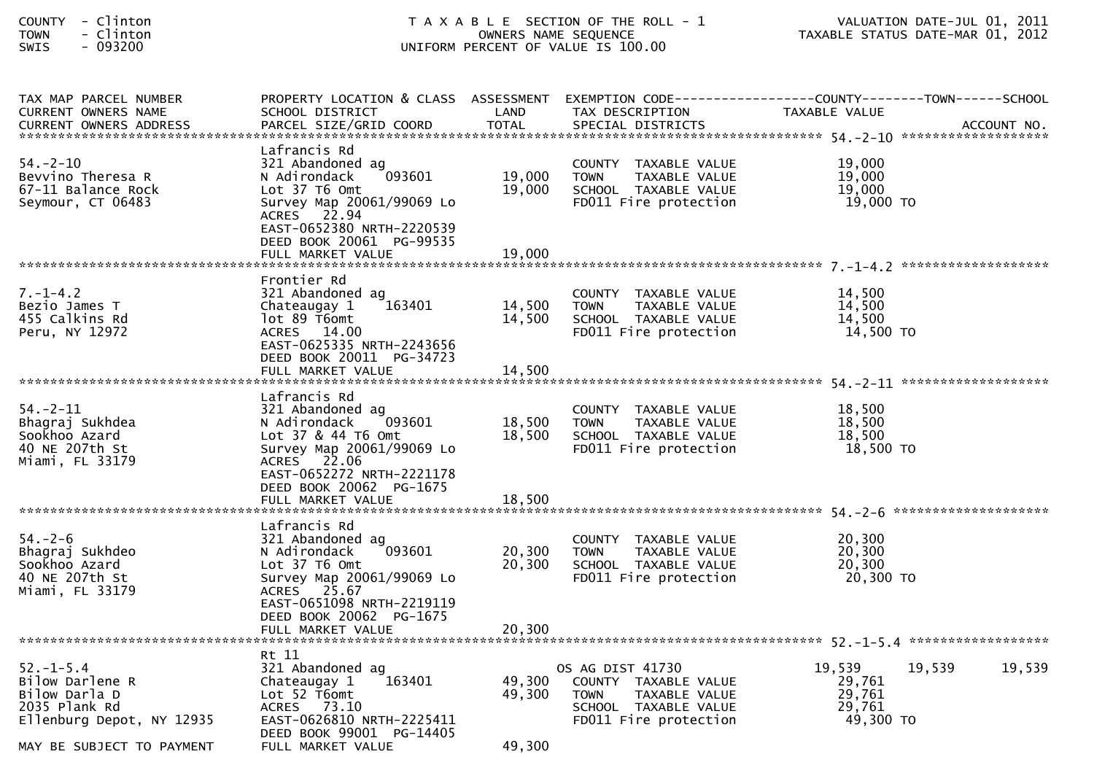| - Clinton<br>COUNTY<br>- Clinton<br><b>TOWN</b><br>$-093200$<br><b>SWIS</b>                       | T A X A B L E SECTION OF THE ROLL - 1<br>OWNERS NAME SEQUENCE<br>UNIFORM PERCENT OF VALUE IS 100.00                                                                                                       |                            |                                                                                                                           | VALUATION DATE-JUL 01, 2011<br>TAXABLE STATUS DATE-MAR 01, 2012 |                  |
|---------------------------------------------------------------------------------------------------|-----------------------------------------------------------------------------------------------------------------------------------------------------------------------------------------------------------|----------------------------|---------------------------------------------------------------------------------------------------------------------------|-----------------------------------------------------------------|------------------|
| TAX MAP PARCEL NUMBER<br>CURRENT OWNERS NAME                                                      | PROPERTY LOCATION & CLASS ASSESSMENT<br>SCHOOL DISTRICT                                                                                                                                                   | LAND                       | EXEMPTION CODE------------------COUNTY--------TOWN------SCHOOL<br>TAX DESCRIPTION                                         | TAXABLE VALUE                                                   |                  |
| $54. - 2 - 10$<br>Bevvino Theresa R<br>67-11 Balance Rock<br>Seymour, CT 06483                    | Lafrancis Rd<br>321 Abandoned ag<br>093601<br>N Adirondack<br>Lot 37 T6 Omt<br>Survey Map 20061/99069 Lo<br>ACRES 22.94<br>EAST-0652380 NRTH-2220539<br>DEED BOOK 20061 PG-99535                          | 19,000<br>19,000           | COUNTY TAXABLE VALUE<br><b>TOWN</b><br>TAXABLE VALUE<br>SCHOOL TAXABLE VALUE<br>FD011 Fire protection                     | 19,000<br>19,000<br>19,000<br>19,000 TO                         |                  |
| $7. - 1 - 4.2$<br>Bezio James T<br>455 Calkins Rd<br>Peru, NY 12972                               | Frontier Rd<br>321 Abandoned ag<br>163401<br>Chateaugay 1<br>lot 89 T6omt<br>ACRES 14.00<br>EAST-0625335 NRTH-2243656<br>DEED BOOK 20011 PG-34723<br>FULL MARKET VALUE                                    | 14,500<br>14,500<br>14,500 | COUNTY TAXABLE VALUE<br>TAXABLE VALUE<br><b>TOWN</b><br>SCHOOL TAXABLE VALUE<br>FD011 Fire protection                     | 14,500<br>14,500<br>14,500<br>14,500 TO                         |                  |
| $54. - 2 - 11$<br>Bhagraj Sukhdea<br>Sookhoo Azard<br>40 NE 207th St<br>Miami, FL 33179           | Lafrancis Rd<br>321 Abandoned ag<br>N Adirondack<br>093601<br>Lot 37 & 44 T6 Omt<br>Survey Map 20061/99069 Lo<br>ACRES 22.06<br>EAST-0652272 NRTH-2221178<br>DEED BOOK 20062 PG-1675<br>FULL MARKET VALUE | 18,500<br>18,500<br>18,500 | COUNTY TAXABLE VALUE<br>TAXABLE VALUE<br><b>TOWN</b><br>SCHOOL TAXABLE VALUE<br>FD011 Fire protection                     | 18,500<br>18,500<br>18,500<br>18,500 TO                         |                  |
| $54. - 2 - 6$<br>Bhagraj Sukhdeo<br>Sookhoo Azard<br>40 NE 207th St<br>Miami, FL 33179            | Lafrancis Rd<br>321 Abandoned ag<br>093601<br>N Adirondack<br>Lot 37 T6 Omt<br>Survey Map 20061/99069 Lo<br>ACRES 25.67<br>EAST-0651098 NRTH-2219119<br>DEED BOOK 20062 PG-1675<br>FULL MARKET VALUE      | 20,300<br>20,300<br>20,300 | COUNTY TAXABLE VALUE<br><b>TOWN</b><br>TAXABLE VALUE<br>SCHOOL TAXABLE VALUE<br>FD011 Fire protection                     | 20,300<br>20,300<br>20,300<br>20,300 TO                         |                  |
| $52. - 1 - 5.4$<br>Bilow Darlene R<br>Bilow Darla D<br>2035 Plank Rd<br>Ellenburg Depot, NY 12935 | Rt 11<br>321 Abandoned ag<br>163401<br>Chateaugay 1<br>Lot 52 T6omt<br>ACRES 73.10<br>EAST-0626810 NRTH-2225411<br>nnnn 1                                                                                 | 49,300<br>49,300           | OS AG DIST 41730<br>COUNTY TAXABLE VALUE<br><b>TAXABLE VALUE</b><br>TOWN<br>SCHOOL TAXABLE VALUE<br>FD011 Fire protection | 19,539<br>29,761<br>29,761<br>29,761<br>49,300 TO               | 19,539<br>19,539 |

DEED BOOK 99001 PG-14405 MAY BE SUBJECT TO PAYMENT FULL MARKET VALUE 49,300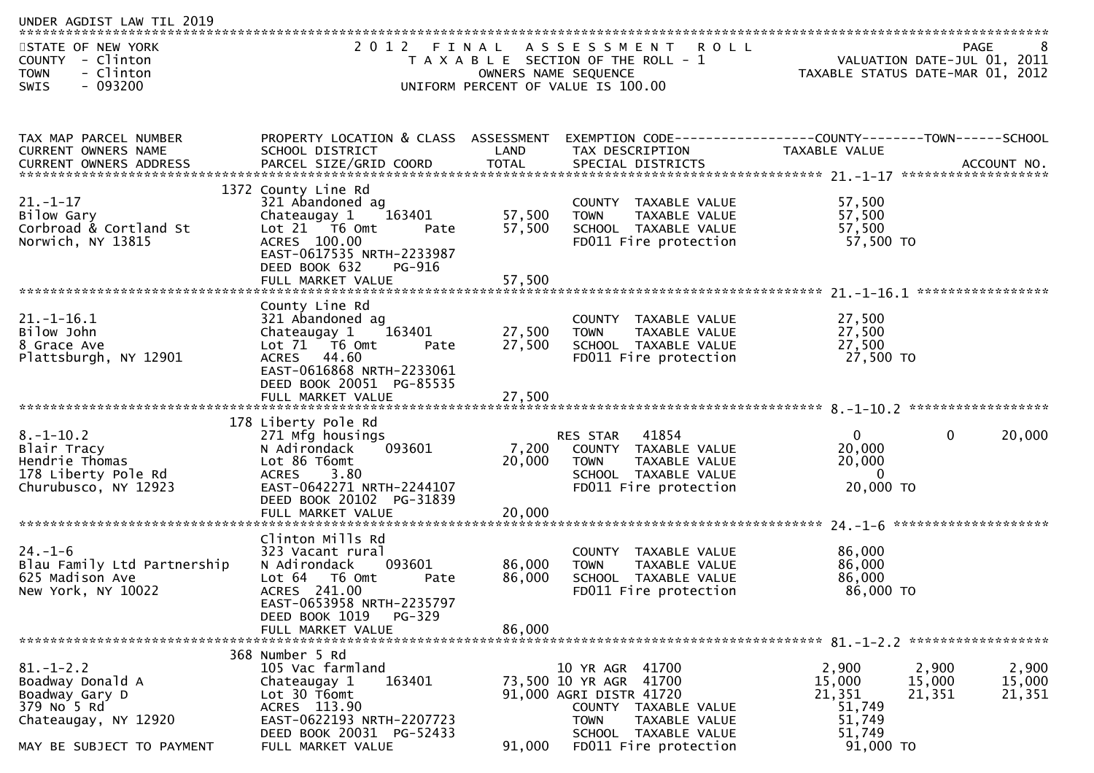| UNDER AGDIST LAW TIL 2019                                                                                                 |                                                                                                                                                                                           |                            |                                                                                                                                                                               |                                                                      |                                                                         |
|---------------------------------------------------------------------------------------------------------------------------|-------------------------------------------------------------------------------------------------------------------------------------------------------------------------------------------|----------------------------|-------------------------------------------------------------------------------------------------------------------------------------------------------------------------------|----------------------------------------------------------------------|-------------------------------------------------------------------------|
| STATE OF NEW YORK<br>COUNTY - Clinton<br>- Clinton<br><b>TOWN</b><br>$-093200$<br><b>SWIS</b>                             | 2012                                                                                                                                                                                      | FINAL                      | ASSESSMENT ROLL<br>T A X A B L E SECTION OF THE ROLL - 1<br>OWNERS NAME SEQUENCE<br>UNIFORM PERCENT OF VALUE IS 100.00                                                        |                                                                      | PAGE<br>VALUATION DATE-JUL 01, 2011<br>TAXABLE STATUS DATE-MAR 01, 2012 |
| TAX MAP PARCEL NUMBER                                                                                                     | PROPERTY LOCATION & CLASS ASSESSMENT                                                                                                                                                      |                            | EXEMPTION CODE-----------------COUNTY--------TOWN------SCHOOL                                                                                                                 |                                                                      |                                                                         |
| CURRENT OWNERS NAME                                                                                                       | SCHOOL DISTRICT                                                                                                                                                                           | LAND                       | TAX DESCRIPTION                                                                                                                                                               | TAXABLE VALUE                                                        |                                                                         |
| $21. - 1 - 17$<br>Bilow Gary<br>Corbroad & Cortland St<br>Norwich, NY 13815                                               | 1372 County Line Rd<br>321 Abandoned ag<br>Chateaugay 1<br>163401<br>Lot $21$ T6 Omt<br>Pate<br>ACRES 100.00<br>EAST-0617535 NRTH-2233987<br>DEED BOOK 632<br>PG-916<br>FULL MARKET VALUE | 57,500<br>57,500<br>57,500 | COUNTY TAXABLE VALUE<br><b>TOWN</b><br>TAXABLE VALUE<br>SCHOOL TAXABLE VALUE<br>FD011 Fire protection                                                                         | 57,500<br>57,500<br>57,500<br>57,500 TO                              |                                                                         |
| $21. - 1 - 16.1$<br>Bilow John<br>8 Grace Ave<br>Plattsburgh, NY 12901                                                    | County Line Rd<br>321 Abandoned ag<br>Chateaugay 1<br>163401<br>Lot 71 T6 Omt<br>Pate<br>ACRES 44.60<br>EAST-0616868 NRTH-2233061<br>DEED BOOK 20051 PG-85535                             | 27,500<br>27,500           | COUNTY TAXABLE VALUE<br>TAXABLE VALUE<br><b>TOWN</b><br>SCHOOL TAXABLE VALUE<br>FD011 Fire protection                                                                         | 27,500<br>27,500<br>27,500<br>27,500 TO                              |                                                                         |
| $8. - 1 - 10.2$<br>Blair Tracy<br>Hendrie Thomas<br>178 Liberty Pole Rd<br>Churubusco, NY 12923                           | 178 Liberty Pole Rd<br>271 Mfg housings<br>N Adirondack<br>093601<br>Lot 86 T6omt<br>3.80<br><b>ACRES</b><br>EAST-0642271 NRTH-2244107<br>DEED BOOK 20102 PG-31839<br>FULL MARKET VALUE   | 7,200<br>20,000<br>20,000  | RES STAR<br>41854<br>COUNTY TAXABLE VALUE<br><b>TOWN</b><br>TAXABLE VALUE<br>SCHOOL TAXABLE VALUE<br>FD011 Fire protection                                                    | $\mathbf{0}$<br>20,000<br>20,000<br>$\Omega$<br>20,000 TO            | 20,000<br>$\mathbf{0}$                                                  |
| $24. - 1 - 6$<br>Blau Family Ltd Partnership<br>625 Madison Ave<br>New York, NY 10022                                     | Clinton Mills Rd<br>323 Vacant rural<br>093601<br>N Adirondack<br>Lot 64<br>T6 Omt<br>Pate<br>ACRES 241.00<br>EAST-0653958 NRTH-2235797<br>DEED BOOK 1019<br>PG-329<br>FULL MARKET VALUE  | 86,000<br>86,000<br>86,000 | COUNTY TAXABLE VALUE<br>TAXABLE VALUE<br><b>TOWN</b><br>SCHOOL TAXABLE VALUE<br>FD011 Fire protection                                                                         | 86,000<br>86,000<br>86,000<br>86,000 TO                              |                                                                         |
| $81. - 1 - 2.2$<br>Boadway Donald A<br>Boadway Gary D<br>379 No 5 Rd<br>Chateaugay, NY 12920<br>MAY BE SUBJECT TO PAYMENT | 368 Number 5 Rd<br>105 Vac farmland<br>163401<br>Chateaugay 1<br>Lot 30 T6omt<br>ACRES 113.90<br>EAST-0622193 NRTH-2207723<br>DEED BOOK 20031 PG-52433<br>FULL MARKET VALUE               | 91,000                     | 10 YR AGR 41700<br>73,500 10 YR AGR 41700<br>91,000 AGRI DISTR 41720<br>COUNTY TAXABLE VALUE<br><b>TOWN</b><br>TAXABLE VALUE<br>SCHOOL TAXABLE VALUE<br>FD011 Fire protection | 2,900<br>15,000<br>21,351<br>51,749<br>51,749<br>51,749<br>91,000 TO | 2,900<br>2,900<br>15,000<br>15,000<br>21,351<br>21,351                  |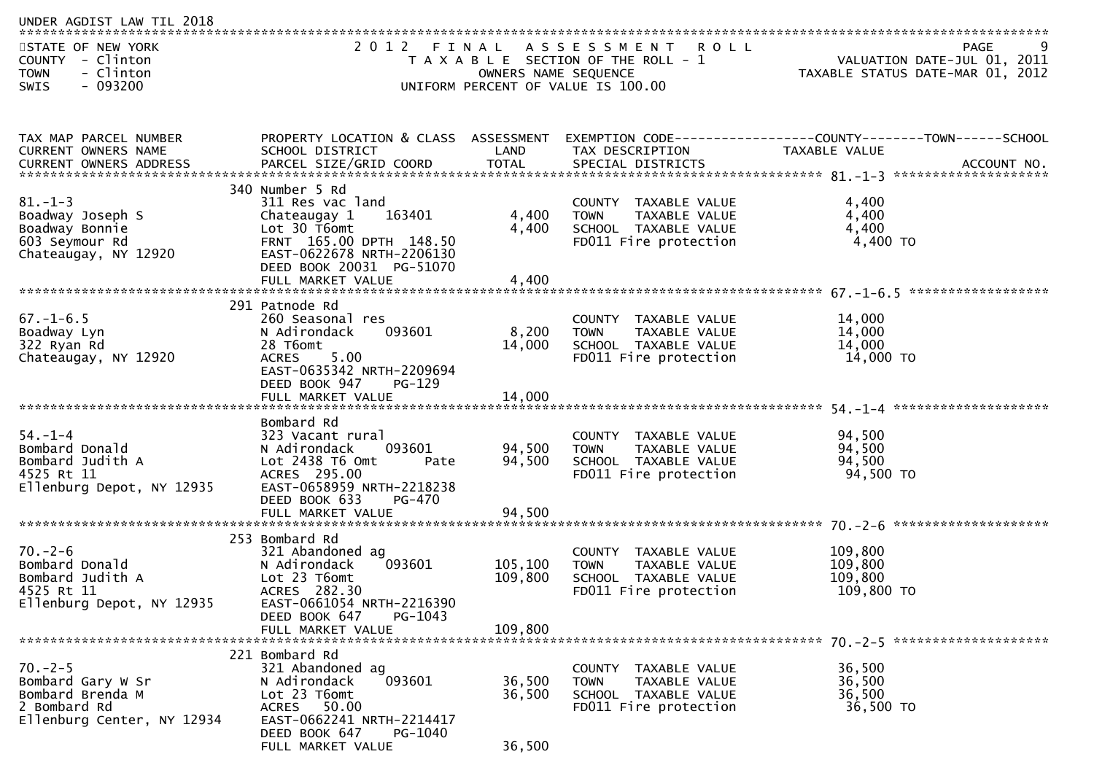| UNDER AGDIST LAW TIL 2018                                                                           |                                                                                                                                                                    |                            |                                                                                                           |                                                                 |      |
|-----------------------------------------------------------------------------------------------------|--------------------------------------------------------------------------------------------------------------------------------------------------------------------|----------------------------|-----------------------------------------------------------------------------------------------------------|-----------------------------------------------------------------|------|
| STATE OF NEW YORK<br>COUNTY - Clinton<br>- Clinton<br><b>TOWN</b><br>- 093200<br><b>SWIS</b>        |                                                                                                                                                                    | OWNERS NAME SEQUENCE       | 2012 FINAL ASSESSMENT ROLL<br>T A X A B L E SECTION OF THE ROLL - 1<br>UNIFORM PERCENT OF VALUE IS 100.00 | VALUATION DATE-JUL 01, 2011<br>TAXABLE STATUS DATE-MAR 01, 2012 | PAGE |
| TAX MAP PARCEL NUMBER                                                                               | PROPERTY LOCATION & CLASS ASSESSMENT                                                                                                                               |                            |                                                                                                           | EXEMPTION CODE-----------------COUNTY--------TOWN------SCHOOL   |      |
| CURRENT OWNERS NAME                                                                                 | SCHOOL DISTRICT                                                                                                                                                    | LAND                       | TAX DESCRIPTION                                                                                           | TAXABLE VALUE                                                   |      |
| $81. - 1 - 3$<br>Boadway Joseph S<br>Boadway Bonnie<br>603 Seymour Rd<br>Chateaugay, NY 12920       | 340 Number 5 Rd<br>311 Res vac land<br>Chateaugay 1<br>163401<br>Lot 30 T6omt<br>FRNT 165.00 DPTH 148.50<br>EAST-0622678 NRTH-2206130<br>DEED BOOK 20031 PG-51070  | 4,400<br>4,400             | COUNTY TAXABLE VALUE<br><b>TOWN</b><br>TAXABLE VALUE<br>SCHOOL TAXABLE VALUE<br>FD011 Fire protection     | 4,400<br>4,400<br>4,400<br>4,400 TO                             |      |
|                                                                                                     | FULL MARKET VALUE                                                                                                                                                  | 4,400                      |                                                                                                           |                                                                 |      |
| $67. - 1 - 6.5$<br>Boadway Lyn<br>322 Ryan Rd<br>Chateaugay, NY 12920                               | 291 Patnode Rd<br>260 Seasonal res<br>093601<br>N Adirondack<br>28 T6omt<br>5.00<br><b>ACRES</b><br>EAST-0635342 NRTH-2209694<br>DEED BOOK 947<br>$PG-129$         | 8,200<br>14,000            | COUNTY TAXABLE VALUE<br>TAXABLE VALUE<br>TOWN<br>SCHOOL TAXABLE VALUE<br>FD011 Fire protection            | 14,000<br>14,000<br>14,000<br>14,000 TO                         |      |
|                                                                                                     | Bombard Rd                                                                                                                                                         |                            |                                                                                                           |                                                                 |      |
| $54. - 1 - 4$<br>Bombard Donald<br>Bombard Judith A<br>4525 Rt 11<br>Ellenburg Depot, NY 12935      | 323 Vacant rural<br>093601<br>N Adirondack<br>Lot 2438 T6 Omt<br>Pate<br>ACRES 295.00<br>EAST-0658959 NRTH-2218238<br>DEED BOOK 633<br>PG-470<br>FULL MARKET VALUE | 94,500<br>94,500<br>94,500 | COUNTY TAXABLE VALUE<br><b>TOWN</b><br>TAXABLE VALUE<br>SCHOOL TAXABLE VALUE<br>FD011 Fire protection     | 94,500<br>94,500<br>94,500<br>94,500 TO                         |      |
|                                                                                                     | 253 Bombard Rd                                                                                                                                                     |                            |                                                                                                           |                                                                 |      |
| $70. - 2 - 6$<br>Bombard Donald<br>Bombard Judith A<br>4525 Rt 11<br>Ellenburg Depot, NY 12935      | 321 Abandoned ag<br>093601<br>N Adirondack<br>Lot 23 T6omt<br>ACRES 282.30<br>EAST-0661054 NRTH-2216390<br>DEED BOOK 647<br>PG-1043                                | 105,100<br>109,800         | COUNTY TAXABLE VALUE<br>TAXABLE VALUE<br><b>TOWN</b><br>SCHOOL TAXABLE VALUE<br>FD011 Fire protection     | 109,800<br>109,800<br>109,800<br>109,800 TO                     |      |
|                                                                                                     | FULL MARKET VALUE                                                                                                                                                  | 109,800                    |                                                                                                           |                                                                 |      |
| $70. -2 - 5$<br>Bombard Gary W Sr<br>Bombard Brenda M<br>2 Bombard Rd<br>Ellenburg Center, NY 12934 | 221 Bombard Rd<br>321 Abandoned ag<br>093601<br>N Adirondack<br>Lot 23 T6omt<br>ACRES 50.00<br>EAST-0662241 NRTH-2214417<br>DEED BOOK 647<br>PG-1040               | 36,500<br>36,500           | COUNTY TAXABLE VALUE<br>TAXABLE VALUE<br>TOWN<br>SCHOOL TAXABLE VALUE<br>FD011 Fire protection            | 36,500<br>36,500<br>36,500<br>36,500 TO                         |      |
|                                                                                                     | FULL MARKET VALUE                                                                                                                                                  | 36,500                     |                                                                                                           |                                                                 |      |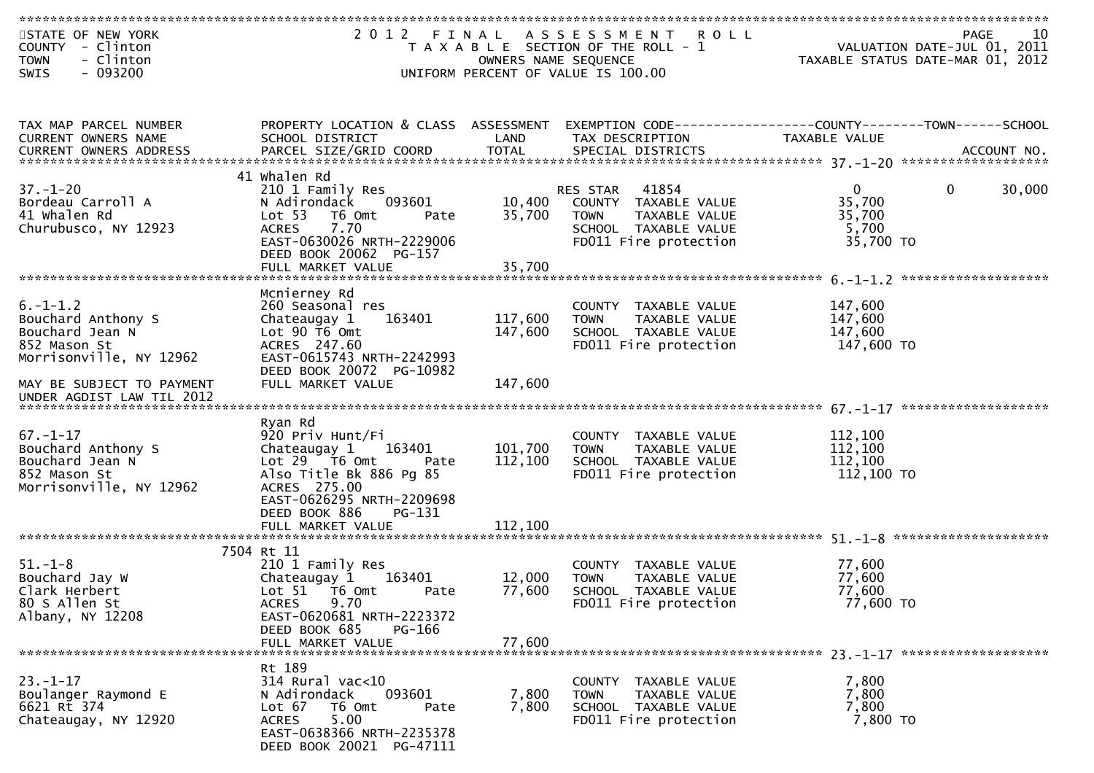| STATE OF NEW YORK<br>COUNTY - Clinton<br>- Clinton<br><b>TOWN</b> |                                                    | OWNERS NAME SEQUENCE | 2012 FINAL ASSESSMENT ROLL<br>T A X A B L E SECTION OF THE ROLL - 1 | 10<br>PAGE<br>VALUATION DATE-JUL 01, 2011<br>TAXABLE STATUS DATE-MAR 01, 2012 |
|-------------------------------------------------------------------|----------------------------------------------------|----------------------|---------------------------------------------------------------------|-------------------------------------------------------------------------------|
| $-093200$<br>SWIS                                                 |                                                    |                      | UNIFORM PERCENT OF VALUE IS 100.00                                  |                                                                               |
|                                                                   |                                                    |                      |                                                                     |                                                                               |
|                                                                   |                                                    |                      |                                                                     |                                                                               |
| TAX MAP PARCEL NUMBER                                             | PROPERTY LOCATION & CLASS ASSESSMENT               |                      |                                                                     | EXEMPTION CODE-----------------COUNTY-------TOWN------SCHOOL                  |
| CURRENT OWNERS NAME                                               | SCHOOL DISTRICT                                    | LAND                 | TAX DESCRIPTION                                                     | TAXABLE VALUE                                                                 |
|                                                                   |                                                    |                      |                                                                     |                                                                               |
|                                                                   |                                                    |                      |                                                                     |                                                                               |
| $37. - 1 - 20$                                                    | 41 Whalen Rd                                       |                      | 41854                                                               | 30,000<br>$\Omega$<br>$\mathbf 0$                                             |
| Bordeau Carroll A                                                 | 210 1 Family Res<br>N Adirondack<br>093601         | 10,400               | RES STAR<br>COUNTY TAXABLE VALUE                                    | 35,700                                                                        |
| 41 Whalen Rd                                                      | Lot 53<br>T6 Omt<br>Pate                           | 35,700               | <b>TOWN</b><br>TAXABLE VALUE                                        | 35,700                                                                        |
| Churubusco, NY 12923                                              | <b>ACRES</b><br>7.70                               |                      | SCHOOL TAXABLE VALUE                                                | 5,700                                                                         |
|                                                                   | EAST-0630026 NRTH-2229006                          |                      | FD011 Fire protection                                               | 35,700 TO                                                                     |
|                                                                   | DEED BOOK 20062 PG-157                             |                      |                                                                     |                                                                               |
|                                                                   | FULL MARKET VALUE                                  | 35,700               |                                                                     |                                                                               |
|                                                                   | Mcnierney Rd                                       |                      |                                                                     |                                                                               |
| $6. -1 - 1.2$                                                     | 260 Seasonal res                                   |                      | COUNTY TAXABLE VALUE                                                | 147,600                                                                       |
| Bouchard Anthony S                                                | 163401<br>Chateaugay 1                             | 117,600              | <b>TOWN</b><br><b>TAXABLE VALUE</b>                                 | 147,600                                                                       |
| Bouchard Jean N<br>852 Mason St                                   | Lot 90 T6 Omt<br>ACRES 247.60                      | 147,600              | SCHOOL TAXABLE VALUE<br>FD011 Fire protection                       | 147,600<br>147,600 TO                                                         |
| Morrisonville, NY 12962                                           | EAST-0615743 NRTH-2242993                          |                      |                                                                     |                                                                               |
|                                                                   | DEED BOOK 20072 PG-10982                           |                      |                                                                     |                                                                               |
| MAY BE SUBJECT TO PAYMENT                                         | FULL MARKET VALUE                                  | 147,600              |                                                                     |                                                                               |
| UNDER AGDIST LAW TIL 2012                                         |                                                    |                      |                                                                     |                                                                               |
|                                                                   | Ryan Rd                                            |                      |                                                                     |                                                                               |
| $67. - 1 - 17$                                                    | 920 Priv Hunt/Fi                                   |                      | COUNTY TAXABLE VALUE                                                | 112,100                                                                       |
| Bouchard Anthony S                                                | Chateaugay 1<br>163401                             | 101,700              | <b>TOWN</b><br>TAXABLE VALUE                                        | 112,100                                                                       |
| Bouchard Jean N                                                   | Lot $29$ $\overline{76}$ Omt<br>Pate               | 112,100              | SCHOOL TAXABLE VALUE                                                | 112,100                                                                       |
| 852 Mason St                                                      | Also Title Bk 886 Pg 85                            |                      | FD011 Fire protection                                               | 112,100 TO                                                                    |
| Morrisonville, NY 12962                                           | ACRES 275.00<br>EAST-0626295 NRTH-2209698          |                      |                                                                     |                                                                               |
|                                                                   | DEED BOOK 886<br>$PG-131$                          |                      |                                                                     |                                                                               |
|                                                                   | FULL MARKET VALUE                                  | 112,100              |                                                                     |                                                                               |
|                                                                   |                                                    |                      |                                                                     |                                                                               |
| $51. - 1 - 8$                                                     | 7504 Rt 11<br>210 1 Family Res                     |                      | COUNTY TAXABLE VALUE                                                | 77,600                                                                        |
| Bouchard Jay W                                                    | Chateaugay 1<br>163401                             | 12,000               | <b>TOWN</b><br><b>TAXABLE VALUE</b>                                 | 77,600                                                                        |
| Clark Herbert                                                     | Lot 51 T6 Omt<br>Pate                              | 77,600               | SCHOOL TAXABLE VALUE                                                | 77,600                                                                        |
| 80 S Allen St                                                     | 9.70<br><b>ACRES</b>                               |                      | FD011 Fire protection                                               | 77,600 TO                                                                     |
| Albany, NY 12208                                                  | EAST-0620681 NRTH-2223372                          |                      |                                                                     |                                                                               |
|                                                                   | DEED BOOK 685<br>PG-166<br>FULL MARKET VALUE       | 77,600               |                                                                     |                                                                               |
|                                                                   |                                                    |                      |                                                                     |                                                                               |
|                                                                   | Rt 189                                             |                      |                                                                     |                                                                               |
| $23. - 1 - 17$                                                    | $314$ Rural vac<10                                 |                      | COUNTY TAXABLE VALUE                                                | 7,800                                                                         |
| Boulanger Raymond E<br>6621 Rt 374                                | 093601<br>N Adirondack<br>Lot 67<br>T6 Omt<br>Pate | 7,800<br>7,800       | TAXABLE VALUE<br><b>TOWN</b><br>SCHOOL TAXABLE VALUE                | 7,800<br>7,800                                                                |
| Chateaugay, NY 12920                                              | 5.00<br><b>ACRES</b>                               |                      | FD011 Fire protection                                               | 7,800 TO                                                                      |
|                                                                   | EAST-0638366 NRTH-2235378                          |                      |                                                                     |                                                                               |
|                                                                   | DEED BOOK 20021 PG-47111                           |                      |                                                                     |                                                                               |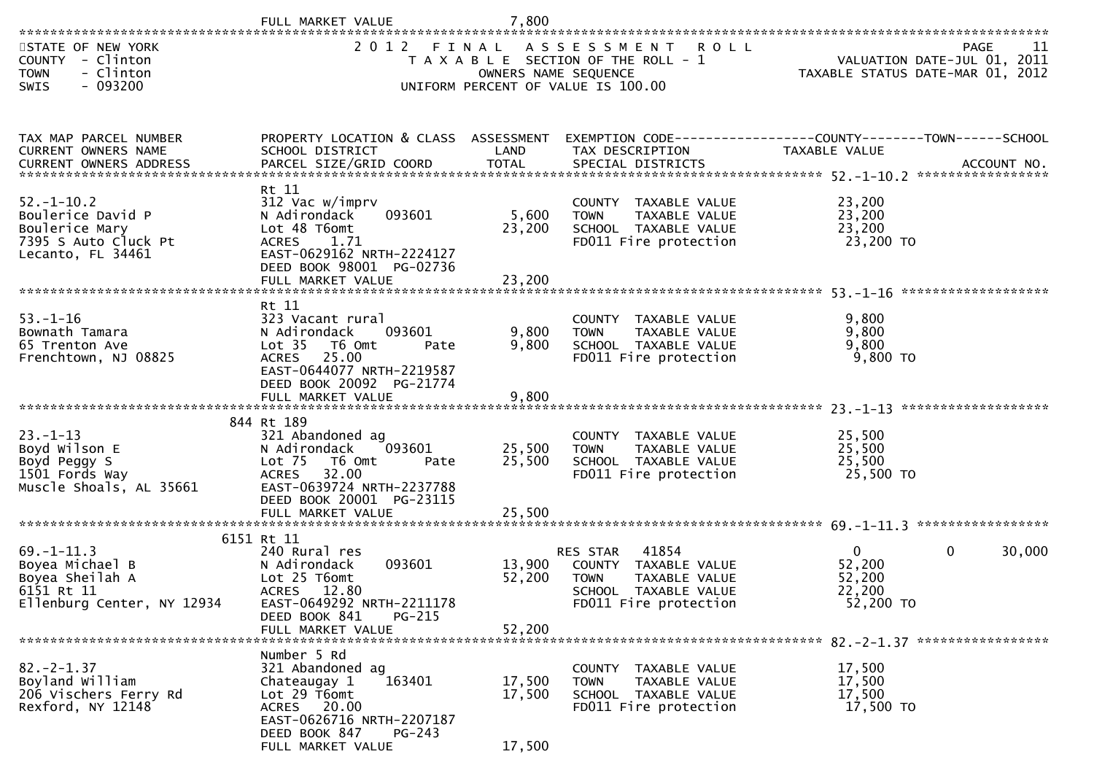| **********************                                                                               | FULL MARKET VALUE                                                                                                                                                                           | 7,800                      |                                                                                                                            |                                                           |                                           |
|------------------------------------------------------------------------------------------------------|---------------------------------------------------------------------------------------------------------------------------------------------------------------------------------------------|----------------------------|----------------------------------------------------------------------------------------------------------------------------|-----------------------------------------------------------|-------------------------------------------|
| STATE OF NEW YORK<br>COUNTY - Clinton<br><b>TOWN</b><br>- Clinton<br>$-093200$<br>SWIS               | 2 0 1 2                                                                                                                                                                                     | FINAL                      | ASSESSMENT ROLL<br>T A X A B L E SECTION OF THE ROLL - 1<br>OWNERS NAME SEQUENCE<br>UNIFORM PERCENT OF VALUE IS 100.00     | TAXABLE STATUS DATE-MAR 01, 2012                          | 11<br>PAGE<br>VALUATION DATE-JUL 01, 2011 |
| TAX MAP PARCEL NUMBER<br><b>CURRENT OWNERS NAME</b>                                                  | PROPERTY LOCATION & CLASS ASSESSMENT<br>SCHOOL DISTRICT                                                                                                                                     | LAND                       | EXEMPTION CODE------------------COUNTY--------TOWN------SCHOOL<br>TAX DESCRIPTION                                          | TAXABLE VALUE                                             |                                           |
| $52. - 1 - 10.2$<br>Boulerice David P<br>Boulerice Mary<br>7395 S Auto Cluck Pt<br>Lecanto, FL 34461 | Rt 11<br>312 Vac w/imprv<br>093601<br>N Adirondack<br>Lot 48 T6omt<br><b>ACRES</b><br>1.71<br>EAST-0629162 NRTH-2224127<br>DEED BOOK 98001 PG-02736<br>FULL MARKET VALUE                    | 5,600<br>23,200<br>23,200  | COUNTY TAXABLE VALUE<br>TAXABLE VALUE<br><b>TOWN</b><br>SCHOOL TAXABLE VALUE<br>FD011 Fire protection                      | 23,200<br>23,200<br>23,200<br>23,200 TO                   |                                           |
| $53. - 1 - 16$<br>Bownath Tamara<br>65 Trenton Ave<br>Frenchtown, NJ 08825                           | Rt 11<br>323 Vacant rural<br>093601<br>N Adirondack<br>Lot 35  T6 Omt<br>Pate<br>ACRES 25.00<br>EAST-0644077 NRTH-2219587<br>DEED BOOK 20092 PG-21774                                       | 9,800<br>9,800             | COUNTY TAXABLE VALUE<br>TAXABLE VALUE<br><b>TOWN</b><br>SCHOOL TAXABLE VALUE<br>FD011 Fire protection                      | 9,800<br>9,800<br>9,800<br>9,800 TO                       |                                           |
| $23. - 1 - 13$<br>Boyd Wilson E<br>Boyd Peggy S<br>1501 Fords Way<br>Muscle Shoals, AL 35661         | 844 Rt 189<br>321 Abandoned ag<br>N Adirondack<br>093601<br>Lot 75<br>T6 Omt<br>Pate<br>32.00<br><b>ACRES</b><br>EAST-0639724 NRTH-2237788<br>DEED BOOK 20001 PG-23115<br>FULL MARKET VALUE | 25,500<br>25,500<br>25,500 | COUNTY TAXABLE VALUE<br><b>TOWN</b><br>TAXABLE VALUE<br>SCHOOL TAXABLE VALUE<br>FD011 Fire protection                      | 25,500<br>25,500<br>25,500<br>25,500 TO                   | ******************                        |
| $69. - 1 - 11.3$<br>Boyea Michael B<br>Boyea Sheilah A<br>6151 Rt 11<br>Ellenburg Center, NY 12934   | 6151 Rt 11<br>240 Rural res<br>093601<br>N Adirondack<br>Lot 25 T6omt<br><b>ACRES</b><br>12.80<br>EAST-0649292 NRTH-2211178<br>DEED BOOK 841<br>PG-215<br>FULL MARKET VALUE                 | 13,900<br>52,200<br>52,200 | 41854<br>RES STAR<br>COUNTY TAXABLE VALUE<br>TAXABLE VALUE<br><b>TOWN</b><br>SCHOOL TAXABLE VALUE<br>FD011 Fire protection | $\overline{0}$<br>52,200<br>52,200<br>22,200<br>52,200 TO | $\mathbf{0}$<br>30,000                    |
| $82 - 2 - 1.37$<br>Boyland William<br>206 Vischers Ferry Rd<br>Rexford, NY 12148                     | Number 5 Rd<br>321 Abandoned ag<br>163401<br>Chateaugay 1<br>Lot 29 T6omt<br>ACRES 20.00<br>EAST-0626716 NRTH-2207187<br>DEED BOOK 847<br>PG-243<br>FULL MARKET VALUE                       | 17,500<br>17,500<br>17,500 | COUNTY TAXABLE VALUE<br>TAXABLE VALUE<br><b>TOWN</b><br>SCHOOL TAXABLE VALUE<br>FD011 Fire protection                      | 17,500<br>17,500<br>17,500<br>17,500 TO                   |                                           |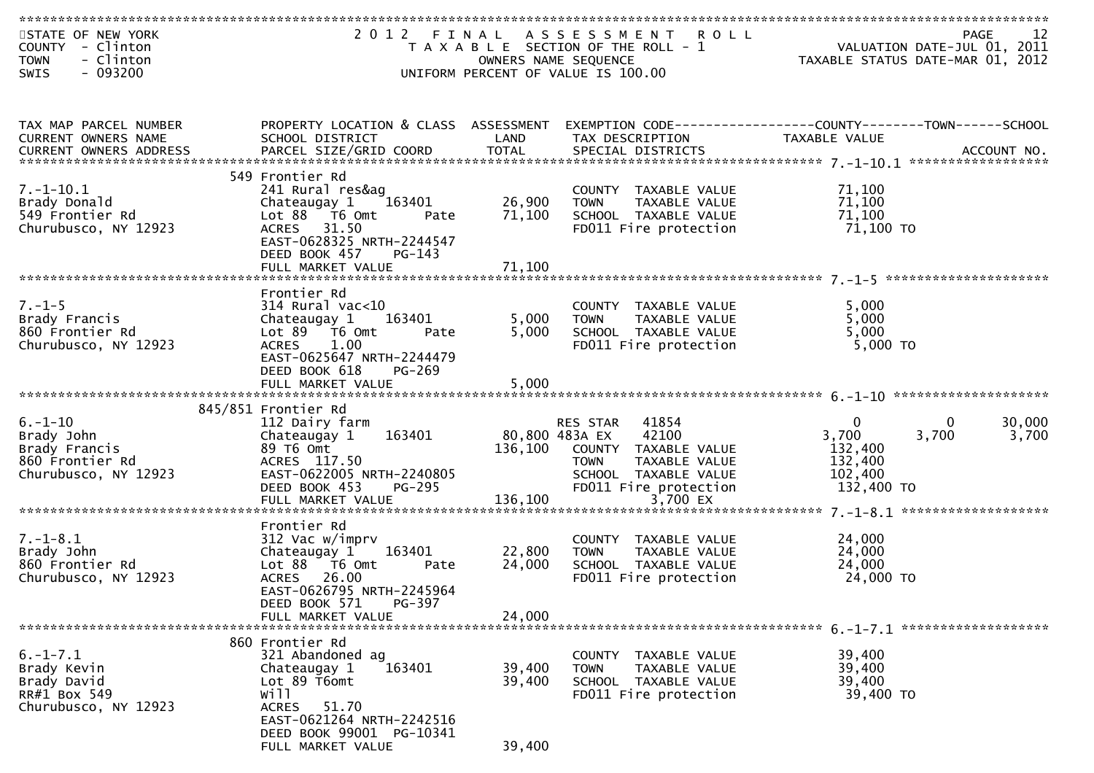| STATE OF NEW YORK<br>COUNTY - Clinton<br>- Clinton<br><b>TOWN</b>          |                                                                                                                 | OWNERS NAME SEQUENCE | 2012 FINAL ASSESSMENT ROLL<br>T A X A B L E SECTION OF THE ROLL - 1                                   | rage 12<br>VALUATION DATE-JUL 01, 2011<br>TAXABLE STATUS DATE-MAR 01, 2012    | 12<br>PAGE |
|----------------------------------------------------------------------------|-----------------------------------------------------------------------------------------------------------------|----------------------|-------------------------------------------------------------------------------------------------------|-------------------------------------------------------------------------------|------------|
| $-093200$<br><b>SWIS</b>                                                   |                                                                                                                 |                      | UNIFORM PERCENT OF VALUE IS 100.00                                                                    |                                                                               |            |
| TAX MAP PARCEL NUMBER<br>CURRENT OWNERS NAME                               | PROPERTY LOCATION & CLASS ASSESSMENT<br>SCHOOL DISTRICT                                                         | LAND                 | TAX DESCRIPTION                                                                                       | EXEMPTION CODE-----------------COUNTY-------TOWN------SCHOOL<br>TAXABLE VALUE |            |
|                                                                            | 549 Frontier Rd                                                                                                 |                      |                                                                                                       |                                                                               |            |
| $7. - 1 - 10.1$<br>Brady Donald<br>549 Frontier Rd<br>Churubusco, NY 12923 | 241 Rural res&ag<br>Chateaugay 1<br>163401<br>Lot 88 T6 Omt<br>Pate<br>ACRES 31.50<br>EAST-0628325 NRTH-2244547 | 26,900<br>71,100     | COUNTY TAXABLE VALUE<br><b>TOWN</b><br>TAXABLE VALUE<br>SCHOOL TAXABLE VALUE<br>FD011 Fire protection | 71,100<br>71,100<br>71,100<br>71,100 TO                                       |            |
|                                                                            | DEED BOOK 457<br>PG-143<br>FULL MARKET VALUE                                                                    | 71,100               |                                                                                                       |                                                                               |            |
|                                                                            | Frontier Rd                                                                                                     |                      |                                                                                                       |                                                                               |            |
| $7. - 1 - 5$                                                               | 314 Rural vac<10                                                                                                |                      | COUNTY TAXABLE VALUE                                                                                  | 5,000                                                                         |            |
| Brady Francis<br>860 Frontier Rd                                           | Chateaugay 1<br>163401<br>$Lot 89$ T6 Omt<br>Pate                                                               | 5,000<br>5,000       | <b>TOWN</b><br>TAXABLE VALUE<br>SCHOOL TAXABLE VALUE                                                  | 5,000<br>5,000                                                                |            |
| Churubusco, NY 12923                                                       | ACRES 1.00                                                                                                      |                      | FD011 Fire protection                                                                                 | 5,000 TO                                                                      |            |
|                                                                            | EAST-0625647 NRTH-2244479<br>DEED BOOK 618<br>$PG-269$                                                          |                      |                                                                                                       |                                                                               |            |
|                                                                            | FULL MARKET VALUE                                                                                               | 5,000                |                                                                                                       |                                                                               |            |
|                                                                            |                                                                                                                 |                      |                                                                                                       |                                                                               |            |
| $6. - 1 - 10$                                                              | 845/851 Frontier Rd<br>112 Dairy farm                                                                           |                      | RES STAR 41854                                                                                        | $\overline{0}$<br>$\mathbf{0}$                                                | 30,000     |
| Brady John                                                                 | 163401<br>Chateaugay 1                                                                                          |                      | 80,800 483A EX<br>42100                                                                               | 3,700<br>3,700                                                                | 3,700      |
| Brady Francis                                                              | 89 T6 Omt                                                                                                       |                      | 136,100 COUNTY TAXABLE VALUE                                                                          | 132,400                                                                       |            |
| 860 Frontier Rd<br>Churubusco, NY 12923                                    | ACRES 117.50<br>EAST-0622005 NRTH-2240805                                                                       |                      | <b>TOWN</b><br>TAXABLE VALUE<br>SCHOOL TAXABLE VALUE                                                  | 132,400<br>102,400                                                            |            |
|                                                                            | DEED BOOK 453<br><b>PG-295</b>                                                                                  |                      | FD011 Fire protection                                                                                 | 132,400 TO                                                                    |            |
|                                                                            | FULL MARKET VALUE                                                                                               | 136,100              | 3,700 EX                                                                                              |                                                                               |            |
|                                                                            | Frontier Rd                                                                                                     |                      |                                                                                                       |                                                                               |            |
| $7. - 1 - 8.1$                                                             | 312 Vac w/imprv                                                                                                 |                      | COUNTY TAXABLE VALUE                                                                                  | 24,000                                                                        |            |
| Brady John                                                                 | 163401<br>Chateaugay 1                                                                                          | 22,800               | TAXABLE VALUE<br><b>TOWN</b>                                                                          | 24,000                                                                        |            |
| 860 Frontier Rd<br>Churubusco, NY 12923                                    | Lot 88 T6 Omt<br>Pate<br>ACRES 26.00                                                                            | 24,000               | SCHOOL TAXABLE VALUE<br>FD011 Fire protection                                                         | 24,000<br>24,000 TO                                                           |            |
|                                                                            | EAST-0626795 NRTH-2245964                                                                                       |                      |                                                                                                       |                                                                               |            |
|                                                                            | <b>PG-397</b><br>DEED BOOK 571<br>FULL MARKET VALUE                                                             | 24,000               |                                                                                                       |                                                                               |            |
|                                                                            |                                                                                                                 |                      |                                                                                                       |                                                                               |            |
|                                                                            |                                                                                                                 |                      |                                                                                                       |                                                                               |            |
|                                                                            | 860 Frontier Rd                                                                                                 |                      |                                                                                                       |                                                                               |            |
| $6. -1 - 7.1$                                                              | 321 Abandoned ag                                                                                                |                      | COUNTY<br>TAXABLE VALUE                                                                               | 39,400                                                                        |            |
| Brady Kevin                                                                | 163401<br>Chateaugay 1<br>Lot 89 T6omt                                                                          | 39,400<br>39,400     | TAXABLE VALUE<br><b>TOWN</b><br>SCHOOL TAXABLE VALUE                                                  | 39,400<br>39,400                                                              |            |
| Brady David<br>RR#1 Box 549                                                | wi11                                                                                                            |                      | FD011 Fire protection                                                                                 | 39,400 TO                                                                     |            |
| Churubusco, NY 12923                                                       | <b>ACRES</b><br>51.70                                                                                           |                      |                                                                                                       |                                                                               |            |
|                                                                            | EAST-0621264 NRTH-2242516<br>DEED BOOK 99001 PG-10341<br>FULL MARKET VALUE                                      | 39,400               |                                                                                                       |                                                                               |            |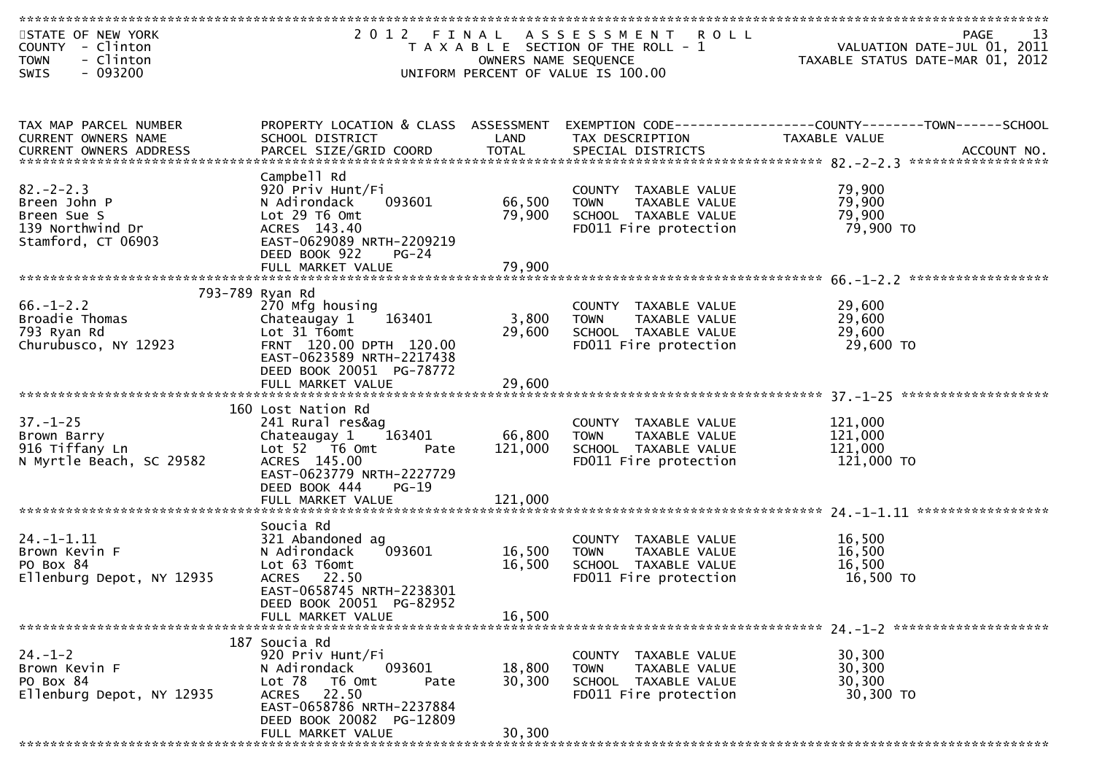| STATE OF NEW YORK<br>COUNTY - Clinton<br>- Clinton<br><b>TOWN</b><br>$-093200$<br>SWIS  |                                                                                                                                                                  | OWNERS NAME SEQUENCE | 2012 FINAL ASSESSMENT ROLL<br>T A X A B L E SECTION OF THE ROLL - 1<br>UNIFORM PERCENT OF VALUE IS 100.00 | 13<br>PAGE<br>VALUATION DATE-JUL 01, 2011<br>TAXABLE STATUS DATE-MAR 01, 2012 |
|-----------------------------------------------------------------------------------------|------------------------------------------------------------------------------------------------------------------------------------------------------------------|----------------------|-----------------------------------------------------------------------------------------------------------|-------------------------------------------------------------------------------|
|                                                                                         |                                                                                                                                                                  |                      |                                                                                                           |                                                                               |
| TAX MAP PARCEL NUMBER<br>CURRENT OWNERS NAME                                            | PROPERTY LOCATION & CLASS ASSESSMENT<br>SCHOOL DISTRICT                                                                                                          | LAND                 | TAX DESCRIPTION                                                                                           | EXEMPTION CODE-----------------COUNTY-------TOWN------SCHOOL<br>TAXABLE VALUE |
|                                                                                         | Campbell Rd                                                                                                                                                      |                      |                                                                                                           |                                                                               |
| $82 - 2 - 2.3$<br>Breen John P<br>Breen Sue S<br>139 Northwind Dr<br>Stamford, CT 06903 | 920 Priv Hunt/Fi<br>093601<br>N Adirondack<br>Lot 29 T6 Omt<br>ACRES 143.40<br>EAST-0629089 NRTH-2209219                                                         | 66,500<br>79,900     | COUNTY TAXABLE VALUE<br>TAXABLE VALUE<br><b>TOWN</b><br>SCHOOL TAXABLE VALUE<br>FD011 Fire protection     | 79,900<br>79,900<br>79,900<br>79,900 TO                                       |
|                                                                                         | DEED BOOK 922<br>PG-24<br>FULL MARKET VALUE                                                                                                                      | 79,900               |                                                                                                           |                                                                               |
|                                                                                         |                                                                                                                                                                  |                      |                                                                                                           |                                                                               |
| $66. - 1 - 2.2$<br>Broadie Thomas<br>793 Ryan Rd<br>Churubusco, NY 12923                | 793-789 Ryan Rd<br>270 Mfg housing<br>163401<br>Chateaugay 1<br>Lot 31 T6omt<br>FRNT 120.00 DPTH 120.00<br>EAST-0623589 NRTH-2217438<br>DEED BOOK 20051 PG-78772 | 3,800<br>29,600      | COUNTY TAXABLE VALUE<br><b>TOWN</b><br>TAXABLE VALUE<br>SCHOOL TAXABLE VALUE<br>FD011 Fire protection     | 29,600<br>29,600<br>29,600<br>29,600 TO                                       |
|                                                                                         | FULL MARKET VALUE                                                                                                                                                | 29,600               |                                                                                                           |                                                                               |
| $37. - 1 - 25$<br>Brown Barry<br>916 Tiffany Ln<br>N Myrtle Beach, SC 29582             | 160 Lost Nation Rd<br>241 Rural res&ag<br>Chateaugay 1<br>163401<br>Lot 52 T6 Omt<br>Pate<br>ACRES 145.00<br>EAST-0623779 NRTH-2227729                           | 66,800<br>121,000    | COUNTY TAXABLE VALUE<br><b>TOWN</b><br>TAXABLE VALUE<br>SCHOOL TAXABLE VALUE<br>FD011 Fire protection     | 121,000<br>121,000<br>121,000<br>121,000 TO                                   |
|                                                                                         | DEED BOOK 444<br>$PG-19$<br>FULL MARKET VALUE                                                                                                                    | 121,000              |                                                                                                           |                                                                               |
|                                                                                         |                                                                                                                                                                  |                      |                                                                                                           |                                                                               |
| $24. - 1 - 1.11$<br>Brown Kevin F<br>PO Box 84<br>Ellenburg Depot, NY 12935             | Soucia Rd<br>321 Abandoned ag<br>093601<br>N Adirondack<br>Lot 63 T6omt<br>ACRES 22.50<br>EAST-0658745 NRTH-2238301                                              | 16,500<br>16,500     | COUNTY TAXABLE VALUE<br>TAXABLE VALUE<br><b>TOWN</b><br>SCHOOL TAXABLE VALUE<br>FD011 Fire protection     | 16,500<br>16,500<br>16,500<br>16,500 TO                                       |
|                                                                                         | DEED BOOK 20051 PG-82952<br>FULL MARKET VALUE                                                                                                                    | 16,500               |                                                                                                           |                                                                               |
|                                                                                         | 187 Soucia Rd                                                                                                                                                    |                      |                                                                                                           |                                                                               |
| $24. - 1 - 2$<br>Brown Kevin F<br>PO Box 84<br>Ellenburg Depot, NY 12935                | 920 Priv Hunt/Fi<br>093601<br>N Adirondack<br>Lot 78<br>T6 Omt<br>Pate<br>ACRES 22.50<br>EAST-0658786 NRTH-2237884<br>DEED BOOK 20082 PG-12809                   | 18,800<br>30,300     | COUNTY TAXABLE VALUE<br><b>TOWN</b><br>TAXABLE VALUE<br>SCHOOL TAXABLE VALUE<br>FD011 Fire protection     | 30,300<br>30,300<br>30,300<br>30,300 TO                                       |
|                                                                                         | FULL MARKET VALUE                                                                                                                                                | 30,300               |                                                                                                           |                                                                               |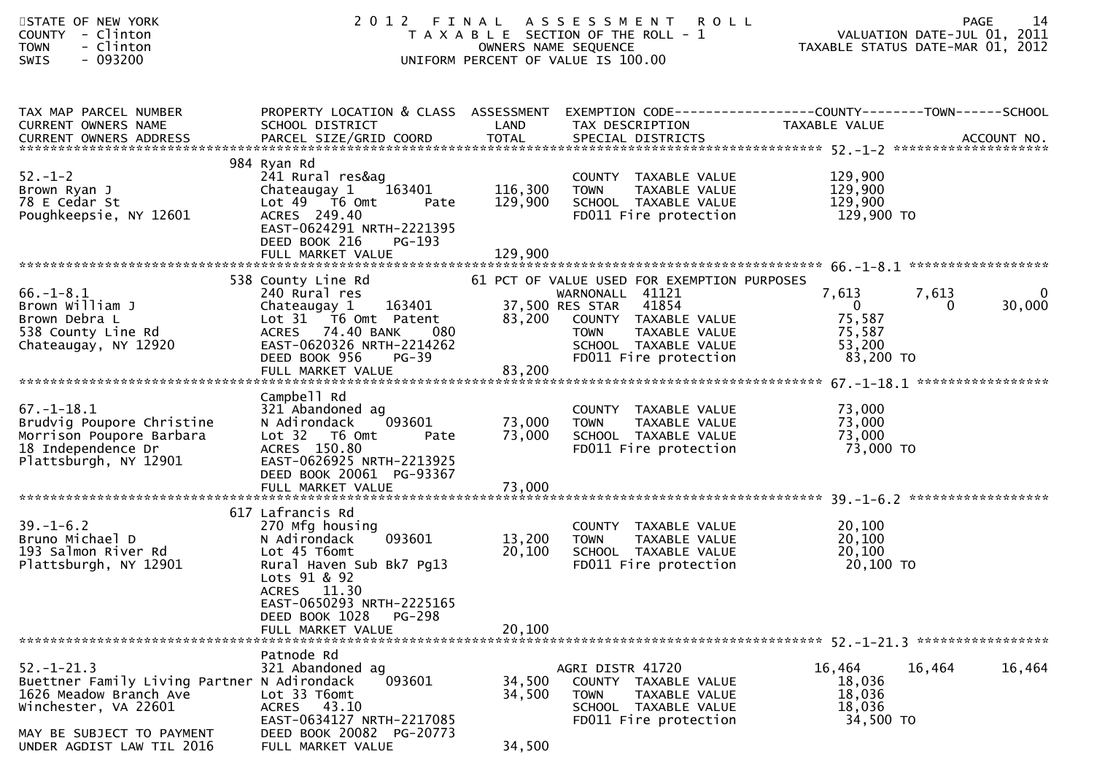| <b>TOWN</b><br><b>SWIS</b> | STATE OF NEW YORK<br>COUNTY - Clinton<br>- Clinton<br>- 093200                                                                                          |                                                                                                                                                                                                                        |                               | 2012 FINAL ASSESSMENT<br><b>ROLL</b><br>T A X A B L E SECTION OF THE ROLL - 1<br>OWNERS NAME SEQUENCE<br>UNIFORM PERCENT OF VALUE IS 100.00                                                      |                                                                  | 14<br><b>PAGE</b><br>VALUATION DATE-JUL 01, 2011<br>TAXABLE STATUS DATE-MAR 01, 2012 |
|----------------------------|---------------------------------------------------------------------------------------------------------------------------------------------------------|------------------------------------------------------------------------------------------------------------------------------------------------------------------------------------------------------------------------|-------------------------------|--------------------------------------------------------------------------------------------------------------------------------------------------------------------------------------------------|------------------------------------------------------------------|--------------------------------------------------------------------------------------|
|                            | TAX MAP PARCEL NUMBER<br>CURRENT OWNERS NAME                                                                                                            | PROPERTY LOCATION & CLASS ASSESSMENT<br>SCHOOL DISTRICT                                                                                                                                                                | LAND                          | EXEMPTION CODE------------------COUNTY--------TOWN------SCHOOL<br>TAX DESCRIPTION                                                                                                                | TAXABLE VALUE                                                    |                                                                                      |
| $52 - 1 - 2$               | Brown Ryan J<br>78 E Cedar St<br>Poughkeepsie, NY 12601                                                                                                 | 984 Ryan Rd<br>241 Rural res&ag<br>Chateaugay 1<br>163401<br>Lot 49  T6 0mt<br>Pate<br>ACRES 249.40<br>EAST-0624291 NRTH-2221395<br>DEED BOOK 216<br>PG-193<br>FULL MARKET VALUE                                       | 116,300<br>129,900<br>129,900 | COUNTY TAXABLE VALUE<br>TAXABLE VALUE<br>TOWN<br>SCHOOL TAXABLE VALUE<br>FD011 Fire protection                                                                                                   | 129,900<br>129,900<br>129,900<br>129,900 то                      |                                                                                      |
| $66. - 1 - 8.1$            | Brown William J<br>Brown Debra L<br>538 County Line Rd<br>Chateaugay, NY 12920                                                                          | 538 County Line Rd<br>240 Rural res<br>163401<br>Chateaugay 1<br>Lot 31 T6 Omt Patent<br>080<br>ACRES 74.40 BANK<br>EAST-0620326 NRTH-2214262<br>DEED BOOK 956<br>$PG-39$<br>FULL MARKET VALUE                         | 83,200                        | 61 PCT OF VALUE USED FOR EXEMPTION PURPOSES<br>WARNONALL 41121<br>37,500 RES STAR 41854<br>83,200 COUNTY TAXABLE VALUE<br>TAXABLE VALUE<br>TOWN<br>SCHOOL TAXABLE VALUE<br>FD011 Fire protection | 7,613<br>$\mathbf{0}$<br>75,587<br>75,587<br>53,200<br>83,200 TO | 7,613<br>0<br>30,000<br>$\overline{0}$                                               |
| $67. - 1 - 18.1$           | Brudvig Poupore Christine<br>Morrison Poupore Barbara<br>18 Independence Dr<br>Plattsburgh, NY 12901                                                    | Campbell Rd<br>321 Abandoned ag<br>N Adirondack<br>093601<br>Lot 32 76 0mt<br>Pate<br>ACRES 150.80<br>EAST-0626925 NRTH-2213925<br>DEED BOOK 20061 PG-93367                                                            | 73,000<br>73,000              | COUNTY TAXABLE VALUE<br>TAXABLE VALUE<br><b>TOWN</b><br>SCHOOL TAXABLE VALUE<br>FD011 Fire protection                                                                                            | 73,000<br>73,000<br>73,000<br>73,000 TO                          |                                                                                      |
| $39. - 1 - 6.2$            | Bruno Michael D<br>193 Salmon River Rd<br>Plattsburgh, NY 12901                                                                                         | 617 Lafrancis Rd<br>270 Mfg housing<br>093601<br>N Adirondack<br>Lot 45 T6omt<br>Rural Haven Sub Bk7 Pg13<br>Lots 91 & 92<br>ACRES 11.30<br>EAST-0650293 NRTH-2225165<br>DEED BOOK 1028<br>PG-298<br>FULL MARKET VALUE | 13,200<br>20,100<br>20,100    | COUNTY TAXABLE VALUE<br><b>TOWN</b><br>TAXABLE VALUE<br>SCHOOL TAXABLE VALUE<br>FD011 Fire protection                                                                                            | 20,100<br>20,100<br>20,100<br>20,100 TO                          |                                                                                      |
| $52. - 1 - 21.3$           | Buettner Family Living Partner N Adirondack<br>1626 Meadow Branch Ave<br>Winchester, VA 22601<br>MAY BE SUBJECT TO PAYMENT<br>UNDER AGDIST LAW TIL 2016 | Patnode Rd<br>321 Abandoned ag<br>093601<br>Lot 33 T6omt<br>ACRES 43.10<br>EAST-0634127 NRTH-2217085<br>DEED BOOK 20082 PG-20773<br>FULL MARKET VALUE                                                                  | 34,500<br>34,500<br>34,500    | AGRI DISTR 41720<br>COUNTY TAXABLE VALUE<br><b>TOWN</b><br>TAXABLE VALUE<br>SCHOOL TAXABLE VALUE<br>FD011 Fire protection                                                                        | 16,464<br>18,036<br>18,036<br>18,036<br>34,500 TO                | 16,464<br>16,464                                                                     |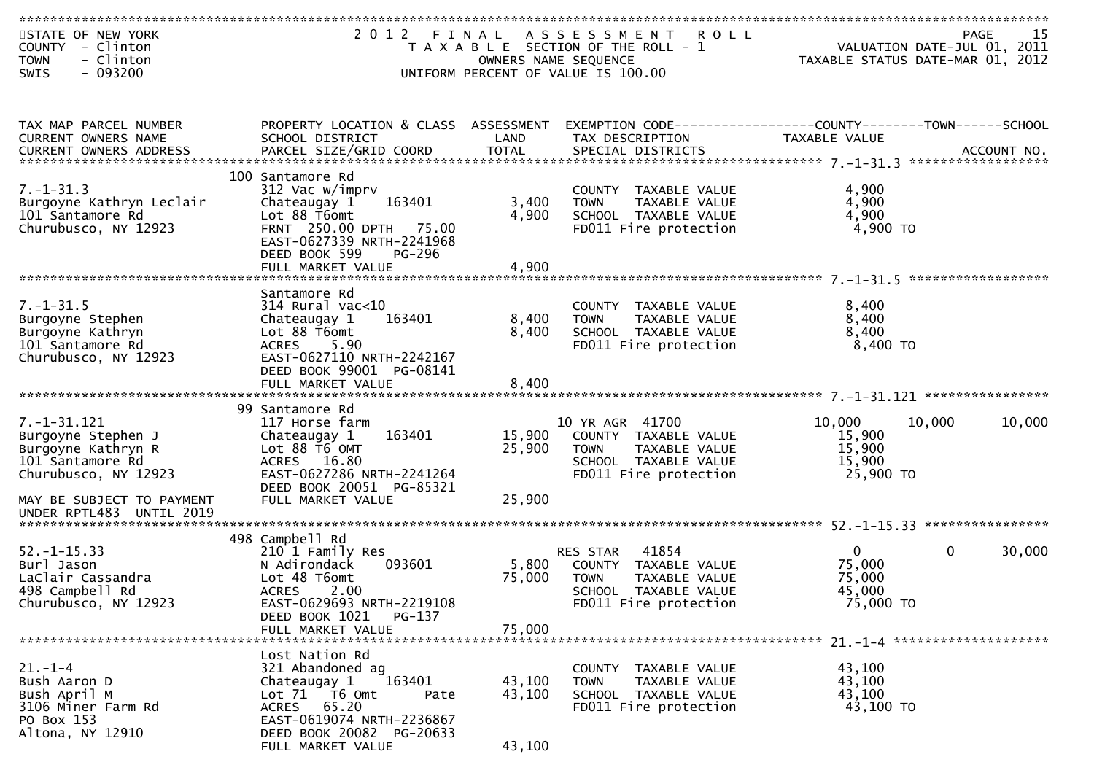| STATE OF NEW YORK<br>COUNTY - Clinton<br>- Clinton<br><b>TOWN</b><br>$-093200$<br>SWIS                                                                             |                                                                                                                                                                                              |                            | 2012 FINAL ASSESSMENT<br><b>ROLL</b><br>T A X A B L E SECTION OF THE ROLL - 1<br>OWNERS NAME SEQUENCE<br>UNIFORM PERCENT OF VALUE IS 100.00 |                                                         | -15<br>PAGE<br>VALUATION DATE-JUL 01, 2011<br>TAXABLE STATUS DATE-MAR 01, 2012 |
|--------------------------------------------------------------------------------------------------------------------------------------------------------------------|----------------------------------------------------------------------------------------------------------------------------------------------------------------------------------------------|----------------------------|---------------------------------------------------------------------------------------------------------------------------------------------|---------------------------------------------------------|--------------------------------------------------------------------------------|
| TAX MAP PARCEL NUMBER<br>CURRENT OWNERS NAME                                                                                                                       | PROPERTY LOCATION & CLASS ASSESSMENT<br>SCHOOL DISTRICT                                                                                                                                      | LAND                       | EXEMPTION CODE------------------COUNTY--------TOWN------SCHOOL<br>TAX DESCRIPTION                                                           | TAXABLE VALUE                                           |                                                                                |
| $7. - 1 - 31.3$<br>Burgoyne Kathryn Leclair<br>101 Santamore Rd<br>Churubusco, NY 12923                                                                            | 100 Santamore Rd<br>312 Vac w/imprv<br>163401<br>Chateaugay 1<br>Lot 88 T6omt<br>FRNT 250.00 DPTH 75.00<br>EAST-0627339 NRTH-2241968<br>DEED BOOK 599<br>PG-296<br>FULL MARKET VALUE         | 3,400<br>4,900<br>4,900    | COUNTY TAXABLE VALUE<br><b>TOWN</b><br>TAXABLE VALUE<br>SCHOOL TAXABLE VALUE<br>FD011 Fire protection                                       | 4,900<br>4,900<br>4,900<br>4,900 TO                     | ******************                                                             |
| $7. - 1 - 31.5$<br>Burgoyne Stephen<br>Burgoyne Kathryn<br>101 Santamore Rd<br>Churubusco, NY 12923                                                                | Santamore Rd<br>314 Rural vac<10<br>163401<br>Chateaugay 1<br>Lot 88 T6omt<br>ACRES 5.90<br>EAST-0627110 NRTH-2242167<br>DEED BOOK 99001 PG-08141<br>FULL MARKET VALUE                       | 8,400<br>8,400<br>8,400    | COUNTY TAXABLE VALUE<br>TAXABLE VALUE<br>TOWN<br>SCHOOL TAXABLE VALUE<br>FD011 Fire protection                                              | 8,400<br>8,400<br>8,400<br>$8,400$ TO                   |                                                                                |
| $7. - 1 - 31.121$<br>Burgoyne Stephen J<br>Burgoyne Kathryn R<br>101 Santamore Rd<br>Churubusco, NY 12923<br>MAY BE SUBJECT TO PAYMENT<br>UNDER RPTL483 UNTIL 2019 | 99 Santamore Rd<br>117 Horse farm<br>163401<br>Chateaugay 1<br>Lot 88 T6 OMT<br>ACRES 16.80<br>EAST-0627286 NRTH-2241264<br>DEED BOOK 20051 PG-85321<br>FULL MARKET VALUE                    | 15,900<br>25,900<br>25,900 | 10 YR AGR 41700<br>COUNTY TAXABLE VALUE<br>TAXABLE VALUE<br><b>TOWN</b><br>SCHOOL TAXABLE VALUE<br>FD011 Fire protection                    | 10,000<br>15,900<br>15,900<br>15,900<br>25,900 TO       | 10,000<br>10,000                                                               |
| $52. - 1 - 15.33$<br>Burl Jason<br>LaClair Cassandra<br>498 Campbell Rd<br>Churubusco, NY 12923                                                                    | 498 Campbell Rd<br>210 1 Family Res<br>N Adirondack<br>093601<br>Lot 48 T6omt<br><b>ACRES</b><br>2.00<br>EAST-0629693 NRTH-2219108<br>DEED BOOK 1021<br>$PG-137$<br>FULL MARKET VALUE        | 5,800<br>75,000<br>75,000  | 41854<br>RES STAR<br>COUNTY TAXABLE VALUE<br><b>TOWN</b><br>TAXABLE VALUE<br>SCHOOL<br>TAXABLE VALUE<br>FD011 Fire protection               | $\mathbf{0}$<br>75,000<br>75,000<br>45,000<br>75,000 TO | $\mathbf{0}$<br>30,000                                                         |
| $21. - 1 - 4$<br>Bush Aaron D<br>Bush April M<br>3106 Miner Farm Rd<br>PO Box 153<br>Altona, NY 12910                                                              | Lost Nation Rd<br>321 Abandoned ag<br>163401<br>Chateaugay 1<br>Lot 71 T6 Omt<br>Pate<br>65.20<br><b>ACRES</b><br>EAST-0619074 NRTH-2236867<br>DEED BOOK 20082 PG-20633<br>FULL MARKET VALUE | 43,100<br>43,100<br>43,100 | COUNTY TAXABLE VALUE<br>TAXABLE VALUE<br><b>TOWN</b><br>SCHOOL TAXABLE VALUE<br>FD011 Fire protection                                       | 43,100<br>43,100<br>43,100<br>43,100 TO                 |                                                                                |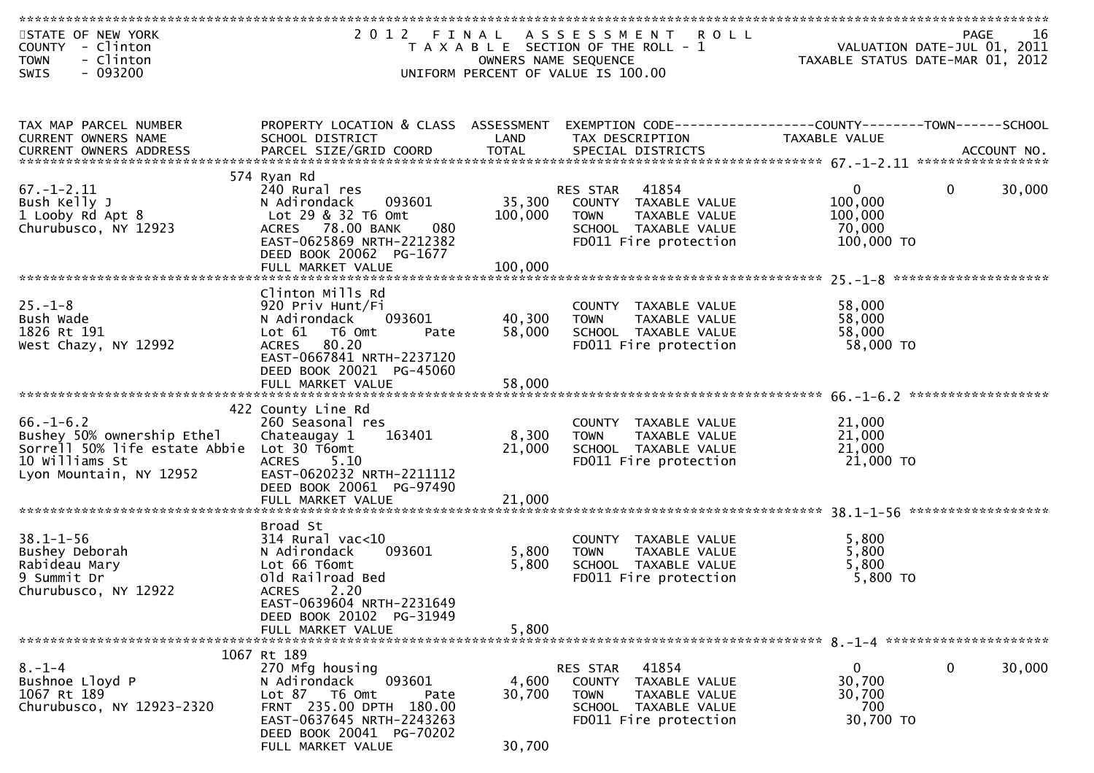| STATE OF NEW YORK<br>COUNTY - Clinton<br>- Clinton<br><b>TOWN</b> |                                                       | OWNERS NAME SEQUENCE | 2012 FINAL ASSESSMENT ROLL<br>T A X A B L E SECTION OF THE ROLL - 1 | PAGE<br>VALUATION DATE-JUL 01, 2011<br>TAXABLE STATUS DATE-MAR 01, 2012 | -16 |
|-------------------------------------------------------------------|-------------------------------------------------------|----------------------|---------------------------------------------------------------------|-------------------------------------------------------------------------|-----|
| $-093200$<br>SWIS                                                 |                                                       |                      | UNIFORM PERCENT OF VALUE IS 100.00                                  |                                                                         |     |
|                                                                   |                                                       |                      |                                                                     |                                                                         |     |
| TAX MAP PARCEL NUMBER                                             | PROPERTY LOCATION & CLASS ASSESSMENT                  |                      |                                                                     | EXEMPTION CODE-----------------COUNTY-------TOWN------SCHOOL            |     |
| CURRENT OWNERS NAME                                               | SCHOOL DISTRICT                                       | LAND                 | TAX DESCRIPTION                                                     | TAXABLE VALUE                                                           |     |
|                                                                   |                                                       |                      |                                                                     |                                                                         |     |
|                                                                   | 574 Ryan Rd                                           |                      |                                                                     |                                                                         |     |
| $67. - 1 - 2.11$<br>Bush Kelly J                                  | 240 Rural res<br>093601<br>N Adirondack               | 35,300               | RES STAR<br>41854<br>COUNTY TAXABLE VALUE                           | $\Omega$<br>30,000<br>$\mathbf{0}$<br>100,000                           |     |
| 1 Looby Rd Apt 8                                                  | Lot 29 & 32 T6 Omt                                    | 100,000              | <b>TOWN</b><br>TAXABLE VALUE                                        | 100,000                                                                 |     |
| Churubusco, NY 12923                                              | ACRES 78.00 BANK<br>080                               |                      | SCHOOL TAXABLE VALUE                                                | 70,000                                                                  |     |
|                                                                   | EAST-0625869 NRTH-2212382                             |                      | FD011 Fire protection                                               | 100,000 TO                                                              |     |
|                                                                   | DEED BOOK 20062 PG-1677<br>FULL MARKET VALUE          | 100,000              |                                                                     |                                                                         |     |
|                                                                   |                                                       |                      |                                                                     |                                                                         |     |
|                                                                   | Clinton Mills Rd                                      |                      |                                                                     |                                                                         |     |
| $25. - 1 - 8$<br>Bush Wade                                        | 920 Priv Hunt/Fi<br>093601<br>N Adirondack            | 40,300               | COUNTY TAXABLE VALUE<br><b>TOWN</b><br>TAXABLE VALUE                | 58,000<br>58,000                                                        |     |
| 1826 Rt 191                                                       | Lot 61 T6 Omt<br>Pate                                 | 58,000               | SCHOOL TAXABLE VALUE                                                | 58,000                                                                  |     |
| West Chazy, NY 12992                                              | ACRES 80.20                                           |                      | FD011 Fire protection                                               | 58,000 TO                                                               |     |
|                                                                   | EAST-0667841 NRTH-2237120<br>DEED BOOK 20021 PG-45060 |                      |                                                                     |                                                                         |     |
|                                                                   | FULL MARKET VALUE                                     | 58,000               |                                                                     |                                                                         |     |
|                                                                   |                                                       |                      |                                                                     |                                                                         |     |
| $66. - 1 - 6.2$                                                   | 422 County Line Rd<br>260 Seasonal res                |                      |                                                                     |                                                                         |     |
| Bushey 50% ownership Ethel                                        | 163401<br>Chateaugay 1                                | 8,300                | COUNTY TAXABLE VALUE<br><b>TOWN</b><br>TAXABLE VALUE                | 21,000<br>21,000                                                        |     |
| Sorrell 50% life estate Abbie Lot 30 T6omt                        |                                                       | 21,000               | SCHOOL TAXABLE VALUE                                                | 21,000                                                                  |     |
| 10 Williams St                                                    | <b>ACRES</b><br>5.10                                  |                      | FD011 Fire protection                                               | 21,000 TO                                                               |     |
| Lyon Mountain, NY 12952                                           | EAST-0620232 NRTH-2211112<br>DEED BOOK 20061 PG-97490 |                      |                                                                     |                                                                         |     |
|                                                                   | FULL MARKET VALUE                                     | 21,000               |                                                                     |                                                                         |     |
|                                                                   |                                                       |                      |                                                                     |                                                                         |     |
| $38.1 - 1 - 56$                                                   | Broad St<br>$314$ Rural vac< $10$                     |                      | COUNTY TAXABLE VALUE                                                | 5,800                                                                   |     |
| Bushey Deborah                                                    | N Adirondack<br>093601                                | 5,800                | TAXABLE VALUE<br><b>TOWN</b>                                        | 5,800                                                                   |     |
| Rabideau Mary                                                     | Lot 66 T6omt                                          | 5,800                | SCHOOL TAXABLE VALUE                                                | 5,800                                                                   |     |
| 9 Summit Dr<br>Churubusco, NY 12922                               | Old Railroad Bed<br><b>ACRES</b><br>2.20              |                      | FD011 Fire protection                                               | 5,800 TO                                                                |     |
|                                                                   | EAST-0639604 NRTH-2231649                             |                      |                                                                     |                                                                         |     |
|                                                                   | DEED BOOK 20102 PG-31949                              |                      |                                                                     |                                                                         |     |
|                                                                   | FULL MARKET VALUE                                     | 5,800                |                                                                     |                                                                         |     |
|                                                                   | 1067 Rt 189                                           |                      |                                                                     |                                                                         |     |
| $8. - 1 - 4$                                                      | 270 Mfg housing                                       |                      | RES STAR<br>41854                                                   | 0<br>30,000<br>0                                                        |     |
| Bushnoe Lloyd P<br>1067 Rt 189                                    | 093601<br>N Adirondack<br>Lot 87 76 0mt               | 4,600<br>30,700      | COUNTY TAXABLE VALUE<br><b>TOWN</b><br>TAXABLE VALUE                | 30,700<br>30,700                                                        |     |
| Churubusco, NY 12923-2320                                         | Pate<br>FRNT 235.00 DPTH 180.00                       |                      | SCHOOL TAXABLE VALUE                                                | 700                                                                     |     |
|                                                                   | EAST-0637645 NRTH-2243263                             |                      | FD011 Fire protection                                               | 30,700 TO                                                               |     |
|                                                                   | DEED BOOK 20041 PG-70202                              |                      |                                                                     |                                                                         |     |
|                                                                   | FULL MARKET VALUE                                     | 30,700               |                                                                     |                                                                         |     |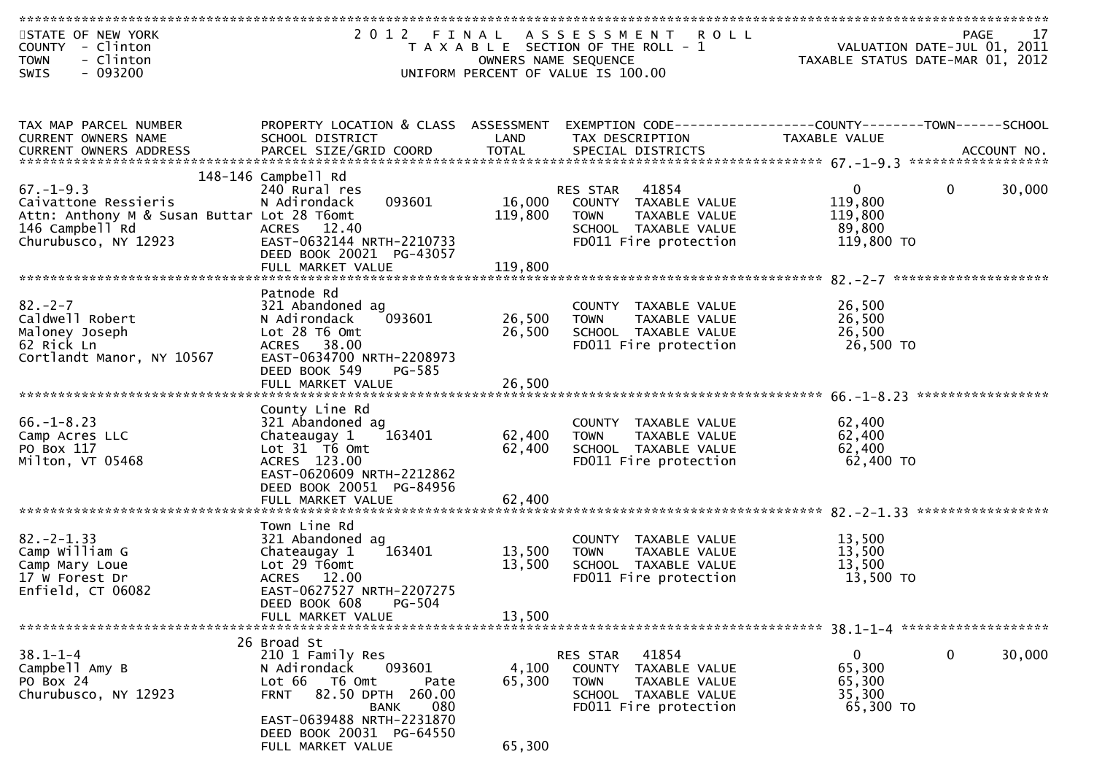| STATE OF NEW YORK<br>COUNTY - Clinton                               |                                                              |                   | 2012 FINAL ASSESSMENT ROLL<br>T A X A B L E SECTION OF THE ROLL - 1 | PAGE<br>VALUATION DATE-JUL 01, 2011                                           | 17     |
|---------------------------------------------------------------------|--------------------------------------------------------------|-------------------|---------------------------------------------------------------------|-------------------------------------------------------------------------------|--------|
| - Clinton<br><b>TOWN</b>                                            |                                                              |                   | OWNERS NAME SEQUENCE                                                | TAXABLE STATUS DATE-MAR 01, 2012                                              |        |
| $-093200$<br><b>SWIS</b>                                            |                                                              |                   | UNIFORM PERCENT OF VALUE IS 100.00                                  |                                                                               |        |
|                                                                     |                                                              |                   |                                                                     |                                                                               |        |
| TAX MAP PARCEL NUMBER<br>CURRENT OWNERS NAME                        | PROPERTY LOCATION & CLASS ASSESSMENT<br>SCHOOL DISTRICT      | LAND              | TAX DESCRIPTION                                                     | EXEMPTION CODE-----------------COUNTY-------TOWN------SCHOOL<br>TAXABLE VALUE |        |
|                                                                     |                                                              |                   |                                                                     |                                                                               |        |
|                                                                     |                                                              |                   |                                                                     |                                                                               |        |
|                                                                     | 148-146 Campbell Rd                                          |                   |                                                                     |                                                                               |        |
| $67. - 1 - 9.3$                                                     | 240 Rural res                                                |                   | RES STAR 41854                                                      | $\mathbf{0}$<br>$\mathbf{0}$                                                  | 30,000 |
| Caivattone Ressieris<br>Attn: Anthony M & Susan Buttar Lot 28 T6omt | 093601<br>N Adirondack                                       | 16,000<br>119,800 | COUNTY TAXABLE VALUE<br><b>TOWN</b><br>TAXABLE VALUE                | 119,800<br>119,800                                                            |        |
| 146 Campbell Rd                                                     | ACRES 12.40                                                  |                   | SCHOOL TAXABLE VALUE                                                | 89,800                                                                        |        |
| Churubusco, NY 12923                                                | EAST-0632144 NRTH-2210733                                    |                   | FD011 Fire protection                                               | 119,800 TO                                                                    |        |
|                                                                     | DEED BOOK 20021 PG-43057                                     |                   |                                                                     |                                                                               |        |
|                                                                     | FULL MARKET VALUE                                            | 119,800           |                                                                     |                                                                               |        |
|                                                                     | Patnode Rd                                                   |                   |                                                                     |                                                                               |        |
| $82 - 2 - 7$                                                        | 321 Abandoned ag                                             |                   | COUNTY TAXABLE VALUE                                                | 26,500                                                                        |        |
| Caldwell Robert                                                     | 093601<br>N Adirondack                                       | 26,500            | TAXABLE VALUE<br><b>TOWN</b>                                        | 26,500                                                                        |        |
| Maloney Joseph                                                      | Lot 28 T6 Omt                                                | 26,500            | SCHOOL TAXABLE VALUE                                                | 26,500                                                                        |        |
| 62 Rick Ln                                                          | ACRES 38.00                                                  |                   | FD011 Fire protection                                               | 26,500 TO                                                                     |        |
| Cortlandt Manor, NY 10567                                           | EAST-0634700 NRTH-2208973<br>PG-585                          |                   |                                                                     |                                                                               |        |
|                                                                     | DEED BOOK 549<br>FULL MARKET VALUE                           | 26,500            |                                                                     |                                                                               |        |
|                                                                     |                                                              |                   |                                                                     |                                                                               |        |
|                                                                     | County Line Rd                                               |                   |                                                                     |                                                                               |        |
| $66. - 1 - 8.23$                                                    | 321 Abandoned ag                                             |                   | COUNTY TAXABLE VALUE                                                | 62,400                                                                        |        |
| Camp Acres LLC                                                      | Chateaugay 1<br>163401<br>Lot 31 T6 Omt                      | 62,400<br>62,400  | <b>TOWN</b><br>TAXABLE VALUE<br>SCHOOL TAXABLE VALUE                | 62,400<br>62,400                                                              |        |
| PO Box 117<br>Milton, VT 05468                                      | ACRES 123.00                                                 |                   | FD011 Fire protection                                               | 62,400 TO                                                                     |        |
|                                                                     | EAST-0620609 NRTH-2212862                                    |                   |                                                                     |                                                                               |        |
|                                                                     | DEED BOOK 20051 PG-84956                                     |                   |                                                                     |                                                                               |        |
|                                                                     | FULL MARKET VALUE                                            | 62,400            |                                                                     |                                                                               |        |
|                                                                     | Town Line Rd                                                 |                   |                                                                     |                                                                               |        |
| $82. -2 - 1.33$                                                     | 321 Abandoned ag                                             |                   | COUNTY TAXABLE VALUE                                                | 13,500                                                                        |        |
| Camp William G                                                      | 163401<br>Chateaugay 1                                       | 13,500            | <b>TOWN</b><br>TAXABLE VALUE                                        | 13,500                                                                        |        |
| Camp Mary Loue                                                      | Lot 29 T6omt                                                 | 13,500            | SCHOOL TAXABLE VALUE                                                | 13,500                                                                        |        |
| 17 W Forest Dr                                                      | ACRES 12.00                                                  |                   | FD011 Fire protection                                               | 13,500 TO                                                                     |        |
| Enfield, CT 06082                                                   | EAST-0627527 NRTH-2207275                                    |                   |                                                                     |                                                                               |        |
|                                                                     | PG-504<br>DEED BOOK 608<br>FULL MARKET VALUE                 | 13,500            |                                                                     |                                                                               |        |
|                                                                     |                                                              |                   |                                                                     |                                                                               |        |
|                                                                     | 26 Broad St                                                  |                   |                                                                     |                                                                               |        |
| $38.1 - 1 - 4$                                                      | 210 1 Family Res                                             |                   | RES STAR<br>41854                                                   | 0<br>0                                                                        | 30,000 |
| Campbell Amy B                                                      | N Adirondack<br>093601                                       | 4,100             | COUNTY TAXABLE VALUE                                                | 65,300                                                                        |        |
| PO Box 24<br>Churubusco, NY 12923                                   | Lot 66<br>T6 Omt<br>Pate<br>82.50 DPTH 260.00<br><b>FRNT</b> | 65,300            | <b>TOWN</b><br>TAXABLE VALUE<br>SCHOOL TAXABLE VALUE                | 65,300<br>35,300                                                              |        |
|                                                                     | 080<br><b>BANK</b>                                           |                   | FD011 Fire protection                                               | 65,300 TO                                                                     |        |
|                                                                     | EAST-0639488 NRTH-2231870                                    |                   |                                                                     |                                                                               |        |
|                                                                     | DEED BOOK 20031 PG-64550                                     |                   |                                                                     |                                                                               |        |
|                                                                     | FULL MARKET VALUE                                            | 65,300            |                                                                     |                                                                               |        |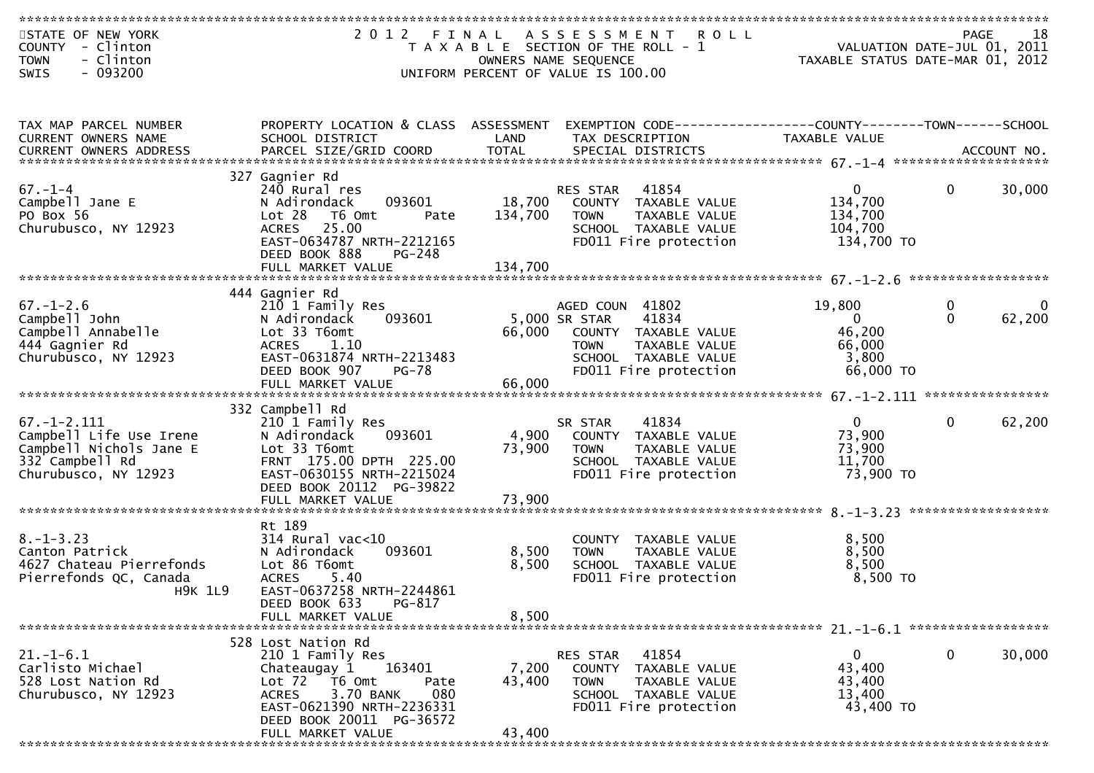| STATE OF NEW YORK<br>COUNTY - Clinton<br>- Clinton<br><b>TOWN</b>                                                  | 2012 FINAL                                                                                                                                                             |                   | A S S E S S M E N T<br><b>ROLL</b><br>T A X A B L E SECTION OF THE ROLL - 1<br>OWNERS NAME SEQUENCE                                                | PAGE 18<br>VALUATION DATE-JUL 01, 2011<br>TAYARLE STATUS BATE 1982<br>TAXABLE STATUS DATE-MAR 01, 2012 |                   | 18                 |
|--------------------------------------------------------------------------------------------------------------------|------------------------------------------------------------------------------------------------------------------------------------------------------------------------|-------------------|----------------------------------------------------------------------------------------------------------------------------------------------------|--------------------------------------------------------------------------------------------------------|-------------------|--------------------|
| $-093200$<br>SWIS                                                                                                  |                                                                                                                                                                        |                   | UNIFORM PERCENT OF VALUE IS 100.00                                                                                                                 |                                                                                                        |                   |                    |
| TAX MAP PARCEL NUMBER<br>CURRENT OWNERS NAME                                                                       | PROPERTY LOCATION & CLASS ASSESSMENT<br>SCHOOL DISTRICT                                                                                                                | LAND              | EXEMPTION CODE-----------------COUNTY--------TOWN------SCHOOL<br>TAX DESCRIPTION                                                                   | TAXABLE VALUE                                                                                          |                   |                    |
|                                                                                                                    |                                                                                                                                                                        |                   |                                                                                                                                                    |                                                                                                        |                   |                    |
| $67. - 1 - 4$<br>Campbell Jane E<br>PO Box 56<br>Churubusco, NY 12923                                              | 327 Gagnier Rd<br>240 Rural res<br>093601<br>N Adirondack<br>Lot 28<br>T6 Omt<br>Pate<br>25.00<br><b>ACRES</b><br>EAST-0634787 NRTH-2212165<br>DEED BOOK 888<br>PG-248 | 18,700<br>134,700 | 41854<br>RES STAR<br>COUNTY TAXABLE VALUE<br><b>TOWN</b><br>TAXABLE VALUE<br>SCHOOL TAXABLE VALUE<br>FD011 Fire protection                         | $\overline{0}$<br>134,700<br>134,700<br>104,700<br>134,700 TO                                          | $\Omega$          | 30,000             |
|                                                                                                                    | FULL MARKET VALUE                                                                                                                                                      | 134,700           |                                                                                                                                                    |                                                                                                        |                   |                    |
|                                                                                                                    |                                                                                                                                                                        |                   |                                                                                                                                                    |                                                                                                        |                   |                    |
| $67. - 1 - 2.6$<br>Campbell John<br>Campbell Annabelle<br>444 Gagnier Rd<br>Churubusco, NY 12923                   | 444 Gagnier Rd<br>210 1 Family Res<br>N Adirondack<br>093601<br>Lot 33 T6omt<br><b>ACRES</b><br>1.10<br>EAST-0631874 NRTH-2213483<br><b>PG-78</b><br>DEED BOOK 907     | 66,000            | AGED COUN 41802<br>41834<br>5,000 SR STAR<br>COUNTY TAXABLE VALUE<br>TAXABLE VALUE<br><b>TOWN</b><br>SCHOOL TAXABLE VALUE<br>FD011 Fire protection | 19,800<br>$\overline{0}$<br>46,200<br>66,000<br>3,800<br>66,000 TO                                     | 0<br>$\mathbf{0}$ | $\Omega$<br>62,200 |
|                                                                                                                    |                                                                                                                                                                        |                   |                                                                                                                                                    |                                                                                                        |                   |                    |
|                                                                                                                    | 332 Campbell Rd                                                                                                                                                        |                   |                                                                                                                                                    |                                                                                                        |                   |                    |
| $67. - 1 - 2.111$<br>Campbell Life Use Irene<br>Campbell Nichols Jane E<br>332 Campbell Rd<br>Churubusco, NY 12923 | 210 1 Family Res<br>093601<br>N Adirondack<br>Lot 33 T6omt<br>FRNT 175.00 DPTH 225.00<br>EAST-0630155 NRTH-2215024<br>DEED BOOK 20112 PG-39822                         | 4,900<br>73,900   | 41834<br>SR STAR<br>COUNTY TAXABLE VALUE<br>TAXABLE VALUE<br><b>TOWN</b><br>SCHOOL TAXABLE VALUE<br>FD011 Fire protection                          | $\mathbf{0}$<br>73,900<br>73,900<br>11,700<br>73,900 TO                                                | $\mathbf{0}$      | 62,200             |
|                                                                                                                    | FULL MARKET VALUE                                                                                                                                                      | 73,900            |                                                                                                                                                    |                                                                                                        |                   |                    |
|                                                                                                                    |                                                                                                                                                                        |                   |                                                                                                                                                    |                                                                                                        |                   |                    |
| $8. - 1 - 3.23$<br>Canton Patrick<br>4627 Chateau Pierrefonds<br>Pierrefonds QC, Canada<br><b>H9K 1L9</b>          | Rt 189<br>$314$ Rural vac<10<br>N Adirondack<br>093601<br>Lot 86 T6omt<br><b>ACRES</b><br>5.40<br>EAST-0637258 NRTH-2244861                                            | 8,500<br>8,500    | COUNTY<br>TAXABLE VALUE<br>TAXABLE VALUE<br><b>TOWN</b><br>SCHOOL TAXABLE VALUE<br>FD011 Fire protection                                           | 8,500<br>8,500<br>8,500<br>8,500 TO                                                                    |                   |                    |
|                                                                                                                    | PG-817<br>DEED BOOK 633<br>FULL MARKET VALUE                                                                                                                           | 8,500             |                                                                                                                                                    |                                                                                                        |                   |                    |
|                                                                                                                    |                                                                                                                                                                        |                   |                                                                                                                                                    |                                                                                                        |                   |                    |
| $21.-1-6.1$<br>Carlisto Michael<br>528 Lost Nation Rd<br>Churubusco, NY 12923                                      | 528 Lost Nation Rd<br>210 1 Family Res<br>163401<br>Chateaugay 1<br>Lot 72 T6 Omt<br>Pate<br>3.70 BANK<br>080<br><b>ACRES</b><br>EAST-0621390 NRTH-2236331             | 7,200<br>43,400   | RES STAR<br>41854<br>COUNTY TAXABLE VALUE<br><b>TOWN</b><br>TAXABLE VALUE<br>SCHOOL TAXABLE VALUE<br>FD011 Fire protection                         | 0<br>43,400<br>43,400<br>13,400<br>43,400 TO                                                           | $\mathbf 0$       | 30,000             |
|                                                                                                                    | DEED BOOK 20011 PG-36572<br>FULL MARKET VALUE                                                                                                                          | 43,400            |                                                                                                                                                    |                                                                                                        |                   |                    |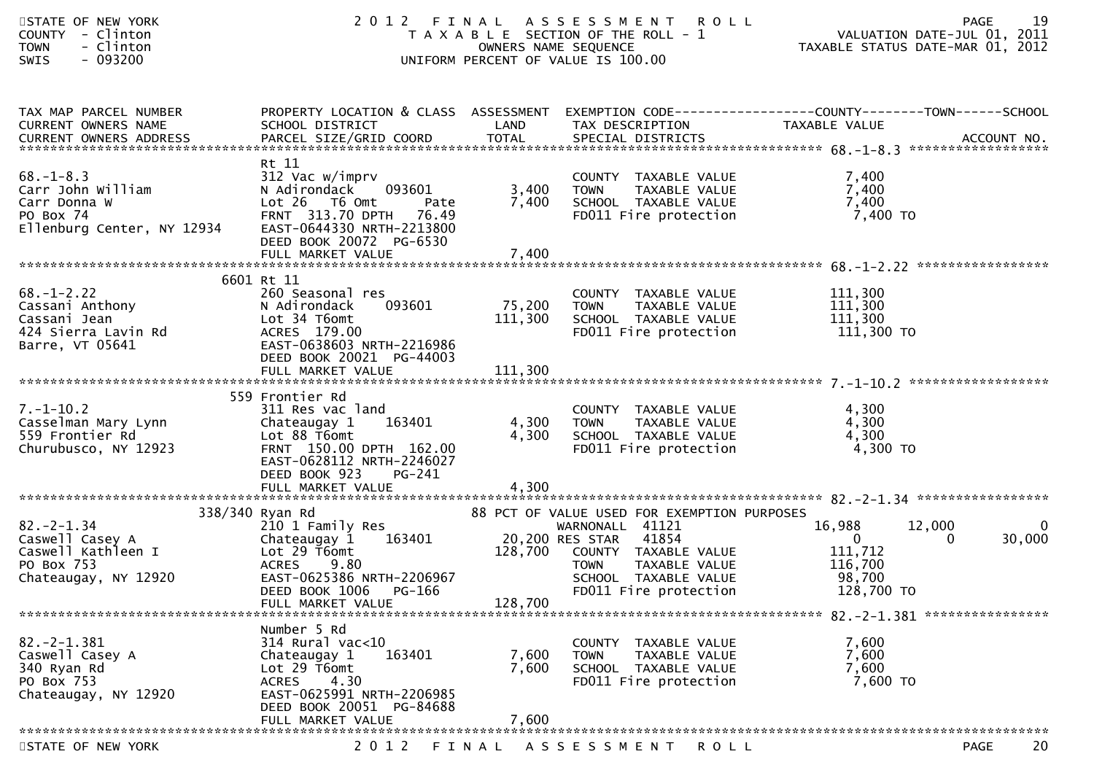| STATE OF NEW YORK<br>COUNTY - Clinton<br>- Clinton<br><b>TOWN</b><br>- 093200<br>SWIS           | 2 0 1 2                                                                                                                                                                         |                         | FINAL ASSESSMENT<br><b>ROLL</b><br>T A X A B L E SECTION OF THE ROLL - 1<br>OWNERS NAME SEQUENCE<br>UNIFORM PERCENT OF VALUE IS 100.00 |                                             | 19<br>PAGE                        |
|-------------------------------------------------------------------------------------------------|---------------------------------------------------------------------------------------------------------------------------------------------------------------------------------|-------------------------|----------------------------------------------------------------------------------------------------------------------------------------|---------------------------------------------|-----------------------------------|
| TAX MAP PARCEL NUMBER<br>CURRENT OWNERS NAME                                                    | PROPERTY LOCATION & CLASS ASSESSMENT EXEMPTION CODE----------------COUNTY-------TOWN------SCHOOL<br>SCHOOL DISTRICT                                                             | LAND                    | TAX DESCRIPTION                                                                                                                        | TAXABLE VALUE                               |                                   |
|                                                                                                 |                                                                                                                                                                                 |                         |                                                                                                                                        |                                             |                                   |
| $68. - 1 - 8.3$<br>Carr John William<br>Carr Donna W<br>PO Box 74<br>Ellenburg Center, NY 12934 | Rt 11<br>312 Vac w/imprv<br>N Adirondack<br>093601<br>Lot 26 T6 Omt<br>Pate<br>FRNT 313.70 DPTH 76.49<br>EAST-0644330 NRTH-2213800<br>DEED BOOK 20072 PG-6530                   | 3,400<br>7,400          | COUNTY TAXABLE VALUE<br>COUNTY TAXABLE VALUE<br>TOWN     TAXABLE VALUE<br>SCHOOL   TAXABLE VALUE<br>FD011 Fire protection              | 7,400<br>7,400<br>7,400<br>7,400 TO         |                                   |
|                                                                                                 |                                                                                                                                                                                 |                         |                                                                                                                                        |                                             |                                   |
|                                                                                                 |                                                                                                                                                                                 |                         |                                                                                                                                        |                                             |                                   |
| $68.-1-2.22$<br>Cassani Anthony<br>Cassani Jean<br>Cassani Jean<br>Cassani Jean                 | 6601 Rt 11<br>260 Seasonal res<br>093601<br>N Adirondack<br>Lot 34 T6omt<br>ACRES 179.00<br>EAST-0638603 NRTH-2216986<br>DEED BOOK 20021 PG-44003                               | 75,200 TOWN             | COUNTY TAXABLE VALUE<br>75,200 TOWN TAXABLE VALUE<br>111,300 SCHOOL TAXABLE VALUE<br>FD011 Fire protection                             | 111,300<br>111,300<br>111,300<br>111,300 TO |                                   |
|                                                                                                 | FULL MARKET VALUE                                                                                                                                                               | 111,300                 |                                                                                                                                        |                                             |                                   |
| $7. - 1 - 10.2$<br>Casselman Mary Lynn<br>559 Frontier Rd<br>Churubusco, NY 12923               | 559 Frontier Rd<br>311 Res vac land<br>163401<br>Chateaugay 1<br>Lot 88 T6omt<br>FRNT 150.00 DPTH 162.00<br>EAST-0628112 NRTH-2246027<br>DEED BOOK 923<br>PG-241                | 4,300<br>4,300          | COUNTY TAXABLE VALUE<br>COUNTY TAXABLE VALUE<br>TOWN - TAXABLE VALUE<br>SCHOOL <sub>-</sub> TAXABLE VALUE<br>FD011 Fire protection     | 4,300<br>4,300<br>4,300<br>4,300 TO         |                                   |
|                                                                                                 |                                                                                                                                                                                 |                         |                                                                                                                                        |                                             |                                   |
| $82 - 2 - 1.34$<br>Caswell Casey A                                                              | 338/340 Ryan Rd<br>210 1 Family Res                                                                                                                                             |                         | 88 PCT OF VALUE USED FOR EXEMPTION PURPOSES<br>WARNONALL 41121<br>41854                                                                | 16,988<br>12,000<br>$\mathbf{0}$            | $\mathbf 0$<br>30,000<br>$\Omega$ |
| Caswell Kathleen I<br>PO Box 753<br>Chateaugay, NY 12920                                        | Lot 29 T6omt<br><b>ACRES</b><br>9.80<br>EAST-0625386 NRTH-2206967<br>DEED BOOK 1006 PG-166<br>FULL MARKET VALUE                                                                 | 128,700                 | 128,700 COUNTY TAXABLE VALUE<br><b>TOWN</b><br>TAXABLE VALUE<br>SCHOOL TAXABLE VALUE<br>FD011 Fire protection                          | 111,712<br>116,700<br>98,700<br>128,700 TO  |                                   |
|                                                                                                 |                                                                                                                                                                                 |                         |                                                                                                                                        |                                             |                                   |
| $82 - 2 - 1.381$<br>Caswell Casey A<br>340 Ryan Rd<br>PO Box 753<br>Chateaugay, NY 12920        | Number 5 Rd<br>314 Rural vac<10<br>Chateaugay 1<br>163401<br>Lot 29 T6omt<br>4.30<br><b>ACRES</b><br>EAST-0625991 NRTH-2206985<br>DEED BOOK 20051 PG-84688<br>FULL MARKET VALUE | 7,600<br>7,600<br>7,600 | COUNTY TAXABLE VALUE<br><b>TOWN</b><br>TAXABLE VALUE<br>SCHOOL TAXABLE VALUE<br>FD011 Fire protection                                  | 7,600<br>7,600<br>7,600<br>7,600 TO         |                                   |
|                                                                                                 |                                                                                                                                                                                 |                         |                                                                                                                                        |                                             |                                   |
| STATE OF NEW YORK                                                                               | 2 0 1 2                                                                                                                                                                         |                         | FINAL ASSESSMENT<br><b>ROLL</b>                                                                                                        |                                             | 20<br><b>PAGE</b>                 |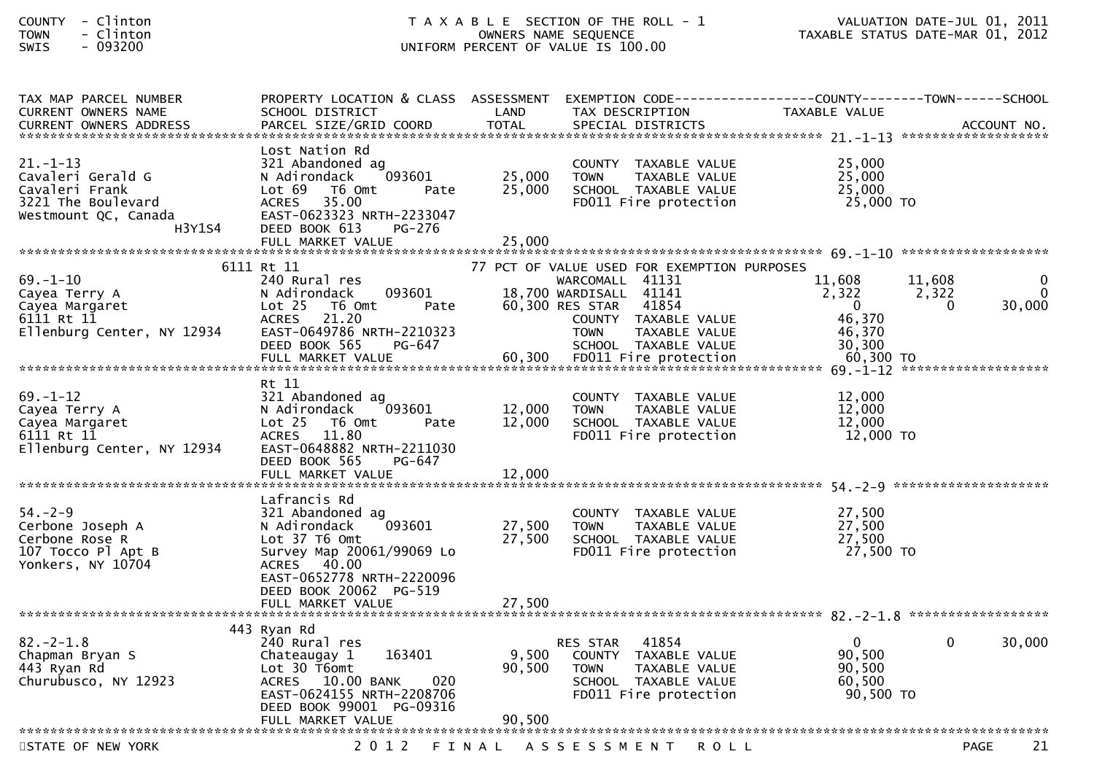| <b>COUNTY</b> |   | Clinton |
|---------------|---|---------|
| <b>TOWN</b>   | - | Clinton |
| $C \cup T C$  |   | www.    |

| TAX MAP PARCEL NUMBER<br><b>CURRENT OWNERS NAME</b>                                                           | SCHOOL DISTRICT                                                                                                                                                                  | PROPERTY LOCATION & CLASS ASSESSMENT EXEMPTION CODE---<br>LAND<br>TAX DESCRIPTION                                                                     | --------------COUNTY--------TOWN------SCHOOL<br>TAXABLE VALUE                                                           |
|---------------------------------------------------------------------------------------------------------------|----------------------------------------------------------------------------------------------------------------------------------------------------------------------------------|-------------------------------------------------------------------------------------------------------------------------------------------------------|-------------------------------------------------------------------------------------------------------------------------|
| <b>CURRENT OWNERS ADDRESS</b>                                                                                 | PARCEL SIZE/GRID COORD                                                                                                                                                           | <b>TOTAL</b><br>SPECIAL DISTRICTS                                                                                                                     | ACCOUNT NO.                                                                                                             |
|                                                                                                               |                                                                                                                                                                                  |                                                                                                                                                       |                                                                                                                         |
| $21. - 1 - 13$<br>Cavaleri Gerald G<br>Cavaleri Frank<br>3221 The Boulevard<br>Westmount QC, Canada<br>H3Y1S4 | Lost Nation Rd<br>321 Abandoned ag<br>N Adirondack<br>093601<br>Lot 69<br>T6 Omt<br>Pate<br>35.00<br><b>ACRES</b><br>EAST-0623323 NRTH-2233047<br>DEED BOOK 613<br><b>PG-276</b> | COUNTY TAXABLE VALUE<br>25,000<br>TAXABLE VALUE<br><b>TOWN</b><br>25,000<br>SCHOOL TAXABLE VALUE<br>FD011 Fire protection                             | 25,000<br>25,000<br>25,000<br>25,000 TO                                                                                 |
|                                                                                                               | FULL MARKET VALUE                                                                                                                                                                | 25,000                                                                                                                                                |                                                                                                                         |
|                                                                                                               | 6111 Rt 11                                                                                                                                                                       | 77 PCT OF VALUE USED FOR EXEMPTION PURPOSES                                                                                                           |                                                                                                                         |
| $69. - 1 - 10$<br>Cayea Terry A<br>Cayea Margaret<br>6111 Rt 11<br>Ellenburg Center, NY 12934                 | 240 Rural res<br>093601<br>N Adirondack<br>Lot $25$<br>T6 Omt<br>Pate<br><b>ACRES</b><br>21.20<br>EAST-0649786 NRTH-2210323<br>DEED BOOK 565<br>PG-647                           | WARCOMALL 41131<br>18,700 WARDISALL 41141<br>41854<br>60,300 RES STAR<br>COUNTY TAXABLE VALUE<br>TAXABLE VALUE<br><b>TOWN</b><br>SCHOOL TAXABLE VALUE | 11.608<br>11,608<br>0<br>2,322<br>2,322<br>$\Omega$<br>$\mathbf{0}$<br>30,000<br>$\bf{0}$<br>46,370<br>46,370<br>30,300 |
|                                                                                                               |                                                                                                                                                                                  |                                                                                                                                                       |                                                                                                                         |
| $69. - 1 - 12$<br>Cayea Terry A<br>Cayea Margaret<br>6111 Rt 11<br>Ellenburg Center, NY 12934                 | Rt 11<br>321 Abandoned ag<br>093601<br>N Adirondack<br>Lot <sub>25</sub><br>T6 Omt<br>Pate<br>11.80<br><b>ACRES</b><br>EAST-0648882 NRTH-2211030<br>DEED BOOK 565<br>PG-647      | COUNTY TAXABLE VALUE<br>12,000<br><b>TOWN</b><br>TAXABLE VALUE<br>12,000<br>SCHOOL TAXABLE VALUE<br>FD011 Fire protection                             | 12,000<br>12,000<br>12,000<br>$12,000$ TO                                                                               |
|                                                                                                               | FULL MARKET VALUE                                                                                                                                                                | 12,000                                                                                                                                                |                                                                                                                         |
|                                                                                                               |                                                                                                                                                                                  |                                                                                                                                                       |                                                                                                                         |
| $54. - 2 - 9$<br>Cerbone Joseph A<br>Cerbone Rose R<br>107 Tocco Pl Apt B<br>Yonkers, NY 10704                | Lafrancis Rd<br>321 Abandoned ag<br>N Adirondack<br>093601<br>Lot 37 T6 Omt<br>Survey Map 20061/99069 Lo<br>ACRES 40.00<br>EAST-0652778 NRTH-2220096                             | COUNTY TAXABLE VALUE<br>27,500<br><b>TOWN</b><br>TAXABLE VALUE<br>27,500<br>SCHOOL TAXABLE VALUE<br>FD011 Fire protection                             | 27,500<br>27,500<br>27,500<br>27,500 TO                                                                                 |
|                                                                                                               | DEED BOOK 20062 PG-519                                                                                                                                                           |                                                                                                                                                       |                                                                                                                         |
|                                                                                                               | FULL MARKET VALUE                                                                                                                                                                | 27,500                                                                                                                                                |                                                                                                                         |
|                                                                                                               | 443 Ryan Rd                                                                                                                                                                      |                                                                                                                                                       |                                                                                                                         |
| $82 - 2 - 1.8$<br>Chapman Bryan S<br>443 Ryan Rd<br>Churubusco, NY 12923                                      | 240 Rural res<br>163401<br>Chateaugay 1<br>Lot 30 T6omt<br>ACRES 10.00 BANK<br>020<br>EAST-0624155 NRTH-2208706<br>DEED BOOK 99001 PG-09316                                      | 41854<br>RES STAR<br>9,500<br>COUNTY TAXABLE VALUE<br>90,500<br><b>TOWN</b><br>TAXABLE VALUE<br>SCHOOL TAXABLE VALUE<br>FD011 Fire protection         | $\mathbf 0$<br>30,000<br>$\Omega$<br>90,500<br>90,500<br>60.500<br>90,500 TO                                            |
|                                                                                                               | FULL MARKET VALUE                                                                                                                                                                | 90,500                                                                                                                                                |                                                                                                                         |
| STATE OF NEW YORK                                                                                             | 2 0 1 2                                                                                                                                                                          | ASSESSMENT<br>FINAL<br><b>ROLL</b>                                                                                                                    | 21<br><b>PAGE</b>                                                                                                       |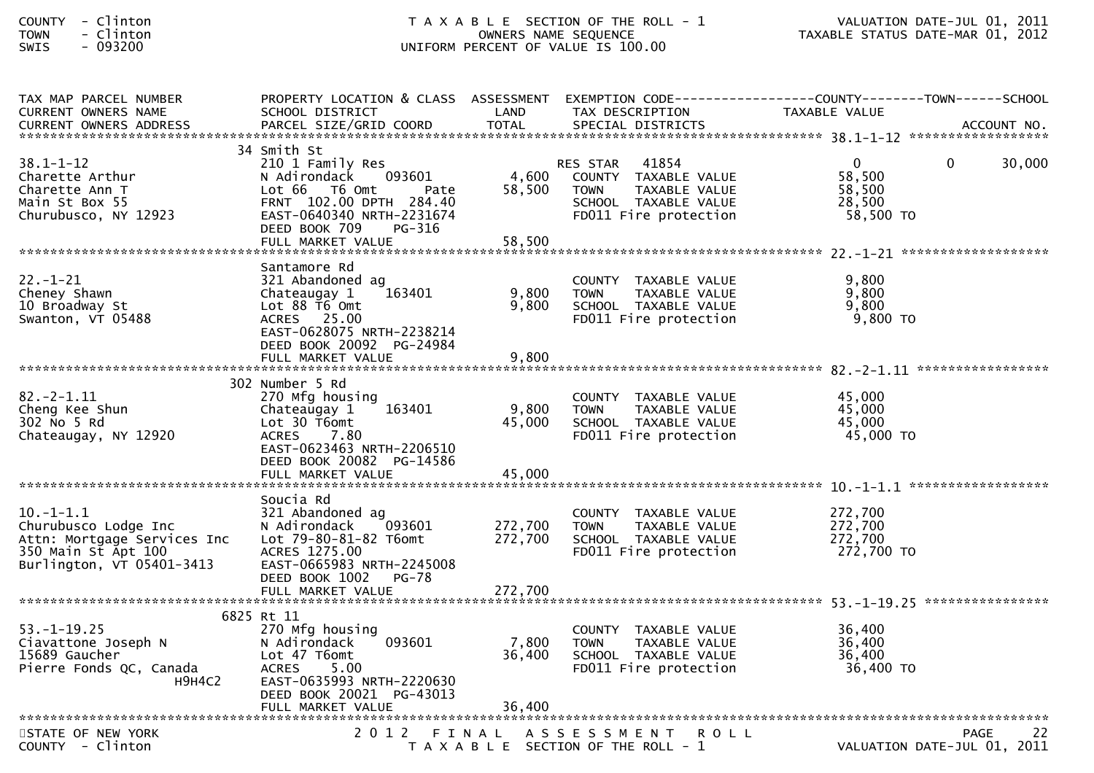| COUNTY        | Clinton |
|---------------|---------|
| <b>TOWN</b>   | Clinton |
| $\sim$ $\sim$ |         |

| TAX MAP PARCEL NUMBER<br><b>CURRENT OWNERS NAME</b>                                                                       | PROPERTY LOCATION & CLASS ASSESSMENT EXEMPTION CODE----------------COUNTY-------TOWN------SCHOOL<br>SCHOOL DISTRICT                                                    | LAND                    | TAX DESCRIPTION                                                                                                            | TAXABLE VALUE                                           |             |        |
|---------------------------------------------------------------------------------------------------------------------------|------------------------------------------------------------------------------------------------------------------------------------------------------------------------|-------------------------|----------------------------------------------------------------------------------------------------------------------------|---------------------------------------------------------|-------------|--------|
|                                                                                                                           |                                                                                                                                                                        |                         |                                                                                                                            |                                                         |             |        |
| $38.1 - 1 - 12$<br>Charette Arthur<br>Charette Ann T<br>Main St Box 55<br>Churubusco, NY 12923                            | 34 Smith St<br>210 1 Family Res<br>N Adirondack<br>093601<br>Lot 66  T6 0mt<br>Pate<br>FRNT 102.00 DPTH 284.40<br>EAST-0640340 NRTH-2231674<br>DEED BOOK 709<br>PG-316 | 4,600<br>58,500         | 41854<br>RES STAR<br>COUNTY TAXABLE VALUE<br><b>TOWN</b><br>TAXABLE VALUE<br>SCHOOL TAXABLE VALUE<br>FD011 Fire protection | $\mathbf{0}$<br>58,500<br>58,500<br>28,500<br>58,500 TO | $\Omega$    | 30,000 |
| $22. - 1 - 21$<br>Cheney Shawn<br>10 Broadway St<br>Swanton, VT 05488                                                     | Santamore Rd<br>321 Abandoned ag<br>163401<br>Chateaugay 1<br>Lot 88 T6 Omt<br>ACRES 25.00<br>EAST-0628075 NRTH-2238214<br>DEED BOOK 20092 PG-24984                    | 9,800<br>9,800<br>9,800 | COUNTY TAXABLE VALUE<br>TAXABLE VALUE<br><b>TOWN</b><br>SCHOOL TAXABLE VALUE<br>FD011 Fire protection                      | 9,800<br>9,800<br>9,800<br>$9,800$ TO                   |             |        |
|                                                                                                                           |                                                                                                                                                                        |                         |                                                                                                                            |                                                         |             |        |
| $82. -2 - 1.11$<br>Cheng Kee Shun<br>302 No 5 Rd<br>Chateaugay, NY 12920                                                  | 302 Number 5 Rd<br>270 Mfg housing<br>163401<br>Chateaugay 1<br>Lot 30 T6omt<br><b>ACRES</b><br>7.80<br>EAST-0623463 NRTH-2206510<br>DEED BOOK 20082 PG-14586          | 9,800<br>45,000         | COUNTY TAXABLE VALUE<br><b>TOWN</b><br>TAXABLE VALUE<br>SCHOOL TAXABLE VALUE<br>FD011 Fire protection                      | 45,000<br>45,000<br>45,000<br>45,000 TO                 |             |        |
|                                                                                                                           |                                                                                                                                                                        |                         |                                                                                                                            |                                                         |             |        |
| $10. -1 - 1.1$<br>Churubusco Lodge Inc<br>Attn: Mortgage Services Inc<br>350 Main St Apt 100<br>Burlington, VT 05401-3413 | Soucia Rd<br>321 Abandoned ag<br>N Adirondack<br>093601<br>Lot 79-80-81-82 T6omt<br>ACRES 1275.00<br>EAST-0665983 NRTH-2245008<br>DEED BOOK 1002<br><b>PG-78</b>       | 272,700<br>272,700      | COUNTY TAXABLE VALUE<br>TAXABLE VALUE<br><b>TOWN</b><br>SCHOOL TAXABLE VALUE<br>FD011 Fire protection                      | 272,700<br>272,700<br>272.700<br>272,700 TO             |             |        |
|                                                                                                                           |                                                                                                                                                                        |                         |                                                                                                                            |                                                         |             |        |
| $53. - 1 - 19.25$<br>Ciavattone Joseph N<br>15689 Gaucher<br>Pierre Fonds QC, Canada<br><b>H9H4C2</b>                     | 6825 Rt 11<br>270 Mfg housing<br>093601<br>N Adirondack<br>Lot 47 T6omt<br>ACRES 5.00<br>EAST-0635993 NRTH-2220630<br>DEED BOOK 20021 PG-43013                         | 7,800<br>36,400         | COUNTY TAXABLE VALUE<br><b>TOWN</b><br>TAXABLE VALUE<br>SCHOOL TAXABLE VALUE<br>FD011 Fire protection                      | 36,400<br>36,400<br>36,400<br>36,400 TO                 |             |        |
|                                                                                                                           |                                                                                                                                                                        |                         |                                                                                                                            |                                                         |             |        |
| STATE OF NEW YORK<br>COUNTY - Clinton                                                                                     |                                                                                                                                                                        |                         | 2012 FINAL ASSESSMENT ROLL<br>T A X A B L E SECTION OF THE ROLL - 1                                                        | VALUATION DATE-JUL 01, 2011                             | <b>PAGE</b> | 22     |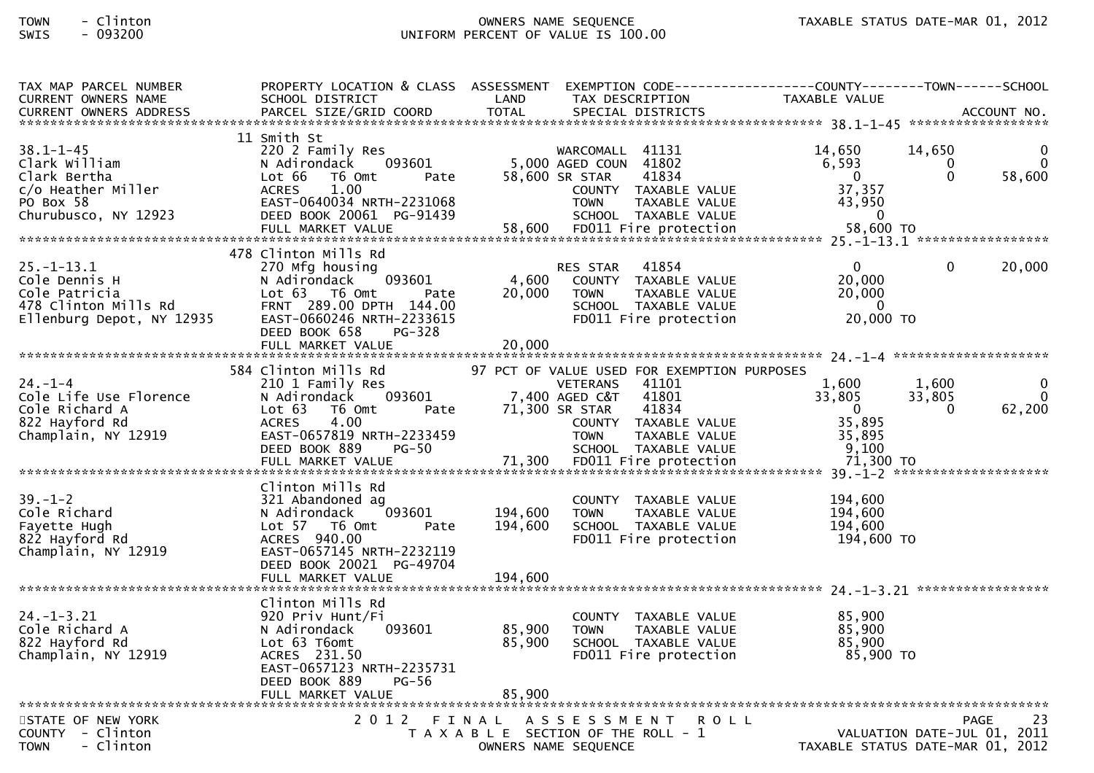# TOWN - Clinton OWNERS NAME SEQUENCE TAXABLE STATUS DATE-MAR 01, 2012SWIS - 093200 UNIFORM PERCENT OF VALUE IS 100.00

| TAX MAP PARCEL NUMBER<br><b>CURRENT OWNERS NAME</b><br><b>CURRENT OWNERS ADDRESS</b>                        | SCHOOL DISTRICT<br>PARCEL SIZE/GRID COORD                                                                                                                                                             | LAND<br><b>TOTAL</b>       | TAX DESCRIPTION<br>SPECIAL DISTRICTS                                                                                                                                                                          | PROPERTY LOCATION & CLASS ASSESSMENT EXEMPTION CODE----------------COUNTY-------TOWN------SCHOOL<br>TAXABLE VALUE | ACCOUNT NO.        |
|-------------------------------------------------------------------------------------------------------------|-------------------------------------------------------------------------------------------------------------------------------------------------------------------------------------------------------|----------------------------|---------------------------------------------------------------------------------------------------------------------------------------------------------------------------------------------------------------|-------------------------------------------------------------------------------------------------------------------|--------------------|
| $38.1 - 1 - 45$<br>Clark William<br>Clark Bertha<br>c/o Heather Miller<br>PO Box 58<br>Churubusco, NY 12923 | 11 Smith St<br>220 2 Family Res<br>093601<br>N Adirondack<br>T6 Omt<br>Lot 66<br>Pate<br><b>ACRES</b><br>1.00<br>EAST-0640034 NRTH-2231068<br>DEED BOOK 20061 PG-91439                                |                            | WARCOMALL 41131<br>5,000 AGED COUN 41802<br>58,600 SR STAR<br>41834<br>COUNTY TAXABLE VALUE<br><b>TOWN</b><br>TAXABLE VALUE<br>SCHOOL TAXABLE VALUE                                                           | 14,650<br>14,650<br>6,593<br>0<br>$\Omega$<br>$\overline{0}$<br>37,357<br>43,950<br>$\overline{0}$                | $\Omega$<br>58,600 |
| $25. - 1 - 13.1$<br>Cole Dennis H<br>Cole Patricia<br>478 Clinton Mills Rd<br>Ellenburg Depot, NY 12935     | 478 Clinton Mills Rd<br>270 Mfg housing<br>093601<br>N Adirondack<br>Lot 63  T6 Omt<br>Pate<br>FRNT 289.00 DPTH 144.00<br>EAST-0660246 NRTH-2233615<br>DEED BOOK 658<br>$PG-328$<br>FULL MARKET VALUE | 4,600<br>20,000<br>20,000  | 41854<br>RES STAR<br>COUNTY TAXABLE VALUE<br><b>TOWN</b><br>TAXABLE VALUE<br>SCHOOL TAXABLE VALUE<br>FD011 Fire protection                                                                                    | $\Omega$<br>$\Omega$<br>20,000<br>20,000<br>- 0<br>20,000 TO                                                      | 20,000             |
| $24. - 1 - 4$<br>Cole Life Use Florence<br>Cole Richard A<br>822 Hayford Rd<br>Champlain, NY 12919          | 584 Clinton Mills Rd<br>210 1 Family Res<br>093601<br>N Adirondack<br>Lot 63<br>T6 Omt<br>Pate<br><b>ACRES</b><br>4.00<br>EAST-0657819 NRTH-2233459<br>DEED BOOK 889<br>$PG-50$                       |                            | 97 PCT OF VALUE USED FOR EXEMPTION PURPOSES<br>41101<br><b>VETERANS</b><br>41801<br>7,400 AGED C&T<br>71,300 SR STAR<br>41834<br>COUNTY TAXABLE VALUE<br>TAXABLE VALUE<br><b>TOWN</b><br>SCHOOL TAXABLE VALUE | 1,600<br>1,600<br>33,805<br>33,805<br>$\mathbf{0}$<br>$\Omega$<br>35,895<br>35,895<br>9,100                       | $\Omega$<br>62,200 |
| $39. - 1 - 2$<br>Cole Richard<br>Fayette Hugh<br>822 Hayford Rd<br>Champlain, NY 12919                      | Clinton Mills Rd<br>321 Abandoned ag<br>093601<br>N Adirondack<br>Lot 57 T6 Omt<br>Pate<br>ACRES 940.00<br>EAST-0657145 NRTH-2232119<br>DEED BOOK 20021 PG-49704                                      | 194,600<br>194,600         | COUNTY TAXABLE VALUE<br>TAXABLE VALUE<br><b>TOWN</b><br>SCHOOL TAXABLE VALUE<br>FD011 Fire protection                                                                                                         | 194,600<br>194,600<br>194,600<br>194,600 TO                                                                       |                    |
| $24. - 1 - 3.21$<br>Cole Richard A<br>822 Hayford Rd<br>Champlain, NY 12919                                 | Clinton Mills Rd<br>920 Priv Hunt/Fi<br>093601<br>N Adirondack<br>Lot 63 T6omt<br>ACRES 231.50<br>EAST-0657123 NRTH-2235731<br>DEED BOOK 889<br>PG-56<br>FULL MARKET VALUE                            | 85,900<br>85,900<br>85,900 | COUNTY TAXABLE VALUE<br><b>TOWN</b><br>TAXABLE VALUE<br>SCHOOL TAXABLE VALUE<br>FD011 Fire protection                                                                                                         | 85,900<br>85,900<br>85,900<br>85,900 TO                                                                           |                    |
| STATE OF NEW YORK<br>COUNTY - Clinton<br>- Clinton<br><b>TOWN</b>                                           |                                                                                                                                                                                                       |                            | 2012 FINAL ASSESSMENT<br><b>ROLL</b><br>T A X A B L E SECTION OF THE ROLL - 1<br>OWNERS NAME SEQUENCE                                                                                                         | VALUATION DATE-JUL 01, 2011<br>TAXABLE STATUS DATE-MAR 01, 2012                                                   | 23<br><b>PAGE</b>  |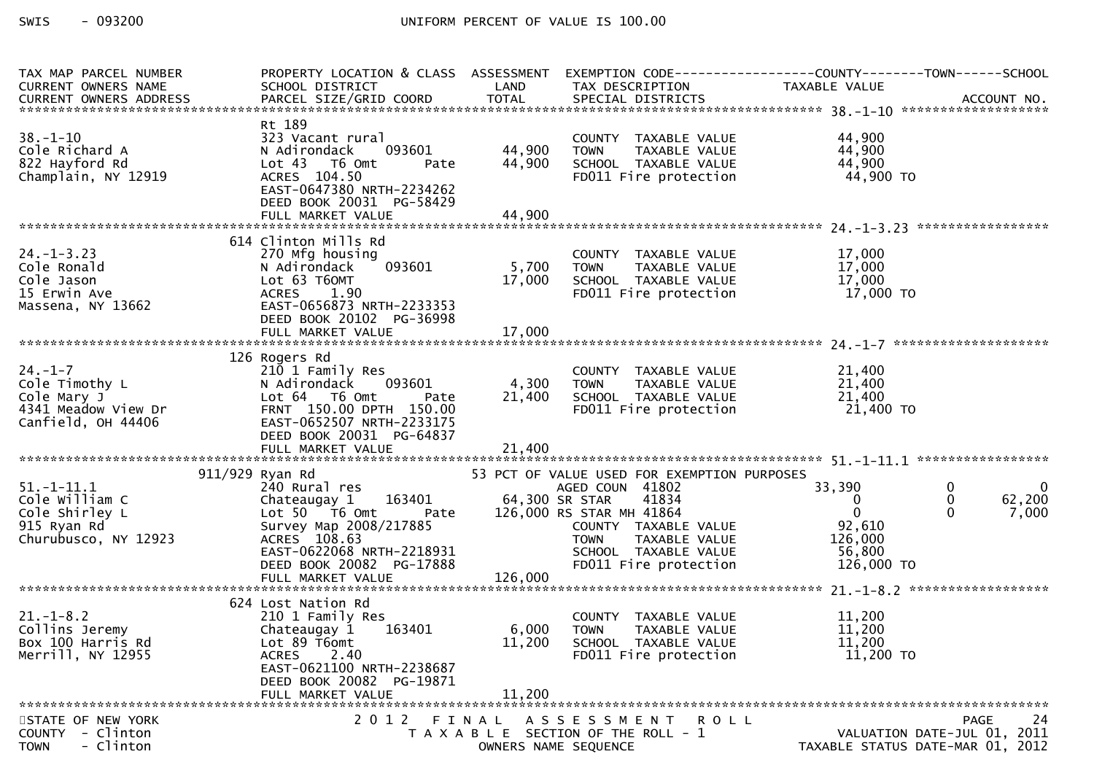| TAX MAP PARCEL NUMBER                                                                                                                  | PROPERTY LOCATION & CLASS ASSESSMENT EXEMPTION CODE----------------COUNTY-------TOWN------SCHOOL |                                         |                                                                                                                                    |                                  |                                        |
|----------------------------------------------------------------------------------------------------------------------------------------|--------------------------------------------------------------------------------------------------|-----------------------------------------|------------------------------------------------------------------------------------------------------------------------------------|----------------------------------|----------------------------------------|
| CURRENT OWNERS NAME                                                                                                                    | SCHOOL DISTRICT                                                                                  | LAND                                    | TAX DESCRIPTION                                                                                                                    | TAXABLE VALUE                    |                                        |
|                                                                                                                                        |                                                                                                  |                                         |                                                                                                                                    |                                  |                                        |
|                                                                                                                                        |                                                                                                  |                                         |                                                                                                                                    |                                  |                                        |
| $38. - 1 - 10$                                                                                                                         | Rt 189                                                                                           |                                         |                                                                                                                                    | 44,900                           |                                        |
| Cole Richard A                                                                                                                         | 323 Vacant rural<br>093601<br>N Adirondack                                                       | 44,900 TOWN                             | COUNTY TAXABLE VALUE<br>TOWN   TAXABLE VALUE<br>SCHOOL  TAXABLE VALUE<br>FDO11 Fire protection                                     | 44,900                           |                                        |
| 822 Hayford Rd                                                                                                                         | Lot 43 T6 Omt<br>Pate                                                                            | 44,900                                  |                                                                                                                                    | 44,900                           |                                        |
| Champlain, NY 12919                                                                                                                    | ACRES 104.50                                                                                     |                                         |                                                                                                                                    | 44,900 TO                        |                                        |
|                                                                                                                                        | EAST-0647380 NRTH-2234262                                                                        |                                         |                                                                                                                                    |                                  |                                        |
|                                                                                                                                        | DEED BOOK 20031 PG-58429                                                                         |                                         |                                                                                                                                    |                                  |                                        |
|                                                                                                                                        |                                                                                                  |                                         |                                                                                                                                    |                                  |                                        |
|                                                                                                                                        |                                                                                                  |                                         |                                                                                                                                    |                                  |                                        |
|                                                                                                                                        | 614 Clinton Mills Rd                                                                             |                                         |                                                                                                                                    |                                  |                                        |
| $24. - 1 - 3.23$                                                                                                                       | 270 Mfg housing                                                                                  |                                         |                                                                                                                                    |                                  |                                        |
| Cole Ronald                                                                                                                            | N Adirondack                                                                                     | ا اس بی البان بان 1093601<br>S,700 TOWN |                                                                                                                                    | $17,000$<br>$17,000$<br>$17,000$ |                                        |
| Cole Jason                                                                                                                             | Lot 63 T6OMT                                                                                     | 17,000                                  |                                                                                                                                    |                                  |                                        |
| 15 Erwin Ave                                                                                                                           | ACRES 1.90                                                                                       |                                         | COUNTY TAXABLE VALUE $17,000$<br>TOWN TAXABLE VALUE $17,000$<br>SCHOOL TAXABLE VALUE $17,000$<br>FDO11 Fire protection $17,000$ TO |                                  |                                        |
| Massena, NY 13662                                                                                                                      | EAST-0656873 NRTH-2233353                                                                        |                                         |                                                                                                                                    |                                  |                                        |
|                                                                                                                                        | DEED BOOK 20102 PG-36998                                                                         |                                         |                                                                                                                                    |                                  |                                        |
|                                                                                                                                        |                                                                                                  |                                         |                                                                                                                                    |                                  |                                        |
|                                                                                                                                        |                                                                                                  |                                         |                                                                                                                                    |                                  |                                        |
|                                                                                                                                        | 126 Rogers Rd                                                                                    |                                         |                                                                                                                                    |                                  |                                        |
| $24. - 1 - 7$                                                                                                                          | 210 1 Family Res                                                                                 |                                         |                                                                                                                                    | 21,400                           |                                        |
|                                                                                                                                        | N Adirondack 093601                                                                              | 4,300 TOWN                              |                                                                                                                                    | 21,400                           |                                        |
|                                                                                                                                        | Pate                                                                                             | 21,400                                  |                                                                                                                                    | 21,400                           |                                        |
| COLO Timothy L<br>Cole Timothy L<br>Cole Mary J<br>4341 Meadow View Dr<br>Canfield, OH 44406<br>Canfield, OH 44406<br>CAST-0652507 NRT | FRNT 150.00 DPTH 150.00                                                                          |                                         | COUNTY TAXABLE VALUE<br>TOWN   TAXABLE VALUE<br>SCHOOL  TAXABLE VALUE<br>FDO11 Fire protection                                     | 21,400 TO                        |                                        |
|                                                                                                                                        | EAST-0652507 NRTH-2233175                                                                        |                                         |                                                                                                                                    |                                  |                                        |
|                                                                                                                                        | DEED BOOK 20031 PG-64837                                                                         |                                         |                                                                                                                                    |                                  |                                        |
|                                                                                                                                        |                                                                                                  |                                         |                                                                                                                                    |                                  |                                        |
|                                                                                                                                        |                                                                                                  |                                         |                                                                                                                                    |                                  |                                        |
|                                                                                                                                        | 911/929 Ryan Rd<br>240 Rural res<br>240 Rural res<br>Chateaugay 1 16<br>Lot 50 T6 Omt            |                                         | 53 PCT OF VALUE USED FOR EXEMPTION PURPOSES                                                                                        |                                  |                                        |
| $51. - 1 - 11.1$                                                                                                                       |                                                                                                  |                                         | AGED COUN 41802<br>41834                                                                                                           | 33,390                           | $\mathbf 0$<br>$\overline{\mathbf{0}}$ |
| Cole William C                                                                                                                         |                                                                                                  |                                         | S STAR MH 41864<br>COUNTY TAXABLE VALUE<br>TOWN TAXABLE VALUE                                                                      | $\overline{0}$<br>$\overline{0}$ | $\mathbf{0}$<br>62,200<br>$\Omega$     |
| Cole Shirley L<br>915 Ryan Rd                                                                                                          | Pate<br>Survey Map 2008/217885                                                                   |                                         | 126,000 RS STAR MH 41864                                                                                                           | 92,610                           | 7,000                                  |
| Churubusco, NY 12923                                                                                                                   | ACRES 108.63                                                                                     |                                         |                                                                                                                                    | 126,000                          |                                        |
|                                                                                                                                        |                                                                                                  |                                         | SCHOOL TAXABLE VALUE                                                                                                               |                                  |                                        |
|                                                                                                                                        |                                                                                                  |                                         |                                                                                                                                    |                                  |                                        |
|                                                                                                                                        |                                                                                                  |                                         |                                                                                                                                    |                                  |                                        |
|                                                                                                                                        |                                                                                                  |                                         |                                                                                                                                    |                                  |                                        |
|                                                                                                                                        | 624 Lost Nation Rd                                                                               |                                         |                                                                                                                                    |                                  |                                        |
| $21. - 1 - 8.2$                                                                                                                        | 210 1 Family Res                                                                                 |                                         | COUNTY TAXABLE VALUE                                                                                                               | 11,200                           |                                        |
| Collins Jeremy                                                                                                                         | 163401<br>Chateaugay 1                                                                           | 6,000 TOWN                              | TAXABLE VALUE                                                                                                                      | 11,200                           |                                        |
| Box 100 Harris Rd                                                                                                                      | Lot 89 T6omt                                                                                     | 11,200                                  | SCHOOL TAXABLE VALUE                                                                                                               | 11,200                           |                                        |
| Merrill, NY 12955                                                                                                                      | 2.40<br><b>ACRES</b>                                                                             |                                         | FD011 Fire protection                                                                                                              | $11,200$ TO                      |                                        |
|                                                                                                                                        | EAST-0621100 NRTH-2238687                                                                        |                                         |                                                                                                                                    |                                  |                                        |
|                                                                                                                                        | DEED BOOK 20082 PG-19871                                                                         |                                         |                                                                                                                                    |                                  |                                        |
|                                                                                                                                        | FULL MARKET VALUE                                                                                | 11,200                                  |                                                                                                                                    |                                  |                                        |
|                                                                                                                                        |                                                                                                  |                                         |                                                                                                                                    |                                  |                                        |
| STATE OF NEW YORK                                                                                                                      | 2 0 1 2                                                                                          |                                         | FINAL ASSESSMENT ROLL                                                                                                              |                                  | 24<br><b>PAGE</b>                      |
| <b>COUNTY</b><br>- Clinton                                                                                                             |                                                                                                  |                                         | T A X A B L E SECTION OF THE ROLL - 1                                                                                              |                                  | VALUATION DATE-JUL 01, 2011            |
| - Clinton<br><b>TOWN</b>                                                                                                               |                                                                                                  |                                         | OWNERS NAME SEQUENCE                                                                                                               |                                  | TAXABLE STATUS DATE-MAR 01, 2012       |
|                                                                                                                                        |                                                                                                  |                                         |                                                                                                                                    |                                  |                                        |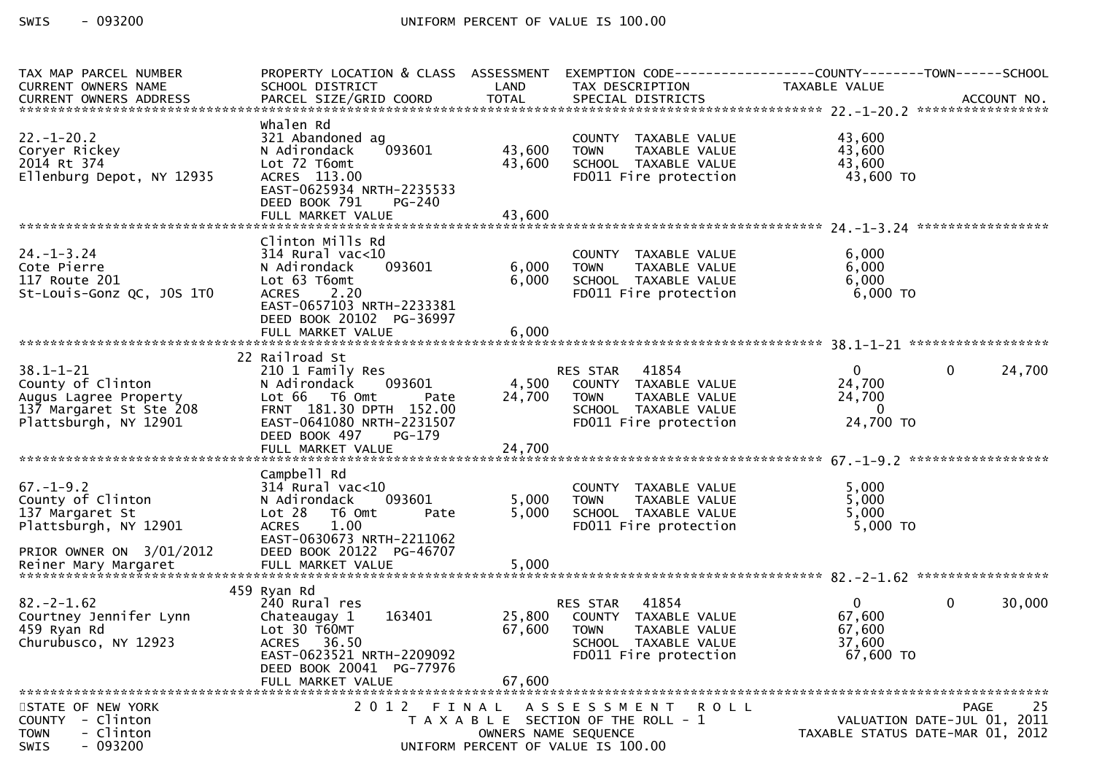| TAX MAP PARCEL NUMBER<br>CURRENT OWNERS NAME<br>CURRENT OWNERS ADDRESS                                            | PROPERTY LOCATION & CLASS ASSESSMENT<br>SCHOOL DISTRICT                                                                                                                       | LAND                       | TAX DESCRIPTION                                                                                                                       | TAXABLE VALUE                                             |                                                                                      |
|-------------------------------------------------------------------------------------------------------------------|-------------------------------------------------------------------------------------------------------------------------------------------------------------------------------|----------------------------|---------------------------------------------------------------------------------------------------------------------------------------|-----------------------------------------------------------|--------------------------------------------------------------------------------------|
|                                                                                                                   |                                                                                                                                                                               |                            |                                                                                                                                       |                                                           |                                                                                      |
| $22. - 1 - 20.2$<br>Coryer Rickey<br>2014 Rt 374<br>Ellenburg Depot, NY 12935                                     | Whalen Rd<br>321 Abandoned ag<br>093601<br>N Adirondack<br>Lot 72 T6omt<br>ACRES 113.00<br>EAST-0625934 NRTH-2235533<br>DEED BOOK 791<br>PG-240                               | 43,600<br>43,600           | COUNTY TAXABLE VALUE<br><b>TOWN</b><br>TAXABLE VALUE<br>SCHOOL TAXABLE VALUE<br>FD011 Fire protection                                 | 43,600<br>43,600<br>43,600<br>43,600 TO                   |                                                                                      |
|                                                                                                                   |                                                                                                                                                                               |                            |                                                                                                                                       |                                                           |                                                                                      |
| $24. - 1 - 3.24$<br>Cote Pierre<br>117 Route 201<br>St-Louis-Gonz QC, JOS 1TO                                     | Clinton Mills Rd<br>$314$ Rural vac<10<br>093601<br>N Adirondack<br>Lot 63 T6omt<br><b>ACRES</b><br>2.20<br>EAST-0657103 NRTH-2233381<br>DEED BOOK 20102 PG-36997             | 6,000<br>6,000             | COUNTY TAXABLE VALUE<br>TAXABLE VALUE<br><b>TOWN</b><br>SCHOOL TAXABLE VALUE<br>FD011 Fire protection                                 | 6,000<br>6,000<br>6,000<br>$6,000$ TO                     |                                                                                      |
|                                                                                                                   | 22 Railroad St                                                                                                                                                                |                            |                                                                                                                                       |                                                           |                                                                                      |
| $38.1 - 1 - 21$<br>County of Clinton<br>Augus Lagree Property<br>137 Margaret St Ste 208<br>Plattsburgh, NY 12901 | 210 1 Family Res<br>093601<br>N Adirondack<br>Lot 66 T6 Omt<br>Pate<br>FRNT 181.30 DPTH 152.00<br>EAST-0641080 NRTH-2231507<br>DEED BOOK 497<br>PG-179                        | 4,500<br>24,700            | RES STAR 41854<br>COUNTY TAXABLE VALUE<br>TAXABLE VALUE<br><b>TOWN</b><br>SCHOOL TAXABLE VALUE<br>FD011 Fire protection               | $\mathbf{0}$<br>24,700<br>24,700<br>$\bf{0}$<br>24,700 TO | $\mathbf{0}$<br>24,700                                                               |
|                                                                                                                   |                                                                                                                                                                               |                            |                                                                                                                                       |                                                           |                                                                                      |
| $67. - 1 - 9.2$<br>County of Clinton<br>137 Margaret St<br>Plattsburgh, NY 12901<br>PRIOR OWNER ON 3/01/2012      | Campbell Rd<br>$314$ Rural vac<10<br>N Adirondack<br>093601<br>Lot 28<br>T6 Omt<br>Pate<br>1.00<br><b>ACRES</b><br>EAST-0630673 NRTH-2211062<br>DEED BOOK 20122 PG-46707      | 5,000<br>5,000             | COUNTY TAXABLE VALUE<br><b>TOWN</b><br>TAXABLE VALUE<br>SCHOOL TAXABLE VALUE<br>FD011 Fire protection                                 | 5,000<br>5,000<br>5,000<br>$5,000$ TO                     |                                                                                      |
|                                                                                                                   |                                                                                                                                                                               |                            |                                                                                                                                       |                                                           |                                                                                      |
| $82 - 2 - 1.62$<br>Courtney Jennifer Lynn<br>459 Ryan Rd<br>Churubusco, NY 12923                                  | 459 Ryan Rd<br>240 Rural res<br>Chateaugay 1<br>163401<br>Lot 30 T60MT<br><b>ACRES</b><br>36.50<br>EAST-0623521 NRTH-2209092<br>DEED BOOK 20041 PG-77976<br>FULL MARKET VALUE | 25,800<br>67,600<br>67,600 | 41854<br>RES STAR<br>COUNTY TAXABLE VALUE<br>TAXABLE VALUE<br><b>TOWN</b><br>SCHOOL TAXABLE VALUE<br>FD011 Fire protection            | $\mathbf{0}$<br>67,600<br>67,600<br>37,600<br>67,600 TO   | $\mathbf{0}$<br>30,000                                                               |
| STATE OF NEW YORK<br>COUNTY - Clinton<br>- Clinton<br><b>TOWN</b><br>$-093200$<br><b>SWIS</b>                     | 2012 FINAL                                                                                                                                                                    |                            | A S S E S S M E N T<br>R O L L<br>T A X A B L E SECTION OF THE ROLL - 1<br>OWNERS NAME SEQUENCE<br>UNIFORM PERCENT OF VALUE IS 100.00 |                                                           | 25<br><b>PAGE</b><br>VALUATION DATE-JUL 01, 2011<br>TAXABLE STATUS DATE-MAR 01, 2012 |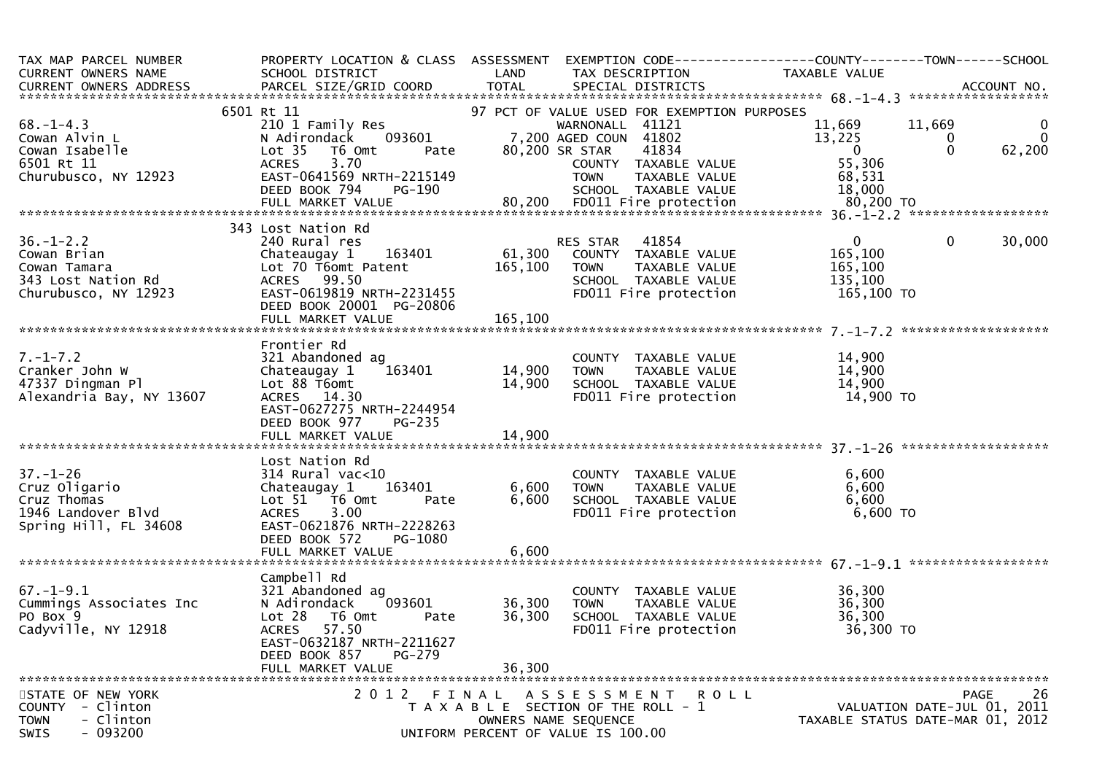| TAX MAP PARCEL NUMBER<br>$\mathcal{L}^{\text{max}}$<br>CURRENT OWNERS NAME                                                                                                                                                                                                                                                                                                                                                                                                                           | PROPERTY LOCATION & CLASS ASSESSMENT EXEMPTION CODE----------------COUNTY-------TOWN------SCHOOL<br>SCHOOL DISTRICT                                                                                                                                                                                    | <b>Example 2018 LAND</b>             | TAX DESCRIPTION                                                                                                                                                 | TAXABLE VALUE                                                        |                                           |
|------------------------------------------------------------------------------------------------------------------------------------------------------------------------------------------------------------------------------------------------------------------------------------------------------------------------------------------------------------------------------------------------------------------------------------------------------------------------------------------------------|--------------------------------------------------------------------------------------------------------------------------------------------------------------------------------------------------------------------------------------------------------------------------------------------------------|--------------------------------------|-----------------------------------------------------------------------------------------------------------------------------------------------------------------|----------------------------------------------------------------------|-------------------------------------------|
|                                                                                                                                                                                                                                                                                                                                                                                                                                                                                                      |                                                                                                                                                                                                                                                                                                        |                                      |                                                                                                                                                                 |                                                                      |                                           |
|                                                                                                                                                                                                                                                                                                                                                                                                                                                                                                      |                                                                                                                                                                                                                                                                                                        |                                      | 97 PCT OF VALUE USED FOR EXEMPTION PURPOSES<br>41802<br>41802<br>41834                                                                                          | $\begin{array}{cc} 11,669 & 11,669 \ 13,225 & 0 \ 0 & 0 \end{array}$ | $\overline{0}$<br>$\mathbf 0$<br>62,200   |
| $58.-1-4.3$<br>Cowan Alvin L<br>Cowan Isabelle<br>Coman Isabelle<br>$5.70$<br>Coman Isabelle<br>Coman Isabelle<br>Coman Isabelle<br>Coman Isabelle<br>Coman Isabelle<br>Coman Isabelle<br>Coman Isabelle<br>Coman ACRES<br>CAST-0641569 NR<br>DEED BOOK 79<br>Churubusco, NY 12923<br>EAST-0641569 NRTH-2215149 TOWN TAXABLE VALUE 68,531<br>DEED BOOK 794 PG-190 80,200 FD011 Fire protection 80,200 TO<br>FULL MARKET VALUE 80,200 FD011 Fire protection 80,200 TO<br>**************************** | WARNONALL 41121<br>N Adirondack 093601 7,200 AGED COUN 41802<br>Lot 35 T6 Omt Pate 80,200 SR STAR 41834<br>ACRES 3.70 COUNTY TAXABLE<br>EAST-0641569 NRTH-2215149 TOWN TAXABLE<br>DEED ROOK 794 PC 1999                                                                                                |                                      | COUNTY TAXABLE VALUE                                                                                                                                            | 55,306                                                               |                                           |
|                                                                                                                                                                                                                                                                                                                                                                                                                                                                                                      |                                                                                                                                                                                                                                                                                                        |                                      |                                                                                                                                                                 |                                                                      |                                           |
|                                                                                                                                                                                                                                                                                                                                                                                                                                                                                                      | 343 Lost Nation Rd                                                                                                                                                                                                                                                                                     |                                      |                                                                                                                                                                 |                                                                      |                                           |
| 36.-1-2.2<br>Cowan Brian Chateaugay 1 163401 Res STAR 41854 0<br>Cowan Tamara Lot 70 T6omt Patent 165,100 TOWN TAXABLE VALUE 165,100<br>343 Lost Nation Rd ACRES 99.50 SCHOOL TAXABLE VALUE 165,100<br>Churubusco, NY 12923 EAST-0619                                                                                                                                                                                                                                                                | DEED BOOK 20001 PG-20806                                                                                                                                                                                                                                                                               |                                      |                                                                                                                                                                 | 165,100 TO                                                           | $\overline{0}$<br>30,000                  |
|                                                                                                                                                                                                                                                                                                                                                                                                                                                                                                      | FULL MARKET VALUE                                                                                                                                                                                                                                                                                      | 165, 100                             |                                                                                                                                                                 |                                                                      |                                           |
|                                                                                                                                                                                                                                                                                                                                                                                                                                                                                                      |                                                                                                                                                                                                                                                                                                        |                                      |                                                                                                                                                                 |                                                                      |                                           |
| $7. - 1 - 7.2$<br>Cranker John W<br>47337 Dingman Pl<br>Alexandria Bay, NY 13607                                                                                                                                                                                                                                                                                                                                                                                                                     | Frontier Rd<br>321 Abandoned ag<br>163401<br>Chateaugay 1<br>Lot 88 T6omt<br>ACRES 14.30<br>EAST-0627275 NRTH-2244954<br>DEED BOOK 977<br><b>PG-235</b>                                                                                                                                                | COUNT<br>14,900 TOWN<br>14,900 SCHOO | COUNTY TAXABLE VALUE $14,900$<br>TOWN TAXABLE VALUE $14,900$<br>SCHOOL TAXABLE VALUE $14,900$<br>FD011 Fire protection $14,900$ TO                              |                                                                      |                                           |
|                                                                                                                                                                                                                                                                                                                                                                                                                                                                                                      |                                                                                                                                                                                                                                                                                                        |                                      |                                                                                                                                                                 |                                                                      |                                           |
| $37. - 1 - 26$<br>Cruz Oligario<br>Cruz Thomas<br>1946 Landover Blvd<br>Spring Hill, FL 34608                                                                                                                                                                                                                                                                                                                                                                                                        | Lost Nation Rd<br>314 Rural vac<10 (COUNTY TAXABLE VALUE 6,600<br>Chateaugay 1 163401 6,600 TOWN TAXABLE VALUE 6,600<br>Lot 51 T6 Omt Pate 6,600 SCHOOL TAXABLE VALUE 6,600<br>ACRES 3.00 FD011 Fire protection 6,600 TO<br>EAST-0621876 NRTH-2228263<br>DEED BOOK 572<br>PG-1080<br>FULL MARKET VALUE | 6,600                                |                                                                                                                                                                 |                                                                      |                                           |
|                                                                                                                                                                                                                                                                                                                                                                                                                                                                                                      | Campbell Rd                                                                                                                                                                                                                                                                                            |                                      |                                                                                                                                                                 |                                                                      |                                           |
| $67. - 1 - 9.1$<br>Cummings Associates Inc<br>PO Box 9<br>Cadyville, NY 12918                                                                                                                                                                                                                                                                                                                                                                                                                        | 321 Abandoned ag<br>093601<br>N Adirondack<br>Lot 28 T6 Omt<br>Pate<br>ACRES 57.50<br>EAST-0632187 NRTH-2211627<br>DEED BOOK 857<br>PG-279                                                                                                                                                             | 36,300                               | COUNTY TAXABLE VALUE 36,300<br>TOWN TAXABLE VALUE 36,300<br>SCHOOL TAXABLE VALUE 36,300<br>FDO11 Fire protection 36,300<br>36,300 TOWN<br>FD011 Fire protection | 36,300 TO                                                            |                                           |
|                                                                                                                                                                                                                                                                                                                                                                                                                                                                                                      | FULL MARKET VALUE                                                                                                                                                                                                                                                                                      | 36,300                               |                                                                                                                                                                 |                                                                      |                                           |
| STATE OF NEW YORK<br>COUNTY - Clinton<br>- Clinton<br><b>TOWN</b><br>$-093200$<br><b>SWIS</b>                                                                                                                                                                                                                                                                                                                                                                                                        | 2012 FINAL                                                                                                                                                                                                                                                                                             |                                      | ASSESSMENT ROLL<br>T A X A B L E SECTION OF THE ROLL - 1<br>OWNERS NAME SEQUENCE<br>UNIFORM PERCENT OF VALUE IS 100.00                                          | TAXABLE STATUS DATE-MAR 01, 2012                                     | 26<br>PAGE<br>VALUATION DATE-JUL 01, 2011 |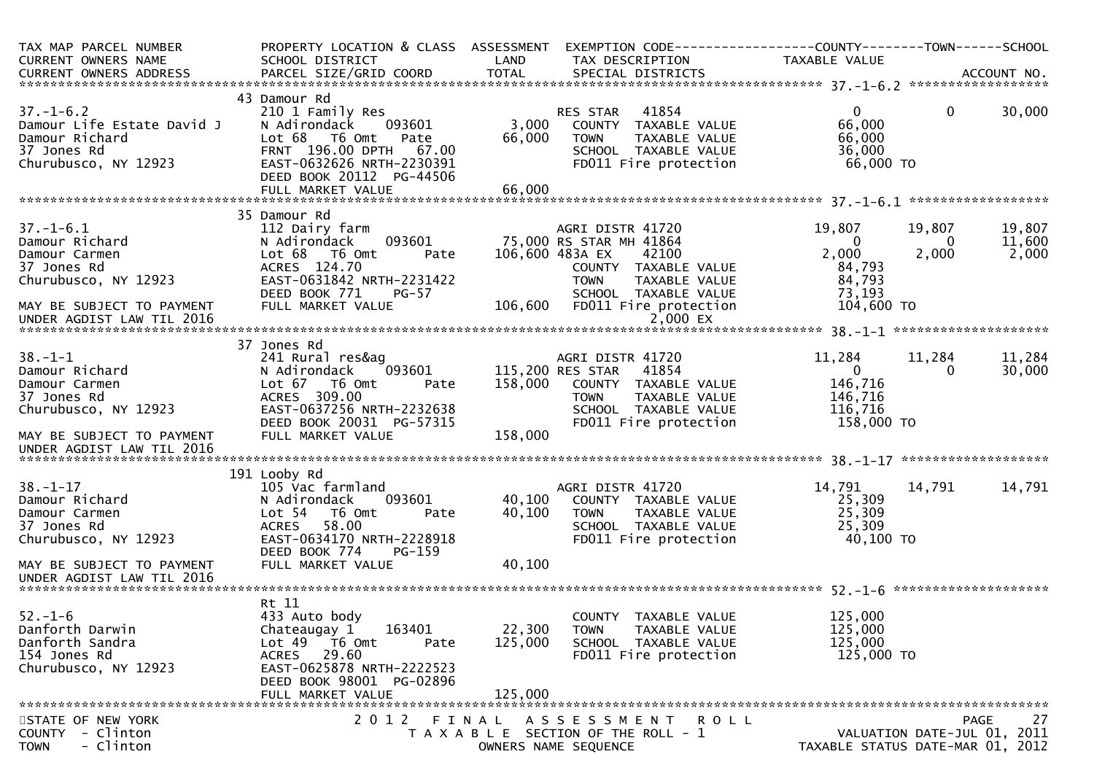| TAX MAP PARCEL NUMBER<br>CURRENT OWNERS NAME<br>CURRENT OWNERS ADDRESS                                                                              | PROPERTY LOCATION & CLASS ASSESSMENT<br>SCHOOL DISTRICT<br>PARCEL SIZE/GRID COORD                                                                                                              | LAND<br><b>TOTAL</b>         | EXEMPTION CODE-----------------COUNTY-------TOWN------SCHOOL<br>TAX DESCRIPTION<br>SPECIAL DISTRICTS                                                                                         | TAXABLE VALUE                                                           |                      | ACCOUNT NO.                               |
|-----------------------------------------------------------------------------------------------------------------------------------------------------|------------------------------------------------------------------------------------------------------------------------------------------------------------------------------------------------|------------------------------|----------------------------------------------------------------------------------------------------------------------------------------------------------------------------------------------|-------------------------------------------------------------------------|----------------------|-------------------------------------------|
|                                                                                                                                                     |                                                                                                                                                                                                |                              |                                                                                                                                                                                              |                                                                         |                      |                                           |
| $37. - 1 - 6.2$<br>Damour Life Estate David J<br>Damour Richard<br>37 Jones Rd<br>Churubusco, NY 12923                                              | 43 Damour Rd<br>210 1 Family Res<br>093601<br>N Adirondack<br>Lot 68 T6 Omt<br>Pate<br>FRNT 196.00 DPTH<br>67.00<br>EAST-0632626 NRTH-2230391<br>DEED BOOK 20112 PG-44506                      | 3,000<br>66,000              | 41854<br>RES STAR<br>COUNTY TAXABLE VALUE<br><b>TOWN</b><br>TAXABLE VALUE<br>SCHOOL TAXABLE VALUE<br>FD011 Fire protection                                                                   | $\mathbf{0}$<br>66,000<br>66,000<br>36,000<br>66,000 TO                 | $\mathbf{0}$         | 30,000                                    |
|                                                                                                                                                     | FULL MARKET VALUE                                                                                                                                                                              | 66,000                       |                                                                                                                                                                                              |                                                                         |                      |                                           |
|                                                                                                                                                     | 35 Damour Rd                                                                                                                                                                                   |                              |                                                                                                                                                                                              |                                                                         |                      |                                           |
| $37. - 1 - 6.1$<br>Damour Richard<br>Damour Carmen<br>37 Jones Rd<br>Churubusco, NY 12923<br>MAY BE SUBJECT TO PAYMENT<br>UNDER AGDIST LAW TIL 2016 | 112 Dairy farm<br>093601<br>N Adirondack<br>Lot 68  T6 0mt<br>Pate<br>ACRES 124.70<br>EAST-0631842 NRTH-2231422<br>DEED BOOK 771<br><b>PG-57</b><br>FULL MARKET VALUE                          | 106,600                      | AGRI DISTR 41720<br>75,000 RS STAR MH 41864<br>106,600 483A EX<br>42100<br>COUNTY TAXABLE VALUE<br><b>TOWN</b><br>TAXABLE VALUE<br>SCHOOL TAXABLE VALUE<br>FD011 Fire protection<br>2,000 EX | 19,807<br>0<br>2,000<br>84,793<br>84,793<br>73,193<br>104,600 TO        | 19,807<br>0<br>2,000 | 19,807<br>11,600<br>2,000                 |
|                                                                                                                                                     |                                                                                                                                                                                                |                              |                                                                                                                                                                                              |                                                                         |                      |                                           |
| $38. - 1 - 1$<br>Damour Richard<br>Damour Carmen<br>37 Jones Rd<br>Churubusco, NY 12923                                                             | 37 Jones Rd<br>241 Rural res&ag<br>N Adirondack<br>093601<br>Lot 67<br>T6 Omt<br>Pate<br>ACRES 309.00<br>EAST-0637256 NRTH-2232638<br>DEED BOOK 20031 PG-57315                                 | 158,000                      | AGRI DISTR 41720<br>115,200 RES STAR<br>41854<br>COUNTY TAXABLE VALUE<br><b>TOWN</b><br>TAXABLE VALUE<br>SCHOOL TAXABLE VALUE<br>FD011 Fire protection                                       | 11,284<br>$\overline{0}$<br>146,716<br>146,716<br>116,716<br>158,000 TO | 11,284<br>0          | 11,284<br>30,000                          |
| MAY BE SUBJECT TO PAYMENT<br>UNDER AGDIST LAW TIL 2016                                                                                              | FULL MARKET VALUE                                                                                                                                                                              | 158,000                      |                                                                                                                                                                                              |                                                                         |                      |                                           |
|                                                                                                                                                     |                                                                                                                                                                                                |                              |                                                                                                                                                                                              |                                                                         |                      |                                           |
| $38. - 1 - 17$<br>Damour Richard<br>Damour Carmen<br>37 Jones Rd<br>Churubusco, NY 12923                                                            | 191 Looby Rd<br>105 Vac farmland<br>093601<br>N Adirondack<br>Lot 54 76 0mt<br>Pate<br>58.00<br><b>ACRES</b><br>EAST-0634170 NRTH-2228918<br>DEED BOOK 774<br>$PG-159$                         | 40,100<br>40,100             | AGRI DISTR 41720<br>COUNTY TAXABLE VALUE<br>TAXABLE VALUE<br>TOWN<br>SCHOOL TAXABLE VALUE<br>FD011 Fire protection                                                                           | 14,791<br>25,309<br>25,309<br>25,309<br>40,100 TO                       | 14,791               | 14,791                                    |
| MAY BE SUBJECT TO PAYMENT<br>UNDER AGDIST LAW TIL 2016                                                                                              | FULL MARKET VALUE                                                                                                                                                                              | 40,100                       |                                                                                                                                                                                              |                                                                         |                      |                                           |
|                                                                                                                                                     |                                                                                                                                                                                                |                              |                                                                                                                                                                                              |                                                                         |                      |                                           |
| $52. - 1 - 6$<br>Danforth Darwin<br>Danforth Sandra<br>154 Jones Rd<br>Churubusco, NY 12923                                                         | Rt 11<br>433 Auto body<br>163401<br>Chateaugay 1<br>Lot <sub>49</sub><br>T6 Omt<br>Pate<br>29.60<br><b>ACRES</b><br>EAST-0625878 NRTH-2222523<br>DEED BOOK 98001 PG-02896<br>FULL MARKET VALUE | 22,300<br>125,000<br>125,000 | COUNTY TAXABLE VALUE<br>TAXABLE VALUE<br><b>TOWN</b><br>SCHOOL TAXABLE VALUE<br>FD011 Fire protection                                                                                        | 125,000<br>125,000<br>125,000<br>125,000 TO                             |                      |                                           |
| STATE OF NEW YORK<br>COUNTY - Clinton<br>- Clinton<br><b>TOWN</b>                                                                                   | 2 0 1 2<br>FINAL                                                                                                                                                                               |                              | A S S E S S M E N T<br>R O L L<br>T A X A B L E SECTION OF THE ROLL - 1<br>OWNERS NAME SEQUENCE                                                                                              | TAXABLE STATUS DATE-MAR 01, 2012                                        |                      | 27<br>PAGE<br>VALUATION DATE-JUL 01, 2011 |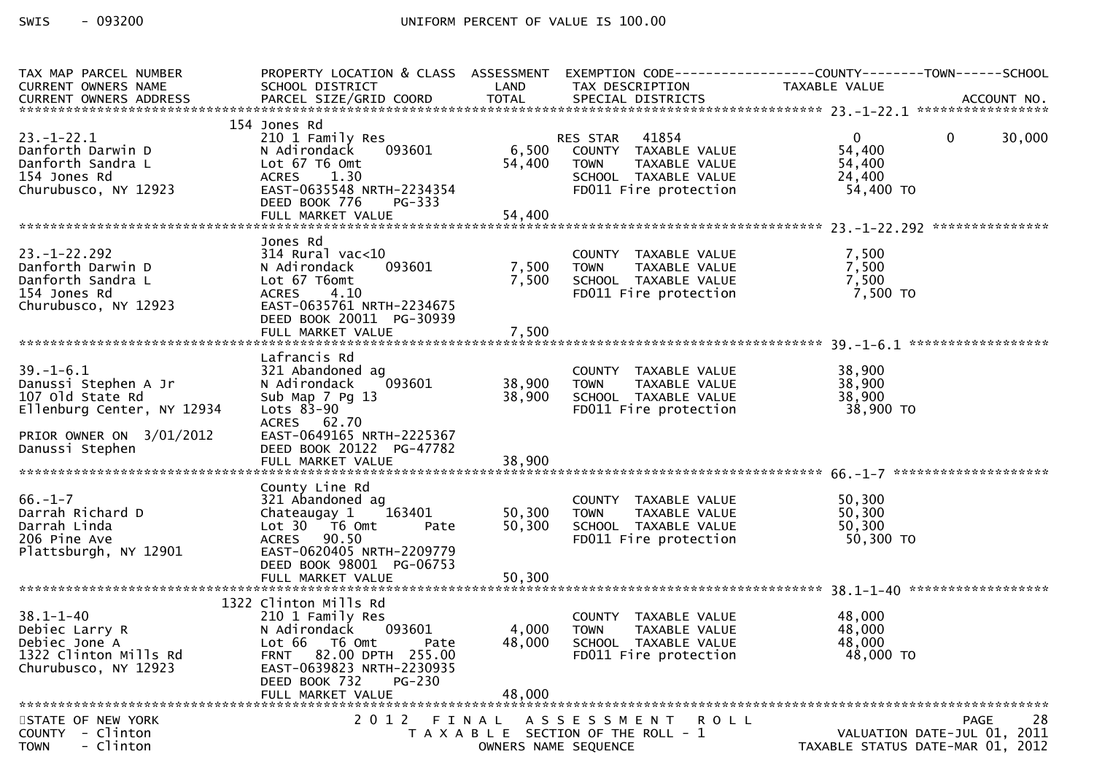| TAX MAP PARCEL NUMBER                                  | PROPERTY LOCATION & CLASS ASSESSMENT    |                      | EXEMPTION CODE------------------COUNTY--------TOWN------SCHOOL   |                  |                                  |
|--------------------------------------------------------|-----------------------------------------|----------------------|------------------------------------------------------------------|------------------|----------------------------------|
| CURRENT OWNERS NAME                                    | SCHOOL DISTRICT                         | LAND                 | TAX DESCRIPTION                                                  | TAXABLE VALUE    |                                  |
|                                                        |                                         |                      |                                                                  |                  |                                  |
|                                                        |                                         |                      |                                                                  |                  |                                  |
|                                                        | 154 Jones Rd                            |                      |                                                                  |                  |                                  |
| $23. - 1 - 22.1$                                       | 210 1 Family Res                        |                      | RES STAR 41854<br>6,500 COUNTY TAXABLE VALUE                     | $\mathbf{0}$     | $\mathbf{0}$<br>30,000           |
| Danforth Darwin D<br>Danforth Sandra L                 | 093601<br>N Adirondack<br>Lot 67 T6 Omt |                      | TAXABLE VALUE                                                    | 54,400           |                                  |
| 154 Jones Rd                                           | ACRES 1.30                              | 54,400               | <b>TOWN</b><br>SCHOOL TAXABLE VALUE                              | 54,400<br>24,400 |                                  |
| Churubusco, NY 12923                                   | EAST-0635548 NRTH-2234354               |                      | FD011 Fire protection                                            | 54,400 TO        |                                  |
|                                                        | DEED BOOK 776<br>PG-333                 |                      |                                                                  |                  |                                  |
|                                                        |                                         |                      |                                                                  |                  |                                  |
|                                                        |                                         |                      |                                                                  |                  |                                  |
|                                                        | Jones Rd<br>$314$ Rural vac< $10$       |                      |                                                                  |                  |                                  |
| $23. - 1 - 22.292$<br>Danforth Darwin D                | 093601                                  | 7,500                | COUNTY TAXABLE VALUE                                             | 7,500            |                                  |
| Danforth Sandra L                                      | N Adirondack<br>Lot 67 T6omt            | 7,500                | TOWN TAXABLE VALUE<br>TOWN TAXABLE VALUE<br>SCHOOL TAXABLE VALUE | 7,500<br>7,500   |                                  |
| 154 Jones Rd                                           | <b>ACRES</b><br>4.10                    |                      | FD011 Fire protection                                            | 7,500 TO         |                                  |
| Churubusco, NY 12923                                   | EAST-0635761 NRTH-2234675               |                      |                                                                  |                  |                                  |
|                                                        | DEED BOOK 20011 PG-30939                |                      |                                                                  |                  |                                  |
|                                                        |                                         |                      |                                                                  |                  |                                  |
|                                                        |                                         |                      |                                                                  |                  |                                  |
|                                                        | Lafrancis Rd                            |                      |                                                                  |                  |                                  |
| $39. - 1 - 6.1$                                        | 321 Abandoned ag                        |                      | COUNTY TAXABLE VALUE                                             | 38,900           |                                  |
| Danussi Stephen A Jr                                   | 093601<br>N Adirondack                  | 38,900 TOWN          | TAXABLE VALUE                                                    | 38,900           |                                  |
| 107 old State Rd                                       | Sub Map 7 Pg 13                         | 38,900               | SCHOOL TAXABLE VALUE                                             | 38,900           |                                  |
| Ellenburg Center, NY 12934                             | Lots $83-90$                            |                      | FD011 Fire protection                                            | 38,900 TO        |                                  |
|                                                        | ACRES 62.70                             |                      |                                                                  |                  |                                  |
| PRIOR OWNER ON 3/01/2012                               | EAST-0649165 NRTH-2225367               |                      |                                                                  |                  |                                  |
| Danussi Stephen                                        | DEED BOOK 20122 PG-47782                |                      |                                                                  |                  |                                  |
|                                                        |                                         |                      |                                                                  |                  |                                  |
|                                                        |                                         |                      |                                                                  |                  |                                  |
|                                                        | County Line Rd                          |                      |                                                                  |                  |                                  |
| $66. - 1 - 7$                                          | 321 Abandoned ag                        |                      | COUNTY TAXABLE VALUE                                             | 50,300           |                                  |
| Darrah Richard D<br>Darrah Linda                       | Chateaugay 1 163401<br>Pate             | 50,300<br>50,300     | <b>TOWN</b><br>TAXABLE VALUE                                     | 50,300<br>50,300 |                                  |
| 206 Pine Ave                                           | Lot 30 76 0mt<br>ACRES 90.50            |                      | SCHOOL TAXABLE VALUE<br>FD011 Fire protection                    | 50,300 TO        |                                  |
| Plattsburgh, NY 12901                                  | EAST-0620405 NRTH-2209779               |                      |                                                                  |                  |                                  |
|                                                        | DEED BOOK 98001 PG-06753                |                      |                                                                  |                  |                                  |
|                                                        |                                         |                      |                                                                  |                  |                                  |
|                                                        |                                         |                      |                                                                  |                  |                                  |
|                                                        | 1322 Clinton Mills Rd                   |                      |                                                                  |                  |                                  |
| $38.1 - 1 - 40$                                        | 210 1 Family Res                        |                      | COUNTY TAXABLE VALUE                                             | 48,000           |                                  |
| Debiec Larry R<br>Debiec Larry R<br>Debiec Jone A      | N Adirondack<br>093601                  | 4,000                | <b>TOWN</b><br>TAXABLE VALUE                                     | 48,000           |                                  |
| Debiec Jone A                                          | Lot 66 T6 Omt<br>Pate                   | 48,000               | SCHOOL TAXABLE VALUE                                             | 48,000           |                                  |
| 1322 Clinton Mills Rd                                  | 82.00 DPTH 255.00<br>FRNT               |                      | FD011 Fire protection                                            | 48,000 TO        |                                  |
| Churubusco, NY 12923                                   | EAST-0639823 NRTH-2230935               |                      |                                                                  |                  |                                  |
|                                                        | DEED BOOK 732<br>$PG-230$               |                      |                                                                  |                  |                                  |
|                                                        | FULL MARKET VALUE                       | 48,000               |                                                                  |                  |                                  |
|                                                        |                                         |                      |                                                                  |                  |                                  |
| STATE OF NEW YORK                                      |                                         |                      | 2012 FINAL ASSESSMENT ROLL                                       |                  | 28<br>PAGE                       |
| <b>COUNTY</b><br>- Clinton<br>- Clinton<br><b>TOWN</b> |                                         |                      | T A X A B L E SECTION OF THE ROLL - 1                            |                  | VALUATION DATE-JUL 01, 2011      |
|                                                        |                                         | OWNERS NAME SEQUENCE |                                                                  |                  | TAXABLE STATUS DATE-MAR 01, 2012 |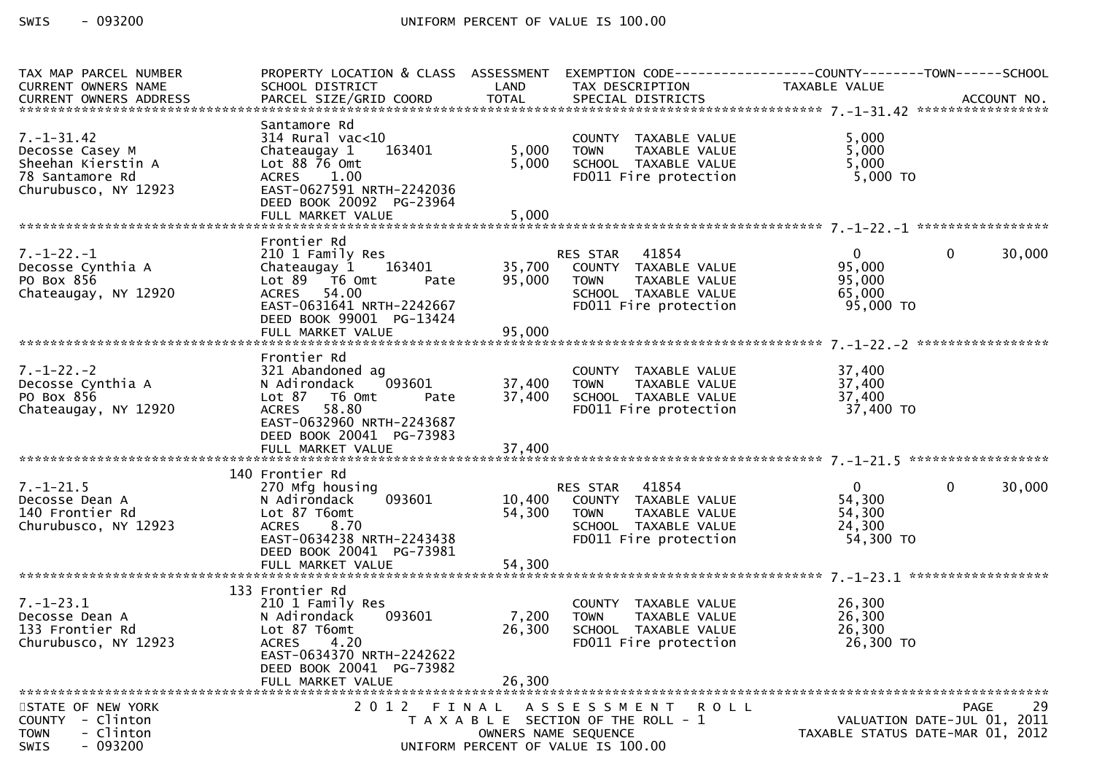| TAX MAP PARCEL NUMBER                     | PROPERTY LOCATION & CLASS ASSESSMENT                |                      | EXEMPTION CODE-----------------COUNTY--------TOWN------SCHOOL         |                                  |        |
|-------------------------------------------|-----------------------------------------------------|----------------------|-----------------------------------------------------------------------|----------------------------------|--------|
| CURRENT OWNERS NAME                       | SCHOOL DISTRICT<br><b>Example 12 District LAND</b>  |                      | TAX DESCRIPTION                                                       | TAXABLE VALUE                    |        |
|                                           |                                                     |                      |                                                                       |                                  |        |
|                                           |                                                     |                      |                                                                       |                                  |        |
|                                           | Santamore Rd                                        |                      |                                                                       |                                  |        |
| $7. - 1 - 31.42$                          | $314$ Rural vac<10                                  |                      | COUNTY TAXABLE VALUE                                                  | 5,000                            |        |
| Decosse Casey M                           | Chateaugay 1 163401                                 | 5,000                | TAXABLE VALUE<br><b>TOWN</b>                                          | 5,000                            |        |
| Sheehan Kierstin A                        | Lot $88\,76$ Omt                                    | 5,000                | SCHOOL TAXABLE VALUE                                                  | 5,000                            |        |
| 78 Santamore Rd                           | ACRES 1.00                                          |                      | FD011 Fire protection                                                 | 5,000 TO                         |        |
| Churubusco, NY 12923                      | EAST-0627591 NRTH-2242036                           |                      |                                                                       |                                  |        |
|                                           | DEED BOOK 20092 PG-23964                            |                      |                                                                       |                                  |        |
|                                           |                                                     |                      |                                                                       |                                  |        |
|                                           |                                                     |                      |                                                                       |                                  |        |
|                                           | Frontier Rd                                         |                      |                                                                       | $\overline{0}$                   | 30,000 |
| $7. - 1 - 22. - 1$                        | 210 1 Family Res                                    |                      | RES STAR 41854<br>COUNTY TAXABLE VALUE                                | $\mathbf{0}$                     |        |
| Decosse Cynthia A<br>PO Box 856           | Chateaugay 1 163401                                 | 35,700               |                                                                       | 95,000                           |        |
|                                           | Lot $89$ $\overline{16}$ Omt<br>Pate<br>ACRES 54.00 | 95,000               | <b>TOWN</b><br>TAXABLE VALUE                                          | 95,000<br>65,000                 |        |
| Chateaugay, NY 12920                      | EAST-0631641 NRTH-2242667                           |                      | SCHOOL TAXABLE VALUE<br>ъ⊂н∪∪∟ ∣AХABLE VALUE<br>FD011 Fire protection | 95,000 TO                        |        |
|                                           | DEED BOOK 99001 PG-13424                            |                      |                                                                       |                                  |        |
|                                           |                                                     |                      |                                                                       |                                  |        |
|                                           |                                                     |                      |                                                                       |                                  |        |
|                                           | Frontier Rd                                         |                      |                                                                       |                                  |        |
| $7. - 1 - 22. - 2$                        | 321 Abandoned ag                                    |                      | COUNTY TAXABLE VALUE                                                  | 37,400                           |        |
| Decosse Cynthia A                         | 093601<br>N Adirondack                              | 37,400               | TAXABLE VALUE<br><b>TOWN</b>                                          | 37,400                           |        |
| PO Box 856                                | Lot 87 T6 Omt<br>Pate                               | 37,400               | SCHOOL TAXABLE VALUE                                                  | 37,400                           |        |
| Chateaugay, NY 12920                      | ACRES 58.80                                         |                      | FD011 Fire protection                                                 | 37,400 TO                        |        |
|                                           | EAST-0632960 NRTH-2243687                           |                      |                                                                       |                                  |        |
|                                           | DEED BOOK 20041 PG-73983                            |                      |                                                                       |                                  |        |
|                                           |                                                     |                      |                                                                       |                                  |        |
|                                           |                                                     |                      |                                                                       |                                  |        |
|                                           | 140 Frontier Rd                                     |                      |                                                                       |                                  |        |
| $7. - 1 - 21.5$                           | 270 Mfg housing                                     |                      | RES STAR 41854                                                        | $\overline{0}$<br>$\mathbf{0}$   | 30,000 |
| Decosse Dean A                            | 093601<br>N Adirondack                              | 10,400               | COUNTY TAXABLE VALUE                                                  | 54,300                           |        |
| 140 Frontier Rd                           | Lot 87 T6omt                                        | 54,300               | <b>TOWN</b><br>TAXABLE VALUE                                          | 54,300                           |        |
| Churubusco, NY 12923                      | ACRES 8.70                                          |                      | SCHOOL TAXABLE VALUE                                                  | 24,300                           |        |
|                                           | EAST-0634238 NRTH-2243438                           |                      | FD011 Fire protection                                                 | 54,300 TO                        |        |
|                                           | DEED BOOK 20041 PG-73981                            |                      |                                                                       |                                  |        |
|                                           |                                                     |                      |                                                                       |                                  |        |
|                                           |                                                     |                      |                                                                       |                                  |        |
|                                           | 133 Frontier Rd                                     |                      |                                                                       |                                  |        |
| $7. - 1 - 23.1$                           | 210 1 Family Res                                    |                      | COUNTY TAXABLE VALUE                                                  | 26,300                           |        |
| Decosse Dean A                            | 093601<br>N Adirondack                              | 7,200                | <b>TOWN</b><br>TAXABLE VALUE                                          | 26,300                           |        |
| 133 Frontier Rd                           | Lot 87 T6omt                                        | 26,300               | SCHOOL TAXABLE VALUE                                                  | 26,300                           |        |
| Churubusco, NY 12923                      | 4.20<br><b>ACRES</b>                                |                      | FD011 Fire protection                                                 | 26,300 TO                        |        |
|                                           | EAST-0634370 NRTH-2242622                           |                      |                                                                       |                                  |        |
|                                           | DEED BOOK 20041 PG-73982                            |                      |                                                                       |                                  |        |
|                                           | FULL MARKET VALUE                                   | 26,300               |                                                                       |                                  |        |
|                                           |                                                     |                      |                                                                       |                                  | 29     |
| STATE OF NEW YORK<br>- Clinton            |                                                     |                      | 2012 FINAL ASSESSMENT<br>R O L L                                      | VALUATION DATE-JUL 01, 2011      | PAGE   |
| <b>COUNTY</b><br><b>TOWN</b><br>- Clinton |                                                     | OWNERS NAME SEQUENCE | T A X A B L E SECTION OF THE ROLL - 1                                 | TAXABLE STATUS DATE-MAR 01, 2012 |        |
| $-093200$<br>SWIS                         |                                                     |                      | UNIFORM PERCENT OF VALUE IS 100.00                                    |                                  |        |
|                                           |                                                     |                      |                                                                       |                                  |        |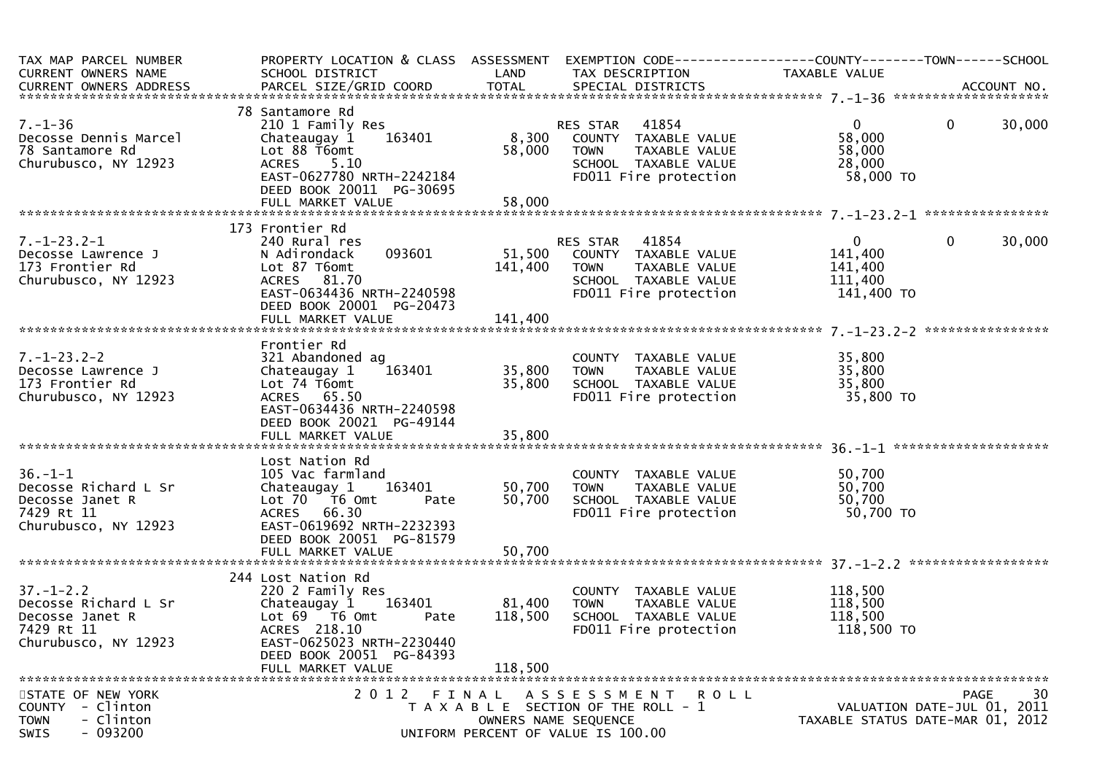| TAX MAP PARCEL NUMBER<br>CURRENT OWNERS NAME<br>.CURRENT OWNERS ADDRESS PARCEL SIZE/GRID COORD TOTAL SPECIAL DISTRICTS MONERS ADDRESS PERSON PARCEL SIZE/GRID COORD TOTAL SPECIAL DISTRICTS ACCOUNT NO. | PROPERTY LOCATION & CLASS ASSESSMENT EXEMPTION CODE----------------COUNTY-------TOWN------SCHOOL<br>SCHOOL DISTRICT                                                                                 |                              | LAND TAX DESCRIPTION                                                                                                                      | TAXABLE VALUE                                                 |                                                                                      |
|---------------------------------------------------------------------------------------------------------------------------------------------------------------------------------------------------------|-----------------------------------------------------------------------------------------------------------------------------------------------------------------------------------------------------|------------------------------|-------------------------------------------------------------------------------------------------------------------------------------------|---------------------------------------------------------------|--------------------------------------------------------------------------------------|
|                                                                                                                                                                                                         |                                                                                                                                                                                                     |                              |                                                                                                                                           |                                                               |                                                                                      |
| $7. - 1 - 36$<br>Decosse Dennis Marcel<br>78 Santamore Rd<br>Churubusco, NY 12923                                                                                                                       | 78 Santamore Rd<br>210 1 Family Res<br>163401<br>Chateaugay 1<br>Lot 88 T6omt<br><b>ACRES</b><br>5.10<br>DEED BOOK 20011 PG-30695                                                                   | 8,300<br>58,000              | <b>RES STAR 41854</b><br>ES STAR - 41854<br>COUNTY - TAXABLE VALUE<br>TOWN TAXABLE VALUE<br>SCHOOL TAXABLE VALUE<br>FD011 Fire protection | $\mathbf{0}$<br>58,000<br>58,000<br>28,000<br>58,000 TO       | $\mathbf{0}$<br>30,000                                                               |
|                                                                                                                                                                                                         |                                                                                                                                                                                                     |                              |                                                                                                                                           |                                                               |                                                                                      |
|                                                                                                                                                                                                         | 173 Frontier Rd                                                                                                                                                                                     |                              |                                                                                                                                           |                                                               |                                                                                      |
| 7.-1-23.2-1<br>Decosse Lawrence J<br>173 Frontier Rd<br>173 Frontier Rd<br>Churubusco, NY 12923                                                                                                         | 240 Rural res<br>093601<br>N Adirondack<br>Lot 87 T6omt<br>ACRES 81.70<br>EAST-0634436 NRTH-2240598<br>DEED BOOK 20001 PG-20473                                                                     | 141,400                      | RES STAR     41854<br>51,500    COUNTY   TAXABLE  VALUE<br>TOWN TAXABLE VALUE<br>SCHOOL TAXABLE VALUE<br>FD011 Fire protection            | $\overline{0}$<br>141,400<br>141,400<br>111,400<br>141,400 TO | 30,000<br>$\Omega$                                                                   |
|                                                                                                                                                                                                         |                                                                                                                                                                                                     |                              |                                                                                                                                           |                                                               |                                                                                      |
|                                                                                                                                                                                                         | Frontier Rd                                                                                                                                                                                         |                              |                                                                                                                                           |                                                               |                                                                                      |
| $7. - 1 - 23.2 - 2$<br>Decosse Lawrence J<br>173 Frontier Rd<br>Churubusco, NY 12923                                                                                                                    | 321 Abandoned ag<br>163401<br>Chateaugay 1<br>Lot 74 T6omt<br>ACRES 65.50<br>EAST-0634436 NRTH-2240598<br>DEED BOOK 20021 PG-49144                                                                  | 35,800                       | COUNTY TAXABLE VALUE<br>TOWN     TAXABLE VALUE<br>SCHOOL   TAXABLE VALUE<br>35,800 TOWN<br>FD011 Fire protection 35,800 TO                | 35,800<br>35,800<br>35,800                                    |                                                                                      |
|                                                                                                                                                                                                         |                                                                                                                                                                                                     |                              |                                                                                                                                           |                                                               |                                                                                      |
| $36. - 1 - 1$<br>Decosse Richard L Sr<br>Decosse Janet R<br>7429 Rt 11<br>Churubusco, NY 12923                                                                                                          | Lost Nation Rd<br>105 Vac farmland<br>Chateaugay 1 163401<br>Lot 70 T6 Omt<br>Pate<br>ACRES 66.30<br>EAST-0619692 NRTH-2232393<br>DEED BOOK 20051 PG-81579                                          |                              | COUNTY TAXABLE VALUE<br>50,700 TOWN TAXABLE VALUE<br>50,700 SCHOOL TAXABLE VALUE<br>FD011 Fire protection                                 | 50,700<br>50,700<br>50,700<br>50,700 TO                       |                                                                                      |
|                                                                                                                                                                                                         |                                                                                                                                                                                                     |                              |                                                                                                                                           |                                                               |                                                                                      |
| $37. - 1 - 2.2$<br>Decosse Richard L Sr<br>Decosse Janet R<br>7429 Rt 11<br>Churubusco, NY 12923                                                                                                        | 244 Lost Nation Rd<br>220 2 Family Res<br>Chateaugay 1 163401<br>Lot $69$ $\overline{76}$ Omt<br>Pate<br>ACRES 218.10<br>EAST-0625023 NRTH-2230440<br>DEED BOOK 20051 PG-84393<br>FULL MARKET VALUE | 81,400<br>118,500<br>118,500 | COUNTY TAXABLE VALUE<br>TAXABLE VALUE<br>TOWN<br>SCHOOL TAXABLE VALUE<br>FD011 Fire protection                                            | 118,500<br>118,500<br>118,500<br>118,500 TO                   |                                                                                      |
|                                                                                                                                                                                                         |                                                                                                                                                                                                     |                              |                                                                                                                                           |                                                               |                                                                                      |
| STATE OF NEW YORK<br>COUNTY - Clinton<br>- Clinton<br><b>TOWN</b><br>$-093200$<br>SWIS                                                                                                                  | 2 0 1 2<br>FINAL                                                                                                                                                                                    |                              | ASSESSMENT ROLL<br>T A X A B L E SECTION OF THE ROLL - 1<br>OWNERS NAME SEQUENCE<br>UNIFORM PERCENT OF VALUE IS 100.00                    |                                                               | 30<br><b>PAGE</b><br>VALUATION DATE-JUL 01, 2011<br>TAXABLE STATUS DATE-MAR 01, 2012 |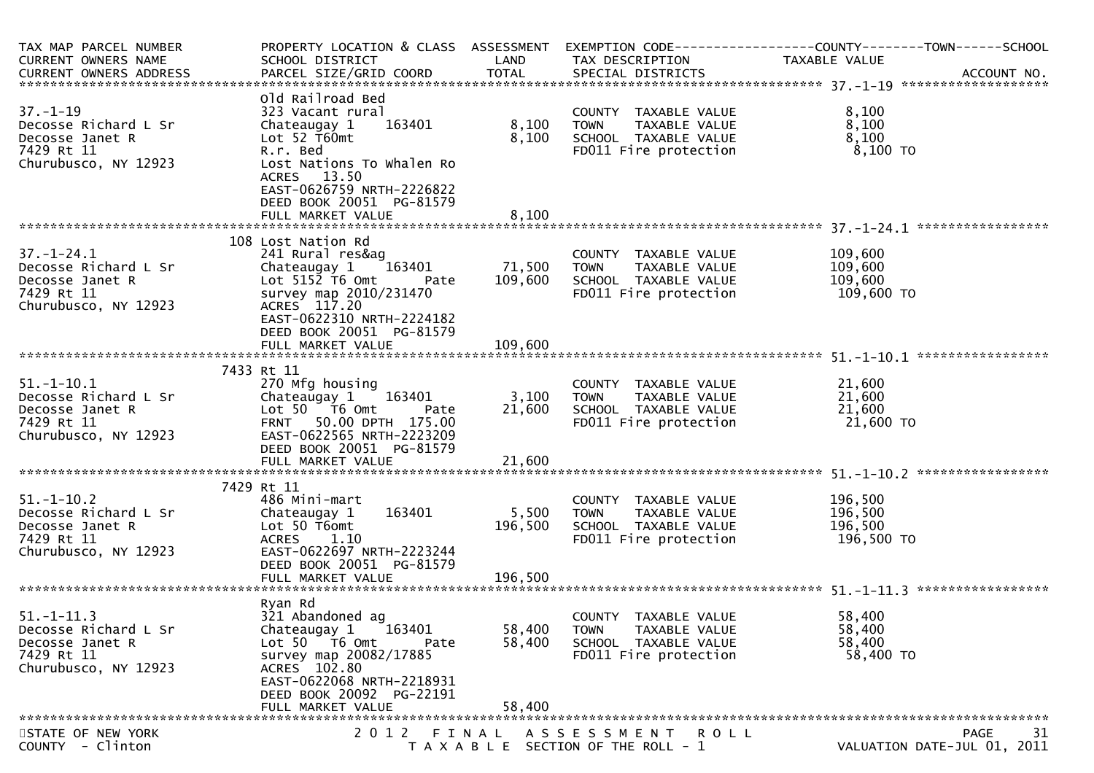| TAX MAP PARCEL NUMBER<br>CURRENT OWNERS NAME                                                      | PROPERTY LOCATION & CLASS ASSESSMENT<br>SCHOOL DISTRICT                                                                                                                                                              | LAND                       | TAX DESCRIPTION                                                                                       | EXEMPTION CODE-----------------COUNTY-------TOWN------SCHOOL<br>TAXABLE VALUE |
|---------------------------------------------------------------------------------------------------|----------------------------------------------------------------------------------------------------------------------------------------------------------------------------------------------------------------------|----------------------------|-------------------------------------------------------------------------------------------------------|-------------------------------------------------------------------------------|
| $37. - 1 - 19$<br>Decosse Richard L Sr<br>Decosse Janet R<br>7429 Rt 11<br>Churubusco, NY 12923   | Old Railroad Bed<br>323 Vacant rural<br>163401<br>Chateaugay 1<br>Lot 52 T60mt<br>R.r. Bed<br>Lost Nations To Whalen Ro<br>ACRES 13.50<br>EAST-0626759 NRTH-2226822<br>DEED BOOK 20051 PG-81579<br>FULL MARKET VALUE | 8,100<br>8,100<br>8,100    | COUNTY TAXABLE VALUE<br>TAXABLE VALUE<br>TOWN<br>SCHOOL TAXABLE VALUE<br>FD011 Fire protection        | 8,100<br>8,100<br>8,100<br>8,100 то                                           |
| $37. - 1 - 24.1$<br>Decosse Richard L Sr<br>Decosse Janet R<br>7429 Rt 11<br>Churubusco, NY 12923 | 108 Lost Nation Rd<br>241 Rural res&ag<br>163401<br>Chateaugay 1<br>Lot $515\overline{2}$ T6 Omt<br><b>Pate</b><br>survey map 2010/231470<br>ACRES 117.20<br>EAST-0622310 NRTH-2224182<br>DEED BOOK 20051 PG-81579   | 71,500<br>109,600          | COUNTY TAXABLE VALUE<br><b>TOWN</b><br>TAXABLE VALUE<br>SCHOOL TAXABLE VALUE<br>FD011 Fire protection | 109,600<br>109,600<br>109,600<br>109,600 TO                                   |
| $51.-1-10.1$<br>Decosse Richard L Sr<br>Decosse Janet R<br>7429 Rt 11<br>Churubusco, NY 12923     | 7433 Rt 11<br>270 Mfg housing<br>Chateaugay $1 \t163401$<br>Lot $50$ $\overline{16}$ Omt<br>Pate<br>FRNT 50.00 DPTH 175.00<br>EAST-0622565 NRTH-2223209<br>DEED BOOK 20051 PG-81579<br>FULL MARKET VALUE             | 3,100<br>21,600<br>21,600  | COUNTY TAXABLE VALUE<br>TOWN TAXABLE VALUE<br>SCHOOL TAXABLE VALUE<br>FD011 Fire protection           | 21,600<br>21,600<br>21,600<br>21,600 TO                                       |
| $51. - 1 - 10.2$<br>Decosse Richard L Sr<br>Decosse Janet R<br>7429 Rt 11<br>Churubusco, NY 12923 | 7429 Rt 11<br>486 Mini-mart<br>163401<br>Chateaugay 1<br>Lot 50 T6omt<br><b>ACRES</b><br>1.10<br>EAST-0622697 NRTH-2223244<br>DEED BOOK 20051 PG-81579                                                               | 5,500<br>196,500           | COUNTY TAXABLE VALUE<br>TAXABLE VALUE<br><b>TOWN</b><br>SCHOOL TAXABLE VALUE<br>FD011 Fire protection | 196,500<br>196,500<br>196,500<br>196,500 то                                   |
| $51. - 1 - 11.3$<br>Decosse Richard L Sr<br>Decosse Janet R<br>7429 Rt 11<br>Churubusco, NY 12923 | Ryan Rd<br>321 Abandoned ag<br>163401<br>Chateaugay 1<br>Lot 50 76 0<br>Pate<br>survey map 20082/17885<br>ACRES 102.80<br>EAST-0622068 NRTH-2218931<br>DEED BOOK 20092 PG-22191<br>FULL MARKET VALUE                 | 58,400<br>58,400<br>58,400 | COUNTY TAXABLE VALUE<br><b>TOWN</b><br>TAXABLE VALUE<br>SCHOOL TAXABLE VALUE<br>FD011 Fire protection | 58,400<br>58,400<br>58,400<br>58,400 TO                                       |
| STATE OF NEW YORK<br>COUNTY - Clinton                                                             | 2 0 1 2                                                                                                                                                                                                              | FINAL                      | A S S E S S M E N T R O L L<br>T A X A B L E SECTION OF THE ROLL - 1                                  | <b>PAGE</b><br>-31<br>VALUATION DATE-JUL 01, 2011                             |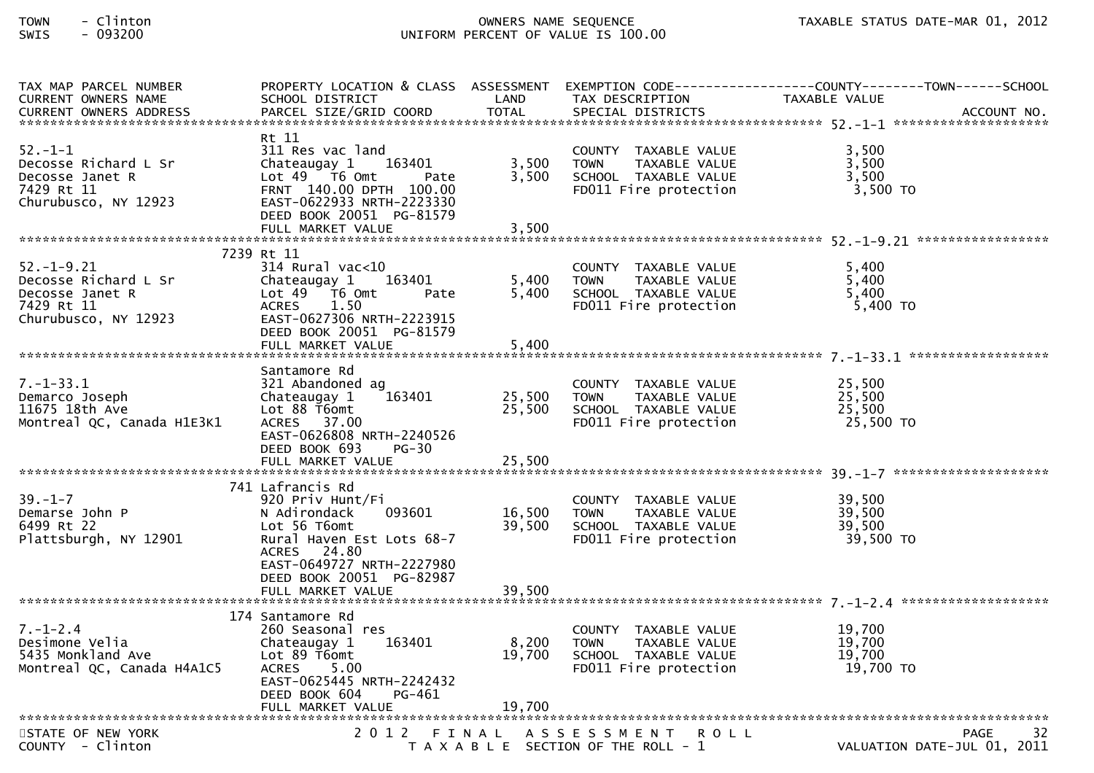# TOWN - Clinton OWNERS NAME SEQUENCE TAXABLE STATUS DATE-MAR 01, 2012SWIS - 093200 UNIFORM PERCENT OF VALUE IS 100.00

| TAX MAP PARCEL NUMBER<br><b>CURRENT OWNERS NAME</b>                                               | SCHOOL DISTRICT                                                                                                                                                                                      | LAND                    | TAX DESCRIPTION                                                                                       | PROPERTY LOCATION & CLASS ASSESSMENT EXEMPTION CODE----------------COUNTY-------TOWN------SCHOOL<br>TAXABLE VALUE<br>CURRENT OWNERS ADDRESS PARCEL SIZE/GRID COORD TOTAL SPECIAL DISTRICTS (2007) ACCOUNT NO. |
|---------------------------------------------------------------------------------------------------|------------------------------------------------------------------------------------------------------------------------------------------------------------------------------------------------------|-------------------------|-------------------------------------------------------------------------------------------------------|---------------------------------------------------------------------------------------------------------------------------------------------------------------------------------------------------------------|
| $52 - 1 - 1$<br>Decosse Richard L Sr<br>Decosse Janet R<br>7429 Rt 11<br>Churubusco, NY 12923     | Rt 11<br>311 Res vac land<br>Chateaugay 1<br>163401<br>Lot $49$ $\overline{76}$ Omt<br>Pate<br>FRNT 140.00 DPTH 100.00<br>EAST-0622933 NRTH-2223330<br>DEED BOOK 20051 PG-81579<br>FULL MARKET VALUE | 3,500<br>3,500<br>3,500 | COUNTY TAXABLE VALUE<br><b>TOWN</b><br>TAXABLE VALUE<br>SCHOOL TAXABLE VALUE<br>FD011 Fire protection | 3,500<br>3,500<br>3,500<br>$3,500$ TO                                                                                                                                                                         |
|                                                                                                   |                                                                                                                                                                                                      |                         |                                                                                                       |                                                                                                                                                                                                               |
| $52. - 1 - 9.21$<br>Decosse Richard L Sr<br>Decosse Janet R<br>7429 Rt 11<br>Churubusco, NY 12923 | 7239 Rt 11<br>314 Rural vac<10<br>163401<br>Chateaugay 1<br>Lot 49  T6 0mt<br>Pate<br>ACRES<br>1.50<br>EAST-0627306 NRTH-2223915<br>DEED BOOK 20051 PG-81579<br>FULL MARKET VALUE                    | 5,400<br>5,400<br>5,400 | COUNTY TAXABLE VALUE<br>TAXABLE VALUE<br><b>TOWN</b><br>SCHOOL TAXABLE VALUE<br>FD011 Fire protection | 5,400<br>5,400<br>5,400<br>5,400 TO                                                                                                                                                                           |
|                                                                                                   |                                                                                                                                                                                                      |                         |                                                                                                       |                                                                                                                                                                                                               |
| $7. - 1 - 33.1$<br>Demarco Joseph<br>11675 18th Ave<br>Montreal QC, Canada H1E3K1                 | Santamore Rd<br>321 Abandoned ag<br>163401<br>Chateaugay 1<br>Lot 88 T6omt<br>ACRES 37.00<br>EAST-0626808 NRTH-2240526<br>DEED BOOK 693<br>PG-30                                                     | 25,500<br>25,500        | COUNTY TAXABLE VALUE<br><b>TOWN</b><br>TAXABLE VALUE<br>SCHOOL TAXABLE VALUE<br>FD011 Fire protection | 25,500<br>25,500<br>25,500<br>25,500 TO                                                                                                                                                                       |
|                                                                                                   |                                                                                                                                                                                                      |                         |                                                                                                       |                                                                                                                                                                                                               |
| $39. - 1 - 7$<br>Demarse John P<br>6499 Rt 22<br>Plattsburgh, NY 12901                            | 741 Lafrancis Rd<br>920 Priv Hunt/Fi<br>093601<br>N Adirondack<br>Lot 56 T6omt<br>Rural Haven Est Lots 68-7<br>ACRES 24.80<br>EAST-0649727 NRTH-2227980<br>DEED BOOK 20051 PG-82987                  | 16,500<br>39,500        | COUNTY TAXABLE VALUE<br><b>TOWN</b><br>TAXABLE VALUE<br>SCHOOL TAXABLE VALUE<br>FD011 Fire protection | 39,500<br>39,500<br>39,500<br>39,500 TO                                                                                                                                                                       |
|                                                                                                   | FULL MARKET VALUE                                                                                                                                                                                    | 39,500                  |                                                                                                       |                                                                                                                                                                                                               |
|                                                                                                   |                                                                                                                                                                                                      |                         |                                                                                                       |                                                                                                                                                                                                               |
| $7. - 1 - 2.4$<br>Desimone Velia<br>5435 Monkland Ave<br>Montreal QC, Canada H4A1C5               | 174 Santamore Rd<br>260 Seasonal res<br>163401<br>Chateaugay 1<br>Lot 89 T6omt<br><b>ACRES</b><br>5.00<br>EAST-0625445 NRTH-2242432<br>DEED BOOK 604<br>PG-461                                       | 8,200<br>19,700         | COUNTY TAXABLE VALUE<br><b>TOWN</b><br>TAXABLE VALUE<br>SCHOOL TAXABLE VALUE<br>FD011 Fire protection | 19,700<br>19,700<br>19,700<br>19,700 TO                                                                                                                                                                       |
|                                                                                                   |                                                                                                                                                                                                      |                         |                                                                                                       |                                                                                                                                                                                                               |
| STATE OF NEW YORK<br>COUNTY - Clinton                                                             |                                                                                                                                                                                                      |                         | 2012 FINAL ASSESSMENT ROLL<br>T A X A B L E SECTION OF THE ROLL - 1                                   | 32<br><b>PAGE</b><br>VALUATION DATE-JUL 01, 2011                                                                                                                                                              |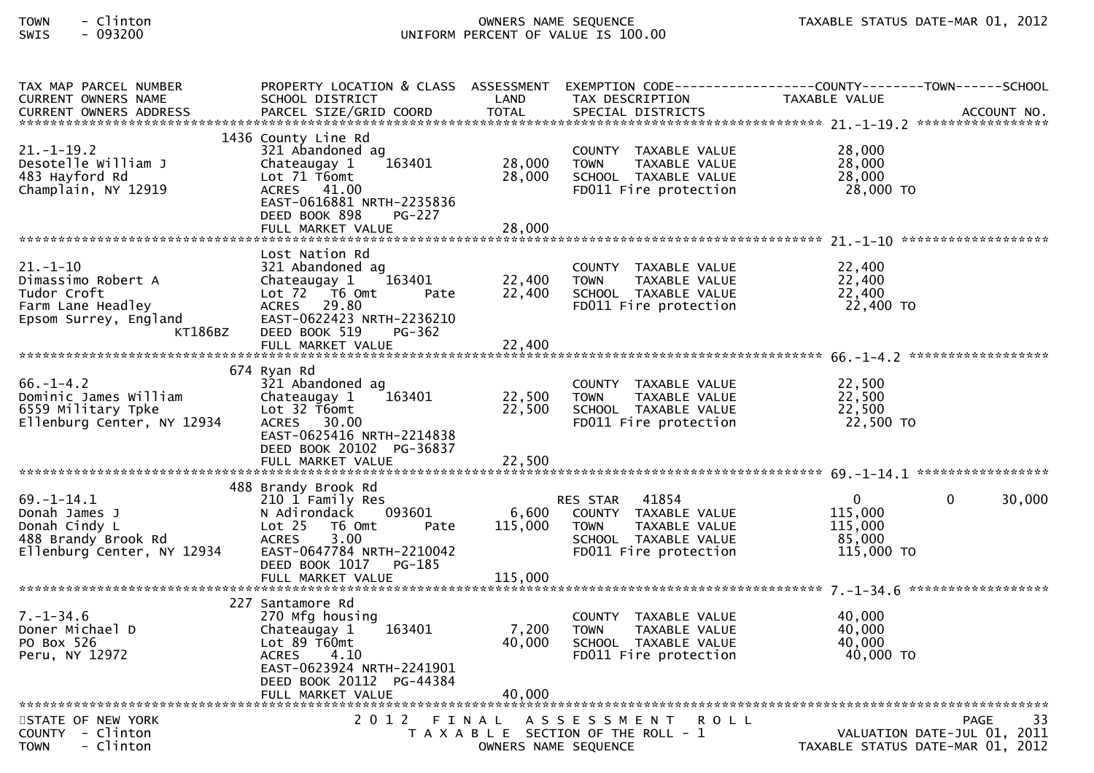# TOWN - Clinton OWNERS NAME SEQUENCE TAXABLE STATUS DATE-MAR 01, 2012SWIS - 093200 UNIFORM PERCENT OF VALUE IS 100.00

| TAX MAP PARCEL NUMBER<br>CURRENT OWNERS NAME                                                                 | PROPERTY LOCATION & CLASS ASSESSMENT<br>SCHOOL DISTRICT                                                                                                                              | LAND                       | TAX DESCRIPTION TAXABLE VALUE                                                                                           | EXEMPTION CODE-----------------COUNTY-------TOWN------SCHOOL                             |
|--------------------------------------------------------------------------------------------------------------|--------------------------------------------------------------------------------------------------------------------------------------------------------------------------------------|----------------------------|-------------------------------------------------------------------------------------------------------------------------|------------------------------------------------------------------------------------------|
| $21.-1-19.2$<br>Desotelle William J<br>483 Hayford Rd<br>Champlain, NY 12919                                 | 1436 County Line Rd<br>321 Abandoned ag<br>163401<br>Chateaugay 1<br>Lot 71 T6omt<br>ACRES 41.00<br>EAST-0616881 NRTH-2235836<br>DEED BOOK 898<br><b>PG-227</b><br>FULL MARKET VALUE | 28,000<br>28,000<br>28,000 | COUNTY TAXABLE VALUE<br>TAXABLE VALUE<br><b>TOWN</b><br>SCHOOL TAXABLE VALUE<br>FD011 Fire protection                   | 28,000<br>28,000<br>28,000<br>28,000 TO                                                  |
|                                                                                                              | Lost Nation Rd                                                                                                                                                                       |                            |                                                                                                                         |                                                                                          |
| $21. - 1 - 10$<br>Dimassimo Robert A<br>Tudor Croft<br>Farm Lane Headley<br>Epsom Surrey, England<br>KT186BZ | 321 Abandoned ag<br>163401<br>Chateaugay 1<br>Lot 72 T6 Omt<br>Pate<br>ACRES 29.80<br>EAST-0622423 NRTH-2236210<br>DEED BOOK 519<br>PG-362                                           | 22,400<br>22,400           | COUNTY TAXABLE VALUE<br><b>TOWN</b><br>TAXABLE VALUE<br>SCHOOL TAXABLE VALUE<br>FD011 Fire protection                   | 22,400<br>22,400<br>22,400<br>22,400 TO                                                  |
|                                                                                                              |                                                                                                                                                                                      |                            |                                                                                                                         |                                                                                          |
| $66. - 1 - 4.2$<br>Dominic James William<br>6559 Military Tpke<br>Ellenburg Center, NY 12934                 | 674 Ryan Rd<br>321 Abandoned ag<br>163401<br>Chateaugay 1<br>Lot 32 T6omt<br>ACRES 30.00<br>EAST-0625416 NRTH-2214838<br>DEED BOOK 20102 PG-36837                                    | 22,500<br>22,500           | COUNTY TAXABLE VALUE<br><b>TOWN</b><br>TAXABLE VALUE<br>SCHOOL TAXABLE VALUE<br>FD011 Fire protection                   | 22,500<br>22,500<br>22,500<br>22,500 TO                                                  |
|                                                                                                              |                                                                                                                                                                                      |                            |                                                                                                                         |                                                                                          |
| $69. - 1 - 14.1$<br>Donah James J<br>Donah Cindy L<br>488 Brandy Brook Rd<br>Ellenburg Center, NY 12934      | 488 Brandy Brook Rd<br>210 1 Family Res<br>093601<br>N Adirondack<br>Lot 25 T6 Omt<br>Pate<br>3.00<br><b>ACRES</b><br>EAST-0647784 NRTH-2210042<br>DEED BOOK 1017 PG-185             | 6,600<br>115,000           | RES STAR 41854<br>COUNTY TAXABLE VALUE<br><b>TOWN</b><br>TAXABLE VALUE<br>SCHOOL TAXABLE VALUE<br>FD011 Fire protection | $\overline{0}$<br>30,000<br>$\overline{0}$<br>115,000<br>115,000<br>85,000<br>115,000 TO |
|                                                                                                              | FULL MARKET VALUE                                                                                                                                                                    | 115,000                    |                                                                                                                         |                                                                                          |
| $7. - 1 - 34.6$<br>Doner Michael D<br>PO Box 526<br>Peru, NY 12972                                           | 227 Santamore Rd<br>270 Mfg housing<br>163401<br>Chateaugay 1<br>Lot $89$ T60mt<br>ACRES 4.10<br>EAST-0623924 NRTH-2241901<br>DEED BOOK 20112 PG-44384<br>FULL MARKET VALUE          | 7,200<br>40,000<br>40,000  | COUNTY TAXABLE VALUE<br>TAXABLE VALUE<br><b>TOWN</b><br>SCHOOL TAXABLE VALUE<br>FD011 Fire protection                   | 40,000<br>40,000<br>40,000<br>40,000 TO                                                  |
| STATE OF NEW YORK<br>COUNTY - Clinton<br>- Clinton<br><b>TOWN</b>                                            | 2 0 1 2                                                                                                                                                                              | FINAL                      | ASSESSMENT ROLL<br>T A X A B L E SECTION OF THE ROLL - 1<br>OWNERS NAME SEQUENCE                                        | 33<br><b>PAGE</b><br>VALUATION DATE-JUL 01, 2011<br>TAXABLE STATUS DATE-MAR 01, 2012     |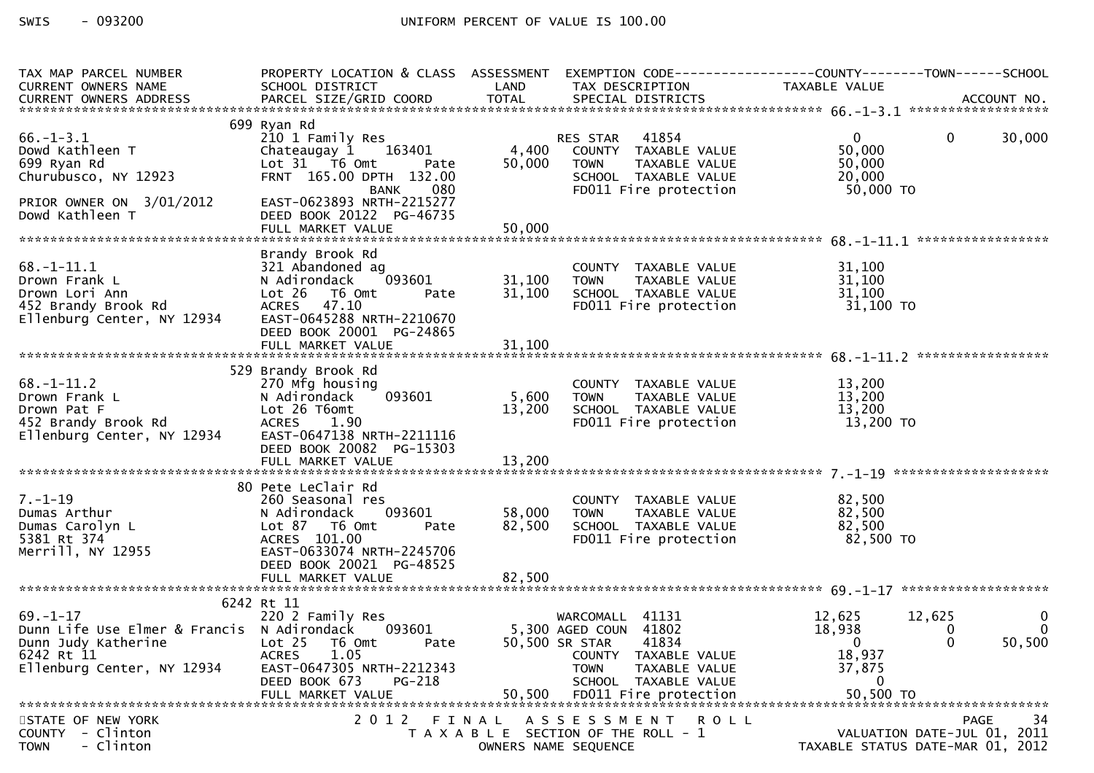| TAX MAP PARCEL NUMBER                             |                                               |                      | PROPERTY LOCATION & CLASS ASSESSMENT EXEMPTION CODE----------------COUNTY-------TOWN------SCHOOL |                                  |                |
|---------------------------------------------------|-----------------------------------------------|----------------------|--------------------------------------------------------------------------------------------------|----------------------------------|----------------|
| CURRENT OWNERS NAME                               | SCHOOL DISTRICT<br><b>Example 18 The LAND</b> |                      | TAX DESCRIPTION                                                                                  | TAXABLE VALUE                    |                |
|                                                   |                                               |                      |                                                                                                  |                                  |                |
|                                                   |                                               |                      |                                                                                                  |                                  |                |
|                                                   | 699 Ryan Rd                                   |                      |                                                                                                  |                                  |                |
| $66. - 1 - 3.1$                                   | 210 1 Family Res                              |                      | RES STAR 41854<br>4,400 COUNTY TAXABLE VALUE                                                     | $0 \qquad \qquad$<br>$\mathbf 0$ | 30,000         |
| Dowd Kathleen T                                   | Chateaugay 1 163401                           |                      |                                                                                                  | 50,000                           |                |
| 699 Ryan Rd                                       | Lot 31 T6 Omt<br>Pate                         | 50,000               | TAXABLE VALUE<br><b>TOWN</b>                                                                     | 50,000                           |                |
| Churubusco, NY 12923                              | FRNT 165.00 DPTH 132.00                       |                      | SCHOOL TAXABLE VALUE<br>FDO11 Fire protection                                                    | 20,000                           |                |
|                                                   | 080<br>BANK                                   |                      |                                                                                                  | $50,000$ TO                      |                |
| PRIOR OWNER ON 3/01/2012                          | EAST-0623893 NRTH-2215277                     |                      |                                                                                                  |                                  |                |
| Dowd Kathleen T                                   | DEED BOOK 20122 PG-46735                      |                      |                                                                                                  |                                  |                |
|                                                   | FULL MARKET VALUE                             | 50,000               |                                                                                                  |                                  |                |
|                                                   |                                               |                      |                                                                                                  |                                  |                |
|                                                   | Brandy Brook Rd                               |                      |                                                                                                  |                                  |                |
| $68. - 1 - 11.1$                                  | 321 Abandoned ag<br>N Adirondack              | 31,100               | COUNTY TAXABLE VALUE                                                                             | 31,100<br>31,100                 |                |
| Drown Frank L                                     | $093601$ 31,100<br>1t Pate 31,100             | 31,100               |                                                                                                  | 31,100                           |                |
| Drown Lori Ann                                    | Lot 26 T6 Omt<br>ACRES 47.10                  |                      | TOWN TAXABLE<br>SCHOOL TAXABLE VALUE<br>In ring protection                                       | $31,100$ TO                      |                |
| 452 Brandy Brook Rd<br>Ellenburg Center, NY 12934 | EAST-0645288 NRTH-2210670                     |                      |                                                                                                  |                                  |                |
|                                                   | DEED BOOK 20001 PG-24865                      |                      |                                                                                                  |                                  |                |
|                                                   |                                               |                      |                                                                                                  |                                  |                |
|                                                   |                                               |                      |                                                                                                  |                                  |                |
|                                                   | 529 Brandy Brook Rd                           |                      |                                                                                                  |                                  |                |
| $68. - 1 - 11.2$                                  | 270 Mfg housing                               |                      |                                                                                                  |                                  |                |
| Drown Frank L                                     | 093601<br>N Adirondack                        | 5,600                | <b>TOWN</b>                                                                                      |                                  |                |
| Drown Pat F                                       | Lot 26 T6omt                                  | 13,200               |                                                                                                  |                                  |                |
| 452 Brandy Brook Rd                               | ACRES 1.90                                    |                      |                                                                                                  |                                  |                |
| Ellenburg Center, NY 12934                        | EAST-0647138 NRTH-2211116                     |                      |                                                                                                  |                                  |                |
|                                                   | DEED BOOK 20082 PG-15303                      |                      |                                                                                                  |                                  |                |
|                                                   | FULL MARKET VALUE                             | 13,200               |                                                                                                  |                                  |                |
|                                                   |                                               |                      |                                                                                                  |                                  |                |
|                                                   | 80 Pete LeClair Rd                            |                      |                                                                                                  |                                  |                |
| $7. - 1 - 19$                                     | 260 Seasonal res                              |                      | COUNTY TAXABLE VALUE                                                                             | 82,500                           |                |
| Dumas Arthur                                      | N Adirondack                                  | 58,000               | <b>TOWN</b><br>TAXABLE VALUE                                                                     | 82,500                           |                |
| Dumas Carolyn L                                   | 093601<br>Pate<br>Lot 87 T6 Omt               | 82,500               |                                                                                                  | 82,500                           |                |
| 5381 Rt 374                                       | ACRES 101.00                                  |                      | SCHOOL TAXABLE VALUE<br>FDO11 Fire protection                                                    | 82,500 TO                        |                |
| Merrill, NY 12955                                 | EAST-0633074 NRTH-2245706                     |                      |                                                                                                  |                                  |                |
|                                                   | DEED BOOK 20021 PG-48525                      |                      |                                                                                                  |                                  |                |
|                                                   |                                               |                      |                                                                                                  |                                  |                |
|                                                   |                                               |                      |                                                                                                  |                                  |                |
|                                                   | 6242 Rt 11                                    |                      |                                                                                                  |                                  |                |
| $69. - 1 - 17$                                    | 220 2 Family Res                              |                      | WARCOMALL 41131                                                                                  | 12,625<br>12,625                 | $\mathbf 0$    |
| Dunn Life Use Elmer & Francis N Adirondack 093601 |                                               |                      | 5,300 AGED COUN 41802                                                                            | 18,938<br>0                      | $\overline{0}$ |
| Dunn Judy Katherine                               | Lot 25 T6 Omt<br>Pate                         |                      | 50,500 SR STAR<br>41834                                                                          | $\Omega$<br>$\mathbf{0}$         | 50,500         |
| 6242 Rt 11                                        | <b>ACRES</b><br>1.05                          |                      | COUNTY TAXABLE VALUE                                                                             | 18,937                           |                |
| Ellenburg Center, NY 12934                        | EAST-0647305 NRTH-2212343                     |                      | <b>TOWN</b><br>TAXABLE VALUE                                                                     | 37,875                           |                |
|                                                   | DEED BOOK 673<br>PG-218                       |                      | SCHOOL TAXABLE VALUE                                                                             | 0                                |                |
|                                                   | FULL MARKET VALUE                             | 50,500               | FD011 Fire protection                                                                            | 50,500 TO                        |                |
|                                                   |                                               |                      |                                                                                                  |                                  |                |
| STATE OF NEW YORK                                 | 2 0 1 2                                       | FINAL                | ASSESSMENT ROLL                                                                                  |                                  | 34<br>PAGE     |
| - Clinton<br><b>COUNTY</b>                        |                                               |                      | T A X A B L E SECTION OF THE ROLL - 1                                                            | VALUATION DATE-JUL 01, 2011      |                |
| - Clinton<br><b>TOWN</b>                          |                                               | OWNERS NAME SEQUENCE |                                                                                                  | TAXABLE STATUS DATE-MAR 01, 2012 |                |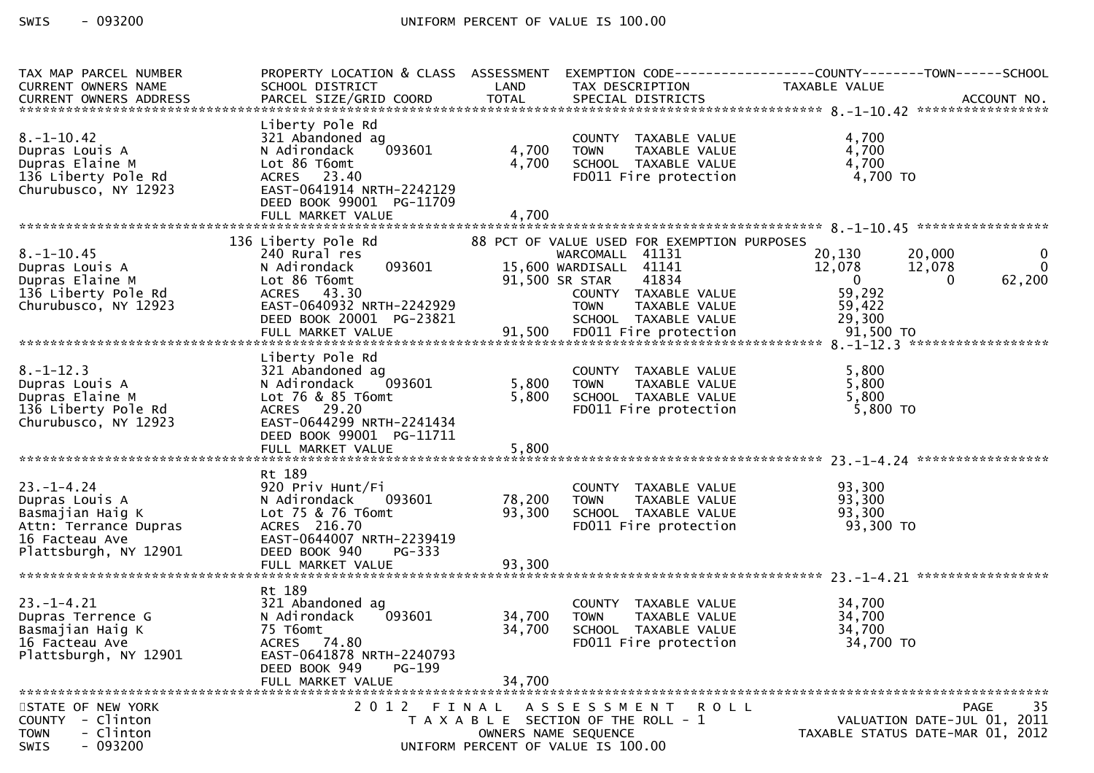| TAX MAP PARCEL NUMBER                       | PROPERTY LOCATION & CLASS ASSESSMENT                  |        |                                                                                             | EXEMPTION CODE-----------------COUNTY--------TOWN------SCHOOL |  |
|---------------------------------------------|-------------------------------------------------------|--------|---------------------------------------------------------------------------------------------|---------------------------------------------------------------|--|
| CURRENT OWNERS NAME                         | SCHOOL DISTRICT                                       | LAND   | TAX DESCRIPTION                                                                             | TAXABLE VALUE                                                 |  |
|                                             |                                                       |        |                                                                                             |                                                               |  |
|                                             | Liberty Pole Rd                                       |        |                                                                                             |                                                               |  |
| $8. - 1 - 10.42$                            | 321 Abandoned ag                                      |        | COUNTY TAXABLE VALUE<br>TOWN TAXABLE VALUE<br>SCHOOL TAXABLE VALUE<br>FDO11 Fire protection | 4,700                                                         |  |
| Dupras Louis A                              | 093601<br>N Adirondack                                | 4,700  |                                                                                             | 4,700                                                         |  |
| Dupras Elaine M                             | Lot 86 T6omt                                          | 4,700  |                                                                                             | 4,700                                                         |  |
| 136 Liberty Pole Rd                         | ACRES 23.40                                           |        |                                                                                             | 4,700 TO                                                      |  |
| Churubusco, NY 12923                        | EAST-0641914 NRTH-2242129<br>DEED BOOK 99001 PG-11709 |        |                                                                                             |                                                               |  |
|                                             |                                                       |        |                                                                                             |                                                               |  |
|                                             |                                                       |        |                                                                                             |                                                               |  |
| $8. - 1 - 10.45$                            | 136 Liberty Pole Rd<br>240 Rural res                  |        | 88 PCT OF VALUE USED FOR EXEMPTION PURPOSES<br>WARCOMALL 41131                              | 20,130<br>20,000<br>$\mathbf{0}$                              |  |
| Dupras Louis A                              | 093601<br>N Adirondack                                |        | 15,600 WARDISALL 41141                                                                      | $\overline{0}$<br>12,078<br>12,078                            |  |
| Dupras Elaine M                             | Lot 86 T6omt                                          |        | 41834<br>91,500 SR STAR                                                                     | 62,200<br>$\overline{\mathbf{0}}$<br>0                        |  |
| 136 Liberty Pole Rd                         | ACRES 43.30                                           |        | COUNTY TAXABLE VALUE                                                                        | 59,292                                                        |  |
| Churubusco, NY 12923                        | EAST-0640932 NRTH-2242929                             |        | <b>TOWN</b><br>TAXABLE VALUE                                                                | 59,422                                                        |  |
|                                             |                                                       |        |                                                                                             |                                                               |  |
|                                             |                                                       |        |                                                                                             |                                                               |  |
|                                             |                                                       |        |                                                                                             |                                                               |  |
|                                             | Liberty Pole Rd                                       |        |                                                                                             |                                                               |  |
| $8. - 1 - 12.3$                             | 321 Abandoned ag                                      |        | COUNTY TAXABLE VALUE                                                                        | 5,800                                                         |  |
| Dupras Louis A                              | 093601<br>N Adirondack                                |        | TAXABLE VALUE<br>5,800 TOWN                                                                 | 5,800                                                         |  |
| Dupras Elaine M                             | Lot 76 & 85 T6omt                                     | 5,800  | SCHOOL TAXABLE VALUE                                                                        | 5,800                                                         |  |
| 136 Liberty Pole Rd<br>Churubusco, NY 12923 | ACRES 29.20<br>EAST-0644299 NRTH-2241434              |        | FD011 Fire protection                                                                       | 5,800 TO                                                      |  |
|                                             | DEED BOOK 99001 PG-11711                              |        |                                                                                             |                                                               |  |
|                                             |                                                       |        |                                                                                             |                                                               |  |
|                                             |                                                       |        |                                                                                             |                                                               |  |
|                                             | Rt 189                                                |        |                                                                                             |                                                               |  |
| $23. - 1 - 4.24$                            | 920 Priv Hunt/Fi                                      |        | COUNTY TAXABLE VALUE                                                                        | 93,300                                                        |  |
| Dupras Louis A                              | 093601<br>N Adirondack                                | 78,200 | <b>TOWN</b><br>TAXABLE VALUE                                                                | 93,300                                                        |  |
| Basmajian Haig K                            | Lot 75 & 76 T6omt                                     | 93,300 | <br>SCHOOL TAXABLE VALUE<br>FDO11 Fire protection                                           | 93,300                                                        |  |
| Attn: Terrance Dupras                       | ACRES 216.70                                          |        |                                                                                             | 93,300 TO                                                     |  |
| 16 Facteau Ave                              | EAST-0644007 NRTH-2239419                             |        |                                                                                             |                                                               |  |
| Plattsburgh, NY 12901                       | DEED BOOK 940<br>PG-333                               |        |                                                                                             |                                                               |  |
|                                             |                                                       |        |                                                                                             |                                                               |  |
|                                             |                                                       |        |                                                                                             |                                                               |  |
| $23. - 1 - 4.21$                            | Rt 189<br>321 Abandoned ag                            |        | COUNTY TAXABLE VALUE                                                                        | 34,700                                                        |  |
| Dupras Terrence G                           | 093601<br>N Adirondack                                | 34,700 | TAXABLE VALUE<br>TOWN                                                                       | 34,700                                                        |  |
| Basmajian Haig K                            | 75 T6omt                                              | 34,700 | SCHOOL TAXABLE VALUE                                                                        | 34,700                                                        |  |
| 16 Facteau Ave                              | ACRES 74.80                                           |        | FD011 Fire protection                                                                       | 34,700 TO                                                     |  |
| Plattsburgh, NY 12901                       | EAST-0641878 NRTH-2240793                             |        |                                                                                             |                                                               |  |
|                                             | DEED BOOK 949<br>PG-199                               |        |                                                                                             |                                                               |  |
|                                             | FULL MARKET VALUE                                     | 34,700 |                                                                                             |                                                               |  |
|                                             |                                                       |        |                                                                                             |                                                               |  |
| STATE OF NEW YORK                           | 2012 FINAL                                            |        | ASSESSMENT ROLL                                                                             | 35<br><b>PAGE</b>                                             |  |
| COUNTY - Clinton                            |                                                       |        | T A X A B L E SECTION OF THE ROLL - 1                                                       | VALUATION DATE-JUL 01, 2011                                   |  |
| - Clinton<br><b>TOWN</b>                    |                                                       |        | OWNERS NAME SEQUENCE                                                                        | TAXABLE STATUS DATE-MAR 01, 2012                              |  |
| $-093200$<br>SWIS                           |                                                       |        | UNIFORM PERCENT OF VALUE IS 100.00                                                          |                                                               |  |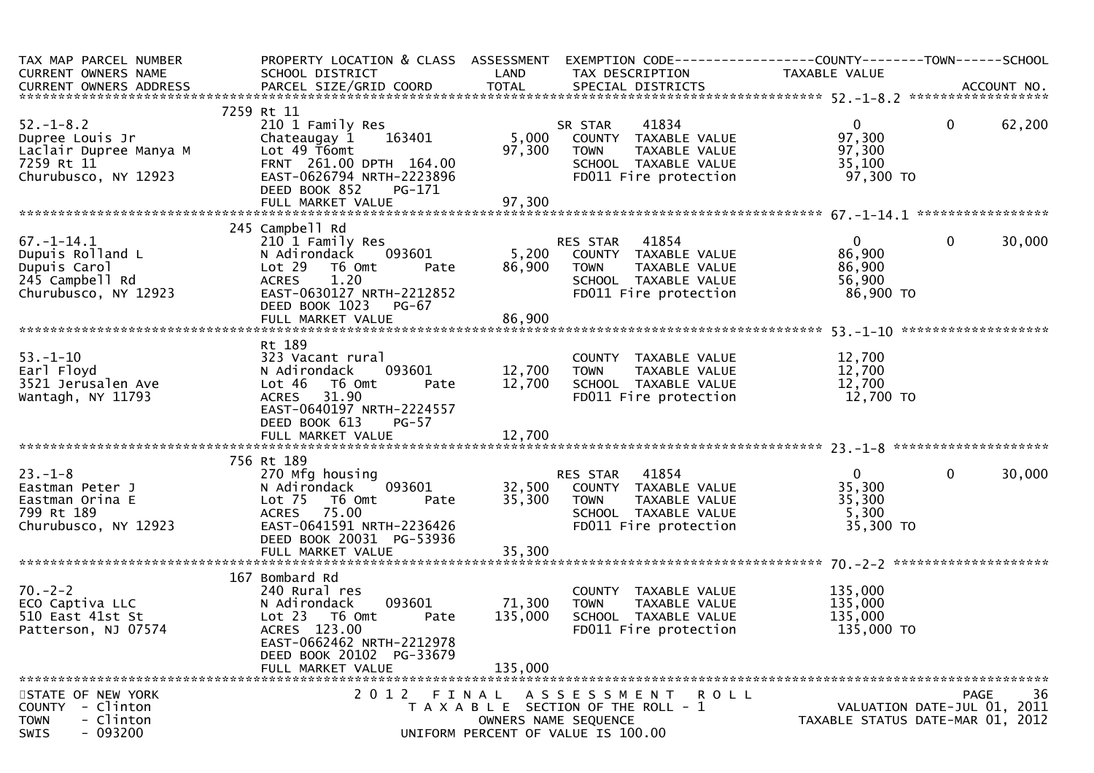| TAX MAP PARCEL NUMBER<br>CURRENT OWNERS NAME                                                                                                                                                                                                                               |                                                                                                                                                                                                                                                                        |                                      |                                                                                                                                       |                                                             |                                     |        |
|----------------------------------------------------------------------------------------------------------------------------------------------------------------------------------------------------------------------------------------------------------------------------|------------------------------------------------------------------------------------------------------------------------------------------------------------------------------------------------------------------------------------------------------------------------|--------------------------------------|---------------------------------------------------------------------------------------------------------------------------------------|-------------------------------------------------------------|-------------------------------------|--------|
|                                                                                                                                                                                                                                                                            |                                                                                                                                                                                                                                                                        |                                      |                                                                                                                                       |                                                             |                                     |        |
|                                                                                                                                                                                                                                                                            | 7259 Rt 11<br>210 1 Family Res<br>Chateaugay 1    163401<br>DEED BOOK 852<br>PG-171                                                                                                                                                                                    | 97, $30^{\circ}$<br>97, $30^{\circ}$ | SR STAR 41834<br>5,000 COUNTY TAXABLE VALUE<br>97,300 TOWN TAXABLE VALUE<br>SCHOOL TAXABLE VALUE<br>FD011 Fire protection             | $\overline{0}$<br>97,300<br>97,300<br>35,100<br>97,300 TO   | $\overline{0}$                      | 62,200 |
|                                                                                                                                                                                                                                                                            | 245 Campbell Rd                                                                                                                                                                                                                                                        |                                      |                                                                                                                                       |                                                             |                                     |        |
| 67.-1-14.1<br>Dupuis Rolland L<br>Dupuis Carol<br>245 Campbell Rd<br>Churubusco, NY 12923                                                                                                                                                                                  | 210 1 Family Res<br>210 1 Family Res<br>210 1 Family Res<br>210 1 Family Res<br>210 1 Family Res<br>210 1 Family Res<br>210 20 20 200 200 200 200 200 200 2011 Fire protection<br>26,900 200 2011 Fire protection<br>26,900 200 2011 Fire prot<br>DEED BOOK 1023 PG-67 |                                      |                                                                                                                                       |                                                             | $\mathbf{0}$                        | 30,000 |
|                                                                                                                                                                                                                                                                            |                                                                                                                                                                                                                                                                        |                                      |                                                                                                                                       |                                                             |                                     |        |
| 53.-1-10<br>Earl Floyd<br>3521 Jerusalen Ave<br>Wantagh, NY 11793                                                                                                                                                                                                          | Rt 189<br>ral COUNT<br>093601 12,700 TOWN<br>mt Pate 12,700 SCHOC<br>323 Vacant rural<br>N Adirondack<br>Lot 46 T6 Omt<br>ACRES 31.90<br>EAST-0640197 NRTH-2224557<br>DEED BOOK 613<br><b>PG-57</b>                                                                    |                                      | COUNTY TAXABLE VALUE $12,700$<br>TOWN TAXABLE VALUE $12,700$<br>SCHOOL TAXABLE VALUE $12,700$<br>FDO11 Fire protection $12,700$ TO    |                                                             |                                     |        |
|                                                                                                                                                                                                                                                                            | 756 Rt 189                                                                                                                                                                                                                                                             |                                      |                                                                                                                                       |                                                             |                                     |        |
| 23.-1-8<br>Eastman Peter J<br>Eastman Orina E<br>799 ¤† 189<br>203 Charles 189<br>799 Rt 189<br>Churubusco, NY 12923                                                                                                                                                       | RES STAR 41854<br>270 Mfg housing<br>N Adirondack 093601 32,500 COUNTY TAXABLE VALUE<br>Lot 75 T6 Omt Pate 35,300 TOWN TAXABLE VALUE<br>ACRES 75.00 SCHOOL TAXABLE VALUE<br>EAST-0641591_NRTH-2236426 FD011 Fire protection<br>DEED BOOK 20031 PG-53936                |                                      |                                                                                                                                       | $0 \qquad \qquad$<br>35,300<br>35,300<br>5,300<br>35,300 TO | $\mathbf 0$                         | 30,000 |
|                                                                                                                                                                                                                                                                            |                                                                                                                                                                                                                                                                        |                                      |                                                                                                                                       |                                                             |                                     |        |
| 240 Rura<br>240 Rura<br>240 Rura<br>240 Rura<br>240 Rura<br>240 Rura<br>240 Rura<br>240 Rura<br>240 Rura<br>240 Rura<br>240 Rura<br>240 Rura<br>240 Rura<br>240 Rura<br>240 Rura<br>240 Rura<br>240 Rura<br>240 Rura<br>240 Rura<br>240 Rura<br>240 Rura<br>240 Rura<br>24 | 093601<br>Pate<br>EAST-0662462 NRTH-2212978<br>DEED BOOK 20102 PG-33679                                                                                                                                                                                                | 71,300 TOWN<br>135,000               | COUNTY TAXABLE VALUE<br>TAXABLE VALUE<br>SCHOOL TAXABLE VALUE<br>FD011 Fire protection                                                | 135,000<br>135,000<br>135,000<br>135,000 TO                 |                                     |        |
| 135,000<br>FULL MARKET VALUE                                                                                                                                                                                                                                               |                                                                                                                                                                                                                                                                        |                                      |                                                                                                                                       |                                                             |                                     |        |
| STATE OF NEW YORK<br>COUNTY - Clinton<br>- Clinton<br><b>TOWN</b><br>$-093200$<br><b>SWIS</b>                                                                                                                                                                              | 2 0 1 2<br>FINAL                                                                                                                                                                                                                                                       |                                      | A S S E S S M E N T<br>R O L L<br>T A X A B L E SECTION OF THE ROLL - 1<br>OWNERS NAME SEQUENCE<br>UNIFORM PERCENT OF VALUE IS 100.00 | TAXABLE STATUS DATE-MAR 01, 2012                            | PAGE<br>VALUATION DATE-JUL 01, 2011 | 36     |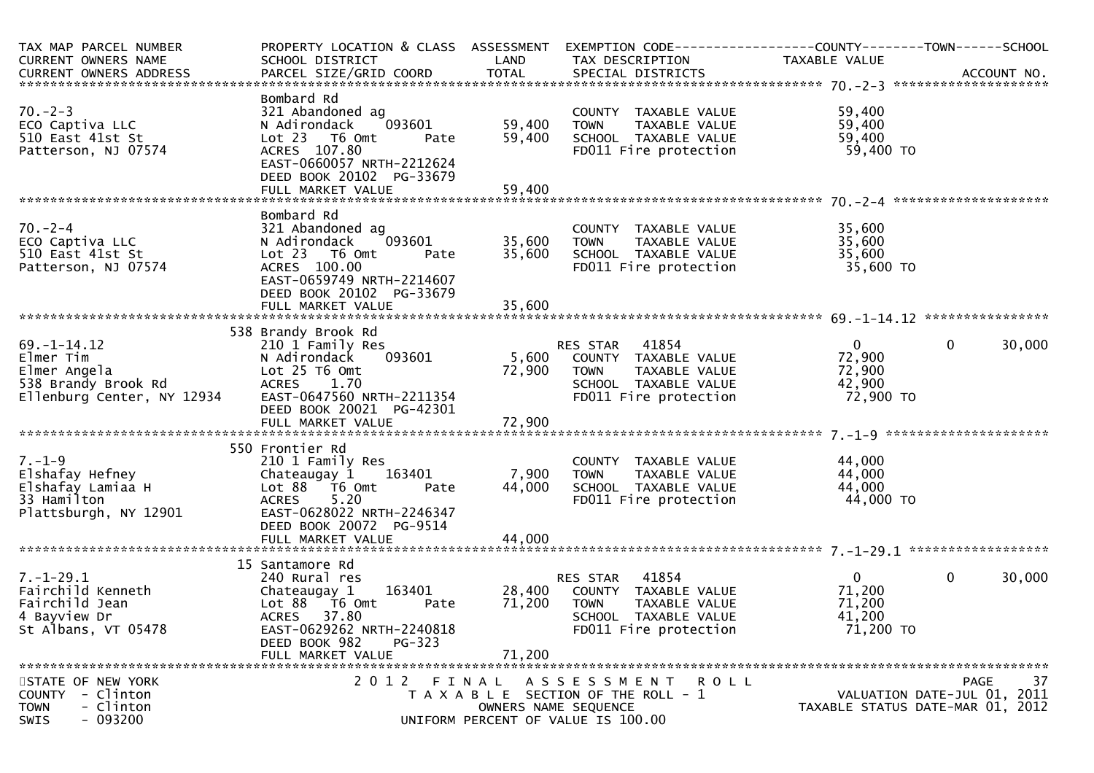| TAX MAP PARCEL NUMBER<br>CURRENT OWNERS NAME                                                        | PROPERTY LOCATION & CLASS ASSESSMENT EXEMPTION CODE----------------COUNTY-------TOWN------SCHOOL<br>SCHOOL DISTRICT                                                                     | LAND                  | TAX DESCRIPTION                                                                                                               | TAXABLE VALUE                                             |                                                                 |
|-----------------------------------------------------------------------------------------------------|-----------------------------------------------------------------------------------------------------------------------------------------------------------------------------------------|-----------------------|-------------------------------------------------------------------------------------------------------------------------------|-----------------------------------------------------------|-----------------------------------------------------------------|
|                                                                                                     |                                                                                                                                                                                         |                       |                                                                                                                               |                                                           |                                                                 |
| $70. - 2 - 3$<br>ECO Captiva LLC<br>510 East 41st St<br>Patterson, NJ 07574                         | Bombard Rd<br>321 Abandoned ag<br>093601<br>N Adirondack<br>Lot 23  T6 Omt<br>Pate<br>ACRES 107.80<br>EAST-0660057 NRTH-2212624<br>DEED BOOK 20102 PG-33679                             | 59,400<br>59,400      | COUNTY TAXABLE VALUE<br>TOWN      TAXABLE  VALUE<br>SCHOOL    TAXABLE  VALUE<br>FD011 Fire protection                         | 59,400<br>59,400<br>59,400<br>59,400 TO                   |                                                                 |
|                                                                                                     |                                                                                                                                                                                         |                       |                                                                                                                               |                                                           |                                                                 |
| $70. - 2 - 4$<br>ECO Captiva LLC<br>510 East 41st St<br>Patterson, NJ 07574                         | Bombard Rd<br>321 Abandoned ag<br>093601<br>N Adirondack<br>Lot 23  T6 Omt<br>Pate<br>ACRES 100.00<br>EAST-0659749 NRTH-2214607<br>DEED BOOK 20102 PG-33679                             | 35,600 TOWN<br>35,600 | COUNTY TAXABLE VALUE                                                                                                          | 35,600                                                    |                                                                 |
|                                                                                                     |                                                                                                                                                                                         |                       |                                                                                                                               |                                                           |                                                                 |
| $69. - 1 - 14.12$<br>Elmer Tim<br>Elmer Angela<br>538 Brandy Brook Rd<br>Ellenburg Center, NY 12934 | 538 Brandy Brook Rd<br>210 1 Family Res<br>093601<br>N Adirondack<br>Lot 25 T6 Omt<br>ACRES 1.70<br>ACRES      1.70<br>EAST-0647560  NRTH-2211354<br>DEED BOOK 20021 PG-42301           | 72,900                | RES STAR 41854<br>5,600 COUNTY TAXABLE VALUE<br>TAXABLE VALUE<br><b>TOWN</b><br>SCHOOL TAXABLE VALUE<br>FD011 Fire protection | $\mathbf{0}$<br>72,900<br>72,900<br>42,900<br>72,900 TO   | $\overline{0}$<br>30,000                                        |
| $7. - 1 - 9$<br>Elshafay Hefney<br>Elshafay Lamiaa H<br>33 Hamilton<br>Plattsburgh, NY 12901        | 550 Frontier Rd<br>210 1 Family Res<br>Chateaugay 1 163401<br>Lot 88 T6 Omt<br>Pate<br>5.20<br><b>ACRES</b><br>EAST-0628022 NRTH-2246347<br>DEED BOOK 20072 PG-9514                     | 7,900 TOWN<br>44,000  | COUNTY TAXABLE VALUE<br>COONTT TAXABLE VALUE<br>TOWN TAXABLE VALUE<br>SCHOOL TAXABLE VALUE<br>FDO11 Fire protection           | 44,000<br>44,000<br>44,000<br>44,000 TO                   |                                                                 |
|                                                                                                     | 15 Santamore Rd                                                                                                                                                                         |                       |                                                                                                                               |                                                           |                                                                 |
| $7. - 1 - 29.1$<br>Fairchild Kenneth<br>Fairchild Jean<br>4 Bayview Dr<br>St Albans, VT 05478       | 240 Rural res<br>Chateaugay 1 163401 28,400 COUNTY TAXABLE VALUE<br>Lot 88 T6 Omt<br>Pate<br>ACRES 37.80<br>EAST-0629262 NRTH-2240818<br>DEED BOOK 982<br>$PG-323$<br>FULL MARKET VALUE | 71,200<br>71,200      | RES STAR 41854<br><b>TOWN</b><br>TAXABLE VALUE<br>SCHOOL TAXABLE VALUE<br>FD011 Fire protection                               | $\overline{0}$<br>71,200<br>71,200<br>41,200<br>71,200 TO | $\mathbf 0$<br>30,000                                           |
|                                                                                                     | 2012 FINAL                                                                                                                                                                              |                       | R O L L                                                                                                                       |                                                           | 37<br><b>PAGE</b>                                               |
| STATE OF NEW YORK<br>COUNTY - Clinton<br>- Clinton<br><b>TOWN</b><br>$-093200$<br>SWIS              |                                                                                                                                                                                         |                       | A S S E S S M E N T<br>T A X A B L E SECTION OF THE ROLL - 1<br>OWNERS NAME SEQUENCE<br>UNIFORM PERCENT OF VALUE IS 100.00    |                                                           | VALUATION DATE-JUL 01, 2011<br>TAXABLE STATUS DATE-MAR 01, 2012 |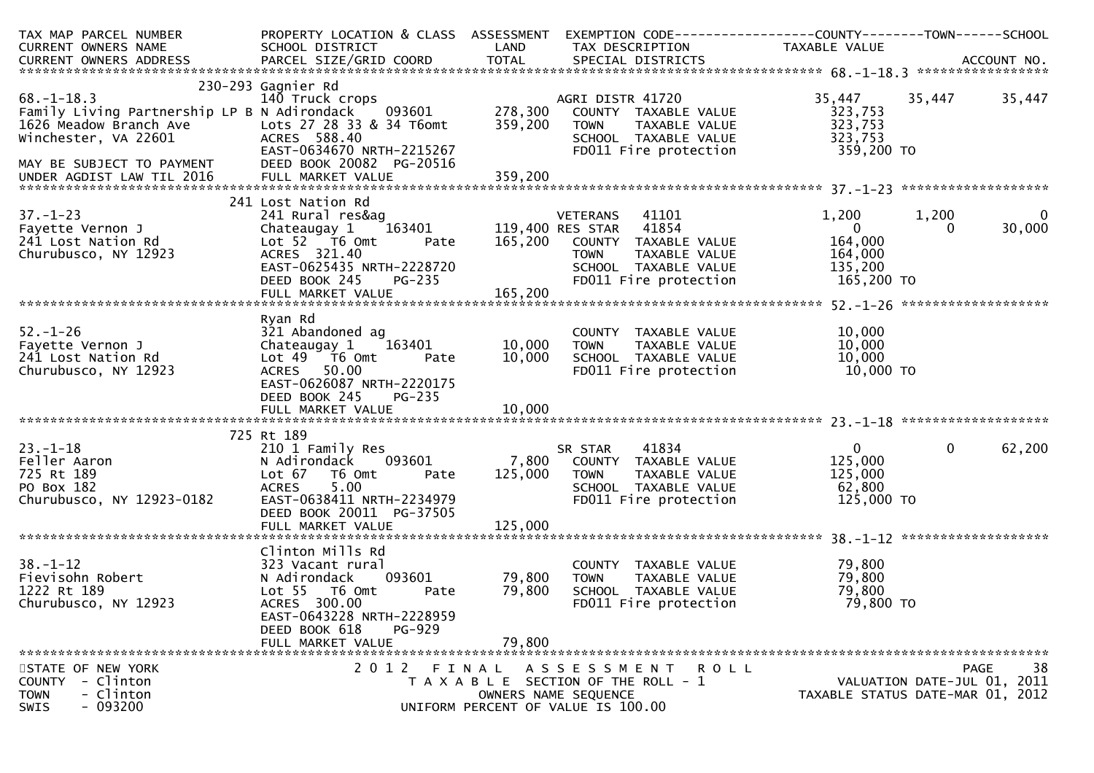| TAX MAP PARCEL NUMBER                                                                | PROPERTY LOCATION & CLASS ASSESSMENT            |         | EXEMPTION CODE-----------------COUNTY-------TOWN------SCHOOL | TAXABLE VALUE        |                                  |
|--------------------------------------------------------------------------------------|-------------------------------------------------|---------|--------------------------------------------------------------|----------------------|----------------------------------|
| CURRENT OWNERS NAME                                                                  | SCHOOL DISTRICT                                 | LAND    | TAX DESCRIPTION                                              |                      |                                  |
|                                                                                      |                                                 |         |                                                              |                      |                                  |
|                                                                                      | 230-293 Gagnier Rd                              |         |                                                              |                      |                                  |
| $68. - 1 - 18.3$                                                                     | 140 Truck crops                                 |         | AGRI DISTR 41720                                             | 35,447               | 35,447<br>35,447                 |
| Family Living Partnership LP B N Adirondack 093601                                   |                                                 | 278,300 | COUNTY TAXABLE VALUE                                         | 323,753              |                                  |
| 1626 Meadow Branch Ave Lots 27 28 33 & 34 T6omt<br>Winchester, VA 22601 4CRES 588.40 |                                                 | 359,200 | <b>TOWN</b><br>TAXABLE VALUE                                 | 323,753              |                                  |
|                                                                                      |                                                 |         | SCHOOL TAXABLE VALUE                                         | 323,753              |                                  |
|                                                                                      | EAST-0634670 NRTH-2215267                       |         | FD011 Fire protection                                        | 359,200 TO           |                                  |
|                                                                                      |                                                 |         |                                                              |                      |                                  |
|                                                                                      |                                                 |         |                                                              |                      |                                  |
|                                                                                      | 241 Lost Nation Rd                              |         |                                                              |                      |                                  |
| $37. - 1 - 23$                                                                       | 241 Rural res&ag                                |         | 41101<br>VETERANS                                            | 1,200                | $\mathbf{0}$<br>1,200            |
| Fayette Vernon J                                                                     | $163401$<br>Chateaugay 1                        |         | 119,400 RES STAR 41854                                       | $\overline{0}$       | 30,000<br>$\Omega$               |
| 241 Lost Nation Rd                                                                   | Lot 52 T6 Omt<br>Pate                           | 165,200 | COUNTY TAXABLE VALUE                                         | 164,000              |                                  |
| Churubusco, NY 12923                                                                 | ACRES 321.40                                    |         | <b>TOWN</b><br>TAXABLE VALUE                                 | 164,000              |                                  |
|                                                                                      | EAST-0625435 NRTH-2228720                       |         | SCHOOL TAXABLE VALUE                                         | 135,200              |                                  |
|                                                                                      | DEED BOOK 245<br><b>PG-235</b>                  |         | FD011 Fire protection                                        | 165,200 TO           |                                  |
|                                                                                      |                                                 |         |                                                              |                      |                                  |
|                                                                                      |                                                 |         |                                                              |                      |                                  |
|                                                                                      | Ryan Rd                                         |         |                                                              |                      |                                  |
| $52. - 1 - 26$<br>Fayette Vernon J                                                   | 321 Abandoned ag                                | 10,000  | COUNTY TAXABLE VALUE                                         | 10,000<br>10,000     |                                  |
| 241 Lost Nation Rd                                                                   | Chateaugay 1<br>163401<br>Lot 49 T6 Omt<br>Pate | 10,000  | TAXABLE VALUE<br>TOWN<br>SCHOOL TAXABLE VALUE                | 10,000               |                                  |
| Churubusco, NY 12923                                                                 | 50.00<br><b>ACRES</b>                           |         | FD011 Fire protection                                        | 10,000 TO            |                                  |
|                                                                                      | EAST-0626087 NRTH-2220175                       |         |                                                              |                      |                                  |
|                                                                                      | DEED BOOK 245<br><b>PG-235</b>                  |         |                                                              |                      |                                  |
|                                                                                      |                                                 |         |                                                              |                      |                                  |
|                                                                                      |                                                 |         |                                                              |                      |                                  |
|                                                                                      | 725 Rt 189                                      |         |                                                              |                      |                                  |
| $23. - 1 - 18$                                                                       | 210 1 Family Res                                |         | 41834<br>SR STAR                                             | $\overline{0}$       | 62,200<br>$\mathbf{0}$           |
| Feller Aaron                                                                         | 093601<br>N Adirondack                          | 7,800   | COUNTY TAXABLE VALUE                                         | 125,000              |                                  |
| 725 Rt 189                                                                           | Lot 67<br>T6 Omt<br>Pate<br>5.00                | 125,000 | <b>TOWN</b><br>TAXABLE VALUE                                 | 125,000              |                                  |
| PO Box 182<br>Churubusco, NY 12923-0182                                              | <b>ACRES</b><br>EAST-0638411 NRTH-2234979       |         | SCHOOL TAXABLE VALUE<br>FD011 Fire protection                | 62,800<br>125,000 TO |                                  |
|                                                                                      | DEED BOOK 20011 PG-37505                        |         |                                                              |                      |                                  |
|                                                                                      | FULL MARKET VALUE                               | 125,000 |                                                              |                      |                                  |
|                                                                                      |                                                 |         |                                                              |                      |                                  |
|                                                                                      | Clinton Mills Rd                                |         |                                                              |                      |                                  |
| $38. - 1 - 12$                                                                       | 323 Vacant rural                                |         | COUNTY TAXABLE VALUE                                         | 79,800               |                                  |
| Fievisohn Robert                                                                     | N Adirondack<br>093601                          | 79,800  | TAXABLE VALUE<br><b>TOWN</b>                                 | 79,800               |                                  |
| 1222 Rt 189                                                                          | Lot 55 T6 Omt<br>Pate                           | 79,800  | SCHOOL TAXABLE VALUE                                         | 79,800               |                                  |
| Churubusco, NY 12923                                                                 | ACRES 300.00                                    |         | FD011 Fire protection                                        | 79,800 TO            |                                  |
|                                                                                      | EAST-0643228 NRTH-2228959                       |         |                                                              |                      |                                  |
|                                                                                      | DEED BOOK 618<br>PG-929<br>FULL MARKET VALUE    |         |                                                              |                      |                                  |
|                                                                                      |                                                 | 79,800  |                                                              |                      |                                  |
| STATE OF NEW YORK                                                                    |                                                 |         | 2012 FINAL ASSESSMENT ROLL                                   |                      | 38<br><b>PAGE</b>                |
| COUNTY - Clinton                                                                     |                                                 |         | T A X A B L E SECTION OF THE ROLL - 1                        |                      | VALUATION DATE-JUL 01, 2011      |
| - Clinton<br><b>TOWN</b>                                                             |                                                 |         | OWNERS NAME SEQUENCE                                         |                      | TAXABLE STATUS DATE-MAR 01, 2012 |
| $-093200$<br><b>SWIS</b>                                                             |                                                 |         | UNIFORM PERCENT OF VALUE IS 100.00                           |                      |                                  |
|                                                                                      |                                                 |         |                                                              |                      |                                  |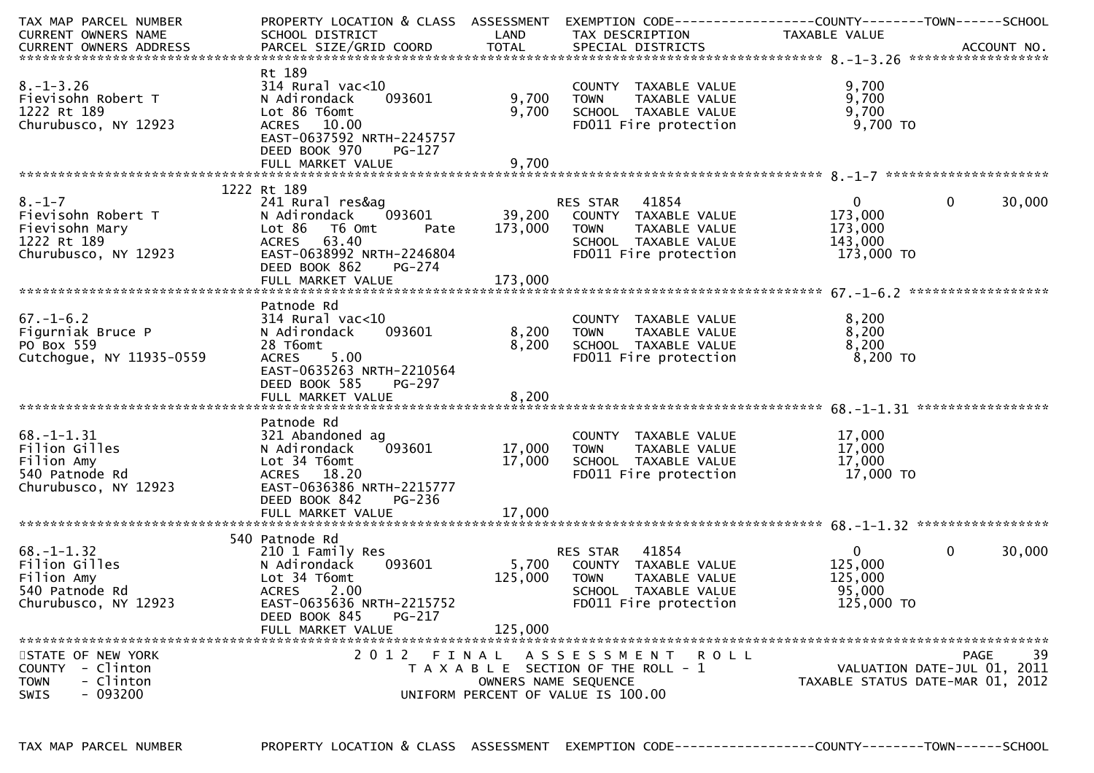| TAX MAP PARCEL NUMBER      | PROPERTY LOCATION & CLASS ASSESSMENT EXEMPTION CODE---------------COUNTY-------TOWN------SCHOOL |         |                                       |                                  |                             |
|----------------------------|-------------------------------------------------------------------------------------------------|---------|---------------------------------------|----------------------------------|-----------------------------|
| CURRENT OWNERS NAME        | SCHOOL DISTRICT                                                                                 | LAND    | TAX DESCRIPTION                       | TAXABLE VALUE                    |                             |
|                            |                                                                                                 |         |                                       |                                  |                             |
|                            |                                                                                                 |         |                                       |                                  |                             |
|                            | Rt 189                                                                                          |         |                                       |                                  |                             |
| $8. - 1 - 3.26$            | $314$ Rural vac< $10$                                                                           |         | COUNTY TAXABLE VALUE                  | 9,700                            |                             |
| Fievisohn Robert T         | 093601<br>N Adirondack                                                                          | 9,700   | TAXABLE VALUE<br><b>TOWN</b>          | 9,700                            |                             |
|                            |                                                                                                 |         |                                       | 9,700                            |                             |
| 1222 Rt 189                | Lot 86 T6omt                                                                                    | 9,700   | SCHOOL TAXABLE VALUE                  |                                  |                             |
| Churubusco, NY 12923       | ACRES 10.00                                                                                     |         | FD011 Fire protection                 | 9,700 TO                         |                             |
|                            | EAST-0637592 NRTH-2245757                                                                       |         |                                       |                                  |                             |
|                            | DEED BOOK 970<br>$PG-127$                                                                       |         |                                       |                                  |                             |
|                            |                                                                                                 |         |                                       |                                  |                             |
|                            |                                                                                                 |         |                                       |                                  |                             |
|                            | 1222 Rt 189                                                                                     |         |                                       |                                  |                             |
| $8. - 1 - 7$               | 241 Rural res&ag                                                                                |         | RES STAR 41854                        | $\mathbf{0}$                     | 30,000<br>$\mathbf 0$       |
| Fievisohn Robert T         | N Adirondack<br>093601                                                                          | 39,200  | COUNTY TAXABLE VALUE                  | 173,000                          |                             |
| Fievisohn Mary             | Lot 86<br>T6 Omt<br>Pate                                                                        | 173,000 | <b>TOWN</b><br>TAXABLE VALUE          | 173,000                          |                             |
| 1222 Rt 189                | ACRES 63.40                                                                                     |         | SCHOOL TAXABLE VALUE                  | 143,000                          |                             |
| Churubusco, NY 12923       | EAST-0638992 NRTH-2246804                                                                       |         | FD011 Fire protection                 | 173,000 TO                       |                             |
|                            |                                                                                                 |         |                                       |                                  |                             |
|                            | DEED BOOK 862<br>PG-274                                                                         |         |                                       |                                  |                             |
|                            | FULL MARKET VALUE                                                                               | 173,000 |                                       |                                  |                             |
|                            |                                                                                                 |         |                                       |                                  |                             |
|                            | Patnode Rd                                                                                      |         |                                       |                                  |                             |
| $67. - 1 - 6.2$            | $314$ Rural vac<10                                                                              |         | COUNTY TAXABLE VALUE                  | 8,200                            |                             |
| Figurniak Bruce P          | 093601<br>N Adirondack                                                                          | 8,200   | TAXABLE VALUE<br>TOWN                 | 8,200                            |                             |
| PO Box 559                 | 28 T6omt                                                                                        | 8,200   | SCHOOL TAXABLE VALUE                  | 8,200                            |                             |
| Cutchogue, NY 11935-0559   | ACRES 5.00                                                                                      |         | FD011 Fire protection                 | 8,200 TO                         |                             |
|                            | EAST-0635263 NRTH-2210564                                                                       |         |                                       |                                  |                             |
|                            | DEED BOOK 585<br>PG-297                                                                         |         |                                       |                                  |                             |
|                            |                                                                                                 |         |                                       |                                  |                             |
|                            |                                                                                                 |         |                                       |                                  |                             |
|                            |                                                                                                 |         |                                       |                                  |                             |
|                            | Patnode Rd                                                                                      |         |                                       |                                  |                             |
| $68. - 1 - 1.31$           | 321 Abandoned ag                                                                                |         | COUNTY TAXABLE VALUE                  | 17,000                           |                             |
| Filion Gilles              | 093601<br>N Adirondack                                                                          | 17,000  | TAXABLE VALUE<br><b>TOWN</b>          | 17,000                           |                             |
| Filion Amy                 | Lot 34 T6omt                                                                                    | 17,000  | SCHOOL TAXABLE VALUE                  | 17,000                           |                             |
| 540 Patnode Rd             | ACRES 18.20                                                                                     |         | FD011 Fire protection                 | 17,000 TO                        |                             |
| Churubusco, NY 12923       | EAST-0636386 NRTH-2215777                                                                       |         |                                       |                                  |                             |
|                            | DEED BOOK 842<br>$PG-236$                                                                       |         |                                       |                                  |                             |
|                            | FULL MARKET VALUE                                                                               | 17,000  |                                       |                                  |                             |
|                            |                                                                                                 |         |                                       |                                  |                             |
|                            | 540 Patnode Rd                                                                                  |         |                                       |                                  |                             |
| $68. - 1 - 1.32$           | 210 1 Family Res                                                                                |         | RES STAR 41854                        | $\mathbf{0}$                     | 30,000<br>$\mathbf{0}$      |
| Filion Gilles              | 093601                                                                                          | 5,700   |                                       | 125,000                          |                             |
|                            | N Adirondack                                                                                    |         | COUNTY TAXABLE VALUE                  |                                  |                             |
| Filion Amy                 | Lot 34 T6omt                                                                                    | 125,000 | <b>TOWN</b><br>TAXABLE VALUE          | 125,000                          |                             |
| 540 Patnode Rd             | <b>ACRES</b><br>2.00                                                                            |         | SCHOOL TAXABLE VALUE                  | 95,000                           |                             |
| Churubusco, NY 12923       | EAST-0635636 NRTH-2215752                                                                       |         | FD011 Fire protection                 | 125,000 TO                       |                             |
|                            | PG-217<br>DEED BOOK 845                                                                         |         |                                       |                                  |                             |
|                            | FULL MARKET VALUE                                                                               | 125,000 |                                       |                                  |                             |
|                            |                                                                                                 |         |                                       |                                  |                             |
| STATE OF NEW YORK          |                                                                                                 |         | 2012 FINAL ASSESSMENT ROLL            |                                  | 39<br>PAGE                  |
| - Clinton<br><b>COUNTY</b> |                                                                                                 |         | T A X A B L E SECTION OF THE ROLL - 1 |                                  | VALUATION DATE-JUL 01, 2011 |
| - Clinton<br><b>TOWN</b>   |                                                                                                 |         | OWNERS NAME SEQUENCE                  | TAXABLE STATUS DATE-MAR 01, 2012 |                             |
| $-093200$<br>SWIS          |                                                                                                 |         | UNIFORM PERCENT OF VALUE IS 100.00    |                                  |                             |
|                            |                                                                                                 |         |                                       |                                  |                             |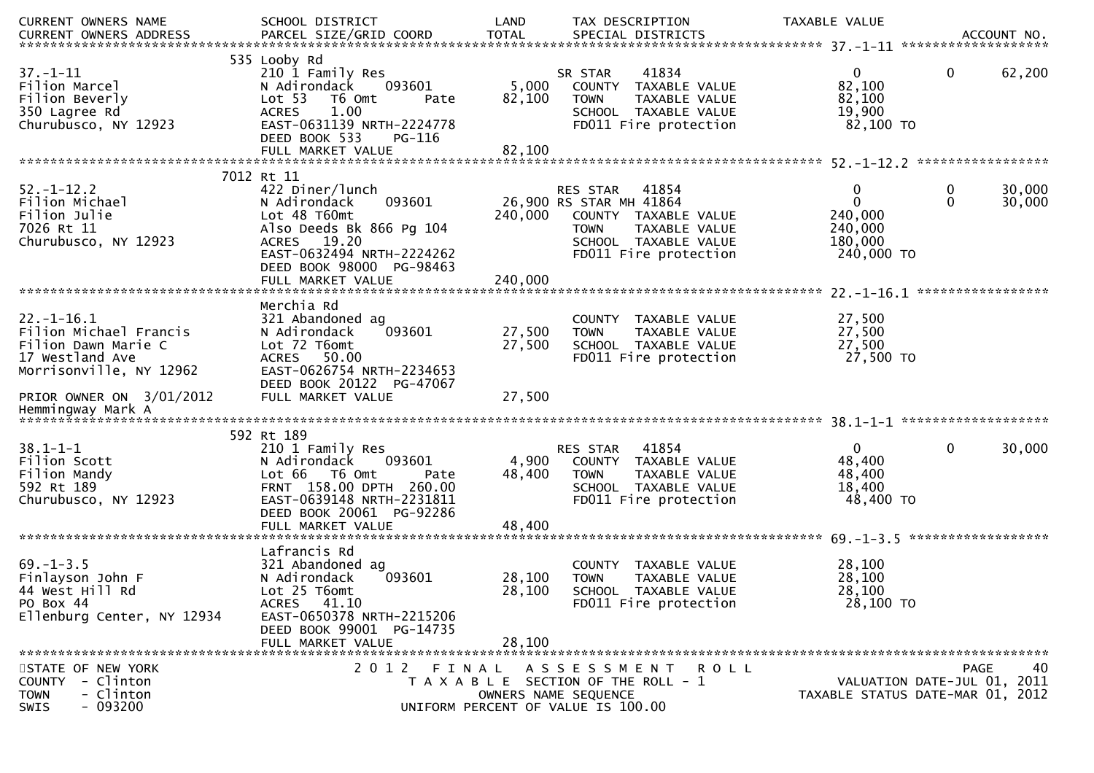| CURRENT OWNERS NAME<br>CURRENT OWNERS ADDRESS                                                                   | SCHOOL DISTRICT<br>PARCEL SIZE/GRID COORD                                                                                                                                                        | LAND<br><b>TOTAL</b>       | TAX DESCRIPTION<br>SPECIAL DISTRICTS                                                                |                                                                                                 | TAXABLE VALUE |                                                                  |                   | ACCOUNT NO.                                                                          |
|-----------------------------------------------------------------------------------------------------------------|--------------------------------------------------------------------------------------------------------------------------------------------------------------------------------------------------|----------------------------|-----------------------------------------------------------------------------------------------------|-------------------------------------------------------------------------------------------------|---------------|------------------------------------------------------------------|-------------------|--------------------------------------------------------------------------------------|
|                                                                                                                 |                                                                                                                                                                                                  |                            |                                                                                                     |                                                                                                 |               |                                                                  |                   |                                                                                      |
| $37. - 1 - 11$<br>Filion Marcel<br>Filion Beverly<br>350 Lagree Rd<br>Churubusco, NY 12923                      | 535 Looby Rd<br>210 1 Family Res<br>N Adirondack<br>093601<br>Lot 53<br>T6 Omt<br>Pate<br>1.00<br><b>ACRES</b><br>EAST-0631139 NRTH-2224778<br>DEED BOOK 533<br>PG-116                           | 5,000<br>82,100            | SR STAR<br><b>TOWN</b>                                                                              | 41834<br>COUNTY TAXABLE VALUE<br>TAXABLE VALUE<br>SCHOOL TAXABLE VALUE<br>FD011 Fire protection |               | $\mathbf{0}$<br>82,100<br>82,100<br>19,900<br>82,100 TO          | $\mathbf{0}$      | 62,200                                                                               |
|                                                                                                                 |                                                                                                                                                                                                  |                            |                                                                                                     |                                                                                                 |               |                                                                  |                   |                                                                                      |
| $52. - 1 - 12.2$<br>Filion Michael<br>Filion Julie<br>7026 Rt 11<br>Churubusco, NY 12923                        | 7012 Rt 11<br>422 Diner/lunch<br>N Adirondack<br>093601<br>Lot 48 T60mt<br>Also Deeds Bk 866 Pg 104<br>ACRES 19.20<br>EAST-0632494 NRTH-2224262<br>DEED BOOK 98000 PG-98463<br>FULL MARKET VALUE | 240,000<br>240,000         | <b>RES STAR</b><br>26,900 RS STAR MH 41864<br><b>TOWN</b>                                           | 41854<br>COUNTY TAXABLE VALUE<br>TAXABLE VALUE<br>SCHOOL TAXABLE VALUE<br>FD011 Fire protection |               | 0<br>$\mathbf{0}$<br>240,000<br>240,000<br>180,000<br>240,000 TO | 0<br>$\mathbf{0}$ | 30,000<br>30,000                                                                     |
|                                                                                                                 |                                                                                                                                                                                                  |                            |                                                                                                     |                                                                                                 |               |                                                                  |                   |                                                                                      |
| $22. - 1 - 16.1$<br>Filion Michael Francis<br>Filion Dawn Marie C<br>17 Westland Ave<br>Morrisonville, NY 12962 | Merchia Rd<br>321 Abandoned ag<br>093601<br>N Adirondack<br>Lot 72 T6omt<br>50.00<br><b>ACRES</b><br>EAST-0626754 NRTH-2234653                                                                   | 27,500<br>27,500           | <b>TOWN</b>                                                                                         | COUNTY TAXABLE VALUE<br>TAXABLE VALUE<br>SCHOOL TAXABLE VALUE<br>FD011 Fire protection          |               | 27,500<br>27,500<br>27,500<br>27,500 TO                          |                   |                                                                                      |
| PRIOR OWNER ON 3/01/2012                                                                                        | DEED BOOK 20122 PG-47067<br>FULL MARKET VALUE                                                                                                                                                    | 27,500                     |                                                                                                     |                                                                                                 |               |                                                                  |                   |                                                                                      |
|                                                                                                                 | 592 Rt 189                                                                                                                                                                                       |                            |                                                                                                     |                                                                                                 |               |                                                                  |                   |                                                                                      |
| $38.1 - 1 - 1$<br>Filion Scott<br>Filion Mandy<br>592 Rt 189<br>Churubusco, NY 12923                            | 210 1 Family Res<br>093601<br>N Adirondack<br>Lot 66 T6 Omt<br>Pate<br>FRNT 158.00 DPTH 260.00<br>EAST-0639148 NRTH-2231811<br>DEED BOOK 20061 PG-92286<br>FULL MARKET VALUE                     | 4,900<br>48,400<br>48,400  | RES STAR<br><b>TOWN</b>                                                                             | 41854<br>COUNTY TAXABLE VALUE<br>TAXABLE VALUE<br>SCHOOL TAXABLE VALUE<br>FD011 Fire protection |               | $\mathbf{0}$<br>48,400<br>48,400<br>18,400<br>48,400 TO          | $\mathbf 0$       | 30,000                                                                               |
|                                                                                                                 |                                                                                                                                                                                                  |                            |                                                                                                     |                                                                                                 |               |                                                                  |                   |                                                                                      |
| $69. - 1 - 3.5$<br>Finlayson John F<br>44 West Hill Rd<br>PO Box 44<br>Ellenburg Center, NY 12934               | Lafrancis Rd<br>321 Abandoned ag<br>093601<br>N Adirondack<br>Lot 25 T6omt<br>ACRES 41.10<br>EAST-0650378 NRTH-2215206<br>DEED BOOK 99001 PG-14735<br>FULL MARKET VALUE                          | 28,100<br>28,100<br>28,100 | <b>TOWN</b>                                                                                         | COUNTY TAXABLE VALUE<br>TAXABLE VALUE<br>SCHOOL TAXABLE VALUE<br>FD011 Fire protection          |               | 28,100<br>28,100<br>28,100<br>28,100 TO                          |                   |                                                                                      |
|                                                                                                                 |                                                                                                                                                                                                  |                            |                                                                                                     |                                                                                                 |               |                                                                  |                   |                                                                                      |
| STATE OF NEW YORK<br>- Clinton<br><b>COUNTY</b><br>- Clinton<br><b>TOWN</b><br>$-093200$<br>SWIS                | 2012 FINAL ASSESSMENT ROLL                                                                                                                                                                       |                            | T A X A B L E SECTION OF THE ROLL - 1<br>OWNERS NAME SEQUENCE<br>UNIFORM PERCENT OF VALUE IS 100.00 |                                                                                                 |               |                                                                  |                   | 40<br><b>PAGE</b><br>VALUATION DATE-JUL 01, 2011<br>TAXABLE STATUS DATE-MAR 01, 2012 |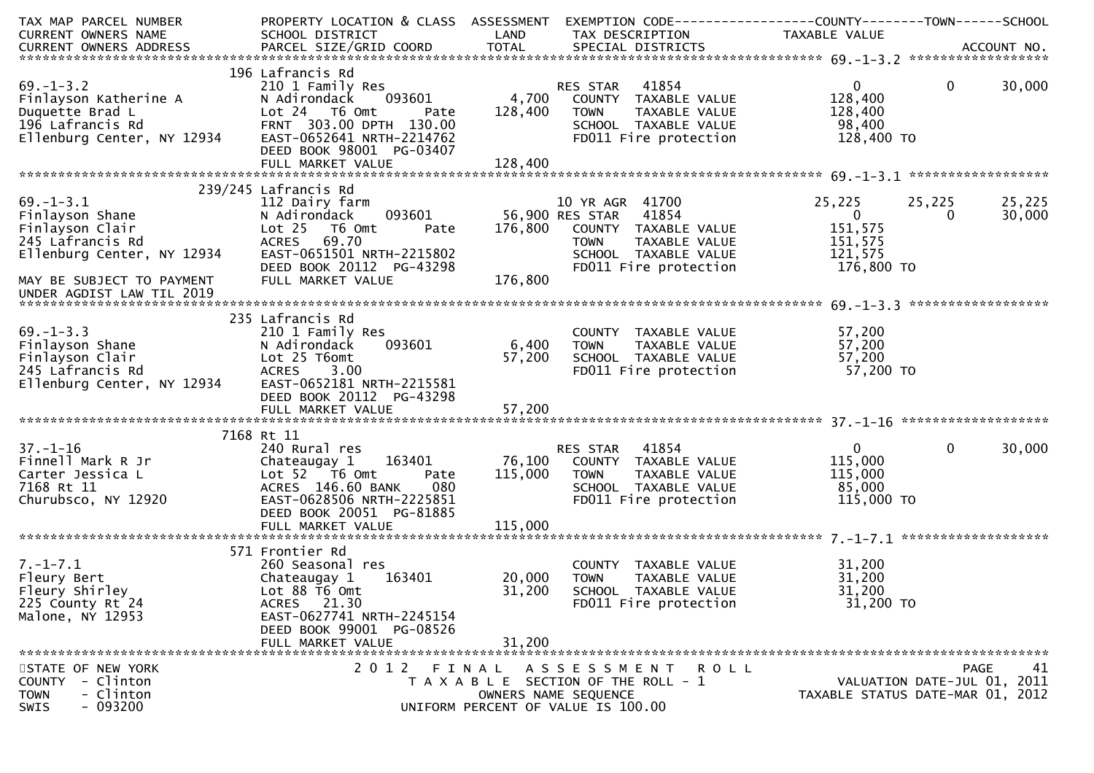| TAX MAP PARCEL NUMBER                                                                                                                            | PROPERTY LOCATION & CLASS ASSESSMENT               |         | EXEMPTION CODE-----------------COUNTY-------TOWN------SCHOOL                                                            |                   |                                  |    |
|--------------------------------------------------------------------------------------------------------------------------------------------------|----------------------------------------------------|---------|-------------------------------------------------------------------------------------------------------------------------|-------------------|----------------------------------|----|
| CURRENT OWNERS NAME                                                                                                                              | SCHOOL DISTRICT<br><b>Example 12 District LAND</b> |         | TAX DESCRIPTION                                                                                                         | TAXABLE VALUE     |                                  |    |
|                                                                                                                                                  |                                                    |         |                                                                                                                         |                   |                                  |    |
|                                                                                                                                                  |                                                    |         |                                                                                                                         |                   |                                  |    |
|                                                                                                                                                  | 196 Lafrancis Rd                                   |         |                                                                                                                         |                   |                                  |    |
| $69. - 1 - 3.2$<br>Examply Res<br>Finlayson Katherine A<br>Duquette Brad L<br>196 Lafrancis Rd<br>Ellenburg Center, NY 12934<br>EAST-0652641 NRT | 210 1 Family Res                                   |         | RES STAR 41854                                                                                                          | $0 \qquad \qquad$ | $\overline{0}$<br>30,000         |    |
|                                                                                                                                                  | 093601                                             |         | 4,700 COUNTY TAXABLE VALUE                                                                                              | 128,400           |                                  |    |
|                                                                                                                                                  | Pate                                               | 128,400 | TAXABLE VALUE<br><b>TOWN</b>                                                                                            | 128,400           |                                  |    |
|                                                                                                                                                  | FRNT 303.00 DPTH 130.00                            |         | SCHOOL TAXABLE VALUE<br>FDO11 Fire protection                                                                           | 98,400            |                                  |    |
|                                                                                                                                                  | EAST-0652641 NRTH-2214762                          |         |                                                                                                                         | 128,400 TO        |                                  |    |
|                                                                                                                                                  | DEED BOOK 98001 PG-03407                           |         |                                                                                                                         |                   |                                  |    |
|                                                                                                                                                  |                                                    | 128,400 |                                                                                                                         |                   |                                  |    |
|                                                                                                                                                  |                                                    |         |                                                                                                                         |                   |                                  |    |
|                                                                                                                                                  | 239/245 Lafrancis Rd                               |         |                                                                                                                         |                   |                                  |    |
| $69. - 1 - 3.1$                                                                                                                                  | 112 Dairy farm                                     |         | 10 YR AGR 41700                                                                                                         | 25,225            | 25,225<br>25,225                 |    |
| oy.-1-ג.ב<br>Finlayson Shane<br>Finlayson Clair<br>245 Lafrancis Rd                                                                              | 093601<br>N Adirondack                             |         | 56,900 RES STAR 41854                                                                                                   | $\overline{0}$    | 30,000<br>$\Omega$               |    |
|                                                                                                                                                  | Lot <sub>25</sub><br>T6 Omt<br>Pate                | 176,800 | COUNTY TAXABLE VALUE                                                                                                    | 151,575           |                                  |    |
| 245 Lafrancis Rd                                                                                                                                 | ACRES 69.70                                        |         | <b>TOWN</b><br>TAXABLE VALUE                                                                                            | 151,575           |                                  |    |
| Ellenburg Center, NY 12934                                                                                                                       | EAST-0651501 NRTH-2215802                          |         | SCHOOL TAXABLE VALUE                                                                                                    | 121,575           |                                  |    |
|                                                                                                                                                  | DEED BOOK 20112 PG-43298                           |         | FD011 Fire protection                                                                                                   | 176,800 TO        |                                  |    |
| MAY BE SUBJECT TO PAYMENT                                                                                                                        | FULL MARKET VALUE                                  | 176,800 |                                                                                                                         |                   |                                  |    |
| UNDER AGDIST LAW TIL 2019                                                                                                                        |                                                    |         |                                                                                                                         |                   |                                  |    |
|                                                                                                                                                  |                                                    |         |                                                                                                                         |                   |                                  |    |
|                                                                                                                                                  | 235 Lafrancis Rd                                   |         |                                                                                                                         |                   |                                  |    |
| $69. - 1 - 3.3$                                                                                                                                  | 210 1 Family Res                                   |         |                                                                                                                         |                   |                                  |    |
|                                                                                                                                                  | 093601<br>N Adirondack                             | 6,400   | <b>TOWN</b>                                                                                                             |                   |                                  |    |
|                                                                                                                                                  | Lot 25 T6omt                                       | 57,200  |                                                                                                                         |                   |                                  |    |
| 09. 1 J.J<br>Finlayson Shane<br>Finlayson Clair<br>245 Lafrancis Rd                                                                              | <b>ACRES</b><br>3.00                               |         | COUNTY TAXABLE VALUE 57,200<br>TOWN TAXABLE VALUE 57,200<br>SCHOOL TAXABLE VALUE 57,200<br>FDO11 Fire protection 57,200 | 57,200 TO         |                                  |    |
| Ellenburg Center, NY 12934                                                                                                                       | EAST-0652181 NRTH-2215581                          |         |                                                                                                                         |                   |                                  |    |
|                                                                                                                                                  | DEED BOOK 20112 PG-43298                           |         |                                                                                                                         |                   |                                  |    |
|                                                                                                                                                  |                                                    |         |                                                                                                                         |                   |                                  |    |
|                                                                                                                                                  |                                                    |         |                                                                                                                         |                   |                                  |    |
|                                                                                                                                                  | 7168 Rt 11                                         |         |                                                                                                                         |                   |                                  |    |
| $37. - 1 - 16$                                                                                                                                   | 240 Rural res                                      |         | RES STAR 41854                                                                                                          | $\mathbf{0}$      | $\overline{0}$<br>30,000         |    |
| Finnell Mark R Jr                                                                                                                                | Chateaugay 1 163401                                |         | 76,100 COUNTY TAXABLE VALUE                                                                                             | 115,000           |                                  |    |
| Carter Jessica L                                                                                                                                 | Lot $52$ $\overline{76}$ Omt<br>Pate               | 115,000 | <b>TOWN</b><br>TAXABLE VALUE                                                                                            | 115,000           |                                  |    |
| 7168 Rt 11                                                                                                                                       | ACRES 146.60 BANK<br>080                           |         | SCHOOL TAXABLE VALUE                                                                                                    | 85,000            |                                  |    |
| Churubsco, NY 12920                                                                                                                              | EAST-0628506 NRTH-2225851                          |         | FD011 Fire protection                                                                                                   | 115,000 TO        |                                  |    |
|                                                                                                                                                  | DEED BOOK 20051 PG-81885                           |         |                                                                                                                         |                   |                                  |    |
|                                                                                                                                                  |                                                    |         |                                                                                                                         |                   |                                  |    |
|                                                                                                                                                  |                                                    |         |                                                                                                                         |                   |                                  |    |
|                                                                                                                                                  | 571 Frontier Rd                                    |         |                                                                                                                         |                   |                                  |    |
| $7. - 1 - 7.1$                                                                                                                                   |                                                    |         | COUNTY TAXABLE VALUE                                                                                                    |                   |                                  |    |
|                                                                                                                                                  | 260 Seasonal res<br>163401                         | 20,000  |                                                                                                                         | 31,200            |                                  |    |
| Fleury Bert<br>Fleury Shirley                                                                                                                    | Chateaugay 1                                       |         | TOWN<br>TAXABLE VALUE                                                                                                   | 31,200            |                                  |    |
|                                                                                                                                                  | Lot 88 T6 Omt                                      | 31,200  | SCHOOL TAXABLE VALUE                                                                                                    | 31,200            |                                  |    |
| 225 County Rt 24                                                                                                                                 | ACRES 21.30                                        |         | FD011 Fire protection                                                                                                   | 31,200 TO         |                                  |    |
| Malone, NY 12953                                                                                                                                 | EAST-0627741 NRTH-2245154                          |         |                                                                                                                         |                   |                                  |    |
|                                                                                                                                                  | DEED BOOK 99001 PG-08526                           |         |                                                                                                                         |                   |                                  |    |
|                                                                                                                                                  | FULL MARKET VALUE                                  | 31,200  |                                                                                                                         |                   |                                  |    |
|                                                                                                                                                  |                                                    |         |                                                                                                                         |                   |                                  |    |
| STATE OF NEW YORK                                                                                                                                |                                                    |         | 2012 FINAL ASSESSMENT<br>R O L L                                                                                        |                   | <b>PAGE</b>                      | 41 |
| - Clinton<br>COUNTY                                                                                                                              |                                                    |         | T A X A B L E SECTION OF THE ROLL - 1                                                                                   |                   | VALUATION DATE-JUL 01, 2011      |    |
| - Clinton<br>TOWN                                                                                                                                |                                                    |         | OWNERS NAME SEQUENCE                                                                                                    |                   | TAXABLE STATUS DATE-MAR 01, 2012 |    |
| $-093200$<br><b>SWIS</b>                                                                                                                         |                                                    |         | UNIFORM PERCENT OF VALUE IS 100.00                                                                                      |                   |                                  |    |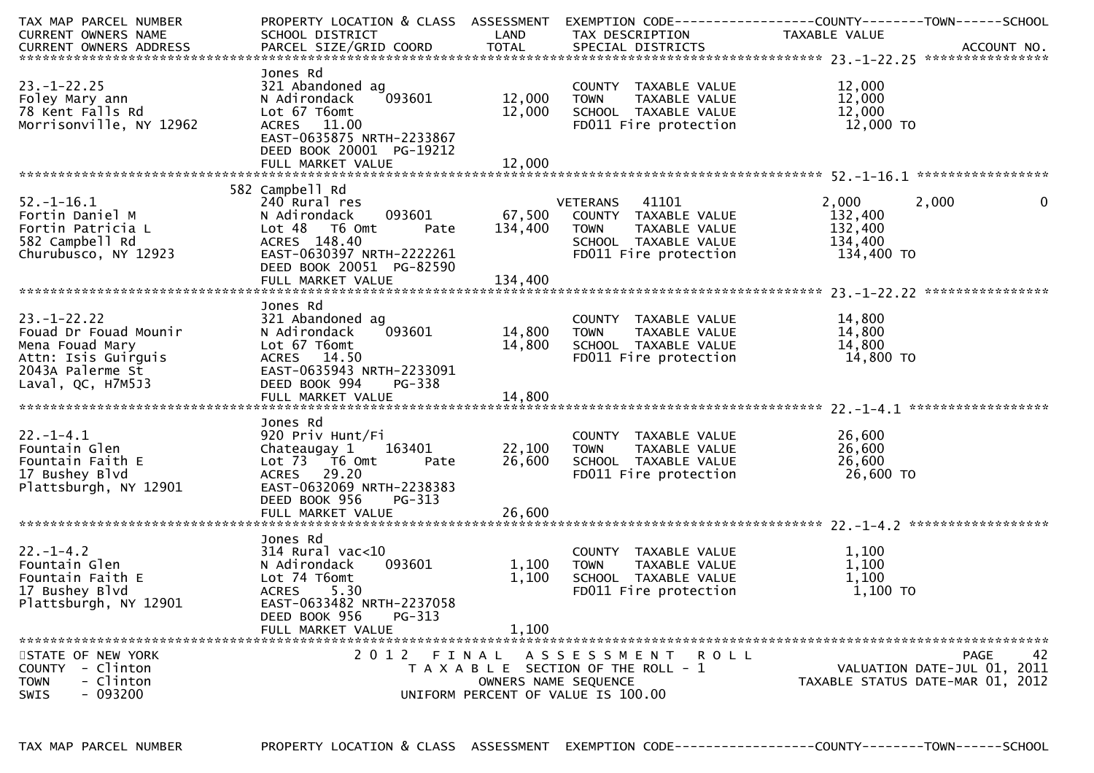| TAX MAP PARCEL NUMBER                                                                                                                                                              | PROPERTY LOCATION & CLASS ASSESSMENT EXEMPTION CODE---------------COUNTY-------TOWN------SCHOOL |                      |                                       |               |                                  |
|------------------------------------------------------------------------------------------------------------------------------------------------------------------------------------|-------------------------------------------------------------------------------------------------|----------------------|---------------------------------------|---------------|----------------------------------|
| CURRENT OWNERS NAME                                                                                                                                                                | SCHOOL DISTRICT                                                                                 | LAND                 | TAX DESCRIPTION                       | TAXABLE VALUE |                                  |
| -CURRENT OWNERS ADDRESS PARCEL SIZE/GRID COORD TOTAL SPECIAL DISTRICTS AND MONERS ADDRESS PARCEL SIZE/GRID COORD TOTAL SPECIAL DISTRICTS AND MONERS ADDRESS PARCEL SIZE/GRID COORD |                                                                                                 |                      |                                       |               |                                  |
|                                                                                                                                                                                    |                                                                                                 |                      |                                       |               |                                  |
|                                                                                                                                                                                    | Jones Rd                                                                                        |                      |                                       |               |                                  |
| $23. - 1 - 22.25$                                                                                                                                                                  | 321 Abandoned ag                                                                                |                      | COUNTY TAXABLE VALUE                  | 12,000        |                                  |
| Foley Mary ann                                                                                                                                                                     | 093601<br>N Adirondack                                                                          | 12,000               | TAXABLE VALUE<br><b>TOWN</b>          | 12,000        |                                  |
|                                                                                                                                                                                    |                                                                                                 |                      |                                       |               |                                  |
| 78 Kent Falls Rd                                                                                                                                                                   | Lot 67 T6omt                                                                                    | 12,000               | SCHOOL TAXABLE VALUE                  | 12,000        |                                  |
| Morrisonville, NY 12962                                                                                                                                                            | ACRES 11.00                                                                                     |                      | FD011 Fire protection                 | 12,000 TO     |                                  |
|                                                                                                                                                                                    | EAST-0635875 NRTH-2233867                                                                       |                      |                                       |               |                                  |
|                                                                                                                                                                                    | DEED BOOK 20001 PG-19212                                                                        |                      |                                       |               |                                  |
|                                                                                                                                                                                    | FULL MARKET VALUE                                                                               | 12,000               |                                       |               |                                  |
|                                                                                                                                                                                    |                                                                                                 |                      |                                       |               |                                  |
|                                                                                                                                                                                    | 582 Campbell Rd                                                                                 |                      |                                       |               |                                  |
| $52. - 1 - 16.1$                                                                                                                                                                   | 240 Rural res                                                                                   |                      | 41101<br>VETERANS                     | 2,000         | 0<br>2,000                       |
| Fortin Daniel M                                                                                                                                                                    | 093601<br>N Adirondack                                                                          | 67,500               | COUNTY TAXABLE VALUE                  | 132,400       |                                  |
|                                                                                                                                                                                    |                                                                                                 |                      |                                       | 132,400       |                                  |
| Fortin Patricia L                                                                                                                                                                  | Lot 48<br>T6 Omt<br>Pate                                                                        | 134,400              | <b>TOWN</b><br>TAXABLE VALUE          |               |                                  |
| 582 Campbell Rd                                                                                                                                                                    | ACRES 148.40                                                                                    |                      | SCHOOL TAXABLE VALUE                  | 134,400       |                                  |
| Churubusco, NY 12923                                                                                                                                                               | EAST-0630397 NRTH-2222261                                                                       |                      | FD011 Fire protection                 | 134,400 TO    |                                  |
|                                                                                                                                                                                    | DEED BOOK 20051 PG-82590                                                                        |                      |                                       |               |                                  |
|                                                                                                                                                                                    |                                                                                                 |                      |                                       |               |                                  |
|                                                                                                                                                                                    |                                                                                                 |                      |                                       |               |                                  |
|                                                                                                                                                                                    | Jones Rd                                                                                        |                      |                                       |               |                                  |
| $23. - 1 - 22.22$                                                                                                                                                                  | 321 Abandoned ag                                                                                |                      | COUNTY TAXABLE VALUE                  | 14,800        |                                  |
| Fouad Dr Fouad Mounir                                                                                                                                                              | 093601<br>N Adirondack                                                                          | 14,800               | TAXABLE VALUE<br>TOWN                 | 14,800        |                                  |
| Mena Fouad Mary                                                                                                                                                                    | Lot 67 T6omt                                                                                    | 14,800               | SCHOOL TAXABLE VALUE                  | 14,800        |                                  |
|                                                                                                                                                                                    |                                                                                                 |                      |                                       |               |                                  |
| Attn: Isis Guirguis                                                                                                                                                                | ACRES 14.50                                                                                     |                      | FD011 Fire protection                 | 14,800 TO     |                                  |
| 2043A Palerme St                                                                                                                                                                   | EAST-0635943 NRTH-2233091                                                                       |                      |                                       |               |                                  |
| Laval, QC, H7M5J3                                                                                                                                                                  | DEED BOOK 994<br>PG-338                                                                         |                      |                                       |               |                                  |
|                                                                                                                                                                                    |                                                                                                 |                      |                                       |               |                                  |
|                                                                                                                                                                                    |                                                                                                 |                      |                                       |               |                                  |
|                                                                                                                                                                                    | Jones Rd                                                                                        |                      |                                       |               |                                  |
| $22. - 1 - 4.1$                                                                                                                                                                    | 920 Priv Hunt/Fi                                                                                |                      | COUNTY TAXABLE VALUE                  | 26,600        |                                  |
| Fountain Glen                                                                                                                                                                      | 163401<br>Chateaugay 1                                                                          | 22,100               | <b>TOWN</b><br>TAXABLE VALUE          | 26,600        |                                  |
| Fountain Faith E                                                                                                                                                                   | Lot 73 T6 Omt<br>Pate                                                                           | 26,600               | SCHOOL TAXABLE VALUE                  | 26,600        |                                  |
| 17 Bushey Blvd                                                                                                                                                                     | ACRES 29.20                                                                                     |                      | FD011 Fire protection                 | 26,600 TO     |                                  |
|                                                                                                                                                                                    |                                                                                                 |                      |                                       |               |                                  |
| Plattsburgh, NY 12901                                                                                                                                                              | EAST-0632069 NRTH-2238383                                                                       |                      |                                       |               |                                  |
|                                                                                                                                                                                    | DEED BOOK 956<br>$PG-313$                                                                       |                      |                                       |               |                                  |
|                                                                                                                                                                                    |                                                                                                 |                      |                                       |               |                                  |
|                                                                                                                                                                                    |                                                                                                 |                      |                                       |               |                                  |
|                                                                                                                                                                                    | Jones Rd                                                                                        |                      |                                       |               |                                  |
| $22. - 1 - 4.2$                                                                                                                                                                    | $314$ Rural vac<10                                                                              |                      | COUNTY TAXABLE VALUE                  | 1,100         |                                  |
| Fountain Glen                                                                                                                                                                      | 093601<br>N Adirondack                                                                          | 1,100                | TAXABLE VALUE<br><b>TOWN</b>          | 1,100         |                                  |
| Fountain Faith E                                                                                                                                                                   | Lot 74 T6omt                                                                                    | 1,100                | SCHOOL TAXABLE VALUE                  | 1,100         |                                  |
| 17 Bushey Blvd                                                                                                                                                                     | 5.30<br><b>ACRES</b>                                                                            |                      | FD011 Fire protection                 | 1,100 TO      |                                  |
|                                                                                                                                                                                    | EAST-0633482 NRTH-2237058                                                                       |                      |                                       |               |                                  |
| Plattsburgh, NY 12901                                                                                                                                                              |                                                                                                 |                      |                                       |               |                                  |
|                                                                                                                                                                                    | DEED BOOK 956<br>PG-313                                                                         |                      |                                       |               |                                  |
|                                                                                                                                                                                    | FULL MARKET VALUE                                                                               | 1,100                |                                       |               |                                  |
|                                                                                                                                                                                    |                                                                                                 |                      |                                       |               |                                  |
| STATE OF NEW YORK                                                                                                                                                                  |                                                                                                 |                      | 2012 FINAL ASSESSMENT ROLL            |               | 42<br>PAGE                       |
| - Clinton<br>COUNTY                                                                                                                                                                |                                                                                                 |                      | T A X A B L E SECTION OF THE ROLL - 1 |               | VALUATION DATE-JUL 01, 2011      |
| - Clinton<br><b>TOWN</b>                                                                                                                                                           |                                                                                                 | OWNERS NAME SEQUENCE |                                       |               | TAXABLE STATUS DATE-MAR 01, 2012 |
| $-093200$<br><b>SWIS</b>                                                                                                                                                           |                                                                                                 |                      | UNIFORM PERCENT OF VALUE IS 100.00    |               |                                  |
|                                                                                                                                                                                    |                                                                                                 |                      |                                       |               |                                  |

TAX MAP PARCEL NUMBER

PROPERTY LOCATION & CLASS ASSESSMENT EXEMPTION CODE----------------COUNTY-------TOWN------SCHOOL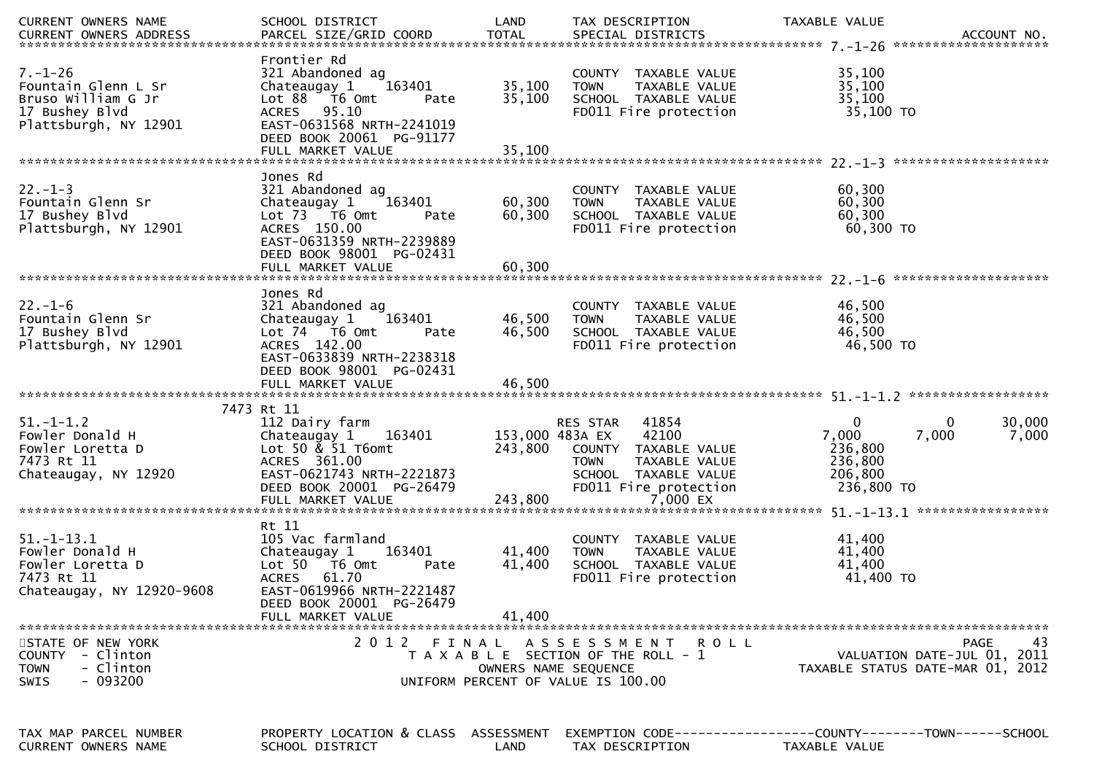| <b>CURRENT OWNERS NAME</b>                                                                            | SCHOOL DISTRICT                                                                                                                                                                                    | LAND                       | TAX DESCRIPTION                                                                                                                                        | TAXABLE VALUE                                                        |                                                                               |
|-------------------------------------------------------------------------------------------------------|----------------------------------------------------------------------------------------------------------------------------------------------------------------------------------------------------|----------------------------|--------------------------------------------------------------------------------------------------------------------------------------------------------|----------------------------------------------------------------------|-------------------------------------------------------------------------------|
| $7. - 1 - 26$<br>Fountain Glenn L Sr<br>Bruso William G Jr<br>17 Bushey Blvd<br>Plattsburgh, NY 12901 | Frontier Rd<br>321 Abandoned ag<br>163401<br>Chateaugay 1<br>Lot 88 T6 Omt<br>Pate<br>ACRES 95.10<br>EAST-0631568 NRTH-2241019<br>DEED BOOK 20061 PG-91177                                         | 35,100<br>35,100           | COUNTY TAXABLE VALUE<br>TAXABLE VALUE<br><b>TOWN</b><br>SCHOOL TAXABLE VALUE<br>FD011 Fire protection                                                  | 35,100<br>35,100<br>35,100<br>35,100 TO                              |                                                                               |
|                                                                                                       |                                                                                                                                                                                                    |                            |                                                                                                                                                        |                                                                      |                                                                               |
| $22. - 1 - 3$<br>Fountain Glenn Sr<br>17 Bushey Blvd<br>Plattsburgh, NY 12901                         | Jones Rd<br>321 Abandoned ag<br>Chateaugay 1<br>163401<br>Lot 73 T6 Omt<br>Pate<br>ACRES 150.00<br>EAST-0631359 NRTH-2239889<br>DEED BOOK 98001 PG-02431                                           | 60,300<br>60,300           | COUNTY TAXABLE VALUE<br>TAXABLE VALUE<br><b>TOWN</b><br>SCHOOL TAXABLE VALUE<br>FD011 Fire protection                                                  | 60,300<br>60,300<br>60,300<br>60,300 TO                              |                                                                               |
|                                                                                                       | FULL MARKET VALUE                                                                                                                                                                                  | 60,300                     |                                                                                                                                                        |                                                                      |                                                                               |
| $22. - 1 - 6$<br>Fountain Glenn Sr<br>17 Bushey Blvd<br>Plattsburgh, NY 12901                         | Jones Rd<br>321 Abandoned ag<br>163401<br>Chateaugay 1<br>Lot 74  T6 0mt<br>Pate<br>ACRES 142.00<br>EAST-0633839 NRTH-2238318<br>DEED BOOK 98001 PG-02431                                          | 46,500<br>46,500           | COUNTY TAXABLE VALUE<br><b>TOWN</b><br>TAXABLE VALUE<br>SCHOOL TAXABLE VALUE<br>FD011 Fire protection                                                  | 46,500<br>46,500<br>46,500<br>46,500 TO                              |                                                                               |
|                                                                                                       | FULL MARKET VALUE                                                                                                                                                                                  | 46,500                     |                                                                                                                                                        |                                                                      |                                                                               |
|                                                                                                       | 7473 Rt 11                                                                                                                                                                                         |                            |                                                                                                                                                        |                                                                      |                                                                               |
| $51. - 1 - 1.2$<br>Fowler Donald H<br>Fowler Loretta D<br>7473 Rt 11<br>Chateaugay, NY 12920          | 112 Dairy farm<br>Chateaugay 1<br>163401<br>Lot 50 & 51 T6omt<br>ACRES 361.00<br>EAST-0621743 NRTH-2221873<br>DEED BOOK 20001 PG-26479                                                             | 243,800                    | 41854<br>RES STAR<br>153,000 483A EX<br>42100<br>COUNTY TAXABLE VALUE<br><b>TOWN</b><br>TAXABLE VALUE<br>SCHOOL TAXABLE VALUE<br>FD011 Fire protection | $\mathbf{0}$<br>7,000<br>236,800<br>236,800<br>206,800<br>236,800 TO | 30,000<br>0<br>7,000<br>7,000                                                 |
|                                                                                                       |                                                                                                                                                                                                    |                            |                                                                                                                                                        |                                                                      |                                                                               |
| $51. - 1 - 13.1$<br>Fowler Donald H<br>Fowler Loretta D<br>7473 Rt 11<br>Chateaugay, NY 12920-9608    | Rt 11<br>105 Vac farmland<br>Chateaugay 1<br>163401<br>Lot $50$ $\overline{16}$ Omt<br>Pate<br><b>ACRES</b><br>61.70<br>EAST-0619966 NRTH-2221487<br>DEED BOOK 20001 PG-26479<br>FULL MARKET VALUE | 41,400<br>41,400<br>41,400 | COUNTY TAXABLE VALUE<br><b>TOWN</b><br>TAXABLE VALUE<br>SCHOOL TAXABLE VALUE<br>FD011 Fire protection                                                  | 41,400<br>41,400<br>41,400<br>41,400 TO                              |                                                                               |
|                                                                                                       |                                                                                                                                                                                                    |                            |                                                                                                                                                        |                                                                      |                                                                               |
| STATE OF NEW YORK<br>COUNTY - Clinton<br>- Clinton<br><b>TOWN</b><br>$-093200$<br>SWIS                | 2012<br>FINAL                                                                                                                                                                                      |                            | A S S E S S M E N T R O L L<br>T A X A B L E SECTION OF THE ROLL - 1<br>OWNERS NAME SEQUENCE<br>UNIFORM PERCENT OF VALUE IS 100.00                     |                                                                      | 43<br>PAGE<br>VALUATION DATE-JUL 01, 2011<br>TAXABLE STATUS DATE-MAR 01, 2012 |
| TAX MAP PARCEL NUMBER<br>CURRENT OWNERS NAME                                                          | PROPERTY LOCATION & CLASS ASSESSMENT<br>SCHOOL DISTRICT                                                                                                                                            | LAND                       | EXEMPTION        CODE-----------------COUNTY-------TOWN------SCHOOL<br>TAX DESCRIPTION                                                                 | <b>TAXABLE VALUE</b>                                                 |                                                                               |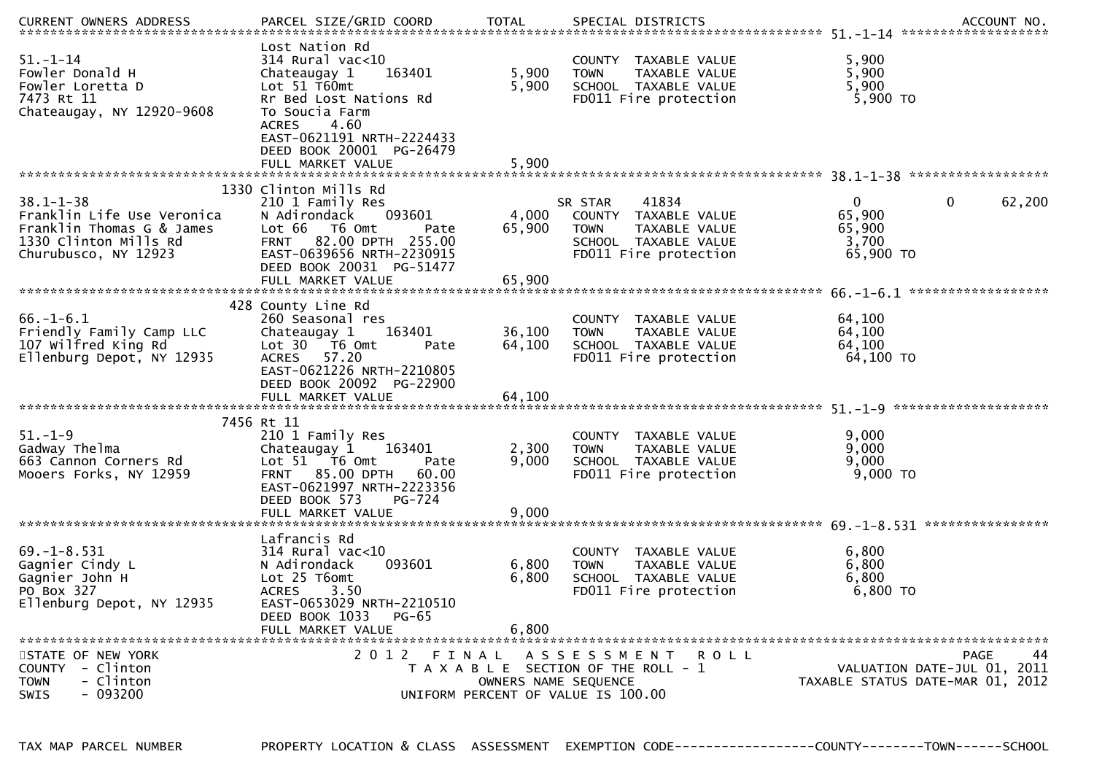| $51. - 1 - 14$<br>Fowler Donald H<br>Fowler Loretta D<br>7473 Rt 11<br>Chateaugay, NY 12920-9608                            | Lost Nation Rd<br>314 Rural vac<10<br>163401<br>Chateaugay 1<br>Lot 51 T60mt<br>Rr Bed Lost Nations Rd<br>To Soucia Farm<br>4.60<br><b>ACRES</b><br>EAST-0621191 NRTH-2224433<br>DEED BOOK 20001 PG-26479       | 5,900<br>5,900                                                                                      | <b>TOWN</b>            | COUNTY TAXABLE VALUE<br>TAXABLE VALUE<br>SCHOOL TAXABLE VALUE<br>FD011 Fire protection          | 5,900<br>5,900<br>5,900<br>5,900 TO                    |                                                  |
|-----------------------------------------------------------------------------------------------------------------------------|-----------------------------------------------------------------------------------------------------------------------------------------------------------------------------------------------------------------|-----------------------------------------------------------------------------------------------------|------------------------|-------------------------------------------------------------------------------------------------|--------------------------------------------------------|--------------------------------------------------|
|                                                                                                                             | FULL MARKET VALUE                                                                                                                                                                                               | 5,900                                                                                               |                        |                                                                                                 |                                                        |                                                  |
| $38.1 - 1 - 38$<br>Franklin Life Use Veronica<br>Franklin Thomas G & James<br>1330 Clinton Mills Rd<br>Churubusco, NY 12923 | 1330 Clinton Mills Rd<br>210 1 Family Res<br>093601<br>N Adirondack<br>Lot 66  T6 0mt<br>Pate<br>82.00 DPTH 255.00<br><b>FRNT</b><br>EAST-0639656 NRTH-2230915<br>DEED BOOK 20031 PG-51477<br>FULL MARKET VALUE | 4,000<br>65,900<br>65,900                                                                           | SR STAR<br><b>TOWN</b> | 41834<br>COUNTY TAXABLE VALUE<br>TAXABLE VALUE<br>SCHOOL TAXABLE VALUE<br>FD011 Fire protection | $\mathbf{0}$<br>65,900<br>65,900<br>3,700<br>65,900 TO | $\mathbf 0$<br>62,200                            |
|                                                                                                                             |                                                                                                                                                                                                                 |                                                                                                     |                        |                                                                                                 |                                                        |                                                  |
| $66. - 1 - 6.1$<br>Friendly Family Camp LLC<br>107 wilfred King Rd<br>Ellenburg Depot, NY 12935                             | 428 County Line Rd<br>260 Seasonal res<br>163401<br>Chateaugay 1<br>Lot $30 - 76$ Omt<br>Pate<br>ACRES 57.20<br>EAST-0621226 NRTH-2210805<br>DEED BOOK 20092 PG-22900                                           | 36,100<br>64,100                                                                                    | <b>TOWN</b>            | COUNTY TAXABLE VALUE<br>TAXABLE VALUE<br>SCHOOL TAXABLE VALUE<br>FD011 Fire protection          | 64,100<br>64,100<br>64,100<br>64,100 TO                |                                                  |
|                                                                                                                             |                                                                                                                                                                                                                 |                                                                                                     |                        |                                                                                                 |                                                        |                                                  |
| $51. - 1 - 9$<br>Gadway Thelma<br>663 Cannon Corners Rd<br>Mooers Forks, NY 12959                                           | 7456 Rt 11<br>210 1 Family Res<br>163401<br>Chateaugay 1<br>Lot 51 76 0mt<br>Pate<br><b>FRNT 85.00 DPTH</b><br>60.00<br>EAST-0621997 NRTH-2223356<br>DEED BOOK 573<br>PG-724                                    | 2,300<br>9,000                                                                                      | <b>TOWN</b>            | COUNTY TAXABLE VALUE<br>TAXABLE VALUE<br>SCHOOL TAXABLE VALUE<br>FD011 Fire protection          | 9,000<br>9,000<br>9,000<br>$9,000$ TO                  |                                                  |
|                                                                                                                             | Lafrancis Rd                                                                                                                                                                                                    |                                                                                                     |                        |                                                                                                 |                                                        |                                                  |
| $69. - 1 - 8.531$<br>Gagnier Cindy L<br>Gagnier John H<br>PO Box 327<br>Ellenburg Depot, NY 12935                           | $314$ Rural vac<10<br>093601<br>N Adirondack<br>Lot 25 T6omt<br>3.50<br><b>ACRES</b><br>EAST-0653029 NRTH-2210510<br>DEED BOOK 1033<br>PG-65                                                                    | 6,800<br>6,800                                                                                      | <b>TOWN</b>            | COUNTY TAXABLE VALUE<br>TAXABLE VALUE<br>SCHOOL TAXABLE VALUE<br>FD011 Fire protection          | 6,800<br>6,800<br>6,800<br>6,800 TO                    |                                                  |
|                                                                                                                             | FULL MARKET VALUE                                                                                                                                                                                               | 6.800                                                                                               |                        |                                                                                                 |                                                        |                                                  |
| STATE OF NEW YORK<br>COUNTY - Clinton<br>- Clinton<br><b>TOWN</b><br>SWIS<br>- 093200                                       | 2012 FINAL                                                                                                                                                                                                      | T A X A B L E SECTION OF THE ROLL - 1<br>OWNERS NAME SEQUENCE<br>UNIFORM PERCENT OF VALUE IS 100.00 |                        | A S S E S S M E N T R O L L                                                                     | TAXABLE STATUS DATE-MAR 01, 2012                       | <b>PAGE</b><br>44<br>VALUATION DATE-JUL 01, 2011 |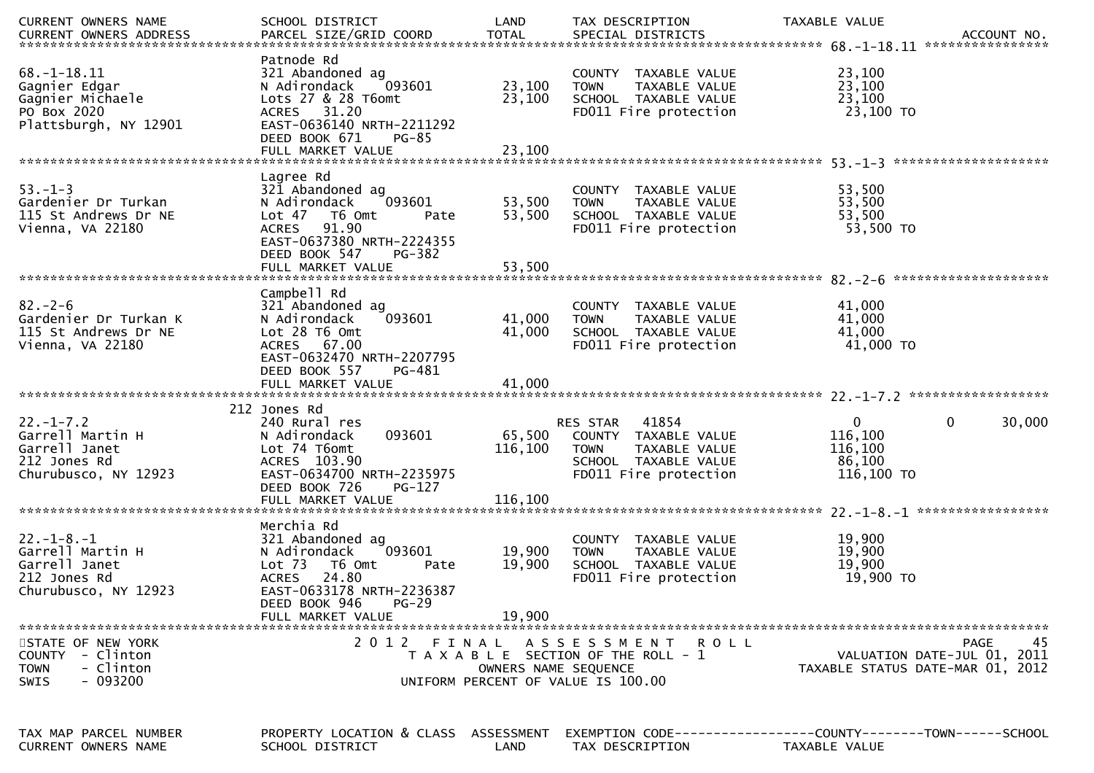|                                                                                                | SCHOOL DISTRICT                                                                                                                                                             | LAND                       | TAX DESCRIPTION                                                                                                 | TAXABLE VALUE<br>ACCOUNT NO.<br>****************                              |
|------------------------------------------------------------------------------------------------|-----------------------------------------------------------------------------------------------------------------------------------------------------------------------------|----------------------------|-----------------------------------------------------------------------------------------------------------------|-------------------------------------------------------------------------------|
| $68. - 1 - 18.11$<br>Gagnier Edgar<br>Gagnier Michaele<br>PO Box 2020<br>Plattsburgh, NY 12901 | Patnode Rd<br>321 Abandoned ag<br>093601<br>N Adirondack<br>Lots 27 & 28 T6omt<br>ACRES 31.20<br>EAST-0636140 NRTH-2211292<br>DEED BOOK 671<br>$PG-85$<br>FULL MARKET VALUE | 23,100<br>23,100<br>23,100 | COUNTY TAXABLE VALUE<br><b>TOWN</b><br>TAXABLE VALUE<br>SCHOOL TAXABLE VALUE<br>FD011 Fire protection           | 23,100<br>23,100<br>23,100<br>23,100 TO                                       |
|                                                                                                |                                                                                                                                                                             |                            |                                                                                                                 |                                                                               |
| $53. - 1 - 3$<br>Gardenier Dr Turkan<br>115 St Andrews Dr NE<br>Vienna, VA 22180               | Lagree Rd<br>321 Abandoned ag<br>093601<br>N Adirondack<br>Lot 47 T6 Omt<br>Pate<br>91.90<br><b>ACRES</b><br>EAST-0637380 NRTH-2224355<br>DEED BOOK 547<br>PG-382           | 53,500<br>53,500           | COUNTY TAXABLE VALUE<br><b>TOWN</b><br>TAXABLE VALUE<br>SCHOOL TAXABLE VALUE<br>FD011 Fire protection           | 53,500<br>53,500<br>53,500<br>53,500 TO                                       |
|                                                                                                | FULL MARKET VALUE                                                                                                                                                           | 53,500                     |                                                                                                                 |                                                                               |
| $82 - 2 - 6$<br>Gardenier Dr Turkan K<br>115 St Andrews Dr NE<br>Vienna, VA 22180              | Campbell Rd<br>321 Abandoned ag<br>093601<br>N Adirondack<br>Lot 28 T6 Omt<br>ACRES 67.00<br>EAST-0632470 NRTH-2207795                                                      | 41,000<br>41,000           | COUNTY TAXABLE VALUE<br>TAXABLE VALUE<br><b>TOWN</b><br>SCHOOL TAXABLE VALUE<br>FD011 Fire protection           | 41,000<br>41,000<br>41,000<br>41,000 TO                                       |
|                                                                                                | DEED BOOK 557<br>PG-481<br>FULL MARKET VALUE                                                                                                                                | 41,000                     |                                                                                                                 |                                                                               |
|                                                                                                |                                                                                                                                                                             |                            |                                                                                                                 |                                                                               |
| $22. - 1 - 7.2$                                                                                | 212 Jones Rd<br>240 Rural res                                                                                                                                               |                            | 41854<br>RES STAR                                                                                               | $\mathbf{0}$<br>30,000<br>$\mathbf{0}$                                        |
| Garrell Martin H<br>Garrell Janet<br>212 Jones Rd<br>Churubusco, NY 12923                      | 093601<br>N Adirondack<br>Lot 74 T6omt<br>ACRES 103.90<br>EAST-0634700 NRTH-2235975<br>DEED BOOK 726<br>PG-127                                                              | 65,500<br>116,100          | COUNTY TAXABLE VALUE<br><b>TOWN</b><br>TAXABLE VALUE<br>SCHOOL TAXABLE VALUE<br>FD011 Fire protection           | 116,100<br>116,100<br>86,100<br>116,100 TO                                    |
|                                                                                                | FULL MARKET VALUE                                                                                                                                                           | 116,100                    |                                                                                                                 |                                                                               |
| $22 - 1 - 8 - 1$<br>Garrell Martin H<br>Garrell Janet<br>212 Jones Rd<br>Churubusco, NY 12923  | Merchia Rd<br>321 Abandoned ag<br>093601<br>N Adirondack<br>Lot 73 T6 Omt<br>Pate<br><b>ACRES</b><br>24.80<br>EAST-0633178 NRTH-2236387<br>DEED BOOK 946<br>$PG-29$         | 19,900<br>19,900           | <b>COUNTY</b><br>TAXABLE VALUE<br>TAXABLE VALUE<br><b>TOWN</b><br>SCHOOL TAXABLE VALUE<br>FD011 Fire protection | 19,900<br>19,900<br>19,900<br>19,900 TO                                       |
|                                                                                                | FULL MARKET VALUE                                                                                                                                                           | 19,900                     |                                                                                                                 |                                                                               |
| STATE OF NEW YORK<br>COUNTY - Clinton<br>- Clinton<br><b>TOWN</b><br>$-093200$<br>SWIS         |                                                                                                                                                                             | OWNERS NAME SEQUENCE       | 2012 FINAL ASSESSMENT ROLL<br>T A X A B L E SECTION OF THE ROLL - 1<br>UNIFORM PERCENT OF VALUE IS 100.00       | 45<br>PAGE<br>VALUATION DATE-JUL 01, 2011<br>TAXABLE STATUS DATE-MAR 01, 2012 |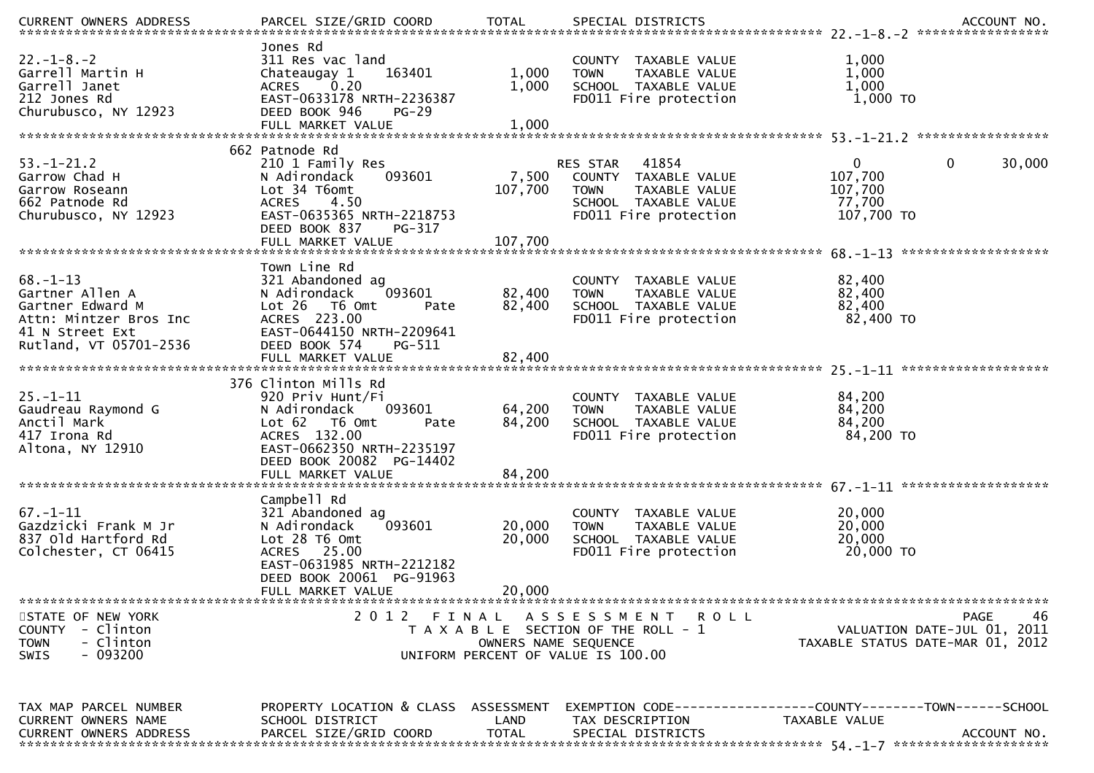| $22. - 1 - 8. - 2$<br>Garrell Martin H<br>Garrell Janet<br>212 Jones Rd<br>Churubusco, NY 12923                              | Jones Rd<br>311 Res vac land<br>163401<br>Chateaugay 1<br>0.20<br><b>ACRES</b><br>EAST-0633178 NRTH-2236387<br>DEED BOOK 946<br>$PG-29$                                 | 1,000<br>1,000             | COUNTY TAXABLE VALUE<br>TAXABLE VALUE<br><b>TOWN</b><br>SCHOOL TAXABLE VALUE<br>FD011 Fire protection                      | 1,000<br>1,000<br>1,000<br>1,000 TO                                                          |
|------------------------------------------------------------------------------------------------------------------------------|-------------------------------------------------------------------------------------------------------------------------------------------------------------------------|----------------------------|----------------------------------------------------------------------------------------------------------------------------|----------------------------------------------------------------------------------------------|
| $53. - 1 - 21.2$<br>Garrow Chad H<br>Garrow Roseann<br>662 Patnode Rd<br>Churubusco, NY 12923                                | 662 Patnode Rd<br>210 1 Family Res<br>N Adirondack<br>093601<br>Lot 34 T6omt<br><b>ACRES</b><br>4.50<br>EAST-0635365 NRTH-2218753<br>DEED BOOK 837<br>PG-317            | 7,500<br>107,700           | 41854<br>RES STAR<br>COUNTY TAXABLE VALUE<br><b>TOWN</b><br>TAXABLE VALUE<br>SCHOOL TAXABLE VALUE<br>FD011 Fire protection | $\mathbf{0}$<br>$\mathbf{0}$<br>30,000<br>107,700<br>107,700<br>77,700<br>107,700 TO         |
|                                                                                                                              |                                                                                                                                                                         |                            |                                                                                                                            |                                                                                              |
| $68. - 1 - 13$<br>Gartner Allen A<br>Gartner Edward M<br>Attn: Mintzer Bros Inc<br>41 N Street Ext<br>Rutland, VT 05701-2536 | Town Line Rd<br>321 Abandoned ag<br>093601<br>N Adirondack<br>Lot 26 T6 Omt<br>Pate<br>ACRES 223.00<br>EAST-0644150 NRTH-2209641<br>DEED BOOK 574<br>PG-511             | 82,400<br>82,400           | COUNTY TAXABLE VALUE<br>TAXABLE VALUE<br><b>TOWN</b><br>SCHOOL TAXABLE VALUE<br>FD011 Fire protection                      | 82,400<br>82,400<br>82,400<br>82,400 TO                                                      |
|                                                                                                                              |                                                                                                                                                                         |                            |                                                                                                                            |                                                                                              |
| $25. - 1 - 11$<br>Gaudreau Raymond G<br>Anctil Mark<br>417 Irona Rd<br>Altona, NY 12910                                      | 376 Clinton Mills Rd<br>920 Priv Hunt/Fi<br>093601<br>N Adirondack<br>Lot 62  T6 Omt<br>Pate<br>ACRES 132.00<br>EAST-0662350 NRTH-2235197<br>DEED BOOK 20082 PG-14402   | 64,200<br>84,200           | COUNTY TAXABLE VALUE<br>TAXABLE VALUE<br><b>TOWN</b><br>SCHOOL TAXABLE VALUE<br>FD011 Fire protection                      | 84,200<br>84,200<br>84,200<br>84,200 TO                                                      |
|                                                                                                                              |                                                                                                                                                                         |                            |                                                                                                                            |                                                                                              |
| $67 - 1 - 11$<br>Gazdzicki Frank M Jr<br>837 Old Hartford Rd<br>Colchester, CT 06415                                         | Campbell Rd<br>321 Abandoned ag<br>093601<br>N Adirondack<br>Lot 28 T6 Omt<br>ACRES 25.00<br>EAST-0631985 NRTH-2212182<br>DEED BOOK 20061 PG-91963<br>FULL MARKET VALUE | 20,000<br>20,000<br>20,000 | COUNTY TAXABLE VALUE<br><b>TOWN</b><br>TAXABLE VALUE<br>SCHOOL TAXABLE VALUE<br>FD011 Fire protection                      | 20,000<br>20,000<br>20,000<br>20,000 TO                                                      |
|                                                                                                                              |                                                                                                                                                                         |                            |                                                                                                                            |                                                                                              |
| STATE OF NEW YORK<br>COUNTY - Clinton<br>- Clinton<br><b>TOWN</b><br>$-093200$<br><b>SWIS</b>                                | 2012 FINAL                                                                                                                                                              | OWNERS NAME SEQUENCE       | ASSESSMENT ROLL<br>T A X A B L E SECTION OF THE ROLL - 1<br>UNIFORM PERCENT OF VALUE IS 100.00                             | 46<br><b>PAGE</b><br>VALUATION DATE-JUL 01,<br>2011<br>TAXABLE STATUS DATE-MAR 01, 2012      |
| TAX MAP PARCEL NUMBER<br>CURRENT OWNERS NAME<br><b>CURRENT OWNERS ADDRESS</b>                                                | PROPERTY LOCATION & CLASS ASSESSMENT<br>SCHOOL DISTRICT<br>PARCEL SIZE/GRID COORD                                                                                       | LAND<br><b>TOTAL</b>       | TAX DESCRIPTION<br>SPECIAL DISTRICTS                                                                                       | EXEMPTION CODE-----------------COUNTY-------TOWN------SCHOOL<br>TAXABLE VALUE<br>ACCOUNT NO. |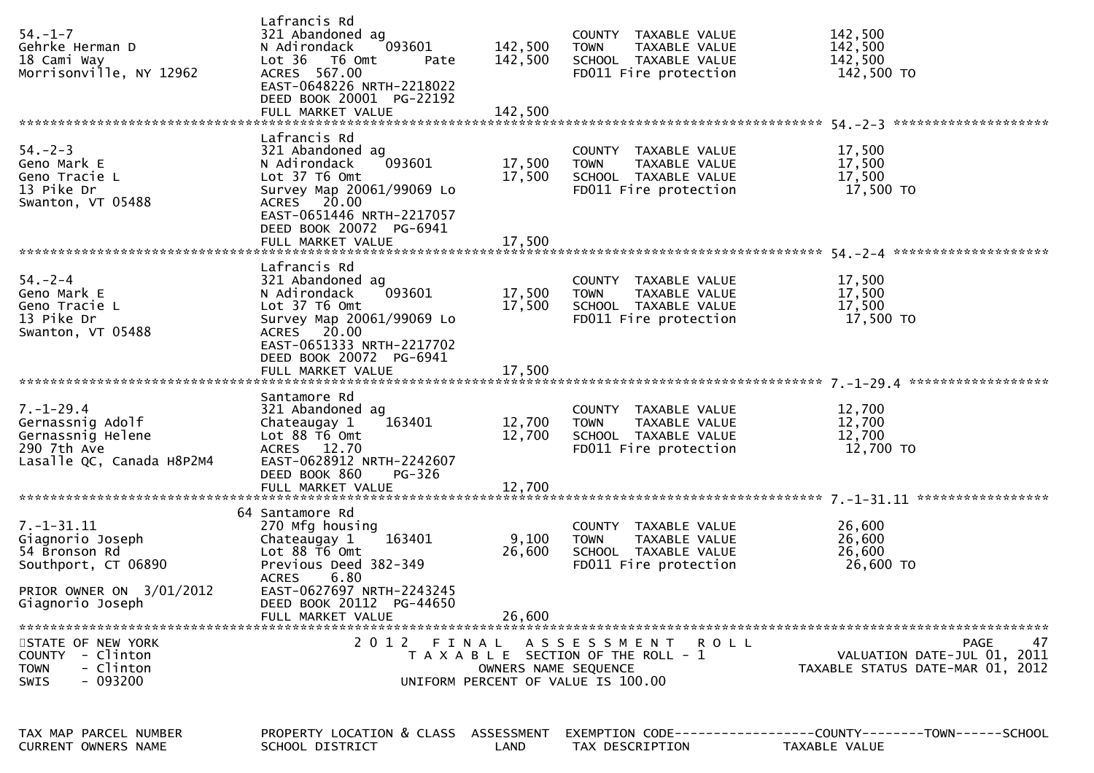| $54. - 1 - 7$<br>Gehrke Herman D<br>18 Cami Way<br>Morrisonville, NY 12962                                                   | Lafrancis Rd<br>321 Abandoned ag<br>093601<br>N Adirondack<br>Lot 36 T6 Omt<br>Pate<br>ACRES 567.00<br>EAST-0648226 NRTH-2218022<br>DEED BOOK 20001 PG-22192                                                 | 142,500<br>142,500         | COUNTY TAXABLE VALUE<br>TAXABLE VALUE<br>TOWN<br>SCHOOL TAXABLE VALUE<br>FD011 Fire protection            | 142,500<br>142,500<br>142,500<br>142,500 TO                                          |
|------------------------------------------------------------------------------------------------------------------------------|--------------------------------------------------------------------------------------------------------------------------------------------------------------------------------------------------------------|----------------------------|-----------------------------------------------------------------------------------------------------------|--------------------------------------------------------------------------------------|
| $54. - 2 - 3$<br>Geno Mark E<br>Geno Tracie L<br>13 Pike Dr<br>Swanton, VT 05488                                             | Lafrancis Rd<br>321 Abandoned ag<br>093601<br>N Adirondack<br>Lot 37 T6 Omt<br>Survey Map 20061/99069 Lo<br>ACRES 20.00<br>EAST-0651446 NRTH-2217057<br>DEED BOOK 20072 PG-6941                              | 17,500<br>17,500           | COUNTY TAXABLE VALUE<br><b>TOWN</b><br>TAXABLE VALUE<br>SCHOOL TAXABLE VALUE<br>FD011 Fire protection     | 17,500<br>17,500<br>17,500<br>17,500 TO                                              |
| $54. - 2 - 4$<br>Geno Mark E<br>Geno Tracie L<br>13 Pike Dr<br>Swanton, VT 05488                                             | Lafrancis Rd<br>321 Abandoned ag<br>093601<br>N Adirondack<br>Lot 37 T6 Omt<br>Survey Map 20061/99069 Lo<br>ACRES 20.00<br>EAST-0651333 NRTH-2217702<br>DEED BOOK 20072 PG-6941<br>FULL MARKET VALUE         | 17,500<br>17,500<br>17,500 | COUNTY TAXABLE VALUE<br>TAXABLE VALUE<br><b>TOWN</b><br>SCHOOL TAXABLE VALUE<br>FD011 Fire protection     | 17,500<br>17,500<br>17,500<br>17,500 TO                                              |
| $7. - 1 - 29.4$<br>Gernassnig Adolf<br>Gernassnig Helene<br>290 7th Ave<br>Lasalle QC, Canada H8P2M4                         | Santamore Rd<br>321 Abandoned ag<br>Chateaugay 1<br>163401<br>Lot 88 T6 Omt<br>ACRES 12.70<br>EAST-0628912 NRTH-2242607<br>DEED BOOK 860<br>PG-326                                                           | 12,700<br>12,700           | COUNTY TAXABLE VALUE<br><b>TOWN</b><br>TAXABLE VALUE<br>SCHOOL TAXABLE VALUE<br>FD011 Fire protection     | 12,700<br>12,700<br>12,700<br>12,700 TO                                              |
| $7. - 1 - 31.11$<br>Giagnorio Joseph<br>54 Bronson Rd<br>Southport, CT 06890<br>PRIOR OWNER ON 3/01/2012<br>Giagnorio Joseph | 64 Santamore Rd<br>270 Mfg housing<br>163401<br>Chateaugay 1<br>Lot 88 T6 Omt<br>Previous Deed 382-349<br>6.80<br><b>ACRES</b><br>EAST-0627697 NRTH-2243245<br>DEED BOOK 20112 PG-44650<br>FULL MARKET VALUE | 9,100<br>26,600<br>26,600  | COUNTY TAXABLE VALUE<br>TAXABLE VALUE<br><b>TOWN</b><br>SCHOOL TAXABLE VALUE<br>FD011 Fire protection     | 26,600<br>26,600<br>26,600<br>26,600 TO                                              |
| STATE OF NEW YORK<br>COUNTY - Clinton<br><b>TOWN</b><br>- Clinton<br>$-093200$<br>SWIS                                       |                                                                                                                                                                                                              | OWNERS NAME SEQUENCE       | 2012 FINAL ASSESSMENT ROLL<br>T A X A B L E SECTION OF THE ROLL - 1<br>UNIFORM PERCENT OF VALUE IS 100.00 | <b>PAGE</b><br>47<br>VALUATION DATE-JUL 01, 2011<br>TAXABLE STATUS DATE-MAR 01, 2012 |
| TAX MAP PARCEL NUMBER<br><b>CURRENT OWNERS NAME</b>                                                                          | PROPERTY LOCATION & CLASS ASSESSMENT<br>SCHOOL DISTRICT                                                                                                                                                      | LAND                       | TAX DESCRIPTION                                                                                           | EXEMPTION CODE-----------------COUNTY-------TOWN------SCHOOL<br>TAXABLE VALUE        |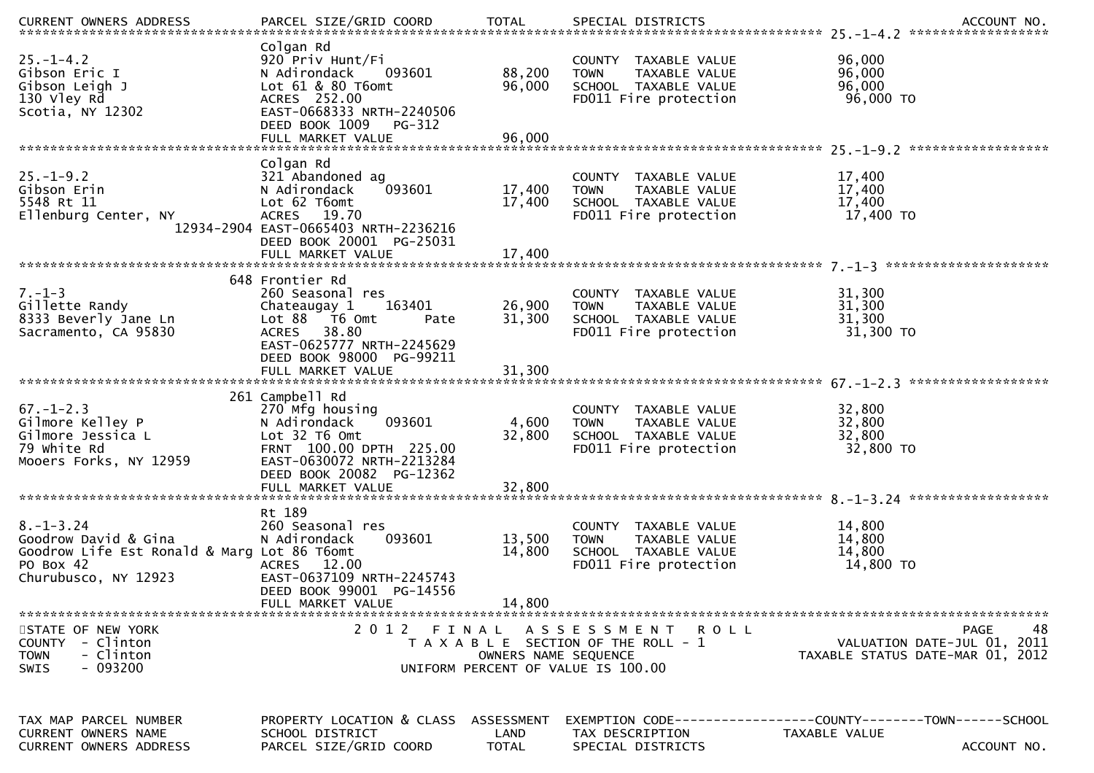| $25. - 1 - 4.2$<br>Gibson Eric I<br>Gibson Leigh J<br>130 Vley Rd<br>Scotia, NY 12302                                       | Colgan Rd<br>920 Priv Hunt/Fi<br>093601<br>N Adirondack<br>Lot 61 & 80 T6omt<br>ACRES 252.00<br>EAST-0668333 NRTH-2240506<br>DEED BOOK 1009<br>PG-312          | 88,200<br>96,000                   | COUNTY TAXABLE VALUE<br><b>TOWN</b><br>TAXABLE VALUE<br>SCHOOL TAXABLE VALUE<br>FD011 Fire protection         | 96,000<br>96,000<br>96,000<br>96,000 TO                                                              |
|-----------------------------------------------------------------------------------------------------------------------------|----------------------------------------------------------------------------------------------------------------------------------------------------------------|------------------------------------|---------------------------------------------------------------------------------------------------------------|------------------------------------------------------------------------------------------------------|
|                                                                                                                             | Colgan Rd                                                                                                                                                      |                                    |                                                                                                               |                                                                                                      |
| $25. - 1 - 9.2$<br>Gibson Erin<br>5548 Rt 11<br>Ellenburg Center, NY                                                        | 321 Abandoned ag<br>093601<br>N Adirondack<br>Lot 62 T6omt<br>ACRES 19.70<br>12934-2904 EAST-0665403 NRTH-2236216<br>DEED BOOK 20001 PG-25031                  | 17,400<br>17,400                   | COUNTY TAXABLE VALUE<br>TAXABLE VALUE<br><b>TOWN</b><br>SCHOOL TAXABLE VALUE<br>FD011 Fire protection         | 17,400<br>17,400<br>17,400<br>17,400 TO                                                              |
|                                                                                                                             |                                                                                                                                                                |                                    |                                                                                                               |                                                                                                      |
| $7. - 1 - 3$<br>Gillette Randy<br>8333 Beverly Jane Ln<br>Sacramento, CA 95830                                              | 648 Frontier Rd<br>260 Seasonal res<br>163401<br>Chateaugay 1<br>Lot 88 T6 Omt<br>Pate<br>ACRES 38.80<br>EAST-0625777 NRTH-2245629<br>DEED BOOK 98000 PG-99211 | 26,900<br>31,300                   | COUNTY TAXABLE VALUE<br>TAXABLE VALUE<br><b>TOWN</b><br>SCHOOL TAXABLE VALUE<br>FD011 Fire protection         | 31,300<br>31,300<br>31,300<br>31,300 TO                                                              |
|                                                                                                                             | 261 Campbell Rd                                                                                                                                                |                                    |                                                                                                               |                                                                                                      |
| $67. - 1 - 2.3$<br>Gilmore Kelley P<br>Gilmore Jessica L<br>79 white Rd<br>Mooers Forks, NY 12959                           | 270 Mfg housing<br>093601<br>N Adirondack<br>Lot 32 T6 Omt<br>FRNT 100.00 DPTH 225.00<br>EAST-0630072 NRTH-2213284<br>DEED BOOK 20082 PG-12362                 | 4,600<br>32,800                    | COUNTY TAXABLE VALUE<br><b>TOWN</b><br>TAXABLE VALUE<br>SCHOOL TAXABLE VALUE<br>FD011 Fire protection         | 32,800<br>32,800<br>32,800<br>32,800 TO                                                              |
|                                                                                                                             |                                                                                                                                                                |                                    |                                                                                                               |                                                                                                      |
| $8. - 1 - 3.24$<br>Goodrow David & Gina<br>Goodrow Life Est Ronald & Marg Lot 86 T6omt<br>PO Box 42<br>Churubusco, NY 12923 | Rt 189<br>260 Seasonal res<br>093601<br>N Adirondack<br>ACRES 12.00<br>EAST-0637109 NRTH-2245743<br>DEED BOOK 99001 PG-14556                                   | 13,500<br>14,800                   | COUNTY TAXABLE VALUE<br>TAXABLE VALUE<br><b>TOWN</b><br>SCHOOL TAXABLE VALUE<br>FD011 Fire protection         | 14,800<br>14,800<br>14,800<br>14,800 TO                                                              |
|                                                                                                                             | FULL MARKET VALUE                                                                                                                                              | 14,800                             |                                                                                                               |                                                                                                      |
| STATE OF NEW YORK<br>- Clinton<br><b>COUNTY</b><br><b>TOWN</b><br>- Clinton<br>$-093200$<br><b>SWIS</b>                     | 2 0 1 2                                                                                                                                                        | FINAL<br>OWNERS NAME SEQUENCE      | A S S E S S M E N T<br>R O L L<br>T A X A B L E SECTION OF THE ROLL - 1<br>UNIFORM PERCENT OF VALUE IS 100.00 | 48<br><b>PAGE</b><br>VALUATION DATE-JUL 01, 2011<br>TAXABLE STATUS DATE-MAR 01, 2012                 |
| TAX MAP PARCEL NUMBER<br><b>CURRENT OWNERS NAME</b><br><b>CURRENT OWNERS ADDRESS</b>                                        | PROPERTY LOCATION & CLASS<br>SCHOOL DISTRICT<br>PARCEL SIZE/GRID COORD                                                                                         | ASSESSMENT<br>LAND<br><b>TOTAL</b> | TAX DESCRIPTION<br>SPECIAL DISTRICTS                                                                          | EXEMPTION        CODE------------------COUNTY-------TOWN------SCHOOL<br>TAXABLE VALUE<br>ACCOUNT NO. |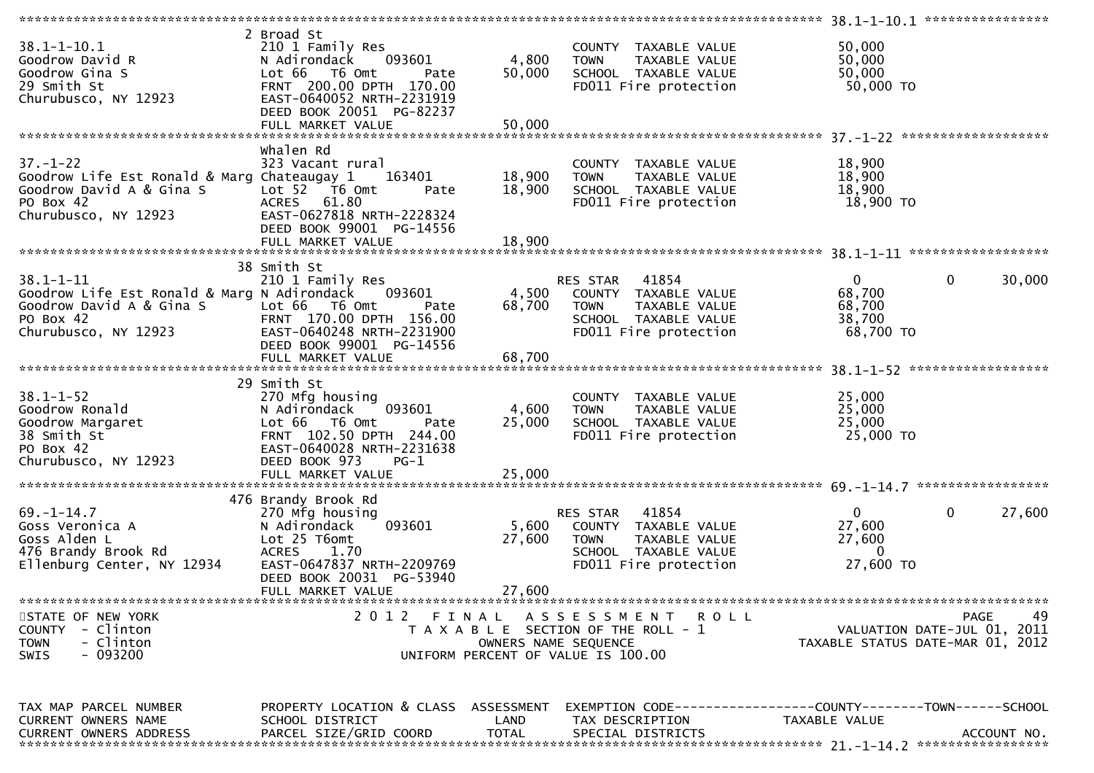| $38.1 - 1 - 10.1$<br>Goodrow David R<br>Goodrow Gina S<br>29 Smith St<br>Churubusco, NY 12923                                   | 2 Broad St<br>210 1 Family Res<br>093601<br>N Adirondack<br>Lot 66<br>T6 Omt<br>Pate<br>FRNT 200.00 DPTH 170.00<br>EAST-0640052 NRTH-2231919<br>DEED BOOK 20051 PG-82237 | 4,800<br>50,000      | COUNTY TAXABLE VALUE<br>TAXABLE VALUE<br><b>TOWN</b><br>SCHOOL TAXABLE VALUE<br>FD011 Fire protection                      | 50,000<br>50,000<br>50,000<br>50,000 TO                     |                                                  |
|---------------------------------------------------------------------------------------------------------------------------------|--------------------------------------------------------------------------------------------------------------------------------------------------------------------------|----------------------|----------------------------------------------------------------------------------------------------------------------------|-------------------------------------------------------------|--------------------------------------------------|
|                                                                                                                                 |                                                                                                                                                                          |                      |                                                                                                                            |                                                             |                                                  |
| $37. - 1 - 22$<br>Goodrow Life Est Ronald & Marg Chateaugay 1<br>Goodrow David A & Gina S<br>PO Box 42<br>Churubusco, NY 12923  | Whalen Rd<br>323 Vacant rural<br>163401<br>Lot 52 T6 Omt<br>Pate<br>ACRES 61.80<br>EAST-0627818 NRTH-2228324<br>DEED BOOK 99001 PG-14556                                 | 18,900<br>18,900     | COUNTY TAXABLE VALUE<br>TAXABLE VALUE<br><b>TOWN</b><br>SCHOOL TAXABLE VALUE<br>FD011 Fire protection                      | 18,900<br>18,900<br>18,900<br>18,900 TO                     |                                                  |
|                                                                                                                                 |                                                                                                                                                                          |                      |                                                                                                                            |                                                             |                                                  |
| $38.1 - 1 - 11$<br>Goodrow Life Est Ronald & Marg N Adirondack<br>Goodrow David A & Gina S<br>PO Box 42<br>Churubusco, NY 12923 | 38 Smith St<br>210 1 Family Res<br>093601<br>Lot 66<br>T6 Omt<br>Pate<br>FRNT 170.00 DPTH 156.00<br>EAST-0640248 NRTH-2231900<br>DEED BOOK 99001 PG-14556                | 4,500<br>68,700      | RES STAR 41854<br>COUNTY TAXABLE VALUE<br><b>TOWN</b><br>TAXABLE VALUE<br>SCHOOL TAXABLE VALUE<br>FD011 Fire protection    | $\overline{0}$<br>68,700<br>68,700<br>38,700<br>68,700 TO   | $\mathbf 0$<br>30,000                            |
|                                                                                                                                 |                                                                                                                                                                          |                      |                                                                                                                            |                                                             |                                                  |
| $38.1 - 1 - 52$<br>Goodrow Ronald<br>Goodrow Margaret<br>38 Smith St<br>PO Box 42<br>Churubusco, NY 12923                       | 29 Smith St<br>270 Mfg housing<br>N Adirondack<br>093601<br>Lot 66 T6 Omt<br>Pate<br>FRNT 102.50 DPTH 244.00<br>EAST-0640028 NRTH-2231638<br>DEED BOOK 973<br>$PG-1$     | 4,600<br>25,000      | COUNTY TAXABLE VALUE<br><b>TOWN</b><br>TAXABLE VALUE<br>SCHOOL TAXABLE VALUE<br>FD011 Fire protection                      | 25,000<br>25,000<br>25,000<br>25,000 TO                     |                                                  |
|                                                                                                                                 | 476 Brandy Brook Rd                                                                                                                                                      |                      |                                                                                                                            |                                                             |                                                  |
| $69. - 1 - 14.7$<br>Goss Veronica A<br>Goss Alden L<br>476 Brandy Brook Rd<br>Ellenburg Center, NY 12934                        | 270 Mfg housing<br>093601<br>N Adirondack<br>Lot 25 T6omt<br><b>ACRES</b><br>1.70<br>EAST-0647837 NRTH-2209769<br>DEED BOOK 20031 PG-53940                               | 5,600<br>27,600      | RES STAR<br>41854<br>COUNTY TAXABLE VALUE<br><b>TOWN</b><br>TAXABLE VALUE<br>SCHOOL TAXABLE VALUE<br>FD011 Fire protection | $\overline{0}$<br>27,600<br>27,600<br>$\Omega$<br>27,600 TO | $\mathbf 0$<br>27,600                            |
|                                                                                                                                 | FULL MARKET VALUE                                                                                                                                                        | 27,600               |                                                                                                                            |                                                             |                                                  |
| STATE OF NEW YORK<br>- Clinton<br><b>COUNTY</b><br>- Clinton<br><b>TOWN</b><br>$-093200$<br><b>SWIS</b>                         | 2012 FINAL                                                                                                                                                               | OWNERS NAME SEQUENCE | A S S E S S M E N T<br>R O L L<br>T A X A B L E SECTION OF THE ROLL - 1<br>UNIFORM PERCENT OF VALUE IS 100.00              | TAXABLE STATUS DATE-MAR 01, 2012                            | 49<br><b>PAGE</b><br>VALUATION DATE-JUL 01, 2011 |
| TAX MAP PARCEL NUMBER<br>CURRENT OWNERS NAME<br><b>CURRENT OWNERS ADDRESS</b>                                                   | PROPERTY LOCATION & CLASS ASSESSMENT<br>SCHOOL DISTRICT<br>PARCEL SIZE/GRID COORD                                                                                        | LAND<br><b>TOTAL</b> | EXEMPTION CODE------------------COUNTY--------TOWN------SCHOOL<br>TAX DESCRIPTION<br>SPECIAL DISTRICTS                     | TAXABLE VALUE                                               | ACCOUNT NO.                                      |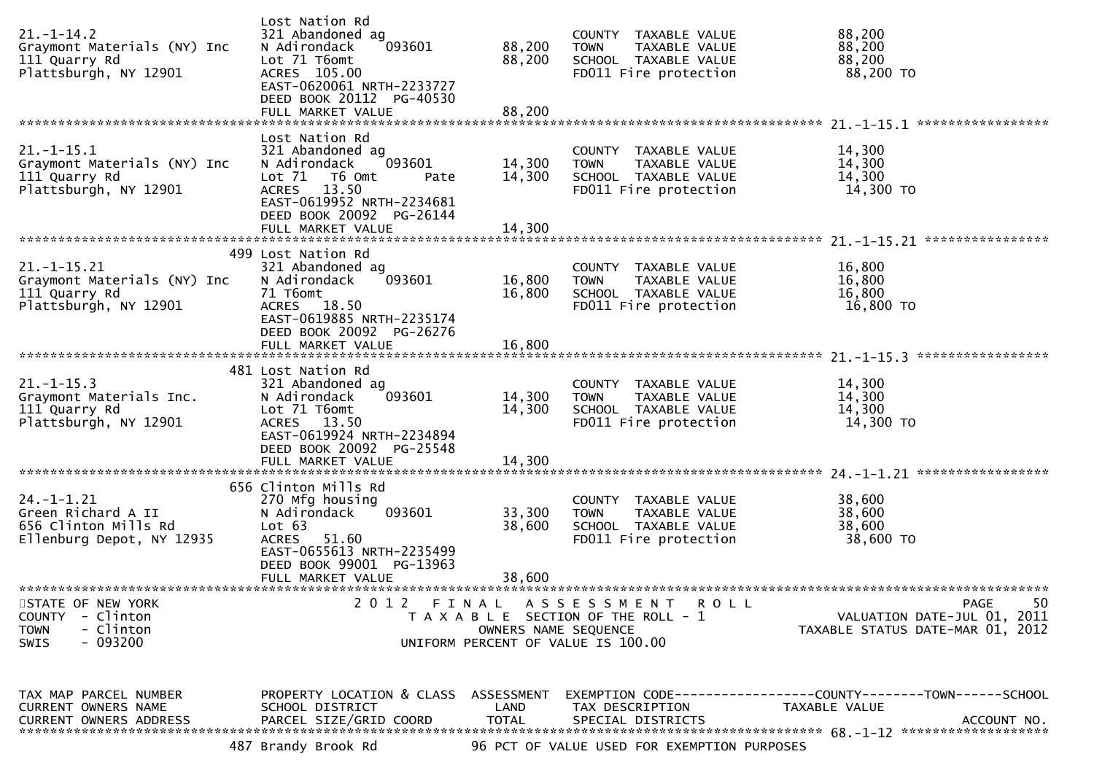| $21. - 1 - 14.2$<br>Graymont Materials (NY) Inc<br>111 Quarry Rd<br>Plattsburgh, NY 12901        | Lost Nation Rd<br>321 Abandoned ag<br>093601<br>N Adirondack<br>Lot 71 T6omt<br>ACRES 105.00<br>EAST-0620061 NRTH-2233727<br>DEED BOOK 20112 PG-40530<br>FULL MARKET VALUE             | 88,200<br>88,200<br>88,200 | COUNTY TAXABLE VALUE<br>TAXABLE VALUE<br><b>TOWN</b><br>SCHOOL TAXABLE VALUE<br>FD011 Fire protection      | 88,200<br>88,200<br>88,200<br>88,200 TO                                                      |
|--------------------------------------------------------------------------------------------------|----------------------------------------------------------------------------------------------------------------------------------------------------------------------------------------|----------------------------|------------------------------------------------------------------------------------------------------------|----------------------------------------------------------------------------------------------|
|                                                                                                  |                                                                                                                                                                                        |                            |                                                                                                            |                                                                                              |
| $21. - 1 - 15.1$<br>Graymont Materials (NY) Inc<br>111 Quarry Rd<br>Plattsburgh, NY 12901        | Lost Nation Rd<br>321 Abandoned ag<br>093601<br>N Adirondack<br>Lot 71  T6 0mt<br>Pate<br>13.50<br>ACRES<br>EAST-0619952 NRTH-2234681<br>DEED BOOK 20092 PG-26144<br>FULL MARKET VALUE | 14,300<br>14,300<br>14,300 | COUNTY TAXABLE VALUE<br><b>TOWN</b><br>TAXABLE VALUE<br>SCHOOL TAXABLE VALUE<br>FD011 Fire protection      | 14,300<br>14,300<br>14,300<br>14,300 TO                                                      |
|                                                                                                  |                                                                                                                                                                                        |                            |                                                                                                            |                                                                                              |
| $21. - 1 - 15.21$<br>Graymont Materials (NY) Inc<br>111 Quarry Rd<br>Plattsburgh, NY 12901       | 499 Lost Nation Rd<br>321 Abandoned ag<br>N Adirondack<br>093601<br>71 T6omt<br>18.50<br><b>ACRES</b><br>EAST-0619885 NRTH-2235174<br>DEED BOOK 20092 PG-26276                         | 16,800<br>16,800           | COUNTY TAXABLE VALUE<br>TAXABLE VALUE<br><b>TOWN</b><br>SCHOOL TAXABLE VALUE<br>FD011 Fire protection      | 16,800<br>16,800<br>16,800<br>16,800 TO                                                      |
|                                                                                                  | FULL MARKET VALUE                                                                                                                                                                      | 16,800                     |                                                                                                            |                                                                                              |
| $21. - 1 - 15.3$<br>Graymont Materials Inc.<br>111 Quarry Rd<br>Plattsburgh, NY 12901            | 481 Lost Nation Rd<br>321 Abandoned ag<br>093601<br>N Adirondack<br>Lot 71 T6omt<br>ACRES 13.50<br>EAST-0619924 NRTH-2234894<br>DEED BOOK 20092 PG-25548<br>FULL MARKET VALUE          | 14,300<br>14,300<br>14,300 | COUNTY TAXABLE VALUE<br><b>TOWN</b><br>TAXABLE VALUE<br>SCHOOL TAXABLE VALUE<br>FD011 Fire protection      | 14,300<br>14,300<br>14,300<br>14,300 TO                                                      |
|                                                                                                  | 656 Clinton Mills Rd                                                                                                                                                                   |                            |                                                                                                            |                                                                                              |
| $24. -1 - 1.21$<br>Green Richard A II<br>656 Clinton Mills Rd<br>Ellenburg Depot, NY 12935       | 270 Mfg housing<br>093601<br>N Adirondack<br>Lot 63<br><b>ACRES</b><br>51.60<br>EAST-0655613 NRTH-2235499<br>DEED BOOK 99001 PG-13963<br>FULL MARKET VALUE                             | 33,300<br>38,600<br>38,600 | COUNTY TAXABLE VALUE<br>TAXABLE VALUE<br><b>TOWN</b><br>SCHOOL TAXABLE VALUE<br>FD011 Fire protection      | 38,600<br>38,600<br>38,600<br>38,600 TO                                                      |
|                                                                                                  |                                                                                                                                                                                        |                            |                                                                                                            |                                                                                              |
| STATE OF NEW YORK<br>- Clinton<br><b>COUNTY</b><br>- Clinton<br><b>TOWN</b><br>SWIS<br>$-093200$ | 2 0 1 2                                                                                                                                                                                | OWNERS NAME SEQUENCE       | FINAL ASSESSMENT<br>R O L L<br>T A X A B L E SECTION OF THE ROLL - 1<br>UNIFORM PERCENT OF VALUE IS 100.00 | 50<br><b>PAGE</b><br>VALUATION DATE-JUL 01, 2011<br>TAXABLE STATUS DATE-MAR 01, 2012         |
| TAX MAP PARCEL NUMBER<br>CURRENT OWNERS NAME<br><b>CURRENT OWNERS ADDRESS</b>                    | PROPERTY LOCATION & CLASS ASSESSMENT<br>SCHOOL DISTRICT<br>PARCEL SIZE/GRID COORD<br>487 Brandy Brook Rd                                                                               | LAND<br><b>TOTAL</b>       | TAX DESCRIPTION<br>SPECIAL DISTRICTS<br>96 PCT OF VALUE USED FOR EXEMPTION PURPOSES                        | EXEMPTION CODE-----------------COUNTY-------TOWN------SCHOOL<br>TAXABLE VALUE<br>ACCOUNT NO. |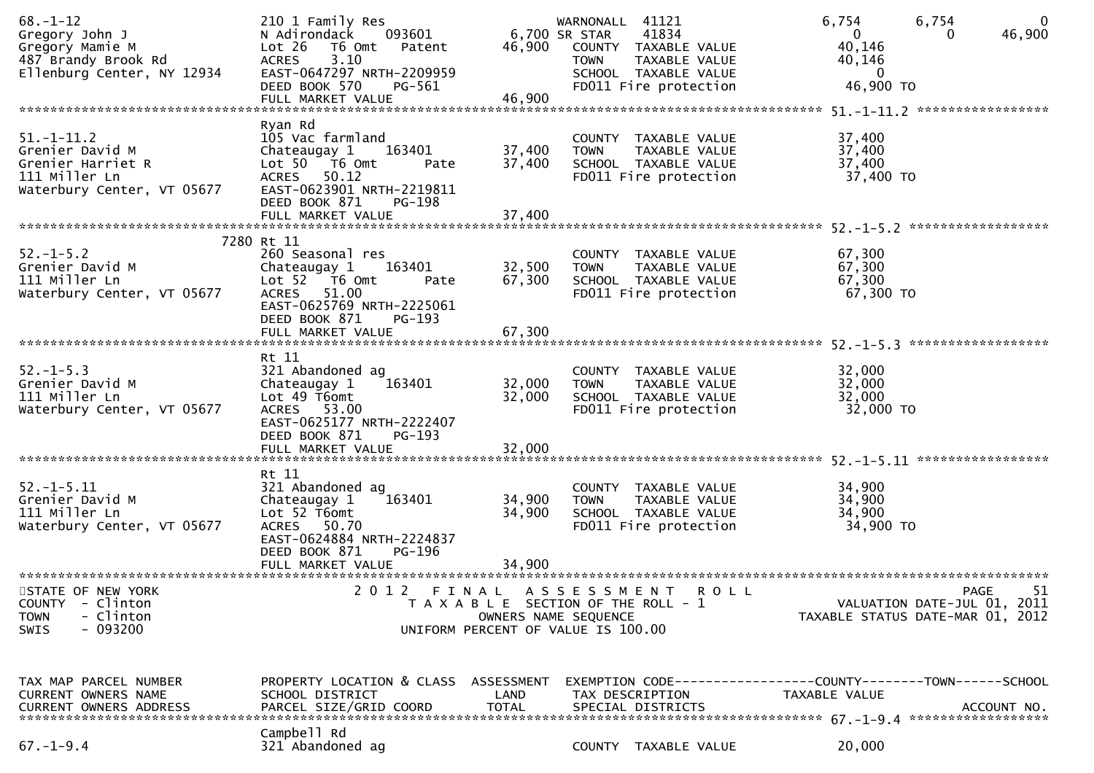| $68. - 1 - 12$<br>Gregory John J<br>Gregory Mamie M<br>487 Brandy Brook Rd<br>Ellenburg Center, NY 12934                                   | 210 1 Family Res<br>N Adirondack<br>093601<br>Lot 26<br>T6 Omt<br>Patent<br>3.10<br><b>ACRES</b><br>EAST-0647297 NRTH-2209959<br>DEED BOOK 570<br>PG-561                                  | 46,900                      | WARNONALL 41121<br>6,700 SR STAR<br><b>TOWN</b>                                                                            | 41834<br>COUNTY TAXABLE VALUE<br>TAXABLE VALUE<br>SCHOOL TAXABLE VALUE<br>FD011 Fire protection | 6,754<br>$\overline{0}$<br>40,146<br>40,146<br>$\overline{0}$<br>46,900 TO           | 6,754<br>$\mathbf 0$<br>46,900<br>0                                           |
|--------------------------------------------------------------------------------------------------------------------------------------------|-------------------------------------------------------------------------------------------------------------------------------------------------------------------------------------------|-----------------------------|----------------------------------------------------------------------------------------------------------------------------|-------------------------------------------------------------------------------------------------|--------------------------------------------------------------------------------------|-------------------------------------------------------------------------------|
|                                                                                                                                            | FULL MARKET VALUE                                                                                                                                                                         | 46,900                      |                                                                                                                            |                                                                                                 |                                                                                      |                                                                               |
| $51. - 1 - 11.2$<br>Grenier David M<br>Grenier Harriet R<br>111 Miller Ln<br>Waterbury Center, VT 05677                                    | Ryan Rd<br>105 Vac farmland<br>Chateaugay 1<br>163401<br>Lot $50$ $\overline{76}$ Omt<br>Pate<br>ACRES 50.12<br>EAST-0623901 NRTH-2219811<br>DEED BOOK 871<br>PG-198<br>FULL MARKET VALUE | 37,400<br>37,400<br>37,400  | <b>TOWN</b>                                                                                                                | COUNTY TAXABLE VALUE<br>TAXABLE VALUE<br>SCHOOL TAXABLE VALUE<br>FD011 Fire protection          | 37,400<br>37,400<br>37,400<br>37,400 TO                                              |                                                                               |
|                                                                                                                                            | 7280 Rt 11                                                                                                                                                                                |                             |                                                                                                                            |                                                                                                 |                                                                                      |                                                                               |
| $52. - 1 - 5.2$<br>Grenier David M<br>111 Miller Ln<br>Waterbury Center, VT 05677                                                          | 260 Seasonal res<br>Chateaugay 1<br>163401<br>Lot $52$ $\overline{76}$ Omt<br>Pate<br>ACRES 51.00<br>EAST-0625769 NRTH-2225061<br>DEED BOOK 871<br>PG-193                                 | 32,500<br>67,300            | <b>TOWN</b>                                                                                                                | COUNTY TAXABLE VALUE<br>TAXABLE VALUE<br>SCHOOL TAXABLE VALUE<br>FD011 Fire protection          | 67,300<br>67,300<br>67,300<br>67,300 TO                                              |                                                                               |
|                                                                                                                                            | FULL MARKET VALUE                                                                                                                                                                         | 67,300                      |                                                                                                                            |                                                                                                 |                                                                                      |                                                                               |
| $52. - 1 - 5.3$<br>Grenier David M<br>111 Miller Ln<br>Waterbury Center, VT 05677                                                          | Rt 11<br>321 Abandoned ag<br>Chateaugay 1<br>163401<br>Lot 49 T6omt<br>ACRES 53.00<br>EAST-0625177 NRTH-2222407<br>DEED BOOK 871<br>$PG-193$<br>FULL MARKET VALUE                         | 32,000<br>32,000<br>32,000  | <b>TOWN</b>                                                                                                                | COUNTY TAXABLE VALUE<br>TAXABLE VALUE<br>SCHOOL TAXABLE VALUE<br>FD011 Fire protection          | 32,000<br>32,000<br>32,000<br>32,000 TO                                              |                                                                               |
|                                                                                                                                            |                                                                                                                                                                                           |                             |                                                                                                                            |                                                                                                 |                                                                                      |                                                                               |
| $52 - 1 - 5.11$<br>Grenier David M<br>111 Miller Ln<br>Waterbury Center, VT 05677                                                          | Rt 11<br>321 Abandoned ag<br>Chateaugay 1<br>163401<br>Lot 52 T6omt<br>ACRES 50.70<br>EAST-0624884 NRTH-2224837<br>DEED BOOK 871<br>PG-196                                                | 34,900<br>34,900            | <b>TOWN</b>                                                                                                                | COUNTY TAXABLE VALUE<br>TAXABLE VALUE<br>SCHOOL TAXABLE VALUE<br>FD011 Fire protection          | 34,900<br>34,900<br>34,900<br>34,900 TO                                              |                                                                               |
|                                                                                                                                            | FULL MARKET VALUE                                                                                                                                                                         | 34,900                      |                                                                                                                            |                                                                                                 |                                                                                      |                                                                               |
| *******************************<br>STATE OF NEW YORK<br><b>COUNTY</b><br>- Clinton<br>- Clinton<br><b>TOWN</b><br>$-093200$<br><b>SWIS</b> | 2 0 1 2<br>FINAL                                                                                                                                                                          |                             | A S S E S S M E N T<br>T A X A B L E SECTION OF THE ROLL - 1<br>OWNERS NAME SEQUENCE<br>UNIFORM PERCENT OF VALUE IS 100.00 | ROLL                                                                                            |                                                                                      | 51<br>PAGE<br>VALUATION DATE-JUL 01, 2011<br>TAXABLE STATUS DATE-MAR 01, 2012 |
| TAX MAP PARCEL NUMBER<br>CURRENT OWNERS NAME<br><b>CURRENT OWNERS ADDRESS</b>                                                              | PROPERTY LOCATION & CLASS ASSESSMENT<br>SCHOOL DISTRICT<br>PARCEL SIZE/GRID COORD                                                                                                         | <b>LAND</b><br><b>TOTAL</b> | TAX DESCRIPTION<br>SPECIAL DISTRICTS                                                                                       |                                                                                                 | EXEMPTION        CODE-----------------COUNTY-------TOWN------SCHOOL<br>TAXABLE VALUE | ACCOUNT NO.                                                                   |
| $67. - 1 - 9.4$                                                                                                                            | Campbell Rd<br>321 Abandoned ag                                                                                                                                                           |                             |                                                                                                                            | COUNTY TAXABLE VALUE                                                                            | 20,000                                                                               |                                                                               |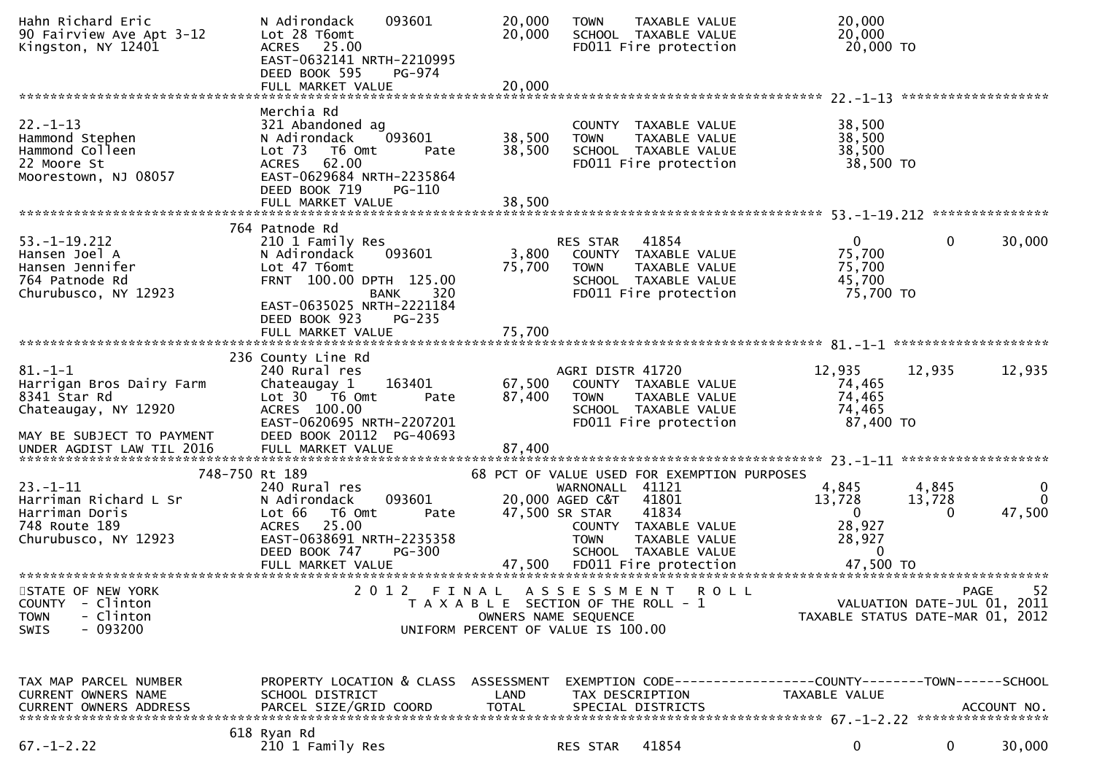| Hahn Richard Eric<br>90 Fairview Ave Apt 3-12<br>Kingston, NY 12401                                                                         | 093601<br>N Adirondack<br>Lot 28 T6omt<br>ACRES 25.00<br>EAST-0632141 NRTH-2210995<br>DEED BOOK 595<br>PG-974<br>FULL MARKET VALUE                                                   | 20,000<br>20,000<br>20,000                                                  | <b>TOWN</b>                                                         | TAXABLE VALUE<br>SCHOOL TAXABLE VALUE<br>FD011 Fire protection                                                                 | 20,000<br>20,000<br>20,000 TO                                                 |                             |                                            |
|---------------------------------------------------------------------------------------------------------------------------------------------|--------------------------------------------------------------------------------------------------------------------------------------------------------------------------------------|-----------------------------------------------------------------------------|---------------------------------------------------------------------|--------------------------------------------------------------------------------------------------------------------------------|-------------------------------------------------------------------------------|-----------------------------|--------------------------------------------|
|                                                                                                                                             |                                                                                                                                                                                      |                                                                             |                                                                     |                                                                                                                                |                                                                               |                             |                                            |
| $22. - 1 - 13$<br>Hammond Stephen<br>Hammond Colleen<br>22 Moore St<br>Moorestown, NJ 08057                                                 | Merchia Rd<br>321 Abandoned ag<br>093601<br>N Adirondack<br>Lot <sub>73</sub><br>T6 Omt<br>Pate<br><b>ACRES</b><br>62.00<br>EAST-0629684 NRTH-2235864<br>DEED BOOK 719<br>PG-110     | 38,500<br>38,500                                                            | <b>TOWN</b>                                                         | COUNTY TAXABLE VALUE<br>TAXABLE VALUE<br>SCHOOL TAXABLE VALUE<br>FD011 Fire protection                                         | 38,500<br>38,500<br>38,500<br>38,500 TO                                       |                             |                                            |
|                                                                                                                                             | FULL MARKET VALUE                                                                                                                                                                    | 38,500                                                                      |                                                                     |                                                                                                                                |                                                                               |                             |                                            |
|                                                                                                                                             | 764 Patnode Rd                                                                                                                                                                       |                                                                             |                                                                     |                                                                                                                                |                                                                               |                             |                                            |
| $53. - 1 - 19.212$<br>Hansen Joel A<br>Hansen Jennifer<br>764 Patnode Rd<br>Churubusco, NY 12923                                            | 210 1 Family Res<br>093601<br>N Adirondack<br>Lot 47 T6omt<br>FRNT 100.00 DPTH 125.00<br>320<br><b>BANK</b>                                                                          | 3,800<br>75,700                                                             | <b>RES STAR</b><br><b>TOWN</b>                                      | 41854<br>COUNTY TAXABLE VALUE<br>TAXABLE VALUE<br>SCHOOL TAXABLE VALUE<br>FD011 Fire protection                                | $\mathbf{0}$<br>75,700<br>75,700<br>45,700<br>75,700 TO                       | 0                           | 30,000                                     |
|                                                                                                                                             | EAST-0635025 NRTH-2221184<br>DEED BOOK 923<br>$PG-235$                                                                                                                               |                                                                             |                                                                     |                                                                                                                                |                                                                               |                             |                                            |
| $81. - 1 - 1$<br>Harrigan Bros Dairy Farm<br>8341 Star Rd<br>Chateaugay, NY 12920<br>MAY BE SUBJECT TO PAYMENT<br>UNDER AGDIST LAW TIL 2016 | 236 County Line Rd<br>240 Rural res<br>163401<br>Chateaugay 1<br>Lot 30 76 0mt<br>Pate<br>ACRES 100.00<br>EAST-0620695 NRTH-2207201<br>DEED BOOK 20112 PG-40693<br>FULL MARKET VALUE | 67,500<br>87,400<br>87,400                                                  | AGRI DISTR 41720<br><b>TOWN</b>                                     | COUNTY TAXABLE VALUE<br>TAXABLE VALUE<br>SCHOOL TAXABLE VALUE<br>FD011 Fire protection                                         | 12,935<br>74,465<br>74,465<br>74,465<br>87,400 TO                             | 12,935                      | 12,935                                     |
|                                                                                                                                             |                                                                                                                                                                                      |                                                                             |                                                                     |                                                                                                                                |                                                                               |                             |                                            |
| 748-750 Rt 189<br>$23 - 1 - 11$<br>Harriman Richard L Sr<br>Harriman Doris<br>748 Route 189<br>Churubusco, NY 12923                         | 240 Rural res<br>093601<br>N Adirondack<br>Lot 66<br>T6 Omt<br>Pate<br><b>ACRES</b><br>25.00<br>EAST-0638691 NRTH-2235358<br>DEED BOOK 747<br><b>PG-300</b>                          |                                                                             | WARNONALL 41121<br>20,000 AGED C&T<br>47,500 SR STAR<br><b>TOWN</b> | 68 PCT OF VALUE USED FOR EXEMPTION PURPOSES<br>41801<br>41834<br>COUNTY TAXABLE VALUE<br>TAXABLE VALUE<br>SCHOOL TAXABLE VALUE | 4,845<br>13,728<br>$\mathbf{0}$<br>28,927<br>28,927<br>0                      | 4,845<br>13,728<br>$\Omega$ | $\bf{0}$<br>$\Omega$<br>47,500             |
| STATE OF NEW YORK<br>COUNTY - Clinton<br>- Clinton<br><b>TOWN</b><br>$-093200$<br><b>SWIS</b>                                               |                                                                                                                                                                                      | T A X A B L E SECTION OF THE ROLL - 1<br>UNIFORM PERCENT OF VALUE IS 100.00 | OWNERS NAME SEQUENCE                                                | 2012 FINAL ASSESSMENT ROLL                                                                                                     | TAXABLE STATUS DATE-MAR 01, 2012                                              |                             | -52<br>PAGE<br>VALUATION DATE-JUL 01, 2011 |
| TAX MAP PARCEL NUMBER<br><b>CURRENT OWNERS NAME</b><br>CURRENT OWNERS ADDRESS                                                               | PROPERTY LOCATION & CLASS ASSESSMENT<br>SCHOOL DISTRICT<br>PARCEL SIZE/GRID COORD                                                                                                    | LAND<br><b>TOTAL</b>                                                        | TAX DESCRIPTION                                                     | SPECIAL DISTRICTS                                                                                                              | EXEMPTION CODE-----------------COUNTY-------TOWN------SCHOOL<br>TAXABLE VALUE |                             | ACCOUNT NO.                                |
| $67. - 1 - 2.22$                                                                                                                            | 618 Ryan Rd<br>210 1 Family Res                                                                                                                                                      |                                                                             | RES STAR                                                            | 41854                                                                                                                          | 0                                                                             | 0                           | 30,000                                     |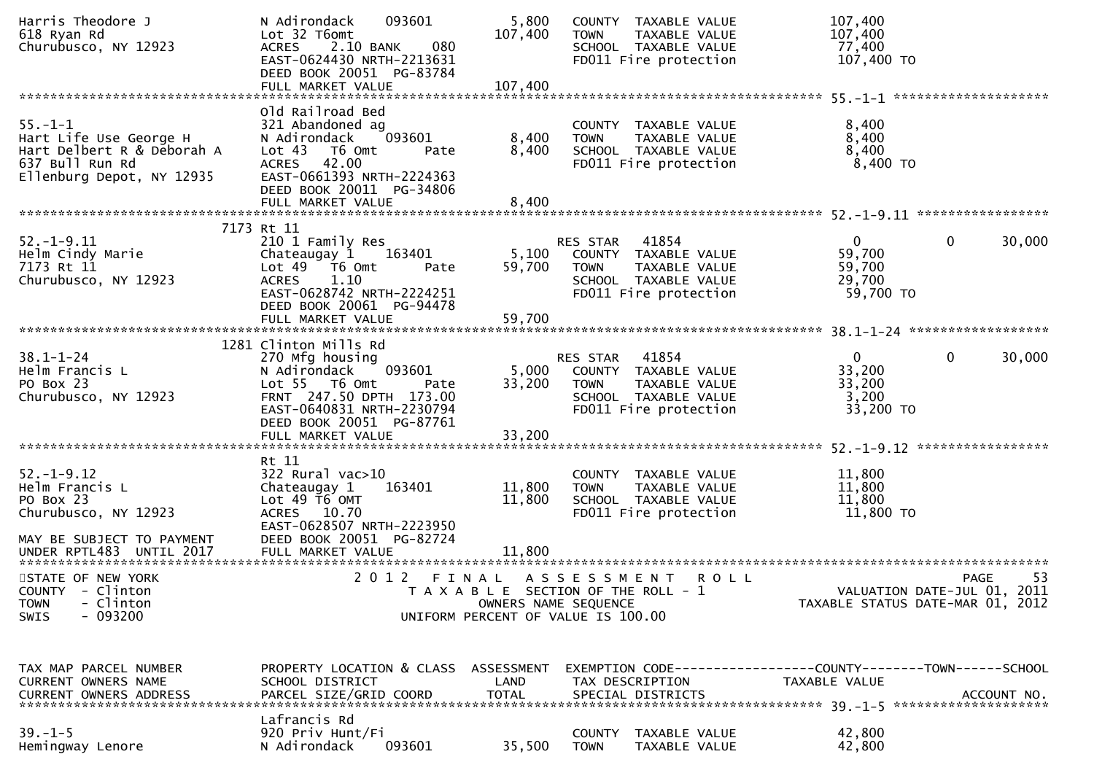| Harris Theodore J<br>618 Ryan Rd<br>Churubusco, NY 12923                                                              | 093601<br>N Adirondack<br>Lot 32 T6omt<br>2.10 BANK<br>080<br><b>ACRES</b><br>EAST-0624430 NRTH-2213631<br>DEED BOOK 20051 PG-83784                                                                 | 5,800<br>107,400          | COUNTY TAXABLE VALUE<br>TAXABLE VALUE<br><b>TOWN</b><br>SCHOOL TAXABLE VALUE<br>FD011 Fire protection                            | 107,400<br>107,400<br>77,400<br>107,400 TO                      |                        |
|-----------------------------------------------------------------------------------------------------------------------|-----------------------------------------------------------------------------------------------------------------------------------------------------------------------------------------------------|---------------------------|----------------------------------------------------------------------------------------------------------------------------------|-----------------------------------------------------------------|------------------------|
|                                                                                                                       | FULL MARKET VALUE                                                                                                                                                                                   | 107,400                   |                                                                                                                                  |                                                                 |                        |
| $55. - 1 - 1$<br>Hart Life Use George H<br>Hart Delbert R & Deborah A<br>637 Bull Run Rd<br>Ellenburg Depot, NY 12935 | Old Railroad Bed<br>321 Abandoned ag<br>093601<br>N Adirondack<br>Lot 43 T6 Omt<br>Pate<br><b>ACRES</b><br>42.00<br>EAST-0661393 NRTH-2224363<br>DEED BOOK 20011 PG-34806<br>FULL MARKET VALUE      | 8,400<br>8,400<br>8,400   | COUNTY TAXABLE VALUE<br><b>TOWN</b><br>TAXABLE VALUE<br>SCHOOL TAXABLE VALUE<br>FD011 Fire protection                            | 8,400<br>8,400<br>8,400<br>$8,400$ TO                           |                        |
|                                                                                                                       |                                                                                                                                                                                                     |                           |                                                                                                                                  |                                                                 |                        |
| $52. - 1 - 9.11$<br>Helm Cindy Marie<br>7173 Rt 11<br>Churubusco, NY 12923                                            | 7173 Rt 11<br>210 1 Family Res<br>Chateaugay 1 163401<br>Lot $49$ $\overline{76}$ Omt<br>Pate<br><b>ACRES</b><br>1.10<br>EAST-0628742 NRTH-2224251<br>DEED BOOK 20061 PG-94478<br>FULL MARKET VALUE | 5,100<br>59,700<br>59,700 | 41854<br>RES STAR<br>COUNTY TAXABLE VALUE<br><b>TOWN</b><br>TAXABLE VALUE<br>SCHOOL TAXABLE VALUE<br>FD011 Fire protection       | $\mathbf{0}$<br>59,700<br>59,700<br>29,700<br>59,700 TO         | $\mathbf{0}$<br>30,000 |
|                                                                                                                       | 1281 Clinton Mills Rd                                                                                                                                                                               |                           |                                                                                                                                  |                                                                 |                        |
| $38.1 - 1 - 24$<br>Helm Francis L<br>PO Box 23<br>Churubusco, NY 12923                                                | 270 Mfg housing<br>093601<br>N Adirondack<br>Lot 55 T6 Omt<br>Pate<br>FRNT 247.50 DPTH 173.00<br>EAST-0640831 NRTH-2230794<br>DEED BOOK 20051 PG-87761                                              | 33,200<br>33,200          | 41854<br>RES STAR<br>5,000 COUNTY TAXABLE VALUE<br><b>TOWN</b><br>TAXABLE VALUE<br>SCHOOL TAXABLE VALUE<br>FD011 Fire protection | $\overline{0}$<br>33,200<br>33,200<br>3,200<br>33,200 TO        | $\mathbf{0}$<br>30,000 |
|                                                                                                                       | FULL MARKET VALUE                                                                                                                                                                                   |                           |                                                                                                                                  |                                                                 |                        |
| $52. - 1 - 9.12$<br>Helm Francis L<br>PO Box 23<br>Churubusco, NY 12923<br>MAY BE SUBJECT TO PAYMENT                  | Rt 11<br>$322$ Rural vac $>10$<br>163401<br>Chateaugay 1<br>Lot 49 T6 OMT<br>ACRES 10.70<br>EAST-0628507 NRTH-2223950<br>DEED BOOK 20051 PG-82724                                                   | 11,800<br>11,800          | COUNTY TAXABLE VALUE<br>TAXABLE VALUE<br><b>TOWN</b><br>SCHOOL TAXABLE VALUE<br>FD011 Fire protection                            | 11,800<br>11,800<br>11,800<br>11,800 TO                         |                        |
| UNDER RPTL483 UNTIL 2017                                                                                              | FULL MARKET VALUE                                                                                                                                                                                   | 11,800                    |                                                                                                                                  |                                                                 |                        |
| STATE OF NEW YORK<br>COUNTY - Clinton<br>- Clinton<br><b>TOWN</b><br>$-093200$<br><b>SWIS</b>                         |                                                                                                                                                                                                     | OWNERS NAME SEQUENCE      | 2012 FINAL ASSESSMENT<br><b>ROLL</b><br>T A X A B L E SECTION OF THE ROLL - 1<br>UNIFORM PERCENT OF VALUE IS 100.00              | VALUATION DATE-JUL 01, 2011<br>TAXABLE STATUS DATE-MAR 01, 2012 | 53<br><b>PAGE</b>      |
| TAX MAP PARCEL NUMBER<br>CURRENT OWNERS NAME<br>CURRENT OWNERS ADDRESS                                                | PROPERTY LOCATION & CLASS ASSESSMENT<br>SCHOOL DISTRICT<br>PARCEL SIZE/GRID COORD                                                                                                                   | LAND<br><b>TOTAL</b>      | EXEMPTION CODE------------------COUNTY--------TOWN------SCHOOL<br>TAX DESCRIPTION<br>SPECIAL DISTRICTS                           | TAXABLE VALUE                                                   | ACCOUNT NO.            |
| $39. - 1 - 5$<br>Hemingway Lenore                                                                                     | Lafrancis Rd<br>920 Priv Hunt/Fi<br>N Adirondack<br>093601                                                                                                                                          | 35,500                    | COUNTY<br>TAXABLE VALUE<br><b>TOWN</b><br>TAXABLE VALUE                                                                          | 42,800<br>42,800                                                |                        |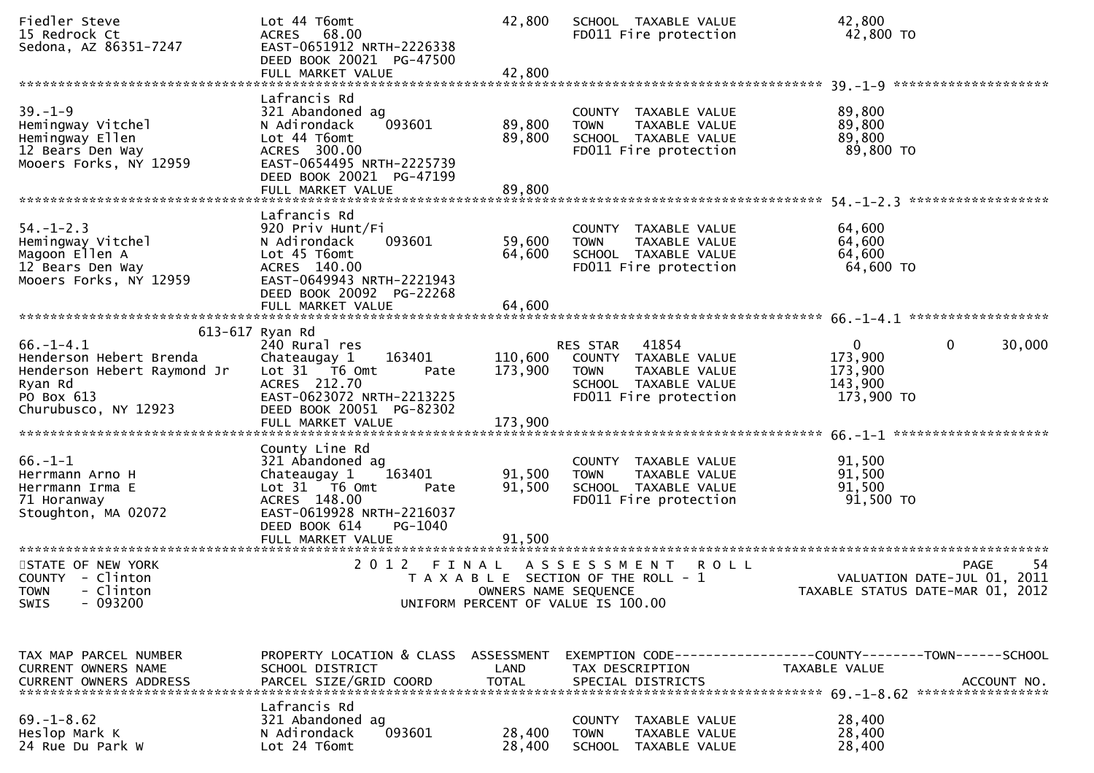| Fiedler Steve<br>15 Redrock Ct<br>Sedona, AZ 86351-7247                                                                    | Lot 44 T6omt<br>ACRES 68.00<br>EAST-0651912 NRTH-2226338<br>DEED BOOK 20021 PG-47500                                                                         | 42,800               | SCHOOL TAXABLE VALUE<br>FD011 Fire protection                                                                              | 42,800<br>42,800 TO                                         |                                                           |
|----------------------------------------------------------------------------------------------------------------------------|--------------------------------------------------------------------------------------------------------------------------------------------------------------|----------------------|----------------------------------------------------------------------------------------------------------------------------|-------------------------------------------------------------|-----------------------------------------------------------|
| $39. - 1 - 9$<br>Hemingway Vitchel<br>Hemingway Ellen<br>12 Bears Den Way<br>Mooers Forks, NY 12959                        | Lafrancis Rd<br>321 Abandoned ag<br>093601<br>N Adirondack<br>Lot 44 T6omt<br>ACRES 300.00<br>EAST-0654495 NRTH-2225739<br>DEED BOOK 20021 PG-47199          | 89,800<br>89,800     | COUNTY TAXABLE VALUE<br><b>TOWN</b><br>TAXABLE VALUE<br>SCHOOL TAXABLE VALUE<br>FD011 Fire protection                      | 89,800<br>89,800<br>89,800<br>89,800 TO                     |                                                           |
|                                                                                                                            |                                                                                                                                                              |                      |                                                                                                                            |                                                             | *******************                                       |
| $54. - 1 - 2.3$<br>Hemingway Vitchel<br>Magoon Ellen A<br>12 Bears Den Way<br>Mooers Forks, NY 12959                       | Lafrancis Rd<br>920 Priv Hunt/Fi<br>093601<br>N Adirondack<br>Lot 45 T6omt<br>ACRES 140.00<br>EAST-0649943 NRTH-2221943<br>DEED BOOK 20092 PG-22268          | 59,600<br>64,600     | COUNTY TAXABLE VALUE<br><b>TOWN</b><br>TAXABLE VALUE<br>SCHOOL TAXABLE VALUE<br>FD011 Fire protection                      | 64,600<br>64,600<br>64,600<br>64,600 TO                     |                                                           |
|                                                                                                                            |                                                                                                                                                              |                      |                                                                                                                            |                                                             |                                                           |
| $66. - 1 - 4.1$<br>Henderson Hebert Brenda<br>Henderson Hebert Raymond Jr<br>Ryan Rd<br>PO Box 613<br>Churubusco, NY 12923 | 613-617 Ryan Rd<br>240 Rural res<br>Chateaugay 1<br>163401<br>Lot 31 T6 Omt<br>Pate<br>ACRES 212.70<br>EAST-0623072 NRTH-2213225<br>DEED BOOK 20051 PG-82302 | 110,600<br>173,900   | 41854<br>RES STAR<br>COUNTY TAXABLE VALUE<br>TAXABLE VALUE<br><b>TOWN</b><br>SCHOOL TAXABLE VALUE<br>FD011 Fire protection | $\mathbf{0}$<br>173,900<br>173,900<br>143,900<br>173,900 TO | $\mathbf{0}$<br>30,000                                    |
|                                                                                                                            | County Line Rd                                                                                                                                               |                      |                                                                                                                            |                                                             |                                                           |
| $66. - 1 - 1$<br>Herrmann Arno H<br>Herrmann Irma E<br>71 Horanway<br>Stoughton, MA 02072                                  | 321 Abandoned ag<br>163401<br>Chateaugay 1<br>Lot 31 T6 Omt<br>Pate<br>ACRES 148.00<br>EAST-0619928 NRTH-2216037<br>DEED BOOK 614<br>PG-1040                 | 91,500<br>91,500     | COUNTY TAXABLE VALUE<br>TAXABLE VALUE<br><b>TOWN</b><br>SCHOOL TAXABLE VALUE<br>FD011 Fire protection                      | 91,500<br>91,500<br>91,500<br>91,500 TO                     |                                                           |
|                                                                                                                            | FULL MARKET VALUE                                                                                                                                            | 91,500               |                                                                                                                            |                                                             |                                                           |
| STATE OF NEW YORK<br>COUNTY - Clinton<br>TOWN - Clinton<br>$-093200$<br><b>SWIS</b>                                        | 2 0 1 2<br>FINAL                                                                                                                                             | OWNERS NAME SEQUENCE | ASSESSMENT<br><b>ROLL</b><br>T A X A B L E SECTION OF THE ROLL - 1<br>UNIFORM PERCENT OF VALUE IS 100.00                   | TAXABLE STATUS DATE-MAR 01,                                 | -54<br><b>PAGE</b><br>VALUATION DATE-JUL 01, 2011<br>2012 |
|                                                                                                                            |                                                                                                                                                              |                      |                                                                                                                            |                                                             |                                                           |
| TAX MAP PARCEL NUMBER<br>CURRENT OWNERS NAME                                                                               | PROPERTY LOCATION & CLASS ASSESSMENT<br>SCHOOL DISTRICT                                                                                                      | LAND                 | TAX DESCRIPTION                                                                                                            | TAXABLE VALUE                                               |                                                           |
| $69. - 1 - 8.62$<br>Heslop Mark K<br>24 Rue Du Park W                                                                      | Lafrancis Rd<br>321 Abandoned ag<br>093601<br>N Adirondack<br>Lot 24 T6omt                                                                                   | 28,400<br>28,400     | COUNTY TAXABLE VALUE<br><b>TOWN</b><br>TAXABLE VALUE<br>SCHOOL TAXABLE VALUE                                               | 28,400<br>28,400<br>28,400                                  |                                                           |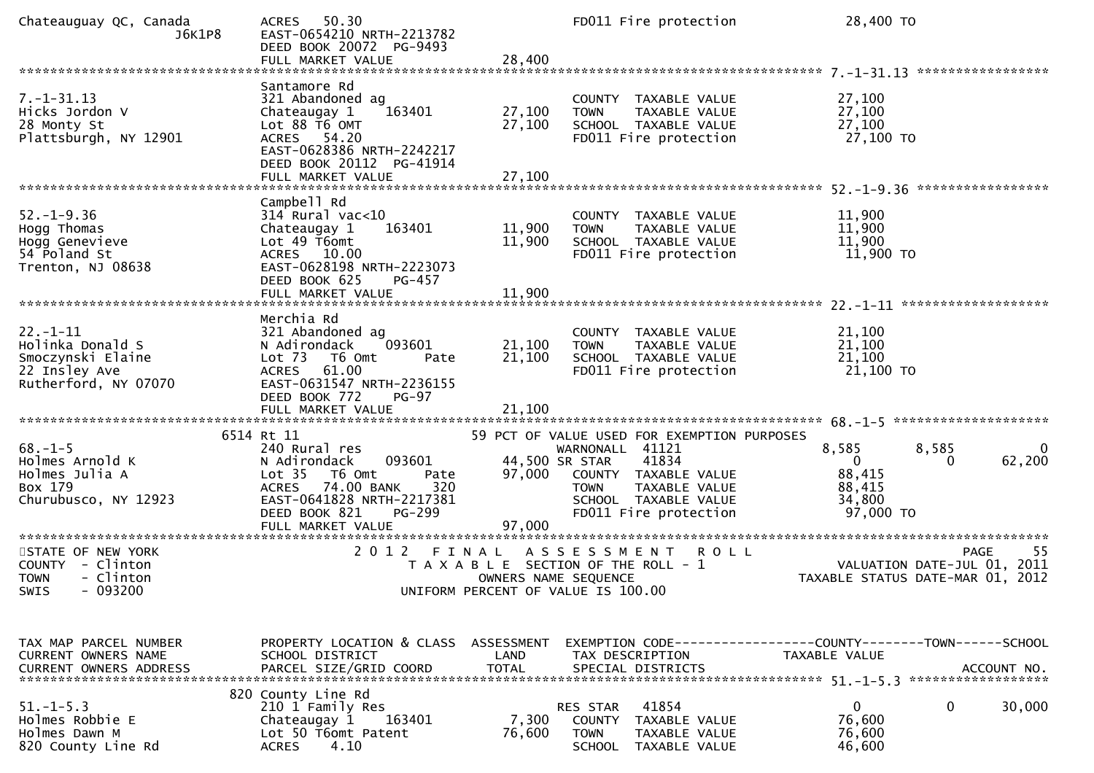| Chateauguay QC, Canada<br>J6K1P8                                                                 | 50.30<br><b>ACRES</b><br>EAST-0654210 NRTH-2213782<br>DEED BOOK 20072 PG-9493                                                                                         |                               | FD011 Fire protection                                                                                             | 28,400 TO                               |                                                                                      |
|--------------------------------------------------------------------------------------------------|-----------------------------------------------------------------------------------------------------------------------------------------------------------------------|-------------------------------|-------------------------------------------------------------------------------------------------------------------|-----------------------------------------|--------------------------------------------------------------------------------------|
|                                                                                                  |                                                                                                                                                                       |                               |                                                                                                                   |                                         |                                                                                      |
| $7. - 1 - 31.13$<br>Hicks Jordon V<br>28 Monty St<br>Plattsburgh, NY 12901                       | Santamore Rd<br>321 Abandoned ag<br>Chateaugay 1<br>163401<br>Lot 88 T6 OMT<br>ACRES 54.20<br>EAST-0628386 NRTH-2242217<br>DEED BOOK 20112 PG-41914                   | 27,100<br>27,100              | COUNTY TAXABLE VALUE<br>TAXABLE VALUE<br><b>TOWN</b><br>SCHOOL TAXABLE VALUE<br>FD011 Fire protection             | 27,100<br>27,100<br>27,100<br>27,100 TO |                                                                                      |
|                                                                                                  |                                                                                                                                                                       |                               |                                                                                                                   |                                         |                                                                                      |
| $52. - 1 - 9.36$<br>Hogg Thomas<br>Hogg Genevieve<br>54 Poland St<br>Trenton, NJ 08638           | Campbell Rd<br>314 Rural vac<10<br>163401<br>Chateaugay 1<br>Lot 49 T6omt<br>ACRES 10.00<br>EAST-0628198 NRTH-2223073<br>DEED BOOK 625<br>PG-457<br>FULL MARKET VALUE | 11,900<br>11,900<br>11,900    | <b>COUNTY</b><br>TAXABLE VALUE<br>TAXABLE VALUE<br><b>TOWN</b><br>SCHOOL TAXABLE VALUE<br>FD011 Fire protection   | 11,900<br>11,900<br>11,900<br>11,900 TO |                                                                                      |
|                                                                                                  |                                                                                                                                                                       |                               |                                                                                                                   |                                         |                                                                                      |
| $22. - 1 - 11$<br>Holinka Donald S<br>Smoczynski Elaine<br>22 Insley Ave<br>Rutherford, NY 07070 | Merchia Rd<br>321 Abandoned ag<br>093601<br>N Adirondack<br>Lot 73 T6 Omt<br>Pate<br><b>ACRES</b><br>61.00<br>EAST-0631547 NRTH-2236155<br>DEED BOOK 772<br>$PG-97$   | 21,100<br>21,100              | COUNTY TAXABLE VALUE<br><b>TOWN</b><br>TAXABLE VALUE<br>SCHOOL TAXABLE VALUE<br>FD011 Fire protection             | 21,100<br>21,100<br>21,100<br>21,100 TO |                                                                                      |
|                                                                                                  |                                                                                                                                                                       |                               |                                                                                                                   |                                         |                                                                                      |
| $68. - 1 - 5$<br>Holmes Arnold K<br>Holmes Julia A                                               | 6514 Rt 11<br>240 Rural res<br>093601<br>N Adirondack<br>Lot <sub>35</sub><br>T6 Omt<br>Pate                                                                          | 97,000                        | 59 PCT OF VALUE USED FOR EXEMPTION PURPOSES<br>WARNONALL 41121<br>44,500 SR STAR<br>41834<br>COUNTY TAXABLE VALUE | 8,585<br>0<br>88,415                    | $\Omega$<br>8,585<br>62,200<br>$\Omega$                                              |
| Box 179<br>Churubusco, NY 12923                                                                  | 320<br>74.00 BANK<br><b>ACRES</b><br>EAST-0641828 NRTH-2217381<br>DEED BOOK 821<br>PG-299<br>FULL MARKET VALUE                                                        | 97,000                        | <b>TOWN</b><br>TAXABLE VALUE<br>SCHOOL TAXABLE VALUE<br>FD011 Fire protection                                     | 88,415<br>34,800<br>97,000 TO           |                                                                                      |
|                                                                                                  |                                                                                                                                                                       |                               |                                                                                                                   |                                         |                                                                                      |
| STATE OF NEW YORK<br>COUNTY - Clinton<br><b>TOWN</b><br>- Clinton<br>SWIS<br>- 093200            | 2 0 1 2                                                                                                                                                               | FINAL<br>OWNERS NAME SEQUENCE | A S S E S S M E N T<br><b>ROLL</b><br>T A X A B L E SECTION OF THE ROLL - 1<br>UNIFORM PERCENT OF VALUE IS 100.00 |                                         | 55<br><b>PAGE</b><br>VALUATION DATE-JUL 01, 2011<br>TAXABLE STATUS DATE-MAR 01, 2012 |
|                                                                                                  |                                                                                                                                                                       |                               |                                                                                                                   |                                         |                                                                                      |
| TAX MAP PARCEL NUMBER<br>CURRENT OWNERS NAME<br>CURRENT OWNERS ADDRESS                           | PROPERTY LOCATION & CLASS ASSESSMENT<br>SCHOOL DISTRICT<br>PARCEL SIZE/GRID COORD                                                                                     | LAND<br><b>TOTAL</b>          | EXEMPTION CODE-----------------COUNTY-------TOWN------SCHOOL<br>TAX DESCRIPTION<br>SPECIAL DISTRICTS              | TAXABLE VALUE                           | ACCOUNT NO.                                                                          |
|                                                                                                  | 820 County Line Rd                                                                                                                                                    |                               |                                                                                                                   |                                         |                                                                                      |
| $51. - 1 - 5.3$<br>Holmes Robbie E<br>Holmes Dawn M<br>820 County Line Rd                        | 210 1 Family Res<br>Chateaugay 1<br>163401<br>Lot 50 T6omt Patent<br>4.10<br><b>ACRES</b>                                                                             | 7,300<br>76,600               | 41854<br>RES STAR<br>COUNTY<br>TAXABLE VALUE<br><b>TOWN</b><br>TAXABLE VALUE<br><b>SCHOOL</b><br>TAXABLE VALUE    | 0<br>76,600<br>76,600<br>46,600         | 30,000<br>0                                                                          |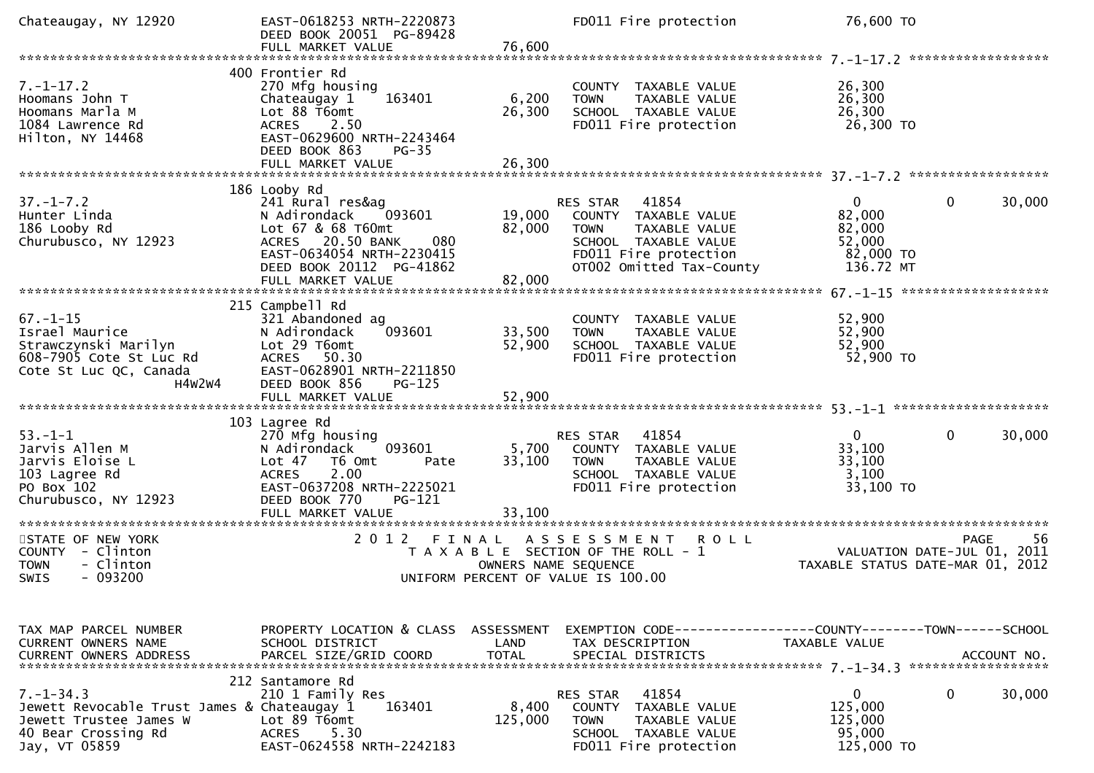| Chateaugay, NY 12920                                                                                                             | EAST-0618253 NRTH-2220873<br>DEED BOOK 20051 PG-89428<br>FULL MARKET VALUE                                                                                                                                                        | 76,600                     | FD011 Fire protection                                                                                                                                  | 76,600 TO                                                                             |                     |
|----------------------------------------------------------------------------------------------------------------------------------|-----------------------------------------------------------------------------------------------------------------------------------------------------------------------------------------------------------------------------------|----------------------------|--------------------------------------------------------------------------------------------------------------------------------------------------------|---------------------------------------------------------------------------------------|---------------------|
|                                                                                                                                  |                                                                                                                                                                                                                                   |                            |                                                                                                                                                        |                                                                                       |                     |
| $7. - 1 - 17.2$<br>Hoomans John T<br>Hoomans Marla M<br>1084 Lawrence Rd<br>Hilton, NY 14468                                     | 400 Frontier Rd<br>270 Mfg housing<br>163401<br>Chateaugay 1<br>Lot 88 T6omt<br>ACRES 2.50<br>EAST-0629600 NRTH-2243464<br>DEED BOOK 863<br>$PG-35$<br>FULL MARKET VALUE                                                          | 6,200<br>26,300<br>26,300  | COUNTY TAXABLE VALUE<br>TAXABLE VALUE<br><b>TOWN</b><br>SCHOOL TAXABLE VALUE<br>FD011 Fire protection                                                  | 26,300<br>26,300<br>26,300<br>26,300 TO                                               |                     |
|                                                                                                                                  | 186 Looby Rd                                                                                                                                                                                                                      |                            |                                                                                                                                                        |                                                                                       |                     |
| $37. - 1 - 7.2$<br>Hunter Linda<br>186 Looby Rd<br>Churubusco, NY 12923                                                          | 241 Rural res&ag<br>N Adirondack<br>093601<br>Lot 67 & 68 T60mt<br>ACRES 20.50 BANK<br>080<br>EAST-0634054 NRTH-2230415<br>DEED BOOK 20112 PG-41862<br>FULL MARKET VALUE                                                          | 19,000<br>82,000<br>82,000 | 41854<br>RES STAR<br>COUNTY TAXABLE VALUE<br>TAXABLE VALUE<br><b>TOWN</b><br>SCHOOL TAXABLE VALUE<br>FD011 Fire protection<br>OT002 Omitted Tax-County | $\mathbf 0$<br>$\overline{0}$<br>82,000<br>82,000<br>52,000<br>82,000 TO<br>136.72 MT | 30,000              |
|                                                                                                                                  |                                                                                                                                                                                                                                   |                            |                                                                                                                                                        |                                                                                       | ******************* |
| $67. - 1 - 15$<br>Israel Maurice<br>Strawczynski Marilyn<br>608-7905 Cote St Luc Rd<br>Cote St Luc QC, Canada<br>H4W2W4          | 215 Campbell Rd<br>321 Abandoned ag<br>093601<br>N Adirondack<br>Lot 29 T6omt<br>ACRES 50.30<br>EAST-0628901 NRTH-2211850<br>DEED BOOK 856<br>$PG-125$                                                                            | 33,500<br>52,900           | COUNTY TAXABLE VALUE<br>TAXABLE VALUE<br><b>TOWN</b><br>SCHOOL TAXABLE VALUE<br>FD011 Fire protection                                                  | 52,900<br>52,900<br>52,900<br>52,900 TO                                               |                     |
|                                                                                                                                  |                                                                                                                                                                                                                                   |                            |                                                                                                                                                        |                                                                                       |                     |
| $53. - 1 - 1$<br>Jarvis Allen M<br>Jarvis Eloise L<br>103 Lagree Rd<br>PO Box 102<br>Churubusco, NY 12923                        | 103 Lagree Rd<br>270 Mfg housing<br>093601<br>N Adirondack<br>Lot <sub>47</sub><br>T6 Omt<br>Pate<br>2.00<br><b>ACRES</b><br>EAST-0637208 NRTH-2225021<br>DEED BOOK 770<br>PG-121<br>FULL MARKET VALUE<br>*********************** | 5,700<br>33,100<br>33,100  | 41854<br>RES STAR<br>COUNTY TAXABLE VALUE<br><b>TOWN</b><br>TAXABLE VALUE<br>SCHOOL TAXABLE VALUE<br>FD011 Fire protection                             | $\mathbf 0$<br>$\mathbf{0}$<br>33,100<br>33,100<br>3,100<br>33,100 TO                 | 30,000              |
| STATE OF NEW YORK<br>COUNTY - Clinton<br><b>TOWN</b><br>- Clinton<br>$-093200$<br><b>SWIS</b>                                    | 2 0 1 2<br>FINAL                                                                                                                                                                                                                  | OWNERS NAME SEQUENCE       | A S S E S S M E N T<br><b>ROLL</b><br>T A X A B L E SECTION OF THE ROLL - 1<br>UNIFORM PERCENT OF VALUE IS 100.00                                      | VALUATION DATE-JUL 01, 2011<br>TAXABLE STATUS DATE-MAR 01, 2012                       | -56<br><b>PAGE</b>  |
|                                                                                                                                  |                                                                                                                                                                                                                                   |                            |                                                                                                                                                        |                                                                                       |                     |
| TAX MAP PARCEL NUMBER<br>CURRENT OWNERS NAME                                                                                     | PROPERTY LOCATION & CLASS<br>SCHOOL DISTRICT                                                                                                                                                                                      | ASSESSMENT<br><b>LAND</b>  | EXEMPTION        CODE-----------------COUNTY-------TOWN------SCHOOL<br>TAX DESCRIPTION                                                                 | TAXABLE VALUE                                                                         |                     |
| $7. - 1 - 34.3$<br>Jewett Revocable Trust James & Chateaugay 1<br>Jewett Trustee James W<br>40 Bear Crossing Rd<br>Jay, VT 05859 | 212 Santamore Rd<br>210 1 Family Res<br>163401<br>Lot 89 T6omt<br>5.30<br><b>ACRES</b><br>EAST-0624558 NRTH-2242183                                                                                                               | 8,400<br>125,000           | 41854<br>RES STAR<br>COUNTY<br><b>TAXABLE VALUE</b><br><b>TOWN</b><br>TAXABLE VALUE<br>SCHOOL TAXABLE VALUE<br>FD011 Fire protection                   | $\mathbf{0}$<br>$\mathbf 0$<br>125,000<br>125,000<br>95,000<br>125,000 TO             | 30,000              |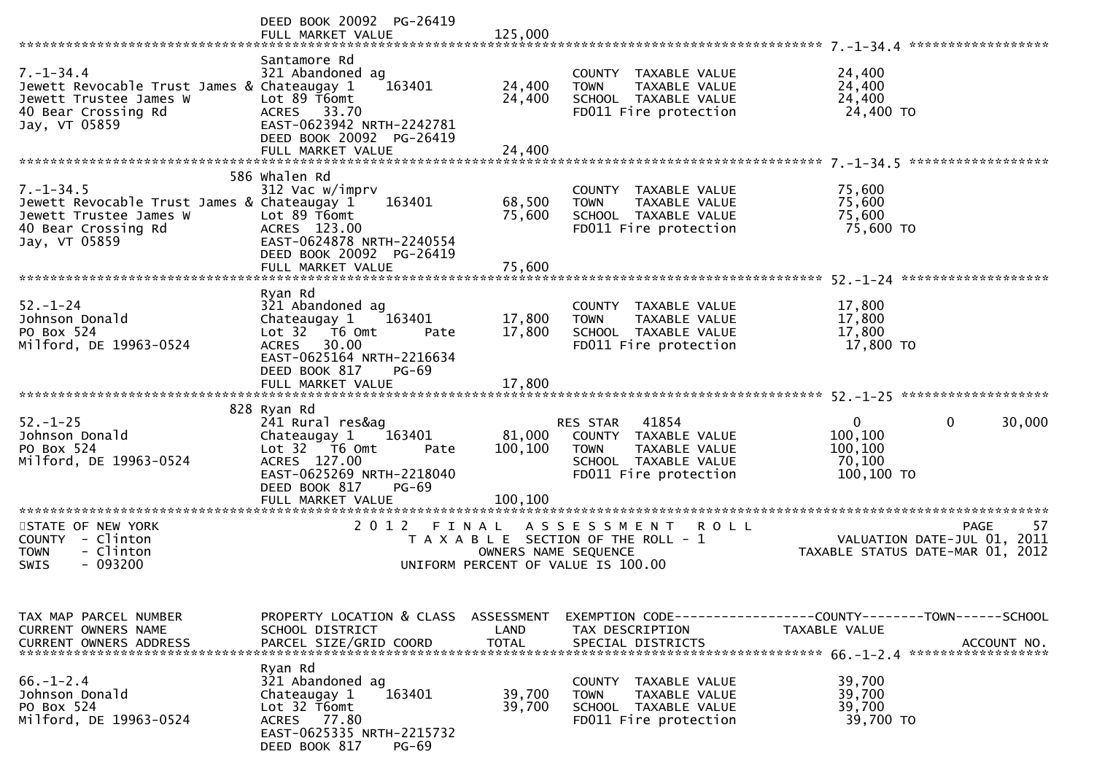|                                                                                                                                  | DEED BOOK 20092 PG-26419<br>FULL MARKET VALUE                                                                                                                     | 125,000                      |                                                                                                                            |                                                                                                |
|----------------------------------------------------------------------------------------------------------------------------------|-------------------------------------------------------------------------------------------------------------------------------------------------------------------|------------------------------|----------------------------------------------------------------------------------------------------------------------------|------------------------------------------------------------------------------------------------|
| $7. - 1 - 34.4$<br>Jewett Revocable Trust James & Chateaugay 1<br>Jewett Trustee James W<br>40 Bear Crossing Rd<br>Jay, VT 05859 | Santamore Rd<br>321 Abandoned ag<br>163401<br>Lot 89 T6omt<br>ACRES 33.70<br>EAST-0623942 NRTH-2242781<br>DEED BOOK 20092 PG-26419<br>FULL MARKET VALUE           | 24,400<br>24,400<br>24,400   | COUNTY TAXABLE VALUE<br>TAXABLE VALUE<br><b>TOWN</b><br>SCHOOL TAXABLE VALUE<br>FD011 Fire protection                      | 24,400<br>24,400<br>24,400<br>24,400 TO                                                        |
|                                                                                                                                  |                                                                                                                                                                   |                              |                                                                                                                            |                                                                                                |
| $7. - 1 - 34.5$<br>Jewett Revocable Trust James & Chateaugay 1<br>Jewett Trustee James W<br>40 Bear Crossing Rd<br>Jay, VT 05859 | 586 whalen Rd<br>312 Vac w/imprv<br>163401<br>Lot 89 T6omt<br>ACRES 123.00<br>EAST-0624878 NRTH-2240554<br>DEED BOOK 20092 PG-26419<br>FULL MARKET VALUE          | 68,500<br>75,600<br>75,600   | COUNTY TAXABLE VALUE<br>TAXABLE VALUE<br><b>TOWN</b><br>SCHOOL TAXABLE VALUE<br>FD011 Fire protection                      | 75,600<br>75,600<br>75,600<br>75,600 TO                                                        |
|                                                                                                                                  | Ryan Rd                                                                                                                                                           |                              |                                                                                                                            |                                                                                                |
| $52 - 1 - 24$<br>Johnson Donald<br>PO Box 524<br>Milford, DE 19963-0524                                                          | 321 Abandoned ag<br>Chateaugay 1<br>163401<br>Lot 32 T6 Omt<br>Pate<br>30.00<br><b>ACRES</b><br>EAST-0625164 NRTH-2216634<br>DEED BOOK 817<br>$PG-69$             | 17,800<br>17,800             | COUNTY TAXABLE VALUE<br>TAXABLE VALUE<br><b>TOWN</b><br>SCHOOL TAXABLE VALUE<br>FD011 Fire protection                      | 17,800<br>17,800<br>17,800<br>17,800 TO                                                        |
|                                                                                                                                  | FULL MARKET VALUE                                                                                                                                                 | 17,800                       |                                                                                                                            |                                                                                                |
|                                                                                                                                  | 828 Ryan Rd                                                                                                                                                       |                              |                                                                                                                            |                                                                                                |
| $52. - 1 - 25$<br>Johnson Donald<br>PO Box 524<br>Milford, DE 19963-0524                                                         | 241 Rural res&ag<br>163401<br>Chateaugay 1<br>Lot 32 T6 Omt<br>Pate<br>ACRES 127.00<br>EAST-0625269 NRTH-2218040<br>DEED BOOK 817<br>$PG-69$<br>FULL MARKET VALUE | 81,000<br>100,100<br>100,100 | 41854<br>RES STAR<br>COUNTY TAXABLE VALUE<br><b>TOWN</b><br>TAXABLE VALUE<br>SCHOOL TAXABLE VALUE<br>FD011 Fire protection | $\mathbf{0}$<br>$\mathbf{0}$<br>30,000<br>100,100<br>100,100<br>70,100<br>100,100 TO           |
| ************************                                                                                                         | *************************<br>2 0 1 2                                                                                                                              |                              |                                                                                                                            |                                                                                                |
| STATE OF NEW YORK<br>COUNTY - Clinton<br>- Clinton<br><b>TOWN</b><br>$-093200$<br><b>SWIS</b>                                    | FINAL                                                                                                                                                             | OWNERS NAME SEQUENCE         | A S S E S S M E N T<br><b>ROLL</b><br>T A X A B L E SECTION OF THE ROLL - 1<br>UNIFORM PERCENT OF VALUE IS 100.00          | PAGE<br>57<br>VALUATION DATE-JUL 01, 2011<br>TAXABLE STATUS DATE-MAR 01, 2012                  |
| TAX MAP PARCEL NUMBER<br>CURRENT OWNERS NAME<br><b>CURRENT OWNERS ADDRESS</b>                                                    | PROPERTY LOCATION & CLASS ASSESSMENT<br>SCHOOL DISTRICT<br>PARCEL SIZE/GRID COORD                                                                                 | LAND<br><b>TOTAL</b>         | TAX DESCRIPTION<br>SPECIAL DISTRICTS                                                                                       | EXEMPTION CODE------------------COUNTY--------TOWN------SCHOOL<br>TAXABLE VALUE<br>ACCOUNT NO. |
| $66. - 1 - 2.4$<br>Johnson Donald<br>PO Box 524<br>Milford, DE 19963-0524                                                        | Ryan Rd<br>321 Abandoned ag<br>163401<br>Chateaugay 1<br>Lot 32 T6omt<br>ACRES 77.80<br>EAST-0625335 NRTH-2215732<br>DEED BOOK 817<br>$PG-69$                     | 39,700<br>39,700             | COUNTY TAXABLE VALUE<br>TAXABLE VALUE<br><b>TOWN</b><br>SCHOOL TAXABLE VALUE<br>FD011 Fire protection                      | 39,700<br>39,700<br>39,700<br>39,700 TO                                                        |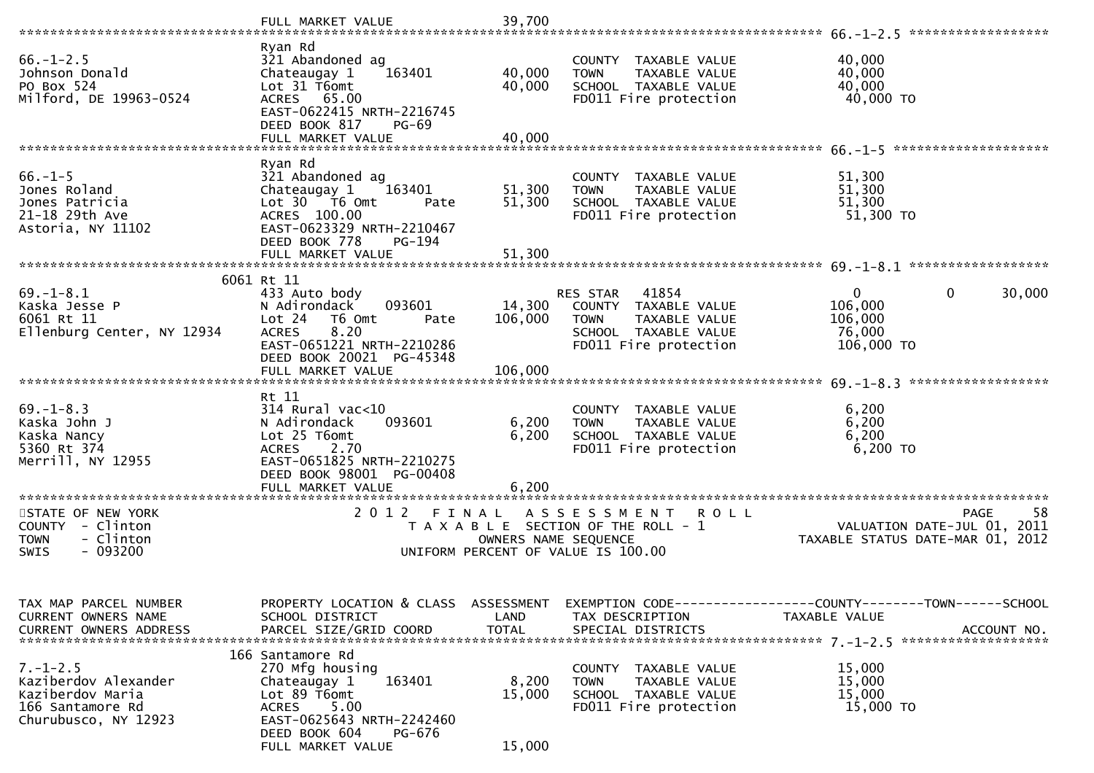|                                                                                                        | FULL MARKET VALUE                                                                                                                                                                       | 39,700                       |                                                                                                                            |                                                                                              |
|--------------------------------------------------------------------------------------------------------|-----------------------------------------------------------------------------------------------------------------------------------------------------------------------------------------|------------------------------|----------------------------------------------------------------------------------------------------------------------------|----------------------------------------------------------------------------------------------|
|                                                                                                        |                                                                                                                                                                                         |                              |                                                                                                                            | ******************                                                                           |
| $66. - 1 - 2.5$<br>Johnson Donald<br>PO Box 524<br>Milford, DE 19963-0524                              | Ryan Rd<br>321 Abandoned ag<br>Chateaugay 1<br>163401<br>Lot 31 T6omt<br>ACRES 65.00<br>EAST-0622415 NRTH-2216745<br>DEED BOOK 817<br>$PG-69$                                           | 40,000<br>40,000             | COUNTY TAXABLE VALUE<br>TAXABLE VALUE<br><b>TOWN</b><br>SCHOOL TAXABLE VALUE<br>FD011 Fire protection                      | 40,000<br>40,000<br>40,000<br>40,000 TO                                                      |
|                                                                                                        | FULL MARKET VALUE                                                                                                                                                                       | 40,000                       |                                                                                                                            |                                                                                              |
|                                                                                                        |                                                                                                                                                                                         |                              |                                                                                                                            |                                                                                              |
| $66. - 1 - 5$<br>Jones Roland<br>Jones Patricia<br>21-18 29th Ave<br>Astoria, NY 11102                 | Ryan Rd<br>321 Abandoned ag<br>Chateaugay 1<br>163401<br>Lot 30 76 0mt<br>Pate<br>ACRES 100.00<br>EAST-0623329 NRTH-2210467<br>DEED BOOK 778<br>PG-194                                  | 51,300<br>51,300             | COUNTY TAXABLE VALUE<br>TAXABLE VALUE<br><b>TOWN</b><br>SCHOOL TAXABLE VALUE<br>FD011 Fire protection                      | 51,300<br>51,300<br>51,300<br>51,300 TO                                                      |
|                                                                                                        | FULL MARKET VALUE                                                                                                                                                                       | 51,300                       |                                                                                                                            |                                                                                              |
|                                                                                                        |                                                                                                                                                                                         |                              |                                                                                                                            |                                                                                              |
| $69. - 1 - 8.1$<br>Kaska Jesse P<br>6061 Rt 11<br>Ellenburg Center, NY 12934                           | 6061 Rt 11<br>433 Auto body<br>N Adirondack<br>093601<br>Lot 24<br>T6 Omt<br>Pate<br>8.20<br><b>ACRES</b><br>EAST-0651221 NRTH-2210286<br>DEED BOOK 20021 PG-45348<br>FULL MARKET VALUE | 14,300<br>106,000<br>106,000 | RES STAR<br>41854<br>COUNTY TAXABLE VALUE<br><b>TOWN</b><br>TAXABLE VALUE<br>SCHOOL TAXABLE VALUE<br>FD011 Fire protection | 0<br>$\mathbf{0}$<br>30,000<br>106,000<br>106,000<br>76,000<br>106,000 TO                    |
|                                                                                                        |                                                                                                                                                                                         |                              |                                                                                                                            |                                                                                              |
| $69. - 1 - 8.3$<br>Kaska John J<br>Kaska Nancy<br>5360 Rt 374<br>Merrill, NY 12955                     | Rt 11<br>$314$ Rural vac<10<br>093601<br>N Adirondack<br>Lot 25 T6omt<br>2.70<br><b>ACRES</b><br>EAST-0651825 NRTH-2210275<br>DEED BOOK 98001 PG-00408<br>FULL MARKET VALUE             | 6,200<br>6,200<br>6,200      | COUNTY TAXABLE VALUE<br><b>TAXABLE VALUE</b><br><b>TOWN</b><br>SCHOOL TAXABLE VALUE<br>FD011 Fire protection               | 6,200<br>6,200<br>6,200<br>6,200 TO                                                          |
| ************************                                                                               | **************************                                                                                                                                                              |                              |                                                                                                                            |                                                                                              |
| STATE OF NEW YORK<br>COUNTY - Clinton<br>- Clinton<br><b>TOWN</b><br>$-093200$<br><b>SWIS</b>          | 2 0 1 2<br>FINAL                                                                                                                                                                        | OWNERS NAME SEQUENCE         | A S S E S S M E N T<br><b>ROLL</b><br>T A X A B L E SECTION OF THE ROLL - 1<br>UNIFORM PERCENT OF VALUE IS 100.00          | 58<br><b>PAGE</b><br>VALUATION DATE-JUL 01,<br>2011<br>TAXABLE STATUS DATE-MAR 01, 2012      |
| TAX MAP PARCEL NUMBER<br>CURRENT OWNERS NAME<br>CURRENT OWNERS ADDRESS                                 | PROPERTY LOCATION & CLASS ASSESSMENT<br>SCHOOL DISTRICT<br>PARCEL SIZE/GRID COORD                                                                                                       | LAND<br><b>TOTAL</b>         | TAX DESCRIPTION<br>SPECIAL DISTRICTS                                                                                       | EXEMPTION CODE-----------------COUNTY-------TOWN------SCHOOL<br>TAXABLE VALUE<br>ACCOUNT NO. |
| $7. - 1 - 2.5$<br>Kaziberdov Alexander<br>Kaziberdov Maria<br>166 Santamore Rd<br>Churubusco, NY 12923 | 166 Santamore Rd<br>270 Mfg housing<br>163401<br>Chateaugay 1<br>Lot 89 T6omt<br>5.00<br><b>ACRES</b><br>EAST-0625643 NRTH-2242460<br>DEED BOOK 604<br>PG-676<br>FULL MARKET VALUE      | 8,200<br>15,000<br>15,000    | COUNTY TAXABLE VALUE<br>TAXABLE VALUE<br><b>TOWN</b><br>SCHOOL TAXABLE VALUE<br>FD011 Fire protection                      | 15,000<br>15,000<br>15,000<br>15,000 TO                                                      |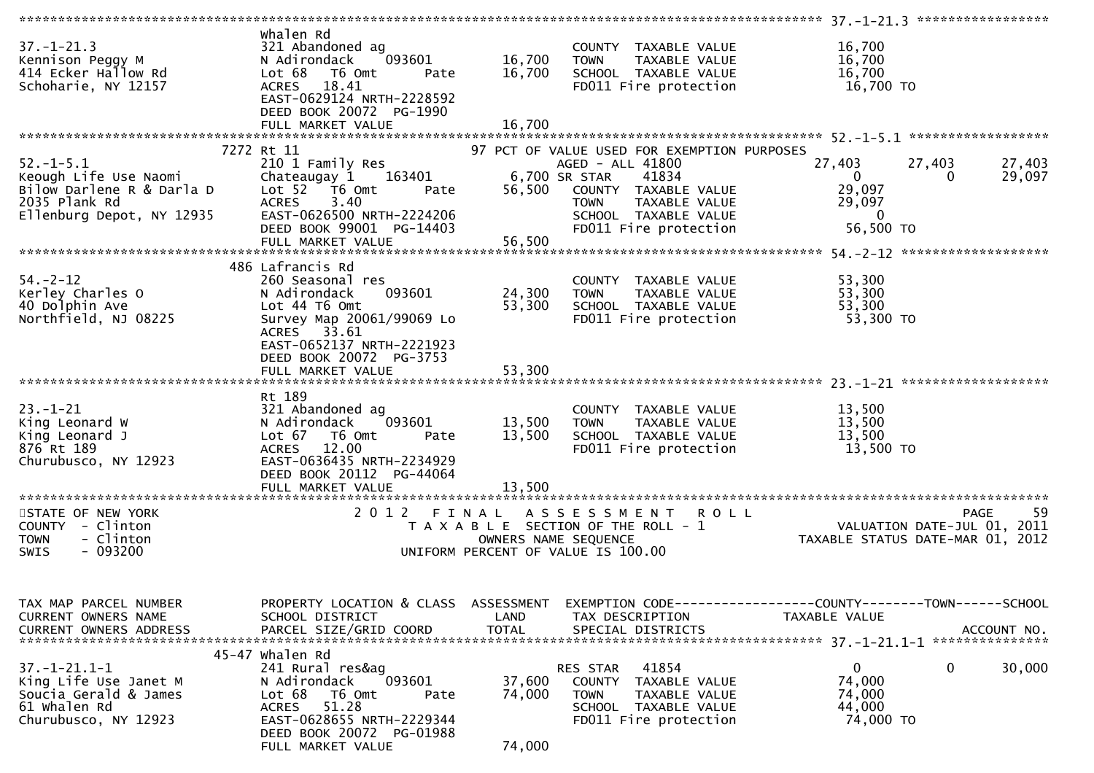| $37. - 1 - 21.3$<br>Kennison Peggy M<br>414 Ecker Hallow Rd<br>Schoharie, NY 12157                                  | whalen Rd<br>321 Abandoned ag<br>N Adirondack<br>093601<br>Lot 68<br>T6 Omt<br>Pate<br>ACRES 18.41<br>EAST-0629124 NRTH-2228592<br>DEED BOOK 20072 PG-1990                                       | 16,700<br>16,700           | COUNTY TAXABLE VALUE<br><b>TOWN</b><br>TAXABLE VALUE<br>SCHOOL TAXABLE VALUE<br>FD011 Fire protection                                          | 16,700<br>16,700<br>16,700<br>16,700 TO                                                                      |
|---------------------------------------------------------------------------------------------------------------------|--------------------------------------------------------------------------------------------------------------------------------------------------------------------------------------------------|----------------------------|------------------------------------------------------------------------------------------------------------------------------------------------|--------------------------------------------------------------------------------------------------------------|
|                                                                                                                     |                                                                                                                                                                                                  |                            |                                                                                                                                                |                                                                                                              |
|                                                                                                                     | 7272 Rt 11                                                                                                                                                                                       |                            | 97 PCT OF VALUE USED FOR EXEMPTION PURPOSES                                                                                                    |                                                                                                              |
| $52. - 1 - 5.1$<br>Keough Life Use Naomi<br>Bilow Darlene R & Darla D<br>2035 Plank Rd<br>Ellenburg Depot, NY 12935 | 210 1 Family Res<br>Chateaugay 1 163401<br>Lot $52$ $\overline{76}$ Omt<br>Pate<br>3.40<br><b>ACRES</b><br>EAST-0626500 NRTH-2224206<br>DEED BOOK 99001 PG-14403                                 |                            | AGED - ALL 41800<br>6,700 SR STAR<br>41834<br>56,500 COUNTY TAXABLE VALUE<br>COUNTY IAAADLL WILL<br>TOWN TAXABLE VALUE<br>SCHOOL TAXABLE VALUE | 27,403<br>27,403<br>27,403<br>$\mathbf{0}$<br>29,097<br>0<br>29,097<br>29,097<br>$\overline{0}$<br>56,500 TO |
|                                                                                                                     |                                                                                                                                                                                                  |                            |                                                                                                                                                |                                                                                                              |
| $54. - 2 - 12$<br>Kerley Charles O<br>40 Dolphin Ave<br>Northfield, NJ 08225                                        | 486 Lafrancis Rd<br>260 Seasonal res<br>093601<br>N Adirondack<br>Lot 44 T6 Omt<br>Survey Map 20061/99069 Lo<br>ACRES 33.61<br>EAST-0652137 NRTH-2221923<br>DEED BOOK 20072 PG-3753              | 24,300<br>53,300           | COUNTY TAXABLE VALUE<br><b>TOWN</b><br>TAXABLE VALUE<br>SCHOOL TAXABLE VALUE<br>FD011 Fire protection                                          | 53,300<br>53,300<br>53,300<br>53,300 TO                                                                      |
|                                                                                                                     | FULL MARKET VALUE                                                                                                                                                                                | 53,300                     |                                                                                                                                                |                                                                                                              |
| $23 - 1 - 21$<br>King Leonard W<br>King Leonard J<br>876 Rt 189<br>Churubusco, NY 12923                             | Rt 189<br>321 Abandoned ag<br>093601<br>N Adirondack<br>Lot 67 T6 Omt<br>Pate<br><b>ACRES</b><br>12.00<br>EAST-0636435 NRTH-2234929<br>DEED BOOK 20112 PG-44064<br>FULL MARKET VALUE             | 13,500<br>13,500<br>13,500 | COUNTY TAXABLE VALUE<br><b>TOWN</b><br>TAXABLE VALUE<br>SCHOOL TAXABLE VALUE<br>FD011 Fire protection                                          | 13,500<br>13,500<br>13,500<br>13,500 TO                                                                      |
| STATE OF NEW YORK                                                                                                   | 2012 FINAL                                                                                                                                                                                       |                            | A S S E S S M E N T<br><b>ROLL</b>                                                                                                             | -59<br><b>PAGE</b>                                                                                           |
| COUNTY - Clinton<br>- Clinton<br><b>TOWN</b><br>$-093200$<br><b>SWIS</b>                                            |                                                                                                                                                                                                  |                            | T A X A B L E SECTION OF THE ROLL - 1<br>OWNERS NAME SEQUENCE<br>UNIFORM PERCENT OF VALUE IS 100.00                                            | VALUATION DATE-JUL 01, 2011<br>TAXABLE STATUS DATE-MAR 01, 2012                                              |
| TAX MAP PARCEL NUMBER<br>CURRENT OWNERS NAME                                                                        | PROPERTY LOCATION & CLASS ASSESSMENT<br>SCHOOL DISTRICT                                                                                                                                          | LAND                       | TAX DESCRIPTION                                                                                                                                | EXEMPTION CODE-----------------COUNTY-------TOWN------SCHOOL<br>TAXABLE VALUE                                |
| $37. - 1 - 21.1 - 1$<br>King Life Use Janet M<br>Soucia Gerald & James<br>61 Whalen Rd<br>Churubusco, NY 12923      | 45-47 whalen Rd<br>241 Rural res&ag<br>093601<br>N Adirondack<br>Lot 68<br>T6 Omt<br>Pate<br>51.28<br><b>ACRES</b><br>EAST-0628655 NRTH-2229344<br>DEED BOOK 20072 PG-01988<br>FULL MARKET VALUE | 37,600<br>74,000<br>74,000 | 41854<br>RES STAR<br>COUNTY<br>TAXABLE VALUE<br><b>TOWN</b><br>TAXABLE VALUE<br>SCHOOL TAXABLE VALUE<br>FD011 Fire protection                  | $\mathbf{0}$<br>0<br>30,000<br>74,000<br>74,000<br>44,000<br>74,000 TO                                       |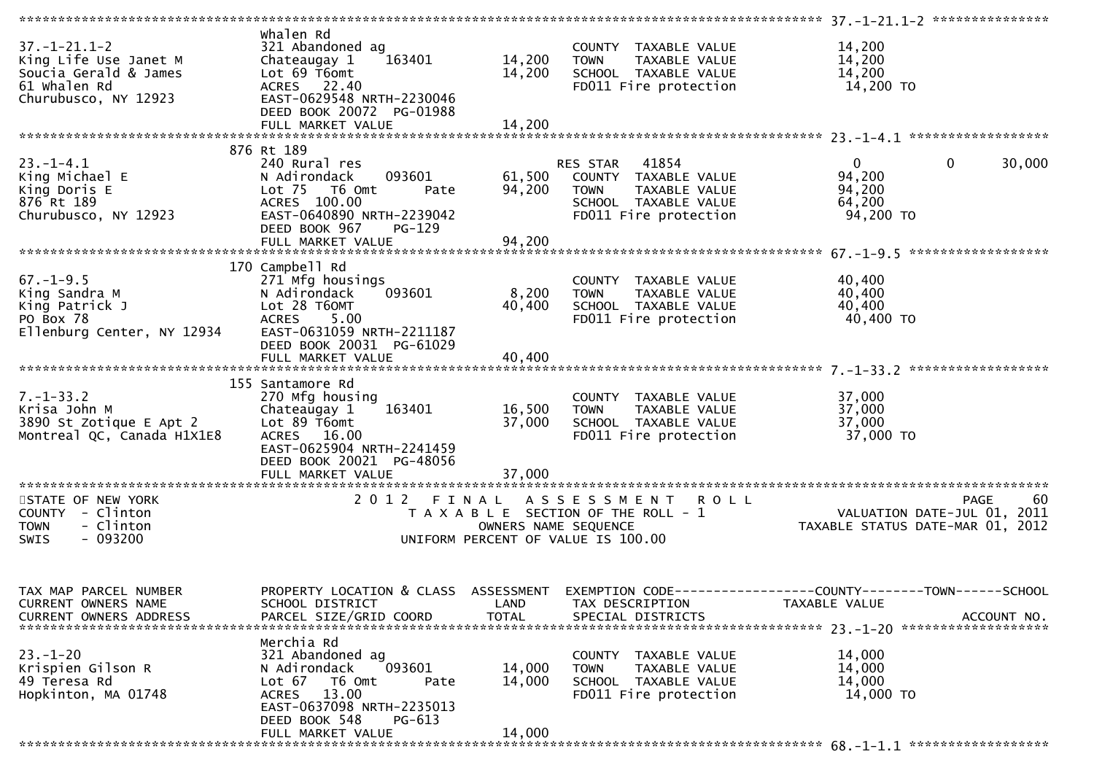| $37. - 1 - 21.1 - 2$<br>King Life Use Janet M<br>Soucia Gerald & James<br>61 Whalen Rd<br>Churubusco, NY 12923 | Whalen Rd<br>321 Abandoned ag<br>Chateaugay 1<br>163401<br>Lot 69 T6omt<br>ACRES 22.40<br>EAST-0629548 NRTH-2230046<br>DEED BOOK 20072 PG-01988                                    | 14,200<br>14,200           | COUNTY TAXABLE VALUE<br>TAXABLE VALUE<br><b>TOWN</b><br>SCHOOL TAXABLE VALUE<br>FD011 Fire protection                   | 14,200<br>14,200<br>14,200<br>14,200 TO                                                      |
|----------------------------------------------------------------------------------------------------------------|------------------------------------------------------------------------------------------------------------------------------------------------------------------------------------|----------------------------|-------------------------------------------------------------------------------------------------------------------------|----------------------------------------------------------------------------------------------|
|                                                                                                                |                                                                                                                                                                                    |                            |                                                                                                                         |                                                                                              |
| $23. - 1 - 4.1$<br>King Michael E<br>King Doris E<br>876 Rt 189<br>Churubusco, NY 12923                        | 876 Rt 189<br>240 Rural res<br>093601<br>N Adirondack<br>Lot $75$<br>T6 Omt<br>Pate<br>ACRES 100.00<br>EAST-0640890 NRTH-2239042<br>DEED BOOK 967<br>$PG-129$                      | 61,500<br>94,200           | RES STAR 41854<br>COUNTY TAXABLE VALUE<br><b>TOWN</b><br>TAXABLE VALUE<br>SCHOOL TAXABLE VALUE<br>FD011 Fire protection | $\mathbf 0$<br>$\mathbf{0}$<br>30,000<br>94,200<br>94,200<br>64,200<br>94,200 TO             |
|                                                                                                                |                                                                                                                                                                                    |                            |                                                                                                                         | ******************                                                                           |
| $67. - 1 - 9.5$<br>King Sandra M<br>King Patrick J<br>PO Box 78<br>Ellenburg Center, NY 12934                  | 170 Campbell Rd<br>271 Mfg housings<br>093601<br>N Adirondack<br>Lot 28 T60MT<br>ACRES 5.00<br>EAST-0631059 NRTH-2211187<br>DEED BOOK 20031 PG-61029<br>FULL MARKET VALUE          | 8,200<br>40,400<br>40,400  | COUNTY TAXABLE VALUE<br><b>TOWN</b><br>TAXABLE VALUE<br>SCHOOL TAXABLE VALUE<br>FD011 Fire protection                   | 40,400<br>40,400<br>40,400<br>40,400 TO                                                      |
|                                                                                                                |                                                                                                                                                                                    |                            |                                                                                                                         |                                                                                              |
| $7. - 1 - 33.2$<br>Krisa John M<br>3890 St Zotique E Apt 2<br>Montreal QC, Canada H1X1E8                       | 155 Santamore Rd<br>270 Mfg housing<br>163401<br>Chateaugay 1<br>Lot 89 T6omt<br>ACRES 16.00<br>EAST-0625904 NRTH-2241459<br>DEED BOOK 20021 PG-48056                              | 16,500<br>37,000           | COUNTY TAXABLE VALUE<br><b>TOWN</b><br>TAXABLE VALUE<br>SCHOOL TAXABLE VALUE<br>FD011 Fire protection                   | 37,000<br>37,000<br>37,000<br>37,000 TO                                                      |
|                                                                                                                | FULL MARKET VALUE                                                                                                                                                                  | 37,000                     |                                                                                                                         |                                                                                              |
| STATE OF NEW YORK<br>COUNTY - Clinton<br><b>TOWN</b><br>- Clinton<br>$-093200$<br>SWIS                         | 2012 FINAL                                                                                                                                                                         | OWNERS NAME SEQUENCE       | A S S E S S M E N T R O L L<br>T A X A B L E SECTION OF THE ROLL - 1<br>UNIFORM PERCENT OF VALUE IS 100.00              | 60<br>PAGE<br>VALUATION DATE-JUL 01,<br>2011<br>TAXABLE STATUS DATE-MAR 01, 2012             |
| TAX MAP PARCEL NUMBER<br>CURRENT OWNERS NAME<br>CURRENT OWNERS ADDRESS                                         | PROPERTY LOCATION & CLASS ASSESSMENT<br>SCHOOL DISTRICT<br>PARCEL SIZE/GRID COORD                                                                                                  | LAND<br><b>TOTAL</b>       | TAX DESCRIPTION<br>SPECIAL DISTRICTS                                                                                    | EXEMPTION CODE-----------------COUNTY-------TOWN------SCHOOL<br>TAXABLE VALUE<br>ACCOUNT NO. |
| $23. - 1 - 20$<br>Krispien Gilson R<br>49 Teresa Rd<br>Hopkinton, MA 01748                                     | Merchia Rd<br>321 Abandoned ag<br>093601<br>N Adirondack<br>Lot $67$<br>T6 Omt<br>Pate<br>ACRES 13.00<br>EAST-0637098 NRTH-2235013<br>DEED BOOK 548<br>PG-613<br>FULL MARKET VALUE | 14,000<br>14,000<br>14,000 | COUNTY TAXABLE VALUE<br>TAXABLE VALUE<br><b>TOWN</b><br>SCHOOL TAXABLE VALUE<br>FD011 Fire protection                   | 14,000<br>14,000<br>14,000<br>14,000 TO                                                      |
|                                                                                                                |                                                                                                                                                                                    |                            |                                                                                                                         |                                                                                              |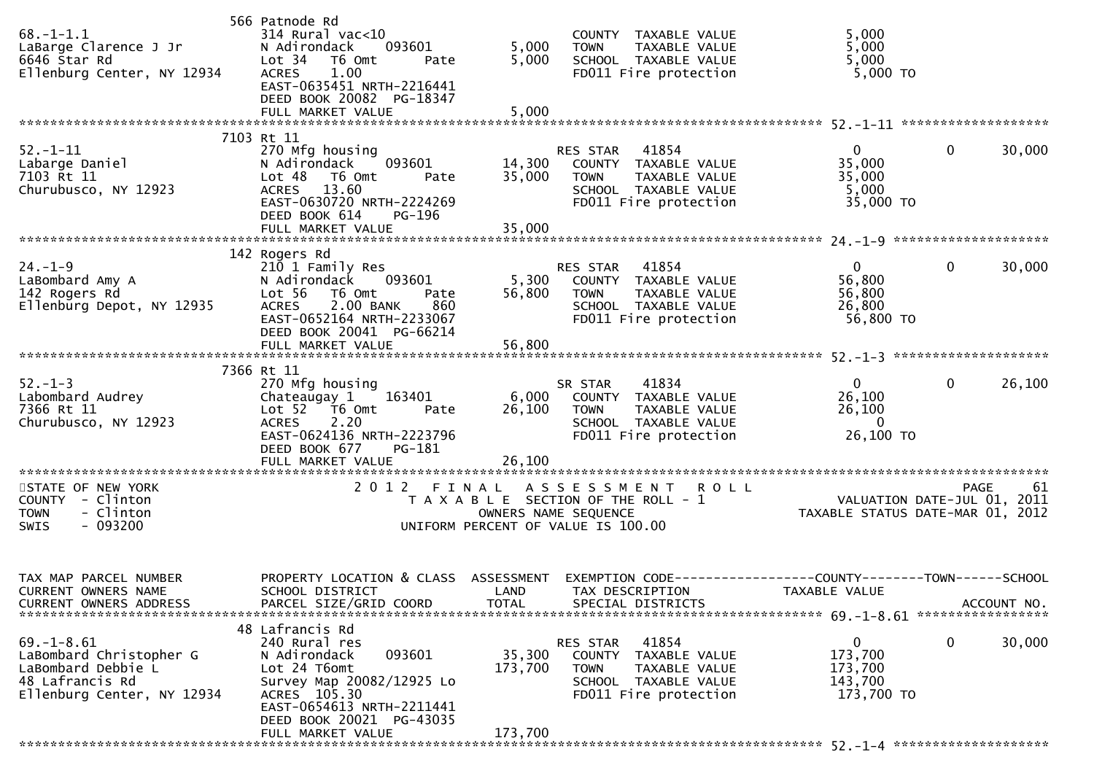| $68. -1 - 1.1$<br>LaBarge Clarence J Jr<br>6646 Star Rd<br>Ellenburg Center, NY 12934                              | 566 Patnode Rd<br>$314$ Rural vac<10<br>N Adirondack<br>093601<br>Lot 34 T6 Omt<br>Pate<br><b>ACRES</b><br>1.00<br>EAST-0635451 NRTH-2216441<br>DEED BOOK 20082 PG-18347         | 5,000<br>5,000    | COUNTY TAXABLE VALUE<br><b>TOWN</b><br>TAXABLE VALUE<br>TOWN IAANDLL<br>SCHOOL TAXABLE VALUE<br>Time protection                                                                         | 5,000<br>5,000<br>5,000<br>$5,000$ TO                                    |                        |
|--------------------------------------------------------------------------------------------------------------------|----------------------------------------------------------------------------------------------------------------------------------------------------------------------------------|-------------------|-----------------------------------------------------------------------------------------------------------------------------------------------------------------------------------------|--------------------------------------------------------------------------|------------------------|
|                                                                                                                    | 7103 Rt 11                                                                                                                                                                       |                   |                                                                                                                                                                                         |                                                                          |                        |
| $52 - 1 - 11$<br>Labarge Daniel<br>7103 Rt 11<br>7103 Rt 11<br>Churubusco, NY 12923                                | 270 Mfg housing<br>N Adirondack 093601<br>Lot 48 T6 Omt<br>Pate<br>ACRES 13.60<br>EAST-0630720 NRTH-2224269<br>DEED BOOK 614<br>PG-196                                           | 35,000            | RES STAR 41854<br>14,300 COUNTY TAXABLE VALUE<br>TOWN      TAXABLE VALUE<br>SCHOOL   TAXABLE VALUE<br>FD011 Fire protection                                                             | $\mathbf{0}$<br>35,000<br>35,000<br>5,000<br>35,000 TO                   | 30,000<br>$\mathbf{0}$ |
|                                                                                                                    | FULL MARKET VALUE                                                                                                                                                                | 35,000            |                                                                                                                                                                                         |                                                                          |                        |
|                                                                                                                    | 142 Rogers Rd                                                                                                                                                                    |                   |                                                                                                                                                                                         |                                                                          |                        |
| $24. - 1 - 9$<br>Labombard Amy A<br>142 Rogers Rd<br>112 Rogers Rd<br>Ellenburg Depot, NY 12935                    | 210 1 Family Res<br>N Adirondack 093601<br>Lot 56 T6 Omt<br>Pate<br><b>ACRES</b><br>2.00 BANK<br>860<br>EAST-0652164 NRTH-2233067<br>DEED BOOK 20041 PG-66214                    | 56,800            | RES STAR 41854<br>5,300 COUNTY TAXABLE VALUE<br><b>TOWN</b><br>TAXABLE VALUE<br>SCHOOL TAXABLE VALUE<br>FD011 Fire protection                                                           | $\mathbf{0}$<br>56,800<br>56,800<br>26,800<br>56,800 TO                  | 30,000<br>$\mathbf{0}$ |
|                                                                                                                    |                                                                                                                                                                                  |                   |                                                                                                                                                                                         |                                                                          |                        |
|                                                                                                                    | 7366 Rt 11                                                                                                                                                                       |                   |                                                                                                                                                                                         |                                                                          |                        |
| $52 - 1 - 3$<br>Labombard Audrey<br>7366 Rt 11<br>7366 Rt 11<br>Churubusco, NY 12923                               | 270 Mfg housing<br>Chateaugay $1$ $163401$<br>Lot 52 76 0mt<br>Pate<br><b>ACRES</b><br>2.20<br>EAST-0624136 NRTH-2223796<br>DEED BOOK 677<br>PG-181                              |                   | 41834<br>SR STAR<br>6,000 COUNTY TAXABLE VALUE<br>26,100 TOWN TAXABLE VALUE<br>SCHOOL TAXABLE VALUE<br>FD011 Fire protection                                                            | $\mathbf{0}$<br>26,100<br>26,100<br>$\overline{\mathbf{0}}$<br>26,100 TO | 26,100<br>$\mathbf{0}$ |
|                                                                                                                    | FULL MARKET VALUE                                                                                                                                                                | 26,100            |                                                                                                                                                                                         |                                                                          |                        |
| STATE OF NEW YORK<br>COUNTY - Clinton<br>- Clinton<br><b>TOWN</b><br>$-093200$<br><b>SWIS</b>                      |                                                                                                                                                                                  |                   | 2012 FINAL ASSESSMENT ROLL<br>TAXABLE SECTION OF THE ROLL -1 WALUATION DATE-JUL 01, 2011<br>OWNERS NAME SEQUENCE TAXABLE STATUS DATE-MAR 01, 2012<br>UNIFORM PERCENT OF VALUE IS 100.00 |                                                                          |                        |
| TAX MAP PARCEL NUMBER                                                                                              | PROPERTY LOCATION & CLASS ASSESSMENT EXEMPTION CODE----------------COUNTY-------TOWN------SCHOOL<br>SCHOOL DISTRICT                                                              |                   | LAND TAX DESCRIPTION                                                                                                                                                                    | TAXABLE VALUE                                                            |                        |
| CURRENT OWNERS NAME<br><b>CURRENT OWNERS ADDRESS</b>                                                               | PARCEL SIZE/GRID COORD                                                                                                                                                           | <b>TOTAL</b>      | SPECIAL DISTRICTS                                                                                                                                                                       |                                                                          | ACCOUNT NO.            |
| $69. - 1 - 8.61$<br>LaBombard Christopher G<br>LaBombard Debbie L<br>48 Lafrancis Rd<br>Ellenburg Center, NY 12934 | 48 Lafrancis Rd<br>240 Rural res<br>093601<br>N Adirondack<br>Lot 24 T6omt<br>Survey Map 20082/12925 Lo<br>ACRES 105.30<br>EAST-0654613 NRTH-2211441<br>DEED BOOK 20021 PG-43035 | 35,300<br>173,700 | 41854<br><b>RES STAR</b><br>COUNTY TAXABLE VALUE<br>TAXABLE VALUE<br><b>TOWN</b><br>SCHOOL TAXABLE VALUE<br>FD011 Fire protection                                                       | 0<br>173,700<br>173,700<br>143,700<br>173,700 TO                         | 30,000<br>0            |
|                                                                                                                    | FULL MARKET VALUE                                                                                                                                                                | 173,700           |                                                                                                                                                                                         |                                                                          |                        |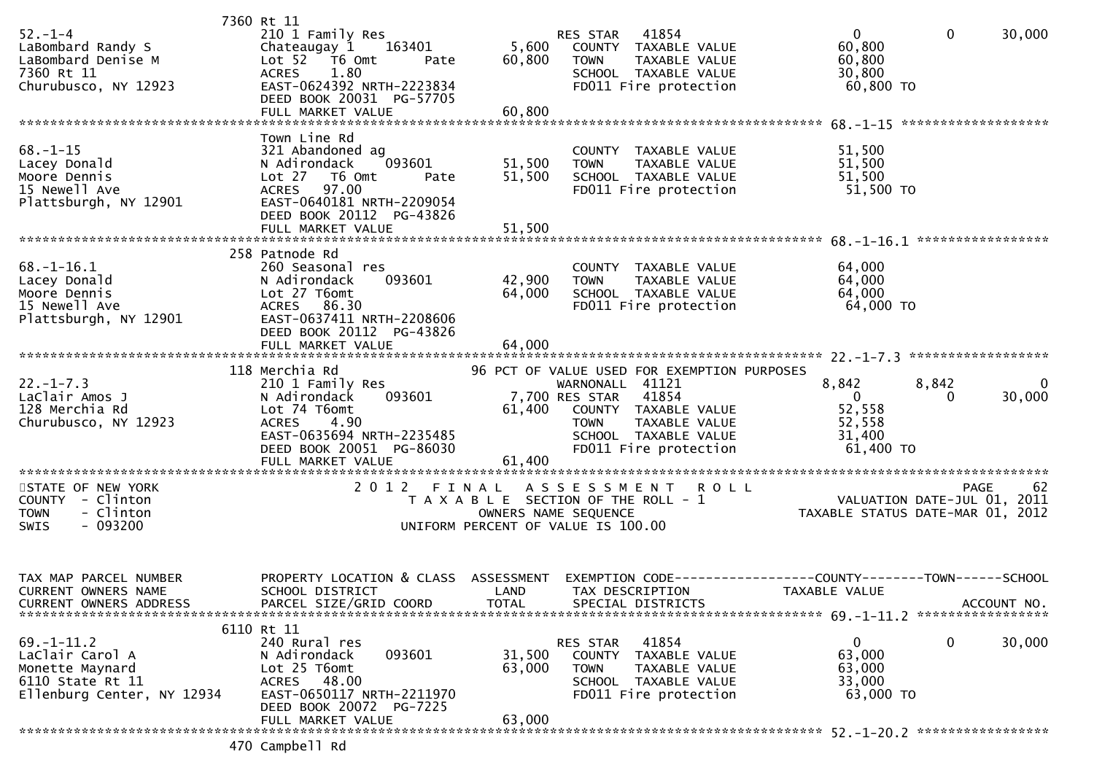|                               | 7360 Rt 11                |                                       |                      |                                             |                                      |              |             |
|-------------------------------|---------------------------|---------------------------------------|----------------------|---------------------------------------------|--------------------------------------|--------------|-------------|
| $52 - 1 - 4$                  | 210 1 Family Res          |                                       | <b>RES STAR</b>      | 41854                                       | $\mathbf{0}$                         | $\mathbf{0}$ | 30,000      |
| LaBombard Randy S             | 163401<br>Chateaugay 1    | 5,600                                 |                      | COUNTY TAXABLE VALUE                        | 60,800                               |              |             |
| LaBombard Denise M            | Lot 52  T6 Omt<br>Pate    | 60,800                                | <b>TOWN</b>          | TAXABLE VALUE                               | 60,800                               |              |             |
| 7360 Rt 11                    | <b>ACRES</b><br>1.80      |                                       |                      | SCHOOL TAXABLE VALUE                        | 30,800                               |              |             |
| Churubusco, NY 12923          | EAST-0624392 NRTH-2223834 |                                       |                      | FD011 Fire protection                       | 60,800 TO                            |              |             |
|                               | DEED BOOK 20031 PG-57705  |                                       |                      |                                             |                                      |              |             |
|                               | FULL MARKET VALUE         | 60,800                                |                      |                                             |                                      |              |             |
|                               |                           |                                       |                      |                                             |                                      |              |             |
|                               | Town Line Rd              |                                       |                      |                                             |                                      |              |             |
|                               |                           |                                       |                      |                                             |                                      |              |             |
| $68. - 1 - 15$                | 321 Abandoned ag          |                                       |                      | COUNTY TAXABLE VALUE                        | 51,500                               |              |             |
| Lacey Donald                  | N Adirondack<br>093601    | 51,500                                | <b>TOWN</b>          | TAXABLE VALUE                               | 51,500                               |              |             |
| Moore Dennis                  | Lot 27 76 0mt<br>Pate     | 51,500                                |                      | SCHOOL TAXABLE VALUE                        | 51,500                               |              |             |
| 15 Newell Ave                 | 97.00<br><b>ACRES</b>     |                                       |                      | FD011 Fire protection                       | 51,500 TO                            |              |             |
| Plattsburgh, NY 12901         | EAST-0640181 NRTH-2209054 |                                       |                      |                                             |                                      |              |             |
|                               | DEED BOOK 20112 PG-43826  |                                       |                      |                                             |                                      |              |             |
|                               |                           |                                       |                      |                                             |                                      |              |             |
|                               |                           |                                       |                      |                                             |                                      |              |             |
|                               | 258 Patnode Rd            |                                       |                      |                                             |                                      |              |             |
| $68. - 1 - 16.1$              | 260 Seasonal res          |                                       |                      | COUNTY TAXABLE VALUE                        | 64,000                               |              |             |
| Lacey Donald                  | 093601<br>N Adirondack    | 42,900                                | <b>TOWN</b>          | TAXABLE VALUE                               | 64,000                               |              |             |
| Moore Dennis                  |                           |                                       |                      |                                             |                                      |              |             |
|                               | Lot 27 T6omt              | 64,000                                |                      | SCHOOL TAXABLE VALUE                        | 64,000                               |              |             |
| 15 Newell Ave                 | ACRES 86.30               |                                       |                      | FD011 Fire protection                       | 64,000 TO                            |              |             |
| Plattsburgh, NY 12901         | EAST-0637411 NRTH-2208606 |                                       |                      |                                             |                                      |              |             |
|                               | DEED BOOK 20112 PG-43826  |                                       |                      |                                             |                                      |              |             |
|                               | FULL MARKET VALUE         | 64,000                                |                      |                                             |                                      |              |             |
|                               |                           |                                       |                      |                                             |                                      |              |             |
|                               | 118 Merchia Rd            |                                       |                      | 96 PCT OF VALUE USED FOR EXEMPTION PURPOSES |                                      |              |             |
| $22. - 1 - 7.3$               | 210 1 Family Res          |                                       | WARNONALL 41121      |                                             | 8,842                                | 8,842        | $\Omega$    |
| LaClair Amos J                | N Adirondack<br>093601    |                                       | 7,700 RES STAR       | 41854                                       | $\Omega$                             | 0            | 30,000      |
| 128 Merchia Rd                | Lot 74 T6omt              | 61,400                                |                      | COUNTY TAXABLE VALUE                        | 52,558                               |              |             |
| Churubusco, NY 12923          | 4.90<br><b>ACRES</b>      |                                       | <b>TOWN</b>          | TAXABLE VALUE                               | 52,558                               |              |             |
|                               | EAST-0635694 NRTH-2235485 |                                       |                      | SCHOOL TAXABLE VALUE                        | 31,400                               |              |             |
|                               |                           |                                       |                      |                                             | 61,400 TO                            |              |             |
|                               | DEED BOOK 20051 PG-86030  |                                       |                      | FD011 Fire protection                       |                                      |              |             |
|                               | FULL MARKET VALUE         | 61,400                                |                      |                                             |                                      |              |             |
|                               |                           |                                       |                      |                                             |                                      |              |             |
| STATE OF NEW YORK             | 2 0 1 2                   | FINAL                                 |                      | ASSESSMENT ROLL                             |                                      | <b>PAGE</b>  | 62          |
| COUNTY - Clinton              |                           | T A X A B L E SECTION OF THE ROLL - 1 |                      |                                             | VALUATION DATE-JUL 01, 2011          |              |             |
| - Clinton<br><b>TOWN</b>      |                           |                                       | OWNERS NAME SEQUENCE |                                             | TAXABLE STATUS DATE-MAR 01, 2012     |              |             |
| SWIS<br>$-093200$             |                           | UNIFORM PERCENT OF VALUE IS 100.00    |                      |                                             |                                      |              |             |
|                               |                           |                                       |                      |                                             |                                      |              |             |
|                               |                           |                                       |                      |                                             |                                      |              |             |
|                               |                           |                                       |                      |                                             |                                      |              |             |
| TAX MAP PARCEL NUMBER         | PROPERTY LOCATION & CLASS | ASSESSMENT                            | EXEMPTION CODE--     |                                             | ------COUNTY--------TOWN------SCHOOL |              |             |
| CURRENT OWNERS NAME           | SCHOOL DISTRICT           | LAND                                  | TAX DESCRIPTION      |                                             | <b>TAXABLE VALUE</b>                 |              |             |
| <b>CURRENT OWNERS ADDRESS</b> | PARCEL SIZE/GRID COORD    | <b>TOTAL</b>                          |                      | SPECIAL DISTRICTS                           |                                      |              | ACCOUNT NO. |
|                               |                           |                                       |                      |                                             |                                      |              |             |
|                               | 6110 Rt 11                |                                       |                      |                                             |                                      |              |             |
| $69. - 1 - 11.2$              | 240 Rural res             |                                       |                      | 41854                                       | 0                                    | 0            | 30,000      |
| LaClair Carol A               |                           |                                       | RES STAR             |                                             | 63,000                               |              |             |
|                               | N Adirondack<br>093601    | 31,500                                |                      | COUNTY TAXABLE VALUE                        |                                      |              |             |
| Monette Maynard               | Lot 25 T6omt              | 63,000                                | <b>TOWN</b>          | TAXABLE VALUE                               | 63,000                               |              |             |
| 6110 State Rt 11              | ACRES 48.00               |                                       |                      | SCHOOL TAXABLE VALUE                        | 33,000                               |              |             |
| Ellenburg Center, NY 12934    | EAST-0650117 NRTH-2211970 |                                       |                      | FD011 Fire protection                       | 63,000 TO                            |              |             |
|                               | DEED BOOK 20072 PG-7225   |                                       |                      |                                             |                                      |              |             |
|                               | FULL MARKET VALUE         | 63,000                                |                      |                                             |                                      |              |             |
|                               |                           |                                       |                      |                                             |                                      |              |             |
|                               | 470 Campbell Rd           |                                       |                      |                                             |                                      |              |             |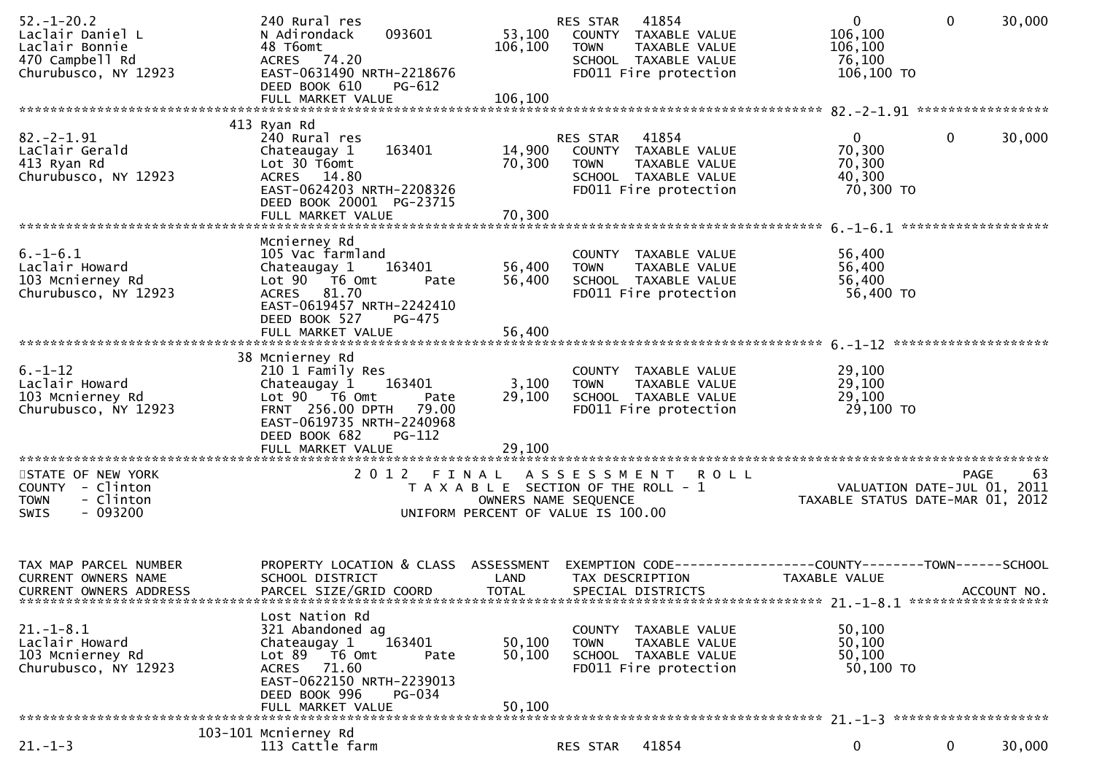| $52. - 1 - 20.2$<br>Laclair Daniel L<br>Laclair Bonnie<br>470 Campbell Rd<br>Churubusco, NY 12923 | 240 Rural res<br>N Adirondack<br>093601<br>48 T6omt<br>ACRES 74.20<br>EAST-0631490 NRTH-2218676<br>DEED BOOK 610<br>$PG-612$                                                               | 53,100<br>106,100          | 41854<br>RES STAR<br>COUNTY TAXABLE VALUE<br><b>TOWN</b><br>TAXABLE VALUE<br>SCHOOL TAXABLE VALUE<br>FD011 Fire protection | $\overline{0}$<br>$\mathbf 0$<br>106,100<br>106,100<br>76,100<br>106,100 TO   | 30,000      |
|---------------------------------------------------------------------------------------------------|--------------------------------------------------------------------------------------------------------------------------------------------------------------------------------------------|----------------------------|----------------------------------------------------------------------------------------------------------------------------|-------------------------------------------------------------------------------|-------------|
|                                                                                                   | 413 Ryan Rd                                                                                                                                                                                |                            |                                                                                                                            |                                                                               |             |
| $82 - 2 - 1.91$<br>LaClair Gerald<br>413 Ryan Rd<br>Churubusco, NY 12923                          | 240 Rural res<br>163401<br>Chateaugay 1<br>Lot 30 T6omt<br>ACRES 14.80<br>EAST-0624203 NRTH-2208326<br>DEED BOOK 20001 PG-23715                                                            | 14,900<br>70,300           | RES STAR<br>41854<br>COUNTY TAXABLE VALUE<br><b>TOWN</b><br>TAXABLE VALUE<br>SCHOOL TAXABLE VALUE<br>FD011 Fire protection | $\mathbf{0}$<br>$\mathbf 0$<br>70,300<br>70,300<br>40,300<br>70,300 TO        | 30,000      |
|                                                                                                   |                                                                                                                                                                                            |                            |                                                                                                                            |                                                                               |             |
| $6. -1 - 6.1$<br>Laclair Howard<br>103 Mcnierney Rd<br>Churubusco, NY 12923                       | Mcnierney Rd<br>105 Vac farmland<br>Chateaugay 1<br>163401<br>Lot 90 T6 Omt<br>Pate<br>ACRES 81.70<br>EAST-0619457 NRTH-2242410<br>DEED BOOK 527<br>$PG-475$                               | 56,400<br>56,400           | COUNTY TAXABLE VALUE<br><b>TAXABLE VALUE</b><br><b>TOWN</b><br>SCHOOL TAXABLE VALUE<br>FD011 Fire protection               | 56,400<br>56,400<br>56,400<br>56,400 TO                                       |             |
|                                                                                                   | FULL MARKET VALUE                                                                                                                                                                          | 56,400                     |                                                                                                                            | ********************                                                          |             |
| $6. - 1 - 12$<br>Laclair Howard<br>103 Mcnierney Rd<br>Churubusco, NY 12923                       | 38 Mcnierney Rd<br>210 1 Family Res<br>163401<br>Chateaugay 1<br>Lot 90 T6 Omt<br>Pate<br>FRNT 256.00 DPTH 79.00<br>EAST-0619735 NRTH-2240968<br>DEED BOOK 682<br>PG-112                   | 3,100<br>29,100            | COUNTY TAXABLE VALUE<br><b>TOWN</b><br>TAXABLE VALUE<br>SCHOOL TAXABLE VALUE<br>FD011 Fire protection                      | 29,100<br>29,100<br>29,100<br>29,100 TO                                       |             |
|                                                                                                   | FULL MARKET VALUE                                                                                                                                                                          | 29,100                     |                                                                                                                            |                                                                               |             |
| STATE OF NEW YORK<br>COUNTY - Clinton<br><b>TOWN</b><br>- Clinton<br>$-093200$<br><b>SWIS</b>     | 2012 FINAL                                                                                                                                                                                 | OWNERS NAME SEQUENCE       | A S S E S S M E N T<br><b>ROLL</b><br>T A X A B L E SECTION OF THE ROLL - 1<br>UNIFORM PERCENT OF VALUE IS 100.00          | PAGE<br>VALUATION DATE-JUL 01, 2011<br>TAXABLE STATUS DATE-MAR 01, 2012       | 63          |
| TAX MAP PARCEL NUMBER<br><b>CURRENT OWNERS NAME</b><br><b>CURRENT OWNERS ADDRESS</b>              | PROPERTY LOCATION & CLASS ASSESSMENT<br>SCHOOL DISTRICT<br>PARCEL SIZE/GRID COORD                                                                                                          | LAND<br><b>TOTAL</b>       | TAX DESCRIPTION<br>SPECIAL DISTRICTS                                                                                       | EXEMPTION CODE-----------------COUNTY-------TOWN------SCHOOL<br>TAXABLE VALUE | ACCOUNT NO. |
| $21. - 1 - 8.1$<br>Laclair Howard<br>103 Mcnierney Rd<br>Churubusco, NY 12923                     | Lost Nation Rd<br>321 Abandoned ag<br>Chateaugay 1<br>163401<br>$Lot 89$ T6 Omt<br>Pate<br>ACRES 71.60<br>EAST-0622150 NRTH-2239013<br>DEED BOOK 996<br><b>PG-034</b><br>FULL MARKET VALUE | 50,100<br>50,100<br>50,100 | COUNTY TAXABLE VALUE<br><b>TOWN</b><br>TAXABLE VALUE<br>SCHOOL TAXABLE VALUE<br>FD011 Fire protection                      | 50,100<br>50,100<br>50,100<br>50,100 TO                                       |             |
|                                                                                                   |                                                                                                                                                                                            |                            |                                                                                                                            |                                                                               |             |
| $21. - 1 - 3$                                                                                     | 103-101 Mcnierney Rd<br>113 Cattle farm                                                                                                                                                    |                            | 41854<br>RES STAR                                                                                                          | 0<br>$\mathbf 0$                                                              | 30,000      |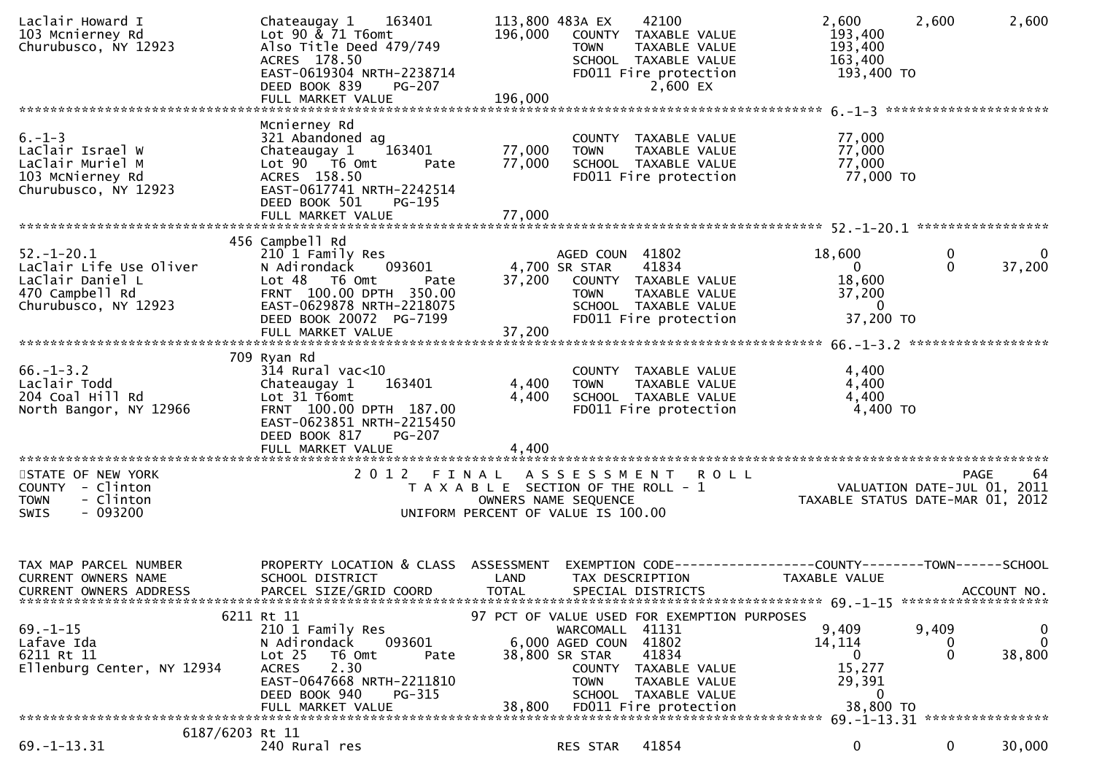| Laclair Howard I<br>103 Mcnierney Rd<br>Churubusco, NY 12923                                               | Chateaugay 1 163401<br>Lot 90 & 71 T6omt<br>Also Title Deed 479/749<br>ACRES 178.50<br>EAST-0619304 NRTH-2238714<br>DEED BOOK 839<br>PG-207                                               | 196,000              | 113,800 483A EX<br>42100<br>COUNTY TAXABLE VALUE<br><b>TOWN</b><br>TAXABLE VALUE<br>SCHOOL TAXABLE VALUE<br>FD011 Fire protection<br>2,600 EX                                                                               | 2,600<br>193,400<br>193,400<br>163,400<br>193,400 TO                      | 2,600                | 2,600                       |
|------------------------------------------------------------------------------------------------------------|-------------------------------------------------------------------------------------------------------------------------------------------------------------------------------------------|----------------------|-----------------------------------------------------------------------------------------------------------------------------------------------------------------------------------------------------------------------------|---------------------------------------------------------------------------|----------------------|-----------------------------|
|                                                                                                            | Mcnierney Rd                                                                                                                                                                              |                      |                                                                                                                                                                                                                             |                                                                           |                      |                             |
| $6. - 1 - 3$<br>LaClair Israel W<br>LaClair Muriel M<br>103 McNierney Rd<br>Churubusco, NY 12923           | 321 Abandoned ag<br>Chateaugay 1<br>163401<br>Lot 90 T6 Omt<br>Pate<br>ACRES 158.50<br>EAST-0617741 NRTH-2242514<br>DEED BOOK 501<br>PG-195                                               | 77,000<br>77,000     | COUNTY TAXABLE VALUE<br>TAXABLE VALUE<br><b>TOWN</b><br>SCHOOL TAXABLE VALUE<br>FD011 Fire protection                                                                                                                       | 77,000<br>77,000<br>77,000<br>77,000 TO                                   |                      |                             |
|                                                                                                            | 456 Campbell Rd                                                                                                                                                                           |                      |                                                                                                                                                                                                                             |                                                                           |                      |                             |
| $52. - 1 - 20.1$<br>LaClair Life Use Oliver<br>LaClair Daniel L<br>470 Campbell Rd<br>Churubusco, NY 12923 | 210 1 Family Res<br>093601<br>N Adirondack<br>Lot 48 T6 Omt<br>Pate<br>FRNT 100.00 DPTH 350.00<br>EAST-0629878 NRTH-2218075<br>DEED BOOK 20072 PG-7199                                    |                      | AGED COUN 41802<br>41834<br>4,700 SR STAR<br>37,200 COUNTY TAXABLE VALUE<br>TAXABLE VALUE<br><b>TOWN</b><br>SCHOOL TAXABLE VALUE<br>FD011 Fire protection                                                                   | 18,600<br>$\Omega$<br>18,600<br>37,200<br>$\Omega$<br>37,200 TO           | $\bf{0}$<br>$\Omega$ | $\overline{0}$<br>37,200    |
|                                                                                                            |                                                                                                                                                                                           |                      |                                                                                                                                                                                                                             |                                                                           |                      |                             |
| $66. - 1 - 3.2$<br>Laclair Todd<br>204 Coal Hill Rd<br>North Bangor, NY 12966                              | 709 Ryan Rd<br>$314$ Rural vac< $10$<br>163401<br>Chateaugay 1<br>Lot 31 T6omt<br>FRNT 100.00 DPTH 187.00<br>EAST-0623851 NRTH-2215450<br>DEED BOOK 817<br>PG-207                         | 4,400<br>4,400       | COUNTY TAXABLE VALUE<br>TAXABLE VALUE<br><b>TOWN</b><br>SCHOOL TAXABLE VALUE<br>FD011 Fire protection                                                                                                                       | 4,400<br>4,400<br>4,400<br>4,400 TO                                       |                      |                             |
|                                                                                                            | FULL MARKET VALUE                                                                                                                                                                         | 4,400                |                                                                                                                                                                                                                             |                                                                           |                      |                             |
| STATE OF NEW YORK<br>COUNTY - Clinton<br><b>TOWN</b><br>- Clinton<br>$-093200$<br><b>SWIS</b>              | 2012 FINAL                                                                                                                                                                                |                      | <b>ROLL</b><br>A S S E S S M E N T<br>T A X A B L E SECTION OF THE ROLL - 1<br>OWNERS NAME SEQUENCE<br>UNIFORM PERCENT OF VALUE IS 100.00                                                                                   | VALUATION DATE-JUL $01, 2011$<br>TAXABLE STATUS DATE-MAR 01, 2012         |                      | 64<br>PAGE                  |
| TAX MAP PARCEL NUMBER<br><b>CURRENT OWNERS NAME</b><br><b>CURRENT OWNERS ADDRESS</b>                       | PROPERTY LOCATION & CLASS ASSESSMENT<br>SCHOOL DISTRICT<br>PARCEL SIZE/GRID COORD                                                                                                         | LAND<br><b>TOTAL</b> | EXEMPTION CODE-----------------COUNTY-------TOWN------SCHOOL<br>TAX DESCRIPTION<br>SPECIAL DISTRICTS                                                                                                                        | TAXABLE VALUE                                                             |                      | ACCOUNT NO.                 |
| $69. - 1 - 15$<br>Lafave Ida<br>6211 Rt 11<br>Ellenburg Center, NY 12934                                   | 6211 Rt 11<br>210 1 Family Res<br>N Adirondack<br>093601<br>Lot 25<br>T6 Omt<br>Pate<br>2.30<br><b>ACRES</b><br>EAST-0647668 NRTH-2211810<br>DEED BOOK 940<br>PG-315<br>FULL MARKET VALUE | 38,800               | 97 PCT OF VALUE USED FOR EXEMPTION PURPOSES<br>WARCOMALL 41131<br>6,000 AGED COUN 41802<br>41834<br>38,800 SR STAR<br>COUNTY TAXABLE VALUE<br><b>TOWN</b><br>TAXABLE VALUE<br>SCHOOL TAXABLE VALUE<br>FD011 Fire protection | 9,409<br>14, 114<br>$\Omega$<br>15,277<br>29,391<br>$\Omega$<br>38,800 TO | 9,409<br>$\Omega$    | 0<br>$\mathbf{0}$<br>38,800 |
| 6187/6203 Rt 11                                                                                            |                                                                                                                                                                                           |                      |                                                                                                                                                                                                                             |                                                                           |                      |                             |
| $69. -1 - 13.31$                                                                                           | 240 Rural res                                                                                                                                                                             |                      | 41854<br>RES STAR                                                                                                                                                                                                           | 0                                                                         | 0                    | 30,000                      |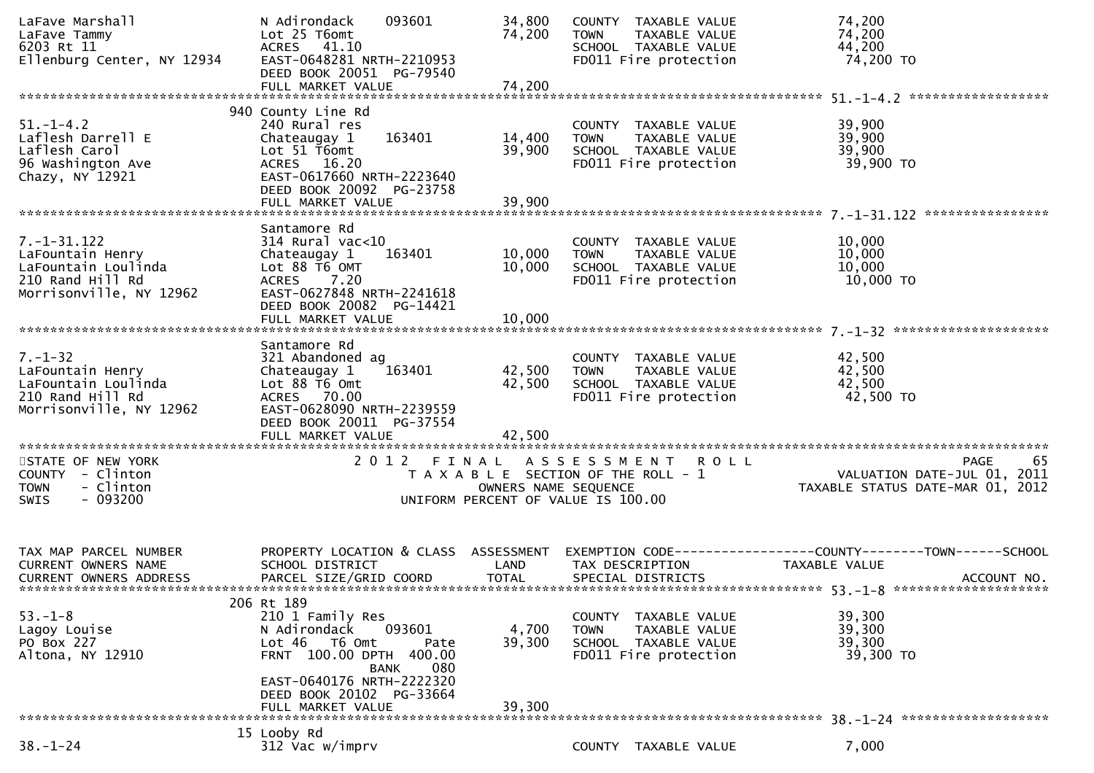| LaFave Marshall<br>LaFave Tammy<br>LaFave Tammy<br>6203 Rt 11<br>Ellenburg Center, NY 12934                 | 093601<br>N Adirondack<br>Lot 25 T6omt<br>ACRES 41.10<br>EAST-0648281 NRTH-2210953<br>DEED BOOK 20051 PG-79540<br>FULL MARKET VALUE                                      | 34,800<br>74,200<br>74,200                                               | COUNTY TAXABLE VALUE<br><b>TOWN</b><br>TAXABLE VALUE<br>SCHOOL TAXABLE VALUE<br>FD011 Fire protection | 74,200<br>74,200<br>44,200<br>74,200 TO                                                        |
|-------------------------------------------------------------------------------------------------------------|--------------------------------------------------------------------------------------------------------------------------------------------------------------------------|--------------------------------------------------------------------------|-------------------------------------------------------------------------------------------------------|------------------------------------------------------------------------------------------------|
|                                                                                                             |                                                                                                                                                                          |                                                                          |                                                                                                       |                                                                                                |
| $51. - 1 - 4.2$<br>Laflesh Darrell E<br>Laflesh Carol<br>96 Washington Ave<br>Chazy, NY 12921               | 940 County Line Rd<br>240 Rural res<br>163401<br>Chateaugay 1<br>Lot 51 T6omt<br>ACRES 16.20<br>EAST-0617660 NRTH-2223640<br>DEED BOOK 20092 PG-23758                    | 14,400<br>39,900                                                         | COUNTY TAXABLE VALUE<br><b>TOWN</b><br>TAXABLE VALUE<br>SCHOOL TAXABLE VALUE<br>FD011 Fire protection | 39,900<br>39,900<br>39,900<br>39,900 TO                                                        |
|                                                                                                             | FULL MARKET VALUE                                                                                                                                                        | 39,900                                                                   |                                                                                                       |                                                                                                |
|                                                                                                             |                                                                                                                                                                          |                                                                          |                                                                                                       |                                                                                                |
| $7. - 1 - 31.122$<br>LaFountain Henry<br>LaFountain Loulinda<br>210 Rand Hill Rd<br>Morrisonville, NY 12962 | Santamore Rd<br>$314$ Rural vac< $10$<br>163401<br>Chateaugay 1<br>Lot 88 T6 OMT<br>ACRES 7.20<br>EAST-0627848 NRTH-2241618<br>DEED BOOK 20082 PG-14421                  | 10,000<br>10,000                                                         | COUNTY TAXABLE VALUE<br>TAXABLE VALUE<br><b>TOWN</b><br>SCHOOL TAXABLE VALUE<br>FD011 Fire protection | 10,000<br>10,000<br>10,000<br>10,000 TO                                                        |
|                                                                                                             | FULL MARKET VALUE                                                                                                                                                        | 10,000                                                                   |                                                                                                       |                                                                                                |
|                                                                                                             |                                                                                                                                                                          |                                                                          |                                                                                                       |                                                                                                |
| $7. - 1 - 32$<br>LaFountain Henry<br>LaFountain Loulinda<br>210 Rand Hill Rd<br>Morrisonville, NY 12962     | Santamore Rd<br>321 Abandoned ag<br>163401<br>Chateaugay 1<br>Lot 88 T6 Omt<br>ACRES 70.00<br>EAST-0628090 NRTH-2239559<br>DEED BOOK 20011 PG-37554<br>FULL MARKET VALUE | 42,500<br>42,500<br>42,500                                               | COUNTY TAXABLE VALUE<br><b>TOWN</b><br>TAXABLE VALUE<br>SCHOOL TAXABLE VALUE<br>FD011 Fire protection | 42,500<br>42,500<br>42,500<br>42,500 TO                                                        |
|                                                                                                             |                                                                                                                                                                          |                                                                          |                                                                                                       |                                                                                                |
| STATE OF NEW YORK<br>COUNTY - Clinton<br>- Clinton<br><b>TOWN</b><br>$-093200$<br><b>SWIS</b>               |                                                                                                                                                                          | 2012 FINAL<br>OWNERS NAME SEQUENCE<br>UNIFORM PERCENT OF VALUE IS 100.00 | ASSESSMENT ROLL<br>T A X A B L E SECTION OF THE ROLL - 1                                              | PAGE<br>65<br>ں ہے ہے ہے ۔<br>1102 ,VALUATION DATE-JUL 01<br>1201 ,TAXABLE STATUS DATE-MAR 01  |
| TAX MAP PARCEL NUMBER<br>CURRENT OWNERS NAME<br><b>CURRENT OWNERS ADDRESS</b>                               | PROPERTY LOCATION & CLASS ASSESSMENT<br>SCHOOL DISTRICT<br>PARCEL SIZE/GRID COORD                                                                                        | LAND<br><b>TOTAL</b>                                                     | TAX DESCRIPTION<br>SPECIAL DISTRICTS                                                                  | EXEMPTION CODE------------------COUNTY--------TOWN------SCHOOL<br>TAXABLE VALUE<br>ACCOUNT NO. |
|                                                                                                             | 206 Rt 189                                                                                                                                                               |                                                                          |                                                                                                       |                                                                                                |
| $53. - 1 - 8$<br>Lagoy Louise<br>PO Box 227<br>Altona, NY 12910                                             | 210 1 Family Res<br>N Adirondack<br>093601<br>Lot 46 T6 Omt<br>FRNT 100.00 DPTH 400.00<br><b>BANK</b>                                                                    | 4,700<br>39,300<br>Pate<br>080                                           | COUNTY TAXABLE VALUE<br>TAXABLE VALUE<br><b>TOWN</b><br>SCHOOL TAXABLE VALUE<br>FD011 Fire protection | 39,300<br>39,300<br>39,300<br>39,300 TO                                                        |
|                                                                                                             | EAST-0640176 NRTH-2222320<br>DEED BOOK 20102 PG-33664<br>FULL MARKET VALUE                                                                                               | 39,300                                                                   |                                                                                                       |                                                                                                |
|                                                                                                             | 15 Looby Rd                                                                                                                                                              |                                                                          |                                                                                                       |                                                                                                |
| $38. - 1 - 24$                                                                                              | 312 Vac w/imprv                                                                                                                                                          |                                                                          | COUNTY TAXABLE VALUE                                                                                  | 7,000                                                                                          |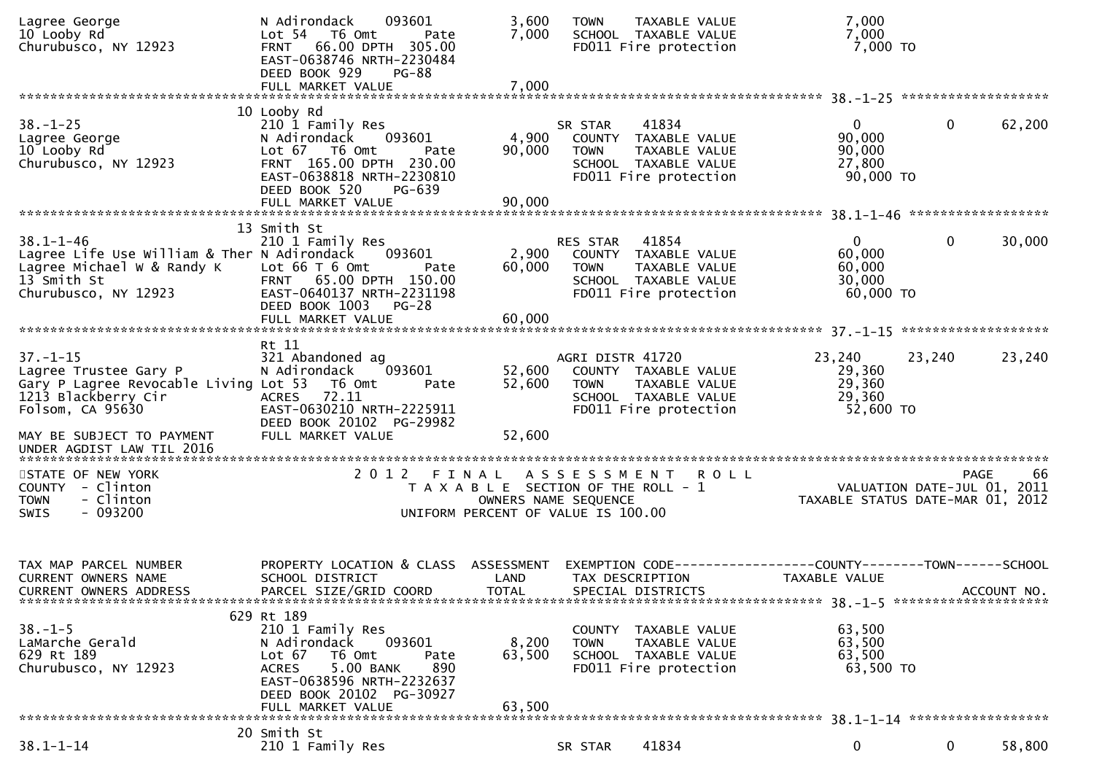| Lagree George<br>10 Looby Rd<br>Churubusco, NY 12923                                                                                | N Adirondack<br>093601<br>Lot 54 T6 Omt<br>Pate<br>FRNT 66.00 DPTH 305.00<br>EAST-0638746 NRTH-2230484<br>DEED BOOK 929<br>$PG-88$<br>FULL MARKET VALUE                                                | 3,600<br>7,000<br>7,000   | <b>TOWN</b><br><b>TAXABLE VALUE</b><br>SCHOOL TAXABLE VALUE<br>FD011 Fire protection                                                      | 7,000<br>7,000<br>7,000 то                                                      |                    |
|-------------------------------------------------------------------------------------------------------------------------------------|--------------------------------------------------------------------------------------------------------------------------------------------------------------------------------------------------------|---------------------------|-------------------------------------------------------------------------------------------------------------------------------------------|---------------------------------------------------------------------------------|--------------------|
|                                                                                                                                     |                                                                                                                                                                                                        |                           |                                                                                                                                           |                                                                                 |                    |
| $38. - 1 - 25$<br>Lagree George<br>10 Looby Rd<br>Churubusco, NY 12923                                                              | 10 Looby Rd<br>210 1 Family Res<br>093601<br>N Adirondack<br>Lot 67 T6 Omt<br>Pate<br>FRNT 165.00 DPTH 230.00<br>EAST-0638818 NRTH-2230810<br>DEED BOOK 520<br>PG-639<br>FULL MARKET VALUE             | 4,900<br>90,000<br>90,000 | 41834<br>SR STAR<br>COUNTY TAXABLE VALUE<br>TAXABLE VALUE<br><b>TOWN</b><br>SCHOOL TAXABLE VALUE<br>FD011 Fire protection                 | $\mathbf{0}$<br>90,000<br>90,000<br>27,800<br>90,000 TO                         | 62,200<br>0        |
|                                                                                                                                     |                                                                                                                                                                                                        |                           |                                                                                                                                           |                                                                                 |                    |
| $38.1 - 1 - 46$<br>Lagree Life Use William & Ther N Adirondack<br>Lagree Michael W & Randy K<br>13 Smith St<br>Churubusco, NY 12923 | 13 Smith St<br>210 1 Family Res<br>093601<br>Lot $66T6$ Omt<br>Pate<br>FRNT 65.00 DPTH 150.00<br>EAST-0640137 NRTH-2231198<br>DEED BOOK 1003<br>$PG-28$                                                | 2,900<br>60,000           | 41854<br>RES STAR<br>COUNTY TAXABLE VALUE<br>TAXABLE VALUE<br><b>TOWN</b><br>SCHOOL TAXABLE VALUE<br>FD011 Fire protection                | $\mathbf{0}$<br>60,000<br>60,000<br>30,000<br>60,000 TO                         | $\Omega$<br>30,000 |
|                                                                                                                                     |                                                                                                                                                                                                        |                           |                                                                                                                                           |                                                                                 |                    |
| $37. - 1 - 15$<br>Lagree Trustee Gary P<br>Gary P Lagree Revocable Living Lot 53 T6 Omt<br>1213 Blackberry Cir<br>Folsom, CA 95630  | Rt 11<br>321 Abandoned ag<br>093601<br>N Adirondack<br>Pate<br>72.11<br><b>ACRES</b><br>EAST-0630210 NRTH-2225911<br>DEED BOOK 20102 PG-29982                                                          | 52,600<br>52,600          | AGRI DISTR 41720<br>COUNTY TAXABLE VALUE<br><b>TOWN</b><br>TAXABLE VALUE<br>SCHOOL TAXABLE VALUE<br>FD011 Fire protection                 | 23,240<br>23,240<br>29,360<br>29,360<br>29,360<br>52,600 TO                     | 23,240             |
| MAY BE SUBJECT TO PAYMENT                                                                                                           | FULL MARKET VALUE                                                                                                                                                                                      | 52,600                    |                                                                                                                                           |                                                                                 |                    |
|                                                                                                                                     |                                                                                                                                                                                                        |                           |                                                                                                                                           |                                                                                 |                    |
| STATE OF NEW YORK<br>COUNTY - Clinton<br>- Clinton<br><b>TOWN</b><br>$-093200$<br><b>SWIS</b>                                       | 2 0 1 2<br>FINAL                                                                                                                                                                                       |                           | <b>ROLL</b><br>A S S E S S M E N T<br>T A X A B L E SECTION OF THE ROLL - 1<br>OWNERS NAME SEQUENCE<br>UNIFORM PERCENT OF VALUE IS 100.00 | VALUATION DATE-JUL 01, 2011<br>TAXABLE STATUS DATE-MAR 01, 2012                 | <b>PAGE</b><br>66  |
| TAX MAP PARCEL NUMBER<br>CURRENT OWNERS NAME<br>CURRENT OWNERS ADDRESS                                                              | PROPERTY LOCATION & CLASS ASSESSMENT<br>SCHOOL DISTRICT<br>PARCEL SIZE/GRID COORD                                                                                                                      | LAND<br><b>TOTAL</b>      | TAX DESCRIPTION<br>SPECIAL DISTRICTS                                                                                                      | EXEMPTION CODE------------------COUNTY--------TOWN------SCHOOL<br>TAXABLE VALUE | ACCOUNT NO.        |
| $38. - 1 - 5$<br>LaMarche Gerald<br>629 Rt 189<br>Churubusco, NY 12923                                                              | 629 Rt 189<br>210 1 Family Res<br>N Adirondack<br>093601<br>Lot 67<br>T6 Omt<br>Pate<br>5.00 BANK<br>890<br><b>ACRES</b><br>EAST-0638596 NRTH-2232637<br>DEED BOOK 20102 PG-30927<br>FULL MARKET VALUE | 8,200<br>63,500<br>63,500 | COUNTY TAXABLE VALUE<br><b>TOWN</b><br>TAXABLE VALUE<br>SCHOOL TAXABLE VALUE<br>FD011 Fire protection                                     | 63,500<br>63,500<br>63,500<br>63,500 TO                                         |                    |
|                                                                                                                                     | 20 Smith St                                                                                                                                                                                            |                           |                                                                                                                                           |                                                                                 |                    |
| $38.1 - 1 - 14$                                                                                                                     | 210 1 Family Res                                                                                                                                                                                       |                           | 41834<br>SR STAR                                                                                                                          | 0                                                                               | 0<br>58,800        |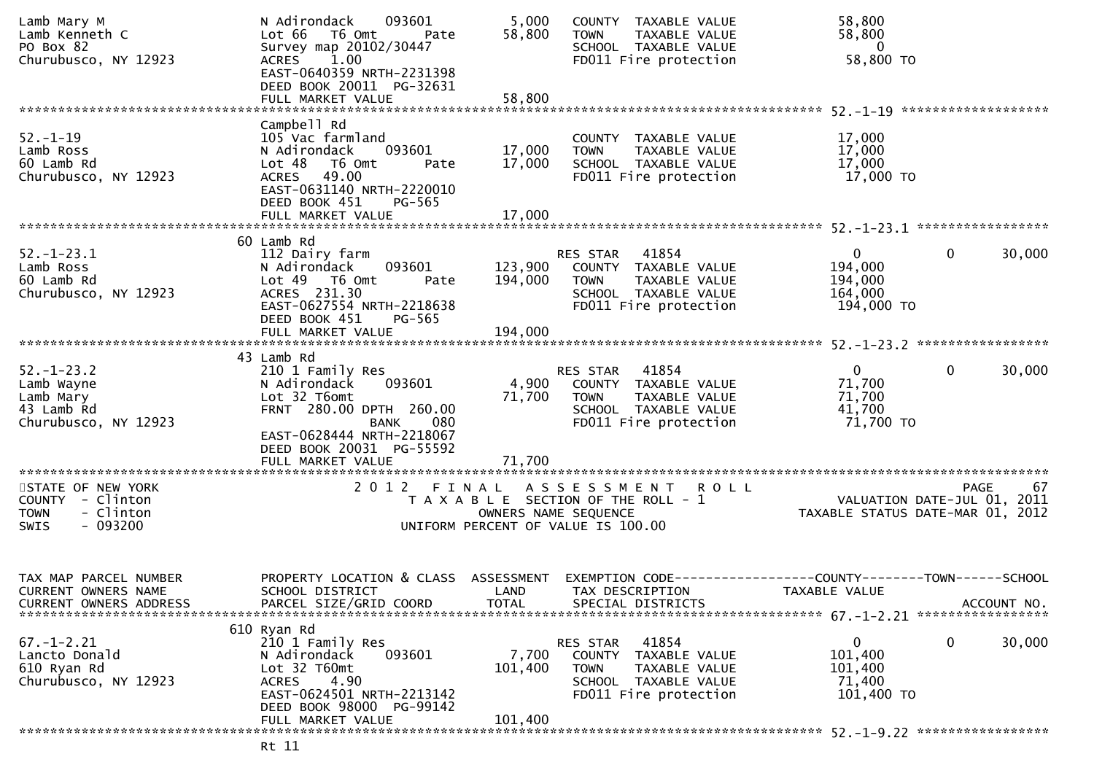| Lamb Mary M<br>Lamb Kenneth C<br>PO Box 82<br>Churubusco, NY 12923                     | N Adirondack<br>093601<br>Lot 66<br>T6 Omt<br>Pate<br>Survey map 20102/30447<br>1.00<br><b>ACRES</b><br>EAST-0640359 NRTH-2231398<br>DEED BOOK 20011 PG-32631                                           | 5,000<br>58,800                    | COUNTY TAXABLE VALUE<br>TAXABLE VALUE<br><b>TOWN</b><br>SCHOOL TAXABLE VALUE<br>FD011 Fire protection                                | 58,800<br>58,800<br>$\overline{0}$<br>58,800 TO                              |        |
|----------------------------------------------------------------------------------------|---------------------------------------------------------------------------------------------------------------------------------------------------------------------------------------------------------|------------------------------------|--------------------------------------------------------------------------------------------------------------------------------------|------------------------------------------------------------------------------|--------|
|                                                                                        |                                                                                                                                                                                                         |                                    |                                                                                                                                      |                                                                              |        |
| $52. - 1 - 19$<br>Lamb Ross<br>60 Lamb Rd<br>Churubusco, NY 12923                      | Campbell Rd<br>105 Vac farmland<br>N Adirondack<br>093601<br>Lot 48<br>T6 Omt<br>Pate<br>ACRES 49.00<br>EAST-0631140 NRTH-2220010<br>DEED BOOK 451<br>PG-565                                            | 17,000<br>17,000                   | COUNTY TAXABLE VALUE<br>TAXABLE VALUE<br><b>TOWN</b><br>SCHOOL TAXABLE VALUE<br>FD011 Fire protection                                | 17,000<br>17,000<br>17,000<br>17,000 TO                                      |        |
|                                                                                        |                                                                                                                                                                                                         |                                    |                                                                                                                                      |                                                                              |        |
| $52. - 1 - 23.1$<br>Lamb Ross<br>60 Lamb Rd<br>Churubusco, NY 12923                    | 60 Lamb Rd<br>112 Dairy farm<br>093601<br>N Adirondack<br>Lot 49  T6 Omt<br>Pate<br>ACRES 231.30<br>EAST-0627554 NRTH-2218638<br>DEED BOOK 451<br>PG-565                                                | 123,900<br>194,000                 | RES STAR 41854<br>COUNTY TAXABLE VALUE<br><b>TOWN</b><br>TAXABLE VALUE<br>SCHOOL TAXABLE VALUE<br>FD011 Fire protection              | $\mathbf{0}$<br>0<br>194,000<br>194,000<br>164,000<br>194,000 TO             | 30,000 |
|                                                                                        |                                                                                                                                                                                                         |                                    |                                                                                                                                      |                                                                              |        |
| $52. - 1 - 23.2$<br>Lamb Wayne<br>Lamb Mary<br>43 Lamb Rd<br>Churubusco, NY 12923      | 43 Lamb Rd<br>210 1 Family Res<br>N Adirondack<br>093601<br>Lot 32 T6omt<br>FRNT 280.00 DPTH 260.00<br><b>BANK</b><br>080<br>EAST-0628444 NRTH-2218067<br>DEED BOOK 20031 PG-55592<br>FULL MARKET VALUE | 4,900<br>71,700<br>71,700          | RES STAR<br>41854<br>COUNTY TAXABLE VALUE<br><b>TOWN</b><br>TAXABLE VALUE<br>SCHOOL TAXABLE VALUE<br>FD011 Fire protection           | $\mathbf{0}$<br>0<br>71,700<br>71,700<br>41,700<br>71,700 TO                 | 30,000 |
| STATE OF NEW YORK<br>COUNTY - Clinton<br>- Clinton<br><b>TOWN</b><br>$-093200$<br>SWIS |                                                                                                                                                                                                         |                                    | 2012 FINAL ASSESSMENT ROLL<br>T A X A B L E SECTION OF THE ROLL - 1<br>OWNERS NAME SEQUENCE<br>UNIFORM PERCENT OF VALUE IS 100.00    | PAGE<br>VALUATION DATE-JUL $01$ , $2011$<br>TAXABLE STATUS DATE-MAR 01, 2012 | 67     |
| TAX MAP PARCEL NUMBER<br><b>CURRENT OWNERS NAME</b><br><b>CURRENT OWNERS ADDRESS</b>   | PROPERTY LOCATION & CLASS<br>SCHOOL DISTRICT<br>PARCEL SIZE/GRID COORD                                                                                                                                  | ASSESSMENT<br>LAND<br><b>TOTAL</b> | TAX DESCRIPTION<br>SPECIAL DISTRICTS                                                                                                 | TAXABLE VALUE<br>ACCOUNT NO.                                                 |        |
| $67. - 1 - 2.21$<br>Lancto Donald<br>610 Ryan Rd<br>Churubusco, NY 12923               | 610 Ryan Rd<br>210 1 Family Res<br>093601<br>N Adirondack<br>Lot 32 T60mt<br>4.90<br><b>ACRES</b><br>EAST-0624501 NRTH-2213142<br>DEED BOOK 98000 PG-99142<br>FULL MARKET VALUE                         | 7,700<br>101,400<br>101,400        | 41854<br>RES STAR<br>TAXABLE VALUE<br><b>COUNTY</b><br><b>TOWN</b><br>TAXABLE VALUE<br>SCHOOL TAXABLE VALUE<br>FD011 Fire protection | 0<br>0<br>101,400<br>101,400<br>71,400<br>101,400 TO                         | 30,000 |
|                                                                                        |                                                                                                                                                                                                         |                                    |                                                                                                                                      |                                                                              |        |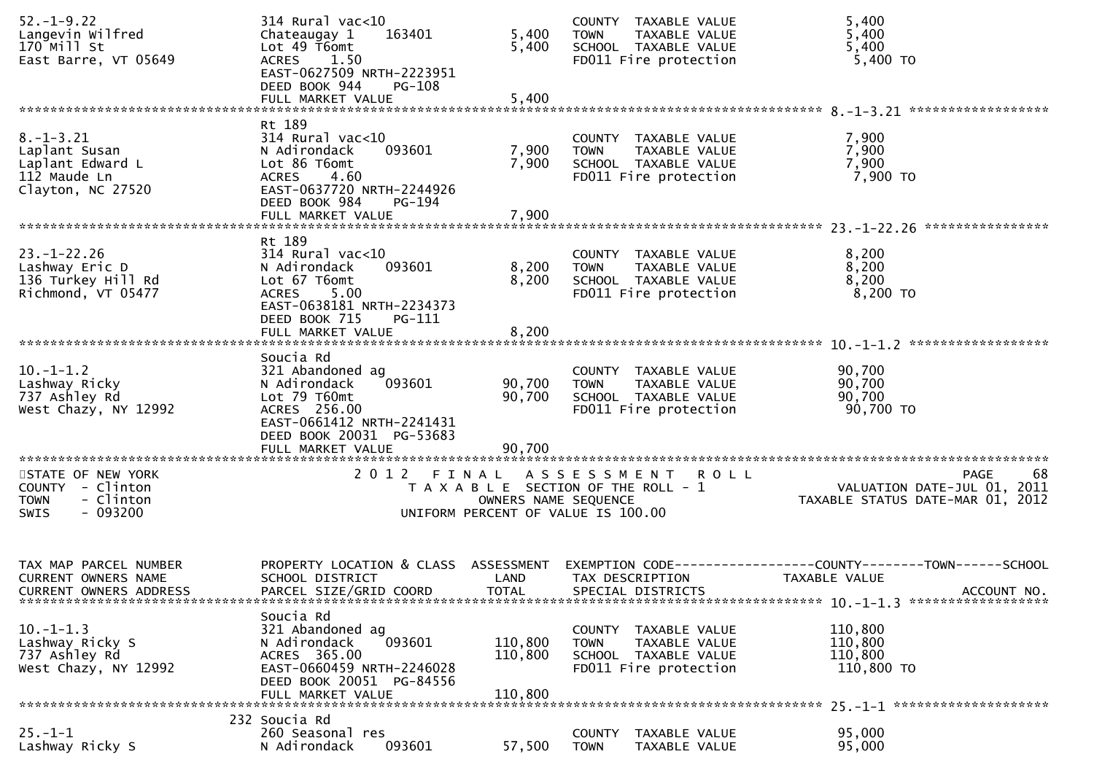| $52. - 1 - 9.22$<br>Langevin Wilfred<br>$170$ Mill St | 314 Rural vac<10<br>Chateaugay 1<br>163401<br>Lot 49 T6omt                   | 5,400<br>5,400       | COUNTY TAXABLE VALUE<br><b>TOWN</b><br>TAXABLE VALUE<br>SCHOOL TAXABLE VALUE | 5,400<br>5,400<br>5,400                                                         |
|-------------------------------------------------------|------------------------------------------------------------------------------|----------------------|------------------------------------------------------------------------------|---------------------------------------------------------------------------------|
| East Barre, VT 05649                                  | 1.50<br>ACRES<br>EAST-0627509 NRTH-2223951<br>DEED BOOK 944<br>$PG-108$      |                      | FD011 Fire protection                                                        | 5,400 TO                                                                        |
|                                                       | FULL MARKET VALUE                                                            | 5,400                |                                                                              |                                                                                 |
| $8. - 1 - 3.21$                                       | Rt 189<br>$314$ Rural vac<10                                                 |                      | COUNTY TAXABLE VALUE                                                         | 7,900                                                                           |
| Laplant Susan<br>Laplant Edward L                     | N Adirondack<br>093601<br>Lot 86 T6omt                                       | 7,900<br>7,900       | TAXABLE VALUE<br><b>TOWN</b><br>SCHOOL TAXABLE VALUE                         | 7,900<br>7,900                                                                  |
| 112 Maude Ln<br>Clayton, NC 27520                     | 4.60<br><b>ACRES</b><br>EAST-0637720 NRTH-2244926                            |                      | FD011 Fire protection                                                        | 7,900 то                                                                        |
|                                                       | DEED BOOK 984<br>PG-194                                                      |                      |                                                                              |                                                                                 |
|                                                       | Rt 189                                                                       |                      |                                                                              |                                                                                 |
| $23. - 1 - 22.26$<br>Lashway Eric D                   | $314$ Rural vac<10<br>N Adirondack<br>093601                                 | 8,200                | COUNTY TAXABLE VALUE<br>TAXABLE VALUE<br><b>TOWN</b>                         | 8,200<br>8,200                                                                  |
| 136 Turkey Hill Rd                                    | Lot 67 T6omt                                                                 | 8,200                | SCHOOL TAXABLE VALUE                                                         | 8,200<br>8,200 TO                                                               |
| Richmond, VT 05477                                    | 5.00<br><b>ACRES</b><br>EAST-0638181 NRTH-2234373<br>DEED BOOK 715<br>PG-111 |                      | FD011 Fire protection                                                        |                                                                                 |
|                                                       | FULL MARKET VALUE                                                            | 8,200                |                                                                              |                                                                                 |
| $10. -1 - 1.2$                                        | Soucia Rd<br>321 Abandoned ag                                                |                      | COUNTY TAXABLE VALUE                                                         | 90,700                                                                          |
| Lashway Ricky                                         | 093601<br>N Adirondack                                                       | 90,700               | TAXABLE VALUE<br><b>TOWN</b>                                                 | 90,700                                                                          |
| 737 Ashley Rd<br>West Chazy, NY 12992                 | Lot 79 T60mt<br>ACRES 256.00                                                 | 90,700               | SCHOOL TAXABLE VALUE<br>FD011 Fire protection                                | 90,700<br>90,700 TO                                                             |
|                                                       | EAST-0661412 NRTH-2241431<br>DEED BOOK 20031 PG-53683<br>FULL MARKET VALUE   | 90,700               |                                                                              |                                                                                 |
| STATE OF NEW YORK                                     | 2012 FINAL                                                                   |                      | A S S E S S M E N T<br><b>ROLL</b>                                           | 68<br>PAGE                                                                      |
| COUNTY - Clinton<br>- Clinton<br><b>TOWN</b>          |                                                                              | OWNERS NAME SEQUENCE | T A X A B L E SECTION OF THE ROLL - 1                                        | VALUATION DATE-JUL 01, 2011<br>TAXABLE STATUS DATE-MAR 01, 2012                 |
| - 093200<br><b>SWIS</b>                               |                                                                              |                      | UNIFORM PERCENT OF VALUE IS 100.00                                           |                                                                                 |
|                                                       |                                                                              |                      |                                                                              |                                                                                 |
| TAX MAP PARCEL NUMBER<br><b>CURRENT OWNERS NAME</b>   | PROPERTY LOCATION & CLASS ASSESSMENT<br>SCHOOL DISTRICT                      | LAND                 | TAX DESCRIPTION                                                              | EXEMPTION CODE------------------COUNTY--------TOWN------SCHOOL<br>TAXABLE VALUE |
| <b>CURRENT OWNERS ADDRESS</b>                         | PARCEL SIZE/GRID COORD                                                       | <b>TOTAL</b>         | SPECIAL DISTRICTS                                                            | ACCOUNT NO.                                                                     |
|                                                       | Soucia Rd                                                                    |                      |                                                                              |                                                                                 |
| $10. -1 - 1.3$<br>Lashway Ricky S                     | 321 Abandoned ag<br>093601<br>N Adirondack                                   | 110,800              | COUNTY TAXABLE VALUE<br><b>TOWN</b><br>TAXABLE VALUE                         | 110,800<br>110,800                                                              |
| 737 Ashley Rd<br>West Chazy, NY 12992                 | ACRES 365.00<br>EAST-0660459 NRTH-2246028                                    | 110,800              | SCHOOL TAXABLE VALUE<br>FD011 Fire protection                                | 110,800<br>110,800 TO                                                           |
|                                                       | DEED BOOK 20051 PG-84556<br>FULL MARKET VALUE                                | 110.800              |                                                                              |                                                                                 |
|                                                       | 232 Soucia Rd                                                                |                      |                                                                              |                                                                                 |
| $25. - 1 - 1$<br>Lashway Ricky S                      | 260 Seasonal res<br>N Adirondack<br>093601                                   | 57,500               | COUNTY<br>TAXABLE VALUE<br><b>TOWN</b><br>TAXABLE VALUE                      | 95,000<br>95,000                                                                |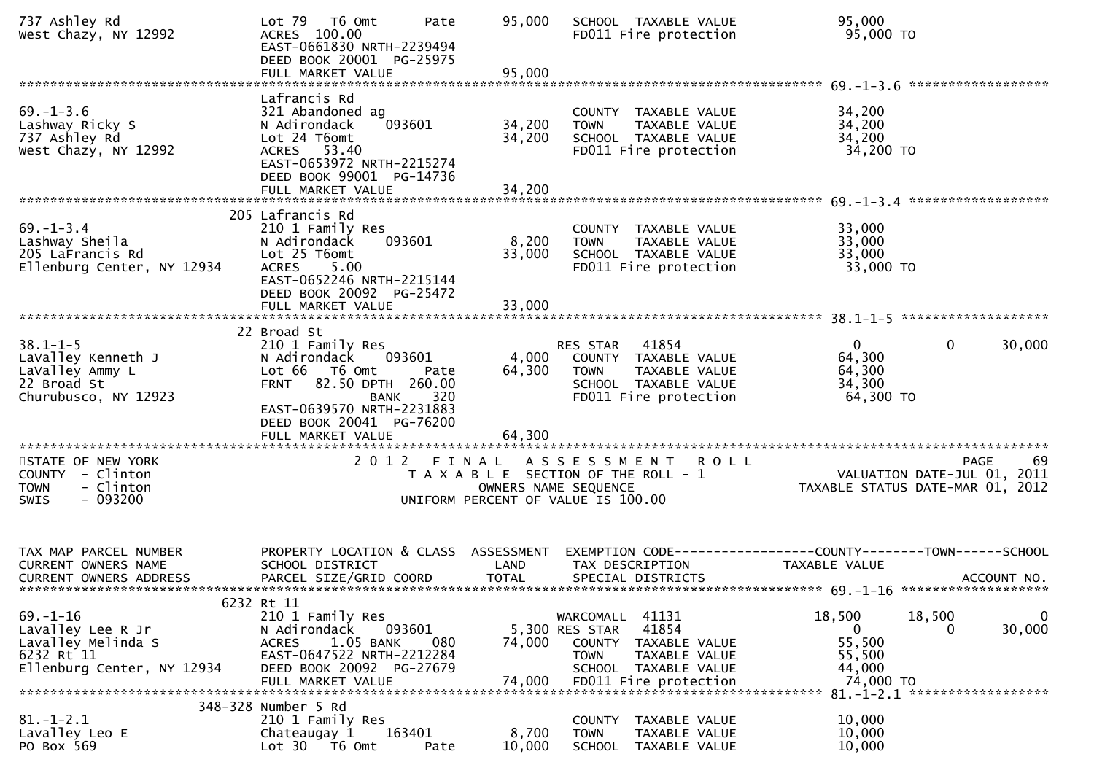| 737 Ashley Rd<br>West Chazy, NY 12992                                                                                   | Lot 79<br>T6 Omt<br>Pate<br>ACRES 100.00<br>EAST-0661830 NRTH-2239494<br>DEED BOOK 20001 PG-25975                                                                                                                                               | 95,000                    | SCHOOL TAXABLE VALUE<br>FD011 Fire protection                                                                                     | 95,000<br>95,000 TO                                                                            |
|-------------------------------------------------------------------------------------------------------------------------|-------------------------------------------------------------------------------------------------------------------------------------------------------------------------------------------------------------------------------------------------|---------------------------|-----------------------------------------------------------------------------------------------------------------------------------|------------------------------------------------------------------------------------------------|
| $69. - 1 - 3.6$<br>Lashway Ricky S<br>737 Ashley Rd<br>West Chazy, NY 12992                                             | Lafrancis Rd<br>321 Abandoned ag<br>093601<br>N Adirondack<br>Lot 24 T6omt<br>ACRES 53.40<br>EAST-0653972 NRTH-2215274<br>DEED BOOK 99001 PG-14736                                                                                              | 34,200<br>34,200          | COUNTY TAXABLE VALUE<br><b>TOWN</b><br>TAXABLE VALUE<br>SCHOOL TAXABLE VALUE<br>FD011 Fire protection                             | 34,200<br>34,200<br>34,200<br>34,200 TO                                                        |
| $69. - 1 - 3.4$<br>Lashway Sheila<br>205 LaFrancis Rd<br>Ellenburg Center, NY 12934                                     | 205 Lafrancis Rd<br>210 1 Family Res<br>N Adirondack<br>093601<br>Lot 25 T6omt<br><b>ACRES</b><br>5.00<br>EAST-0652246 NRTH-2215144<br>DEED BOOK 20092 PG-25472                                                                                 | 8,200<br>33,000           | COUNTY TAXABLE VALUE<br><b>TOWN</b><br>TAXABLE VALUE<br>SCHOOL TAXABLE VALUE<br>FD011 Fire protection                             | ******************<br>33,000<br>33,000<br>33,000<br>33,000 TO                                  |
| $38.1 - 1 - 5$<br>LaValley Kenneth J<br>LaValley Ammy L<br>22 Broad St<br>Churubusco, NY 12923<br>********************* | 22 Broad St<br>210 1 Family Res<br>093601<br>N Adirondack<br>Lot 66 T6 Omt<br>Pate<br>FRNT 82.50 DPTH 260.00<br>320<br><b>BANK</b><br>EAST-0639570 NRTH-2231883<br>DEED BOOK 20041 PG-76200<br>FULL MARKET VALUE<br>*************************** | 4,000<br>64,300<br>64,300 | RES STAR 41854<br>COUNTY TAXABLE VALUE<br><b>TOWN</b><br>TAXABLE VALUE<br>SCHOOL TAXABLE VALUE<br>FD011 Fire protection           | $\mathbf{0}$<br>$\mathbf{0}$<br>30,000<br>64,300<br>64,300<br>34,300<br>64,300 TO              |
| STATE OF NEW YORK<br>COUNTY - Clinton<br>- Clinton<br><b>TOWN</b><br>$-093200$<br>SWIS                                  |                                                                                                                                                                                                                                                 |                           | 2012 FINAL ASSESSMENT ROLL<br>T A X A B L E SECTION OF THE ROLL - 1<br>OWNERS NAME SEQUENCE<br>UNIFORM PERCENT OF VALUE IS 100.00 | -69<br><b>PAGE</b><br>VALUATION DATE-JUL 01, 2011<br>TAXABLE STATUS DATE-MAR 01, 2012          |
| TAX MAP PARCEL NUMBER<br>CURRENT OWNERS NAME<br>CURRENT OWNERS ADDRESS                                                  | PROPERTY LOCATION & CLASS ASSESSMENT<br>SCHOOL DISTRICT<br>PARCEL SIZE/GRID COORD                                                                                                                                                               | LAND<br><b>TOTAL</b>      | TAX DESCRIPTION<br>SPECIAL DISTRICTS                                                                                              | EXEMPTION CODE------------------COUNTY--------TOWN------SCHOOL<br>TAXABLE VALUE<br>ACCOUNT NO. |
| $69. - 1 - 16$<br>Lavalley Lee R Jr<br>Lavalley Melinda S<br>6232 Rt 11<br>Ellenburg Center, NY 12934                   | 6232 Rt 11<br>210 1 Family Res<br>093601<br>N Adirondack<br>1.05 BANK<br>080<br><b>ACRES</b><br>EAST-0647522 NRTH-2212284<br>DEED BOOK 20092 PG-27679                                                                                           | 74,000                    | 41131<br>WARCOMALL<br>41854<br>5,300 RES STAR<br>COUNTY<br>TAXABLE VALUE<br><b>TOWN</b><br>TAXABLE VALUE<br>SCHOOL TAXABLE VALUE  | 18,500<br>18,500<br>$\mathbf 0$<br>30,000<br>$\mathbf{0}$<br>0<br>55,500<br>55,500<br>44,000   |
| $81. - 1 - 2.1$<br>Lavalley Leo E<br>PO Box 569                                                                         | 348-328 Number 5 Rd<br>210 1 Family Res<br>163401<br>Chateaugay 1<br>Lot 30 T6 Omt<br>Pate                                                                                                                                                      | 8,700<br>10,000           | COUNTY TAXABLE VALUE<br><b>TOWN</b><br>TAXABLE VALUE<br><b>SCHOOL</b><br>TAXABLE VALUE                                            | 10,000<br>10,000<br>10,000                                                                     |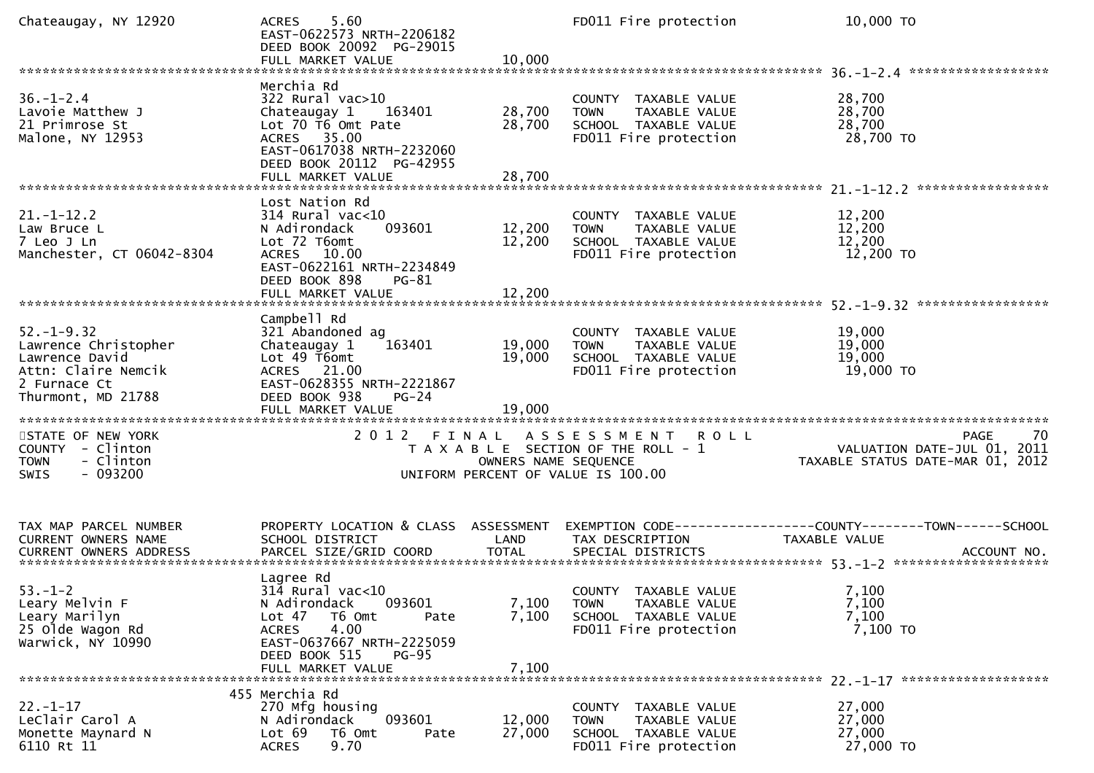| Chateaugay, NY 12920                                                                                                    | 5.60<br><b>ACRES</b><br>EAST-0622573 NRTH-2206182<br>DEED BOOK 20092 PG-29015<br>FULL MARKET VALUE                                                                                                              | 10,000                     | FD011 Fire protection                                                                                     | 10,000 TO                                                                       |
|-------------------------------------------------------------------------------------------------------------------------|-----------------------------------------------------------------------------------------------------------------------------------------------------------------------------------------------------------------|----------------------------|-----------------------------------------------------------------------------------------------------------|---------------------------------------------------------------------------------|
| $36. - 1 - 2.4$<br>Lavoie Matthew J<br>21 Primrose St<br>Malone, NY 12953                                               | Merchia Rd<br>$322$ Rural vac $>10$<br>Chateaugay 1<br>163401<br>Lot 70 T6 Omt Pate<br>ACRES 35.00<br>EAST-0617038 NRTH-2232060<br>DEED BOOK 20112 PG-42955<br>FULL MARKET VALUE                                | 28,700<br>28,700<br>28,700 | COUNTY TAXABLE VALUE<br>TAXABLE VALUE<br><b>TOWN</b><br>SCHOOL TAXABLE VALUE<br>FD011 Fire protection     | 28,700<br>28,700<br>28,700<br>28,700 TO                                         |
| $21. - 1 - 12.2$<br>Law Bruce L<br>7 Leo J Ln<br>Manchester, CT 06042-8304                                              | Lost Nation Rd<br>$314$ Rural vac<10<br>093601<br>N Adirondack<br>Lot 72 T6omt<br>ACRES 10.00<br>EAST-0622161 NRTH-2234849<br>DEED BOOK 898<br>PG-81<br>FULL MARKET VALUE                                       | 12,200<br>12,200<br>12,200 | COUNTY TAXABLE VALUE<br>TAXABLE VALUE<br><b>TOWN</b><br>SCHOOL TAXABLE VALUE<br>FD011 Fire protection     | 12,200<br>12,200<br>12,200<br>12,200 TO                                         |
| $52. - 1 - 9.32$<br>Lawrence Christopher<br>Lawrence David<br>Attn: Claire Nemcik<br>2 Furnace Ct<br>Thurmont, MD 21788 | Campbell Rd<br>321 Abandoned ag<br>163401<br>Chateaugay 1<br>Lot 49 T6omt<br>ACRES 21.00<br>EAST-0628355 NRTH-2221867<br>DEED BOOK 938<br>PG-24<br>FULL MARKET VALUE                                            | 19,000<br>19,000<br>19,000 | COUNTY TAXABLE VALUE<br>TAXABLE VALUE<br><b>TOWN</b><br>SCHOOL TAXABLE VALUE<br>FD011 Fire protection     | 19,000<br>19,000<br>19,000<br>19,000 TO                                         |
| STATE OF NEW YORK<br>COUNTY - Clinton<br>- Clinton<br><b>TOWN</b><br>- 093200<br>SWIS                                   |                                                                                                                                                                                                                 | OWNERS NAME SEQUENCE       | 2012 FINAL ASSESSMENT ROLL<br>T A X A B L E SECTION OF THE ROLL - 1<br>UNIFORM PERCENT OF VALUE IS 100.00 | 70<br>PAGE<br>VALUATION DATE-JUL 01, 2011<br>TAXABLE STATUS DATE-MAR 01, 2012   |
| TAX MAP PARCEL NUMBER<br>CURRENT OWNERS NAME                                                                            | PROPERTY LOCATION & CLASS ASSESSMENT<br>SCHOOL DISTRICT                                                                                                                                                         | LAND                       | TAX DESCRIPTION                                                                                           | EXEMPTION CODE------------------COUNTY--------TOWN------SCHOOL<br>TAXABLE VALUE |
| $53. - 1 - 2$<br>Leary Melvin F<br>Leary Marilyn<br>25 Olde Wagon Rd<br>Warwick, NY 10990                               | Lagree Rd<br>$31\overline{4}$ Rural vac<10<br>N Adirondack<br>093601<br>Lot <sub>47</sub><br>T6 Omt<br>Pate<br>4.00<br><b>ACRES</b><br>EAST-0637667 NRTH-2225059<br>DEED BOOK 515<br>PG-95<br>FULL MARKET VALUE | 7,100<br>7,100<br>7,100    | COUNTY TAXABLE VALUE<br><b>TOWN</b><br>TAXABLE VALUE<br>SCHOOL TAXABLE VALUE<br>FD011 Fire protection     | 7,100<br>7,100<br>7,100<br>7,100 TO                                             |
| $22. - 1 - 17$<br>LeClair Carol A<br>Monette Maynard N<br>6110 Rt 11                                                    | 455 Merchia Rd<br>270 Mfg housing<br>093601<br>N Adirondack<br>Lot 69<br>T6 Omt<br>Pate<br>9.70<br><b>ACRES</b>                                                                                                 | 12,000<br>27,000           | COUNTY TAXABLE VALUE<br><b>TOWN</b><br>TAXABLE VALUE<br>SCHOOL TAXABLE VALUE<br>FD011 Fire protection     | 27,000<br>27,000<br>27,000<br>27,000 TO                                         |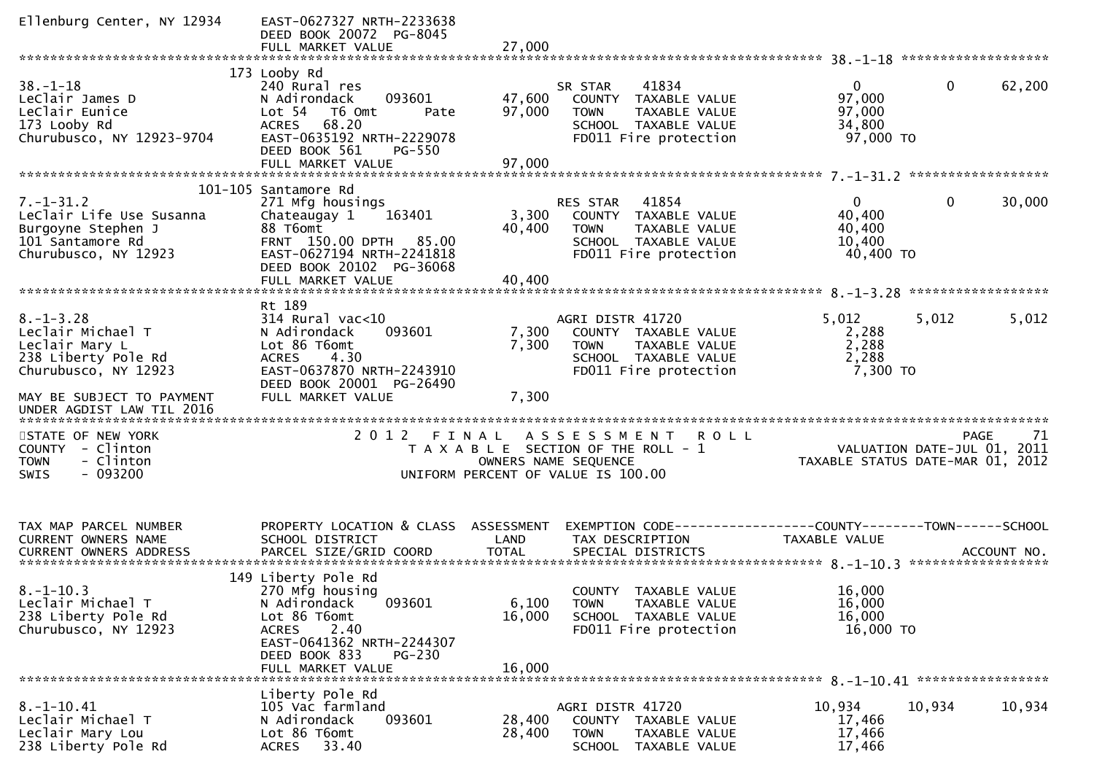| Ellenburg Center, NY 12934                                                                                                         | EAST-0627327 NRTH-2233638<br>DEED BOOK 20072 PG-8045<br>FULL MARKET VALUE                                                                                                       | 27,000                    |                                                                                                                                           |                                                        |                                                                                      |
|------------------------------------------------------------------------------------------------------------------------------------|---------------------------------------------------------------------------------------------------------------------------------------------------------------------------------|---------------------------|-------------------------------------------------------------------------------------------------------------------------------------------|--------------------------------------------------------|--------------------------------------------------------------------------------------|
|                                                                                                                                    |                                                                                                                                                                                 |                           |                                                                                                                                           |                                                        |                                                                                      |
| $38. - 1 - 18$<br>LeClair James D<br>LeClair Eunice<br>173 Looby Rd<br>Churubusco, NY 12923-9704                                   | 173 Looby Rd<br>240 Rural res<br>093601<br>N Adirondack<br>Lot 54  T6 Omt<br>Pate<br>68.20<br><b>ACRES</b><br>EAST-0635192 NRTH-2229078<br>DEED BOOK 561<br><b>PG-550</b>       | 47,600<br>97,000          | 41834<br>SR STAR<br>COUNTY TAXABLE VALUE<br><b>TOWN</b><br>TAXABLE VALUE<br>SCHOOL TAXABLE VALUE<br>FD011 Fire protection                 | 0<br>97,000<br>97,000<br>34,800<br>97,000 TO           | $\mathbf{0}$<br>62,200                                                               |
|                                                                                                                                    | FULL MARKET VALUE                                                                                                                                                               | 97,000                    |                                                                                                                                           |                                                        |                                                                                      |
| $7. - 1 - 31.2$<br>LeClair Life Use Susanna<br>Burgoyne Stephen J<br>101 Santamore Rd<br>Churubusco, NY 12923                      | 101-105 Santamore Rd<br>271 Mfg housings<br>Chateaugay 1<br>163401<br>88 T6omt<br>FRNT 150.00 DPTH 85.00<br>EAST-0627194 NRTH-2241818<br>DEED BOOK 20102 PG-36068               | 3,300<br>40,400           | 41854<br><b>RES STAR</b><br>COUNTY TAXABLE VALUE<br><b>TOWN</b><br>TAXABLE VALUE<br>SCHOOL TAXABLE VALUE<br>FD011 Fire protection         | $0^{\circ}$<br>40,400<br>40,400<br>10,400<br>40,400 TO | $\mathbf{0}$<br>30,000                                                               |
|                                                                                                                                    | FULL MARKET VALUE                                                                                                                                                               | 40,400                    |                                                                                                                                           |                                                        |                                                                                      |
| $8. - 1 - 3.28$<br>Leclair Michael T<br>Leclair Mary L<br>238 Liberty Pole Rd<br>Churubusco, NY 12923<br>MAY BE SUBJECT TO PAYMENT | Rt 189<br>$314$ Rural vac< $10$<br>N Adirondack<br>093601<br>Lot 86 T6omt<br><b>ACRES</b><br>4.30<br>EAST-0637870 NRTH-2243910<br>DEED BOOK 20001 PG-26490<br>FULL MARKET VALUE | 7,300<br>7,300<br>7,300   | AGRI DISTR 41720<br>COUNTY TAXABLE VALUE<br>TAXABLE VALUE<br><b>TOWN</b><br>SCHOOL TAXABLE VALUE<br>FD011 Fire protection                 | 5,012<br>2,288<br>2,288<br>2,288<br>7,300 TO           | 5,012<br>5,012                                                                       |
| UNDER AGDIST LAW TIL 2016                                                                                                          |                                                                                                                                                                                 |                           |                                                                                                                                           |                                                        |                                                                                      |
| STATE OF NEW YORK<br>COUNTY - Clinton<br>- Clinton<br><b>TOWN</b><br>$-093200$<br><b>SWIS</b>                                      | 2012 FINAL                                                                                                                                                                      |                           | A S S E S S M E N T<br><b>ROLL</b><br>T A X A B L E SECTION OF THE ROLL - 1<br>OWNERS NAME SEQUENCE<br>UNIFORM PERCENT OF VALUE IS 100.00 |                                                        | 71<br><b>PAGE</b><br>VALUATION DATE-JUL 01, 2011<br>TAXABLE STATUS DATE-MAR 01, 2012 |
| TAX MAP PARCEL NUMBER<br>CURRENT OWNERS NAME                                                                                       | PROPERTY LOCATION & CLASS ASSESSMENT<br>SCHOOL DISTRICT                                                                                                                         | LAND                      | EXEMPTION CODE-----------------COUNTY-------TOWN------SCHOOL<br>TAX DESCRIPTION                                                           | TAXABLE VALUE                                          |                                                                                      |
| $8. -1 - 10.3$<br>Leclair Michael T<br>238 Liberty Pole Rd<br>Churubusco, NY 12923                                                 | 149 Liberty Pole Rd<br>270 Mfg housing<br>093601<br>N Adirondack<br>Lot 86 T6omt<br>2.40<br>ACRES<br>EAST-0641362 NRTH-2244307<br>DEED BOOK 833<br>PG-230<br>FULL MARKET VALUE  | 6,100<br>16,000<br>16,000 | COUNTY TAXABLE VALUE<br><b>TOWN</b><br><b>TAXABLE VALUE</b><br>SCHOOL TAXABLE VALUE<br>FD011 Fire protection                              | 16,000<br>16,000<br>16,000<br>16,000 TO                |                                                                                      |
| 8.-1-10.41<br>Leclair Michael T<br>Leclair Mary Lou<br>238 Liberty Pole Rd                                                         | Liberty Pole Rd<br>105 Vac farmland<br>093601<br>N Adirondack<br>Lot 86 T6omt<br>33.40<br>ACRES                                                                                 | 28,400<br>28,400          | AGRI DISTR 41720<br>COUNTY TAXABLE VALUE<br><b>TOWN</b><br>TAXABLE VALUE<br><b>SCHOOL</b><br>TAXABLE VALUE                                | 10,934<br>17,466<br>17,466<br>17,466                   | 10,934<br>10,934                                                                     |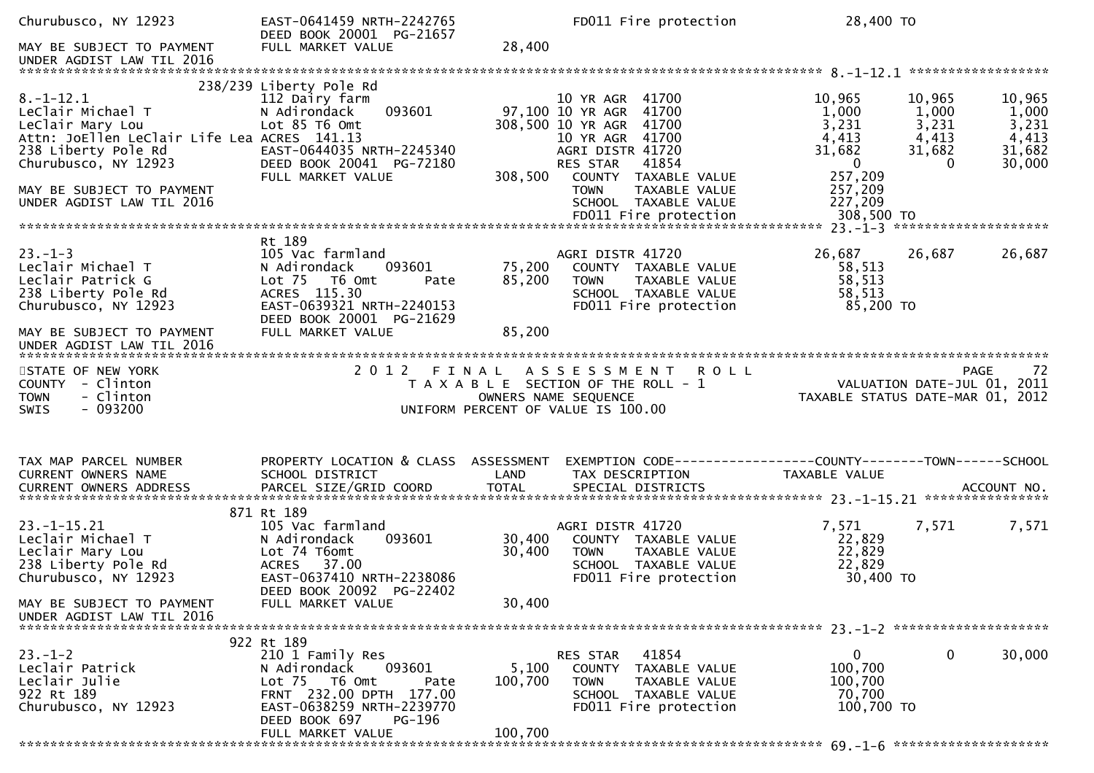| Churubusco, NY 12923<br>MAY BE SUBJECT TO PAYMENT                                                         | EAST-0641459 NRTH-2242765<br>DEED BOOK 20001 PG-21657<br>FULL MARKET VALUE                                                                             | 28,400           | FD011 Fire protection                                                                                                                       | 28,400 TO                                                 |                             |                          |
|-----------------------------------------------------------------------------------------------------------|--------------------------------------------------------------------------------------------------------------------------------------------------------|------------------|---------------------------------------------------------------------------------------------------------------------------------------------|-----------------------------------------------------------|-----------------------------|--------------------------|
|                                                                                                           |                                                                                                                                                        |                  |                                                                                                                                             |                                                           |                             |                          |
| $8. - 1 - 12.1$<br>LeClair Michael T                                                                      | 238/239 Liberty Pole Rd<br>112 Dairy farm<br>093601                                                                                                    |                  | 10 YR AGR 41700<br>97,100 10 YR AGR 41700                                                                                                   | 10,965<br>1,000                                           | 10,965<br>1,000             | 10,965<br>1,000          |
| LeClair Mary Lou<br>Attn: JoEllen LeClair Life Lea ACRES 141.13<br>238 Liberty Pole Rd                    | N Adirondack<br>Lot 85 T6 Omt<br>EAST-0644035 NRTH-2245340                                                                                             |                  | 308,500 10 YR AGR 41700<br>10 YR AGR 41700<br>AGRI DISTR 41720                                                                              | 3,231<br>4,413<br>31,682                                  | 3,231<br>4,413<br>31,682    | 3,231<br>4,413<br>31,682 |
| Churubusco, NY 12923<br>MAY BE SUBJECT TO PAYMENT                                                         | DEED BOOK 20041 PG-72180<br>FULL MARKET VALUE                                                                                                          | 308,500          | RES STAR<br>41854<br>COUNTY TAXABLE VALUE<br><b>TOWN</b><br>TAXABLE VALUE                                                                   | $\overline{0}$<br>257,209<br>257,209                      |                             | 30,000                   |
| UNDER AGDIST LAW TIL 2016                                                                                 |                                                                                                                                                        |                  | SCHOOL TAXABLE VALUE                                                                                                                        | 227,209                                                   |                             |                          |
|                                                                                                           | Rt 189                                                                                                                                                 |                  |                                                                                                                                             |                                                           |                             |                          |
| $23. - 1 - 3$<br>Leclair Michael T<br>Leclair Patrick G<br>238 Liberty Pole Rd<br>Churubusco, NY 12923    | 105 Vac farmland<br>093601<br>N Adirondack<br>Lot 75 T6 Omt<br>Pate<br>ACRES 115.30<br>EAST-0639321 NRTH-2240153                                       | 75,200<br>85,200 | AGRI DISTR 41720<br>COUNTY TAXABLE VALUE<br>TAXABLE VALUE<br>TOWN<br>SCHOOL TAXABLE VALUE<br>FD011 Fire protection                          | 26,687<br>58,513<br>58,513<br>58,513<br>85,200 TO         | 26,687                      | 26,687                   |
| MAY BE SUBJECT TO PAYMENT<br>UNDER AGDIST LAW TIL 2016                                                    | DEED BOOK 20001 PG-21629<br>FULL MARKET VALUE                                                                                                          | 85,200           |                                                                                                                                             |                                                           |                             |                          |
| STATE OF NEW YORK<br>COUNTY - Clinton<br><b>TOWN</b><br>- Clinton<br>- 093200<br><b>SWIS</b>              |                                                                                                                                                        |                  | 2012 FINAL ASSESSMENT<br><b>ROLL</b><br>T A X A B L E SECTION OF THE ROLL - 1<br>OWNERS NAME SEQUENCE<br>UNIFORM PERCENT OF VALUE IS 100.00 | TAXABLE STATUS DATE-MAR 01, 2012                          | VALUATION DATE-JUL 01, 2011 | 72<br><b>PAGE</b>        |
| TAX MAP PARCEL NUMBER                                                                                     | PROPERTY LOCATION & CLASS ASSESSMENT                                                                                                                   |                  |                                                                                                                                             |                                                           |                             |                          |
| CURRENT OWNERS NAME                                                                                       | SCHOOL DISTRICT                                                                                                                                        | LAND             | TAX DESCRIPTION                                                                                                                             | TAXABLE VALUE                                             |                             |                          |
|                                                                                                           | 871 Rt 189                                                                                                                                             |                  |                                                                                                                                             |                                                           |                             |                          |
| $23. - 1 - 15.21$<br>Leclair Michael T<br>Leclair Mary Lou<br>238 Liberty Pole Rd<br>Churubusco, NY 12923 | 105 Vac farmland<br>093601<br>N Adirondack<br>Lot 74 T6omt<br>ACRES 37.00<br>EAST-0637410 NRTH-2238086<br>DEED BOOK 20092 PG-22402                     | 30,400<br>30,400 | AGRI DISTR 41720<br>COUNTY TAXABLE VALUE<br><b>TOWN</b><br>TAXABLE VALUE<br>SCHOOL TAXABLE VALUE<br>FD011 Fire protection                   | 7,571<br>22,829<br>22,829<br>22,829<br>30,400 TO          | 7,571                       | 7,571                    |
| MAY BE SUBJECT TO PAYMENT<br>UNDER AGDIST LAW TIL 2016                                                    | FULL MARKET VALUE                                                                                                                                      | 30,400           |                                                                                                                                             |                                                           |                             |                          |
|                                                                                                           | 922 Rt 189                                                                                                                                             |                  |                                                                                                                                             |                                                           |                             |                          |
| $23 - 1 - 2$<br>Leclair Patrick<br>Leclair Julie<br>922 Rt 189<br>Churubusco, NY 12923                    | 210 1 Family Res<br>093601<br>N Adirondack<br>Lot 75 T6 Omt<br>Pate<br>FRNT 232.00 DPTH 177.00<br>EAST-0638259 NRTH-2239770<br>DEED BOOK 697<br>PG-196 | 5,100<br>100,700 | 41854<br>RES STAR<br>COUNTY<br>TAXABLE VALUE<br><b>TOWN</b><br>TAXABLE VALUE<br>SCHOOL TAXABLE VALUE<br>FD011 Fire protection               | $\mathbf 0$<br>100,700<br>100,700<br>70,700<br>100,700 TO | $\mathbf 0$                 | 30,000                   |
|                                                                                                           | FULL MARKET VALUE                                                                                                                                      | 100,700          |                                                                                                                                             |                                                           |                             |                          |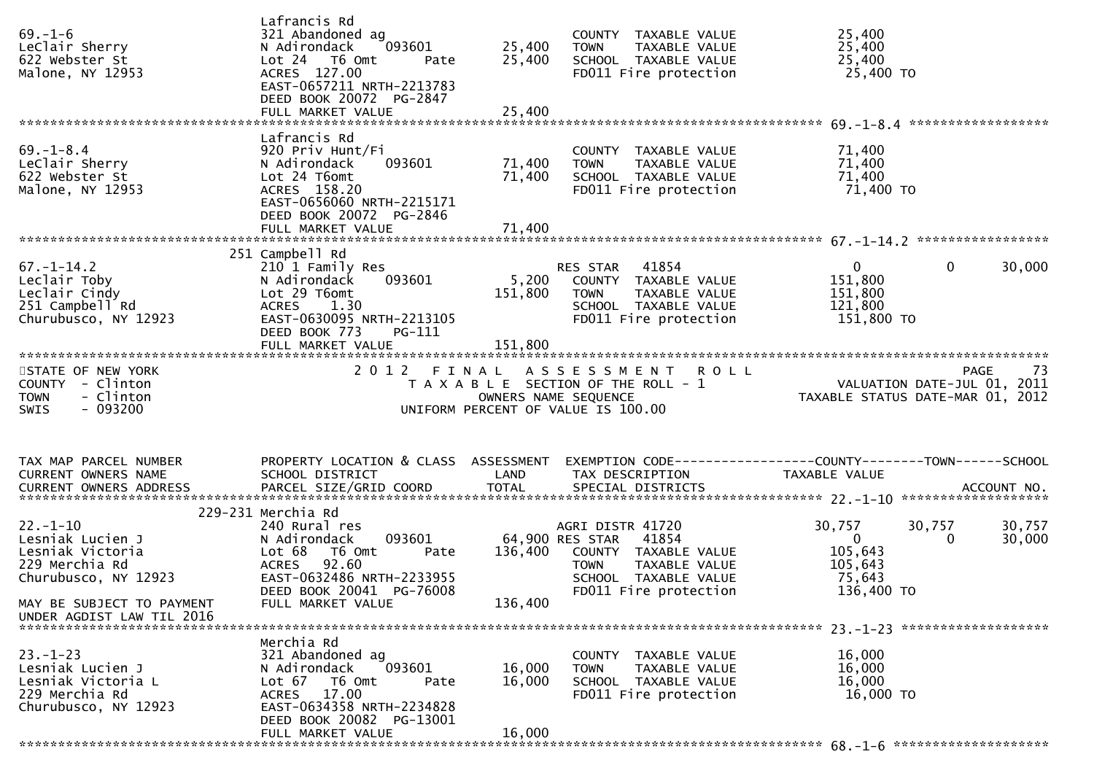| $69. - 1 - 6$<br>LeClair Sherry<br>622 Webster St<br>Malone, NY 12953                             | Lafrancis Rd<br>321 Abandoned ag<br>093601<br>N Adirondack<br>Lot 24 T6 Omt<br>Pate<br>ACRES 127.00<br>EAST-0657211 NRTH-2213783<br>DEED BOOK 20072 PG-2847<br>FULL MARKET VALUE | 25,400<br>25,400<br>25,400 | COUNTY TAXABLE VALUE<br><b>TOWN</b><br>TAXABLE VALUE<br>SCHOOL TAXABLE VALUE<br>FD011 Fire protection                                                                  | 25,400<br>25,400<br>25,400<br>25,400 TO                                                                         |                  |
|---------------------------------------------------------------------------------------------------|----------------------------------------------------------------------------------------------------------------------------------------------------------------------------------|----------------------------|------------------------------------------------------------------------------------------------------------------------------------------------------------------------|-----------------------------------------------------------------------------------------------------------------|------------------|
|                                                                                                   |                                                                                                                                                                                  |                            |                                                                                                                                                                        |                                                                                                                 |                  |
| $69. - 1 - 8.4$<br>LeClair Sherry<br>622 Webster St<br>Malone, NY 12953                           | Lafrancis Rd<br>920 Priv Hunt/Fi<br>093601<br>N Adirondack<br>Lot 24 T6omt<br>ACRES 158.20<br>EAST-0656060 NRTH-2215171<br>DEED BOOK 20072 PG-2846                               | 71,400<br>71,400           | COUNTY TAXABLE VALUE<br>TAXABLE VALUE<br>TOWN<br>SCHOOL TAXABLE VALUE<br>FD011 Fire protection                                                                         | 71,400<br>71,400<br>71,400<br>71,400 TO                                                                         |                  |
|                                                                                                   | FULL MARKET VALUE                                                                                                                                                                | 71,400                     |                                                                                                                                                                        |                                                                                                                 |                  |
|                                                                                                   | 251 Campbell Rd                                                                                                                                                                  |                            |                                                                                                                                                                        |                                                                                                                 |                  |
| $67. - 1 - 14.2$<br>Leclair Toby<br>Leclair Cindy<br>251 Campbell Rd<br>Churubusco, NY 12923      | 210 1 Family Res<br>093601<br>N Adirondack<br>Lot 29 T6omt<br><b>ACRES</b><br>1.30<br>EAST-0630095 NRTH-2213105                                                                  | 5,200<br>151,800           | RES STAR 41854<br>COUNTY TAXABLE VALUE<br><b>TOWN</b><br>TAXABLE VALUE<br>SCHOOL TAXABLE VALUE<br>FD011 Fire protection                                                | $\overline{0}$<br>$\mathbf{0}$<br>151,800<br>151,800<br>121,800<br>151,800 TO                                   | 30,000           |
|                                                                                                   | DEED BOOK 773<br>PG-111                                                                                                                                                          |                            |                                                                                                                                                                        |                                                                                                                 |                  |
| STATE OF NEW YORK                                                                                 |                                                                                                                                                                                  |                            | 2012 FINAL ASSESSMENT ROLL                                                                                                                                             |                                                                                                                 |                  |
| COUNTY - Clinton<br>- Clinton<br><b>TOWN</b><br>- 093200<br><b>SWIS</b>                           |                                                                                                                                                                                  |                            | UNIFORM PERCENT OF VALUE IS 100.00                                                                                                                                     | PAGE 73<br>T A X A B L E SECTION OF THE ROLL - 1<br>OWNERS NAME SEQUENCE<br>NITEORM PECENT CLUSE OF ME SEQUENCE |                  |
| TAX MAP PARCEL NUMBER<br>CURRENT OWNERS NAME                                                      | PROPERTY LOCATION & CLASS ASSESSMENT<br>SCHOOL DISTRICT                                                                                                                          | <b>Example 12 DE LAND</b>  | TAX DESCRIPTION                                                                                                                                                        | EXEMPTION CODE------------------COUNTY--------TOWN------SCHOOL<br>TAXABLE VALUE                                 |                  |
|                                                                                                   | 229-231 Merchia Rd                                                                                                                                                               |                            |                                                                                                                                                                        |                                                                                                                 |                  |
| $22 - 1 - 10$<br>Lesniak Lucien J<br>Lesniak Victoria<br>229 Merchia Rd<br>Churubusco, NY 12923   | 240 Rural res<br>N Adirondack<br>Lot 68<br>T6 Omt<br>92.60<br><b>ACRES</b><br>EAST-0632486 NRTH-2233955<br>DEED BOOK 20041 PG-76008                                              |                            | AGRI DISTR 41720<br>093601 64,900 RES STAR 41854<br>Pate 136,400 COUNTY TAXABLE VALUE<br><b>TOWN</b><br>TAXABLE VALUE<br>SCHOOL TAXABLE VALUE<br>FD011 Fire protection | 30,757<br>30,757<br>$\mathbf{0}$<br>$\Omega$<br>105,643<br>105,643<br>75,643<br>136,400 TO                      | 30,757<br>30,000 |
| MAY BE SUBJECT TO PAYMENT<br>UNDER AGDIST LAW TIL 2016                                            | FULL MARKET VALUE                                                                                                                                                                | 136,400                    |                                                                                                                                                                        |                                                                                                                 |                  |
|                                                                                                   | Merchia Rd                                                                                                                                                                       |                            |                                                                                                                                                                        |                                                                                                                 |                  |
| $23 - 1 - 23$<br>Lesniak Lucien J<br>Lesniak Victoria L<br>229 Merchia Rd<br>Churubusco, NY 12923 | 321 Abandoned ag<br>093601<br>N Adirondack<br>Lot 67 T6 Omt<br>Pate<br>17.00<br><b>ACRES</b><br>EAST-0634358 NRTH-2234828<br>DEED BOOK 20082 PG-13001                            | 16,000<br>16,000           | COUNTY TAXABLE VALUE<br>TAXABLE VALUE<br><b>TOWN</b><br>SCHOOL TAXABLE VALUE<br>FD011 Fire protection                                                                  | 16,000<br>16,000<br>16,000<br>16,000 TO                                                                         |                  |
|                                                                                                   |                                                                                                                                                                                  |                            |                                                                                                                                                                        |                                                                                                                 |                  |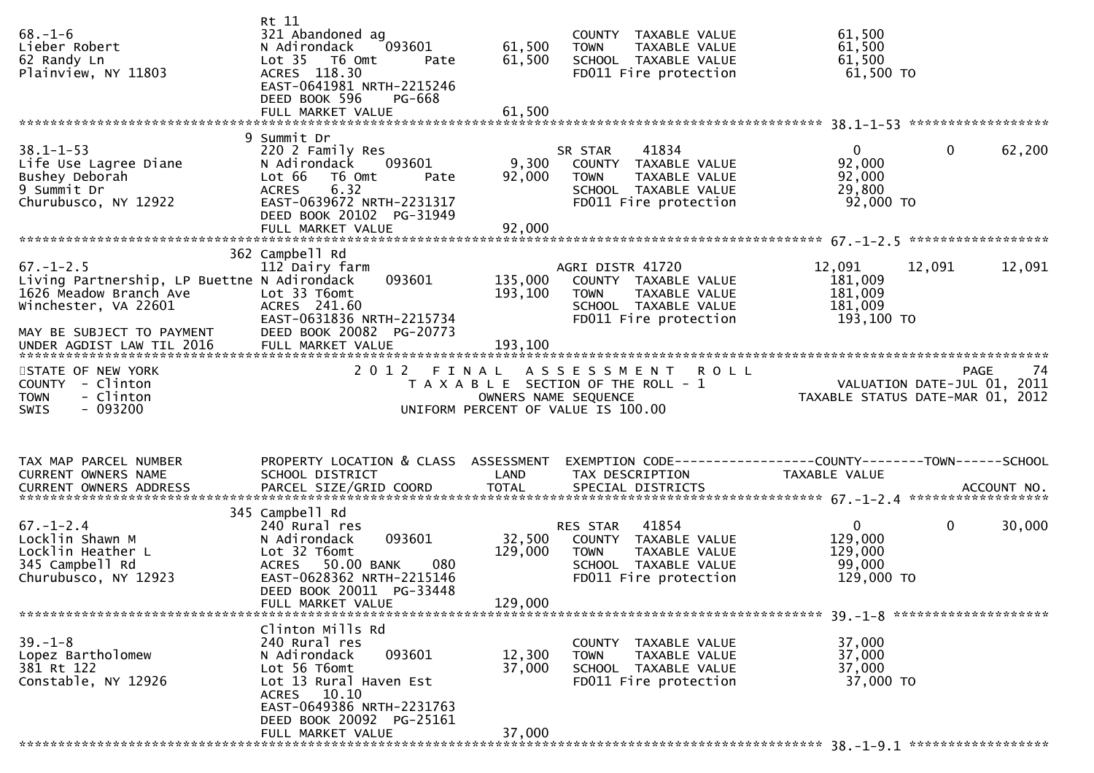| $68. - 1 - 6$<br>Lieber Robert<br>62 Randy Ln<br>Plainview, NY 11803                                                                          | Rt 11<br>321 Abandoned ag<br>093601<br>N Adirondack<br>Lot 35  T6 Omt<br>Pate<br>ACRES 118.30<br>EAST-0641981 NRTH-2215246<br>DEED BOOK 596<br>PG-668            | 61,500<br>61,500             | COUNTY TAXABLE VALUE<br>TAXABLE VALUE<br><b>TOWN</b><br>SCHOOL TAXABLE VALUE<br>FD011 Fire protection                     | 61,500<br>61,500<br>61,500<br>$61,500$ TO                                 |                   |
|-----------------------------------------------------------------------------------------------------------------------------------------------|------------------------------------------------------------------------------------------------------------------------------------------------------------------|------------------------------|---------------------------------------------------------------------------------------------------------------------------|---------------------------------------------------------------------------|-------------------|
|                                                                                                                                               | 9 Summit Dr                                                                                                                                                      |                              |                                                                                                                           |                                                                           |                   |
| $38.1 - 1 - 53$<br>Life Use Lagree Diane<br>Bushey Deborah<br>9 Summit Dr<br>Churubusco, NY 12922                                             | 220 2 Family Res<br>093601<br>N Adirondack<br>Lot 66<br>T6 Omt<br>Pate<br>6.32<br><b>ACRES</b><br>EAST-0639672 NRTH-2231317<br>DEED BOOK 20102 PG-31949          | 9,300<br>92,000              | 41834<br>SR STAR<br>COUNTY TAXABLE VALUE<br>TAXABLE VALUE<br><b>TOWN</b><br>SCHOOL TAXABLE VALUE<br>FD011 Fire protection | $\mathbf 0$<br>$\mathbf{0}$<br>92,000<br>92,000<br>29,800<br>92,000 TO    | 62,200            |
|                                                                                                                                               |                                                                                                                                                                  |                              |                                                                                                                           |                                                                           |                   |
| $67. - 1 - 2.5$<br>Living Partnership, LP Buettne N Adirondack<br>1626 Meadow Branch Ave<br>Winchester, VA 22601<br>MAY BE SUBJECT TO PAYMENT | 362 Campbell Rd<br>112 Dairy farm<br>093601<br>Lot 33 T6omt<br>ACRES 241.60<br>EAST-0631836 NRTH-2215734<br>DEED BOOK 20082 PG-20773                             | 135,000<br>193,100           | AGRI DISTR 41720<br>COUNTY TAXABLE VALUE<br>TAXABLE VALUE<br>TOWN<br>SCHOOL TAXABLE VALUE<br>FD011 Fire protection        | 12,091<br>12,091<br>181,009<br>181,009<br>181,009<br>193,100 TO           | 12,091            |
|                                                                                                                                               |                                                                                                                                                                  |                              |                                                                                                                           |                                                                           |                   |
| STATE OF NEW YORK<br>COUNTY - Clinton<br>- Clinton<br><b>TOWN</b><br>- 093200<br><b>SWIS</b>                                                  | 2012 FINAL                                                                                                                                                       |                              | ASSESSMENT ROLL<br>T A X A B L E SECTION OF THE ROLL - 1<br>OWNERS NAME SEQUENCE<br>UNIFORM PERCENT OF VALUE IS 100.00    | VALUATION DATE-JUL 01, 2011<br>TAXABLE STATUS DATE-MAR 01, 2012           | <b>PAGE</b><br>74 |
| TAX MAP PARCEL NUMBER<br>CURRENT OWNERS NAME                                                                                                  | PROPERTY LOCATION & CLASS ASSESSMENT<br>SCHOOL DISTRICT                                                                                                          | LAND                         | EXEMPTION CODE-----------------COUNTY--------TOWN------SCHOOL<br>TAX DESCRIPTION                                          | TAXABLE VALUE                                                             |                   |
|                                                                                                                                               | 345 Campbell Rd                                                                                                                                                  |                              |                                                                                                                           |                                                                           |                   |
| $67. - 1 - 2.4$<br>Locklin Shawn M<br>Locklin Heather L<br>345 Campbell Rd<br>Churubusco, NY 12923                                            | 240 Rural res<br>093601<br>N Adirondack<br>Lot 32 T6omt<br>ACRES 50.00 BANK<br>080<br>EAST-0628362 NRTH-2215146<br>DEED BOOK 20011 PG-33448<br>FULL MARKET VALUE | 32,500<br>129,000<br>129,000 | 41854<br>RES STAR<br>COUNTY TAXABLE VALUE<br>TOWN<br>TAXABLE VALUE<br>SCHOOL TAXABLE VALUE<br>FD011 Fire protection       | $\mathbf 0$<br>$\mathbf{0}$<br>129,000<br>129,000<br>99,000<br>129,000 TO | 30,000            |
|                                                                                                                                               | Clinton Mills Rd                                                                                                                                                 |                              |                                                                                                                           |                                                                           |                   |
| $39. - 1 - 8$<br>Lopez Bartholomew<br>381 Rt 122<br>Constable, NY 12926                                                                       | 240 Rural res<br>093601<br>N Adirondack<br>Lot 56 T6omt<br>Lot 13 Rural Haven Est<br>ACRES 10.10                                                                 | 12,300<br>37,000             | COUNTY TAXABLE VALUE<br>TAXABLE VALUE<br><b>TOWN</b><br>SCHOOL TAXABLE VALUE<br>FD011 Fire protection                     | 37,000<br>37,000<br>37,000<br>37,000 TO                                   |                   |
|                                                                                                                                               | EAST-0649386 NRTH-2231763<br>DEED BOOK 20092 PG-25161                                                                                                            |                              |                                                                                                                           |                                                                           |                   |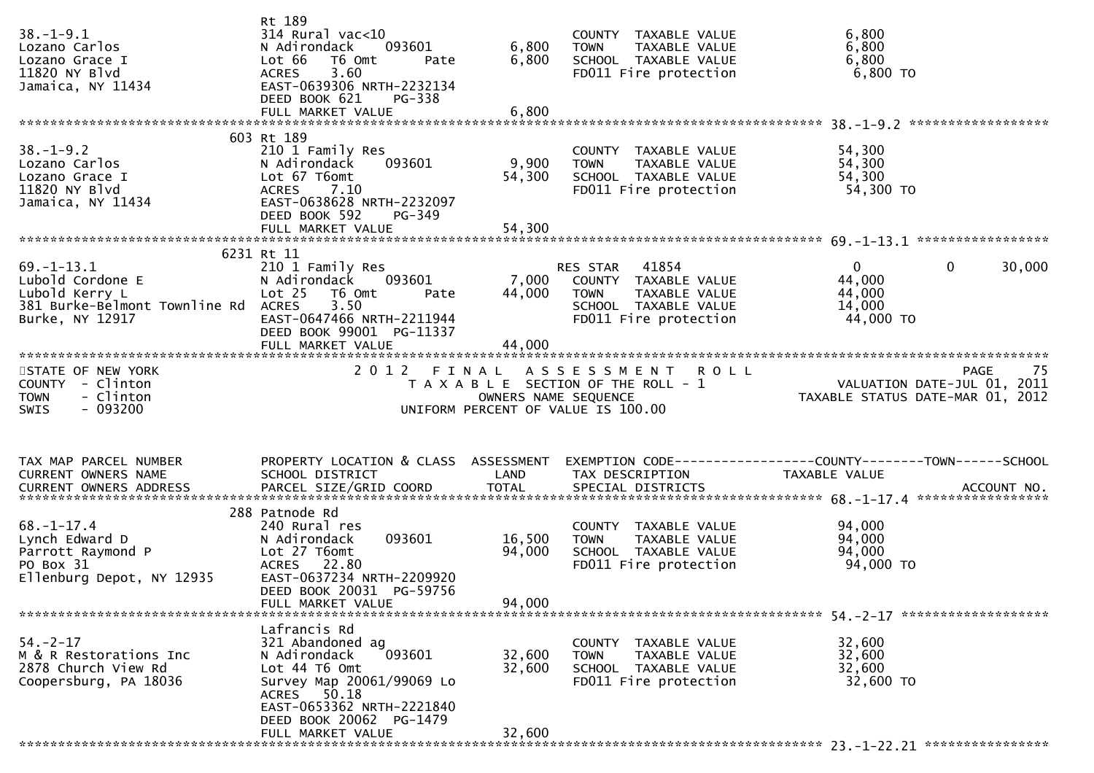| $38. - 1 - 9.1$<br>Lozano Carlos<br>Lozano Grace I<br>11820 NY Blvd<br>Jamaica, NY 11434 | Rt 189<br>$314$ Rural vac< $10$<br>N Adirondack<br>093601<br>Lot 66<br>T6 Omt<br>Pate<br><b>ACRES</b><br>3.60<br>EAST-0639306 NRTH-2232134<br>DEED BOOK 621<br>$PG-338$ | 6,800<br>6,800       | COUNTY TAXABLE VALUE<br><b>TOWN</b><br>TAXABLE VALUE<br>SCHOOL TAXABLE VALUE<br>FD011 Fire protection | 6,800<br>6,800<br>6,800<br>6,800 TO                             |    |
|------------------------------------------------------------------------------------------|-------------------------------------------------------------------------------------------------------------------------------------------------------------------------|----------------------|-------------------------------------------------------------------------------------------------------|-----------------------------------------------------------------|----|
|                                                                                          |                                                                                                                                                                         |                      |                                                                                                       |                                                                 |    |
|                                                                                          | 603 Rt 189                                                                                                                                                              |                      |                                                                                                       |                                                                 |    |
| $38. - 1 - 9.2$                                                                          | 210 1 Family Res                                                                                                                                                        |                      | COUNTY TAXABLE VALUE                                                                                  | 54,300                                                          |    |
| Lozano Carlos<br>Lozano Grace I                                                          | 093601<br>N Adirondack<br>Lot 67 T6omt                                                                                                                                  | 9,900<br>54,300      | <b>TOWN</b><br>TAXABLE VALUE<br>SCHOOL TAXABLE VALUE                                                  | 54,300<br>54,300                                                |    |
| 11820 NY Blvd                                                                            | <b>ACRES</b><br>7.10                                                                                                                                                    |                      | FD011 Fire protection                                                                                 | 54,300 TO                                                       |    |
| Jamaica, NY 11434                                                                        | EAST-0638628 NRTH-2232097                                                                                                                                               |                      |                                                                                                       |                                                                 |    |
|                                                                                          | DEED BOOK 592<br>PG-349                                                                                                                                                 |                      |                                                                                                       |                                                                 |    |
|                                                                                          |                                                                                                                                                                         |                      |                                                                                                       |                                                                 |    |
|                                                                                          | 6231 Rt 11                                                                                                                                                              |                      |                                                                                                       |                                                                 |    |
| $69. - 1 - 13.1$                                                                         | 210 1 Family Res                                                                                                                                                        |                      | RES STAR<br>41854                                                                                     | $\mathbf{0}$<br>$\mathbf{0}$<br>30,000                          |    |
| Lubold Cordone E                                                                         | 093601<br>N Adirondack                                                                                                                                                  | 7,000                | COUNTY TAXABLE VALUE                                                                                  | 44,000                                                          |    |
| Lubold Kerry L<br>381 Burke-Belmont Townline Rd ACRES                                    | Lot 25<br>T6 Omt<br>Pate<br>3.50                                                                                                                                        | 44,000               | <b>TOWN</b><br>TAXABLE VALUE<br>SCHOOL TAXABLE VALUE                                                  | 44,000<br>14,000                                                |    |
| Burke, NY 12917                                                                          | EAST-0647466 NRTH-2211944                                                                                                                                               |                      | FD011 Fire protection                                                                                 | 44,000 TO                                                       |    |
|                                                                                          | DEED BOOK 99001 PG-11337                                                                                                                                                |                      |                                                                                                       |                                                                 |    |
|                                                                                          | FULL MARKET VALUE                                                                                                                                                       | 44,000               |                                                                                                       |                                                                 |    |
| STATE OF NEW YORK                                                                        | 2 0 1 2                                                                                                                                                                 | FINAL                | ASSESSMENT ROLL                                                                                       | <b>PAGE</b>                                                     | 75 |
| COUNTY - Clinton                                                                         |                                                                                                                                                                         |                      | T A X A B L E SECTION OF THE ROLL - 1                                                                 | VALUATION DATE-JUL 01, 2011<br>TAXABLE STATUS DATE-MAR 01, 2012 |    |
| - Clinton<br><b>TOWN</b>                                                                 |                                                                                                                                                                         | OWNERS NAME SEQUENCE |                                                                                                       |                                                                 |    |
| - 093200<br><b>SWIS</b>                                                                  |                                                                                                                                                                         |                      | UNIFORM PERCENT OF VALUE IS 100.00                                                                    |                                                                 |    |
|                                                                                          |                                                                                                                                                                         |                      |                                                                                                       |                                                                 |    |
|                                                                                          |                                                                                                                                                                         |                      |                                                                                                       |                                                                 |    |
|                                                                                          |                                                                                                                                                                         |                      |                                                                                                       |                                                                 |    |
| TAX MAP PARCEL NUMBER                                                                    | PROPERTY LOCATION & CLASS ASSESSMENT                                                                                                                                    |                      |                                                                                                       | EXEMPTION CODE------------------COUNTY--------TOWN------SCHOOL  |    |
| CURRENT OWNERS NAME                                                                      | SCHOOL DISTRICT                                                                                                                                                         | LAND                 | TAX DESCRIPTION                                                                                       | TAXABLE VALUE                                                   |    |
| CURRENT OWNERS ADDRESS                                                                   |                                                                                                                                                                         |                      |                                                                                                       |                                                                 |    |
|                                                                                          | 288 Patnode Rd                                                                                                                                                          |                      |                                                                                                       |                                                                 |    |
| $68. - 1 - 17.4$                                                                         | 240 Rural res                                                                                                                                                           |                      | COUNTY TAXABLE VALUE                                                                                  | 94,000                                                          |    |
| Lynch Edward D                                                                           | 093601<br>N Adirondack                                                                                                                                                  | 16,500               | TAXABLE VALUE<br><b>TOWN</b>                                                                          | 94,000                                                          |    |
| Parrott Raymond P<br>PO Box 31                                                           | Lot 27 T6omt<br><b>ACRES</b><br>22.80                                                                                                                                   | 94,000               | SCHOOL TAXABLE VALUE<br>FD011 Fire protection                                                         | 94,000<br>94,000 TO                                             |    |
| Ellenburg Depot, NY 12935                                                                | EAST-0637234 NRTH-2209920                                                                                                                                               |                      |                                                                                                       |                                                                 |    |
|                                                                                          | DEED BOOK 20031 PG-59756                                                                                                                                                |                      |                                                                                                       |                                                                 |    |
|                                                                                          | FULL MARKET VALUE                                                                                                                                                       | 94,000               |                                                                                                       |                                                                 |    |
|                                                                                          | Lafrancis Rd                                                                                                                                                            |                      |                                                                                                       |                                                                 |    |
| $54. - 2 - 17$                                                                           | 321 Abandoned ag                                                                                                                                                        |                      | COUNTY TAXABLE VALUE                                                                                  | 32,600                                                          |    |
| M & R Restorations Inc                                                                   | 093601<br>N Adirondack                                                                                                                                                  | 32,600               | <b>TOWN</b><br>TAXABLE VALUE                                                                          | 32,600                                                          |    |
| 2878 Church View Rd<br>Coopersburg, PA 18036                                             | Lot 44 76 0mt                                                                                                                                                           | 32,600               | SCHOOL TAXABLE VALUE<br>FD011 Fire protection                                                         | 32,600<br>32,600 TO                                             |    |
|                                                                                          | Survey Map 20061/99069 Lo<br>ACRES 50.18                                                                                                                                |                      |                                                                                                       |                                                                 |    |
|                                                                                          | EAST-0653362 NRTH-2221840                                                                                                                                               |                      |                                                                                                       |                                                                 |    |
|                                                                                          | DEED BOOK 20062 PG-1479<br>FULL MARKET VALUE                                                                                                                            | 32,600               |                                                                                                       |                                                                 |    |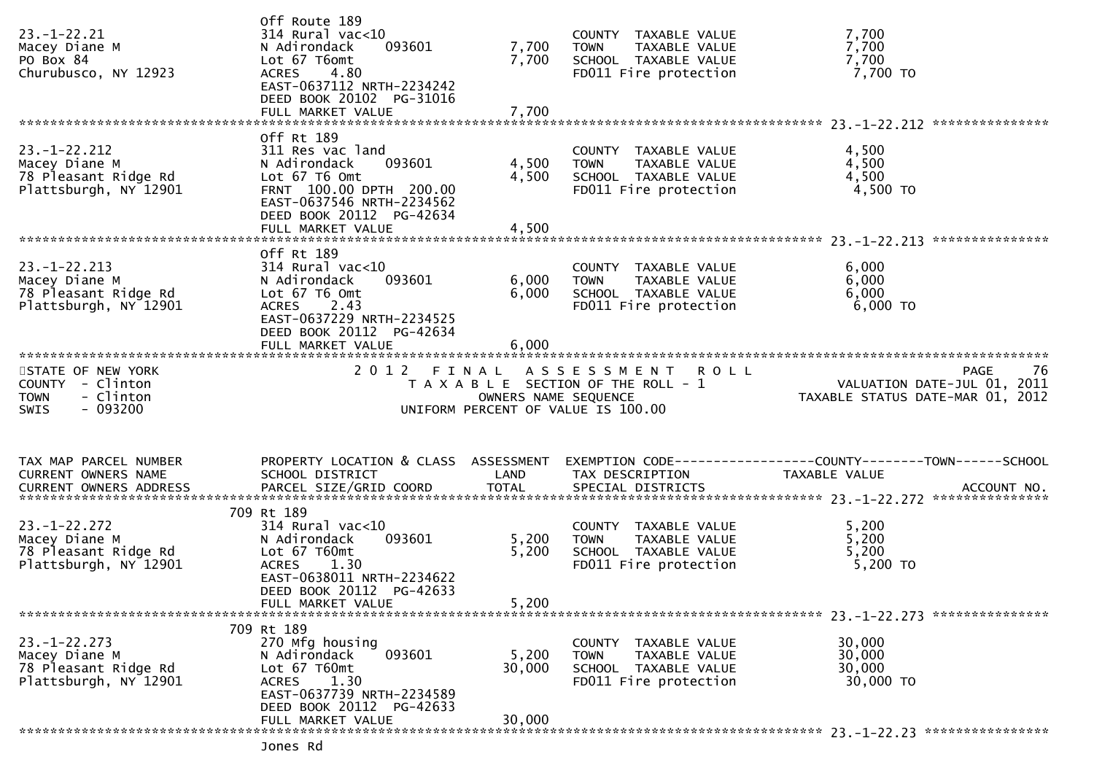| $23. - 1 - 22.21$<br>Macey Diane M<br>PO Box 84<br>Churubusco, NY 12923               | Off Route 189<br>314 Rural vac<10<br>093601<br>N Adirondack<br>Lot 67 T6omt<br><b>ACRES</b><br>4.80<br>EAST-0637112 NRTH-2234242<br>DEED BOOK 20102 PG-31016   | 7,700<br>7,700                | COUNTY TAXABLE VALUE<br>TAXABLE VALUE<br><b>TOWN</b><br>SCHOOL TAXABLE VALUE<br>FD011 Fire protection | 7,700<br>7,700<br>7,700<br>7,700 TO                                                          |
|---------------------------------------------------------------------------------------|----------------------------------------------------------------------------------------------------------------------------------------------------------------|-------------------------------|-------------------------------------------------------------------------------------------------------|----------------------------------------------------------------------------------------------|
|                                                                                       | FULL MARKET VALUE                                                                                                                                              | 7,700                         |                                                                                                       |                                                                                              |
| $23. - 1 - 22.212$<br>Macey Diane M<br>78 Pleasant Ridge Rd<br>Plattsburgh, NY 12901  | Off Rt 189<br>311 Res vac land<br>N Adirondack<br>093601<br>Lot 67 T6 Omt<br>FRNT 100.00 DPTH 200.00<br>EAST-0637546 NRTH-2234562<br>DEED BOOK 20112 PG-42634  | 4,500<br>4,500                | COUNTY TAXABLE VALUE<br>TAXABLE VALUE<br><b>TOWN</b><br>SCHOOL TAXABLE VALUE<br>FD011 Fire protection | 4,500<br>4,500<br>4,500<br>4,500 TO                                                          |
|                                                                                       | FULL MARKET VALUE                                                                                                                                              | 4,500                         |                                                                                                       |                                                                                              |
| $23. - 1 - 22.213$<br>Macey Diane M<br>78 Pleasant Ridge Rd<br>Plattsburgh, NY 12901  | Off Rt 189<br>$314$ Rural vac<10<br>093601<br>N Adirondack<br>Lot 67 T6 Omt<br><b>ACRES</b><br>2.43<br>EAST-0637229 NRTH-2234525<br>DEED BOOK 20112 PG-42634   | 6,000<br>6,000                | COUNTY TAXABLE VALUE<br><b>TOWN</b><br>TAXABLE VALUE<br>SCHOOL TAXABLE VALUE<br>FD011 Fire protection | 6,000<br>6,000<br>6,000<br>6,000 TO                                                          |
| STATE OF NEW YORK<br>COUNTY - Clinton<br>- Clinton<br><b>TOWN</b><br>SWIS<br>- 093200 | FULL MARKET VALUE<br>2012 FINAL                                                                                                                                | 6,000<br>OWNERS NAME SEQUENCE | ASSESSMENT ROLL<br>T A X A B L E SECTION OF THE ROLL - 1<br>UNIFORM PERCENT OF VALUE IS 100.00        | 76<br><b>PAGE</b>                                                                            |
|                                                                                       |                                                                                                                                                                |                               |                                                                                                       |                                                                                              |
| TAX MAP PARCEL NUMBER<br>CURRENT OWNERS NAME<br><b>CURRENT OWNERS ADDRESS</b>         | PROPERTY LOCATION & CLASS ASSESSMENT<br>SCHOOL DISTRICT<br>PARCEL SIZE/GRID COORD                                                                              | LAND<br><b>TOTAL</b>          | TAX DESCRIPTION<br>SPECIAL DISTRICTS                                                                  | EXEMPTION CODE-----------------COUNTY--------TOWN-----SCHOOL<br>TAXABLE VALUE<br>ACCOUNT NO. |
| $23. - 1 - 22.272$<br>Macey Diane M                                                   | 709 Rt 189                                                                                                                                                     |                               |                                                                                                       |                                                                                              |
| 78 Pleasant Ridge Rd<br>Plattsburgh, NY 12901                                         | $314$ Rural vac<10<br>093601<br>N Adirondack<br>Lot 67 T60mt<br><b>ACRES</b><br>1.30<br>EAST-0638011 NRTH-2234622<br>DEED BOOK 20112 PG-42633                  | 5,200<br>5,200                | COUNTY TAXABLE VALUE<br>TAXABLE VALUE<br><b>TOWN</b><br>SCHOOL TAXABLE VALUE<br>FD011 Fire protection | 5,200<br>5,200<br>5,200<br>5,200 TO                                                          |
|                                                                                       | FULL MARKET VALUE                                                                                                                                              | 5,200                         |                                                                                                       |                                                                                              |
| $23. - 1 - 22.273$<br>Macey Diane M<br>78 Pleasant Ridge Rd<br>Plattsburgh, NY 12901  | 709 Rt 189<br>270 Mfg housing<br>N Adirondack<br>093601<br>Lot $67$ T $60$ mt<br>1.30<br><b>ACRES</b><br>EAST-0637739 NRTH-2234589<br>DEED BOOK 20112 PG-42633 | 5,200<br>30,000               | COUNTY TAXABLE VALUE<br>TAXABLE VALUE<br><b>TOWN</b><br>SCHOOL TAXABLE VALUE<br>FD011 Fire protection | 30,000<br>30,000<br>30,000<br>30,000 TO                                                      |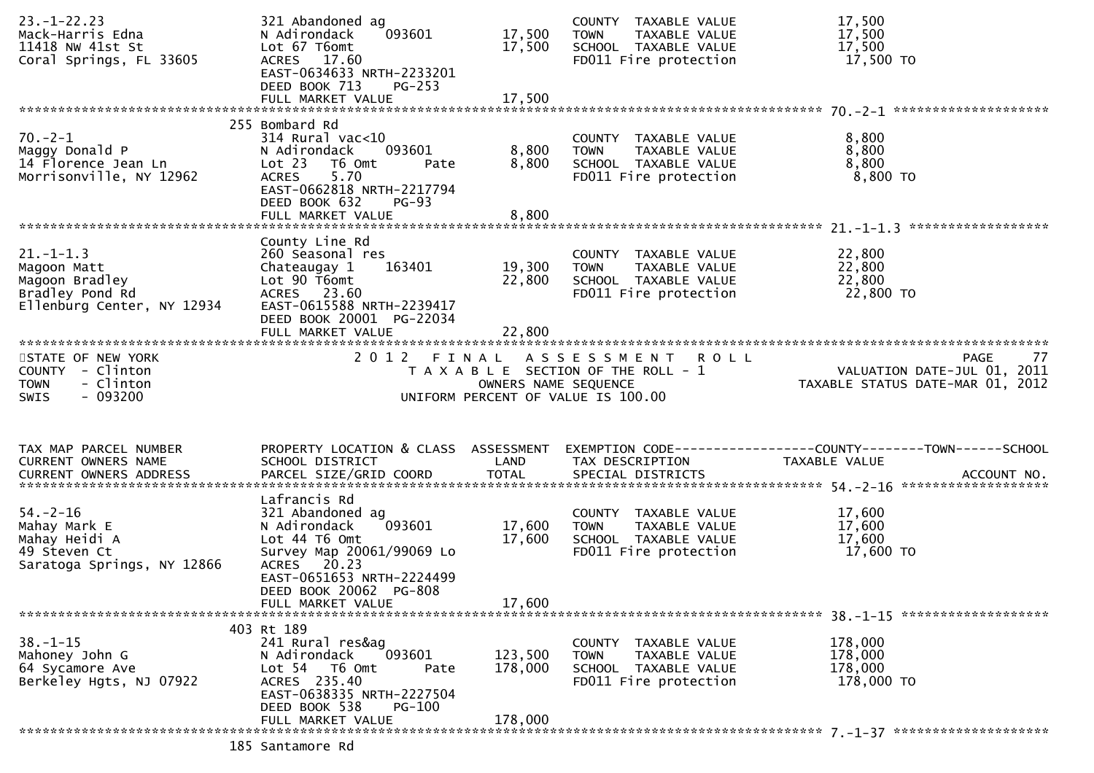| $23. - 1 - 22.23$<br>Mack-Harris Edna<br>11418 NW 41st St<br>Coral Springs, FL 33605              | 321 Abandoned ag<br>093601<br>N Adirondack<br>Lot 67 T6omt<br>ACRES 17.60<br>EAST-0634633 NRTH-2233201<br>DEED BOOK 713<br>$PG-253$                                         | 17,500<br>17,500           | COUNTY TAXABLE VALUE<br>TAXABLE VALUE<br>TOWN<br>SCHOOL TAXABLE VALUE<br>FD011 Fire protection                      | 17,500<br>17,500<br>17,500<br>17,500 TO                                        |    |
|---------------------------------------------------------------------------------------------------|-----------------------------------------------------------------------------------------------------------------------------------------------------------------------------|----------------------------|---------------------------------------------------------------------------------------------------------------------|--------------------------------------------------------------------------------|----|
|                                                                                                   |                                                                                                                                                                             |                            |                                                                                                                     |                                                                                |    |
| $70. -2 - 1$<br>Maggy Donald P<br>14 Florence Jean Ln<br>Morrisonville, NY 12962                  | 255 Bombard Rd<br>$314$ Rural vac<10<br>093601<br>N Adirondack<br>Lot 23<br>T6 Omt<br>Pate<br>5.70<br><b>ACRES</b><br>EAST-0662818 NRTH-2217794<br>DEED BOOK 632<br>$PG-93$ | 8,800<br>8,800             | COUNTY TAXABLE VALUE<br>TAXABLE VALUE<br><b>TOWN</b><br>SCHOOL TAXABLE VALUE<br>FD011 Fire protection               | 8,800<br>8,800<br>8,800<br>8,800 TO                                            |    |
|                                                                                                   |                                                                                                                                                                             |                            |                                                                                                                     |                                                                                |    |
| $21. - 1 - 1.3$<br>Magoon Matt<br>Magoon Bradley<br>Bradley Pond Rd<br>Ellenburg Center, NY 12934 | County Line Rd<br>260 Seasonal res<br>163401<br>Chateaugay 1<br>Lot 90 T6omt<br>ACRES 23.60<br>EAST-0615588 NRTH-2239417<br>DEED BOOK 20001 PG-22034<br>FULL MARKET VALUE   | 19,300<br>22,800<br>22,800 | COUNTY TAXABLE VALUE<br>TAXABLE VALUE<br>TOWN<br>SCHOOL TAXABLE VALUE<br>FD011 Fire protection                      | 22,800<br>22,800<br>22,800<br>22,800 TO                                        |    |
|                                                                                                   |                                                                                                                                                                             |                            |                                                                                                                     |                                                                                |    |
| STATE OF NEW YORK<br>COUNTY - Clinton<br><b>TOWN</b><br>- Clinton<br>$-093200$<br><b>SWIS</b>     |                                                                                                                                                                             | OWNERS NAME SEQUENCE       | 2012 FINAL ASSESSMENT<br><b>ROLL</b><br>T A X A B L E SECTION OF THE ROLL - 1<br>UNIFORM PERCENT OF VALUE IS 100.00 | <b>PAGE</b><br>VALUATION DATE-JUL 01, 2011<br>TAXABLE STATUS DATE-MAR 01, 2012 | 77 |
|                                                                                                   |                                                                                                                                                                             |                            |                                                                                                                     |                                                                                |    |
| TAX MAP PARCEL NUMBER<br>CURRENT OWNERS NAME                                                      | PROPERTY LOCATION & CLASS ASSESSMENT<br>SCHOOL DISTRICT                                                                                                                     | LAND                       | TAX DESCRIPTION                                                                                                     | EXEMPTION CODE------------------COUNTY--------TOWN------SCHOOL                 |    |
|                                                                                                   |                                                                                                                                                                             |                            |                                                                                                                     | TAXABLE VALUE                                                                  |    |
|                                                                                                   |                                                                                                                                                                             |                            |                                                                                                                     |                                                                                |    |
| $54. - 2 - 16$<br>Mahay Mark E<br>Mahay Heidi A<br>49 Steven Ct<br>Saratoga Springs, NY 12866     | Lafrancis Rd<br>321 Abandoned ag<br>093601<br>N Adirondack<br>Lot 44 76 0mt<br>Survey Map 20061/99069 Lo<br>ACRES 20.23<br>EAST-0651653 NRTH-2224499                        | 17,600<br>17,600           | COUNTY TAXABLE VALUE<br>TOWN<br>TAXABLE VALUE<br>SCHOOL TAXABLE VALUE<br>FD011 Fire protection                      | 17,600<br>17,600<br>17,600<br>17,600 TO                                        |    |
|                                                                                                   | DEED BOOK 20062 PG-808                                                                                                                                                      |                            |                                                                                                                     |                                                                                |    |
|                                                                                                   | FULL MARKET VALUE                                                                                                                                                           | 17,600                     |                                                                                                                     |                                                                                |    |
| $38. - 1 - 15$<br>Mahoney John G<br>64 Sycamore Ave<br>Berkeley Hgts, NJ 07922                    | 403 Rt 189<br>241 Rural res&ag<br>093601<br>N Adirondack<br>Lot 54 T6 Omt<br>Pate<br>ACRES 235.40<br>EAST-0638335 NRTH-2227504                                              | 123,500<br>178,000         | COUNTY<br>TAXABLE VALUE<br>TAXABLE VALUE<br><b>TOWN</b><br>SCHOOL TAXABLE VALUE<br>FD011 Fire protection            | 178,000<br>178,000<br>178,000<br>178,000 TO                                    |    |
|                                                                                                   | DEED BOOK 538<br><b>PG-100</b><br>FULL MARKET VALUE                                                                                                                         | 178,000                    |                                                                                                                     |                                                                                |    |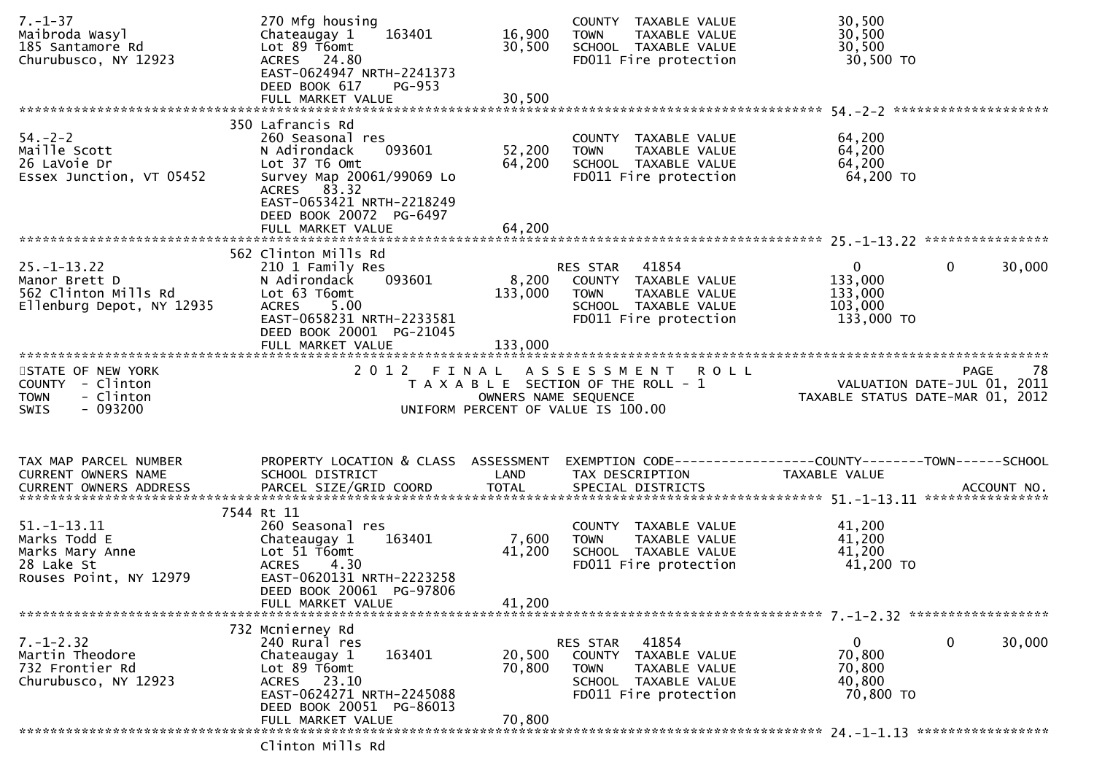| $7. - 1 - 37$<br>Maibroda Wasyl<br>185 Santamore Rd<br>Churubusco, NY 12923                  | 270 Mfg housing<br>Chateaugay 1<br>163401<br>Lot 89 T6omt<br>ACRES 24.80<br>EAST-0624947 NRTH-2241373<br>DEED BOOK 617<br><b>PG-953</b>                              | 16,900<br>30,500          | COUNTY TAXABLE VALUE<br><b>TOWN</b><br>TAXABLE VALUE<br>SCHOOL TAXABLE VALUE<br>FD011 Fire protection                                | 30,500<br>30,500<br>30,500<br>30,500 TO                                         |                   |
|----------------------------------------------------------------------------------------------|----------------------------------------------------------------------------------------------------------------------------------------------------------------------|---------------------------|--------------------------------------------------------------------------------------------------------------------------------------|---------------------------------------------------------------------------------|-------------------|
|                                                                                              | 350 Lafrancis Rd                                                                                                                                                     |                           |                                                                                                                                      |                                                                                 |                   |
| $54 - 2 - 2$<br>Maille Scott<br>26 LaVoie Dr<br>Essex Junction, VT 05452                     | 260 Seasonal res<br>N Adirondack<br>093601<br>Lot 37 T6 Omt<br>Survey Map 20061/99069 Lo<br>ACRES 83.32<br>EAST-0653421 NRTH-2218249<br>DEED BOOK 20072 PG-6497      | 52,200<br>64,200          | COUNTY TAXABLE VALUE<br><b>TOWN</b><br>TAXABLE VALUE<br>SCHOOL TAXABLE VALUE<br>FD011 Fire protection                                | 64,200<br>64,200<br>64,200<br>64,200 TO                                         |                   |
|                                                                                              | FULL MARKET VALUE                                                                                                                                                    | 64,200                    |                                                                                                                                      |                                                                                 |                   |
| $25. - 1 - 13.22$<br>Manor Brett D<br>562 Clinton Mills Rd<br>Ellenburg Depot, NY 12935      | 562 Clinton Mills Rd<br>210 1 Family Res<br>093601<br>N Adirondack<br>Lot 63 T6omt<br>5.00<br><b>ACRES</b><br>EAST-0658231 NRTH-2233581<br>DEED BOOK 20001 PG-21045  | 133,000                   | RES STAR 41854<br>8,200 COUNTY TAXABLE VALUE<br>TOWN TAXABLE VALUE<br>SCHOOL TAXABLE VALUE<br>FD011 Fire protection                  | $\mathbf 0$<br>$\overline{0}$<br>133,000<br>133,000<br>103,000<br>133,000 TO    | 30,000            |
|                                                                                              | FULL MARKET VALUE                                                                                                                                                    | 133,000                   |                                                                                                                                      |                                                                                 |                   |
| STATE OF NEW YORK<br>COUNTY - Clinton<br>- Clinton<br><b>TOWN</b><br>- 093200<br>SWIS        |                                                                                                                                                                      | OWNERS NAME SEQUENCE      | 2012 FINAL ASSESSMENT ROLL<br>T A X A B L E SECTION OF THE ROLL - 1<br>UNIFORM PERCENT OF VALUE IS 100.00                            | o،<br>11, 2011 VALUATION DATE-JUL<br>12, TAXABLE STATUS DATE-MAR 01, 2012       | 78<br><b>PAGE</b> |
| TAX MAP PARCEL NUMBER<br>CURRENT OWNERS NAME                                                 | PROPERTY LOCATION & CLASS ASSESSMENT<br>SCHOOL DISTRICT                                                                                                              | LAND                      | TAX DESCRIPTION                                                                                                                      | EXEMPTION CODE------------------COUNTY--------TOWN------SCHOOL<br>TAXABLE VALUE |                   |
| $51. - 1 - 13.11$<br>Marks Todd E<br>Marks Mary Anne<br>28 Lake St<br>Rouses Point, NY 12979 | 7544 Rt 11<br>260 Seasonal res<br>163401<br>Chateaugay 1<br>Lot 51 T6omt<br>ACRES 4.30<br>EAST-0620131 NRTH-2223258<br>DEED BOOK 20061 PG-97806<br>FULL MARKET VALUE | 7,600<br>41,200<br>41,200 | COUNTY TAXABLE VALUE<br><b>TOWN</b><br>TAXABLE VALUE<br>SCHOOL TAXABLE VALUE<br>FD011 Fire protection                                | 41,200<br>41,200<br>41,200<br>41,200 TO                                         |                   |
|                                                                                              |                                                                                                                                                                      |                           |                                                                                                                                      |                                                                                 |                   |
| $7. - 1 - 2.32$<br>Martin Theodore<br>732 Frontier Rd<br>Churubusco, NY 12923                | 732 Mcnierney Rd<br>240 Rural res<br>163401<br>Chateaugay 1<br>Lot 89 T6omt<br>ACRES 23.10<br>EAST-0624271 NRTH-2245088                                              | 20,500<br>70,800          | 41854<br>RES STAR<br><b>COUNTY</b><br>TAXABLE VALUE<br><b>TOWN</b><br>TAXABLE VALUE<br>SCHOOL TAXABLE VALUE<br>FD011 Fire protection | $\mathbf 0$<br>$\Omega$<br>70,800<br>70,800<br>40,800<br>70,800 TO              | 30,000            |
|                                                                                              | DEED BOOK 20051 PG-86013<br>FULL MARKET VALUE                                                                                                                        | 70,800                    |                                                                                                                                      |                                                                                 |                   |

Clinton Mills Rd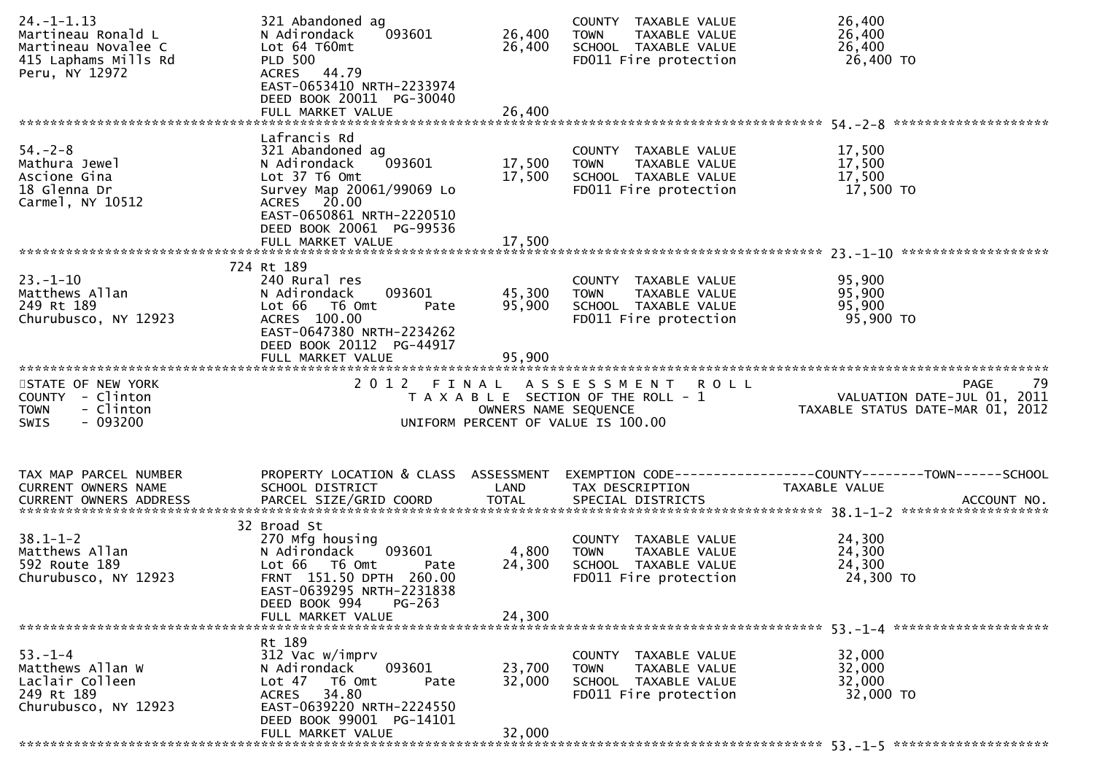| $24. - 1 - 1.13$<br>Martineau Ronald L<br>Martineau Novalee C<br>415 Laphams Mills Rd<br>Peru, NY 12972 | 321 Abandoned ag<br>093601<br>N Adirondack<br>Lot 64 T60mt<br><b>PLD 500</b><br>ACRES 44.79<br>EAST-0653410 NRTH-2233974<br>DEED BOOK 20011 PG-30040 | 26,400<br>26,400     | COUNTY TAXABLE VALUE<br><b>TOWN</b><br>TAXABLE VALUE<br>SCHOOL TAXABLE VALUE<br>FD011 Fire protection | 26,400<br>26,400<br>26,400<br>26,400 TO                         |
|---------------------------------------------------------------------------------------------------------|------------------------------------------------------------------------------------------------------------------------------------------------------|----------------------|-------------------------------------------------------------------------------------------------------|-----------------------------------------------------------------|
|                                                                                                         | FULL MARKET VALUE                                                                                                                                    | 26,400               |                                                                                                       |                                                                 |
|                                                                                                         | Lafrancis Rd                                                                                                                                         |                      |                                                                                                       |                                                                 |
| $54. - 2 - 8$<br>Mathura Jewel                                                                          | 321 Abandoned ag<br>093601<br>N Adirondack                                                                                                           | 17,500               | COUNTY TAXABLE VALUE<br><b>TOWN</b><br>TAXABLE VALUE                                                  | 17,500<br>17,500                                                |
| Ascione Gina                                                                                            | Lot 37 T6 Omt                                                                                                                                        | 17,500               | SCHOOL TAXABLE VALUE                                                                                  | 17,500                                                          |
| 18 Glenna Dr                                                                                            | Survey Map 20061/99069 Lo                                                                                                                            |                      | FD011 Fire protection                                                                                 | 17,500 TO                                                       |
| Carmel, NY 10512                                                                                        | ACRES 20.00<br>EAST-0650861 NRTH-2220510                                                                                                             |                      |                                                                                                       |                                                                 |
|                                                                                                         | DEED BOOK 20061 PG-99536                                                                                                                             |                      |                                                                                                       |                                                                 |
|                                                                                                         |                                                                                                                                                      |                      |                                                                                                       |                                                                 |
|                                                                                                         | 724 Rt 189                                                                                                                                           |                      |                                                                                                       |                                                                 |
| $23. - 1 - 10$                                                                                          | 240 Rural res                                                                                                                                        |                      | COUNTY TAXABLE VALUE                                                                                  | 95,900                                                          |
| Matthews Allan                                                                                          | 093601<br>N Adirondack                                                                                                                               | 45,300               | TAXABLE VALUE<br><b>TOWN</b>                                                                          | 95,900                                                          |
| 249 Rt 189<br>Churubusco, NY 12923                                                                      | Lot 66  T6 0mt<br>Pate<br>ACRES 100.00                                                                                                               | 95,900               | SCHOOL TAXABLE VALUE<br>FD011 Fire protection                                                         | 95,900<br>95,900 TO                                             |
|                                                                                                         | EAST-0647380 NRTH-2234262<br>DEED BOOK 20112 PG-44917                                                                                                |                      |                                                                                                       |                                                                 |
|                                                                                                         | FULL MARKET VALUE                                                                                                                                    | 95.900               |                                                                                                       |                                                                 |
| STATE OF NEW YORK                                                                                       | 2012 FINAL                                                                                                                                           |                      |                                                                                                       |                                                                 |
| COUNTY - Clinton                                                                                        |                                                                                                                                                      |                      | A S S E S S M E N T R O L L<br>T A X A B L E SECTION OF THE ROLL - 1                                  | <b>PAGE</b><br>79<br>VALUATION DATE-JUL 01, 2011                |
| - Clinton<br><b>TOWN</b><br>$-093200$<br>SWIS                                                           |                                                                                                                                                      | OWNERS NAME SEQUENCE | UNIFORM PERCENT OF VALUE IS 100.00                                                                    | VALUATION DATE SUL 01, 2012<br>TAXABLE STATUS DATE-MAR 01, 2012 |
| TAX MAP PARCEL NUMBER                                                                                   | PROPERTY LOCATION & CLASS ASSESSMENT                                                                                                                 |                      |                                                                                                       | EXEMPTION CODE------------------COUNTY--------TOWN------SCHOOL  |
| CURRENT OWNERS NAME                                                                                     | SCHOOL DISTRICT                                                                                                                                      | LAND                 | TAX DESCRIPTION                                                                                       | TAXABLE VALUE                                                   |
| <b>CURRENT OWNERS ADDRESS</b>                                                                           | PARCEL SIZE/GRID COORD                                                                                                                               | <b>TOTAL</b>         | SPECIAL DISTRICTS                                                                                     | ACCOUNT NO.                                                     |
|                                                                                                         |                                                                                                                                                      |                      |                                                                                                       |                                                                 |
|                                                                                                         | 32 Broad St                                                                                                                                          |                      |                                                                                                       |                                                                 |
| $38.1 - 1 - 2$                                                                                          | 270 Mfg housing                                                                                                                                      |                      | COUNTY TAXABLE VALUE                                                                                  | 24,300                                                          |
| Matthews Allan<br>592 Route 189                                                                         | 093601<br>N Adirondack<br>Lot 66 T6 Omt<br>Pate                                                                                                      | 4,800<br>24,300      | TAXABLE VALUE<br><b>TOWN</b><br>SCHOOL TAXABLE VALUE                                                  | 24,300<br>24,300                                                |
| Churubusco, NY 12923                                                                                    | FRNT 151.50 DPTH 260.00                                                                                                                              |                      | FD011 Fire protection                                                                                 | 24,300 TO                                                       |
|                                                                                                         | EAST-0639295 NRTH-2231838                                                                                                                            |                      |                                                                                                       |                                                                 |
|                                                                                                         | $PG-263$<br>DEED BOOK 994                                                                                                                            |                      |                                                                                                       |                                                                 |
|                                                                                                         | FULL MARKET VALUE                                                                                                                                    | 24,300               |                                                                                                       |                                                                 |
|                                                                                                         | Rt 189                                                                                                                                               |                      |                                                                                                       |                                                                 |
| $53. - 1 - 4$                                                                                           | 312 Vac w/imprv                                                                                                                                      |                      | COUNTY TAXABLE VALUE                                                                                  | 32,000                                                          |
| Matthews Allan W                                                                                        | 093601<br>N Adirondack                                                                                                                               | 23,700               | <b>TOWN</b><br>TAXABLE VALUE                                                                          | 32,000                                                          |
| Laclair Colleen                                                                                         | Lot <sub>47</sub><br>T6 Omt<br>Pate                                                                                                                  | 32,000               | SCHOOL TAXABLE VALUE                                                                                  | 32,000                                                          |
| 249 Rt 189                                                                                              | 34.80<br>ACRES                                                                                                                                       |                      | FD011 Fire protection                                                                                 | 32,000 TO                                                       |
| Churubusco, NY 12923                                                                                    | EAST-0639220 NRTH-2224550                                                                                                                            |                      |                                                                                                       |                                                                 |
|                                                                                                         | DEED BOOK 99001 PG-14101<br>FULL MARKET VALUE                                                                                                        | 32,000               |                                                                                                       |                                                                 |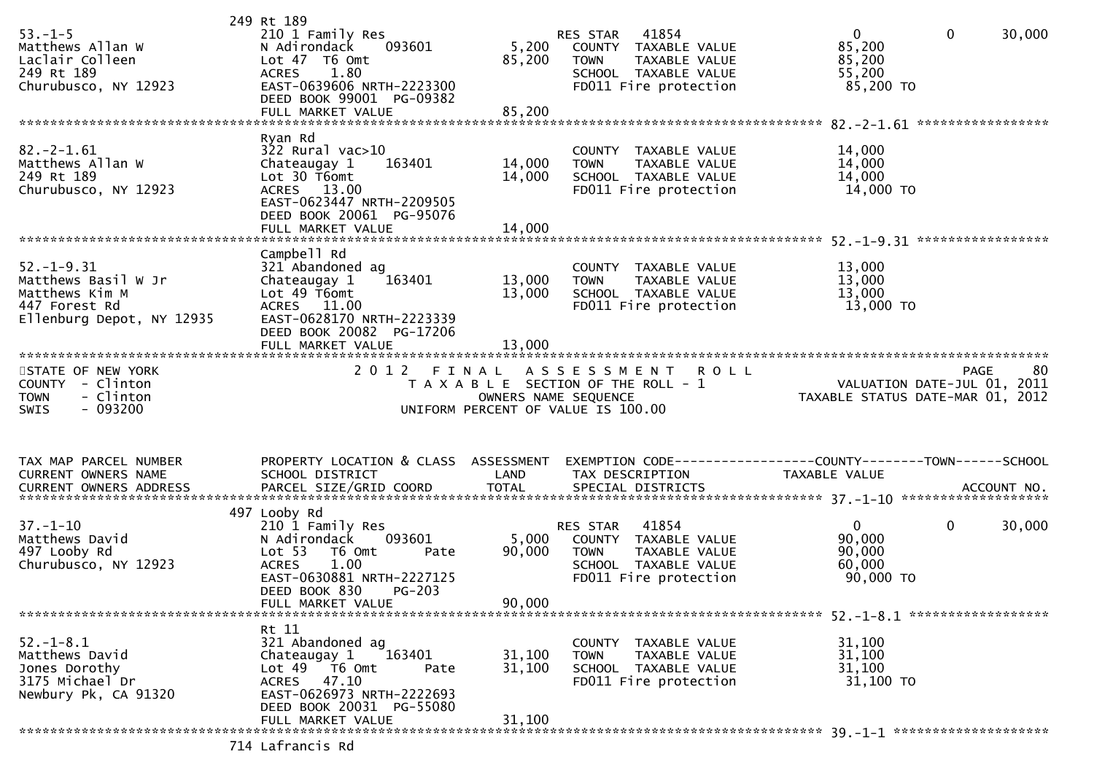| $53. - 1 - 5$<br>Matthews Allan W<br>Laclair Colleen<br>249 Rt 189<br>Churubusco, NY 12923              | 249 Rt 189<br>210 1 Family Res<br>N Adirondack<br>093601<br>Lot 47 T6 Omt<br>1.80<br><b>ACRES</b><br>EAST-0639606 NRTH-2223300<br>DEED BOOK 99001 PG-09382<br>FULL MARKET VALUE               | 5,200<br>85,200<br>85,200     | 41854<br>RES STAR<br>COUNTY TAXABLE VALUE<br>TAXABLE VALUE<br><b>TOWN</b><br>SCHOOL TAXABLE VALUE<br>FD011 Fire protection | $\overline{0}$<br>$\Omega$<br>85,200<br>85,200<br>55,200<br>85,200 TO                          | 30,000 |
|---------------------------------------------------------------------------------------------------------|-----------------------------------------------------------------------------------------------------------------------------------------------------------------------------------------------|-------------------------------|----------------------------------------------------------------------------------------------------------------------------|------------------------------------------------------------------------------------------------|--------|
| $82 - 2 - 1.61$<br>Matthews Allan W<br>249 Rt 189<br>Churubusco, NY 12923                               | Ryan Rd<br>322 Rural vac>10<br>163401<br>Chateaugay 1<br>$Lot 30$ $T6$ omt<br>ACRES 13.00<br>EAST-0623447 NRTH-2209505<br>DEED BOOK 20061 PG-95076<br>FULL MARKET VALUE                       | 14,000<br>14,000<br>14,000    | COUNTY TAXABLE VALUE<br>TAXABLE VALUE<br><b>TOWN</b><br>SCHOOL TAXABLE VALUE<br>FD011 Fire protection                      | 14,000<br>14,000<br>14,000<br>14,000 TO                                                        |        |
| $52. - 1 - 9.31$<br>Matthews Basil W Jr<br>Matthews Kim M<br>447 Forest Rd<br>Ellenburg Depot, NY 12935 | Campbell Rd<br>321 Abandoned ag<br>163401<br>Chateaugay 1<br>Lot 49 T6omt<br>ACRES 11.00<br>EAST-0628170 NRTH-2223339<br>DEED BOOK 20082 PG-17206<br>FULL MARKET VALUE                        | 13,000<br>13,000<br>13,000    | COUNTY TAXABLE VALUE<br><b>TOWN</b><br>TAXABLE VALUE<br>SCHOOL TAXABLE VALUE<br>FD011 Fire protection                      | 13,000<br>13,000<br>13,000<br>13,000 TO                                                        |        |
| STATE OF NEW YORK<br>COUNTY - Clinton<br>- Clinton<br><b>TOWN</b><br>$-093200$<br><b>SWIS</b>           | 2 0 1 2                                                                                                                                                                                       | FINAL<br>OWNERS NAME SEQUENCE | ASSESSMENT<br><b>ROLL</b><br>T A X A B L E SECTION OF THE ROLL - 1<br>UNIFORM PERCENT OF VALUE IS 100.00                   | <b>PAGE</b><br>VALUATION DATE-JUL 01, 2011<br>TAXABLE STATUS DATE-MAR 01, 2012                 | -80    |
| TAX MAP PARCEL NUMBER<br>CURRENT OWNERS NAME<br>CURRENT OWNERS ADDRESS                                  | PROPERTY LOCATION & CLASS ASSESSMENT<br>SCHOOL DISTRICT<br>PARCEL SIZE/GRID COORD                                                                                                             | LAND<br><b>TOTAL</b>          | TAX DESCRIPTION<br>SPECIAL DISTRICTS                                                                                       | EXEMPTION CODE------------------COUNTY--------TOWN------SCHOOL<br>TAXABLE VALUE<br>ACCOUNT NO. |        |
| $37. - 1 - 10$<br>Matthews David<br>497 Looby Rd<br>Churubusco, NY 12923                                | 497 Looby Rd<br>210 1 Family Res<br>N Adirondack<br>093601<br>Lot 53<br>T6 Omt<br>Pate<br>1.00<br><b>ACRES</b><br>EAST-0630881 NRTH-2227125<br>DEED BOOK 830<br>$PG-203$<br>FULL MARKET VALUE | 5,000<br>90,000<br>90,000     | 41854<br>RES STAR<br>COUNTY TAXABLE VALUE<br><b>TOWN</b><br>TAXABLE VALUE<br>SCHOOL TAXABLE VALUE<br>FD011 Fire protection | $\mathbf 0$<br>$\mathbf{0}$<br>90,000<br>90,000<br>60,000<br>90,000 TO                         | 30,000 |
| $52. - 1 - 8.1$<br>Matthews David<br>Jones Dorothy<br>3175 Michael Dr<br>Newbury Pk, CA 91320           | Rt 11<br>321 Abandoned ag<br>163401<br>Chateaugay 1<br>Lot 49 T6 Omt<br>Pate<br>ACRES 47.10<br>EAST-0626973 NRTH-2222693<br>DEED BOOK 20031 PG-55080                                          | 31,100<br>31,100              | COUNTY TAXABLE VALUE<br>TAXABLE VALUE<br><b>TOWN</b><br>SCHOOL TAXABLE VALUE<br>FD011 Fire protection                      | 31,100<br>31,100<br>31,100<br>31,100 TO                                                        |        |
|                                                                                                         | FULL MARKET VALUE<br>714 Lafrancis Rd                                                                                                                                                         | 31,100                        |                                                                                                                            |                                                                                                |        |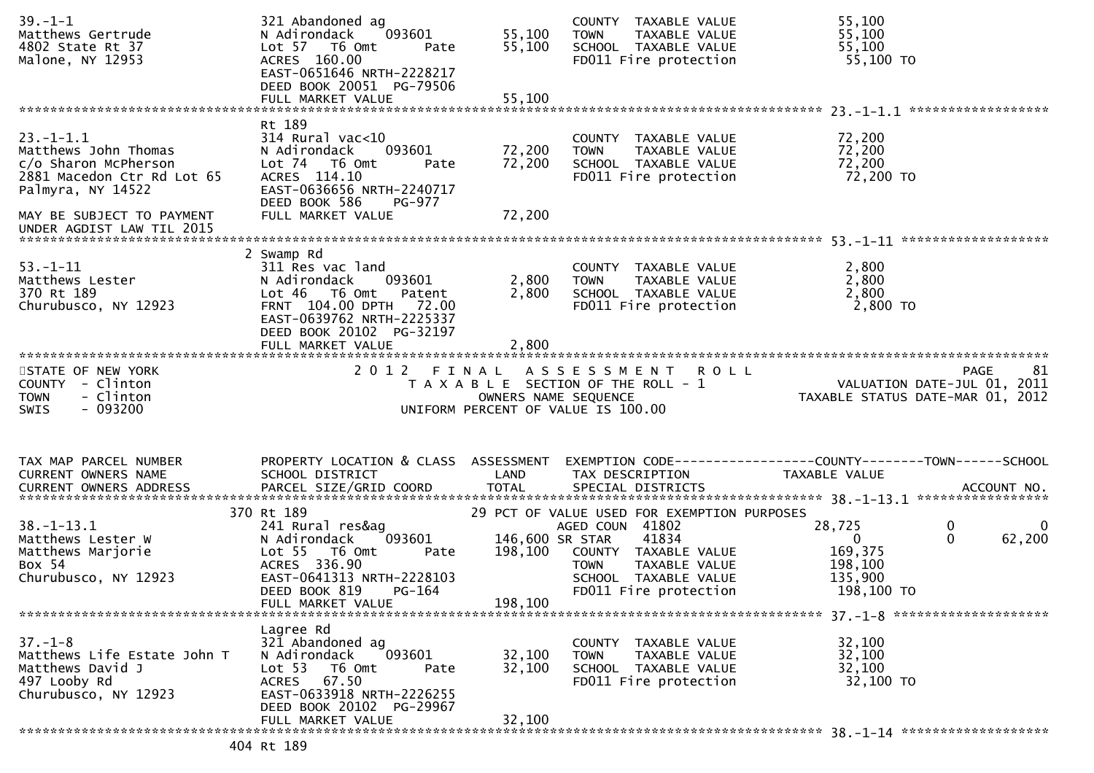| $39. - 1 - 1$<br>Matthews Gertrude<br>4802 State Rt 37<br>Malone, NY 12953                                                                     | 321 Abandoned ag<br>093601<br>N Adirondack<br>Lot 57 T6 Omt<br>Pate<br>ACRES 160.00<br>EAST-0651646 NRTH-2228217<br>DEED BOOK 20051 PG-79506                                   | 55,100<br>55,100                      | COUNTY TAXABLE VALUE<br>TAXABLE VALUE<br><b>TOWN</b><br>SCHOOL TAXABLE VALUE<br>FD011 Fire protection                             | 55,100<br>55,100<br>55,100<br>55,100 TO                           |                                           |
|------------------------------------------------------------------------------------------------------------------------------------------------|--------------------------------------------------------------------------------------------------------------------------------------------------------------------------------|---------------------------------------|-----------------------------------------------------------------------------------------------------------------------------------|-------------------------------------------------------------------|-------------------------------------------|
|                                                                                                                                                |                                                                                                                                                                                |                                       |                                                                                                                                   |                                                                   | ******************                        |
| $23 - 1 - 1.1$<br>Matthews John Thomas<br>c/o Sharon McPherson<br>2881 Macedon Ctr Rd Lot 65<br>Palmyra, NY 14522<br>MAY BE SUBJECT TO PAYMENT | Rt 189<br>314 Rural vac<10<br>N Adirondack<br>093601<br>Lot 74 T6 Omt<br>Pate<br>ACRES 114.10<br>EAST-0636656 NRTH-2240717<br>DEED BOOK 586<br>PG-977<br>FULL MARKET VALUE     | 72,200<br>72,200<br>72,200            | COUNTY TAXABLE VALUE<br>TAXABLE VALUE<br><b>TOWN</b><br>SCHOOL TAXABLE VALUE<br>FD011 Fire protection                             | 72,200<br>72,200<br>72,200<br>72,200 TO                           |                                           |
| UNDER AGDIST LAW TIL 2015                                                                                                                      |                                                                                                                                                                                |                                       |                                                                                                                                   |                                                                   |                                           |
|                                                                                                                                                |                                                                                                                                                                                |                                       |                                                                                                                                   |                                                                   |                                           |
| $53 - 1 - 11$<br>Matthews Lester<br>370 Rt 189<br>Churubusco, NY 12923                                                                         | 2 Swamp Rd<br>311 Res vac land<br>093601<br>N Adirondack<br>$Lot 46$ T6 Omt<br>Patent<br>FRNT 104.00 DPTH 72.00<br>EAST-0639762 NRTH-2225337<br>DEED BOOK 20102 PG-32197       | 2,800<br>2,800                        | COUNTY TAXABLE VALUE<br>TAXABLE VALUE<br><b>TOWN</b><br>SCHOOL TAXABLE VALUE<br>FD011 Fire protection                             | 2,800<br>2,800<br>2,800<br>2,800 TO                               |                                           |
|                                                                                                                                                | FULL MARKET VALUE                                                                                                                                                              | 2,800                                 |                                                                                                                                   |                                                                   |                                           |
| STATE OF NEW YORK<br>COUNTY - Clinton<br>- Clinton<br><b>TOWN</b><br>- 093200<br>SWIS                                                          | 2012 FINAL                                                                                                                                                                     | OWNERS NAME SEQUENCE                  | A S S E S S M E N T R O L L<br>T A X A B L E SECTION OF THE ROLL - 1<br>UNIFORM PERCENT OF VALUE IS 100.00                        | TAXABLE STATUS DATE-MAR 01, 2012                                  | 81<br>PAGE<br>VALUATION DATE-JUL 01, 2011 |
| TAX MAP PARCEL NUMBER<br>CURRENT OWNERS NAME                                                                                                   | PROPERTY LOCATION & CLASS ASSESSMENT<br>SCHOOL DISTRICT                                                                                                                        | LAND                                  | EXEMPTION CODE------------------COUNTY--------TOWN------SCHOOL<br>TAX DESCRIPTION                                                 | TAXABLE VALUE                                                     |                                           |
|                                                                                                                                                | 370 Rt 189                                                                                                                                                                     |                                       | 29 PCT OF VALUE USED FOR EXEMPTION PURPOSES                                                                                       |                                                                   |                                           |
| $38. - 1 - 13.1$<br>Matthews Lester W<br>Matthews Marjorie<br>Box 54<br>Churubusco, NY 12923                                                   | 241 Rural res&ag<br>093601<br>N Adirondack<br>Lot <sub>55</sub><br>T6 Omt<br>Pate<br>ACRES 336.90<br>EAST-0641313 NRTH-2228103<br>DEED BOOK 819<br>PG-164<br>FULL MARKET VALUE | 146,600 SR STAR<br>198,100<br>198,100 | AGED COUN 41802<br>41834<br>COUNTY TAXABLE VALUE<br>TAXABLE VALUE<br><b>TOWN</b><br>SCHOOL TAXABLE VALUE<br>FD011 Fire protection | 28,725<br>$\Omega$<br>169,375<br>198,100<br>135,900<br>198,100 TO | 0<br>$\mathbf{0}$<br>$\Omega$<br>62,200   |
|                                                                                                                                                |                                                                                                                                                                                |                                       |                                                                                                                                   |                                                                   |                                           |
| $37. - 1 - 8$<br>Matthews Life Estate John T<br>Matthews David J<br>497 Looby Rd<br>Churubusco, NY 12923                                       | Lagree Rd<br>321 Abandoned ag<br>093601<br>N Adirondack<br>Lot 53<br>T6 Omt<br>Pate<br>ACRES 67.50<br>EAST-0633918 NRTH-2226255                                                | 32,100<br>32,100                      | COUNTY TAXABLE VALUE<br><b>TOWN</b><br>TAXABLE VALUE<br>SCHOOL TAXABLE VALUE<br>FD011 Fire protection                             | 32,100<br>32,100<br>32,100<br>32,100 TO                           |                                           |
|                                                                                                                                                | DEED BOOK 20102 PG-29967                                                                                                                                                       |                                       |                                                                                                                                   |                                                                   |                                           |
|                                                                                                                                                | FULL MARKET VALUE                                                                                                                                                              | 32,100                                |                                                                                                                                   |                                                                   |                                           |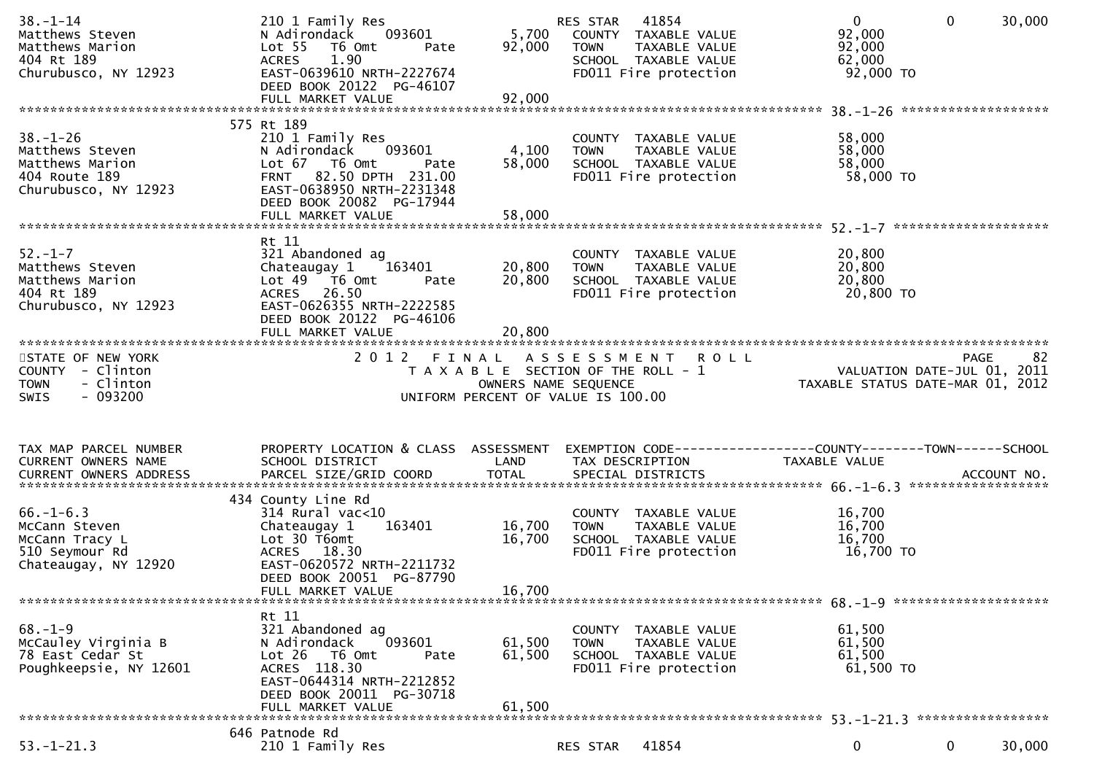| $38. - 1 - 14$<br>Matthews Steven<br>Matthews Marion<br>404 Rt 189<br>Churubusco, NY 12923    | 210 1 Family Res<br>093601<br>N Adirondack<br>Lot <sub>55</sub><br>T6 Omt<br>Pate<br><b>ACRES</b><br>1.90<br>EAST-0639610 NRTH-2227674<br>DEED BOOK 20122 PG-46107         | 92,000                     | RES STAR 41854<br>5,700 COUNTY TAXABLE VALUE<br><b>TOWN</b><br>TAXABLE VALUE<br>SCHOOL TAXABLE VALUE<br>FD011 Fire protection     | $\mathbf 0$<br>$\mathbf{0}$<br>92,000<br>92,000<br>62,000<br>92,000 TO                                            | 30,000 |
|-----------------------------------------------------------------------------------------------|----------------------------------------------------------------------------------------------------------------------------------------------------------------------------|----------------------------|-----------------------------------------------------------------------------------------------------------------------------------|-------------------------------------------------------------------------------------------------------------------|--------|
|                                                                                               | 575 Rt 189                                                                                                                                                                 |                            |                                                                                                                                   |                                                                                                                   |        |
| $38. - 1 - 26$<br>Matthews Steven<br>Matthews Marion<br>404 Route 189<br>Churubusco, NY 12923 | 210 1 Family Res<br>N Adirondack<br>093601<br>Lot 67 T6 Omt<br>Pate<br>FRNT 82.50 DPTH 231.00<br>EAST-0638950 NRTH-2231348<br>DEED BOOK 20082 PG-17944                     | 4,100<br>58,000            | COUNTY TAXABLE VALUE<br>TAXABLE VALUE<br>TOWN<br>SCHOOL TAXABLE VALUE<br>FD011 Fire protection                                    | 58,000<br>58,000<br>58,000<br>58,000 TO                                                                           |        |
|                                                                                               | Rt 11                                                                                                                                                                      |                            |                                                                                                                                   |                                                                                                                   |        |
| $52 - 1 - 7$<br>Matthews Steven<br>Matthews Marion<br>404 Rt 189<br>Churubusco, NY 12923      | 321 Abandoned ag<br>Chateaugay 1<br>163401<br>Lot 49  T6 0mt<br>Pate<br>ACRES 26.50<br>EAST-0626355 NRTH-2222585<br>DEED BOOK 20122 PG-46106                               | 20,800<br>20,800           | COUNTY TAXABLE VALUE<br><b>TOWN</b><br>TAXABLE VALUE<br>SCHOOL TAXABLE VALUE<br>FD011 Fire protection                             | 20,800<br>20,800<br>20,800<br>20,800 TO                                                                           |        |
|                                                                                               | FULL MARKET VALUE                                                                                                                                                          | 20,800                     |                                                                                                                                   |                                                                                                                   |        |
| STATE OF NEW YORK<br>COUNTY - Clinton<br>- Clinton<br><b>TOWN</b><br>$-093200$<br>SWIS        |                                                                                                                                                                            | OWNERS NAME SEQUENCE       | 2012 FINAL ASSESSMENT ROLL<br>T A X A B L E SECTION OF THE ROLL - 1<br>OWNERS NAME SEOUENCE<br>UNIFORM PERCENT OF VALUE IS 100.00 | <b>PAGE</b><br>oz<br>11, 2011 VALUATION DATE-JUL<br>101, 2012 TAXABLE STATUS DATE-MAR                             | 82     |
|                                                                                               |                                                                                                                                                                            |                            |                                                                                                                                   |                                                                                                                   |        |
| TAX MAP PARCEL NUMBER<br>CURRENT OWNERS NAME                                                  | SCHOOL DISTRICT                                                                                                                                                            | LAND                       | TAX DESCRIPTION                                                                                                                   | PROPERTY LOCATION & CLASS ASSESSMENT EXEMPTION CODE----------------COUNTY-------TOWN------SCHOOL<br>TAXABLE VALUE |        |
|                                                                                               | 434 County Line Rd                                                                                                                                                         |                            |                                                                                                                                   |                                                                                                                   |        |
| $66. - 1 - 6.3$<br>McCann Steven<br>McCann Tracy L<br>510 Seymour Rd<br>Chateaugay, NY 12920  | $314$ Rural vac<10<br>163401<br>Chateaugay 1<br>Lot 30 T6omt<br>ACRES 18.30<br>EAST-0620572 NRTH-2211732<br>DEED BOOK 20051 PG-87790                                       | 16,700<br>16,700           | COUNTY TAXABLE VALUE<br>TAXABLE VALUE<br><b>TOWN</b><br>SCHOOL TAXABLE VALUE<br>FD011 Fire protection                             | 16,700<br>16,700<br>16,700<br>16,700 TO                                                                           |        |
|                                                                                               | FULL MARKET VALUE                                                                                                                                                          | 16,700                     |                                                                                                                                   |                                                                                                                   |        |
| $68. - 1 - 9$<br>McCauley Virginia B<br>78 East Cedar St<br>Poughkeepsie, NY 12601            | Rt 11<br>321 Abandoned ag<br>093601<br>N Adirondack<br>Lot 26 T6 Omt<br>Pate<br>ACRES 118.30<br>EAST-0644314 NRTH-2212852<br>DEED BOOK 20011 PG-30718<br>FULL MARKET VALUE | 61,500<br>61,500<br>61,500 | COUNTY TAXABLE VALUE<br><b>TOWN</b><br>TAXABLE VALUE<br>SCHOOL TAXABLE VALUE<br>FD011 Fire protection                             | 61,500<br>61,500<br>61,500<br>61,500 TO                                                                           |        |
|                                                                                               | 646 Patnode Rd                                                                                                                                                             |                            |                                                                                                                                   |                                                                                                                   |        |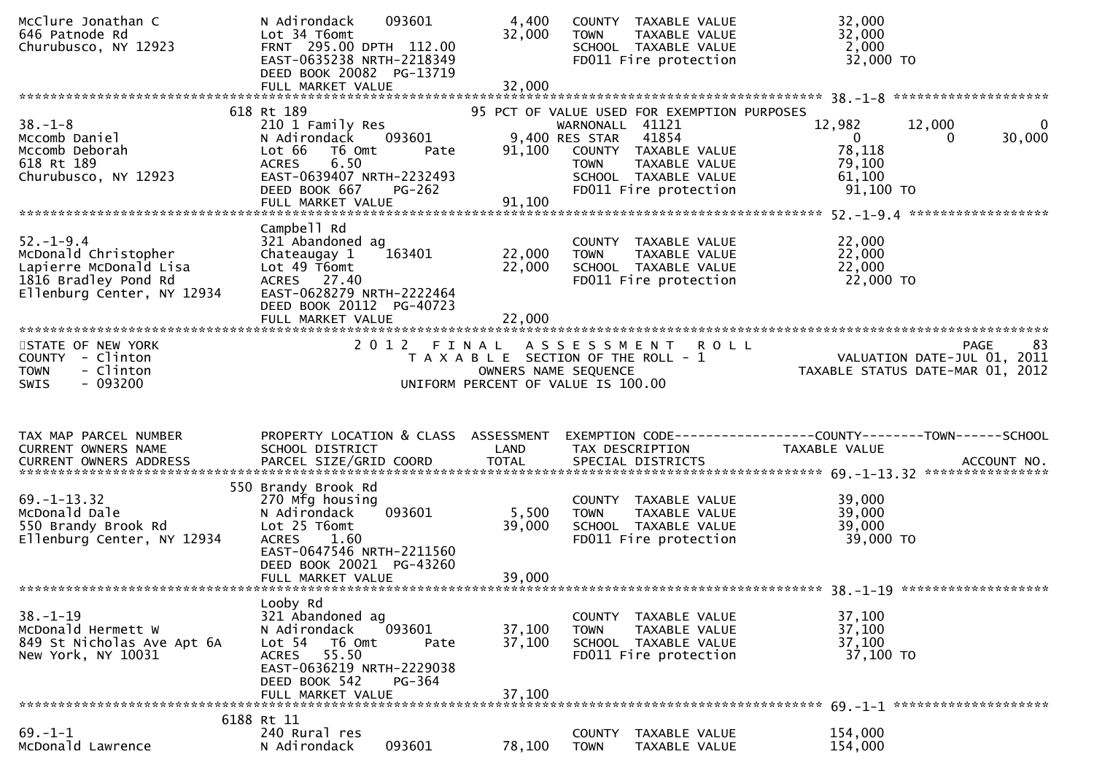| 646 Patnode Rd<br>Churubusco, NY 12923                            | 093601<br>N Adirondack<br>Lot 34 T6omt<br>FRNT 295.00 DPTH 112.00<br>EAST-0635238 NRTH-2218349<br>DEED BOOK 20082 PG-13719<br>FULL MARKET VALUE | 4,400<br>32,000<br>32,000 | COUNTY TAXABLE VALUE<br>TAXABLE VALUE<br><b>TOWN</b><br>SCHOOL TAXABLE VALUE<br>FD011 Fire protection | 32,000<br>32,000<br>2,000<br>32,000 TO                          |                   |
|-------------------------------------------------------------------|-------------------------------------------------------------------------------------------------------------------------------------------------|---------------------------|-------------------------------------------------------------------------------------------------------|-----------------------------------------------------------------|-------------------|
|                                                                   |                                                                                                                                                 |                           |                                                                                                       |                                                                 |                   |
|                                                                   | 618 Rt 189                                                                                                                                      |                           | 95 PCT OF VALUE USED FOR EXEMPTION PURPOSES                                                           |                                                                 |                   |
| $38. - 1 - 8$<br>Mccomb Daniel                                    | 210 1 Family Res<br>093601<br>N Adirondack                                                                                                      |                           | WARNONALL 41121<br>9,400 RES STAR<br>41854                                                            | 12,982<br>12,000<br>$\overline{0}$<br>$\Omega$                  | 0<br>30,000       |
| Mccomb Deborah<br>618 Rt 189                                      | Lot 66<br>T6 Omt<br>Pate<br>6.50<br><b>ACRES</b>                                                                                                | 91,100                    | COUNTY TAXABLE VALUE<br>TAXABLE VALUE<br><b>TOWN</b>                                                  | 78,118<br>79,100                                                |                   |
| Churubusco, NY 12923                                              | EAST-0639407 NRTH-2232493<br>DEED BOOK 667<br><b>PG-262</b>                                                                                     |                           | SCHOOL TAXABLE VALUE<br>FD011 Fire protection                                                         | 61,100<br>$91,100$ TO                                           |                   |
|                                                                   | FULL MARKET VALUE                                                                                                                               | 91,100                    |                                                                                                       |                                                                 |                   |
|                                                                   | Campbell Rd                                                                                                                                     |                           |                                                                                                       |                                                                 |                   |
| $52. - 1 - 9.4$<br>McDonald Christopher                           | 321 Abandoned ag<br>Chateaugay 1<br>163401                                                                                                      | 22,000                    | COUNTY TAXABLE VALUE<br>TAXABLE VALUE<br>TOWN                                                         | 22,000<br>22,000                                                |                   |
| Lapierre McDonald Lisa                                            | Lot 49 T6omt                                                                                                                                    | 22,000                    | SCHOOL TAXABLE VALUE                                                                                  | 22,000                                                          |                   |
| 1816 Bradley Pond Rd                                              | ACRES 27.40                                                                                                                                     |                           | FD011 Fire protection                                                                                 | 22,000 TO                                                       |                   |
| Ellenburg Center, NY 12934                                        | EAST-0628279 NRTH-2222464                                                                                                                       |                           |                                                                                                       |                                                                 |                   |
|                                                                   | DEED BOOK 20112 PG-40723                                                                                                                        |                           |                                                                                                       |                                                                 |                   |
|                                                                   |                                                                                                                                                 |                           |                                                                                                       |                                                                 |                   |
| STATE OF NEW YORK<br>COUNTY - Clinton<br>- Clinton<br><b>TOWN</b> | 2012 FINAL                                                                                                                                      |                           | ASSESSMENT ROLL<br>T A X A B L E SECTION OF THE ROLL - 1                                              | VALUATION DATE-JUL 01, 2011<br>TAXABLE STATUS DATE-MAR 01, 2012 | 83<br><b>PAGE</b> |
| $-093200$<br><b>SWIS</b>                                          |                                                                                                                                                 | OWNERS NAME SEQUENCE      | UNIFORM PERCENT OF VALUE IS 100.00                                                                    |                                                                 |                   |
|                                                                   |                                                                                                                                                 |                           |                                                                                                       |                                                                 |                   |
| TAX MAP PARCEL NUMBER                                             |                                                                                                                                                 |                           |                                                                                                       |                                                                 |                   |
| CURRENT OWNERS NAME                                               | PROPERTY LOCATION & CLASS ASSESSMENT<br>SCHOOL DISTRICT                                                                                         | LAND                      | TAX DESCRIPTION                                                                                       | TAXABLE VALUE                                                   |                   |
|                                                                   |                                                                                                                                                 |                           |                                                                                                       |                                                                 |                   |
|                                                                   | 550 Brandy Brook Rd                                                                                                                             |                           |                                                                                                       |                                                                 |                   |
| $69. - 1 - 13.32$<br>McDonald Dale                                | 270 Mfg housing<br>093601<br>N Adirondack                                                                                                       |                           | COUNTY TAXABLE VALUE<br><b>TOWN</b><br>TAXABLE VALUE                                                  | 39,000<br>39,000                                                |                   |
| 550 Brandy Brook Rd                                               | Lot 25 T6omt                                                                                                                                    | 5,500<br>39,000           | SCHOOL TAXABLE VALUE                                                                                  | 39,000                                                          |                   |
| Ellenburg Center, NY 12934                                        | <b>ACRES</b><br>1.60<br>EAST-0647546 NRTH-2211560<br>DEED BOOK 20021 PG-43260                                                                   |                           | FD011 Fire protection                                                                                 | 39,000 TO                                                       |                   |
|                                                                   | FULL MARKET VALUE                                                                                                                               | 39,000                    |                                                                                                       |                                                                 |                   |
|                                                                   |                                                                                                                                                 |                           |                                                                                                       |                                                                 |                   |
|                                                                   | Looby Rd                                                                                                                                        |                           |                                                                                                       |                                                                 |                   |
| $38. - 1 - 19$                                                    | 321 Abandoned ag<br>093601                                                                                                                      | 37,100                    | <b>COUNTY</b><br>TAXABLE VALUE<br><b>TOWN</b>                                                         | 37,100                                                          |                   |
| McDonald Hermett W<br>849 St Nicholas Ave Apt 6A                  | N Adirondack<br>Lot 54<br>T6 Omt<br>Pate                                                                                                        | 37,100                    | TAXABLE VALUE<br>SCHOOL TAXABLE VALUE                                                                 | 37,100<br>37,100                                                |                   |
| New York, NY 10031                                                | 55.50<br><b>ACRES</b><br>EAST-0636219 NRTH-2229038                                                                                              |                           | FD011 Fire protection                                                                                 | 37,100 TO                                                       |                   |
|                                                                   | DEED BOOK 542<br>PG-364                                                                                                                         |                           |                                                                                                       |                                                                 |                   |
|                                                                   | FULL MARKET VALUE                                                                                                                               | 37,100                    |                                                                                                       |                                                                 |                   |
| $69. - 1 - 1$                                                     | 6188 Rt 11<br>240 Rural res                                                                                                                     |                           | TAXABLE VALUE<br><b>COUNTY</b>                                                                        | 154,000                                                         |                   |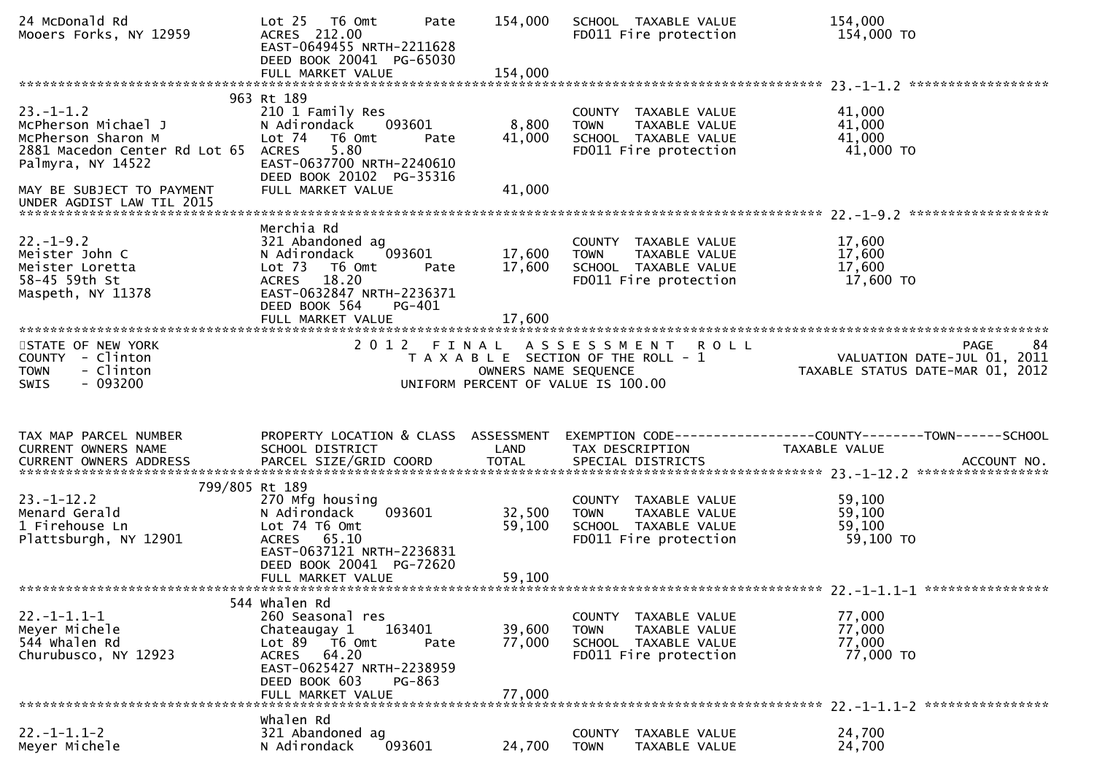| 24 McDonald Rd<br>Mooers Forks, NY 12959                                                                                 | Lot 25 76 0mt<br>Pate<br>ACRES 212.00<br>EAST-0649455 NRTH-2211628<br>DEED BOOK 20041 PG-65030<br>FULL MARKET VALUE                                                                           | 154,000<br>154,000         | SCHOOL TAXABLE VALUE<br>FD011 Fire protection                                                                   | 154,000<br>154,000 TO                                                                |
|--------------------------------------------------------------------------------------------------------------------------|-----------------------------------------------------------------------------------------------------------------------------------------------------------------------------------------------|----------------------------|-----------------------------------------------------------------------------------------------------------------|--------------------------------------------------------------------------------------|
|                                                                                                                          |                                                                                                                                                                                               |                            |                                                                                                                 |                                                                                      |
| $23. - 1 - 1.2$<br>McPherson Michael J<br>McPherson Sharon M<br>2881 Macedon Center Rd Lot 65 ACRES<br>Palmyra, NY 14522 | 963 Rt 189<br>210 1 Family Res<br>093601<br>N Adirondack<br>Lot 74<br>T6 Omt<br>Pate<br>5.80<br>EAST-0637700 NRTH-2240610<br>DEED BOOK 20102 PG-35316                                         | 8,800<br>41,000            | COUNTY TAXABLE VALUE<br><b>TOWN</b><br>TAXABLE VALUE<br>SCHOOL TAXABLE VALUE<br>FD011 Fire protection           | 41,000<br>41,000<br>41,000<br>41,000 TO                                              |
| MAY BE SUBJECT TO PAYMENT                                                                                                | FULL MARKET VALUE                                                                                                                                                                             | 41,000                     |                                                                                                                 |                                                                                      |
| UNDER AGDIST LAW TIL 2015                                                                                                |                                                                                                                                                                                               |                            |                                                                                                                 |                                                                                      |
| $22. - 1 - 9.2$<br>Meister John C<br>Meister Loretta<br>58-45 59th St<br>Maspeth, NY 11378                               | Merchia Rd<br>321 Abandoned ag<br>N Adirondack<br>093601<br>Lot 73 T6 Omt<br>Pate<br>18.20<br><b>ACRES</b><br>EAST-0632847 NRTH-2236371<br>DEED BOOK 564<br>PG-401                            | 17,600<br>17,600           | COUNTY TAXABLE VALUE<br>TAXABLE VALUE<br><b>TOWN</b><br>SCHOOL TAXABLE VALUE<br>FD011 Fire protection           | 17,600<br>17,600<br>17,600<br>17,600 TO                                              |
|                                                                                                                          | FULL MARKET VALUE                                                                                                                                                                             | 17,600                     |                                                                                                                 |                                                                                      |
| STATE OF NEW YORK<br>COUNTY - Clinton<br>- Clinton<br><b>TOWN</b><br>- 093200<br><b>SWIS</b>                             |                                                                                                                                                                                               | OWNERS NAME SEQUENCE       | 2012 FINAL ASSESSMENT ROLL<br>T A X A B L E SECTION OF THE ROLL - 1<br>UNIFORM PERCENT OF VALUE IS 100.00       | <b>PAGE</b><br>84<br>VALUATION DATE-JUL 01, 2011<br>TAXABLE STATUS DATE-MAR 01, 2012 |
| TAX MAP PARCEL NUMBER<br>CURRENT OWNERS NAME                                                                             | PROPERTY LOCATION & CLASS ASSESSMENT<br>SCHOOL DISTRICT                                                                                                                                       | LAND                       | TAX DESCRIPTION                                                                                                 | EXEMPTION CODE------------------COUNTY--------TOWN------SCHOOL<br>TAXABLE VALUE      |
| 799/805 Rt 189                                                                                                           |                                                                                                                                                                                               |                            |                                                                                                                 |                                                                                      |
| $23. - 1 - 12.2$<br>Menard Gerald<br>1 Firehouse Ln<br>Plattsburgh, NY 12901                                             | 270 Mfg housing<br>093601<br>N Adirondack<br>Lot 74 T6 Omt<br>ACRES 65.10<br>EAST-0637121 NRTH-2236831<br>DEED BOOK 20041 PG-72620<br>FULL MARKET VALUE                                       | 32,500<br>59,100<br>59,100 | COUNTY TAXABLE VALUE<br>TAXABLE VALUE<br><b>TOWN</b><br>SCHOOL TAXABLE VALUE<br>FD011 Fire protection           | 59,100<br>59,100<br>59,100<br>59,100 TO                                              |
|                                                                                                                          |                                                                                                                                                                                               |                            |                                                                                                                 |                                                                                      |
| $22. -1 - 1.1 - 1$<br>Meyer Michele<br>544 whalen Rd<br>Churubusco, NY 12923                                             | 544 Whalen Rd<br>260 Seasonal res<br>163401<br>Chateaugay 1<br>Lot 89<br>T6 Omt<br>Pate<br>64.20<br><b>ACRES</b><br>EAST-0625427 NRTH-2238959<br>DEED BOOK 603<br>PG-863<br>FULL MARKET VALUE | 39,600<br>77,000<br>77,000 | <b>COUNTY</b><br>TAXABLE VALUE<br>TAXABLE VALUE<br><b>TOWN</b><br>SCHOOL TAXABLE VALUE<br>FD011 Fire protection | 77,000<br>77,000<br>77,000<br>77,000 TO                                              |
| *******************************                                                                                          |                                                                                                                                                                                               |                            |                                                                                                                 |                                                                                      |
|                                                                                                                          |                                                                                                                                                                                               |                            |                                                                                                                 | 22. -1-1.1-2 *****************                                                       |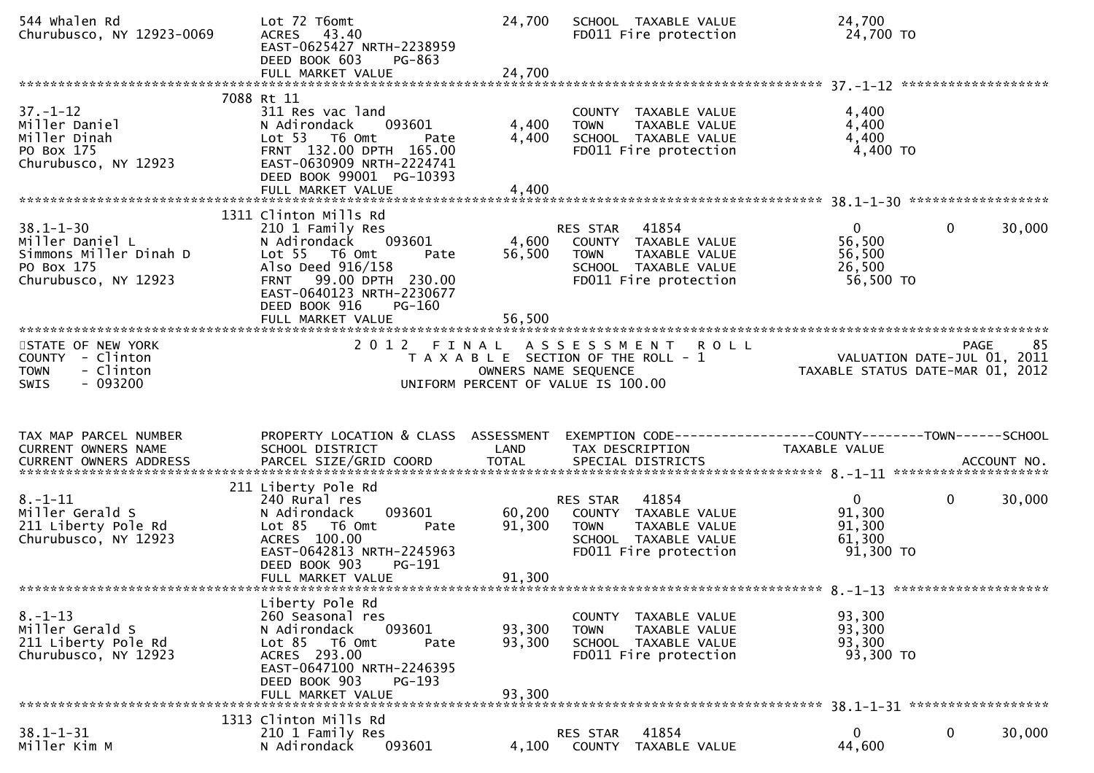| 544 Whalen Rd<br>Churubusco, NY 12923-0069                                                         | Lot 72 T6omt<br>ACRES 43.40<br>EAST-0625427 NRTH-2238959<br>DEED BOOK 603<br>PG-863<br>FULL MARKET VALUE                                                                                            | 24,700<br>24,700           | SCHOOL TAXABLE VALUE<br>FD011 Fire protection                                                                                     | 24,700<br>24,700 TO                                                |                        |
|----------------------------------------------------------------------------------------------------|-----------------------------------------------------------------------------------------------------------------------------------------------------------------------------------------------------|----------------------------|-----------------------------------------------------------------------------------------------------------------------------------|--------------------------------------------------------------------|------------------------|
|                                                                                                    |                                                                                                                                                                                                     |                            |                                                                                                                                   |                                                                    |                        |
| $37. - 1 - 12$<br>Miller Daniel<br>Miller Dinah<br>PO Box 175<br>Churubusco, NY 12923              | 7088 Rt 11<br>311 Res vac land<br>093601<br>N Adirondack<br>Lot 53 T6 Omt<br>Pate<br>FRNT 132.00 DPTH 165.00<br>EAST-0630909 NRTH-2224741<br>DEED BOOK 99001 PG-10393                               | 4,400<br>4,400             | COUNTY TAXABLE VALUE<br><b>TOWN</b><br>TAXABLE VALUE<br>SCHOOL TAXABLE VALUE<br>FD011 Fire protection                             | 4,400<br>4,400<br>4,400<br>4,400 TO                                |                        |
|                                                                                                    |                                                                                                                                                                                                     |                            |                                                                                                                                   |                                                                    |                        |
|                                                                                                    |                                                                                                                                                                                                     |                            |                                                                                                                                   |                                                                    |                        |
| $38.1 - 1 - 30$<br>Miller Daniel L<br>Simmons Miller Dinah D<br>PO Box 175<br>Churubusco, NY 12923 | 1311 Clinton Mills Rd<br>210 1 Family Res<br>N Adirondack<br>093601<br>Lot 55 T6 Omt<br>Pate<br>Also Deed 916/158<br>FRNT 99.00 DPTH 230.00<br>EAST-0640123 NRTH-2230677<br>DEED BOOK 916<br>PG-160 | 4,600<br>56,500            | RES STAR 41854<br>COUNTY TAXABLE VALUE<br><b>TOWN</b><br>TAXABLE VALUE<br>SCHOOL TAXABLE VALUE<br>FD011 Fire protection           | $\mathbf{0}$<br>56,500<br>56,500<br>26,500<br>56,500 TO            | $\mathbf{0}$<br>30,000 |
|                                                                                                    |                                                                                                                                                                                                     |                            |                                                                                                                                   |                                                                    |                        |
| STATE OF NEW YORK<br>COUNTY - Clinton<br>- Clinton<br><b>TOWN</b><br>$-093200$<br><b>SWIS</b>      |                                                                                                                                                                                                     |                            | 2012 FINAL ASSESSMENT ROLL<br>T A X A B L E SECTION OF THE ROLL - 1<br>OWNERS NAME SEQUENCE<br>UNIFORM PERCENT OF VALUE IS 100.00 | VALUATION DATE-JUL $01$ , 2011<br>TAXABLE STATUS DATE-MAR 01, 2012 | 85<br>PAGE             |
| TAX MAP PARCEL NUMBER<br>CURRENT OWNERS NAME                                                       | PROPERTY LOCATION & CLASS ASSESSMENT<br>SCHOOL DISTRICT                                                                                                                                             | LAND                       | EXEMPTION CODE------------------COUNTY--------TOWN------SCHOOL<br>TAX DESCRIPTION                                                 | TAXABLE VALUE                                                      |                        |
|                                                                                                    | 211 Liberty Pole Rd                                                                                                                                                                                 |                            |                                                                                                                                   |                                                                    |                        |
| $8. - 1 - 11$<br>Miller Gerald S<br>211 Liberty Pole Rd<br>Churubusco, NY 12923                    | 240 Rural res<br>N Adirondack<br>093601<br>Lot 85 T6 Omt<br>Pate<br>ACRES 100.00<br>EAST-0642813 NRTH-2245963<br>DEED BOOK 903<br>PG-191<br>FULL MARKET VALUE                                       | 60,200<br>91,300<br>91,300 | 41854<br>RES STAR<br>COUNTY TAXABLE VALUE<br><b>TOWN</b><br>TAXABLE VALUE<br>SCHOOL TAXABLE VALUE<br>FD011 Fire protection        | $\mathbf{0}$<br>91,300<br>91,300<br>61,300<br>$91,300$ TO          | $\mathbf{0}$<br>30,000 |
|                                                                                                    |                                                                                                                                                                                                     |                            |                                                                                                                                   |                                                                    |                        |
| $8. - 1 - 13$<br>Miller Gerald S<br>211 Liberty Pole Rd<br>Churubusco, NY 12923                    | Liberty Pole Rd<br>260 Seasonal res<br>093601<br>N Adirondack<br>Lot 85 T6 Omt<br>Pate<br>ACRES 293.00<br>EAST-0647100 NRTH-2246395<br>DEED BOOK 903<br>$PG-193$<br>FULL MARKET VALUE               | 93,300<br>93,300<br>93,300 | COUNTY TAXABLE VALUE<br><b>TOWN</b><br>TAXABLE VALUE<br>SCHOOL TAXABLE VALUE<br>FD011 Fire protection                             | 93,300<br>93,300<br>93,300<br>93,300 TO                            |                        |
|                                                                                                    |                                                                                                                                                                                                     |                            |                                                                                                                                   |                                                                    |                        |
| $38.1 - 1 - 31$<br>Miller Kim M                                                                    | 1313 Clinton Mills Rd<br>210 1 Family Res<br>093601<br>N Adirondack                                                                                                                                 | 4,100                      | RES STAR<br>41854<br>COUNTY<br>TAXABLE VALUE                                                                                      | $\mathbf{0}$<br>44,600                                             | $\mathbf 0$<br>30,000  |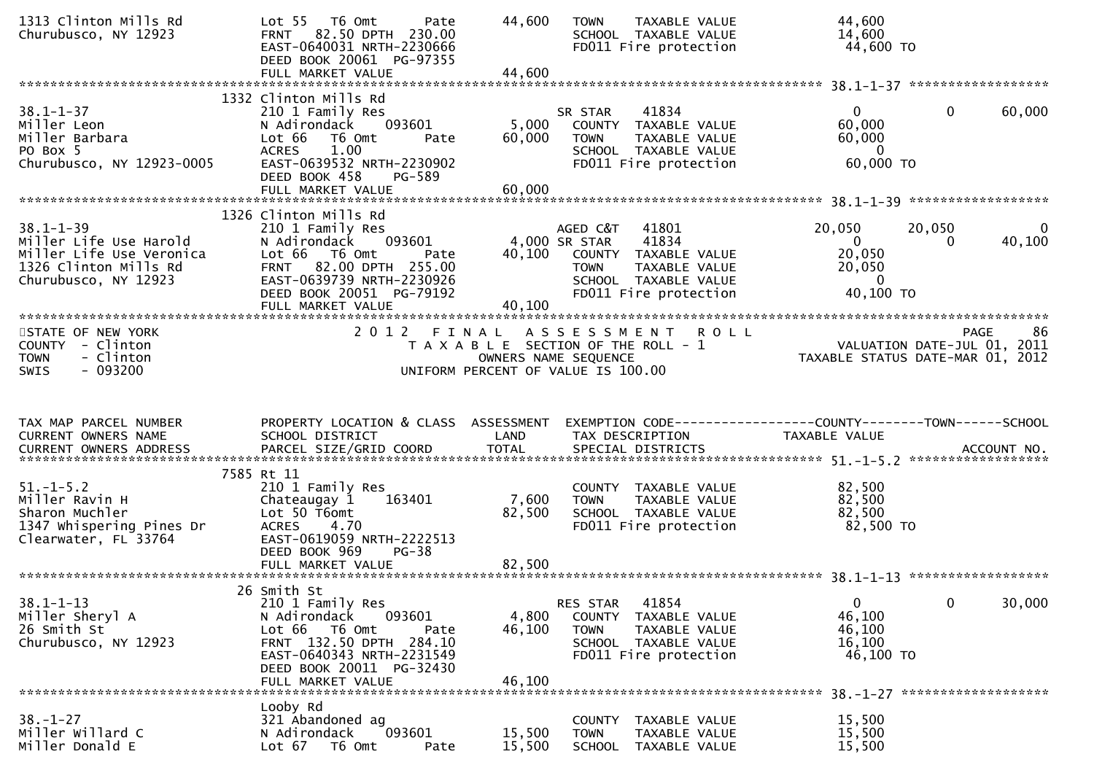| 1313 Clinton Mills Rd<br>Churubusco, NY 12923                                                                          | Lot <sub>55</sub><br>T6 Omt<br>Pate<br>82.50 DPTH 230.00<br><b>FRNT</b><br>EAST-0640031 NRTH-2230666<br>DEED BOOK 20061 PG-97355<br>FULL MARKET VALUE                                                          | 44,600<br><b>TOWN</b><br><b>TAXABLE VALUE</b><br>SCHOOL TAXABLE VALUE<br>FD011 Fire protection<br>44,600                                                                 | 44,600<br>14,600<br>44,600 TO                                                                                        |
|------------------------------------------------------------------------------------------------------------------------|----------------------------------------------------------------------------------------------------------------------------------------------------------------------------------------------------------------|--------------------------------------------------------------------------------------------------------------------------------------------------------------------------|----------------------------------------------------------------------------------------------------------------------|
| $38.1 - 1 - 37$<br>Miller Leon<br>Miller Barbara<br>PO Box 5<br>Churubusco, NY 12923-0005                              | 1332 Clinton Mills Rd<br>210 1 Family Res<br>093601<br>N Adirondack<br>Lot 66<br>T6 Omt<br>Pate<br>1.00<br><b>ACRES</b><br>EAST-0639532 NRTH-2230902<br>DEED BOOK 458<br>PG-589<br>FULL MARKET VALUE           | SR STAR<br>41834<br>5,000<br>COUNTY TAXABLE VALUE<br>60,000<br>TAXABLE VALUE<br><b>TOWN</b><br>SCHOOL TAXABLE VALUE<br>FD011 Fire protection<br>60,000                   | $\mathbf{0}$<br>$\mathbf{0}$<br>60,000<br>60,000<br>60,000<br>$\Omega$<br>60,000 TO                                  |
| $38.1 - 1 - 39$<br>Miller Life Use Harold<br>Miller Life Use Veronica<br>1326 Clinton Mills Rd<br>Churubusco, NY 12923 | 1326 Clinton Mills Rd<br>210 1 Family Res<br>093601<br>N Adirondack<br>Lot 66 T6 Omt<br>Pate<br>82.00 DPTH 255.00<br><b>FRNT</b><br>EAST-0639739 NRTH-2230926<br>DEED BOOK 20051 PG-79192<br>FULL MARKET VALUE | AGED C&T<br>41801<br>4,000 SR STAR<br>41834<br>40,100<br>COUNTY TAXABLE VALUE<br><b>TOWN</b><br>TAXABLE VALUE<br>SCHOOL TAXABLE VALUE<br>FD011 Fire protection<br>40,100 | 20,050<br>20,050<br>$\Omega$<br>40,100<br>$\mathbf{0}$<br>$\Omega$<br>20,050<br>20,050<br>$\mathbf{0}$<br>40,100 TO  |
| STATE OF NEW YORK<br><b>COUNTY</b><br>- Clinton<br>- Clinton<br><b>TOWN</b><br>- 093200<br><b>SWIS</b>                 |                                                                                                                                                                                                                | 2012 FINAL ASSESSMENT ROLL<br>T A X A B L E SECTION OF THE ROLL - 1<br>OWNERS NAME SEQUENCE<br>UNIFORM PERCENT OF VALUE IS 100.00                                        | 86<br>PAGE<br>VALUATION DATE-JUL 01, 2011<br>TAXABLE STATUS DATE-MAR 01, 2012                                        |
| TAX MAP PARCEL NUMBER<br>CURRENT OWNERS NAME<br>CURRENT OWNERS ADDRESS                                                 | PROPERTY LOCATION & CLASS ASSESSMENT<br>SCHOOL DISTRICT                                                                                                                                                        | LAND<br>TAX DESCRIPTION                                                                                                                                                  | EXEMPTION CODE------------------COUNTY--------TOWN------SCHOOL<br>TAXABLE VALUE<br>ACCOUNT NO.<br>****************** |
| $51. - 1 - 5.2$<br>Miller Ravin H<br>Sharon Muchler<br>1347 Whispering Pines Dr<br>Clearwater, FL 33764                | 7585 Rt 11<br>210 1 Family Res<br>Chateaugay 1<br>163401<br>Lot 50 T6omt<br>4.70<br><b>ACRES</b><br>EAST-0619059 NRTH-2222513<br>DEED BOOK 969<br>$PG-38$<br>FULL MARKET VALUE                                 | COUNTY TAXABLE VALUE<br>7,600<br><b>TAXABLE VALUE</b><br><b>TOWN</b><br>82,500<br>SCHOOL TAXABLE VALUE<br>FD011 Fire protection<br>82,500                                | 82,500<br>82,500<br>82,500<br>82,500 TO                                                                              |
| $38.1 - 1 - 13$<br>Miller Sheryl A<br>26 Smith St<br>Churubusco, NY 12923                                              | 26 Smith St<br>210 1 Family Res<br>N Adirondack<br>093601<br>Lot 66<br>T6 Omt<br>Pate<br>FRNT 132.50 DPTH 284.10<br>EAST-0640343 NRTH-2231549                                                                  | 41854<br>RES STAR<br>4,800<br>COUNTY<br>TAXABLE VALUE<br>46,100<br><b>TOWN</b><br>TAXABLE VALUE<br>SCHOOL TAXABLE VALUE<br>FD011 Fire protection                         | $\mathbf 0$<br>30,000<br>$\mathbf{0}$<br>46,100<br>46,100<br>16,100<br>46,100 TO                                     |
|                                                                                                                        | DEED BOOK 20011 PG-32430<br>FULL MARKET VALUE                                                                                                                                                                  | 46,100                                                                                                                                                                   |                                                                                                                      |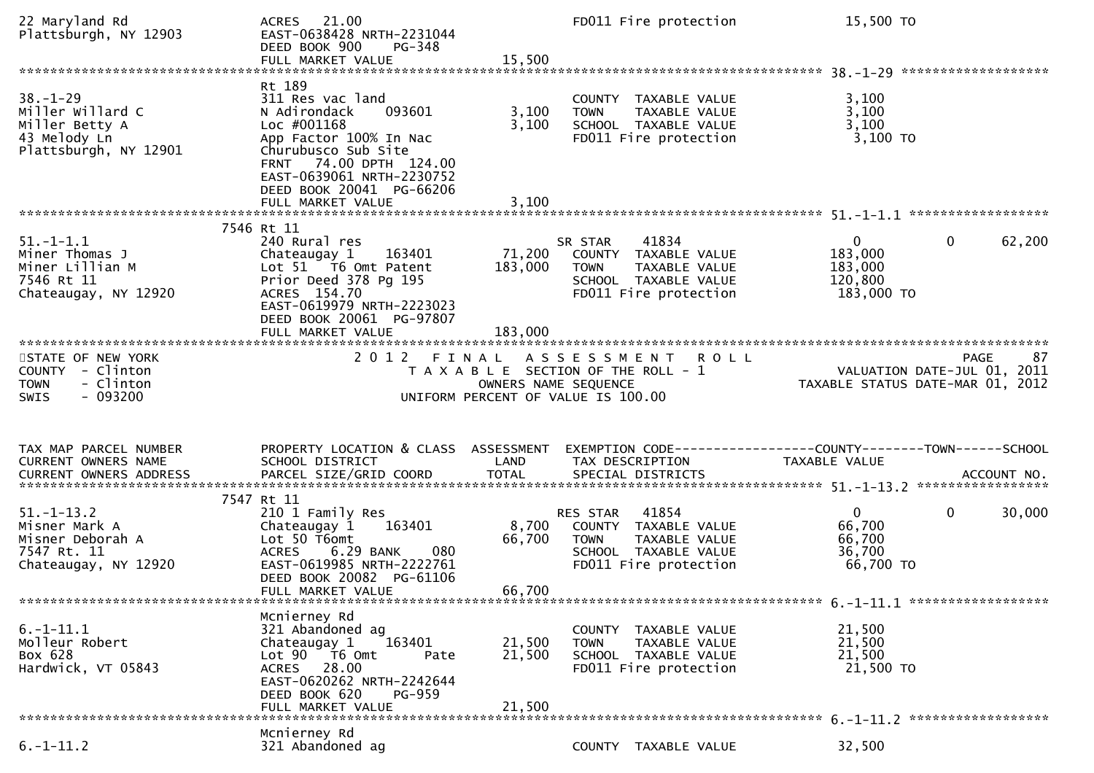| 22 Maryland Rd<br>Plattsburgh, NY 12903                                                       | ACRES 21.00<br>EAST-0638428 NRTH-2231044<br>DEED BOOK 900<br>PG-348<br>FULL MARKET VALUE                                                                                                                                     | 15,500                     | FD011 Fire protection                                                                                                      | 15,500 TO                                                       |                        |
|-----------------------------------------------------------------------------------------------|------------------------------------------------------------------------------------------------------------------------------------------------------------------------------------------------------------------------------|----------------------------|----------------------------------------------------------------------------------------------------------------------------|-----------------------------------------------------------------|------------------------|
| $38. - 1 - 29$<br>Miller Willard C<br>Miller Betty A<br>43 Melody Ln<br>Plattsburgh, NY 12901 | Rt 189<br>311 Res vac land<br>093601<br>N Adirondack<br>Loc #001168<br>App Factor 100% In Nac<br>Churubusco Sub Site<br>FRNT 74.00 DPTH 124.00<br>EAST-0639061 NRTH-2230752<br>DEED BOOK 20041 PG-66206<br>FULL MARKET VALUE | 3,100<br>3,100<br>3,100    | COUNTY TAXABLE VALUE<br>TAXABLE VALUE<br><b>TOWN</b><br>SCHOOL TAXABLE VALUE<br>FD011 Fire protection                      | 3,100<br>3,100<br>3,100<br>3,100 TO                             |                        |
|                                                                                               | 7546 Rt 11                                                                                                                                                                                                                   |                            |                                                                                                                            |                                                                 |                        |
| $51.-1-1.1$<br>Miner Thomas J<br>Miner Lillian M<br>7546 Rt 11<br>Chateaugay, NY 12920        | 240 Rural res<br>163401<br>Chateaugay 1<br>Lot 51 T6 Omt Patent<br>Prior Deed 378 Pg 195<br>ACRES 154.70<br>EAST-0619979 NRTH-2223023<br>DEED BOOK 20061 PG-97807                                                            | 71,200<br>183,000          | 41834<br>SR STAR<br>COUNTY TAXABLE VALUE<br><b>TOWN</b><br>TAXABLE VALUE<br>SCHOOL TAXABLE VALUE<br>FD011 Fire protection  | $\mathbf{0}$<br>183,000<br>183,000<br>120,800<br>183,000 TO     | $\mathbf{0}$<br>62,200 |
| STATE OF NEW YORK<br>COUNTY - Clinton<br>- Clinton<br><b>TOWN</b><br>$-093200$<br>SWIS        |                                                                                                                                                                                                                              | OWNERS NAME SEQUENCE       | 2012 FINAL ASSESSMENT<br><b>ROLL</b><br>T A X A B L E SECTION OF THE ROLL - 1<br>UNIFORM PERCENT OF VALUE IS 100.00        | VALUATION DATE-JUL 01, 2011<br>TAXABLE STATUS DATE-MAR 01, 2012 | 87<br><b>PAGE</b>      |
| TAX MAP PARCEL NUMBER<br>CURRENT OWNERS NAME                                                  | PROPERTY LOCATION & CLASS ASSESSMENT                                                                                                                                                                                         |                            | EXEMPTION CODE------------------COUNTY--------TOWN------SCHOOL                                                             |                                                                 |                        |
|                                                                                               | SCHOOL DISTRICT                                                                                                                                                                                                              | LAND                       | TAX DESCRIPTION                                                                                                            | <b>TAXABLE VALUE</b>                                            |                        |
| $51. - 1 - 13.2$<br>Misner Mark A<br>Misner Deborah A<br>7547 Rt. 11<br>Chateaugay, NY 12920  | 7547 Rt 11<br>210 1 Family Res<br>163401<br>Chateaugay 1<br>Lot 50 T6omt<br><b>ACRES</b><br>6.29 BANK<br>080<br>EAST-0619985 NRTH-2222761<br>DEED BOOK 20082 PG-61106<br>FULL MARKET VALUE                                   | 8,700<br>66,700<br>66,700  | 41854<br>RES STAR<br>COUNTY TAXABLE VALUE<br>TAXABLE VALUE<br><b>TOWN</b><br>SCHOOL TAXABLE VALUE<br>FD011 Fire protection | 0<br>66,700<br>66,700<br>36,700<br>66,700 TO                    | $\mathbf{0}$<br>30,000 |
| $6. -1 - 11.1$<br>Molleur Robert<br>Box 628<br>Hardwick, VT 05843                             | Mcnierney Rd<br>321 Abandoned ag<br>163401<br>Chateaugay 1<br>Lot $90 - 76$ Omt<br>Pate<br>ACRES 28.00<br>EAST-0620262 NRTH-2242644<br>DEED BOOK 620<br>PG-959<br>FULL MARKET VALUE                                          | 21,500<br>21,500<br>21,500 | COUNTY TAXABLE VALUE<br><b>TOWN</b><br>TAXABLE VALUE<br>SCHOOL TAXABLE VALUE<br>FD011 Fire protection                      | 21,500<br>21,500<br>21,500<br>21,500 TO                         |                        |
| $6. -1 - 11.2$                                                                                | Mcnierney Rd<br>321 Abandoned ag                                                                                                                                                                                             |                            | COUNTY TAXABLE VALUE                                                                                                       | 32,500                                                          |                        |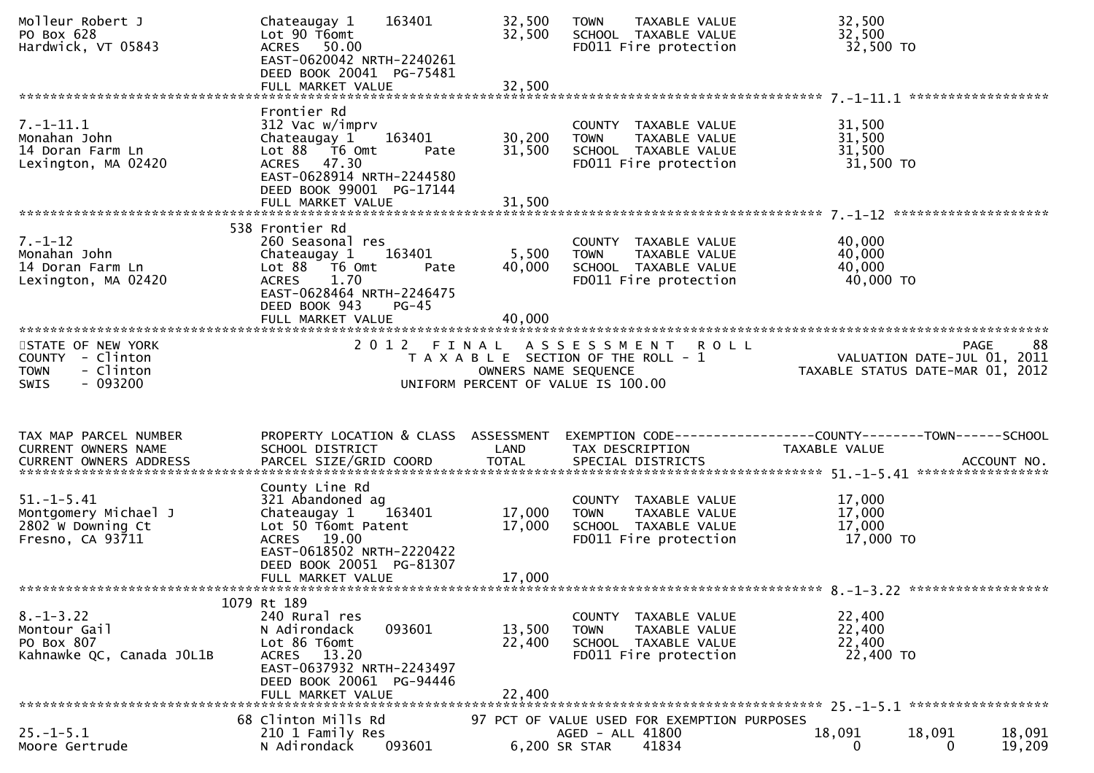| Molleur Robert J<br>PO Box 628<br>Hardwick, VT 05843                                  | 163401<br>Chateaugay 1<br>Lot 90 T6omt<br>ACRES 50.00<br>EAST-0620042 NRTH-2240261<br>DEED BOOK 20041 PG-75481<br>FULL MARKET VALUE                                                          | 32,500<br>32,500<br>32,500 | TAXABLE VALUE<br><b>TOWN</b><br>SCHOOL TAXABLE VALUE<br>FD011 Fire protection                             | 32,500<br>32,500<br>32,500 TO                                                   |                  |
|---------------------------------------------------------------------------------------|----------------------------------------------------------------------------------------------------------------------------------------------------------------------------------------------|----------------------------|-----------------------------------------------------------------------------------------------------------|---------------------------------------------------------------------------------|------------------|
|                                                                                       |                                                                                                                                                                                              |                            |                                                                                                           |                                                                                 |                  |
| $7.-1-11.1$<br>Monahan John<br>14 Doran Farm Ln<br>Lexington, MA 02420                | Frontier Rd<br>312 Vac w/imprv<br>163401<br>Chateaugay 1<br>Lot 88 T6 Omt<br>Pate<br>ACRES 47.30<br>EAST-0628914 NRTH-2244580<br>DEED BOOK 99001 PG-17144<br>FULL MARKET VALUE               | 30,200<br>31,500<br>31,500 | COUNTY TAXABLE VALUE<br><b>TOWN</b><br>TAXABLE VALUE<br>SCHOOL TAXABLE VALUE<br>FD011 Fire protection     | 31,500<br>31,500<br>31,500<br>31,500 TO                                         |                  |
|                                                                                       |                                                                                                                                                                                              |                            |                                                                                                           |                                                                                 |                  |
| $7. - 1 - 12$<br>Monahan John<br>14 Doran Farm Ln<br>Lexington, MA 02420              | 538 Frontier Rd<br>260 Seasonal res<br>163401<br>Chateaugay 1<br>Lot 88 T6 Omt<br>Pate<br>1.70<br><b>ACRES</b><br>EAST-0628464 NRTH-2246475<br>DEED BOOK 943<br>$PG-45$<br>FULL MARKET VALUE | 5,500<br>40,000<br>40,000  | COUNTY TAXABLE VALUE<br><b>TOWN</b><br>TAXABLE VALUE<br>SCHOOL TAXABLE VALUE<br>FD011 Fire protection     | 40,000<br>40,000<br>40,000<br>40,000 TO                                         |                  |
| STATE OF NEW YORK<br>COUNTY - Clinton<br>- Clinton<br><b>TOWN</b><br>- 093200<br>SWIS |                                                                                                                                                                                              | OWNERS NAME SEQUENCE       | 2012 FINAL ASSESSMENT ROLL<br>T A X A B L E SECTION OF THE ROLL - 1<br>UNIFORM PERCENT OF VALUE IS 100.00 | PAGE<br>VALUATION DATE-JUL 01, 2011<br>TAXABLE STATUS DATE-MAR 01, 2012         | 88               |
| TAX MAP PARCEL NUMBER<br>CURRENT OWNERS NAME                                          | PROPERTY LOCATION & CLASS ASSESSMENT<br>SCHOOL DISTRICT                                                                                                                                      | LAND                       | TAX DESCRIPTION                                                                                           | EXEMPTION CODE------------------COUNTY--------TOWN------SCHOOL<br>TAXABLE VALUE |                  |
| $51.-1-5.41$<br>Montgomery Michael J<br>2802 W Downing Ct<br>Fresno, CA 93711         | County Line Rd<br>321 Abandoned ag<br>Chateaugay 1 163401<br>Lot 50 T6omt Patent<br>ACRES 19.00<br>EAST-0618502 NRTH-2220422<br>DEED BOOK 20051 PG-81307<br>FULL MARKET VALUE                | 17,000<br>17,000<br>17,000 | COUNTY TAXABLE VALUE<br><b>TOWN</b><br>TAXABLE VALUE<br>SCHOOL TAXABLE VALUE<br>FD011 Fire protection     | 17,000<br>17,000<br>17,000<br>17,000 TO                                         |                  |
|                                                                                       | 1079 Rt 189                                                                                                                                                                                  |                            |                                                                                                           |                                                                                 |                  |
| $8. - 1 - 3.22$<br>Montour Gail<br>PO Box 807<br>Kahnawke QC, Canada JOL1B            | 240 Rural res<br>093601<br>N Adirondack<br>Lot 86 T6omt<br>13.20<br><b>ACRES</b><br>EAST-0637932 NRTH-2243497<br>DEED BOOK 20061 PG-94446<br>FULL MARKET VALUE                               | 13,500<br>22,400<br>22,400 | COUNTY<br>TAXABLE VALUE<br><b>TOWN</b><br>TAXABLE VALUE<br>SCHOOL TAXABLE VALUE<br>FD011 Fire protection  | 22,400<br>22,400<br>22,400<br>22,400 TO                                         |                  |
|                                                                                       | 68 Clinton Mills Rd                                                                                                                                                                          |                            |                                                                                                           |                                                                                 |                  |
| $25. - 1 - 5.1$<br>Moore Gertrude                                                     | 210 1 Family Res<br>N Adirondack<br>093601                                                                                                                                                   |                            | 97 PCT OF VALUE USED FOR EXEMPTION PURPOSES<br>AGED - ALL 41800<br>41834<br>6,200 SR STAR                 | 18,091<br>18,091<br>$\Omega$<br>0                                               | 18,091<br>19,209 |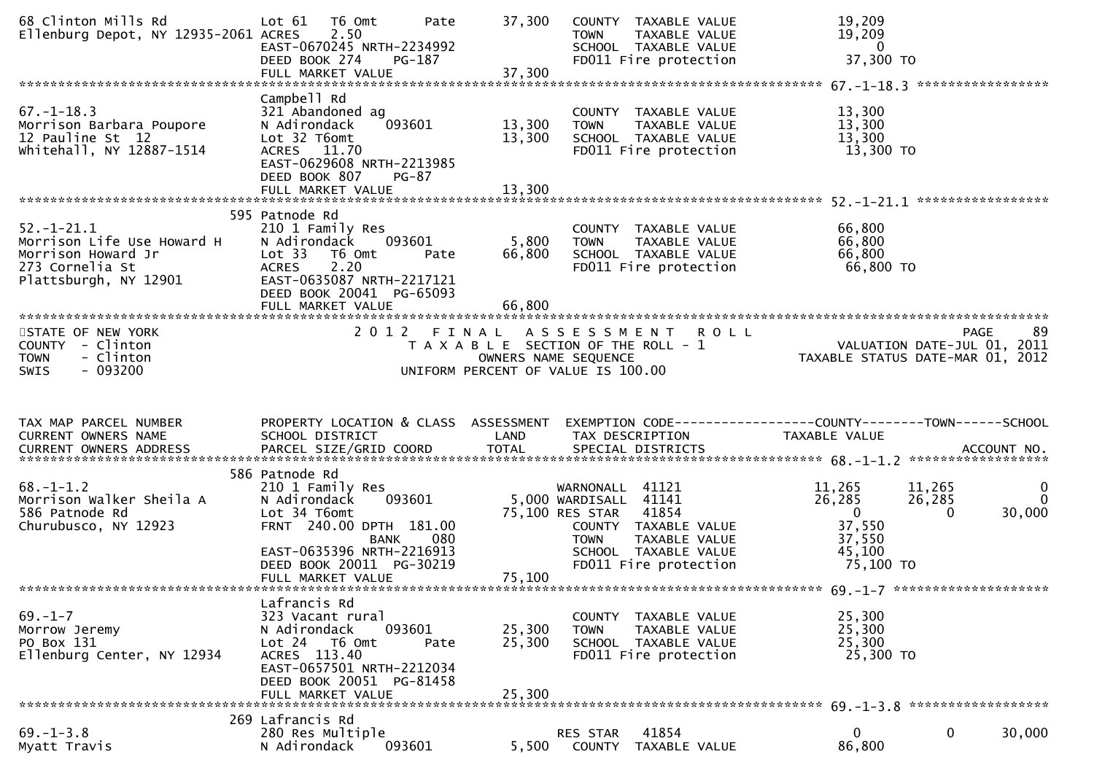| 68 Clinton Mills Rd<br>Ellenburg Depot, NY 12935-2061 ACRES                                                  | Lot 61<br>T6 Omt<br>Pate<br>2.50<br>EAST-0670245 NRTH-2234992<br>DEED BOOK 274<br>PG-187<br>FULL MARKET VALUE                                                                                               | 37,300<br>COUNTY TAXABLE VALUE<br>TAXABLE VALUE<br><b>TOWN</b><br>SCHOOL TAXABLE VALUE<br>FD011 Fire protection<br>37,300                                                                  | 19,209<br>19,209<br>$\overline{0}$<br>37,300 TO<br>*****************                                                                               |
|--------------------------------------------------------------------------------------------------------------|-------------------------------------------------------------------------------------------------------------------------------------------------------------------------------------------------------------|--------------------------------------------------------------------------------------------------------------------------------------------------------------------------------------------|----------------------------------------------------------------------------------------------------------------------------------------------------|
| $67. - 1 - 18.3$<br>Morrison Barbara Poupore<br>12 Pauline St 12<br>whitehall, NY 12887-1514                 | Campbell Rd<br>321 Abandoned ag<br>N Adirondack<br>093601<br>Lot 32 T6omt<br>ACRES 11.70<br>EAST-0629608 NRTH-2213985<br>DEED BOOK 807<br>$PG-87$<br>FULL MARKET VALUE                                      | COUNTY TAXABLE VALUE<br>13,300<br>TAXABLE VALUE<br><b>TOWN</b><br>13,300<br>SCHOOL TAXABLE VALUE<br>FD011 Fire protection<br>13,300                                                        | 13,300<br>13,300<br>13,300<br>13,300 TO                                                                                                            |
| $52.-1-21.1$<br>Morrison Life Use Howard H<br>Morrison Howard Jr<br>273 Cornelia St<br>Plattsburgh, NY 12901 | 595 Patnode Rd<br>210 1 Family Res<br>N Adirondack<br>093601<br>Lot 33<br>T6 Omt<br>Pate<br>2.20<br><b>ACRES</b><br>EAST-0635087 NRTH-2217121<br>DEED BOOK 20041 PG-65093<br>FULL MARKET VALUE              | COUNTY TAXABLE VALUE<br>5,800<br>TAXABLE VALUE<br><b>TOWN</b><br>66,800<br>SCHOOL TAXABLE VALUE<br>FD011 Fire protection<br>66,800                                                         | *****************<br>66,800<br>66,800<br>66,800<br>66,800 TO                                                                                       |
| STATE OF NEW YORK<br>COUNTY - Clinton<br><b>TOWN</b><br>- Clinton<br>$-093200$<br>SWIS                       | 2 0 1 2                                                                                                                                                                                                     | FINAL<br>A S S E S S M E N T<br><b>ROLL</b><br>T A X A B L E SECTION OF THE ROLL - 1<br>OWNERS NAME SEQUENCE<br>UNIFORM PERCENT OF VALUE IS 100.00                                         | 89<br><b>PAGE</b><br>VALUATION DATE-JUL 01, 2011<br>TAXABLE STATUS DATE-MAR 01, 2012                                                               |
| TAX MAP PARCEL NUMBER<br>CURRENT OWNERS NAME                                                                 | PROPERTY LOCATION & CLASS ASSESSMENT<br>SCHOOL DISTRICT                                                                                                                                                     | TAX DESCRIPTION<br>LAND                                                                                                                                                                    | TAXABLE VALUE                                                                                                                                      |
| $68. - 1 - 1.2$<br>Morrison Walker Sheila A<br>586 Patnode Rd<br>Churubusco, NY 12923                        | 586 Patnode Rd<br>210 1 Family Res<br>N Adirondack<br>093601<br>Lot 34 T6omt<br>FRNT 240.00 DPTH 181.00<br><b>BANK</b><br>080<br>EAST-0635396 NRTH-2216913<br>DEED BOOK 20011 PG-30219<br>FULL MARKET VALUE | 41121<br>WARNONALL<br>5,000 WARDISALL 41141<br>75,100 RES STAR<br>41854<br>COUNTY TAXABLE VALUE<br>TAXABLE VALUE<br><b>TOWN</b><br>SCHOOL TAXABLE VALUE<br>FD011 Fire protection<br>75,100 | $\mathbf 0$<br>11,265<br>11,265<br>26,285<br>$\Omega$<br>26,285<br>$\overline{0}$<br>30,000<br>$\Omega$<br>37,550<br>37,550<br>45,100<br>75,100 TO |
| $69. - 1 - 7$<br>Morrow Jeremy<br>PO Box 131<br>Ellenburg Center, NY 12934                                   | Lafrancis Rd<br>323 Vacant rural<br>093601<br>N Adirondack<br>Lot 24 T6 Omt<br>Pate<br>ACRES 113.40<br>EAST-0657501 NRTH-2212034<br>DEED BOOK 20051 PG-81458<br>FULL MARKET VALUE                           | COUNTY TAXABLE VALUE<br>25,300<br>TAXABLE VALUE<br><b>TOWN</b><br>25,300<br>SCHOOL TAXABLE VALUE<br>FD011 Fire protection<br>25,300                                                        | 25,300<br>25,300<br>25,300<br>25,300 TO                                                                                                            |
| 269 Lafrancis Rd                                                                                             |                                                                                                                                                                                                             |                                                                                                                                                                                            |                                                                                                                                                    |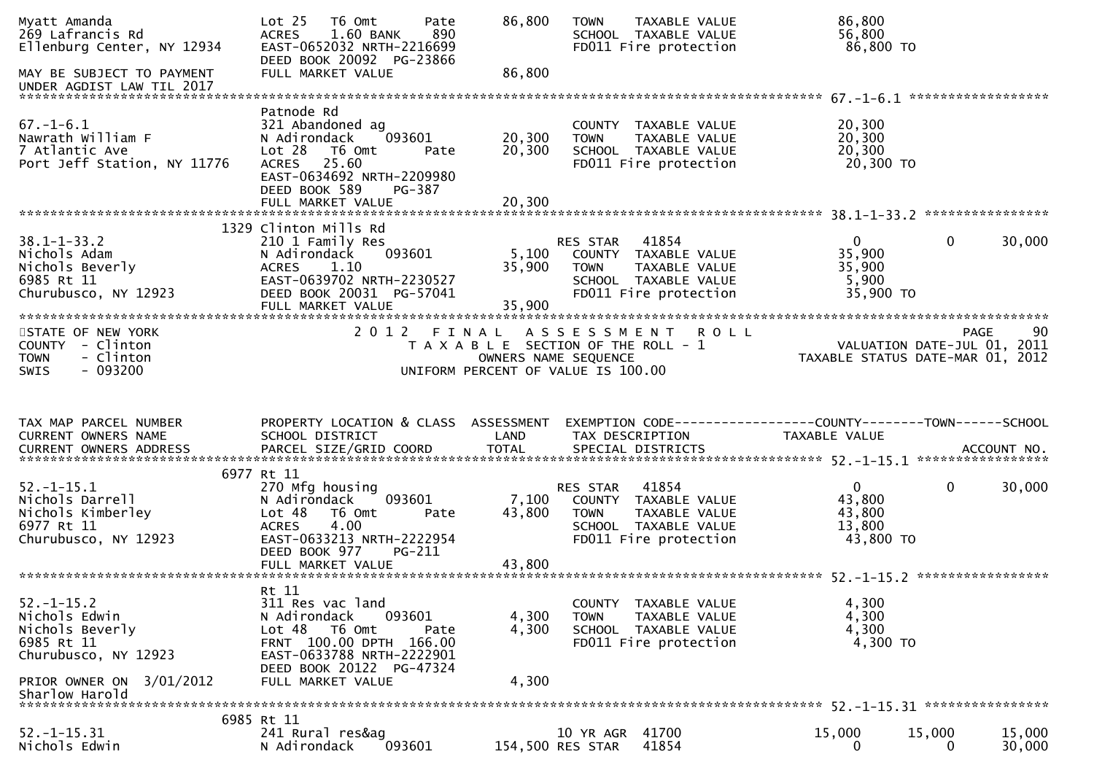| Myatt Amanda<br>269 Lafrancis Rd<br>Ellenburg Center, NY 12934<br>MAY BE SUBJECT TO PAYMENT<br>UNDER AGDIST LAW TIL 2017                 | Lot <sub>25</sub><br>T6 Omt<br>Pate<br><b>ACRES</b><br>1.60 BANK<br>890<br>EAST-0652032 NRTH-2216699<br>DEED BOOK 20092 PG-23866<br>FULL MARKET VALUE                                 | 86,800<br>86,800          | <b>TOWN</b><br>TAXABLE VALUE<br>SCHOOL TAXABLE VALUE<br>FD011 Fire protection                                                     | 86,800<br>56,800<br>86,800 TO                                                                         |        |
|------------------------------------------------------------------------------------------------------------------------------------------|---------------------------------------------------------------------------------------------------------------------------------------------------------------------------------------|---------------------------|-----------------------------------------------------------------------------------------------------------------------------------|-------------------------------------------------------------------------------------------------------|--------|
| $67. - 1 - 6.1$<br>Nawrath William F<br>7 Atlantic Ave<br>Port Jeff Station, NY 11776                                                    | Patnode Rd<br>321 Abandoned ag<br>093601<br>N Adirondack<br>Lot 28<br>T6 Omt<br>Pate<br>25.60<br><b>ACRES</b><br>EAST-0634692 NRTH-2209980<br>DEED BOOK 589<br>PG-387                 | 20,300<br>20,300          | COUNTY TAXABLE VALUE<br><b>TOWN</b><br>TAXABLE VALUE<br>SCHOOL TAXABLE VALUE<br>FD011 Fire protection                             | 20,300<br>20,300<br>20,300<br>20,300 TO                                                               |        |
|                                                                                                                                          | FULL MARKET VALUE                                                                                                                                                                     | 20,300                    |                                                                                                                                   |                                                                                                       |        |
| $38.1 - 1 - 33.2$<br>Nichols Adam<br>Nichols Beverly<br>6985 Rt 11<br>Churubusco, NY 12923                                               | 1329 Clinton Mills Rd<br>210 1 Family Res<br>093601<br>N Adirondack<br>1.10<br><b>ACRES</b><br>EAST-0639702 NRTH-2230527<br>DEED BOOK 20031 PG-57041<br>FULL MARKET VALUE             | 5,100<br>35,900<br>35,900 | 41854<br><b>RES STAR</b><br>COUNTY TAXABLE VALUE<br><b>TOWN</b><br>TAXABLE VALUE<br>SCHOOL TAXABLE VALUE<br>FD011 Fire protection | $\overline{0}$<br>0<br>35,900<br>35,900<br>5,900<br>35,900 TO                                         | 30,000 |
| STATE OF NEW YORK<br>COUNTY - Clinton<br>- Clinton<br><b>TOWN</b><br>$-093200$<br>SWIS                                                   | 2 0 1 2<br>FINAL                                                                                                                                                                      | OWNERS NAME SEQUENCE      | <b>ROLL</b><br>A S S E S S M E N T<br>T A X A B L E SECTION OF THE ROLL - 1<br>UNIFORM PERCENT OF VALUE IS 100.00                 | <b>PAGE</b><br>VALUATION DATE-JUL 01, 2011<br>TAXABLE STATUS DATE-MAR 01, 2012                        | 90     |
|                                                                                                                                          |                                                                                                                                                                                       |                           |                                                                                                                                   |                                                                                                       |        |
| TAX MAP PARCEL NUMBER<br>CURRENT OWNERS NAME                                                                                             | PROPERTY LOCATION & CLASS ASSESSMENT<br>SCHOOL DISTRICT                                                                                                                               | LAND                      | TAX DESCRIPTION                                                                                                                   | EXEMPTION CODE------------------COUNTY--------TOWN------SCHOOL<br><b>TAXABLE VALUE</b><br>ACCOUNT NO. |        |
| $52. - 1 - 15.1$<br>Nichols Darrell<br>Nichols Kimberley<br>6977 Rt 11<br>Churubusco, NY 12923                                           | 6977 Rt 11<br>270 Mfg housing<br>093601<br>N Adirondack<br>Lot 48<br>T6 Omt<br>Pate<br>4.00<br><b>ACRES</b><br>EAST-0633213 NRTH-2222954<br>DEED BOOK 977<br>PG-211                   | 7,100<br>43,800           | 41854<br>RES STAR<br>COUNTY TAXABLE VALUE<br><b>TOWN</b><br><b>TAXABLE VALUE</b><br>SCHOOL TAXABLE VALUE<br>FD011 Fire protection | *****************<br>$\mathbf{0}$<br>0<br>43,800<br>43,800<br>13,800<br>43,800 TO                     | 30,000 |
| $52. - 1 - 15.2$<br>Nichols Edwin<br>Nichols Beverly<br>6985 Rt 11<br>Churubusco, NY 12923<br>PRIOR OWNER ON 3/01/2012<br>Sharlow Harold | Rt 11<br>311 Res vac land<br>093601<br>N Adirondack<br>Lot 48 T6 Omt<br>Pate<br>FRNT 100.00 DPTH 166.00<br>EAST-0633788 NRTH-2222901<br>DEED BOOK 20122 PG-47324<br>FULL MARKET VALUE | 4,300<br>4,300<br>4,300   | COUNTY TAXABLE VALUE<br>TAXABLE VALUE<br><b>TOWN</b><br>SCHOOL TAXABLE VALUE<br>FD011 Fire protection                             | 4,300<br>4,300<br>4,300<br>4,300 TO                                                                   |        |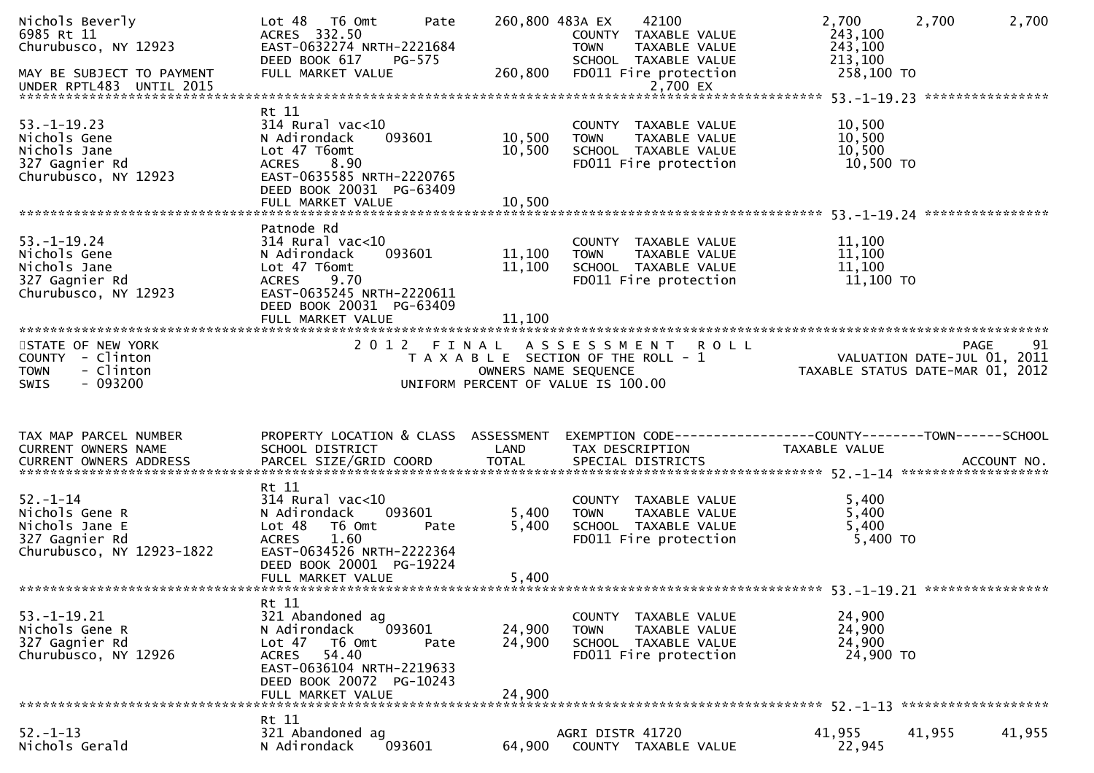| Nichols Beverly<br>6985 Rt 11<br>Churubusco, NY 12923<br>MAY BE SUBJECT TO PAYMENT<br>UNDER RPTL483 UNTIL 2015 | $Lot 48$ T6 Omt<br>Pate<br>ACRES 332.50<br>EAST-0632274 NRTH-2221684<br>DEED BOOK 617<br>PG-575<br>FULL MARKET VALUE                                                                   | 260,800                    | 42100<br>260,800 483A EX<br>COUNTY TAXABLE VALUE<br><b>TOWN</b><br>TAXABLE VALUE<br>SCHOOL TAXABLE VALUE<br>FD011 Fire protection<br>2,700 EX | 2,700<br>243,100<br>243,100<br>213,100<br>258,100 TO | 2,700<br>2,700                                                                       |
|----------------------------------------------------------------------------------------------------------------|----------------------------------------------------------------------------------------------------------------------------------------------------------------------------------------|----------------------------|-----------------------------------------------------------------------------------------------------------------------------------------------|------------------------------------------------------|--------------------------------------------------------------------------------------|
| $53. - 1 - 19.23$<br>Nichols Gene<br>Nichols Jane<br>327 Gagnier Rd<br>Churubusco, NY 12923                    | Rt 11<br>$314$ Rural vac<10<br>093601<br>N Adirondack<br>Lot 47 T6omt<br>8.90<br>ACRES<br>EAST-0635585 NRTH-2220765<br>DEED BOOK 20031 PG-63409<br>FULL MARKET VALUE                   | 10,500<br>10,500<br>10,500 | COUNTY TAXABLE VALUE<br>TAXABLE VALUE<br>TOWN<br>SCHOOL TAXABLE VALUE<br>FD011 Fire protection                                                | 10,500<br>10,500<br>10,500<br>10,500 TO              |                                                                                      |
| $53. - 1 - 19.24$<br>Nichols Gene<br>Nichols Jane<br>327 Gagnier Rd<br>Churubusco, NY 12923                    | Patnode Rd<br>$314$ Rural vac< $10$<br>093601<br>N Adirondack<br>Lot 47 T6omt<br>9.70<br><b>ACRES</b><br>EAST-0635245 NRTH-2220611<br>DEED BOOK 20031 PG-63409<br>FULL MARKET VALUE    | 11,100<br>11,100<br>11,100 | COUNTY TAXABLE VALUE<br>TAXABLE VALUE<br>TOWN<br>SCHOOL TAXABLE VALUE<br>FD011 Fire protection                                                | 11,100<br>11,100<br>11,100<br>11,100 TO              |                                                                                      |
| STATE OF NEW YORK<br>COUNTY - Clinton<br>- Clinton<br><b>TOWN</b><br>$-093200$<br>SWIS                         |                                                                                                                                                                                        |                            | 2012 FINAL ASSESSMENT ROLL<br>T A X A B L E SECTION OF THE ROLL - 1<br>OWNERS NAME SEQUENCE<br>UNIFORM PERCENT OF VALUE IS 100.00             |                                                      | 91<br><b>PAGE</b><br>VALUATION DATE-JUL 01, 2011<br>TAXABLE STATUS DATE-MAR 01, 2012 |
| TAX MAP PARCEL NUMBER<br>CURRENT OWNERS NAME                                                                   | PROPERTY LOCATION & CLASS ASSESSMENT<br>SCHOOL DISTRICT                                                                                                                                | LAND                       | EXEMPTION CODE------------------COUNTY--------TOWN------SCHOOL<br>TAX DESCRIPTION                                                             | TAXABLE VALUE                                        |                                                                                      |
| $52 - 1 - 14$<br>Nichols Gene R<br>Nichols Jane E<br>327 Gagnier Rd<br>Churubusco, NY 12923-1822               | Rt 11<br>314 Rural vac<10<br>093601<br>N Adirondack<br>Lot 48<br>T6 Omt<br>Pate<br>1.60<br><b>ACRES</b><br>EAST-0634526 NRTH-2222364<br>DEED BOOK 20001 PG-19224<br>FULL MARKET VALUE  | 5,400<br>5,400<br>5,400    | COUNTY TAXABLE VALUE<br><b>TOWN</b><br>TAXABLE VALUE<br>SCHOOL TAXABLE VALUE<br>FD011 Fire protection                                         | 5,400<br>5,400<br>5,400<br>5,400 TO                  |                                                                                      |
| $53. - 1 - 19.21$<br>Nichols Gene R<br>327 Gagnier Rd<br>Churubusco, NY 12926                                  | Rt 11<br>321 Abandoned ag<br>N Adirondack<br>093601<br>Lot 47<br>T6 Omt<br>Pate<br>54.40<br><b>ACRES</b><br>EAST-0636104 NRTH-2219633<br>DEED BOOK 20072 PG-10243<br>FULL MARKET VALUE | 24,900<br>24,900<br>24,900 | COUNTY<br>TAXABLE VALUE<br><b>TOWN</b><br>TAXABLE VALUE<br>SCHOOL TAXABLE VALUE<br>FD011 Fire protection                                      | 24,900<br>24,900<br>24,900<br>24,900 TO              |                                                                                      |
| $52. - 1 - 13$<br>Nichols Gerald                                                                               | Rt 11<br>321 Abandoned ag<br>093601<br>N Adirondack                                                                                                                                    | 64,900                     | AGRI DISTR 41720<br>COUNTY TAXABLE VALUE                                                                                                      | 41,955<br>22,945                                     | 41,955<br>41,955                                                                     |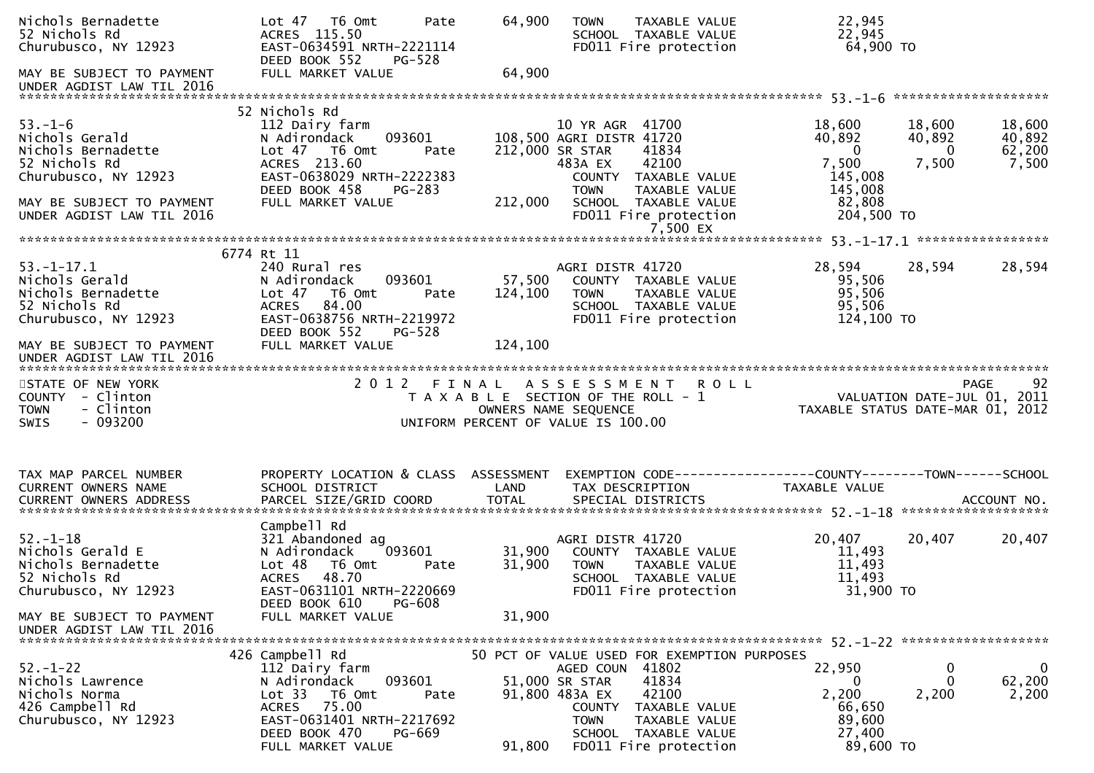| Nichols Bernadette<br>52 Nichols Rd<br>Churubusco, NY 12923<br>MAY BE SUBJECT TO PAYMENT<br>UNDER AGDIST LAW TIL 2016 | Lot 47 76 0mt<br>Pate<br>ACRES 115.50<br>EAST-0634591 NRTH-2221114<br>DEED BOOK 552<br>PG-528<br>FULL MARKET VALUE                                                         | 64,900<br>64,900  | <b>TOWN</b><br>TAXABLE VALUE<br>SCHOOL TAXABLE VALUE<br>FD011 Fire protection                                                                                                   | 22,945<br>22,945<br>64,900 TO                                                                        |                                     |
|-----------------------------------------------------------------------------------------------------------------------|----------------------------------------------------------------------------------------------------------------------------------------------------------------------------|-------------------|---------------------------------------------------------------------------------------------------------------------------------------------------------------------------------|------------------------------------------------------------------------------------------------------|-------------------------------------|
|                                                                                                                       | 52 Nichols Rd                                                                                                                                                              |                   |                                                                                                                                                                                 |                                                                                                      |                                     |
| $53. - 1 - 6$<br>Nichols Gerald<br>Nichols Bernadette<br>52 Nichols Rd<br>Churubusco, NY 12923                        | 112 Dairy farm<br>093601<br>N Adirondack<br>Lot 47 T6 Omt<br>Pate<br>ACRES 213.60<br>EAST-0638029 NRTH-2222383<br>DEED BOOK 458<br>PG-283                                  |                   | 10 YR AGR 41700<br>108,500 AGRI DISTR 41720<br>212,000 SR STAR<br>41834<br>42100<br>483A EX<br>COUNTY TAXABLE VALUE<br><b>TOWN</b><br>TAXABLE VALUE                             | 18,600<br>18,600<br>40,892<br>40,892<br>$\Omega$<br>$\bf{0}$<br>7,500<br>7,500<br>145,008<br>145,008 | 18,600<br>40,892<br>62,200<br>7,500 |
| MAY BE SUBJECT TO PAYMENT<br>UNDER AGDIST LAW TIL 2016                                                                | FULL MARKET VALUE                                                                                                                                                          | 212,000           | SCHOOL TAXABLE VALUE<br>FD011 Fire protection<br>7,500 EX                                                                                                                       | 82,808<br>204,500 TO                                                                                 |                                     |
|                                                                                                                       | 6774 Rt 11                                                                                                                                                                 |                   |                                                                                                                                                                                 |                                                                                                      |                                     |
| $53. - 1 - 17.1$<br>Nichols Gerald<br>Nichols Bernadette<br>52 Nichols Rd<br>Churubusco, NY 12923                     | 240 Rural res<br>093601<br>N Adirondack<br>T6 Omt<br>Lot <sub>47</sub><br>Pate<br>84.00<br><b>ACRES</b><br>EAST-0638756 NRTH-2219972<br>DEED BOOK 552<br>PG-528            | 57,500<br>124,100 | AGRI DISTR 41720<br>COUNTY TAXABLE VALUE<br><b>TOWN</b><br>TAXABLE VALUE<br>SCHOOL TAXABLE VALUE<br>FD011 Fire protection                                                       | 28,594<br>28,594<br>95,506<br>95,506<br>95,506<br>124,100 TO                                         | 28,594                              |
| MAY BE SUBJECT TO PAYMENT<br>UNDER AGDIST LAW TIL 2016                                                                | FULL MARKET VALUE                                                                                                                                                          | 124,100           |                                                                                                                                                                                 |                                                                                                      |                                     |
| STATE OF NEW YORK<br>COUNTY - Clinton<br><b>TOWN</b><br>- Clinton<br>$-093200$<br><b>SWIS</b>                         |                                                                                                                                                                            |                   | 2012 FINAL ASSESSMENT ROLL<br>T A X A B L E SECTION OF THE ROLL - 1<br>OWNERS NAME SEQUENCE<br>UNIFORM PERCENT OF VALUE IS 100.00                                               | PAGE 92<br>VALUATION DATE-JUL 01, 2011<br>TAXABLE STATUS DATE-MAR 01, 2012                           | 92<br><b>PAGE</b>                   |
| TAX MAP PARCEL NUMBER<br>CURRENT OWNERS NAME                                                                          | PROPERTY LOCATION & CLASS ASSESSMENT<br>SCHOOL DISTRICT                                                                                                                    | LAND              | TAX DESCRIPTION                                                                                                                                                                 | EXEMPTION CODE-----------------COUNTY--------TOWN------SCHOOL<br>TAXABLE VALUE                       |                                     |
| $52. - 1 - 18$<br>Nichols Gerald E<br>Nichols Bernadette<br>52 Nichols Rd<br>Churubusco, NY 12923                     | Campbell Rd<br>321 Abandoned ag<br>093601<br>N Adirondack<br>Lot 48 T6 Omt<br>Pate<br><b>ACRES</b><br>48.70<br>EAST-0631101 NRTH-2220669<br>DEED BOOK 610<br><b>PG-608</b> | 31,900<br>31,900  | AGRI DISTR 41720<br>COUNTY TAXABLE VALUE<br>TAXABLE VALUE<br><b>TOWN</b><br>SCHOOL TAXABLE VALUE<br>FD011 Fire protection                                                       | 20,407<br>20,407<br>11,493<br>11,493<br>11,493<br>31,900 TO                                          | 20,407                              |
| MAY BE SUBJECT TO PAYMENT<br>UNDER AGDIST LAW TIL 2016                                                                | FULL MARKET VALUE                                                                                                                                                          | 31,900            |                                                                                                                                                                                 |                                                                                                      |                                     |
| $52. - 1 - 22$<br>Nichols Lawrence<br>Nichols Norma<br>426 Campbell Rd<br>Churubusco, NY 12923                        | 426 Campbell Rd<br>112 Dairy farm<br>N Adirondack<br>093601<br>Lot <sub>33</sub><br>T6 Omt<br>Pate<br>75.00<br><b>ACRES</b><br>EAST-0631401 NRTH-2217692                   |                   | 50 PCT OF VALUE USED FOR EXEMPTION PURPOSES<br>AGED COUN 41802<br>41834<br>51,000 SR STAR<br>91,800 483A EX<br>42100<br>TAXABLE VALUE<br>COUNTY<br><b>TOWN</b><br>TAXABLE VALUE | 22,950<br>$\bf{0}$<br>0<br>0<br>2,200<br>2,200<br>66,650<br>89,600                                   | $\mathbf 0$<br>62,200<br>2,200      |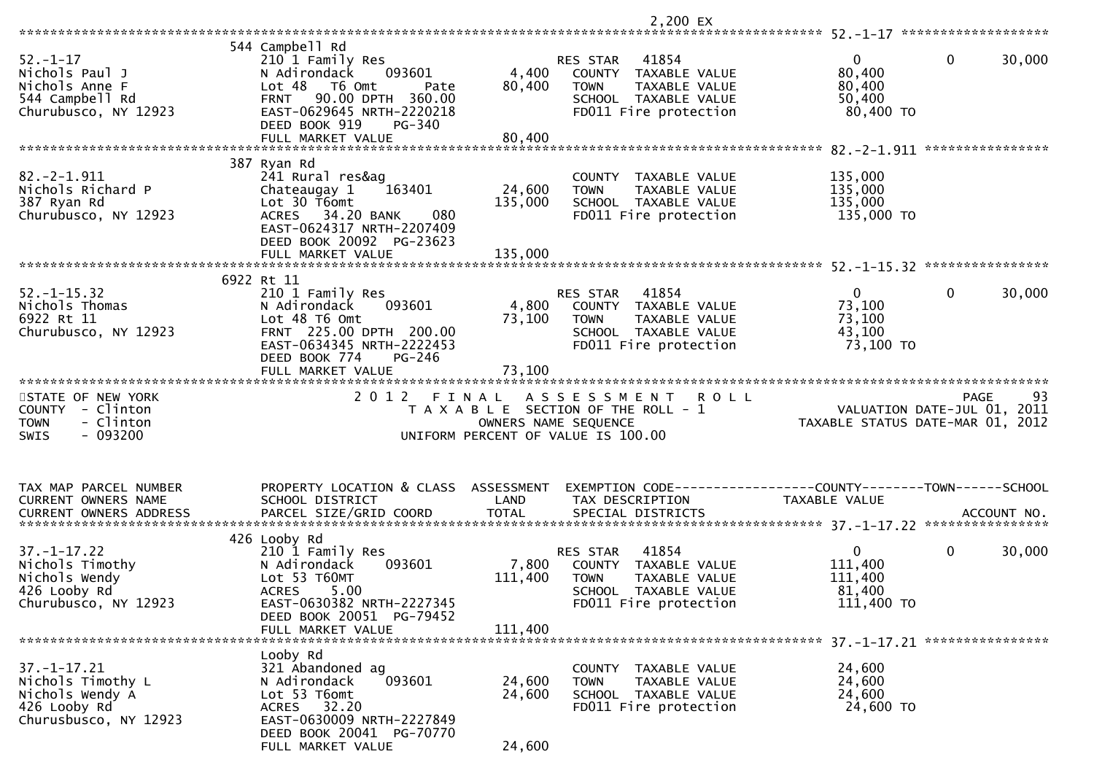|                                                                                                         |                                                                                                                                                                                                                         |                                    | 2,200 EX                                                                                                                                       |                                                            |                                                                               |
|---------------------------------------------------------------------------------------------------------|-------------------------------------------------------------------------------------------------------------------------------------------------------------------------------------------------------------------------|------------------------------------|------------------------------------------------------------------------------------------------------------------------------------------------|------------------------------------------------------------|-------------------------------------------------------------------------------|
|                                                                                                         |                                                                                                                                                                                                                         |                                    |                                                                                                                                                |                                                            |                                                                               |
| $52 - 1 - 17$<br>Nichols Paul J<br>Nichols Anne F<br>544 Campbell Rd<br>Churubusco, NY 12923            | 544 Campbell Rd<br>210 1 Family Res<br>093601<br>N Adirondack<br>Lot <sub>48</sub><br>T6 Omt<br>Pate<br>90.00 DPTH 360.00<br><b>FRNT</b><br>EAST-0629645 NRTH-2220218<br>DEED BOOK 919<br>$PG-340$<br>FULL MARKET VALUE | 4,400<br>80,400<br>80,400          | RES STAR<br>41854<br>COUNTY<br>TAXABLE VALUE<br><b>TOWN</b><br>TAXABLE VALUE<br>SCHOOL TAXABLE VALUE<br>FD011 Fire protection                  | $\overline{0}$<br>80,400<br>80,400<br>50,400<br>80,400 TO  | $\mathbf{0}$<br>30,000                                                        |
|                                                                                                         |                                                                                                                                                                                                                         |                                    |                                                                                                                                                |                                                            | ****************                                                              |
| $82.-2-1.911$<br>Nichols Richard P<br>387 Ryan Rd<br>Churubusco, NY 12923                               | 387 Ryan Rd<br>241 Rural res&ag<br>Chateaugay 1<br>163401<br>Lot 30 T6omt<br>ACRES 34.20 BANK<br>080<br>EAST-0624317 NRTH-2207409<br>DEED BOOK 20092 PG-23623<br>FULL MARKET VALUE                                      | 24,600<br>135,000<br>135,000       | COUNTY TAXABLE VALUE<br><b>TOWN</b><br>TAXABLE VALUE<br>SCHOOL TAXABLE VALUE<br>FD011 Fire protection                                          | 135,000<br>135,000<br>135,000<br>135,000 TO                |                                                                               |
|                                                                                                         |                                                                                                                                                                                                                         |                                    |                                                                                                                                                |                                                            |                                                                               |
| $52. - 1 - 15.32$<br>Nichols Thomas<br>6922 Rt 11<br>Churubusco, NY 12923                               | 6922 Rt 11<br>210 1 Family Res<br>093601<br>N Adirondack<br>Lot 48 T6 Omt<br>FRNT 225.00 DPTH 200.00<br>EAST-0634345 NRTH-2222453<br>DEED BOOK 774<br>PG-246<br>FULL MARKET VALUE                                       | 4,800<br>73,100<br>73,100          | 41854<br>RES STAR<br>COUNTY<br>TAXABLE VALUE<br>TAXABLE VALUE<br><b>TOWN</b><br>SCHOOL TAXABLE VALUE<br>FD011 Fire protection                  | $\overline{0}$<br>73,100<br>73,100<br>43,100<br>73,100 TO  | $\mathbf{0}$<br>30,000                                                        |
|                                                                                                         |                                                                                                                                                                                                                         |                                    |                                                                                                                                                |                                                            |                                                                               |
| STATE OF NEW YORK<br><b>COUNTY</b><br>- Clinton<br>- Clinton<br><b>TOWN</b><br>$-093200$<br><b>SWIS</b> | 2 0 1 2                                                                                                                                                                                                                 | FINAL<br>OWNERS NAME SEQUENCE      | A S S E S S M E N T<br><b>ROLL</b><br>T A X A B L E SECTION OF THE ROLL - 1<br>UNIFORM PERCENT OF VALUE IS 100.00                              |                                                            | 93<br>PAGE<br>VALUATION DATE-JUL 01, 2011<br>TAXABLE STATUS DATE-MAR 01, 2012 |
| TAX MAP PARCEL NUMBER<br>CURRENT OWNERS NAME<br><b>CURRENT OWNERS ADDRESS</b>                           | PROPERTY LOCATION & CLASS<br>SCHOOL DISTRICT<br>PARCEL SIZE/GRID COORD                                                                                                                                                  | ASSESSMENT<br>LAND<br><b>TOTAL</b> | TAX DESCRIPTION<br>SPECIAL DISTRICTS                                                                                                           | <b>TAXABLE VALUE</b>                                       | ACCOUNT NO.                                                                   |
|                                                                                                         | 426 Looby Rd                                                                                                                                                                                                            |                                    |                                                                                                                                                |                                                            |                                                                               |
| $37. - 1 - 17.22$<br>Nichols Timothy<br>Nichols Wendy<br>426 Looby Rd<br>Churubusco, NY 12923           | 210 1 Family Res<br>N Adirondack<br>093601<br>Lot 53 T60MT<br>5.00<br><b>ACRES</b><br>EAST-0630382 NRTH-2227345<br>DEED BOOK 20051 PG-79452                                                                             | 7,800<br>111,400                   | 41854<br><b>RES STAR</b><br>COUNTY<br>TAXABLE VALUE<br><b>TOWN</b><br>TAXABLE VALUE<br><b>SCHOOL</b><br>TAXABLE VALUE<br>FD011 Fire protection | $\mathbf{0}$<br>111,400<br>111,400<br>81,400<br>111,400 TO | $\mathbf{0}$<br>30,000                                                        |
|                                                                                                         | FULL MARKET VALUE                                                                                                                                                                                                       | 111,400                            |                                                                                                                                                |                                                            |                                                                               |
|                                                                                                         |                                                                                                                                                                                                                         |                                    |                                                                                                                                                |                                                            |                                                                               |
| $37. - 1 - 17.21$<br>Nichols Timothy L<br>Nichols Wendy A<br>426 Looby Rd<br>Churusbusco, NY 12923      | Looby Rd<br>321 Abandoned ag<br>093601<br>N Adirondack<br>Lot 53 T6omt<br>ACRES 32.20<br>EAST-0630009 NRTH-2227849                                                                                                      | 24,600<br>24,600                   | COUNTY TAXABLE VALUE<br>TAXABLE VALUE<br><b>TOWN</b><br>SCHOOL TAXABLE VALUE<br>FD011 Fire protection                                          | 24,600<br>24,600<br>24,600<br>24,600 TO                    |                                                                               |
|                                                                                                         | DEED BOOK 20041 PG-70770                                                                                                                                                                                                |                                    |                                                                                                                                                |                                                            |                                                                               |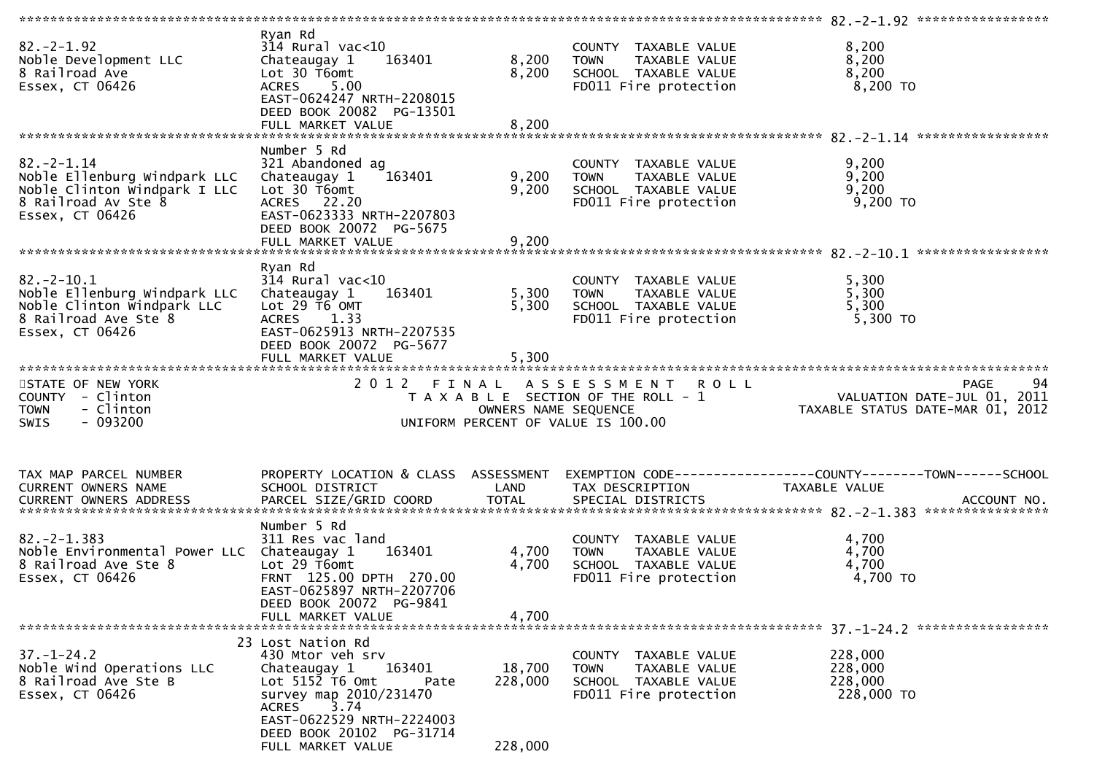| $82 - 2 - 1.92$<br>Noble Development LLC<br>8 Railroad Ave<br>Essex, CT 06426                                              | Ryan Rd<br>$314$ Rural vac<10<br>Chateaugay 1<br>163401<br>Lot 30 T6omt<br><b>ACRES</b><br>5.00<br>EAST-0624247 NRTH-2208015<br>DEED BOOK 20082 PG-13501                                                | 8,200<br>8,200          | COUNTY TAXABLE VALUE<br><b>TOWN</b><br>TAXABLE VALUE<br>SCHOOL TAXABLE VALUE<br>FD011 Fire protection             | 8,200<br>8,200<br>8,200<br>$8,200$ TO                                                          |
|----------------------------------------------------------------------------------------------------------------------------|---------------------------------------------------------------------------------------------------------------------------------------------------------------------------------------------------------|-------------------------|-------------------------------------------------------------------------------------------------------------------|------------------------------------------------------------------------------------------------|
|                                                                                                                            | Number 5 Rd                                                                                                                                                                                             |                         |                                                                                                                   |                                                                                                |
| $82. - 2 - 1.14$<br>Noble Ellenburg Windpark LLC<br>Noble Clinton Windpark I LLC<br>8 Railroad Av Ste 8<br>Essex, CT 06426 | 321 Abandoned ag<br>Chateaugay 1<br>163401<br>Lot 30 T6omt<br>ACRES 22.20<br>EAST-0623333 NRTH-2207803<br>DEED BOOK 20072 PG-5675                                                                       | 9,200<br>9,200          | COUNTY TAXABLE VALUE<br>TAXABLE VALUE<br><b>TOWN</b><br>SCHOOL TAXABLE VALUE<br>FD011 Fire protection             | 9,200<br>9,200<br>9,200<br>9,200 TO                                                            |
|                                                                                                                            |                                                                                                                                                                                                         |                         |                                                                                                                   |                                                                                                |
| $82.-2-10.1$<br>Noble Ellenburg Windpark LLC<br>Noble Clinton Windpark LLC<br>8 Railroad Ave Ste 8<br>Essex, CT 06426      | Ryan Rd<br>$314$ Rural vac<10<br>Chateaugay 1<br>163401<br>Lot 29 T6 OMT<br>ACRES 1.33<br>EAST-0625913 NRTH-2207535<br>DEED BOOK 20072 PG-5677                                                          | 5,300<br>5,300          | COUNTY TAXABLE VALUE<br>TAXABLE VALUE<br><b>TOWN</b><br>SCHOOL TAXABLE VALUE<br>FD011 Fire protection             | 5,300<br>5,300<br>5,300<br>5,300 TO                                                            |
|                                                                                                                            |                                                                                                                                                                                                         |                         |                                                                                                                   |                                                                                                |
| STATE OF NEW YORK<br>COUNTY - Clinton<br>- Clinton<br><b>TOWN</b><br>$-093200$<br>SWIS                                     | 2012 FINAL                                                                                                                                                                                              | OWNERS NAME SEQUENCE    | A S S E S S M E N T<br><b>ROLL</b><br>T A X A B L E SECTION OF THE ROLL - 1<br>UNIFORM PERCENT OF VALUE IS 100.00 | 94<br>PAGE<br>VALUATION DATE-JUL 01, 2011<br>TAXABLE STATUS DATE-MAR 01, 2012                  |
|                                                                                                                            |                                                                                                                                                                                                         |                         |                                                                                                                   |                                                                                                |
| TAX MAP PARCEL NUMBER                                                                                                      |                                                                                                                                                                                                         |                         |                                                                                                                   |                                                                                                |
| CURRENT OWNERS NAME<br>CURRENT OWNERS ADDRESS                                                                              | PROPERTY LOCATION & CLASS ASSESSMENT<br>SCHOOL DISTRICT<br>PARCEL SIZE/GRID COORD                                                                                                                       | LAND<br><b>TOTAL</b>    | TAX DESCRIPTION<br>SPECIAL DISTRICTS                                                                              | EXEMPTION CODE------------------COUNTY--------TOWN------SCHOOL<br>TAXABLE VALUE<br>ACCOUNT NO. |
|                                                                                                                            |                                                                                                                                                                                                         |                         |                                                                                                                   |                                                                                                |
| $82 - 2 - 1.383$<br>Noble Environmental Power LLC Chateaugay 1<br>8 Railroad Ave Ste 8<br>Essex, CT 06426                  | Number 5 Rd<br>311 Res vac land<br>163401<br>Lot 29 T6omt<br>FRNT 125.00 DPTH 270.00<br>EAST-0625897 NRTH-2207706<br>DEED BOOK 20072 PG-9841<br>FULL MARKET VALUE                                       | 4,700<br>4,700<br>4,700 | COUNTY TAXABLE VALUE<br>TAXABLE VALUE<br><b>TOWN</b><br>SCHOOL TAXABLE VALUE<br>FD011 Fire protection             | 4,700<br>4,700<br>4,700<br>4,700 TO                                                            |
|                                                                                                                            |                                                                                                                                                                                                         |                         |                                                                                                                   |                                                                                                |
| $37. - 1 - 24.2$<br>Noble Wind Operations LLC<br>8 Railroad Ave Ste B<br>Essex, CT 06426                                   | 23 Lost Nation Rd<br>430 Mtor veh srv<br>163401<br>Chateaugay 1<br>Lot $5152$ T6 Omt<br>Pate<br>survey map 2010/231470<br>3.74<br><b>ACRES</b><br>EAST-0622529 NRTH-2224003<br>DEED BOOK 20102 PG-31714 | 18,700<br>228,000       | COUNTY TAXABLE VALUE<br><b>TOWN</b><br>TAXABLE VALUE<br>SCHOOL TAXABLE VALUE<br>FD011 Fire protection             | 228,000<br>228,000<br>228,000<br>228,000 TO                                                    |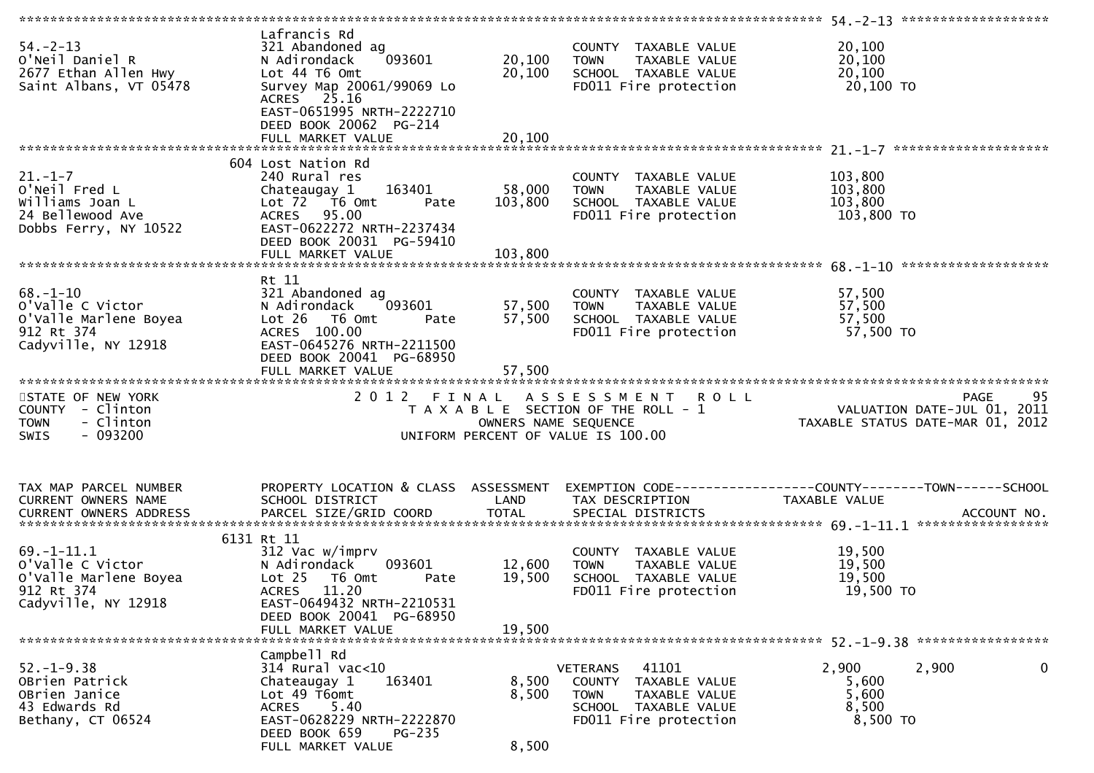| $54. -2 - 13$<br>O'Neil Daniel R<br>2677 Ethan Allen Hwy<br>Saint Albans, VT 05478                 | Lafrancis Rd<br>321 Abandoned ag<br>093601<br>N Adirondack<br>Lot 44 T6 Omt<br>Survey Map 20061/99069 Lo<br>ACRES 25.16<br>EAST-0651995 NRTH-2222710<br>DEED BOOK 20062 PG-214<br>FULL MARKET VALUE | 20,100<br>20,100<br>20,100   | COUNTY TAXABLE VALUE<br><b>TOWN</b><br>TAXABLE VALUE<br>SCHOOL TAXABLE VALUE<br>FD011 Fire protection                                | 20,100<br>20,100<br>20,100<br>20,100 TO                                               |
|----------------------------------------------------------------------------------------------------|-----------------------------------------------------------------------------------------------------------------------------------------------------------------------------------------------------|------------------------------|--------------------------------------------------------------------------------------------------------------------------------------|---------------------------------------------------------------------------------------|
|                                                                                                    |                                                                                                                                                                                                     |                              |                                                                                                                                      |                                                                                       |
| $21. - 1 - 7$<br>O'Neil Fred L<br>Williams Joan L<br>24 Bellewood Ave<br>Dobbs Ferry, NY 10522     | 604 Lost Nation Rd<br>240 Rural res<br>163401<br>Chateaugay 1<br>Lot $72$ $\overline{76}$ Omt<br>Pate<br>ACRES 95.00<br>EAST-0622272 NRTH-2237434<br>DEED BOOK 20031 PG-59410<br>FULL MARKET VALUE  | 58,000<br>103,800<br>103,800 | COUNTY TAXABLE VALUE<br>TAXABLE VALUE<br><b>TOWN</b><br>SCHOOL TAXABLE VALUE<br>FD011 Fire protection                                | 103,800<br>103,800<br>103,800<br>103,800 TO                                           |
|                                                                                                    |                                                                                                                                                                                                     |                              |                                                                                                                                      |                                                                                       |
| $68. - 1 - 10$<br>o'valle C victor<br>O'Valle Marlene Boyea<br>912 Rt 374<br>Cadyville, NY 12918   | Rt 11<br>321 Abandoned ag<br>093601<br>N Adirondack<br>$Lot 26$ T6 Omt<br>Pate<br>ACRES 100.00<br>EAST-0645276 NRTH-2211500<br>DEED BOOK 20041 PG-68950                                             | 57,500<br>57,500             | COUNTY TAXABLE VALUE<br>TAXABLE VALUE<br><b>TOWN</b><br>SCHOOL TAXABLE VALUE<br>FD011 Fire protection                                | 57,500<br>57,500<br>57,500<br>57,500 TO                                               |
|                                                                                                    |                                                                                                                                                                                                     |                              |                                                                                                                                      |                                                                                       |
|                                                                                                    |                                                                                                                                                                                                     |                              |                                                                                                                                      |                                                                                       |
| STATE OF NEW YORK<br>COUNTY - Clinton<br>- Clinton<br><b>TOWN</b><br>$-093200$<br><b>SWIS</b>      |                                                                                                                                                                                                     | OWNERS NAME SEQUENCE         | 2012 FINAL ASSESSMENT<br><b>ROLL</b><br>T A X A B L E SECTION OF THE ROLL - 1<br>UNIFORM PERCENT OF VALUE IS 100.00                  | 95<br>PAGE<br>VALUATION DATE-JUL 01, 2011<br>TAXABLE STATUS DATE-MAR 01, 2012         |
| TAX MAP PARCEL NUMBER<br>CURRENT OWNERS NAME                                                       | PROPERTY LOCATION & CLASS ASSESSMENT<br>SCHOOL DISTRICT                                                                                                                                             | LAND                         | TAX DESCRIPTION                                                                                                                      | EXEMPTION        CODE------------------COUNTY-------TOWN------SCHOOL<br>TAXABLE VALUE |
|                                                                                                    | 6131 Rt 11                                                                                                                                                                                          |                              |                                                                                                                                      |                                                                                       |
| $69. - 1 - 11.1$<br>o'valle C Victor<br>O'Valle Marlene Boyea<br>912 Rt 374<br>Cadyville, NY 12918 | 312 Vac w/imprv<br>N Adirondack<br>093601<br>Lot <sub>25</sub><br>T6 Omt<br>Pate<br>11.20<br><b>ACRES</b><br>EAST-0649432 NRTH-2210531                                                              | 12,600<br>19,500             | COUNTY TAXABLE VALUE<br>TAXABLE VALUE<br><b>TOWN</b><br>SCHOOL TAXABLE VALUE<br>FD011 Fire protection                                | 19,500<br>19,500<br>19,500<br>19,500 TO                                               |
|                                                                                                    | DEED BOOK 20041 PG-68950<br>FULL MARKET VALUE                                                                                                                                                       | 19,500                       |                                                                                                                                      |                                                                                       |
|                                                                                                    |                                                                                                                                                                                                     |                              |                                                                                                                                      |                                                                                       |
| $52. - 1 - 9.38$<br>OBrien Patrick<br>OBrien Janice<br>43 Edwards Rd<br>Bethany, CT 06524          | Campbell Rd<br>$314$ Rural vac<10<br>163401<br>Chateaugay 1<br>Lot 49 T6omt<br>5.40<br>ACRES<br>EAST-0628229 NRTH-2222870<br>DEED BOOK 659<br>$PG-235$                                              | 8,500<br>8,500<br>8,500      | 41101<br><b>VETERANS</b><br>COUNTY<br>TAXABLE VALUE<br><b>TOWN</b><br>TAXABLE VALUE<br>SCHOOL TAXABLE VALUE<br>FD011 Fire protection | 2,900<br>0<br>2,900<br>5,600<br>5,600<br>8,500<br>8,500 TO                            |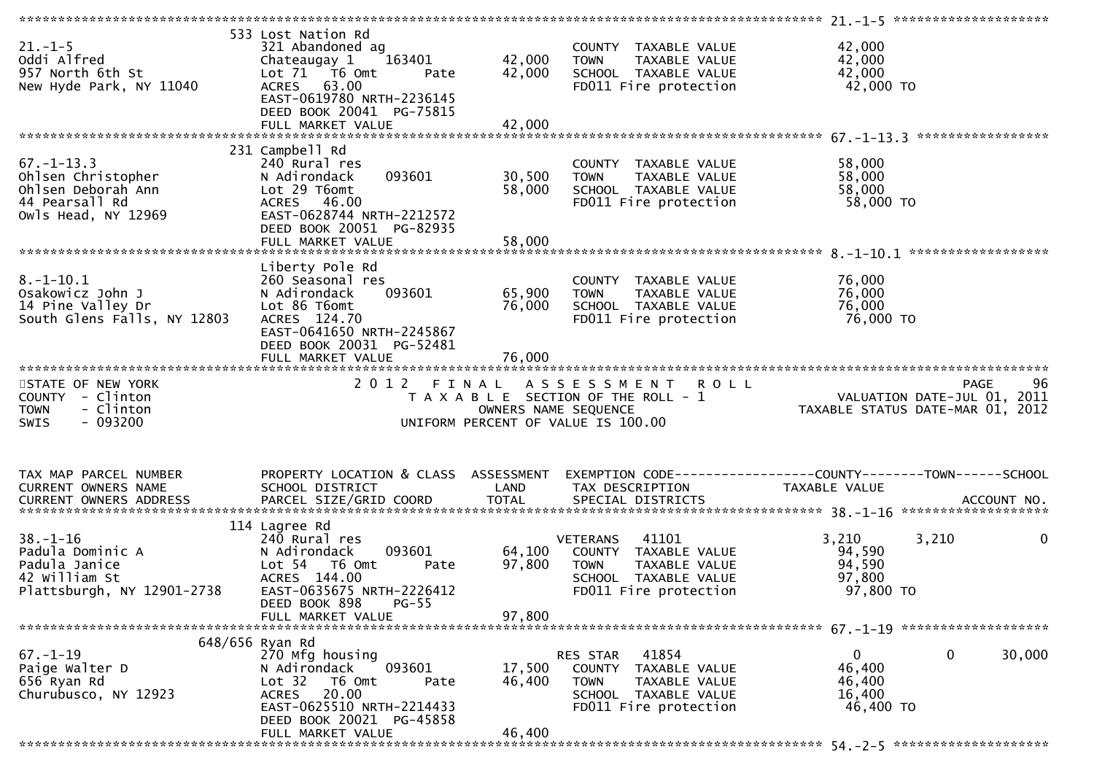| $21. - 1 - 5$<br>Oddi Alfred<br>957 North 6th St<br>New Hyde Park, NY 11040                           | 533 Lost Nation Rd<br>321 Abandoned ag<br>163401<br>Chateaugay 1<br>Lot 71  T6 0mt<br>Pate<br>ACRES 63.00<br>EAST-0619780 NRTH-2236145<br>DEED BOOK 20041 PG-75815 | 42,000<br>42,000     | COUNTY TAXABLE VALUE<br>TAXABLE VALUE<br><b>TOWN</b><br>SCHOOL TAXABLE VALUE<br>FD011 Fire protection                                     | 42,000<br>42,000<br>42,000<br>42,000 TO                            |                    |
|-------------------------------------------------------------------------------------------------------|--------------------------------------------------------------------------------------------------------------------------------------------------------------------|----------------------|-------------------------------------------------------------------------------------------------------------------------------------------|--------------------------------------------------------------------|--------------------|
|                                                                                                       |                                                                                                                                                                    |                      |                                                                                                                                           |                                                                    |                    |
| $67. - 1 - 13.3$<br>Ohlsen Christopher<br>Ohlsen Deborah Ann<br>44 Pearsall Rd<br>Owls Head, NY 12969 | 231 Campbell Rd<br>240 Rural res<br>093601<br>N Adirondack<br>Lot 29 T6omt<br>ACRES 46.00<br>EAST-0628744 NRTH-2212572<br>DEED BOOK 20051 PG-82935                 | 30,500<br>58,000     | COUNTY TAXABLE VALUE<br><b>TOWN</b><br>TAXABLE VALUE<br>SCHOOL TAXABLE VALUE<br>FD011 Fire protection                                     | 58,000<br>58,000<br>58,000<br>58,000 TO                            |                    |
|                                                                                                       |                                                                                                                                                                    |                      |                                                                                                                                           |                                                                    | ****************** |
| $8. - 1 - 10.1$<br>Osakowicz John J<br>14 Pine Valley Dr<br>South Glens Falls, NY 12803               | Liberty Pole Rd<br>260 Seasonal res<br>N Adirondack<br>093601<br>Lot 86 T6omt<br>ACRES 124.70<br>EAST-0641650 NRTH-2245867                                         | 65,900<br>76,000     | COUNTY TAXABLE VALUE<br><b>TOWN</b><br>TAXABLE VALUE<br>SCHOOL TAXABLE VALUE<br>FD011 Fire protection                                     | 76,000<br>76,000<br>76,000<br>76,000 TO                            |                    |
|                                                                                                       | DEED BOOK 20031 PG-52481                                                                                                                                           |                      |                                                                                                                                           |                                                                    |                    |
|                                                                                                       |                                                                                                                                                                    |                      |                                                                                                                                           |                                                                    |                    |
| STATE OF NEW YORK<br>COUNTY - Clinton<br>- Clinton<br><b>TOWN</b><br>$-093200$<br>SWIS                | 2 0 1 2<br>FINAL                                                                                                                                                   |                      | <b>ROLL</b><br>A S S E S S M E N T<br>T A X A B L E SECTION OF THE ROLL - 1<br>OWNERS NAME SEQUENCE<br>UNIFORM PERCENT OF VALUE IS 100.00 | VALUATION DATE-JUL 01, 2011<br>TAXABLE STATUS DATE-MAR 01, 2012    | 96<br><b>PAGE</b>  |
| TAX MAP PARCEL NUMBER<br>CURRENT OWNERS NAME<br>CURRENT OWNERS ADDRESS                                | PROPERTY LOCATION & CLASS ASSESSMENT<br>SCHOOL DISTRICT<br>PARCEL SIZE/GRID COORD                                                                                  | LAND<br><b>TOTAL</b> | TAX DESCRIPTION<br>SPECIAL DISTRICTS                                                                                                      | TAXABLE VALUE                                                      | ACCOUNT NO.        |
|                                                                                                       | 114 Lagree Rd                                                                                                                                                      |                      |                                                                                                                                           |                                                                    |                    |
| $38. - 1 - 16$<br>Padula Dominic A<br>Padula Janice<br>42 William St<br>Plattsburgh, NY 12901-2738    | 240 Rural res<br>093601<br>N Adirondack<br>Lot 54 T6 Omt<br>Pate<br>ACRES 144.00<br>EAST-0635675 NRTH-2226412<br>$PG-55$<br>DEED BOOK 898                          | 64,100<br>97,800     | 41101<br><b>VETERANS</b><br>COUNTY TAXABLE VALUE<br><b>TOWN</b><br>TAXABLE VALUE<br>SCHOOL TAXABLE VALUE<br>FD011 Fire protection         | 3,210<br>3,210<br>94,590<br>94,590<br>97,800<br>97,800 TO          | 0                  |
|                                                                                                       | FULL MARKET VALUE                                                                                                                                                  | 97,800               |                                                                                                                                           |                                                                    |                    |
|                                                                                                       |                                                                                                                                                                    |                      |                                                                                                                                           |                                                                    |                    |
| $67. - 1 - 19$<br>Paige Walter D<br>656 Ryan Rd<br>Churubusco, NY 12923                               | 648/656 Ryan Rd<br>270 Mfg housing<br>093601<br>N Adirondack<br>Lot 32<br>T6 Omt<br>Pate<br>20.00<br><b>ACRES</b><br>EAST-0625510 NRTH-2214433                     | 17,500<br>46,400     | RES STAR 41854<br>COUNTY TAXABLE VALUE<br>TAXABLE VALUE<br><b>TOWN</b><br>SCHOOL TAXABLE VALUE<br>FD011 Fire protection                   | $\Omega$<br>$\mathbf 0$<br>46,400<br>46,400<br>16,400<br>46,400 TO | 30,000             |
|                                                                                                       | DEED BOOK 20021 PG-45858<br>FULL MARKET VALUE                                                                                                                      | 46,400               |                                                                                                                                           |                                                                    |                    |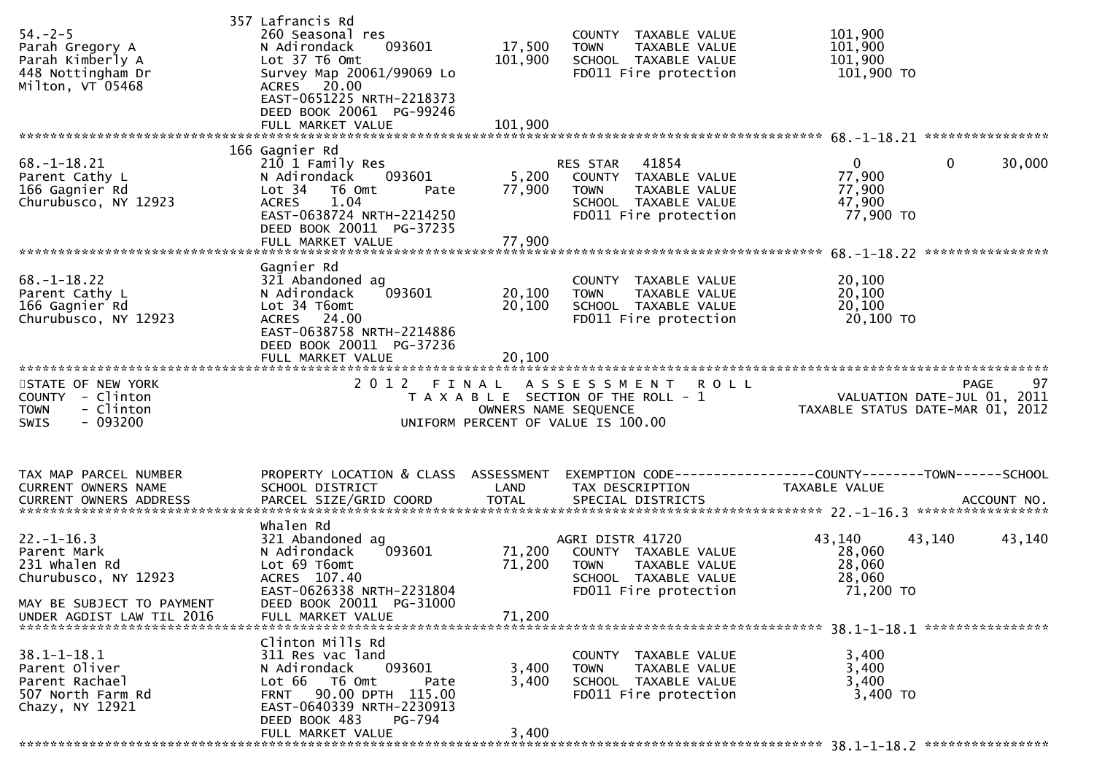| $54. - 2 - 5$<br>Parah Gregory A<br>Parah Kimberly A<br>448 Nottingham Dr<br>Milton, VT 05468                                      | 357 Lafrancis Rd<br>260 Seasonal res<br>093601<br>N Adirondack<br>Lot 37 T6 Omt<br>Survey Map 20061/99069 Lo<br>ACRES 20.00<br>EAST-0651225 NRTH-2218373<br>DEED BOOK 20061 PG-99246                     | 17,500<br>101,900          | COUNTY TAXABLE VALUE<br><b>TOWN</b><br>TAXABLE VALUE<br>SCHOOL TAXABLE VALUE<br>FD011 Fire protection               | 101,900<br>101,900<br>101,900<br>101,900 TO                     |                   |
|------------------------------------------------------------------------------------------------------------------------------------|----------------------------------------------------------------------------------------------------------------------------------------------------------------------------------------------------------|----------------------------|---------------------------------------------------------------------------------------------------------------------|-----------------------------------------------------------------|-------------------|
| $68. - 1 - 18.21$<br>Parent Cathy L<br>166 Gagnier Rd<br>Churubusco, NY 12923                                                      | 166 Gagnier Rd<br>210 1 Family Res<br>093601<br>N Adirondack<br>Lot 34<br>T6 Omt<br>Pate<br>1.04<br><b>ACRES</b><br>EAST-0638724 NRTH-2214250<br>DEED BOOK 20011 PG-37235                                | 5,200<br>77,900            | RES STAR<br>41854<br>COUNTY TAXABLE VALUE<br>TAXABLE VALUE<br>TOWN<br>SCHOOL TAXABLE VALUE<br>FD011 Fire protection | $\mathbf{0}$<br>0<br>77,900<br>77,900<br>47,900<br>77,900 TO    | 30,000            |
| $68. - 1 - 18.22$<br>Parent Cathy L<br>166 Gagnier Rd<br>Churubusco, NY 12923                                                      | Gagnier Rd<br>321 Abandoned ag<br>093601<br>N Adirondack<br>Lot 34 T6omt<br>ACRES 24.00<br>EAST-0638758 NRTH-2214886<br>DEED BOOK 20011 PG-37236                                                         | 20,100<br>20,100           | COUNTY TAXABLE VALUE<br><b>TOWN</b><br>TAXABLE VALUE<br>SCHOOL TAXABLE VALUE<br>FD011 Fire protection               | 20,100<br>20,100<br>20,100<br>20,100 TO                         |                   |
| STATE OF NEW YORK<br>COUNTY - Clinton<br>- Clinton<br><b>TOWN</b><br>$-093200$<br><b>SWIS</b>                                      |                                                                                                                                                                                                          | OWNERS NAME SEQUENCE       | 2012 FINAL ASSESSMENT ROLL<br>T A X A B L E SECTION OF THE ROLL - 1<br>UNIFORM PERCENT OF VALUE IS 100.00           | VALUATION DATE-JUL 01, 2011<br>TAXABLE STATUS DATE-MAR 01, 2012 | 97<br><b>PAGE</b> |
| TAX MAP PARCEL NUMBER<br>CURRENT OWNERS NAME                                                                                       | PROPERTY LOCATION & CLASS ASSESSMENT<br>SCHOOL DISTRICT<br>.0URRENT OWNERS ADDRESS PARCEL SIZE/GRID COORD TOTAL SPECIAL DISTRICTS ACCOUNT NO ACCOUNT NO ACCOUNT NO ACCOUNT                               | LAND                       | TAX DESCRIPTION                                                                                                     | TAXABLE VALUE                                                   |                   |
| $22. - 1 - 16.3$<br>Parent Mark<br>231 whalen Rd<br>Churubusco, NY 12923<br>MAY BE SUBJECT TO PAYMENT<br>UNDER AGDIST LAW TIL 2016 | Whalen Rd<br>321 Abandoned ag<br>093601<br>N Adirondack<br>Lot 69 T6omt<br>ACRES 107.40<br>EAST-0626338 NRTH-2231804<br>DEED BOOK 20011 PG-31000<br>FULL MARKET VALUE                                    | 71,200<br>71,200<br>71,200 | AGRI DISTR 41720<br>COUNTY TAXABLE VALUE<br>TAXABLE VALUE<br>TOWN<br>SCHOOL TAXABLE VALUE<br>FD011 Fire protection  | 43,140<br>43,140<br>28,060<br>28,060<br>28,060<br>71,200 TO     | 43,140            |
| $38.1 - 1 - 18.1$<br>Parent Oliver<br>Parent Rachael<br>507 North Farm Rd<br>Chazy, NY 12921                                       | Clinton Mills Rd<br>311 Res vac land<br>093601<br>N Adirondack<br>Lot 66 T6 Omt<br>Pate<br>90.00 DPTH 115.00<br><b>FRNT</b><br>EAST-0640339 NRTH-2230913<br>DEED BOOK 483<br>PG-794<br>FULL MARKET VALUE | 3,400<br>3,400<br>3,400    | COUNTY TAXABLE VALUE<br>TAXABLE VALUE<br><b>TOWN</b><br>SCHOOL TAXABLE VALUE<br>FD011 Fire protection               | 3,400<br>3,400<br>3,400<br>3,400 TO                             |                   |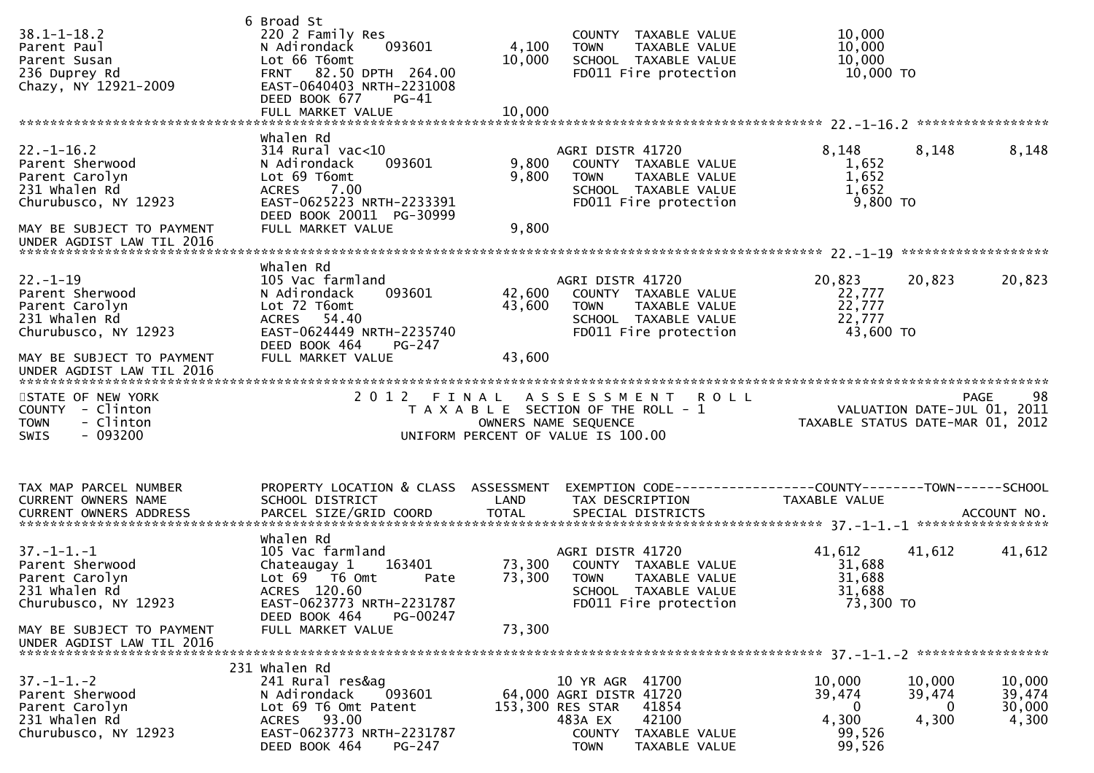| $38.1 - 1 - 18.2$<br>Parent Paul<br>Parent Susan<br>236 Duprey Rd<br>Chazy, NY 12921-2009                                                              | 6 Broad St<br>220 2 Family Res<br>093601<br>N Adirondack<br>Lot 66 T6omt<br>FRNT 82.50 DPTH 264.00<br>EAST-0640403 NRTH-2231008<br>DEED BOOK 677<br>$PG-41$<br>FULL MARKET VALUE | 4,100<br>10,000<br>10,000  | COUNTY TAXABLE VALUE<br><b>TOWN</b><br>TAXABLE VALUE<br>SCHOOL TAXABLE VALUE<br>FD011 Fire protection                             | 10,000<br>10,000<br>10,000<br>10,000 TO                     |                                           |
|--------------------------------------------------------------------------------------------------------------------------------------------------------|----------------------------------------------------------------------------------------------------------------------------------------------------------------------------------|----------------------------|-----------------------------------------------------------------------------------------------------------------------------------|-------------------------------------------------------------|-------------------------------------------|
| $22. - 1 - 16.2$<br>Parent Sherwood<br>Parent Carolyn<br>231 whalen Rd<br>Churubusco, NY 12923<br>MAY BE SUBJECT TO PAYMENT                            | whalen Rd<br>314 Rural vac<10<br>093601<br>N Adirondack<br>Lot 69 T6omt<br>7.00<br><b>ACRES</b><br>EAST-0625223 NRTH-2233391<br>DEED BOOK 20011 PG-30999<br>FULL MARKET VALUE    | 9,800<br>9,800<br>9,800    | AGRI DISTR 41720<br>COUNTY TAXABLE VALUE<br>TAXABLE VALUE<br><b>TOWN</b><br>SCHOOL TAXABLE VALUE<br>FD011 Fire protection         | 8,148<br>8,148<br>1,652<br>1,652<br>1,652<br>9,800 TO       | 8,148                                     |
| $22. - 1 - 19$<br>Parent Sherwood<br>Parent Carolyn<br>231 Whalen Rd<br>Churubusco, NY 12923<br>MAY BE SUBJECT TO PAYMENT<br>UNDER AGDIST LAW TIL 2016 | Whalen Rd<br>105 Vac farmland<br>093601<br>N Adirondack<br>Lot 72 T6omt<br>ACRES 54.40<br>EAST-0624449 NRTH-2235740<br>DEED BOOK 464<br>PG-247<br>FULL MARKET VALUE              | 42,600<br>43,600<br>43,600 | AGRI DISTR 41720<br>COUNTY TAXABLE VALUE<br>TAXABLE VALUE<br>TOWN<br>SCHOOL TAXABLE VALUE<br>FD011 Fire protection                | 20,823<br>20,823<br>22,777<br>22,777<br>22,777<br>43,600 TO | 20,823                                    |
|                                                                                                                                                        |                                                                                                                                                                                  |                            |                                                                                                                                   |                                                             |                                           |
| STATE OF NEW YORK<br>COUNTY - Clinton<br>- Clinton<br><b>TOWN</b><br>- 093200<br>SWIS                                                                  |                                                                                                                                                                                  |                            | 2012 FINAL ASSESSMENT ROLL<br>T A X A B L E SECTION OF THE ROLL - 1<br>OWNERS NAME SEQUENCE<br>UNIFORM PERCENT OF VALUE IS 100.00 | TAXABLE STATUS DATE-MAR 01, 2012                            | 98<br>PAGE<br>VALUATION DATE-JUL 01, 2011 |
| TAX MAP PARCEL NUMBER<br>CURRENT OWNERS NAME                                                                                                           | PROPERTY LOCATION & CLASS ASSESSMENT<br>SCHOOL DISTRICT                                                                                                                          | LAND                       | EXEMPTION CODE------------------COUNTY--------TOWN------SCHOOL<br>TAX DESCRIPTION                                                 | TAXABLE VALUE                                               |                                           |
| $37. - 1 - 1. - 1$<br>Parent Sherwood<br>Parent Carolyn<br>231 Whalen Rd<br>Churubusco, NY 12923                                                       | Whalen Rd<br>105 Vac farmland<br>163401<br>Chateaugay 1<br>Lot 69  T6 0mt<br>Pate<br>ACRES 120.60<br>EAST-0623773 NRTH-2231787<br>DEED BOOK 464<br>PG-00247                      | 73,300<br>73,300           | AGRI DISTR 41720<br>COUNTY TAXABLE VALUE<br><b>TOWN</b><br>TAXABLE VALUE<br>SCHOOL TAXABLE VALUE<br>FD011 Fire protection         | 41,612<br>41,612<br>31,688<br>31,688<br>31,688<br>73,300 TO | 41,612                                    |
| MAY BE SUBJECT TO PAYMENT<br>UNDER AGDIST LAW TIL 2016                                                                                                 | FULL MARKET VALUE<br>231 whalen Rd                                                                                                                                               | 73,300                     |                                                                                                                                   |                                                             |                                           |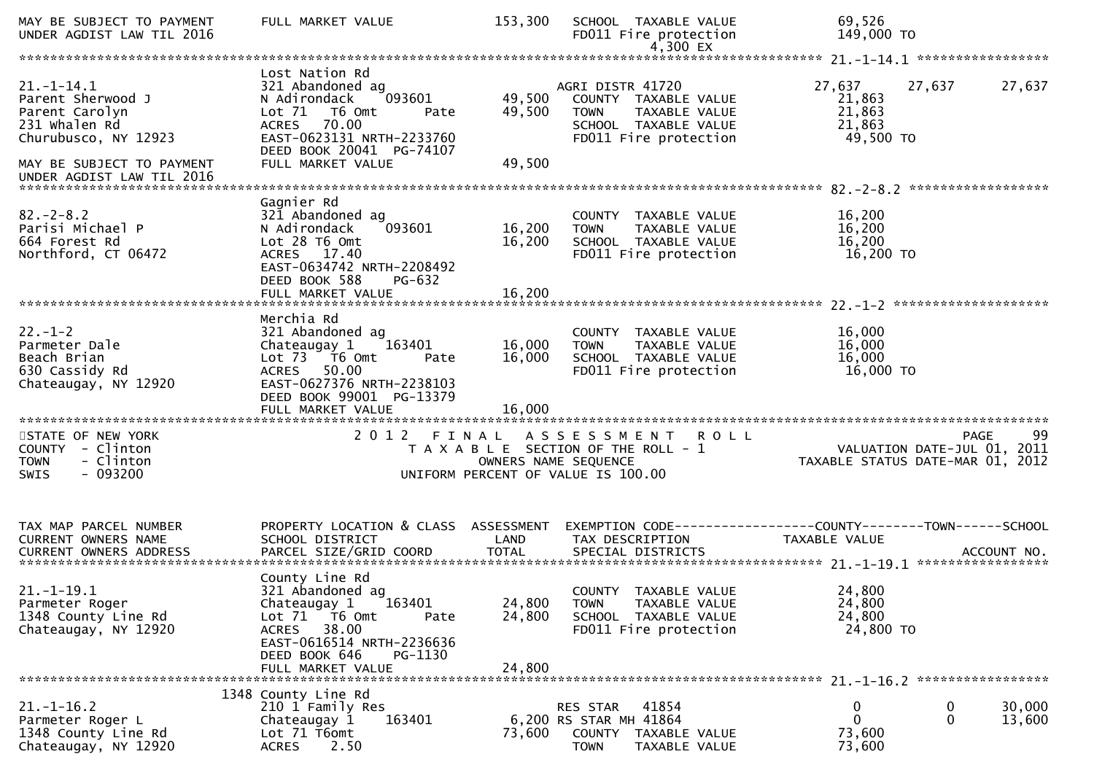| MAY BE SUBJECT TO PAYMENT<br>UNDER AGDIST LAW TIL 2016                                                                                                     | FULL MARKET VALUE                                                                                                                                                                             | 153,300                    | SCHOOL TAXABLE VALUE<br>FD011 Fire protection<br>4,300 EX                                                                              | 69,526<br>149,000 TO                              |                                                                                      |
|------------------------------------------------------------------------------------------------------------------------------------------------------------|-----------------------------------------------------------------------------------------------------------------------------------------------------------------------------------------------|----------------------------|----------------------------------------------------------------------------------------------------------------------------------------|---------------------------------------------------|--------------------------------------------------------------------------------------|
|                                                                                                                                                            |                                                                                                                                                                                               |                            |                                                                                                                                        |                                                   |                                                                                      |
| $21. - 1 - 14.1$<br>Parent Sherwood J<br>Parent Carolyn<br>231 whalen Rd<br>Churubusco, NY 12923<br>MAY BE SUBJECT TO PAYMENT<br>UNDER AGDIST LAW TIL 2016 | Lost Nation Rd<br>321 Abandoned ag<br>093601<br>N Adirondack<br>Lot 71  T6 0mt<br>Pate<br><b>ACRES</b><br>70.00<br>EAST-0623131 NRTH-2233760<br>DEED BOOK 20041 PG-74107<br>FULL MARKET VALUE | 49,500<br>49,500<br>49,500 | AGRI DISTR 41720<br>COUNTY TAXABLE VALUE<br>TAXABLE VALUE<br><b>TOWN</b><br>SCHOOL TAXABLE VALUE<br>FD011 Fire protection              | 27,637<br>21,863<br>21,863<br>21,863<br>49,500 TO | 27,637<br>27,637                                                                     |
| $82 - 2 - 8.2$<br>Parisi Michael P<br>664 Forest Rd<br>Northford, CT 06472                                                                                 | Gagnier Rd<br>321 Abandoned ag<br>093601<br>N Adirondack<br>Lot 28 T6 Omt<br>ACRES 17.40<br>EAST-0634742 NRTH-2208492<br>DEED BOOK 588<br>PG-632<br>FULL MARKET VALUE                         | 16,200<br>16,200<br>16,200 | COUNTY TAXABLE VALUE<br>TAXABLE VALUE<br><b>TOWN</b><br>SCHOOL TAXABLE VALUE<br>FD011 Fire protection                                  | 16,200<br>16,200<br>16,200<br>16,200 TO           |                                                                                      |
| $22. - 1 - 2$<br>Parmeter Dale<br>Beach Brian<br>630 Cassidy Rd<br>Chateaugay, NY 12920                                                                    | Merchia Rd<br>321 Abandoned ag<br>163401<br>Chateaugay 1<br>Lot 73  T6 Omt<br>Pate<br>ACRES 50.00<br>EAST-0627376 NRTH-2238103<br>DEED BOOK 99001 PG-13379<br>FULL MARKET VALUE               | 16,000<br>16,000<br>16,000 | COUNTY TAXABLE VALUE<br><b>TOWN</b><br>TAXABLE VALUE<br>SCHOOL TAXABLE VALUE<br>FD011 Fire protection                                  | 16,000<br>16,000<br>16,000<br>16,000 TO           |                                                                                      |
| STATE OF NEW YORK<br>COUNTY - Clinton<br><b>TOWN</b><br>- Clinton<br>- 093200<br><b>SWIS</b>                                                               | 2 0 1 2                                                                                                                                                                                       |                            | FINAL ASSESSMENT<br><b>ROLL</b><br>T A X A B L E SECTION OF THE ROLL - 1<br>OWNERS NAME SEQUENCE<br>UNIFORM PERCENT OF VALUE IS 100.00 |                                                   | 99<br><b>PAGE</b><br>VALUATION DATE-JUL 01, 2011<br>TAXABLE STATUS DATE-MAR 01, 2012 |
| TAX MAP PARCEL NUMBER<br>CURRENT OWNERS NAME                                                                                                               | PROPERTY LOCATION & CLASS ASSESSMENT<br>SCHOOL DISTRICT                                                                                                                                       | LAND                       | EXEMPTION        CODE-----------------COUNTY-------TOWN------SCHOOL<br>TAX DESCRIPTION                                                 | <b>TAXABLE VALUE</b>                              |                                                                                      |
| $21. - 1 - 19.1$<br>Parmeter Roger<br>1348 County Line Rd<br>Chateaugay, NY 12920                                                                          | County Line Rd<br>321 Abandoned ag<br>163401<br>Chateaugay 1<br>Lot 71  T6 0mt<br>Pate<br>38.00<br><b>ACRES</b><br>EAST-0616514 NRTH-2236636<br>DEED BOOK 646<br>PG-1130<br>FULL MARKET VALUE | 24,800<br>24,800<br>24,800 | COUNTY TAXABLE VALUE<br><b>TOWN</b><br>TAXABLE VALUE<br>SCHOOL TAXABLE VALUE<br>FD011 Fire protection                                  | 24,800<br>24,800<br>24,800<br>24,800 TO           |                                                                                      |
| $21. - 1 - 16.2$<br>Parmeter Roger L<br>1348 County Line Rd<br>Chateaugay, NY 12920                                                                        | 1348 County Line Rd<br>210 1 Family Res<br>163401<br>Chateaugay 1<br>Lot 71 T6omt<br>2.50<br><b>ACRES</b>                                                                                     | 73,600                     | 41854<br>RES STAR<br>6,200 RS STAR MH 41864<br>COUNTY TAXABLE VALUE<br><b>TOWN</b><br>TAXABLE VALUE                                    | 0<br>$\mathbf{0}$<br>73,600<br>73,600             | 0<br>30,000<br>$\mathbf 0$<br>13,600                                                 |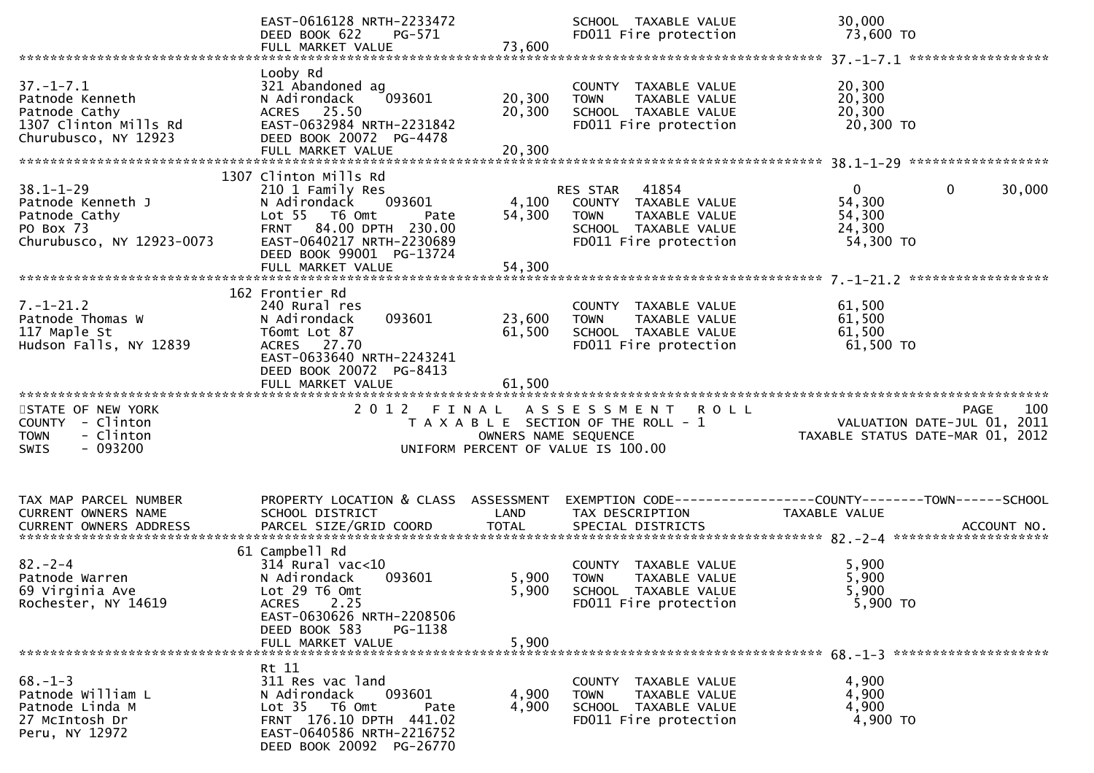|                                                                                                      | EAST-0616128 NRTH-2233472<br>DEED BOOK 622<br>PG-571<br>FULL MARKET VALUE                                                                                                       | 73,600                  | SCHOOL TAXABLE VALUE<br>FD011 Fire protection                                                                           | 30,000<br>73,600 TO                                                                 |
|------------------------------------------------------------------------------------------------------|---------------------------------------------------------------------------------------------------------------------------------------------------------------------------------|-------------------------|-------------------------------------------------------------------------------------------------------------------------|-------------------------------------------------------------------------------------|
|                                                                                                      |                                                                                                                                                                                 |                         |                                                                                                                         |                                                                                     |
| $37. - 1 - 7.1$<br>Patnode Kenneth<br>Patnode Cathy<br>1307 Clinton Mills Rd<br>Churubusco, NY 12923 | Looby Rd<br>321 Abandoned ag<br>093601<br>N Adirondack<br>ACRES 25.50<br>EAST-0632984 NRTH-2231842<br>DEED BOOK 20072 PG-4478                                                   | 20,300<br>20,300        | COUNTY TAXABLE VALUE<br>TAXABLE VALUE<br><b>TOWN</b><br>SCHOOL TAXABLE VALUE<br>FD011 Fire protection                   | 20,300<br>20,300<br>20,300<br>20,300 TO                                             |
|                                                                                                      |                                                                                                                                                                                 |                         |                                                                                                                         |                                                                                     |
| $38.1 - 1 - 29$<br>Patnode Kenneth J<br>Patnode Cathy<br>PO Box 73<br>Churubusco, NY 12923-0073      | 1307 Clinton Mills Rd<br>210 1 Family Res<br>093601<br>N Adirondack<br>Lot 55 T6 Omt<br>Pate<br>FRNT 84.00 DPTH 230.00<br>EAST-0640217 NRTH-2230689<br>DEED BOOK 99001 PG-13724 | 4,100<br>54,300         | RES STAR 41854<br>COUNTY TAXABLE VALUE<br><b>TOWN</b><br>TAXABLE VALUE<br>SCHOOL TAXABLE VALUE<br>FD011 Fire protection | $\mathbf{0}$<br>$\mathbf 0$<br>30,000<br>54,300<br>54,300<br>24,300<br>54,300 TO    |
|                                                                                                      |                                                                                                                                                                                 |                         |                                                                                                                         |                                                                                     |
|                                                                                                      |                                                                                                                                                                                 |                         |                                                                                                                         |                                                                                     |
| $7. - 1 - 21.2$<br>Patnode Thomas W<br>117 Maple St<br>Hudson Falls, NY 12839                        | 162 Frontier Rd<br>240 Rural res<br>093601<br>N Adirondack<br>T6omt Lot 87<br>ACRES 27.70<br>EAST-0633640 NRTH-2243241<br>DEED BOOK 20072 PG-8413                               | 23,600<br>61,500        | COUNTY TAXABLE VALUE<br>TAXABLE VALUE<br><b>TOWN</b><br>SCHOOL TAXABLE VALUE<br>FD011 Fire protection                   | 61,500<br>61,500<br>61,500<br>$61,500$ TO                                           |
|                                                                                                      | FULL MARKET VALUE                                                                                                                                                               | 61,500                  |                                                                                                                         |                                                                                     |
| STATE OF NEW YORK<br>COUNTY - Clinton<br>- Clinton<br><b>TOWN</b><br>$-093200$<br><b>SWIS</b>        | 2 0 1 2<br>FINAL                                                                                                                                                                | OWNERS NAME SEQUENCE    | ASSESSMENT ROLL<br>T A X A B L E SECTION OF THE ROLL - 1<br>UNIFORM PERCENT OF VALUE IS 100.00                          | 100<br>PAGE<br>VALUATION DATE-JUL $01$ , $2011$<br>TAXABLE STATUS DATE-MAR 01, 2012 |
| TAX MAP PARCEL NUMBER<br>CURRENT OWNERS NAME                                                         | PROPERTY LOCATION & CLASS ASSESSMENT<br>SCHOOL DISTRICT                                                                                                                         | LAND                    | TAX DESCRIPTION                                                                                                         | EXEMPTION CODE-----------------COUNTY-------TOWN------SCHOOL<br>TAXABLE VALUE       |
| $82 - 2 - 4$<br>Patnode Warren<br>69 Virginia Ave<br>Rochester, NY 14619                             | 61 Campbell Rd<br>314 Rural vac<10<br>N Adirondack<br>093601<br>Lot 29 T6 Omt<br>ACRES 2.25<br>EAST-0630626 NRTH-2208506<br>DEED BOOK 583<br>PG-1138<br>FULL MARKET VALUE       | 5,900<br>5,900<br>5,900 | COUNTY TAXABLE VALUE<br>TAXABLE VALUE<br><b>TOWN</b><br>SCHOOL TAXABLE VALUE<br>FD011 Fire protection                   | 5,900<br>5,900<br>5,900<br>5,900 TO                                                 |
|                                                                                                      |                                                                                                                                                                                 |                         |                                                                                                                         |                                                                                     |
| $68. - 1 - 3$<br>Patnode William L<br>Patnode Linda M<br>27 McIntosh Dr<br>Peru, NY 12972            | Rt 11<br>311 Res vac land<br>093601<br>N Adirondack<br>Lot 35 T6 Omt<br>Pate<br>FRNT 176.10 DPTH 441.02<br>EAST-0640586 NRTH-2216752<br>DEED BOOK 20092 PG-26770                | 4,900<br>4,900          | COUNTY TAXABLE VALUE<br>TAXABLE VALUE<br>TOWN<br>SCHOOL TAXABLE VALUE<br>FD011 Fire protection                          | 4,900<br>4,900<br>4,900<br>4,900 TO                                                 |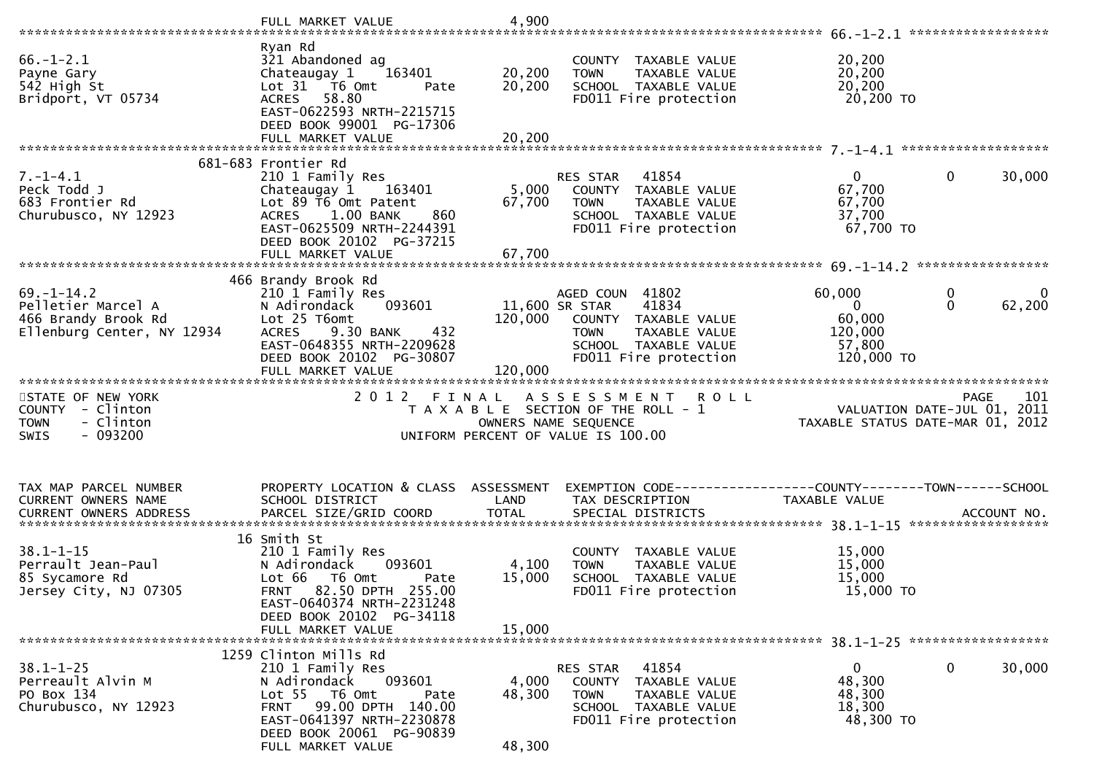|                                                                                               | FULL MARKET VALUE                                                                                                                                                                                   | 4,900                                |                                                                                                                                   |                                                                        |                                  |
|-----------------------------------------------------------------------------------------------|-----------------------------------------------------------------------------------------------------------------------------------------------------------------------------------------------------|--------------------------------------|-----------------------------------------------------------------------------------------------------------------------------------|------------------------------------------------------------------------|----------------------------------|
| $66. - 1 - 2.1$<br>Payne Gary<br>542 High St<br>Bridport, VT 05734                            | Ryan Rd<br>321 Abandoned ag<br>163401<br>Chateaugay 1<br>Lot 31 76 0mt<br>Pate<br>ACRES 58.80<br>EAST-0622593 NRTH-2215715<br>DEED BOOK 99001 PG-17306<br>FULL MARKET VALUE                         | 20,200<br>20,200<br>20,200           | COUNTY TAXABLE VALUE<br>TAXABLE VALUE<br><b>TOWN</b><br>SCHOOL TAXABLE VALUE<br>FD011 Fire protection                             | 20,200<br>20,200<br>20,200<br>20,200 TO                                |                                  |
|                                                                                               | 681-683 Frontier Rd                                                                                                                                                                                 |                                      |                                                                                                                                   |                                                                        |                                  |
| $7. - 1 - 4.1$<br>Peck Todd J<br>683 Frontier Rd<br>Churubusco, NY 12923                      | 210 1 Family Res<br>163401<br>Chateaugay 1<br>Lot 89 T6 Omt Patent<br>1.00 BANK<br><b>ACRES</b><br>860<br>EAST-0625509 NRTH-2244391<br>DEED BOOK 20102 PG-37215                                     | 67,700                               | RES STAR 41854<br>5,000 COUNTY TAXABLE VALUE<br><b>TOWN</b><br>TAXABLE VALUE<br>SCHOOL TAXABLE VALUE<br>FD011 Fire protection     | $\mathbf{0}$<br>67,700<br>67,700<br>37,700<br>67,700 TO                | $\mathbf 0$<br>30,000            |
|                                                                                               |                                                                                                                                                                                                     |                                      |                                                                                                                                   |                                                                        |                                  |
| $69. - 1 - 14.2$<br>Pelletier Marcel A<br>466 Brandy Brook Rd<br>Ellenburg Center, NY 12934   | 466 Brandy Brook Rd<br>210 1 Family Res<br>093601<br>N Adirondack<br>Lot 25 T6omt<br>9.30 BANK<br>432<br><b>ACRES</b><br>EAST-0648355 NRTH-2209628<br>DEED BOOK 20102 PG-30807<br>FULL MARKET VALUE | 11,600 SR STAR<br>120,000<br>120,000 | AGED COUN 41802<br>41834<br>COUNTY TAXABLE VALUE<br><b>TOWN</b><br>TAXABLE VALUE<br>SCHOOL TAXABLE VALUE<br>FD011 Fire protection | 60,000<br>$\mathbf{0}$<br>60,000<br>120,000<br>57,800<br>120,000 TO    | 0<br>0<br>62,200<br>$\Omega$     |
| STATE OF NEW YORK<br>COUNTY - Clinton<br>- Clinton<br><b>TOWN</b><br>$-093200$<br><b>SWIS</b> | 2 0 1 2                                                                                                                                                                                             | FINAL                                | ASSESSMENT ROLL<br>T A X A B L E SECTION OF THE ROLL - 1<br>OWNERS NAME SEQUENCE<br>UNIFORM PERCENT OF VALUE IS 100.00            | PAGE 101<br>VALUATION DATE-JUL 01, 2011<br>TAXABLE STATUS DATE 110 001 | TAXABLE STATUS DATE-MAR 01, 2012 |
| TAX MAP PARCEL NUMBER<br>CURRENT OWNERS NAME                                                  | PROPERTY LOCATION & CLASS ASSESSMENT<br>SCHOOL DISTRICT                                                                                                                                             | LAND                                 | EXEMPTION CODE------------------COUNTY--------TOWN------SCHOOL<br>TAX DESCRIPTION                                                 | TAXABLE VALUE                                                          |                                  |
| $38.1 - 1 - 15$<br>Perrault Jean-Paul<br>85 Sycamore Rd<br>Jersey City, NJ 07305              | 16 Smith St<br>210 1 Family Res<br>N Adirondack 093601<br>Lot 66  T6 0mt<br>Pate<br>FRNT 82.50 DPTH 255.00<br>EAST-0640374 NRTH-2231248<br>DEED BOOK 20102 PG-34118                                 | 4,100<br>15,000                      | COUNTY TAXABLE VALUE<br><b>TOWN</b><br>TAXABLE VALUE<br>SCHOOL TAXABLE VALUE<br>FD011 Fire protection                             | 15,000<br>15,000<br>15,000<br>15,000 TO                                |                                  |
|                                                                                               | FULL MARKET VALUE                                                                                                                                                                                   | 15,000                               |                                                                                                                                   |                                                                        |                                  |
| $38.1 - 1 - 25$<br>Perreault Alvin M<br>PO Box 134<br>Churubusco, NY 12923                    | 1259 Clinton Mills Rd<br>210 1 Family Res<br>093601<br>N Adirondack<br>Lot 55 T6 Omt<br>Pate<br>99.00 DPTH 140.00<br><b>FRNT</b>                                                                    | 4,000<br>48,300                      | 41854<br>RES STAR<br>COUNTY TAXABLE VALUE<br><b>TOWN</b><br>TAXABLE VALUE<br>SCHOOL TAXABLE VALUE                                 | $\mathbf{0}$<br>48,300<br>48,300<br>18,300                             | $\mathbf 0$<br>30,000            |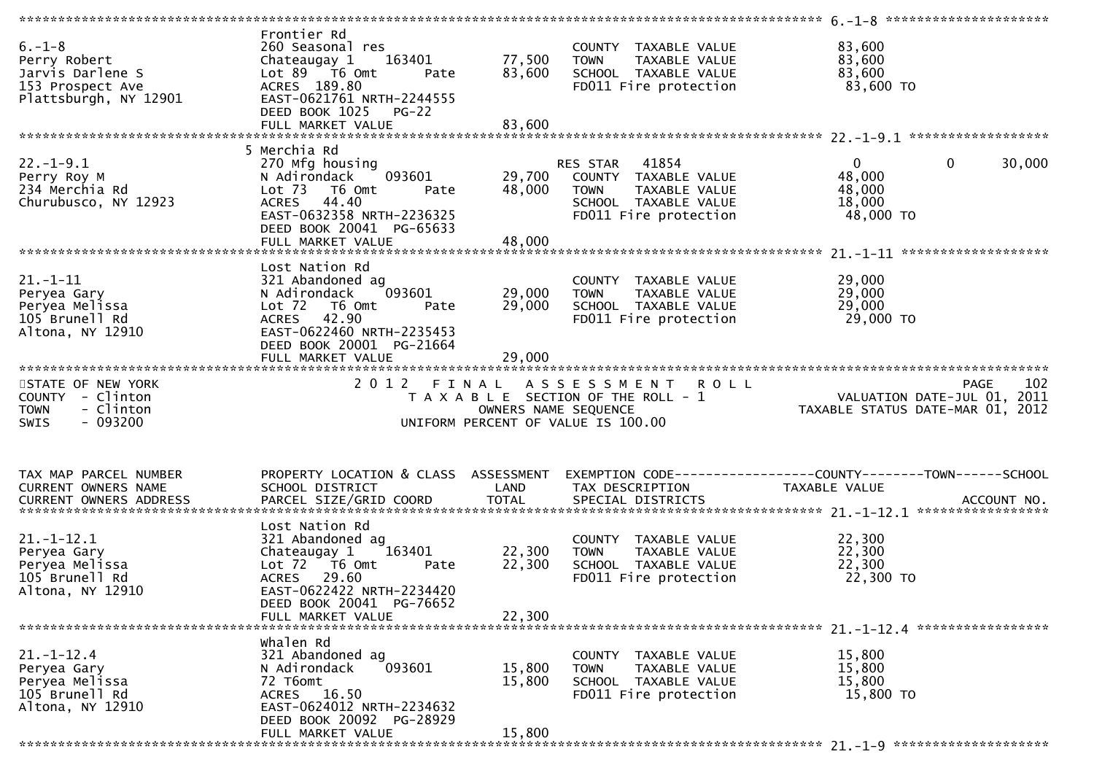| $6. - 1 - 8$<br>Perry Robert<br>Jarvis Darlene S<br>153 Prospect Ave<br>Plattsburgh, NY 12901 | Frontier Rd<br>260 Seasonal res<br>163401<br>Chateaugay 1<br>Lot 89 T6 Omt<br>Pate<br>ACRES 189.80<br>EAST-0621761 NRTH-2244555<br>DEED BOOK 1025<br>$PG-22$                       | 77,500<br>83,600           | COUNTY TAXABLE VALUE<br><b>TOWN</b><br>TAXABLE VALUE<br>SCHOOL TAXABLE VALUE<br>FD011 Fire protection                   | 83,600<br>83,600<br>83,600<br>83,600 TO                                |                    |
|-----------------------------------------------------------------------------------------------|------------------------------------------------------------------------------------------------------------------------------------------------------------------------------------|----------------------------|-------------------------------------------------------------------------------------------------------------------------|------------------------------------------------------------------------|--------------------|
| $22. - 1 - 9.1$<br>Perry Roy M<br>234 Merchia Rd<br>Churubusco, NY 12923                      | 5 Merchia Rd<br>270 Mfg housing<br>093601<br>N Adirondack<br>Lot 73<br>T6 Omt<br>Pate<br>ACRES 44.40<br>EAST-0632358 NRTH-2236325<br>DEED BOOK 20041 PG-65633                      | 29,700<br>48,000           | RES STAR 41854<br>COUNTY TAXABLE VALUE<br>TAXABLE VALUE<br><b>TOWN</b><br>SCHOOL TAXABLE VALUE<br>FD011 Fire protection | $\mathbf 0$<br>$\mathbf{0}$<br>48,000<br>48,000<br>18,000<br>48,000 TO | 30,000             |
| $21. - 1 - 11$<br>Peryea Gary<br>Peryea Melissa<br>105 Brunell Rd<br>Altona, NY 12910         | Lost Nation Rd<br>321 Abandoned ag<br>093601<br>N Adirondack<br>$Lot$ $72$<br>T6 Omt<br>Pate<br>ACRES 42.90<br>EAST-0622460 NRTH-2235453<br>DEED BOOK 20001 PG-21664               | 29,000<br>29,000<br>29,000 | COUNTY TAXABLE VALUE<br><b>TOWN</b><br>TAXABLE VALUE<br>SCHOOL TAXABLE VALUE<br>FD011 Fire protection                   | 29,000<br>29,000<br>29,000<br>29,000 TO                                |                    |
| STATE OF NEW YORK<br>COUNTY - Clinton<br>- Clinton<br><b>TOWN</b><br>$-093200$<br>SWIS        | 2012 FINAL                                                                                                                                                                         | OWNERS NAME SEQUENCE       | <b>ROLL</b><br>A S S E S S M E N T<br>T A X A B L E SECTION OF THE ROLL - 1<br>UNIFORM PERCENT OF VALUE IS 100.00       | VALUATION DATE-JUL 01, 2011<br>TAXABLE STATUS DATE-MAR 01, 2012        | 102<br><b>PAGE</b> |
| TAX MAP PARCEL NUMBER<br>CURRENT OWNERS NAME<br><b>CURRENT OWNERS ADDRESS</b>                 | PROPERTY LOCATION & CLASS ASSESSMENT<br>SCHOOL DISTRICT<br>PARCEL SIZE/GRID COORD                                                                                                  | LAND<br><b>TOTAL</b>       | TAX DESCRIPTION<br>SPECIAL DISTRICTS                                                                                    | TAXABLE VALUE                                                          | ACCOUNT NO.        |
| $21. - 1 - 12.1$<br>Peryea Gary<br>Peryea Melissa<br>105 Brunell Rd<br>Altona, NY 12910       | Lost Nation Rd<br>321 Abandoned ag<br>163401<br>Chateaugay 1<br>Lot 72 T6 Omt<br>Pate<br>ACRES 29.60<br>EAST-0622422 NRTH-2234420<br>DEED BOOK 20041 PG-76652<br>FULL MARKET VALUE | 22,300<br>22,300<br>22,300 | COUNTY TAXABLE VALUE<br>TAXABLE VALUE<br><b>TOWN</b><br>SCHOOL TAXABLE VALUE<br>FD011 Fire protection                   | 22,300<br>22,300<br>22,300<br>22,300 TO                                |                    |
|                                                                                               |                                                                                                                                                                                    |                            |                                                                                                                         |                                                                        |                    |
| $21. - 1 - 12.4$<br>Peryea Gary<br>Peryea Melissa<br>105 Brunell Rd<br>Altona, NY 12910       | Whalen Rd<br>321 Abandoned ag<br>093601<br>N Adirondack<br>72 T6omt<br>ACRES 16.50<br>EAST-0624012 NRTH-2234632<br>DEED BOOK 20092 PG-28929                                        | 15,800<br>15,800           | COUNTY TAXABLE VALUE<br><b>TOWN</b><br>TAXABLE VALUE<br>SCHOOL TAXABLE VALUE<br>FD011 Fire protection                   | 15,800<br>15,800<br>15,800<br>15,800 TO                                |                    |
|                                                                                               | FULL MARKET VALUE                                                                                                                                                                  | 15,800                     |                                                                                                                         |                                                                        |                    |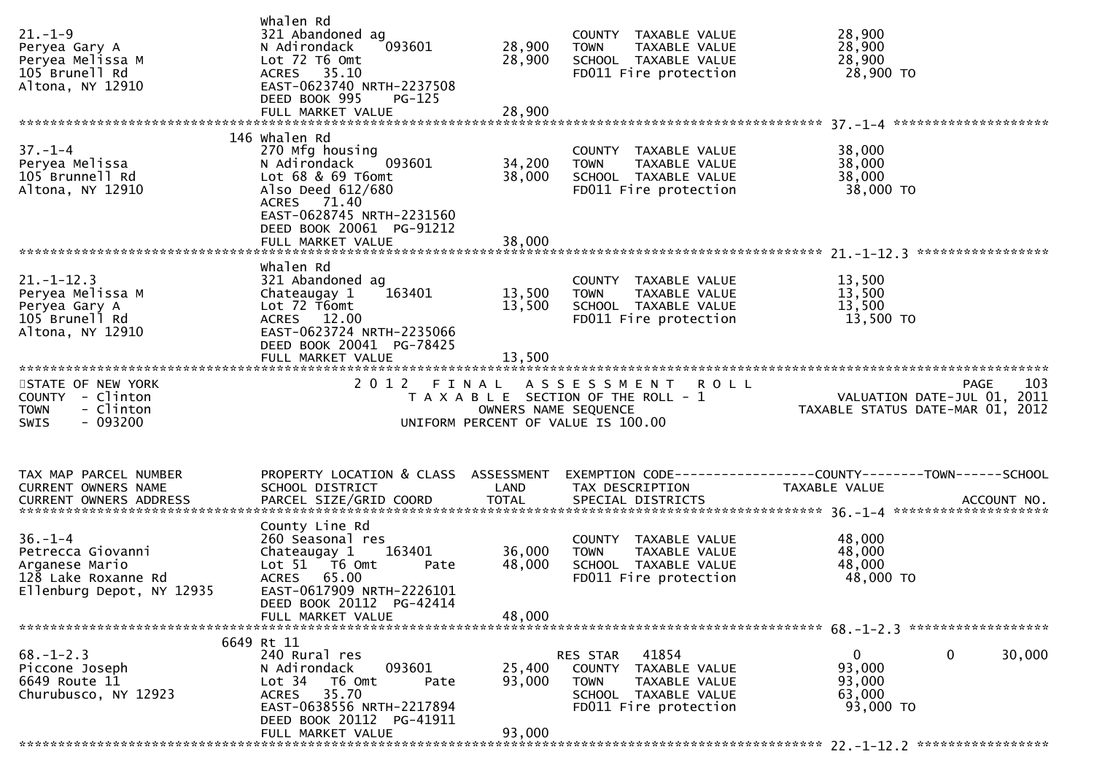|                                       | Whalen Rd                                               |                      |                                       |                                                                                          |      |
|---------------------------------------|---------------------------------------------------------|----------------------|---------------------------------------|------------------------------------------------------------------------------------------|------|
| $21. - 1 - 9$                         | 321 Abandoned ag                                        |                      | COUNTY TAXABLE VALUE                  | 28,900                                                                                   |      |
| Peryea Gary A                         | 093601<br>N Adirondack                                  | 28,900               | <b>TOWN</b><br>TAXABLE VALUE          | 28,900                                                                                   |      |
| Peryea Melissa M                      | Lot 72 T6 Omt                                           | 28,900               | SCHOOL TAXABLE VALUE                  | 28,900                                                                                   |      |
| 105 Brunell Rd                        | ACRES 35.10                                             |                      | FD011 Fire protection                 | 28,900 TO                                                                                |      |
| Altona, NY 12910                      | EAST-0623740 NRTH-2237508                               |                      |                                       |                                                                                          |      |
|                                       | DEED BOOK 995<br>$PG-125$                               |                      |                                       |                                                                                          |      |
|                                       | FULL MARKET VALUE                                       | 28,900               |                                       |                                                                                          |      |
|                                       |                                                         |                      |                                       |                                                                                          |      |
|                                       | 146 whalen Rd                                           |                      |                                       |                                                                                          |      |
| $37. - 1 - 4$                         | 270 Mfg housing                                         |                      | COUNTY TAXABLE VALUE                  | 38,000                                                                                   |      |
| Peryea Melissa                        | 093601<br>N Adirondack                                  | 34,200               | <b>TOWN</b><br>TAXABLE VALUE          | 38,000                                                                                   |      |
| 105 Brunnell Rd                       | Lot $68$ & $69$ T6omt                                   | 38,000               | SCHOOL TAXABLE VALUE                  | 38,000                                                                                   |      |
| Altona, NY 12910                      | Also Deed 612/680                                       |                      | FD011 Fire protection                 | 38,000 TO                                                                                |      |
|                                       | ACRES 71.40                                             |                      |                                       |                                                                                          |      |
|                                       | EAST-0628745 NRTH-2231560                               |                      |                                       |                                                                                          |      |
|                                       | DEED BOOK 20061 PG-91212                                |                      |                                       |                                                                                          |      |
|                                       | FULL MARKET VALUE                                       | 38,000               |                                       |                                                                                          |      |
|                                       | Whalen Rd                                               |                      |                                       |                                                                                          |      |
| $21. - 1 - 12.3$                      | 321 Abandoned ag                                        |                      | COUNTY TAXABLE VALUE                  | 13,500                                                                                   |      |
| Peryea Melissa M                      | 163401<br>Chateaugay 1                                  | 13,500               | TAXABLE VALUE<br><b>TOWN</b>          | 13,500                                                                                   |      |
| Peryea Gary A                         | Lot 72 T6omt                                            | 13,500               | SCHOOL TAXABLE VALUE                  | 13,500                                                                                   |      |
| 105 Brunell Rd                        | ACRES 12.00                                             |                      | FD011 Fire protection                 | 13,500 TO                                                                                |      |
| Altona, NY 12910                      | EAST-0623724 NRTH-2235066                               |                      |                                       |                                                                                          |      |
|                                       | DEED BOOK 20041 PG-78425                                |                      |                                       |                                                                                          |      |
|                                       |                                                         |                      |                                       |                                                                                          |      |
|                                       |                                                         |                      |                                       |                                                                                          |      |
|                                       |                                                         |                      |                                       |                                                                                          |      |
| STATE OF NEW YORK                     |                                                         |                      | 2012 FINAL ASSESSMENT ROLL            | <b>PAGE</b>                                                                              | 103  |
| COUNTY - Clinton                      |                                                         |                      | T A X A B L E SECTION OF THE ROLL - 1 |                                                                                          | 2011 |
| - Clinton<br><b>TOWN</b>              |                                                         | OWNERS NAME SEQUENCE |                                       | PAGE<br>VALUATION DATE-JUL 01,<br>TAYABLE STATUS PUT<br>TAXABLE STATUS DATE-MAR 01, 2012 |      |
| - 093200<br><b>SWIS</b>               |                                                         |                      | UNIFORM PERCENT OF VALUE IS 100.00    |                                                                                          |      |
|                                       |                                                         |                      |                                       |                                                                                          |      |
|                                       |                                                         |                      |                                       |                                                                                          |      |
|                                       |                                                         |                      |                                       |                                                                                          |      |
| TAX MAP PARCEL NUMBER                 | PROPERTY LOCATION & CLASS ASSESSMENT<br>SCHOOL DISTRICT | LAND                 |                                       |                                                                                          |      |
| CURRENT OWNERS NAME                   |                                                         |                      | TAX DESCRIPTION                       | TAXABLE VALUE                                                                            |      |
|                                       |                                                         |                      |                                       |                                                                                          |      |
|                                       | County Line Rd                                          |                      |                                       |                                                                                          |      |
| $36. - 1 - 4$                         | 260 Seasonal res                                        |                      | COUNTY TAXABLE VALUE                  | 48,000                                                                                   |      |
| Petrecca Giovanni                     | Chateaugay 1 163401                                     | 36,000               | TAXABLE VALUE<br>TOWN                 | 48,000                                                                                   |      |
| Arganese Mario                        | Lot 51 76 0mt<br>Pate                                   | 48,000               | SCHOOL TAXABLE VALUE                  | 48,000                                                                                   |      |
| 128 Lake Roxanne Rd                   | ACRES 65.00                                             |                      | FD011 Fire protection                 | 48,000 TO                                                                                |      |
| Ellenburg Depot, NY 12935             | EAST-0617909 NRTH-2226101                               |                      |                                       |                                                                                          |      |
|                                       | DEED BOOK 20112 PG-42414                                |                      |                                       |                                                                                          |      |
|                                       | FULL MARKET VALUE                                       | 48,000               |                                       |                                                                                          |      |
|                                       |                                                         |                      |                                       |                                                                                          |      |
|                                       | 6649 Rt 11                                              |                      |                                       |                                                                                          |      |
| $68. - 1 - 2.3$                       | 240 Rural res                                           |                      | 41854<br>RES STAR                     | 30,000<br>0<br>$\bf{0}$                                                                  |      |
| Piccone Joseph                        | 093601<br>N Adirondack<br>Lot 34<br>T6 Omt<br>Pate      | 25,400<br>93,000     | COUNTY TAXABLE VALUE<br><b>TOWN</b>   | 93,000                                                                                   |      |
| 6649 Route 11<br>Churubusco, NY 12923 | 35.70<br><b>ACRES</b>                                   |                      | TAXABLE VALUE<br>SCHOOL TAXABLE VALUE | 93,000<br>63,000                                                                         |      |
|                                       | EAST-0638556 NRTH-2217894                               |                      | FD011 Fire protection                 | 93,000 TO                                                                                |      |
|                                       | DEED BOOK 20112 PG-41911                                |                      |                                       |                                                                                          |      |
|                                       | FULL MARKET VALUE                                       | 93,000               |                                       |                                                                                          |      |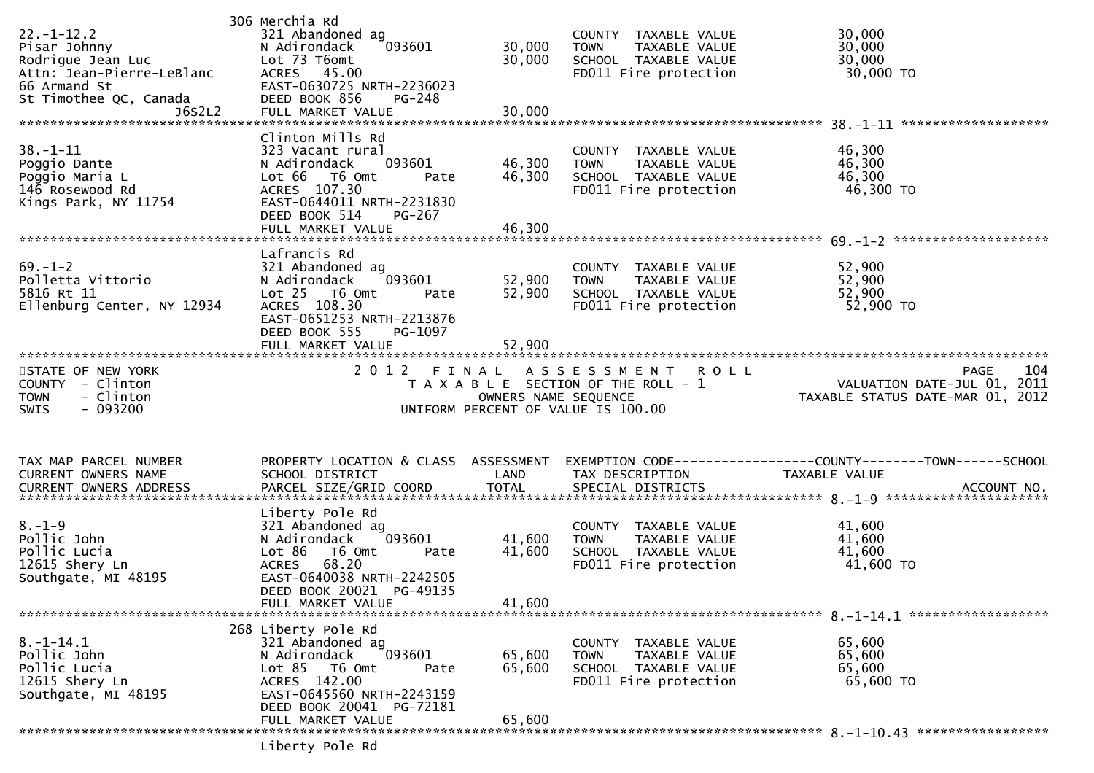| 306 Merchia Rd<br>321 Abandoned ag<br>093601<br>N Adirondack<br>Lot 73 T6omt<br>ACRES 45.00<br>EAST-0630725 NRTH-2236023<br>DEED BOOK 856<br>PG-248                                              | 30,000<br>30,000           | COUNTY TAXABLE VALUE<br>TAXABLE VALUE<br><b>TOWN</b><br>SCHOOL TAXABLE VALUE<br>FD011 Fire protection | 30,000<br>30,000<br>30,000<br>30,000 TO                                                                                                                                                                                  |
|--------------------------------------------------------------------------------------------------------------------------------------------------------------------------------------------------|----------------------------|-------------------------------------------------------------------------------------------------------|--------------------------------------------------------------------------------------------------------------------------------------------------------------------------------------------------------------------------|
| Clinton Mills Rd<br>323 Vacant rural<br>093601<br>N Adirondack<br>Lot 66 T6 Omt<br>Pate<br>ACRES 107.30<br>EAST-0644011 NRTH-2231830<br>DEED BOOK 514<br>PG-267<br>FULL MARKET VALUE             | 46,300<br>46,300<br>46,300 | COUNTY TAXABLE VALUE<br>TAXABLE VALUE<br>TOWN<br>SCHOOL TAXABLE VALUE<br>FD011 Fire protection        | 46,300<br>46,300<br>46,300<br>46,300 TO                                                                                                                                                                                  |
| Lafrancis Rd<br>321 Abandoned ag<br>N Adirondack<br>093601<br>$Lot 25$ T6 Omt<br>Pate<br>ACRES 108.30<br>EAST-0651253 NRTH-2213876<br>DEED BOOK 555<br>PG-1097                                   | 52,900<br>52,900           | COUNTY TAXABLE VALUE<br>TOWN<br>TAXABLE VALUE<br>SCHOOL TAXABLE VALUE<br>FD011 Fire protection        | 52,900<br>52,900<br>52,900<br>52,900 TO                                                                                                                                                                                  |
|                                                                                                                                                                                                  |                            | <b>ROLL</b>                                                                                           | 104<br>PAGE<br>VALUATION DATE-JUL 01, 2011<br>TAXABLE STATUS DATE-MAR 01, 2012                                                                                                                                           |
| SCHOOL DISTRICT                                                                                                                                                                                  | LAND                       | TAX DESCRIPTION                                                                                       | EXEMPTION CODE-----------------COUNTY-------TOWN------SCHOOL<br>TAXABLE VALUE                                                                                                                                            |
| Liberty Pole Rd<br>321 Abandoned ag<br>093601<br>N Adirondack<br>Lot 86<br>T6 Omt<br>Pate<br>68.20<br><b>ACRES</b><br>EAST-0640038 NRTH-2242505<br>DEED BOOK 20021 PG-49135<br>FULL MARKET VALUE | 41,600<br>41,600<br>41,600 | COUNTY TAXABLE VALUE<br>TAXABLE VALUE<br><b>TOWN</b><br>SCHOOL TAXABLE VALUE<br>FD011 Fire protection | 41,600<br>41,600<br>41,600<br>41,600 TO                                                                                                                                                                                  |
| 268 Liberty Pole Rd<br>321 Abandoned ag<br>093601<br>N Adirondack<br>Lot 85 T6 Omt<br>Pate<br>ACRES 142.00<br>EAST-0645560 NRTH-2243159                                                          | 65,600<br>65,600           | COUNTY TAXABLE VALUE<br><b>TOWN</b><br>TAXABLE VALUE<br>SCHOOL TAXABLE VALUE<br>FD011 Fire protection | 65,600<br>65,600<br>65,600<br>65,600 TO                                                                                                                                                                                  |
|                                                                                                                                                                                                  | DEED BOOK 20041 PG-72181   | PROPERTY LOCATION & CLASS ASSESSMENT                                                                  | 2012 FINAL ASSESSMENT<br>T A X A B L E SECTION OF THE ROLL - 1<br>OWNERS NAME SEQUENCE<br>UNIFORM PERCENT OF VALUE IS 100.00<br>CURRENT OWNERS ADDRESS PARCEL SIZE/GRID COORD TOTAL SPECIAL DISTRICTS (2011) ACCOUNT NO. |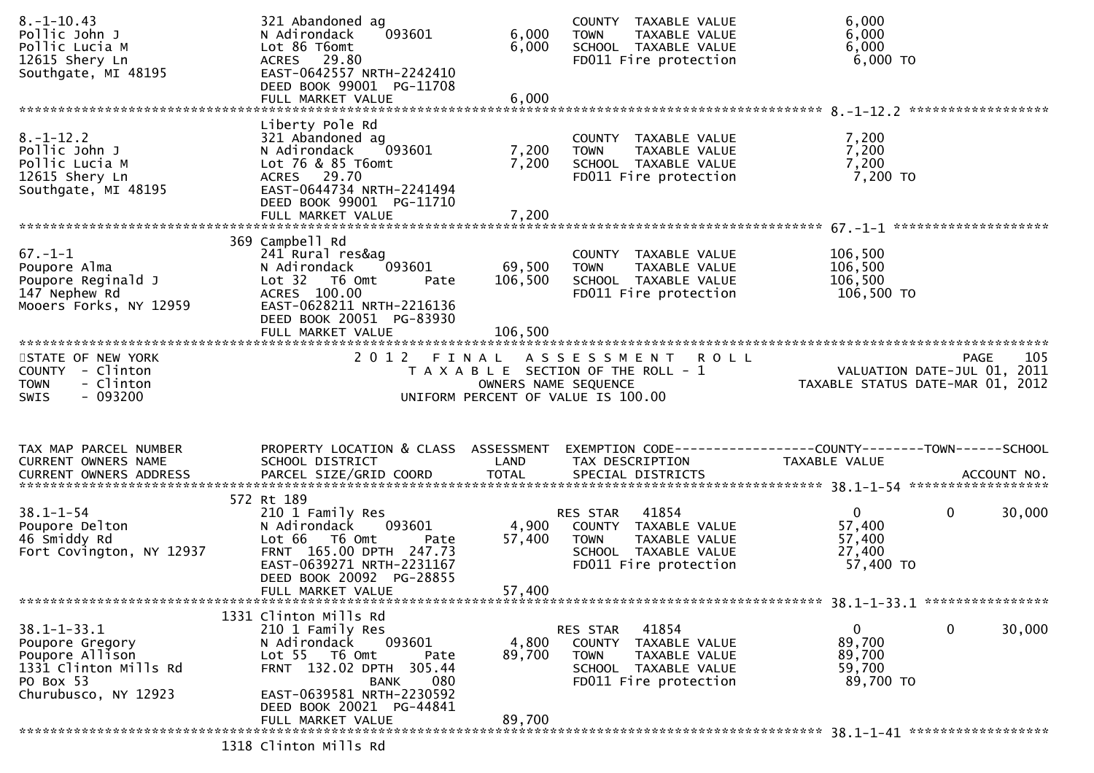| $8. - 1 - 10.43$<br>Pollic John J<br>Pollic Lucia M<br>12615 Shery Ln<br>Southgate, MI 48195                             | 321 Abandoned ag<br>093601<br>N Adirondack<br>Lot 86 T6omt<br>ACRES 29.80<br>EAST-0642557 NRTH-2242410<br>DEED BOOK 99001 PG-11708<br>FULL MARKET VALUE                                                | 6,000<br>6,000<br>6,000      | COUNTY TAXABLE VALUE<br>TAXABLE VALUE<br><b>TOWN</b><br>SCHOOL TAXABLE VALUE<br>FD011 Fire protection                      | 6,000<br>6,000<br>6,000<br>6,000 TO                     |                                            |
|--------------------------------------------------------------------------------------------------------------------------|--------------------------------------------------------------------------------------------------------------------------------------------------------------------------------------------------------|------------------------------|----------------------------------------------------------------------------------------------------------------------------|---------------------------------------------------------|--------------------------------------------|
| $8. - 1 - 12.2$<br>Pollic John J<br>Pollic Lucia M<br>12615 Shery Ln<br>Southgate, MI 48195                              | Liberty Pole Rd<br>321 Abandoned ag<br>N Adirondack<br>093601<br>Lot 76 & 85 T6omt<br>ACRES 29.70<br>EAST-0644734 NRTH-2241494<br>DEED BOOK 99001 PG-11710<br>FULL MARKET VALUE                        | 7,200<br>7,200<br>7,200      | COUNTY TAXABLE VALUE<br>TAXABLE VALUE<br><b>TOWN</b><br>SCHOOL TAXABLE VALUE<br>FD011 Fire protection                      | 7,200<br>7,200<br>7,200<br>7,200 TO                     |                                            |
| $67 - 1 - 1$<br>Poupore Alma<br>Poupore Reginald J<br>147 Nephew Rd<br>Mooers Forks, NY 12959<br>*********************** | 369 Campbell Rd<br>241 Rural res&ag<br>093601<br>N Adirondack<br>Lot 32 T6 Omt<br>Pate<br>ACRES 100.00<br>EAST-0628211 NRTH-2216136<br>DEED BOOK 20051 PG-83930<br>FULL MARKET VALUE                   | 69,500<br>106,500<br>106,500 | COUNTY TAXABLE VALUE<br><b>TOWN</b><br>TAXABLE VALUE<br>SCHOOL TAXABLE VALUE<br>FD011 Fire protection                      | 106,500<br>106,500<br>106,500<br>106,500 TO             |                                            |
| STATE OF NEW YORK<br>COUNTY - Clinton<br>- Clinton<br><b>TOWN</b><br>$-093200$<br>SWIS                                   |                                                                                                                                                                                                        | OWNERS NAME SEQUENCE         | 2012 FINAL ASSESSMENT<br><b>ROLL</b><br>T A X A B L E SECTION OF THE ROLL - 1<br>UNIFORM PERCENT OF VALUE IS 100.00        | TAXABLE STATUS DATE-MAR 01, 2012                        | 105<br>PAGE<br>VALUATION DATE-JUL 01, 2011 |
| TAX MAP PARCEL NUMBER<br>CURRENT OWNERS NAME                                                                             | PROPERTY LOCATION & CLASS ASSESSMENT<br>SCHOOL DISTRICT                                                                                                                                                | LAND                         | EXEMPTION CODE------------------COUNTY--------TOWN------SCHOOL<br>TAX DESCRIPTION                                          | TAXABLE VALUE                                           |                                            |
| $38.1 - 1 - 54$<br>Poupore Delton<br>46 Smiddy Rd<br>Fort Covington, NY 12937                                            | 572 Rt 189<br>210 1 Family Res<br>093601<br>N Adirondack<br>Lot 66<br>T6 Omt<br>Pate<br>FRNT 165.00 DPTH 247.73<br>EAST-0639271 NRTH-2231167<br>DEED BOOK 20092 PG-28855<br>FULL MARKET VALUE          | 4,900<br>57,400<br>57,400    | 41854<br>RES STAR<br>COUNTY TAXABLE VALUE<br><b>TOWN</b><br>TAXABLE VALUE<br>SCHOOL TAXABLE VALUE<br>FD011 Fire protection | $\mathbf{0}$<br>57,400<br>57,400<br>27,400<br>57,400 TO | $\mathbf 0$<br>30,000                      |
| $38.1 - 1 - 33.1$<br>Poupore Gregory<br>Poupore Allison<br>1331 Clinton Mills Rd<br>PO Box 53<br>Churubusco, NY 12923    | 1331 Clinton Mills Rd<br>210 1 Family Res<br>093601<br>N Adirondack<br>Lot 55 T6 Omt<br>Pate<br>FRNT 132.02 DPTH 305.44<br>080<br><b>BANK</b><br>EAST-0639581 NRTH-2230592<br>DEED BOOK 20021 PG-44841 | 4,800<br>89,700              | 41854<br>RES STAR<br>COUNTY TAXABLE VALUE<br>TAXABLE VALUE<br><b>TOWN</b><br>SCHOOL TAXABLE VALUE<br>FD011 Fire protection | $\Omega$<br>89,700<br>89,700<br>59,700<br>89,700 TO     | 30,000<br>0                                |
|                                                                                                                          | 1318 Clinton Mills Rd                                                                                                                                                                                  |                              |                                                                                                                            |                                                         |                                            |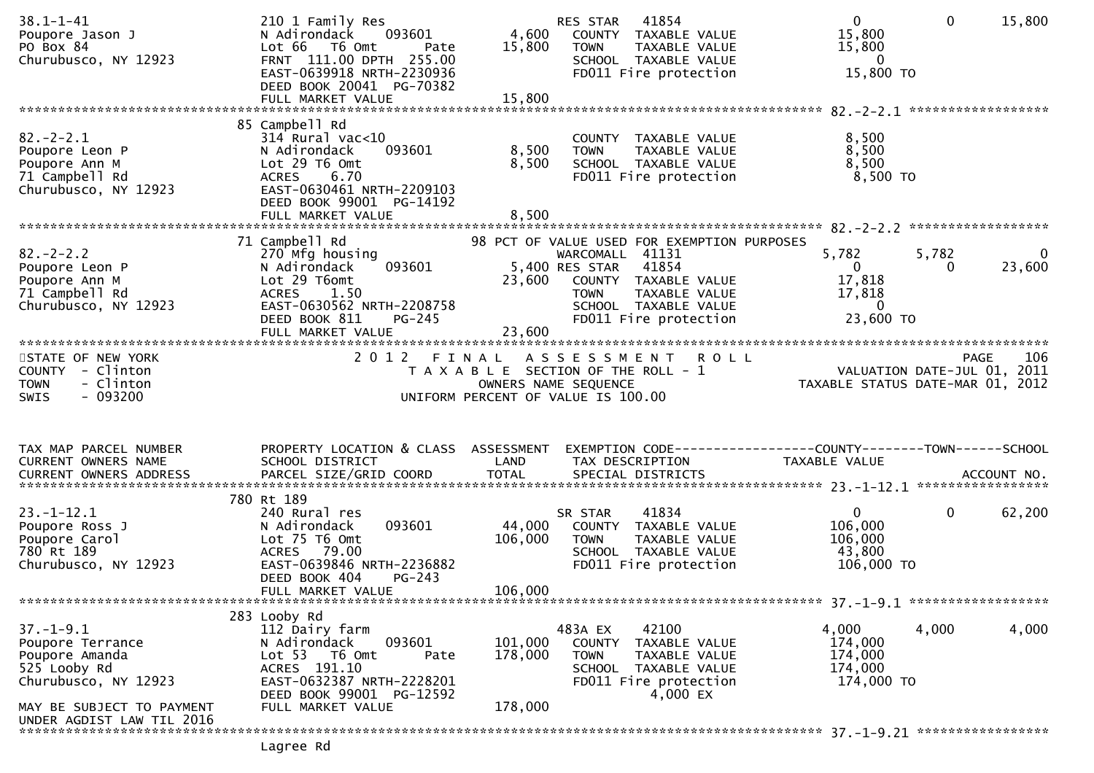| $38.1 - 1 - 41$<br>Poupore Jason J<br>PO Box 84<br>Churubusco, NY 12923                                                                                 | 210 1 Family Res<br>093601<br>N Adirondack<br>Lot 66 T6 Omt<br>Pate<br>FRNT 111.00 DPTH 255.00<br>EAST-0639918 NRTH-2230936<br>DEED BOOK 20041 PG-70382<br>FULL MARKET VALUE             | 4,600<br>15,800<br>15,800     | 41854<br>RES STAR<br>COUNTY TAXABLE VALUE<br><b>TOWN</b><br>TAXABLE VALUE<br>SCHOOL TAXABLE VALUE<br>FD011 Fire protection                                                                         | $\overline{0}$<br>15,800<br>15,800<br>- 0<br>15,800 TO               | $\mathbf{0}$ | 15,800                 |
|---------------------------------------------------------------------------------------------------------------------------------------------------------|------------------------------------------------------------------------------------------------------------------------------------------------------------------------------------------|-------------------------------|----------------------------------------------------------------------------------------------------------------------------------------------------------------------------------------------------|----------------------------------------------------------------------|--------------|------------------------|
| $82 - 2 - 2.1$<br>Poupore Leon P<br>Poupore Ann M<br>71 Campbell Rd<br>Churubusco, NY 12923                                                             | 85 Campbell Rd<br>$314$ Rural vac< $10$<br>093601<br>N Adirondack<br>Lot 29 T6 Omt<br>6.70<br><b>ACRES</b><br>EAST-0630461 NRTH-2209103<br>DEED BOOK 99001 PG-14192<br>FULL MARKET VALUE | 8,500<br>8,500<br>8,500       | COUNTY TAXABLE VALUE<br>TAXABLE VALUE<br><b>TOWN</b><br>SCHOOL TAXABLE VALUE<br>FD011 Fire protection                                                                                              | 8,500<br>8,500<br>8,500<br>8,500 TO                                  |              |                        |
| $82 - 2 - 2.2$<br>Poupore Leon P<br>Poupore Ann M<br>71 Campbell Rd<br>Churubusco, NY 12923                                                             | 71 Campbell Rd<br>270 Mfg housing<br>093601<br>N Adirondack<br>Lot 29 T6omt<br>ACRES 1.50<br>EAST-0630562 NRTH-2208758<br>DEED BOOK 811<br>$PG-245$<br>FULL MARKET VALUE                 | 23,600<br>23,600              | 98 PCT OF VALUE USED FOR EXEMPTION PURPOSES<br>WARCOMALL 41131<br>5,400 RES STAR<br>41854<br>COUNTY TAXABLE VALUE<br><b>TOWN</b><br>TAXABLE VALUE<br>SCHOOL TAXABLE VALUE<br>FD011 Fire protection | 5,782<br>$\overline{0}$<br>17,818<br>17,818<br>$\Omega$<br>23,600 TO | 5,782<br>0   | $\mathbf{0}$<br>23,600 |
| STATE OF NEW YORK<br>COUNTY - Clinton<br>- Clinton<br><b>TOWN</b><br>$-093200$<br><b>SWIS</b>                                                           | 2 0 1 2                                                                                                                                                                                  | FINAL                         | A S S E S S M E N T<br><b>ROLL</b><br>T A X A B L E SECTION OF THE ROLL - 1<br>OWNERS NAME SEQUENCE<br>UNIFORM PERCENT OF VALUE IS 100.00                                                          | VALUATION DATE-JUL 01, 2011<br>TAXABLE STATUS DATE-MAR 01, 2012      | PAGE         | 106                    |
| TAX MAP PARCEL NUMBER<br>CURRENT OWNERS NAME                                                                                                            | PROPERTY LOCATION & CLASS ASSESSMENT<br>SCHOOL DISTRICT                                                                                                                                  | LAND                          | EXEMPTION CODE-----------------COUNTY-------TOWN------SCHOOL<br>TAX DESCRIPTION                                                                                                                    | TAXABLE VALUE                                                        |              |                        |
| $23. - 1 - 12.1$<br>Poupore Ross J<br>Poupore Carol<br>780 Rt 189<br>Churubusco, NY 12923                                                               | 780 Rt 189<br>240 Rural res<br>093601<br>N Adirondack<br>Lot 75 T6 Omt<br>ACRES 79.00<br>EAST-0639846 NRTH-2236882<br>DEED BOOK 404<br>$PG-243$<br>FULL MARKET VALUE                     | 44,000<br>106,000<br>106,000  | 41834<br>SR STAR<br>COUNTY TAXABLE VALUE<br><b>TOWN</b><br>TAXABLE VALUE<br>SCHOOL TAXABLE VALUE<br>FD011 Fire protection                                                                          | $\mathbf{0}$<br>106,000<br>106,000<br>43,800<br>106,000 TO           | $\mathbf 0$  | 62,200                 |
| $37. - 1 - 9.1$<br>Poupore Terrance<br>Poupore Amanda<br>525 Looby Rd<br>Churubusco, NY 12923<br>MAY BE SUBJECT TO PAYMENT<br>UNDER AGDIST LAW TIL 2016 | 283 Looby Rd<br>112 Dairy farm<br>093601<br>N Adirondack<br>Lot 53 T6 Omt<br>Pate<br>ACRES 191.10<br>EAST-0632387 NRTH-2228201<br>DEED BOOK 99001 PG-12592<br>FULL MARKET VALUE          | 101,000<br>178,000<br>178,000 | 483A EX<br>42100<br>COUNTY<br>TAXABLE VALUE<br><b>TOWN</b><br>TAXABLE VALUE<br>SCHOOL TAXABLE VALUE<br>FD011 Fire protection<br>4,000 EX                                                           | 4,000<br>174,000<br>174,000<br>174,000<br>174,000 TO                 | 4,000        | 4,000                  |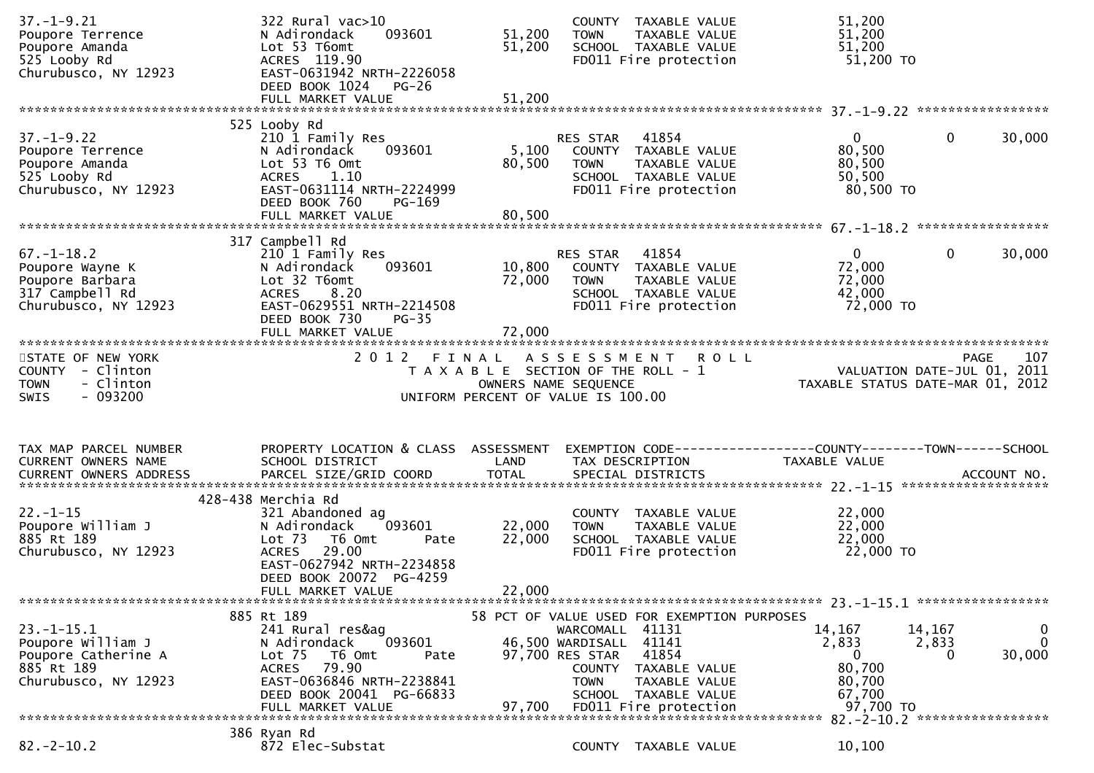| $37. - 1 - 9.21$<br>Poupore Terrence<br>Poupore Amanda<br>525 Looby Rd<br>Churubusco, NY 12923     | 322 Rural vac>10<br>093601<br>N Adirondack<br>Lot 53 T6omt<br>ACRES 119.90<br>EAST-0631942 NRTH-2226058<br>DEED BOOK 1024 PG-26                                                                      | 51,200<br>51,200           | COUNTY TAXABLE VALUE<br>TAXABLE VALUE<br><b>TOWN</b><br>SCHOOL TAXABLE VALUE<br>FD011 Fire protection                                                                                                | 51,200<br>51,200<br>51,200<br>51,200 TO                                                      |                            |
|----------------------------------------------------------------------------------------------------|------------------------------------------------------------------------------------------------------------------------------------------------------------------------------------------------------|----------------------------|------------------------------------------------------------------------------------------------------------------------------------------------------------------------------------------------------|----------------------------------------------------------------------------------------------|----------------------------|
| $37. - 1 - 9.22$<br>Poupore Terrence<br>Poupore Amanda<br>525 Looby Rd<br>Churubusco, NY 12923     | 525 Looby Rd<br>210 1 Family Res<br>093601<br>N Adirondack<br>Lot 53 T6 Omt<br>ACRES 1.10<br>EAST-0631114 NRTH-2224999<br>DEED BOOK 760<br>PG-169                                                    | 5,100<br>80,500            | RES STAR<br>41854<br>COUNTY TAXABLE VALUE<br><b>TOWN</b><br>TAXABLE VALUE<br>SCHOOL TAXABLE VALUE<br>FD011 Fire protection                                                                           | $\mathbf{0}$<br>$\mathbf 0$<br>80,500<br>80,500<br>50,500<br>80,500 TO                       | 30,000                     |
| $67. - 1 - 18.2$<br>Poupore Wayne K<br>Poupore Barbara<br>317 Campbell Rd<br>Churubusco, NY 12923  | 317 Campbell Rd<br>210 1 Family Res<br>093601<br>N Adirondack<br>Lot 32 T6omt<br>ACRES 8.20<br>EAST-0629551 NRTH-2214508<br>DEED BOOK 730<br>$PG-35$<br>FULL MARKET VALUE                            | 10,800<br>72,000<br>72,000 | RES STAR 41854<br>COUNTY TAXABLE VALUE<br>TAXABLE VALUE<br><b>TOWN</b><br>SCHOOL TAXABLE VALUE<br>FD011 Fire protection                                                                              | $\mathbf{0}$<br>$\Omega$<br>72,000<br>72,000<br>42,000<br>72,000 TO                          | 30,000                     |
| STATE OF NEW YORK<br>COUNTY - Clinton<br>- Clinton<br><b>TOWN</b><br>- 093200<br><b>SWIS</b>       | 2012 FINAL                                                                                                                                                                                           | OWNERS NAME SEQUENCE       | A S S E S S M E N T<br><b>ROLL</b><br>T A X A B L E SECTION OF THE ROLL - 1<br>UNIFORM PERCENT OF VALUE IS 100.00                                                                                    | PAGE<br>VALUATION DATE-JUL 01, 2011<br>TAXABLE STATUS DATE-MAR 01, 2012                      | 107                        |
| TAX MAP PARCEL NUMBER<br>CURRENT OWNERS NAME                                                       | PROPERTY LOCATION & CLASS ASSESSMENT<br>SCHOOL DISTRICT                                                                                                                                              | LAND                       | TAX DESCRIPTION                                                                                                                                                                                      | TAXABLE VALUE                                                                                |                            |
| $22. - 1 - 15$<br>Poupore William J<br>885 Rt 189<br>Churubusco, NY 12923                          | 428-438 Merchia Rd<br>321 Abandoned ag<br>093601<br>N Adirondack<br>Lot $73$<br>T6 Omt<br>Pate<br><b>ACRES</b><br>29.00<br>EAST-0627942 NRTH-2234858<br>DEED BOOK 20072 PG-4259<br>FULL MARKET VALUE | 22,000<br>22,000<br>22,000 | COUNTY TAXABLE VALUE<br>TAXABLE VALUE<br><b>TOWN</b><br>SCHOOL TAXABLE VALUE<br>FD011 Fire protection                                                                                                | 22,000<br>22,000<br>22,000<br>22,000 TO                                                      |                            |
| $23. - 1 - 15.1$<br>Poupore William J<br>Poupore Catherine A<br>885 Rt 189<br>Churubusco, NY 12923 | 885 Rt 189<br>241 Rural res&ag<br>093601<br>N Adirondack<br>Lot <sub>75</sub><br>T6 Omt<br>Pate<br>79.90<br><b>ACRES</b><br>EAST-0636846 NRTH-2238841<br>DEED BOOK 20041 PG-66833                    |                            | 58 PCT OF VALUE USED FOR EXEMPTION PURPOSES<br>WARCOMALL 41131<br>46,500 WARDISALL 41141<br>41854<br>97,700 RES STAR<br>COUNTY TAXABLE VALUE<br><b>TOWN</b><br>TAXABLE VALUE<br>SCHOOL TAXABLE VALUE | 14,167<br>14,167<br>2,833<br>2,833<br>$\mathbf{0}$<br>$\Omega$<br>80,700<br>80,700<br>67,700 | 0<br>$\mathbf 0$<br>30,000 |
|                                                                                                    | FULL MARKET VALUE                                                                                                                                                                                    | 97,700                     | FD011 Fire protection                                                                                                                                                                                | 97,700 TO                                                                                    |                            |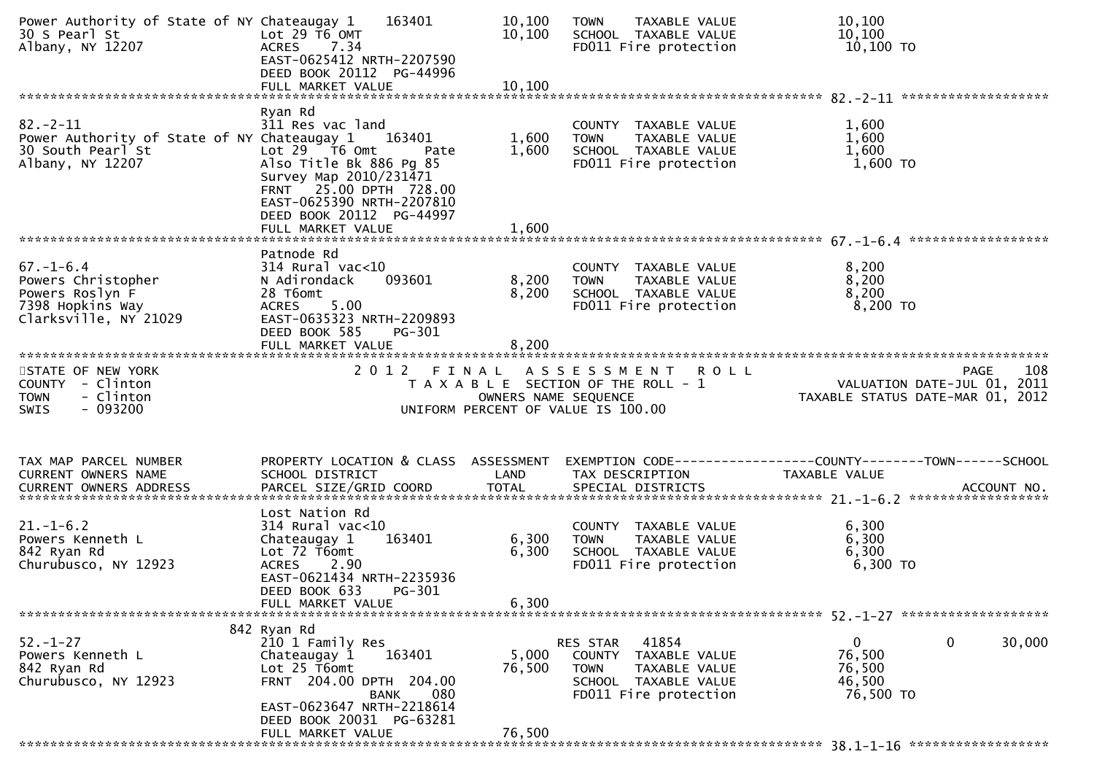| Power Authority of State of NY Chateaugay 1<br>30 S Pearl St<br>Albany, NY 12207                             | 163401<br>Lot $29$ T6 OMT<br>7.34<br><b>ACRES</b><br>EAST-0625412 NRTH-2207590<br>DEED BOOK 20112 PG-44996                                                                                                                       | 10,100<br>10,100        | TAXABLE VALUE<br><b>TOWN</b><br>SCHOOL TAXABLE VALUE<br>FD011 Fire protection                                                        | 10,100<br>10,100<br>10,100 TO                                                  |
|--------------------------------------------------------------------------------------------------------------|----------------------------------------------------------------------------------------------------------------------------------------------------------------------------------------------------------------------------------|-------------------------|--------------------------------------------------------------------------------------------------------------------------------------|--------------------------------------------------------------------------------|
|                                                                                                              | FULL MARKET VALUE                                                                                                                                                                                                                | 10, 100                 |                                                                                                                                      |                                                                                |
| $82 - 2 - 11$<br>Power Authority of State of NY Chateaugay 1 163401<br>30 South Pearl St<br>Albany, NY 12207 | Ryan Rd<br>311 Res vac land<br>Lot $29$ $\overline{76}$ Omt<br>Pate<br>Also Title Bk 886 Pg 85<br>Survey Map 2010/231471<br>FRNT 25.00 DPTH 728.00<br>EAST-0625390 NRTH-2207810<br>DEED BOOK 20112 PG-44997<br>FULL MARKET VALUE | 1,600<br>1,600<br>1,600 | COUNTY TAXABLE VALUE<br><b>TOWN</b><br>TAXABLE VALUE<br>SCHOOL TAXABLE VALUE<br>FD011 Fire protection                                | 1,600<br>1,600<br>1,600<br>1,600 TO                                            |
|                                                                                                              | Patnode Rd                                                                                                                                                                                                                       |                         |                                                                                                                                      |                                                                                |
| $67 - 1 - 6.4$<br>Powers Christopher<br>Powers Roslyn F<br>7398 Hopkins Way<br>Clarksville, NY 21029         | $314$ Rural vac< $10$<br>093601<br>N Adirondack<br>28 T6omt<br>5.00<br><b>ACRES</b><br>EAST-0635323 NRTH-2209893<br>DEED BOOK 585<br>PG-301                                                                                      | 8,200<br>8,200          | COUNTY TAXABLE VALUE<br><b>TOWN</b><br>TAXABLE VALUE<br>SCHOOL TAXABLE VALUE<br>FD011 Fire protection                                | 8,200<br>8,200<br>8,200<br>8,200 TO                                            |
|                                                                                                              | FULL MARKET VALUE                                                                                                                                                                                                                | 8,200                   |                                                                                                                                      |                                                                                |
| STATE OF NEW YORK<br>COUNTY - Clinton<br>- Clinton<br><b>TOWN</b><br>$-093200$<br>SWIS                       | 2012 FINAL                                                                                                                                                                                                                       | OWNERS NAME SEQUENCE    | A S S E S S M E N T R O L L<br>T A X A B L E SECTION OF THE ROLL - 1<br>UNIFORM PERCENT OF VALUE IS 100.00                           | PAGE<br>108<br>VALUATION DATE-JUL 01, 2011<br>TAXABLE STATUS DATE-MAR 01, 2012 |
| TAX MAP PARCEL NUMBER<br>CURRENT OWNERS NAME                                                                 | PROPERTY LOCATION & CLASS ASSESSMENT<br>SCHOOL DISTRICT                                                                                                                                                                          | LAND                    | TAX DESCRIPTION                                                                                                                      | EXEMPTION CODE-----------------COUNTY-------TOWN------SCHOOL<br>TAXABLE VALUE  |
| $21. - 1 - 6.2$<br>Powers Kenneth L<br>842 Ryan Rd<br>Churubusco, NY 12923                                   | Lost Nation Rd<br>$314$ Rural vac< $10$<br>163401<br>Chateaugay 1<br>Lot 72 T6omt<br>ACRES 2.90<br>EAST-0621434 NRTH-2235936<br>DEED BOOK 633<br>PG-301<br>FULL MARKET VALUE                                                     | 6,300<br>6,300<br>6,300 | COUNTY TAXABLE VALUE<br><b>TOWN</b><br>TAXABLE VALUE<br>SCHOOL TAXABLE VALUE<br>FD011 Fire protection                                | 6,300<br>6,300<br>6,300<br>6,300 TO                                            |
|                                                                                                              |                                                                                                                                                                                                                                  |                         |                                                                                                                                      |                                                                                |
| $52. - 1 - 27$<br>Powers Kenneth L<br>842 Ryan Rd<br>Churubusco, NY 12923                                    | 842 Ryan Rd<br>210 1 Family Res<br>163401<br>Chateaugay 1<br>Lot 25 T6omt<br>FRNT 204.00 DPTH 204.00<br>080<br>BANK<br>EAST-0623647 NRTH-2218614                                                                                 | 5,000<br>76,500         | RES STAR<br>41854<br><b>COUNTY</b><br>TAXABLE VALUE<br><b>TOWN</b><br>TAXABLE VALUE<br>SCHOOL TAXABLE VALUE<br>FD011 Fire protection | 0<br>$\mathbf{0}$<br>30,000<br>76,500<br>76,500<br>46,500<br>76,500 TO         |
|                                                                                                              | DEED BOOK 20031 PG-63281<br>FULL MARKET VALUE                                                                                                                                                                                    | 76,500                  |                                                                                                                                      |                                                                                |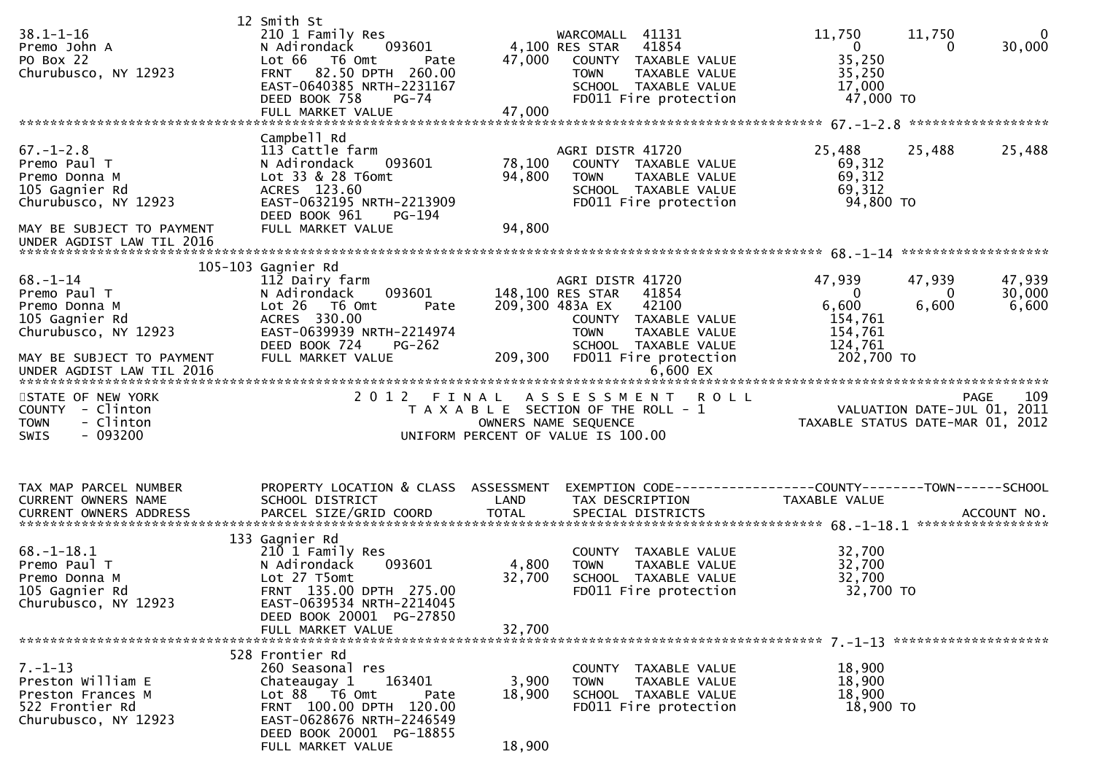| $38.1 - 1 - 16$<br>Premo John A<br>PO Box 22<br>Churubusco, NY 12923                                                                                 | 12 Smith St<br>210 1 Family Res<br>093601<br>N Adirondack<br>Lot 66 T6 Omt<br>Pate<br>FRNT 82.50 DPTH 260.00<br>EAST-0640385 NRTH-2231167<br>DEED BOOK 758<br><b>PG-74</b><br>FULL MARKET VALUE                                                  | 47,000<br>47,000                  | WARCOMALL 41131<br>4,100 RES STAR 41854<br>COUNTY TAXABLE VALUE<br><b>TOWN</b><br>TAXABLE VALUE<br>SCHOOL TAXABLE VALUE<br>FD011 Fire protection                                           | 11,750<br>$\overline{0}$<br>35,250<br>35,250<br>17,000<br>47,000 TO        | $\mathbf 0$<br>11,750<br>30,000<br>0                                                       |
|------------------------------------------------------------------------------------------------------------------------------------------------------|--------------------------------------------------------------------------------------------------------------------------------------------------------------------------------------------------------------------------------------------------|-----------------------------------|--------------------------------------------------------------------------------------------------------------------------------------------------------------------------------------------|----------------------------------------------------------------------------|--------------------------------------------------------------------------------------------|
| $67. - 1 - 2.8$<br>Premo Paul T<br>Premo Donna M<br>105 Gagnier Rd<br>Churubusco, NY 12923<br>MAY BE SUBJECT TO PAYMENT<br>UNDER AGDIST LAW TIL 2016 | Campbell Rd<br>113 Cattle farm<br>093601<br>N Adirondack<br>Lot 33 & 28 T6omt<br>ACRES 123.60<br>EAST-0632195 NRTH-2213909<br>DEED BOOK 961<br>PG-194<br>FULL MARKET VALUE                                                                       | 78,100<br>94,800<br>94,800        | AGRI DISTR 41720<br>COUNTY TAXABLE VALUE<br>TAXABLE VALUE<br><b>TOWN</b><br>SCHOOL TAXABLE VALUE<br>FD011 Fire protection                                                                  | 25,488<br>69,312<br>69,312<br>69,312<br>94,800 TO                          | 25,488<br>25,488                                                                           |
| $68 - 1 - 14$<br>Premo Paul T<br>Premo Donna M<br>105 Gagnier Rd<br>Churubusco, NY 12923<br>MAY BE SUBJECT TO PAYMENT<br>UNDER AGDIST LAW TIL 2016   | 105-103 Gagnier Rd<br>112 Dairy farm<br>093601<br>N Adirondack<br>Lot 26 T6 Omt<br>Pate<br>ACRES 330.00<br>EAST-0639939 NRTH-2214974<br>DEED BOOK 724<br>PG-262<br>FULL MARKET VALUE                                                             | 209,300 483A EX<br>209,300        | AGRI DISTR 41720<br>148,100 RES STAR<br>41854<br>42100<br>COUNTY TAXABLE VALUE<br><b>TOWN</b><br>TAXABLE VALUE<br>SCHOOL TAXABLE VALUE<br>FD011 Fire protection<br>$6,600$ EX              | 47,939<br>$\Omega$<br>6,600<br>154,761<br>154,761<br>124,761<br>202,700 TO | 47,939<br>47,939<br>30,000<br>$\Omega$<br>6,600<br>6,600                                   |
| STATE OF NEW YORK<br>COUNTY - Clinton<br><b>TOWN</b><br>- Clinton<br>- 093200<br>SWIS                                                                | 2 0 1 2<br>FINAL                                                                                                                                                                                                                                 | OWNERS NAME SEQUENCE              | <b>ROLL</b><br>A S S E S S M E N T<br>T A X A B L E SECTION OF THE ROLL - 1<br>UNIFORM PERCENT OF VALUE IS 100.00                                                                          |                                                                            | PAGE<br>109<br>PAGE IO9<br>VALUATION DATE-JUL 01, 2011<br>TAXABLE STATUS DATE-MAR 01, 2012 |
| TAX MAP PARCEL NUMBER<br>CURRENT OWNERS NAME<br>$68. - 1 - 18.1$<br>Premo Paul T<br>Premo Donna M<br>105 Gagnier Rd<br>Churubusco, NY 12923          | PROPERTY LOCATION & CLASS ASSESSMENT<br>SCHOOL DISTRICT<br>133 Gagnier Rd<br>210 1 Family Res<br>093601<br>N Adirondack<br>Lot 27 T5omt<br>FRNT 135.00 DPTH 275.00<br>EAST-0639534 NRTH-2214045<br>DEED BOOK 20001 PG-27850<br>FULL MARKET VALUE | LAND<br>4,800<br>32,700<br>32.700 | EXEMPTION CODE------------------COUNTY--------TOWN------SCHOOL<br>TAX DESCRIPTION<br>COUNTY TAXABLE VALUE<br><b>TOWN</b><br>TAXABLE VALUE<br>SCHOOL TAXABLE VALUE<br>FD011 Fire protection | TAXABLE VALUE<br>32,700<br>32,700<br>32,700<br>32,700 TO                   |                                                                                            |
| $7. - 1 - 13$<br>Preston William E<br>Preston Frances M<br>522 Frontier Rd<br>Churubusco, NY 12923                                                   | 528 Frontier Rd<br>260 Seasonal res<br>Chateaugay 1<br>163401<br>Lot 88 T6 Omt<br>Pate<br>FRNT 100.00 DPTH 120.00<br>EAST-0628676 NRTH-2246549<br>DEED BOOK 20001 PG-18855                                                                       | 3,900<br>18,900                   | COUNTY TAXABLE VALUE<br><b>TOWN</b><br>TAXABLE VALUE<br>SCHOOL TAXABLE VALUE<br>FD011 Fire protection                                                                                      | 18,900<br>18,900<br>18,900<br>18,900 TO                                    |                                                                                            |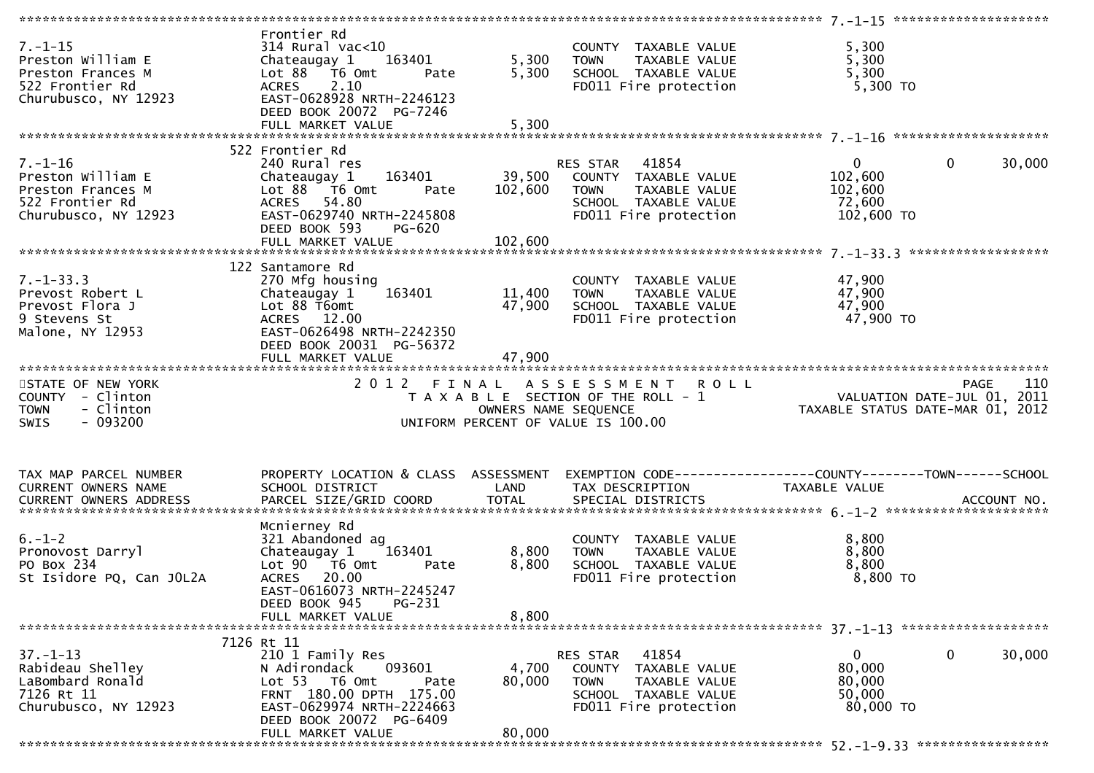| $7. - 1 - 15$<br>Preston William E<br>Preston Frances M<br>522 Frontier Rd<br>Churubusco, NY 12923 | Frontier Rd<br>$314$ Rural vac< $10$<br>Chateaugay 1<br>163401<br>Lot $88$ $\overline{76}$ Omt<br>Pate<br><b>ACRES</b><br>2.10<br>EAST-0628928 NRTH-2246123<br>DEED BOOK 20072 PG-7246 | 5,300<br>5,300       | COUNTY TAXABLE VALUE<br><b>TOWN</b><br>TAXABLE VALUE<br>SCHOOL TAXABLE VALUE<br>FD011 Fire protection            | 5,300<br>5,300<br>5,300<br>5,300 TO                             |                        |
|----------------------------------------------------------------------------------------------------|----------------------------------------------------------------------------------------------------------------------------------------------------------------------------------------|----------------------|------------------------------------------------------------------------------------------------------------------|-----------------------------------------------------------------|------------------------|
|                                                                                                    |                                                                                                                                                                                        |                      |                                                                                                                  |                                                                 |                        |
| $7. - 1 - 16$<br>Preston William E<br>Preston Frances M<br>522 Frontier Rd<br>Churubusco, NY 12923 | 522 Frontier Rd<br>240 Rural res<br>Chateaugay 1<br>163401<br>Lot $88 - 76$ Omt<br>Pate<br>ACRES 54.80<br>EAST-0629740 NRTH-2245808<br>DEED BOOK 593<br>PG-620                         | 39,500<br>102,600    | RES STAR 41854<br>COUNTY TAXABLE VALUE<br>TAXABLE VALUE<br>TOWN<br>SCHOOL TAXABLE VALUE<br>FD011 Fire protection | $\overline{0}$<br>102,600<br>102,600<br>72,600<br>102,600 TO    | $\mathbf{0}$<br>30,000 |
|                                                                                                    |                                                                                                                                                                                        |                      |                                                                                                                  |                                                                 | ******************     |
| $7. - 1 - 33.3$<br>Prevost Robert L<br>Prevost Flora J<br>9 Stevens St<br>Malone, NY 12953         | 122 Santamore Rd<br>270 Mfg housing<br>163401<br>Chateaugay 1<br>Lot 88 T6omt<br>ACRES 12.00<br>EAST-0626498 NRTH-2242350<br>DEED BOOK 20031 PG-56372                                  | 11,400<br>47,900     | COUNTY TAXABLE VALUE<br>TAXABLE VALUE<br><b>TOWN</b><br>SCHOOL TAXABLE VALUE<br>FD011 Fire protection            | 47,900<br>47,900<br>47,900<br>47,900 TO                         |                        |
|                                                                                                    | FULL MARKET VALUE                                                                                                                                                                      | 47,900               |                                                                                                                  |                                                                 |                        |
| STATE OF NEW YORK<br>COUNTY - Clinton<br>- Clinton<br><b>TOWN</b><br>$-093200$<br><b>SWIS</b>      |                                                                                                                                                                                        | OWNERS NAME SEQUENCE | 2012 FINAL ASSESSMENT ROLL<br>T A X A B L E SECTION OF THE ROLL - 1<br>UNIFORM PERCENT OF VALUE IS 100.00        | VALUATION DATE-JUL 01, 2011<br>TAXABLE STATUS DATE-MAR 01, 2012 | 110<br><b>PAGE</b>     |
| TAX MAP PARCEL NUMBER<br>CURRENT OWNERS NAME                                                       | PROPERTY LOCATION & CLASS ASSESSMENT<br>SCHOOL DISTRICT                                                                                                                                | LAND                 | TAX DESCRIPTION                                                                                                  | TAXABLE VALUE                                                   |                        |
| $6. - 1 - 2$<br>Pronovost Darryl<br>PO Box 234<br>St Isidore PQ, Can JOL2A                         | Mcnierney Rd<br>321 Abandoned ag<br>Chateaugay 1<br>163401<br>Lot 90 T6 Omt<br>Pate<br>ACRES 20.00<br>EAST-0616073 NRTH-2245247<br>DEED BOOK 945<br>PG-231                             | 8,800<br>8,800       | COUNTY TAXABLE VALUE<br>TAXABLE VALUE<br><b>TOWN</b><br>SCHOOL TAXABLE VALUE<br>FD011 Fire protection            | 8,800<br>8,800<br>8,800<br>8,800 TO                             |                        |
|                                                                                                    | FULL MARKET VALUE                                                                                                                                                                      | 8,800                |                                                                                                                  |                                                                 |                        |
|                                                                                                    | 7126 Rt 11                                                                                                                                                                             |                      |                                                                                                                  |                                                                 |                        |
| $37. - 1 - 13$<br>Rabideau Shelley<br>LaBombard Ronald<br>7126 Rt 11<br>Churubusco, NY 12923       | 210 1 Family Res<br>093601<br>N Adirondack<br>Lot 53 T6 Omt<br>Pate<br>FRNT 180.00 DPTH 175.00                                                                                         | 4,700<br>80,000      | 41854<br>RES STAR<br>COUNTY TAXABLE VALUE<br><b>TOWN</b><br>TAXABLE VALUE<br>SCHOOL TAXABLE VALUE                | 0<br>80,000<br>80,000<br>50,000<br>80,000 TO                    | $\mathbf 0$<br>30,000  |
|                                                                                                    | EAST-0629974 NRTH-2224663<br>DEED BOOK 20072 PG-6409<br>FULL MARKET VALUE                                                                                                              | 80,000               | FD011 Fire protection                                                                                            |                                                                 |                        |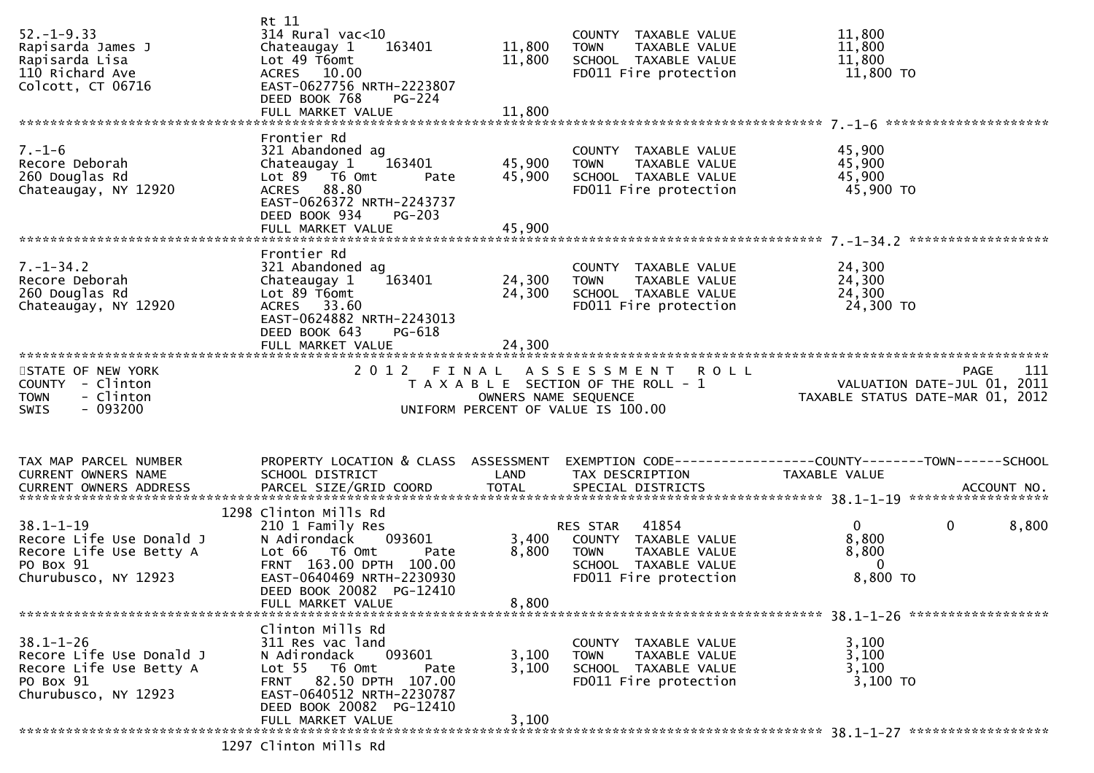| $52. - 1 - 9.33$<br>Rapisarda James J<br>Rapisarda Lisa<br>110 Richard Ave<br>Colcott, CT 06716             | Rt 11<br>$314$ Rural vac<10<br>163401<br>Chateaugay 1<br>Lot 49 T6omt<br>ACRES 10.00<br>EAST-0627756 NRTH-2223807<br>DEED BOOK 768<br>PG-224                                                        | 11,800<br>11,800           | COUNTY TAXABLE VALUE<br>TAXABLE VALUE<br>TOWN<br>SCHOOL TAXABLE VALUE<br>FD011 Fire protection                        | 11,800<br>11,800<br>11,800<br>11,800 TO                                         |             |
|-------------------------------------------------------------------------------------------------------------|-----------------------------------------------------------------------------------------------------------------------------------------------------------------------------------------------------|----------------------------|-----------------------------------------------------------------------------------------------------------------------|---------------------------------------------------------------------------------|-------------|
| $7. - 1 - 6$<br>Recore Deborah<br>260 Douglas Rd<br>Chateaugay, NY 12920                                    | Frontier Rd<br>321 Abandoned ag<br>163401<br>Chateaugay 1<br>Lot $89$ $\overline{76}$ Omt<br>Pate<br>ACRES 88.80<br>EAST-0626372 NRTH-2243737<br>DEED BOOK 934<br>PG-203<br>FULL MARKET VALUE       | 45,900<br>45,900<br>45,900 | COUNTY TAXABLE VALUE<br>TAXABLE VALUE<br><b>TOWN</b><br>SCHOOL TAXABLE VALUE<br>FD011 Fire protection                 | 45,900<br>45,900<br>45,900<br>45,900 TO                                         |             |
| $7. - 1 - 34.2$<br>Recore Deborah<br>260 Douglas Rd<br>Chateaugay, NY 12920                                 | Frontier Rd<br>321 Abandoned ag<br>163401<br>Chateaugay 1<br>Lot 89 T6omt<br>ACRES 33.60<br>EAST-0624882 NRTH-2243013<br>DEED BOOK 643<br>PG-618                                                    | 24,300<br>24,300           | COUNTY TAXABLE VALUE<br>TAXABLE VALUE<br><b>TOWN</b><br>SCHOOL TAXABLE VALUE<br>FD011 Fire protection                 | 24,300<br>24,300<br>24,300<br>24,300 TO                                         |             |
| STATE OF NEW YORK<br>COUNTY - Clinton<br>- Clinton<br><b>TOWN</b><br><b>SWIS</b><br>- 093200                |                                                                                                                                                                                                     | OWNERS NAME SEQUENCE       | 2012 FINAL ASSESSMENT ROLL<br>$T$ A X A B L E SECTION OF THE ROLL - $1$<br>UNIFORM PERCENT OF VALUE IS 100.00         | VALUATION DATE-JUL 01, 2011<br>TAXABLE STATUS DATE-MAR 01, 2012                 | 111<br>PAGE |
| TAX MAP PARCEL NUMBER<br>CURRENT OWNERS NAME<br>CURRENT OWNERS ADDRESS                                      | PROPERTY LOCATION & CLASS ASSESSMENT<br>SCHOOL DISTRICT                                                                                                                                             | LAND                       | TAX DESCRIPTION                                                                                                       | EXEMPTION CODE------------------COUNTY--------TOWN------SCHOOL<br>TAXABLE VALUE |             |
| $38.1 - 1 - 19$<br>Recore Life Use Donald J<br>Recore Life Use Betty A<br>PO Box 91<br>Churubusco, NY 12923 | 1298 Clinton Mills Rd<br>210 1 Family Res<br>N Adirondack 093601<br>Lot 66  T6 0mt<br>Pate<br>FRNT 163.00 DPTH 100.00<br>EAST-0640469 NRTH-2230930<br>DEED BOOK 20082 PG-12410<br>FULL MARKET VALUE | 3,400<br>8,800<br>8,800    | 41854<br>RES STAR<br>-<br>COUNTY TAXABLE VALUE<br>TOWN TAXABLE VALUE<br>SCHOOL TAXABLE VALUE<br>FD011 Fire protection | $\overline{0}$<br>$\mathbf{0}$<br>8,800<br>8,800<br>$\mathbf{0}$<br>8,800 TO    | 8,800       |
| $38.1 - 1 - 26$<br>Recore Life Use Donald J<br>Recore Life Use Betty A<br>PO Box 91<br>Churubusco, NY 12923 | Clinton Mills Rd<br>311 Res vac land<br>093601<br>N Adirondack<br>Lot 55 T6 Omt<br>Pate<br>FRNT 82.50 DPTH 107.00<br>EAST-0640512 NRTH-2230787<br>DEED BOOK 20082 PG-12410<br>FULL MARKET VALUE     | 3,100<br>3,100<br>3,100    | COUNTY TAXABLE VALUE<br><b>TOWN</b><br>TAXABLE VALUE<br>SCHOOL TAXABLE VALUE<br>FD011 Fire protection                 | 3,100<br>3,100<br>3,100<br>3,100 TO                                             |             |
|                                                                                                             | 1297 Clinton Mills Rd                                                                                                                                                                               |                            |                                                                                                                       |                                                                                 |             |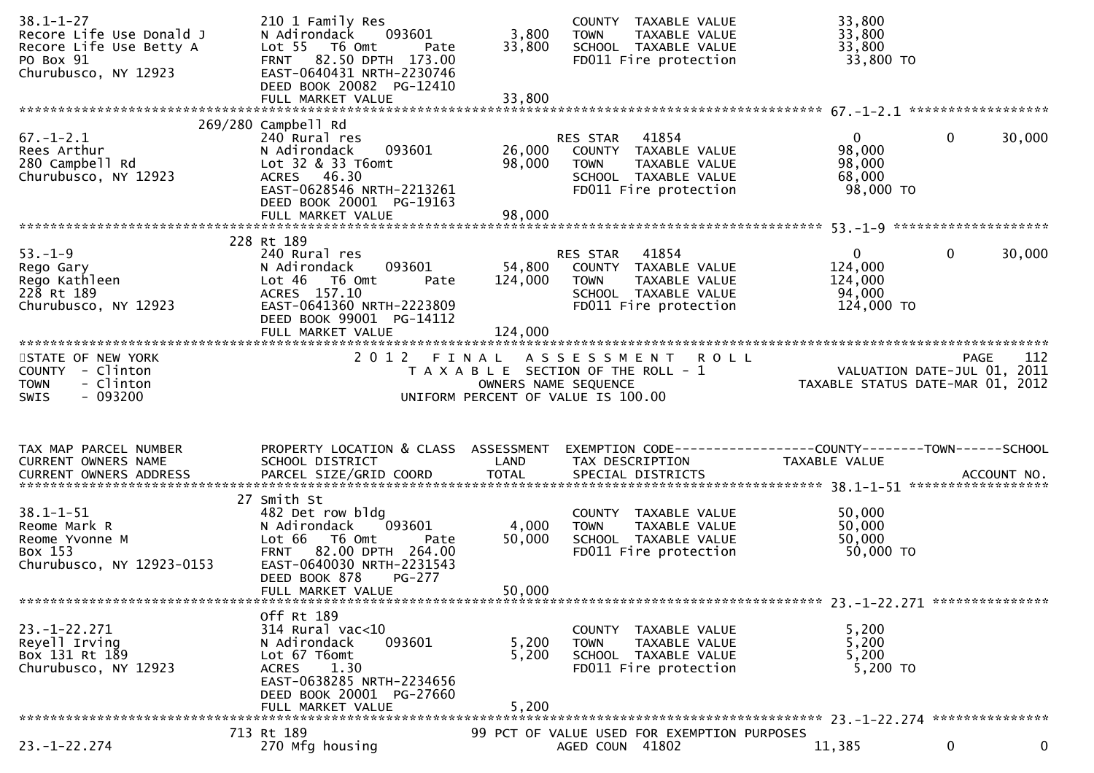| $38.1 - 1 - 27$<br>Recore Life Use Donald J                                                                                                               | 210 1 Family Res<br>093601<br>N Adirondack                                   | 3,800                | COUNTY TAXABLE VALUE<br>TAXABLE VALUE<br><b>TOWN</b>                                        | 33,800<br>33,800                                                            |                            |
|-----------------------------------------------------------------------------------------------------------------------------------------------------------|------------------------------------------------------------------------------|----------------------|---------------------------------------------------------------------------------------------|-----------------------------------------------------------------------------|----------------------------|
| Recore Life Use Betty A<br>PO Box 91<br>Churubusco, NY 12923                                                                                              | Lot 55 T6 Omt<br>Pate<br>FRNT 82.50 DPTH 173.00<br>EAST-0640431 NRTH-2230746 | 33,800               | SCHOOL TAXABLE VALUE<br>FD011 Fire protection                                               | 33,800<br>33,800 TO                                                         |                            |
|                                                                                                                                                           | DEED BOOK 20082 PG-12410                                                     |                      |                                                                                             |                                                                             |                            |
|                                                                                                                                                           | 269/280 Campbell Rd                                                          |                      |                                                                                             |                                                                             |                            |
| $67. - 1 - 2.1$<br>Rees Arthur                                                                                                                            | 240 Rural res<br>093601<br>N Adirondack                                      | 26,000               | RES STAR<br>41854<br>COUNTY TAXABLE VALUE                                                   | $\overline{0}$<br>98,000                                                    | $\mathbf 0$<br>30,000      |
| 280 Campbell Rd<br>Churubusco, NY 12923                                                                                                                   | Lot 32 & 33 T6omt<br>ACRES 46.30<br>EAST-0628546 NRTH-2213261                | 98,000               | <b>TOWN</b><br>TAXABLE VALUE<br>SCHOOL TAXABLE VALUE<br>FD011 Fire protection               | 98,000<br>68,000<br>98,000 TO                                               |                            |
|                                                                                                                                                           | DEED BOOK 20001 PG-19163                                                     |                      |                                                                                             |                                                                             |                            |
|                                                                                                                                                           |                                                                              |                      |                                                                                             |                                                                             |                            |
| $53. - 1 - 9$                                                                                                                                             | 228 Rt 189<br>240 Rural res                                                  |                      | RES STAR 41854                                                                              | $\mathbf{0}$                                                                | $\mathbf{0}$<br>30,000     |
| Rego Gary                                                                                                                                                 | 093601<br>N Adirondack                                                       | 54,800               | COUNTY TAXABLE VALUE                                                                        | 124,000                                                                     |                            |
| Rego Kathleen<br>228 Rt 189                                                                                                                               | Lot 46 T6 Omt<br>Pate<br>ACRES 157.10                                        | 124,000              | <b>TOWN</b><br>TAXABLE VALUE<br>SCHOOL TAXABLE VALUE                                        | 124,000<br>94,000                                                           |                            |
| Churubusco, NY 12923                                                                                                                                      | EAST-0641360 NRTH-2223809<br>DEED BOOK 99001 PG-14112                        |                      | FD011 Fire protection                                                                       | 124,000 TO                                                                  |                            |
|                                                                                                                                                           | FULL MARKET VALUE                                                            | 124,000              |                                                                                             |                                                                             |                            |
| STATE OF NEW YORK<br>COUNTY - Clinton                                                                                                                     |                                                                              |                      | 2012 FINAL ASSESSMENT ROLL<br>T A X A B L E SECTION OF THE ROLL - 1<br>OWNERS NAME SEQUENCE | PAGE LIZ<br>VALUATION DATE-JUL 01, 2011<br>TAXABLE STATUS DATE-MAR 01, 2012 | 112<br><b>PAGE</b>         |
| <b>TOWN</b><br>- Clinton                                                                                                                                  |                                                                              | OWNERS NAME SEQUENCE |                                                                                             |                                                                             |                            |
| $-093200$<br><b>SWIS</b>                                                                                                                                  |                                                                              |                      | UNIFORM PERCENT OF VALUE IS 100.00                                                          |                                                                             |                            |
|                                                                                                                                                           |                                                                              |                      |                                                                                             |                                                                             |                            |
|                                                                                                                                                           |                                                                              |                      |                                                                                             |                                                                             |                            |
| TAX MAP PARCEL NUMBER<br>CURRENT OWNERS NAME                                                                                                              | PROPERTY LOCATION & CLASS ASSESSMENT<br>SCHOOL DISTRICT                      | LAND                 | EXEMPTION CODE------------------COUNTY--------TOWN------SCHOOL<br>TAX DESCRIPTION           | TAXABLE VALUE                                                               |                            |
|                                                                                                                                                           |                                                                              |                      |                                                                                             |                                                                             |                            |
| .CURRENT OWNERS ADDRESS PARCEL SIZE/GRID COORD TOTAL SPECIAL DISTRICTS ACCOUNT NO ACCOUNT NO ACCOUNT NO AND ARCEL SIZE/GRID COORD TOTAL SPECIAL DISTRICTS | 27 Smith St                                                                  |                      |                                                                                             |                                                                             |                            |
| $38.1 - 1 - 51$                                                                                                                                           | 482 Det row bldg                                                             |                      | COUNTY TAXABLE VALUE                                                                        | 50,000                                                                      |                            |
| Reome Mark R                                                                                                                                              | 093601<br>N Adirondack                                                       | 4,000                | TAXABLE VALUE<br><b>TOWN</b>                                                                | 50,000                                                                      |                            |
| Reome Yvonne M<br>Box 153                                                                                                                                 | Lot 66<br>T6 Omt<br>Pate<br>FRNT 82.00 DPTH 264.00                           | 50,000               | SCHOOL TAXABLE VALUE<br>FD011 Fire protection                                               | 50,000<br>50,000 TO                                                         |                            |
| Churubusco, NY 12923-0153                                                                                                                                 | EAST-0640030 NRTH-2231543<br>DEED BOOK 878<br>PG-277                         |                      |                                                                                             |                                                                             |                            |
|                                                                                                                                                           | FULL MARKET VALUE                                                            | 50,000               |                                                                                             |                                                                             |                            |
|                                                                                                                                                           | Off Rt 189                                                                   |                      |                                                                                             |                                                                             |                            |
| $23. - 1 - 22.271$                                                                                                                                        | 314 Rural vac<10                                                             |                      | COUNTY TAXABLE VALUE                                                                        | 5,200                                                                       |                            |
| Reyell Irving                                                                                                                                             | 093601<br>N Adirondack                                                       | 5,200                | TAXABLE VALUE<br><b>TOWN</b>                                                                | 5,200                                                                       |                            |
| Box 131 Rt 189<br>Churubusco, NY 12923                                                                                                                    | Lot 67 T6omt<br>1.30<br><b>ACRES</b>                                         | 5,200                | SCHOOL TAXABLE VALUE<br>FD011 Fire protection                                               | 5,200<br>5,200 TO                                                           |                            |
|                                                                                                                                                           | EAST-0638285 NRTH-2234656<br>DEED BOOK 20001 PG-27660                        |                      |                                                                                             |                                                                             |                            |
|                                                                                                                                                           | FULL MARKET VALUE                                                            | 5,200                |                                                                                             |                                                                             |                            |
| $23. - 1 - 22.274$                                                                                                                                        | 713 Rt 189<br>270 Mfg housing                                                |                      | 99 PCT OF VALUE USED FOR EXEMPTION PURPOSES<br>AGED COUN 41802                              | 11,385                                                                      | $\mathbf 0$<br>$\mathbf 0$ |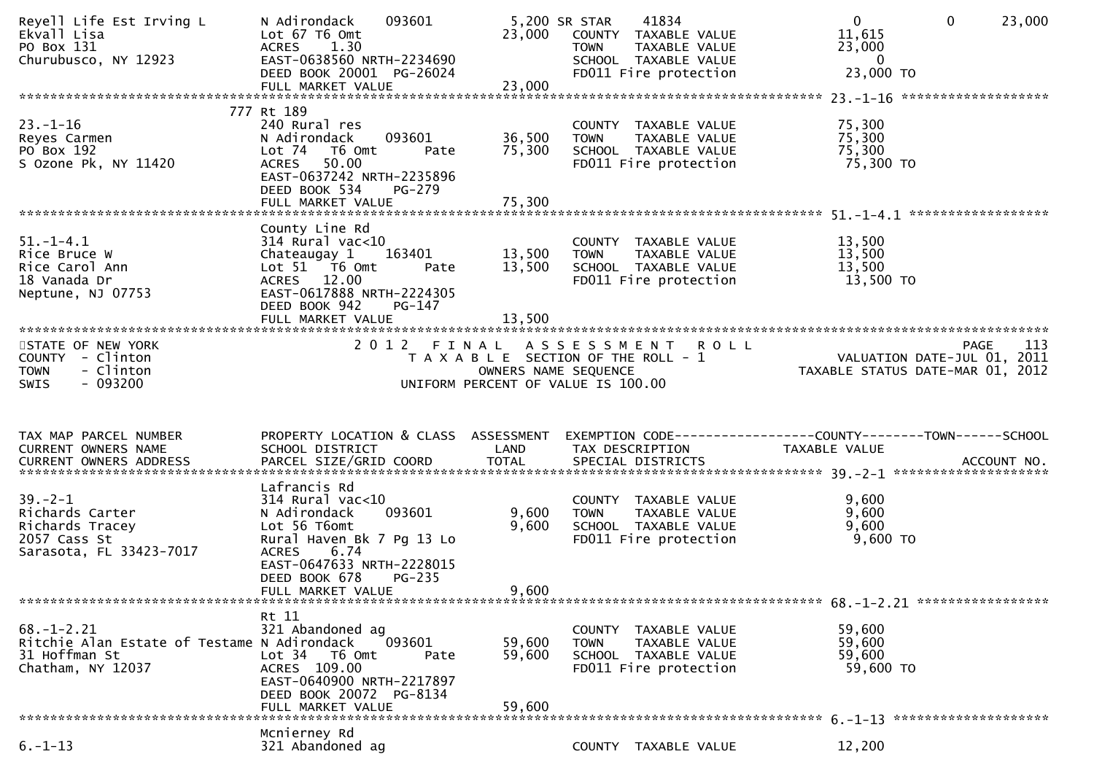| Reyell Life Est Irving L<br>Ekvall Lisa<br>PO Box 131<br>Churubusco, NY 12923                         | N Adirondack<br>093601<br>Lot 67 T6 Omt<br>ACRES 1.30<br>EAST-0638560 NRTH-2234690<br>DEED BOOK 20001 PG-26024<br>FULL MARKET VALUE                                                     | 23,000<br>23,000           | 5,200 SR STAR<br>41834<br>COUNTY TAXABLE VALUE<br>TAXABLE VALUE<br><b>TOWN</b><br>SCHOOL TAXABLE VALUE<br>FD011 Fire protection | 0<br>$\mathbf 0$<br>11,615<br>23,000<br>$\overline{\mathbf{0}}$<br>23,000 TO                                | 23,000 |
|-------------------------------------------------------------------------------------------------------|-----------------------------------------------------------------------------------------------------------------------------------------------------------------------------------------|----------------------------|---------------------------------------------------------------------------------------------------------------------------------|-------------------------------------------------------------------------------------------------------------|--------|
|                                                                                                       |                                                                                                                                                                                         |                            |                                                                                                                                 |                                                                                                             |        |
| $23. - 1 - 16$<br>Reyes Carmen<br>PO Box 192<br>S Ozone Pk, NY 11420                                  | 777 Rt 189<br>240 Rural res<br>093601<br>N Adirondack<br>Lot 74 T6 Omt<br>Pate<br>50.00<br><b>ACRES</b><br>EAST-0637242 NRTH-2235896<br>DEED BOOK 534<br>PG-279<br>FULL MARKET VALUE    | 36,500<br>75,300<br>75,300 | COUNTY TAXABLE VALUE<br>TAXABLE VALUE<br>TOWN<br>SCHOOL TAXABLE VALUE<br>FD011 Fire protection                                  | 75,300<br>75,300<br>75,300<br>75,300 TO                                                                     |        |
|                                                                                                       |                                                                                                                                                                                         |                            |                                                                                                                                 |                                                                                                             |        |
| $51. - 1 - 4.1$<br>Rice Bruce W<br>Rice Carol Ann<br>18 Vanada Dr<br>Neptune, NJ 07753                | County Line Rd<br>314 Rural vac<10<br>Chateaugay 1 163401<br>Lot 51 T6 Omt<br>Pate<br>ACRES 12.00<br>EAST-0617888 NRTH-2224305<br>DEED BOOK 942<br>PG-147                               | 13,500<br>13,500           | COUNTY TAXABLE VALUE<br>TAXABLE VALUE<br><b>TOWN</b><br>SCHOOL TAXABLE VALUE<br>FD011 Fire protection                           | 13,500<br>13,500<br>13,500<br>13,500 TO                                                                     |        |
|                                                                                                       |                                                                                                                                                                                         |                            |                                                                                                                                 |                                                                                                             |        |
| STATE OF NEW YORK<br>COUNTY - Clinton<br>- Clinton<br><b>TOWN</b><br>$-093200$<br><b>SWIS</b>         |                                                                                                                                                                                         | OWNERS NAME SEQUENCE       | 2012 FINAL ASSESSMENT ROLL<br>T A X A B L E SECTION OF THE ROLL - 1<br>UNIFORM PERCENT OF VALUE IS 100.00                       | PAGE 113<br>VALUATION DATE-JUL 01, 2011<br>TAXABLE STATUS DATE 1115 211<br>TAXABLE STATUS DATE-MAR 01, 2012 |        |
|                                                                                                       |                                                                                                                                                                                         |                            |                                                                                                                                 |                                                                                                             |        |
|                                                                                                       |                                                                                                                                                                                         |                            |                                                                                                                                 |                                                                                                             |        |
| TAX MAP PARCEL NUMBER<br>CURRENT OWNERS NAME                                                          | PROPERTY LOCATION & CLASS ASSESSMENT<br>SCHOOL DISTRICT<br><b>Example 18 Service CAND</b>                                                                                               |                            | TAX DESCRIPTION                                                                                                                 | EXEMPTION CODE------------------COUNTY--------TOWN------SCHOOL<br>TAXABLE VALUE                             |        |
|                                                                                                       |                                                                                                                                                                                         |                            |                                                                                                                                 |                                                                                                             |        |
| $39. - 2 - 1$<br>Richards Carter<br>Richards Tracey<br>2057 Cass St<br>Sarasota, FL 33423-7017        | Lafrancis Rd<br>314 Rural vac<10<br>093601<br>N Adirondack<br>Lot 56 T6omt<br>Rural Haven Bk 7 Pg 13 Lo<br><b>ACRES</b><br>6.74<br>EAST-0647633 NRTH-2228015<br>DEED BOOK 678<br>PG-235 | 9,600<br>9,600             | COUNTY TAXABLE VALUE<br>TOWN   TAXABLE VALUE<br>SCHOOL  TAXABLE VALUE<br>FDO11 Fire protection<br>FD011 Fire protection         | 9,600<br>9,600<br>9,600<br>$9,600$ TO                                                                       |        |
|                                                                                                       | FULL MARKET VALUE                                                                                                                                                                       | 9,600                      |                                                                                                                                 |                                                                                                             |        |
| $68. - 1 - 2.21$<br>Ritchie Alan Estate of Testame N Adirondack<br>31 Hoffman St<br>Chatham, NY 12037 | Rt 11<br>321 Abandoned ag<br>093601<br>Lot 34 T6 Omt<br>Pate<br>ACRES 109.00<br>EAST-0640900 NRTH-2217897<br>DEED BOOK 20072 PG-8134<br>FULL MARKET VALUE                               | 59,600<br>59,600<br>59,600 | COUNTY TAXABLE VALUE<br>TAXABLE VALUE<br><b>TOWN</b><br>SCHOOL TAXABLE VALUE<br>FD011 Fire protection                           | 59,600<br>59,600<br>59,600<br>59,600 TO                                                                     |        |
|                                                                                                       | Mcnierney Rd                                                                                                                                                                            |                            |                                                                                                                                 |                                                                                                             |        |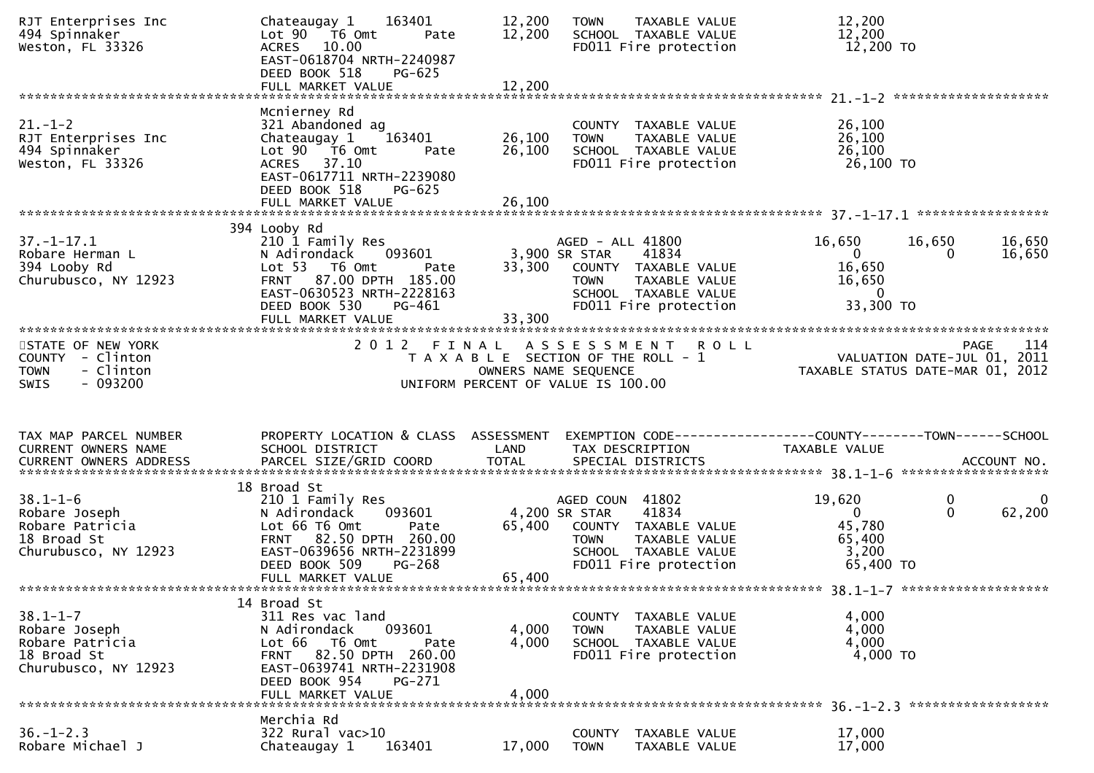| RJT Enterprises Inc<br>494 Spinnaker<br>Weston, FL 33326                                              | 163401<br>Chateaugay 1<br>Lot 90 T6 Omt<br>Pate<br>ACRES 10.00<br>EAST-0618704 NRTH-2240987<br>DEED BOOK 518<br>PG-625<br>FULL MARKET VALUE                                                            | 12,200<br>12,200<br>12,200 | TAXABLE VALUE<br><b>TOWN</b><br>SCHOOL TAXABLE VALUE<br>FD011 Fire protection                                                                       | 12,200<br>12,200<br>12,200 TO                                           |                                        |
|-------------------------------------------------------------------------------------------------------|--------------------------------------------------------------------------------------------------------------------------------------------------------------------------------------------------------|----------------------------|-----------------------------------------------------------------------------------------------------------------------------------------------------|-------------------------------------------------------------------------|----------------------------------------|
| $21. - 1 - 2$<br>RJT Enterprises Inc<br>494 Spinnaker<br>Weston, FL 33326                             | Mcnierney Rd<br>321 Abandoned ag<br>Chateaugay 1 163401<br>Lot 90 T6 Omt<br>Pate<br>ACRES 37.10<br>EAST-0617711 NRTH-2239080<br>DEED BOOK 518<br>$PG-625$<br>FULL MARKET VALUE                         | 26,100<br>26,100<br>26,100 | COUNTY TAXABLE VALUE<br><b>TOWN</b><br>TAXABLE VALUE<br>SCHOOL TAXABLE VALUE<br>FD011 Fire protection                                               | 26,100<br>26,100<br>26,100<br>26,100 TO                                 |                                        |
| $37. - 1 - 17.1$<br>Robare Herman L<br>394 Looby Rd<br>Churubusco, NY 12923                           | 394 Looby Rd<br>210 1 Family Res<br>093601<br>N Adirondack<br>Lot 53 T6 Omt<br>Pate<br>FRNT 87.00 DPTH 185.00<br>EAST-0630523 NRTH-2228163<br>DEED BOOK 530<br>PG-461<br>FULL MARKET VALUE             | 33,300<br>33,300           | AGED - ALL 41800<br>3,900 SR STAR<br>41834<br>COUNTY TAXABLE VALUE<br><b>TOWN</b><br>TAXABLE VALUE<br>SCHOOL TAXABLE VALUE<br>FD011 Fire protection | 16,650<br>$\mathbf{0}$<br>16,650<br>16,650<br>$\mathbf 0$<br>33,300 TO  | 16,650<br>16,650<br>16,650<br>$\bf{0}$ |
| STATE OF NEW YORK<br>COUNTY - Clinton<br>- Clinton<br><b>TOWN</b><br>- 093200<br><b>SWIS</b>          |                                                                                                                                                                                                        |                            | 2012 FINAL ASSESSMENT<br><b>ROLL</b><br>T A X A B L E SECTION OF THE ROLL - 1<br>OWNERS NAME SEQUENCE<br>UNIFORM PERCENT OF VALUE IS 100.00         | PAGE 114<br>VALUATION DATE-JUL 01, 2011<br>TAXARIF STATUS DATE 11: 2011 |                                        |
| TAX MAP PARCEL NUMBER<br>CURRENT OWNERS NAME                                                          | PROPERTY LOCATION & CLASS ASSESSMENT<br>SCHOOL DISTRICT                                                                                                                                                | <b>Example 12 DE LAND</b>  | EXEMPTION CODE-----------------COUNTY-------TOWN------SCHOOL<br>TAX DESCRIPTION                                                                     | TAXABLE VALUE                                                           |                                        |
| $38.1 - 1 - 6$<br>38.1-1-0<br>Robare Joseph<br>Robare Patricia<br>18 Broad St<br>Churubusco, NY 12923 | 18 Broad St<br>210 1 Family Res<br>093601<br>N Adirondack<br>Lot 66 T6 Omt<br>Pate<br>FRNT 82.50 DPTH 260.00<br>EAST-0639656 NRTH-2231899<br>DEED BOOK 509<br><b>PG-268</b><br>FULL MARKET VALUE       | 65,400<br>65,400           | AGED COUN 41802<br>4,200 SR STAR<br>41834<br>COUNTY TAXABLE VALUE<br>TAXABLE VALUE<br>TOWN<br>SCHOOL TAXABLE VALUE<br>FD011 Fire protection         | 19,620<br>$\mathbf{0}$<br>45,780<br>65,400<br>3,200<br>65,400 TO        | $\bf{0}$<br>0<br>62,200<br>$\Omega$    |
| $38.1 - 1 - 7$<br>Robare Joseph<br>Robare Patricia<br>18 Broad St<br>Churubusco, NY 12923             | 14 Broad St<br>311 Res vac land<br>N Adirondack<br>093601<br>Lot 66<br>T6 Omt<br>Pate<br>82.50 DPTH 260.00<br><b>FRNT</b><br>EAST-0639741 NRTH-2231908<br>DEED BOOK 954<br>PG-271<br>FULL MARKET VALUE | 4,000<br>4,000<br>4,000    | COUNTY TAXABLE VALUE<br><b>TOWN</b><br>TAXABLE VALUE<br>SCHOOL TAXABLE VALUE<br>FD011 Fire protection                                               | 4,000<br>4,000<br>4,000<br>4,000 TO                                     |                                        |
| $36. - 1 - 2.3$<br>Robare Michael J                                                                   | Merchia Rd<br>322 Rural vac>10<br>Chateaugay 1<br>163401                                                                                                                                               | 17,000                     | <b>COUNTY</b><br>TAXABLE VALUE<br><b>TOWN</b><br>TAXABLE VALUE                                                                                      | 17,000<br>17,000                                                        |                                        |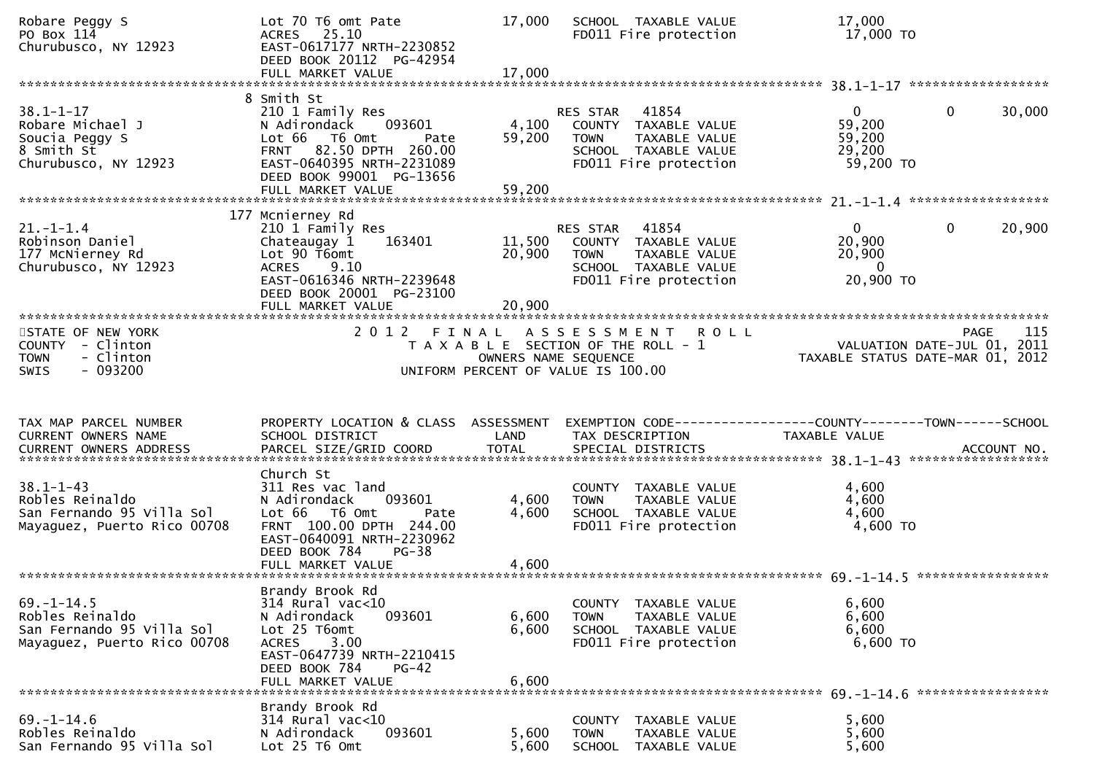| Robare Peggy S<br>PO Box 114<br>Churubusco, NY 12923                                             | Lot 70 T6 omt Pate<br>ACRES 25.10<br>EAST-0617177 NRTH-2230852<br>DEED BOOK 20112 PG-42954<br>FULL MARKET VALUE                                                                                     | 17,000<br>17,000           | SCHOOL TAXABLE VALUE<br>FD011 Fire protection                                                                                     | 17,000<br>17,000 TO                                                                                                  |
|--------------------------------------------------------------------------------------------------|-----------------------------------------------------------------------------------------------------------------------------------------------------------------------------------------------------|----------------------------|-----------------------------------------------------------------------------------------------------------------------------------|----------------------------------------------------------------------------------------------------------------------|
| $38.1 - 1 - 17$<br>Robare Michael J<br>Soucia Peggy S<br>8 Smith St<br>Churubusco, NY 12923      | 8 Smith St<br>210 1 Family Res<br>N Adirondack<br>093601<br>Lot 66 T6 Omt<br>Pate<br>82.50 DPTH 260.00<br><b>FRNT</b><br>EAST-0640395 NRTH-2231089<br>DEED BOOK 99001 PG-13656<br>FULL MARKET VALUE | 4,100<br>59,200<br>59,200  | 41854<br>RES STAR<br>COUNTY TAXABLE VALUE<br>TAXABLE VALUE<br><b>TOWN</b><br>SCHOOL TAXABLE VALUE<br>FD011 Fire protection        | 30,000<br>$\mathbf{0}$<br>$\mathbf{0}$<br>59,200<br>59,200<br>29,200<br>59,200 TO<br>******************              |
| $21. - 1 - 1.4$<br>Robinson Daniel<br>177 McNierney Rd<br>Churubusco, NY 12923                   | 177 Mcnierney Rd<br>210 1 Family Res<br>Chateaugay 1<br>163401<br>Lot 90 T6omt<br><b>ACRES</b><br>9.10<br>EAST-0616346 NRTH-2239648<br>DEED BOOK 20001 PG-23100<br>FULL MARKET VALUE                | 11,500<br>20,900<br>20,900 | 41854<br>RES STAR<br>COUNTY TAXABLE VALUE<br><b>TOWN</b><br>TAXABLE VALUE<br>SCHOOL TAXABLE VALUE<br>FD011 Fire protection        | 20,900<br>$\mathbf{0}$<br>0<br>20,900<br>20,900<br>- 0<br>20,900 TO                                                  |
| STATE OF NEW YORK<br><b>COUNTY</b><br>- Clinton<br>- Clinton<br><b>TOWN</b><br>$-093200$<br>SWIS |                                                                                                                                                                                                     |                            | 2012 FINAL ASSESSMENT ROLL<br>T A X A B L E SECTION OF THE ROLL - 1<br>OWNERS NAME SEQUENCE<br>UNIFORM PERCENT OF VALUE IS 100.00 | 115<br>PAGE<br>VALUATION DATE-JUL 01, 2011<br>TAXABLE STATUS DATE-MAR 01, 2012                                       |
| TAX MAP PARCEL NUMBER<br>CURRENT OWNERS NAME                                                     | PROPERTY LOCATION & CLASS ASSESSMENT<br>SCHOOL DISTRICT                                                                                                                                             | LAND                       | TAX DESCRIPTION                                                                                                                   | EXEMPTION CODE------------------COUNTY--------TOWN------SCHOOL<br>TAXABLE VALUE<br>ACCOUNT NO.<br>****************** |
| $38.1 - 1 - 43$<br>Robles Reinaldo<br>San Fernando 95 Villa Sol<br>Mayaguez, Puerto Rico 00708   | Church St<br>311 Res vac land<br>093601<br>N Adirondack<br>Lot 66 T6 Omt<br>Pate<br>FRNT 100.00 DPTH 244.00<br>EAST-0640091 NRTH-2230962<br>DEED BOOK 784<br>$PG-38$<br>FULL MARKET VALUE           | 4,600<br>4,600<br>4,600    | COUNTY TAXABLE VALUE<br><b>TAXABLE VALUE</b><br><b>TOWN</b><br>SCHOOL TAXABLE VALUE<br>FD011 Fire protection                      | 4,600<br>4,600<br>4,600<br>4,600 TO                                                                                  |
| $69. - 1 - 14.5$<br>Robles Reinaldo<br>San Fernando 95 Villa Sol<br>Mayaguez, Puerto Rico 00708  | Brandy Brook Rd<br>$314$ Rural vac<10<br>093601<br>N Adirondack<br>Lot 25 T6omt<br>3.00<br><b>ACRES</b><br>EAST-0647739 NRTH-2210415<br>DEED BOOK 784<br>$PG-42$<br>FULL MARKET VALUE               | 6,600<br>6,600<br>6,600    | COUNTY TAXABLE VALUE<br>TAXABLE VALUE<br><b>TOWN</b><br>SCHOOL TAXABLE VALUE<br>FD011 Fire protection                             | 6,600<br>6,600<br>6,600<br>6,600 TO                                                                                  |
| $69. - 1 - 14.6$<br>Robles Reinaldo<br>San Fernando 95 Villa Sol                                 | Brandy Brook Rd<br>314 Rural vac<10<br>093601<br>N Adirondack<br>Lot 25 T6 Omt                                                                                                                      | 5,600<br>5,600             | <b>COUNTY</b><br>TAXABLE VALUE<br>TAXABLE VALUE<br><b>TOWN</b><br><b>SCHOOL</b><br>TAXABLE VALUE                                  | 5,600<br>5,600<br>5,600                                                                                              |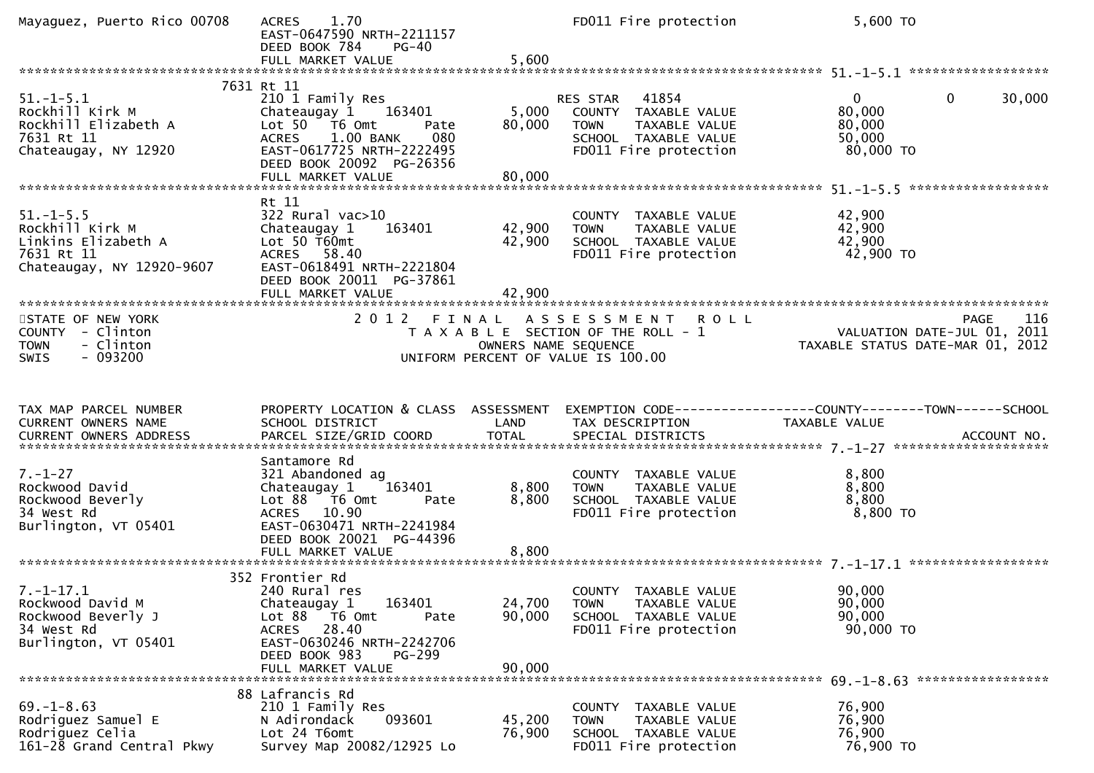| Mayaguez, Puerto Rico 00708                                                                          | 1.70<br><b>ACRES</b><br>EAST-0647590 NRTH-2211157<br>DEED BOOK 784<br>$PG-40$                                                                                                   |                            | FD011 Fire protection                                                                                            | 5,600 TO                                                                 |                    |
|------------------------------------------------------------------------------------------------------|---------------------------------------------------------------------------------------------------------------------------------------------------------------------------------|----------------------------|------------------------------------------------------------------------------------------------------------------|--------------------------------------------------------------------------|--------------------|
|                                                                                                      |                                                                                                                                                                                 |                            |                                                                                                                  |                                                                          |                    |
| $51. - 1 - 5.1$<br>Rockhill Kirk M<br>Rockhill Elizabeth A<br>7631 Rt 11<br>Chateaugay, NY 12920     | 7631 Rt 11<br>210 1 Family Res<br>Chateaugay 1 163401<br>Lot 50 T6 Omt<br>Pate<br>1.00 BANK<br>080<br><b>ACRES</b><br>EAST-0617725 NRTH-2222495<br>DEED BOOK 20092 PG-26356     | 5,000<br>80,000            | RES STAR 41854<br>COUNTY TAXABLE VALUE<br>TAXABLE VALUE<br>TOWN<br>SCHOOL TAXABLE VALUE<br>FD011 Fire protection | $\mathbf 0$<br>$\overline{0}$<br>80,000<br>80,000<br>50,000<br>80,000 TO | 30,000             |
|                                                                                                      | Rt 11                                                                                                                                                                           |                            |                                                                                                                  |                                                                          |                    |
| $51. - 1 - 5.5$<br>Rockhill Kirk M<br>Linkins Elizabeth A<br>7631 Rt 11<br>Chateaugay, NY 12920-9607 | $322$ Rural vac $>10$<br>163401<br>Chateaugay 1<br>Lot $50$ T60 $mt$<br>ACRES 58.40<br>EAST-0618491 NRTH-2221804<br>DEED BOOK 20011 PG-37861                                    | 42,900<br>42,900           | COUNTY TAXABLE VALUE<br>TOWN<br>TAXABLE VALUE<br>SCHOOL TAXABLE VALUE<br>FD011 Fire protection                   | 42,900<br>42,900<br>42,900<br>42,900 TO                                  |                    |
|                                                                                                      | FULL MARKET VALUE                                                                                                                                                               | 42,900                     |                                                                                                                  |                                                                          |                    |
| STATE OF NEW YORK<br>COUNTY - Clinton<br>- Clinton<br><b>TOWN</b><br>$-093200$<br><b>SWIS</b>        | 2 0 1 2<br>FINAL                                                                                                                                                                | OWNERS NAME SEQUENCE       | A S S E S S M E N T R O L L<br>T A X A B L E SECTION OF THE ROLL - 1<br>UNIFORM PERCENT OF VALUE IS 100.00       | VALUATION DATE-JUL 01, 2011<br>TAXABLE STATUS DATE-MAR 01, 2012          | <b>PAGE</b><br>116 |
| TAX MAP PARCEL NUMBER                                                                                | PROPERTY LOCATION & CLASS ASSESSMENT EXEMPTION CODE----------------COUNTY-------TOWN------SCHOOL                                                                                |                            |                                                                                                                  |                                                                          |                    |
| CURRENT OWNERS NAME<br><b>CURRENT OWNERS ADDRESS</b>                                                 | SCHOOL DISTRICT<br>PARCEL SIZE/GRID COORD                                                                                                                                       | LAND<br><b>TOTAL</b>       | TAX DESCRIPTION<br>SPECIAL DISTRICTS                                                                             | TAXABLE VALUE                                                            | ACCOUNT NO.        |
| $7. - 1 - 27$<br>Rockwood David<br>Rockwood Beverly<br>34 West Rd<br>Burlington, VT 05401            | Santamore Rd<br>321 Abandoned ag<br>163401<br>Chateaugay 1<br>Lot 88 T6 Omt<br>Pate<br>ACRES 10.90<br>EAST-0630471 NRTH-2241984                                                 | 8,800<br>8,800             | COUNTY TAXABLE VALUE<br>TAXABLE VALUE<br><b>TOWN</b><br>SCHOOL TAXABLE VALUE<br>FD011 Fire protection            | 8,800<br>8,800<br>8,800<br>8,800 TO                                      |                    |
|                                                                                                      | DEED BOOK 20021 PG-44396                                                                                                                                                        |                            |                                                                                                                  |                                                                          |                    |
|                                                                                                      |                                                                                                                                                                                 |                            |                                                                                                                  |                                                                          |                    |
| $7. - 1 - 17.1$<br>Rockwood David M<br>Rockwood Beverly J<br>34 West Rd<br>Burlington, VT 05401      | 352 Frontier Rd<br>240 Rural res<br>163401<br>Chateaugay 1<br>Lot 88 T6 Omt<br>Pate<br>ACRES 28.40<br>EAST-0630246 NRTH-2242706<br>DEED BOOK 983<br>PG-299<br>FULL MARKET VALUE | 24,700<br>90,000<br>90,000 | COUNTY TAXABLE VALUE<br><b>TOWN</b><br>TAXABLE VALUE<br>SCHOOL TAXABLE VALUE<br>FD011 Fire protection            | 90,000<br>90,000<br>90,000<br>90,000 TO                                  |                    |
|                                                                                                      | 88 Lafrancis Rd                                                                                                                                                                 |                            |                                                                                                                  |                                                                          |                    |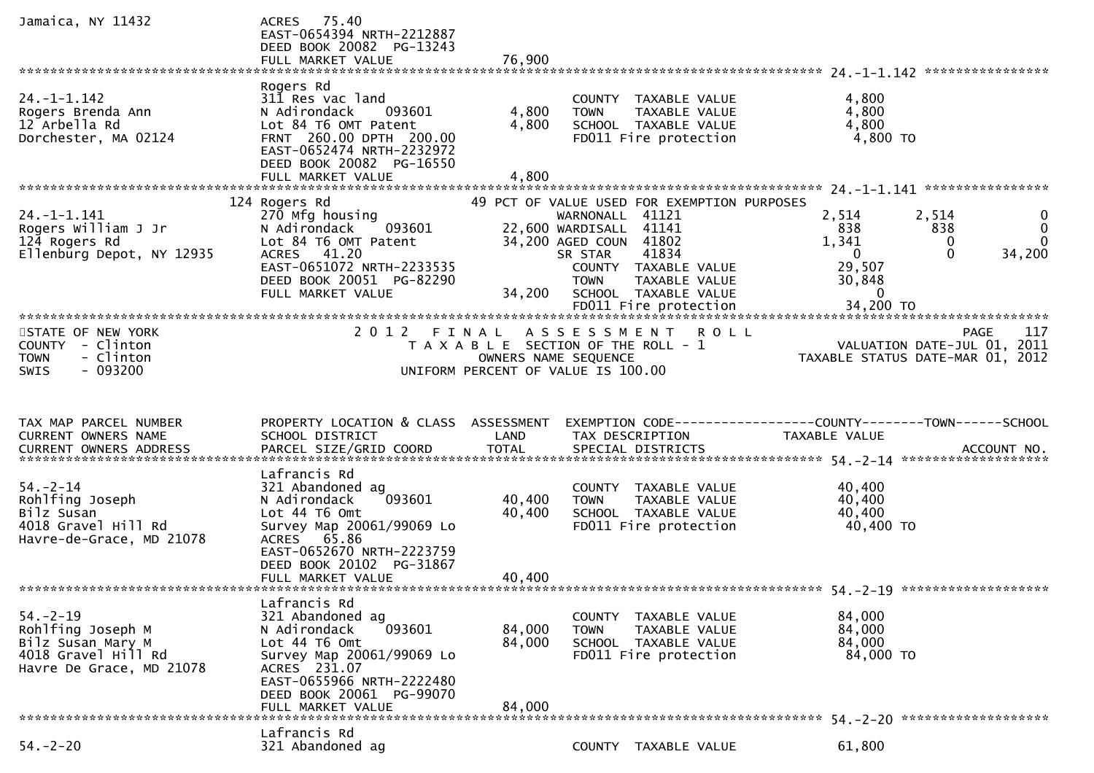| Jamaica, NY 11432                                                                                                            | ACRES 75.40<br>EAST-0654394 NRTH-2212887<br>DEED BOOK 20082 PG-13243<br>FULL MARKET VALUE                                                                                                              | 76,900                        |                                                                                                                                                                                                                                                 |                                                                                                      |                                                                                |
|------------------------------------------------------------------------------------------------------------------------------|--------------------------------------------------------------------------------------------------------------------------------------------------------------------------------------------------------|-------------------------------|-------------------------------------------------------------------------------------------------------------------------------------------------------------------------------------------------------------------------------------------------|------------------------------------------------------------------------------------------------------|--------------------------------------------------------------------------------|
| $24. - 1 - 1.142$<br>Rogers Brenda Ann<br>12 Arbella Rd<br>Dorchester, MA 02124                                              | Rogers Rd<br>311 Res vac land<br>N Adirondack<br>093601<br>Lot 84 T6 OMT Patent<br>FRNT 260.00 DPTH 200.00<br>EAST-0652474 NRTH-2232972<br>DEED BOOK 20082 PG-16550<br>FULL MARKET VALUE               | 4,800<br>4,800<br>4,800       | COUNTY TAXABLE VALUE<br><b>TOWN</b><br>TAXABLE VALUE<br>SCHOOL TAXABLE VALUE<br>FD011 Fire protection                                                                                                                                           | 4,800<br>4,800<br>4,800<br>4,800 TO                                                                  |                                                                                |
| $24. - 1 - 1.141$<br>Rogers William J Jr<br>124 Rogers Rd<br>Ellenburg Depot, NY 12935                                       | 124 Rogers Rd<br>270 Mfg housing<br>093601<br>N Adirondack<br>Lot 84 T6 OMT Patent<br>41.20<br><b>ACRES</b><br>EAST-0651072 NRTH-2233535<br>DEED BOOK 20051 PG-82290<br>FULL MARKET VALUE              | 34,200                        | 49 PCT OF VALUE USED FOR EXEMPTION PURPOSES<br>WARNONALL 41121<br>22,600 WARDISALL 41141<br>34,200 AGED COUN 41802<br>41834<br>SR STAR<br>COUNTY TAXABLE VALUE<br><b>TOWN</b><br>TAXABLE VALUE<br>SCHOOL TAXABLE VALUE<br>FD011 Fire protection | 2,514<br>838<br>1,341<br>$\overline{0}$<br>29,507<br>30,848<br>$\mathbf 0$<br>34,200 TO              | 2,514<br>838<br>0<br>0<br>$\Omega$<br>$\Omega$<br>34,200                       |
| STATE OF NEW YORK<br>COUNTY - Clinton<br>- Clinton<br><b>TOWN</b><br>$-093200$<br><b>SWIS</b>                                | 2 0 1 2                                                                                                                                                                                                | FINAL<br>OWNERS NAME SEQUENCE | A S S E S S M E N T<br><b>ROLL</b><br>T A X A B L E SECTION OF THE ROLL - 1<br>UNIFORM PERCENT OF VALUE IS 100.00                                                                                                                               |                                                                                                      | 117<br>PAGE<br>VALUATION DATE-JUL 01, 2011<br>TAXABLE STATUS DATE-MAR 01, 2012 |
| TAX MAP PARCEL NUMBER<br>CURRENT OWNERS NAME<br><b>CURRENT OWNERS ADDRESS</b>                                                | PROPERTY LOCATION & CLASS ASSESSMENT<br>SCHOOL DISTRICT<br>PARCEL SIZE/GRID COORD                                                                                                                      | LAND<br><b>TOTAL</b>          | EXEMPTION CODE------------------COUNTY--------TOWN------SCHOOL<br>TAX DESCRIPTION<br>SPECIAL DISTRICTS                                                                                                                                          | TAXABLE VALUE                                                                                        | ACCOUNT NO.                                                                    |
| $54. - 2 - 14$<br>Rohlfing Joseph<br>Bilz Susan<br>4018 Gravel Hill Rd<br>Havre-de-Grace, MD 21078<br>********************** | Lafrancis Rd<br>321 Abandoned ag<br>093601<br>N Adirondack<br>Lot 44 T6 Omt<br>Survey Map 20061/99069 Lo<br>ACRES 65.86<br>EAST-0652670 NRTH-2223759<br>DEED BOOK 20102 PG-31867<br>FULL MARKET VALUE  | 40,400<br>40,400<br>40,400    | COUNTY TAXABLE VALUE<br>TAXABLE VALUE<br><b>TOWN</b><br>SCHOOL TAXABLE VALUE<br>FD011 Fire protection                                                                                                                                           | 40,400<br>40,400<br>40,400<br>40,400 TO                                                              |                                                                                |
| $54. - 2 - 19$                                                                                                               |                                                                                                                                                                                                        |                               |                                                                                                                                                                                                                                                 |                                                                                                      |                                                                                |
| Rohlfing Joseph M<br>Bilz Susan Mary M<br>4018 Gravel Hill Rd<br>Havre De Grace, MD 21078                                    | Lafrancis Rd<br>321 Abandoned ag<br>093601<br>N Adirondack<br>Lot 44 T6 Omt<br>Survey Map 20061/99069 Lo<br>ACRES 231.07<br>EAST-0655966 NRTH-2222480<br>DEED BOOK 20061 PG-99070<br>FULL MARKET VALUE | 84,000<br>84,000<br>84,000    | COUNTY TAXABLE VALUE<br>TAXABLE VALUE<br><b>TOWN</b><br>SCHOOL TAXABLE VALUE<br>FD011 Fire protection                                                                                                                                           | ********************************* 54.-2-19 **************<br>84,000<br>84,000<br>84,000<br>84,000 TO |                                                                                |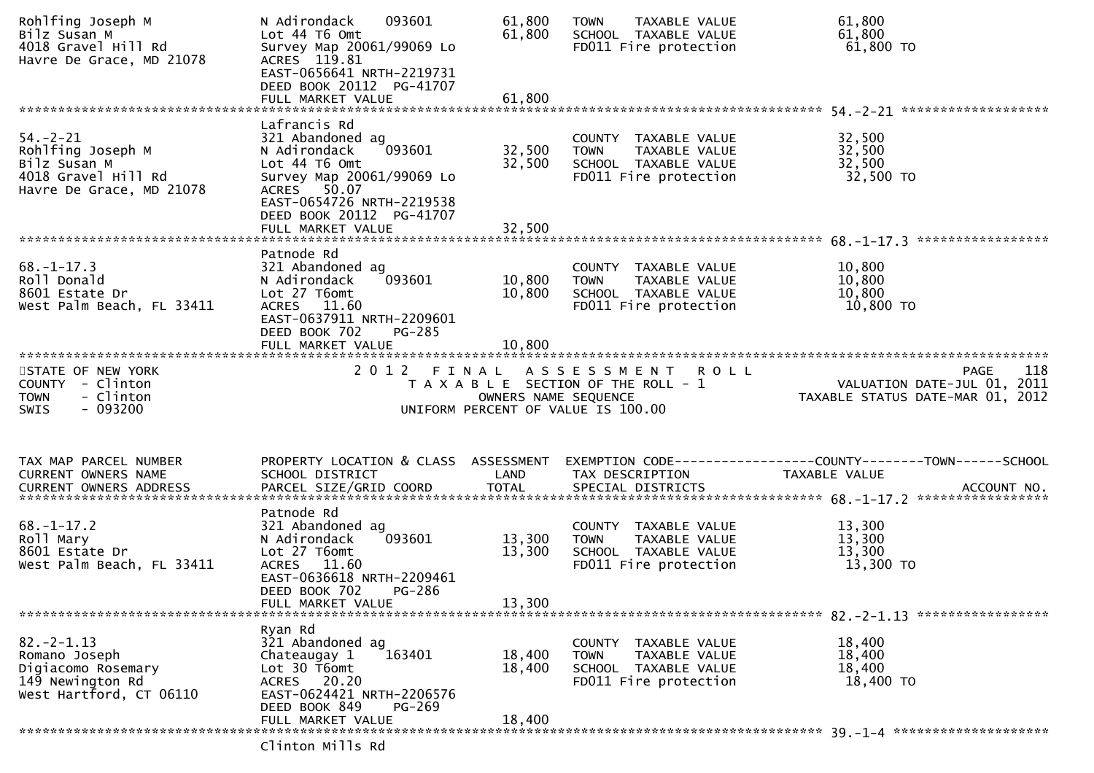| Rohlfing Joseph M<br>Bilz Susan M<br>4018 Gravel Hill Rd<br>Havre De Grace, MD 21078                   | 093601<br>N Adirondack<br>Lot 44 T6 Omt<br>Survey Map 20061/99069 Lo<br>ACRES 119.81<br>EAST-0656641 NRTH-2219731<br>DEED BOOK 20112 PG-41707                                                         | 61,800<br>61,800           | <b>TOWN</b><br>TAXABLE VALUE<br>SCHOOL TAXABLE VALUE<br>FD011 Fire protection                            | 61,800<br>61,800<br>61,800 TO                                                                                                                                                                                                              |
|--------------------------------------------------------------------------------------------------------|-------------------------------------------------------------------------------------------------------------------------------------------------------------------------------------------------------|----------------------------|----------------------------------------------------------------------------------------------------------|--------------------------------------------------------------------------------------------------------------------------------------------------------------------------------------------------------------------------------------------|
| $54. - 2 - 21$<br>Rohlfing Joseph M<br>Bilz Susan M<br>4018 Gravel Hill Rd<br>Havre De Grace, MD 21078 | Lafrancis Rd<br>321 Abandoned ag<br>093601<br>N Adirondack<br>Lot 44 T6 Omt<br>Survey Map 20061/99069 Lo<br>ACRES 50.07<br>EAST-0654726 NRTH-2219538<br>DEED BOOK 20112 PG-41707<br>FULL MARKET VALUE | 32,500<br>32,500<br>32,500 | COUNTY TAXABLE VALUE<br><b>TOWN</b><br>TAXABLE VALUE<br>SCHOOL TAXABLE VALUE<br>FD011 Fire protection    | 32,500<br>32,500<br>32,500<br>32,500 TO                                                                                                                                                                                                    |
| $68. - 1 - 17.3$<br>Roll Donald<br>8601 Estate Dr<br>West Palm Beach, FL 33411                         | Patnode Rd<br>321 Abandoned ag<br>093601<br>N Adirondack<br>Lot 27 T6omt<br>ACRES 11.60<br>EAST-0637911 NRTH-2209601<br>DEED BOOK 702<br>PG-285<br>FULL MARKET VALUE                                  | 10,800<br>10,800<br>10,800 | COUNTY TAXABLE VALUE<br><b>TOWN</b><br>TAXABLE VALUE<br>SCHOOL TAXABLE VALUE<br>FD011 Fire protection    | 10,800<br>10,800<br>10,800<br>10,800 TO                                                                                                                                                                                                    |
| STATE OF NEW YORK<br>COUNTY - Clinton<br>- Clinton<br><b>TOWN</b><br>- 093200<br>SWIS                  | 2012 FINAL                                                                                                                                                                                            | OWNERS NAME SEQUENCE       | ASSESSMENT ROLL<br>T A X A B L E SECTION OF THE ROLL - 1<br>UNIFORM PERCENT OF VALUE IS 100.00           | 118<br><b>PAGE</b><br>VALUATION DATE-JUL 01, 2011<br>TAXABLE STATUS DATE-MAR 01, 2012                                                                                                                                                      |
| TAX MAP PARCEL NUMBER<br>CURRENT OWNERS NAME                                                           | PROPERTY LOCATION & CLASS ASSESSMENT<br>SCHOOL DISTRICT                                                                                                                                               | LAND                       | TAX DESCRIPTION                                                                                          | EXEMPTION CODE-----------------COUNTY-------TOWN------SCHOOL<br>TAXABLE VALUE<br>.CURRENT OWNERS ADDRESS PARCEL SIZE/GRID COORD TOTAL SPECIAL DISTRICTS ACCOUNT NO ACCOUNT NO ACCOUNT NO AND ARCEL SIZE/GRID COORD TOTAL SPECIAL DISTRICTS |
| $68. - 1 - 17.2$<br>Roll Mary<br>8601 Estate Dr<br>West Palm Beach, FL 33411                           | Patnode Rd<br>321 Abandoned ag<br>093601<br>N Adirondack<br>Lot 27 T6omt<br>ACRES 11.60<br>EAST-0636618 NRTH-2209461<br>DEED BOOK 702<br><b>PG-286</b><br>FULL MARKET VALUE                           | 13,300<br>13,300<br>13,300 | COUNTY TAXABLE VALUE<br><b>TOWN</b><br>TAXABLE VALUE<br>SCHOOL TAXABLE VALUE<br>FD011 Fire protection    | 13,300<br>13,300<br>13,300<br>13,300 TO                                                                                                                                                                                                    |
| $82. -2 - 1.13$<br>Romano Joseph<br>Digiacomo Rosemary<br>149 Newington Rd<br>West Hartford, CT 06110  | Ryan Rd<br>321 Abandoned ag<br>163401<br>Chateaugay 1<br>Lot 30 T6omt<br>ACRES 20.20<br>EAST-0624421 NRTH-2206576<br>DEED BOOK 849<br>PG-269<br>FULL MARKET VALUE                                     | 18,400<br>18,400<br>18,400 | <b>COUNTY</b><br>TAXABLE VALUE<br>TOWN<br>TAXABLE VALUE<br>SCHOOL TAXABLE VALUE<br>FD011 Fire protection | 18,400<br>18,400<br>18,400<br>18,400 TO                                                                                                                                                                                                    |
|                                                                                                        | rlinton Mille Dd                                                                                                                                                                                      |                            |                                                                                                          |                                                                                                                                                                                                                                            |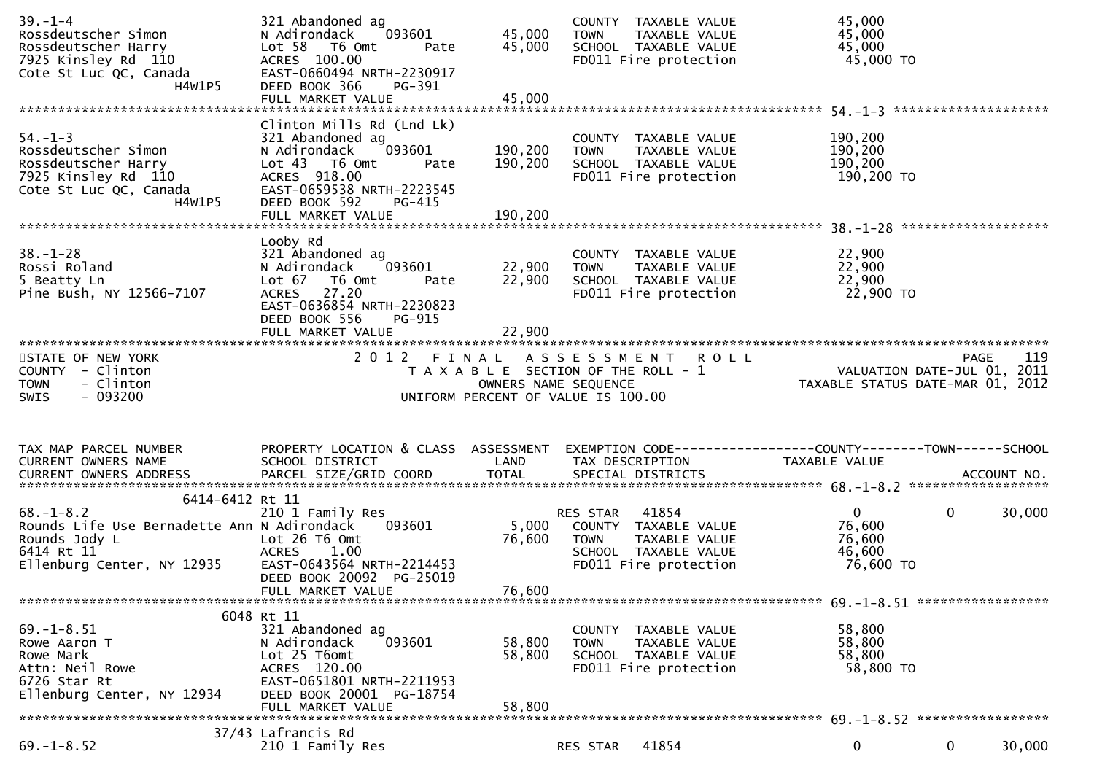| $39. - 1 - 4$<br>Rossdeutscher Simon<br>Rossdeutscher Harry<br>7925 Kinsley Rd 110<br>Cote St Luc QC, Canada<br>H4W1P5                         | 321 Abandoned ag<br>093601<br>N Adirondack<br>Lot 58 T6 Omt<br>Pate<br>ACRES 100.00<br>EAST-0660494 NRTH-2230917<br>DEED BOOK 366<br>PG-391                              | 45,000<br>45,000          | COUNTY TAXABLE VALUE<br>TAXABLE VALUE<br>TOWN<br>SCHOOL TAXABLE VALUE<br>FD011 Fire protection                      | 45,000<br>45,000<br>45,000<br>45,000 TO                         |                       |
|------------------------------------------------------------------------------------------------------------------------------------------------|--------------------------------------------------------------------------------------------------------------------------------------------------------------------------|---------------------------|---------------------------------------------------------------------------------------------------------------------|-----------------------------------------------------------------|-----------------------|
| $54. - 1 - 3$<br>Rossdeutscher Simon<br>Rossdeutscher Harry<br>7925 Kinsley Rd 110<br>Cote St Luc QC, Canada<br>H4W1P5                         | Clinton Mills Rd (Lnd Lk)<br>321 Abandoned ag<br>093601<br>N Adirondack<br>Lot 43 T6 Omt<br>Pate<br>ACRES 918.00<br>EAST-0659538 NRTH-2223545<br>DEED BOOK 592<br>PG-415 | 190,200<br>190,200        | COUNTY TAXABLE VALUE<br><b>TOWN</b><br>TAXABLE VALUE<br>SCHOOL TAXABLE VALUE<br>FD011 Fire protection               | 190,200<br>190,200<br>190,200<br>190,200 TO                     |                       |
| $38. - 1 - 28$<br>Rossi Roland<br>5 Beatty Ln<br>Pine Bush, NY 12566-7107                                                                      | Looby Rd<br>321 Abandoned ag<br>N Adirondack<br>093601<br>T6 Omt<br>Lot 67<br>Pate<br>27.20<br><b>ACRES</b><br>EAST-0636854 NRTH-2230823<br>DEED BOOK 556<br>PG-915      | 22,900<br>22,900          | COUNTY TAXABLE VALUE<br><b>TOWN</b><br>TAXABLE VALUE<br>SCHOOL TAXABLE VALUE<br>FD011 Fire protection               | 22,900<br>22,900<br>22,900<br>22,900 TO                         |                       |
| STATE OF NEW YORK<br>COUNTY - Clinton<br>- Clinton<br><b>TOWN</b><br>$-093200$<br>SWIS                                                         | 2012 FINAL                                                                                                                                                               | OWNERS NAME SEQUENCE      | <b>ROLL</b><br>A S S E S S M E N T<br>T A X A B L E SECTION OF THE ROLL - 1<br>UNIFORM PERCENT OF VALUE IS 100.00   | VALUATION DATE-JUL 01, 2011<br>TAXABLE STATUS DATE-MAR 01, 2012 | 119<br><b>PAGE</b>    |
| TAX MAP PARCEL NUMBER<br>CURRENT OWNERS NAME                                                                                                   | PROPERTY LOCATION & CLASS ASSESSMENT<br>SCHOOL DISTRICT                                                                                                                  | LAND                      | TAX DESCRIPTION                                                                                                     | TAXABLE VALUE                                                   |                       |
| 6414-6412 Rt 11<br>$68. - 1 - 8.2$<br>Rounds Life Use Bernadette Ann N Adirondack<br>Rounds Jody L<br>6414 Rt 11<br>Ellenburg Center, NY 12935 | 210 1 Family Res<br>093601<br>Lot 26 T6 Omt<br><b>ACRES</b><br>1.00<br>EAST-0643564 NRTH-2214453<br>DEED BOOK 20092 PG-25019<br>FULL MARKET VALUE                        | 5,000<br>76,600<br>76,600 | RES STAR<br>41854<br>COUNTY TAXABLE VALUE<br>TAXABLE VALUE<br>TOWN<br>SCHOOL TAXABLE VALUE<br>FD011 Fire protection | $\mathbf{0}$<br>76,600<br>76,600<br>46,600<br>76,600 TO         | $\mathbf 0$<br>30,000 |
| $69. - 1 - 8.51$<br>Rowe Aaron T<br>Rowe Mark<br>Attn: Neil Rowe                                                                               | 6048 Rt 11<br>321 Abandoned ag<br>093601<br>N Adirondack<br>Lot 25 T6omt<br>ACRES 120.00                                                                                 | 58,800<br>58,800          | COUNTY TAXABLE VALUE<br>TAXABLE VALUE<br><b>TOWN</b><br>SCHOOL TAXABLE VALUE<br>FD011 Fire protection               | 58,800<br>58,800<br>58,800<br>58,800 TO                         |                       |
| 6726 Star Rt<br>Ellenburg Center, NY 12934                                                                                                     | EAST-0651801 NRTH-2211953<br>DEED BOOK 20001 PG-18754<br>FULL MARKET VALUE                                                                                               | 58,800                    |                                                                                                                     |                                                                 |                       |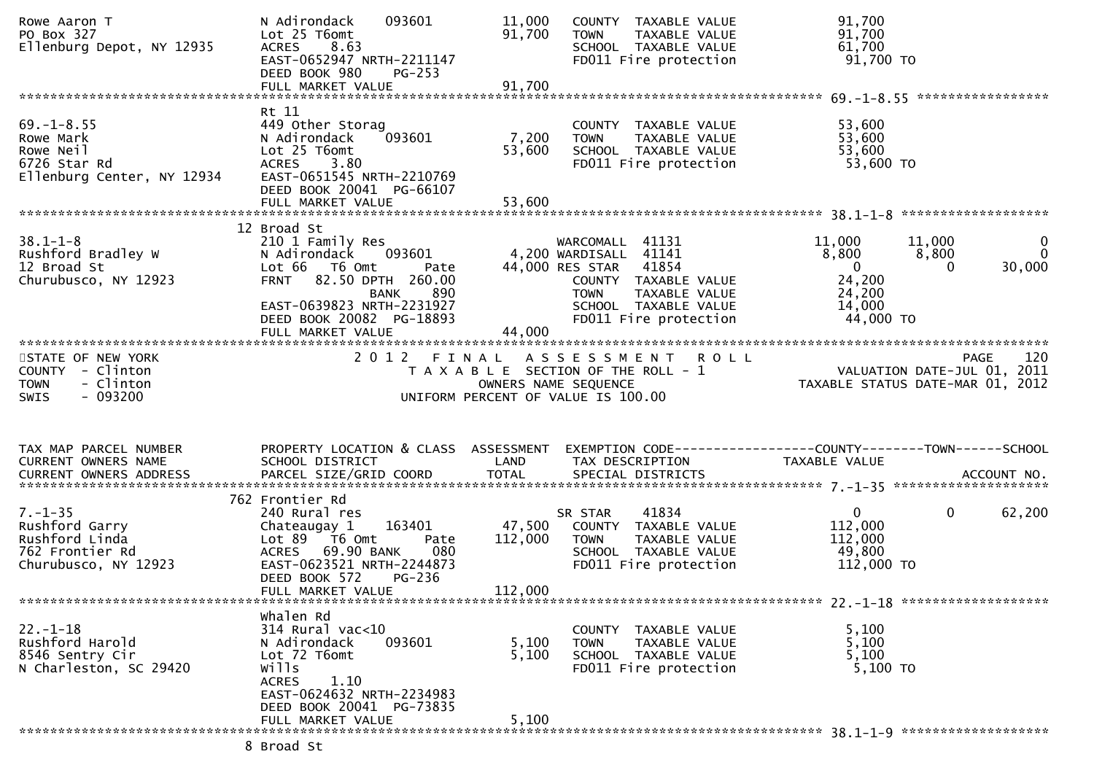| Rowe Aaron T<br>PO Box 327<br>Ellenburg Depot, NY 12935                                      | N Adirondack<br>093601<br>Lot 25 T6omt<br><b>ACRES</b><br>8.63<br>EAST-0652947 NRTH-2211147<br>DEED BOOK 980<br>PG-253<br>FULL MARKET VALUE                               | 11,000<br>COUNTY TAXABLE VALUE<br>91,700<br>TAXABLE VALUE<br><b>TOWN</b><br>SCHOOL TAXABLE VALUE<br>FD011 Fire protection<br>91,700                                        | 91,700<br>91,700<br>61,700<br>91,700 TO                                                                                                                      |
|----------------------------------------------------------------------------------------------|---------------------------------------------------------------------------------------------------------------------------------------------------------------------------|----------------------------------------------------------------------------------------------------------------------------------------------------------------------------|--------------------------------------------------------------------------------------------------------------------------------------------------------------|
|                                                                                              |                                                                                                                                                                           |                                                                                                                                                                            |                                                                                                                                                              |
| $69. - 1 - 8.55$<br>Rowe Mark<br>Rowe Neil<br>6726 Star Rd<br>Ellenburg Center, NY 12934     | Rt 11<br>449 Other Storag<br>093601<br>N Adirondack<br>Lot 25 T6omt<br><b>ACRES</b><br>3.80<br>EAST-0651545 NRTH-2210769<br>DEED BOOK 20041 PG-66107                      | COUNTY TAXABLE VALUE<br>7,200<br><b>TOWN</b><br>TAXABLE VALUE<br>TOWN IAANDLL<br>SCHOOL TAXABLE VALUE<br>Time protection<br>53,600                                         | 53,600<br>53,600<br>53,600<br>53,600 TO                                                                                                                      |
|                                                                                              | 12 Broad St                                                                                                                                                               |                                                                                                                                                                            |                                                                                                                                                              |
| $38.1 - 1 - 8$<br>Rushford Bradley W<br>12 Broad St<br>Churubusco, NY 12923                  | 210 1 Family Res<br>N Adirondack 093601<br>Lot 66 T6 Omt<br>Pate<br>FRNT 82.50 DPTH 260.00<br>890<br><b>BANK</b><br>EAST-0639823 NRTH-2231927<br>DEED BOOK 20082 PG-18893 | WARCOMALL 41131<br>4,200 WARDISALL 41141<br>44,000 RES STAR 41854<br>COUNTY TAXABLE VALUE<br><b>TOWN</b><br>TAXABLE VALUE<br>SCHOOL TAXABLE VALUE<br>FD011 Fire protection | 11,000<br>11,000<br>0<br>$\mathbf{0}$<br>8,800<br>8,800<br>$\overline{\mathbf{0}}$<br>30,000<br>$\Omega$<br>24,200<br>24,200<br>14,000<br>44,000 TO          |
|                                                                                              |                                                                                                                                                                           | 44,000                                                                                                                                                                     |                                                                                                                                                              |
| STATE OF NEW YORK<br>COUNTY - Clinton<br><b>TOWN</b><br>- Clinton<br>$-093200$<br>SWIS       |                                                                                                                                                                           | 2012 FINAL ASSESSMENT ROLL<br>UNIFORM PERCENT OF VALUE IS 100.00                                                                                                           | 120<br>PAGE<br>FINAL ASSESSMENI RULL<br>TAXABLE SECTION OF THE ROLL - 1 VALUATION DATE-JUL 01, 2011<br>OWNERS NAME SEQUENCE TAXABLE STATUS DATE-MAR 01, 2012 |
| TAX MAP PARCEL NUMBER<br>CURRENT OWNERS NAME                                                 | SCHOOL DISTRICT                                                                                                                                                           | LAND<br>TAX DESCRIPTION                                                                                                                                                    | PROPERTY LOCATION & CLASS ASSESSMENT EXEMPTION CODE----------------COUNTY-------TOWN------SCHOOL<br>TAXABLE VALUE                                            |
|                                                                                              | 762 Frontier Rd                                                                                                                                                           |                                                                                                                                                                            |                                                                                                                                                              |
| $7. - 1 - 35$<br>Rushford Garry<br>Rushford Linda<br>762 Frontier Rd<br>Churubusco, NY 12923 | 240 Rural res<br>163401<br>Chateaugay 1<br>Lot 89 T6 Omt<br>Pate                                                                                                          | 41834<br>SR STAR<br>47,500 COUNTY TAXABLE VALUE<br>112,000<br><b>TOWN</b><br>TAXABLE VALUE                                                                                 | $\mathbf{0}$<br>$\mathbf{0}$<br>62,200<br>112,000<br>112,000                                                                                                 |
|                                                                                              | ACRES 69.90 BANK<br>080<br>EAST-0623521 NRTH-2244873<br>DEED BOOK 572<br>$PG-236$                                                                                         | SCHOOL TAXABLE VALUE<br>FD011 Fire protection                                                                                                                              | 49,800<br>112,000 TO                                                                                                                                         |
|                                                                                              | FULL MARKET VALUE                                                                                                                                                         | 112,000                                                                                                                                                                    |                                                                                                                                                              |
| $22. - 1 - 18$<br>Rushford Harold<br>8546 Sentry Cir<br>N Charleston, SC 29420               | whalen Rd<br>314 Rural vac<10<br>093601<br>N Adirondack<br>Lot 72 T6omt<br>wills<br>1.10<br><b>ACRES</b><br>EAST-0624632 NRTH-2234983                                     | COUNTY TAXABLE VALUE<br>5,100<br>TAXABLE VALUE<br><b>TOWN</b><br>5,100<br>SCHOOL TAXABLE VALUE<br>FD011 Fire protection                                                    | 5,100<br>5,100<br>5,100<br>5,100 TO                                                                                                                          |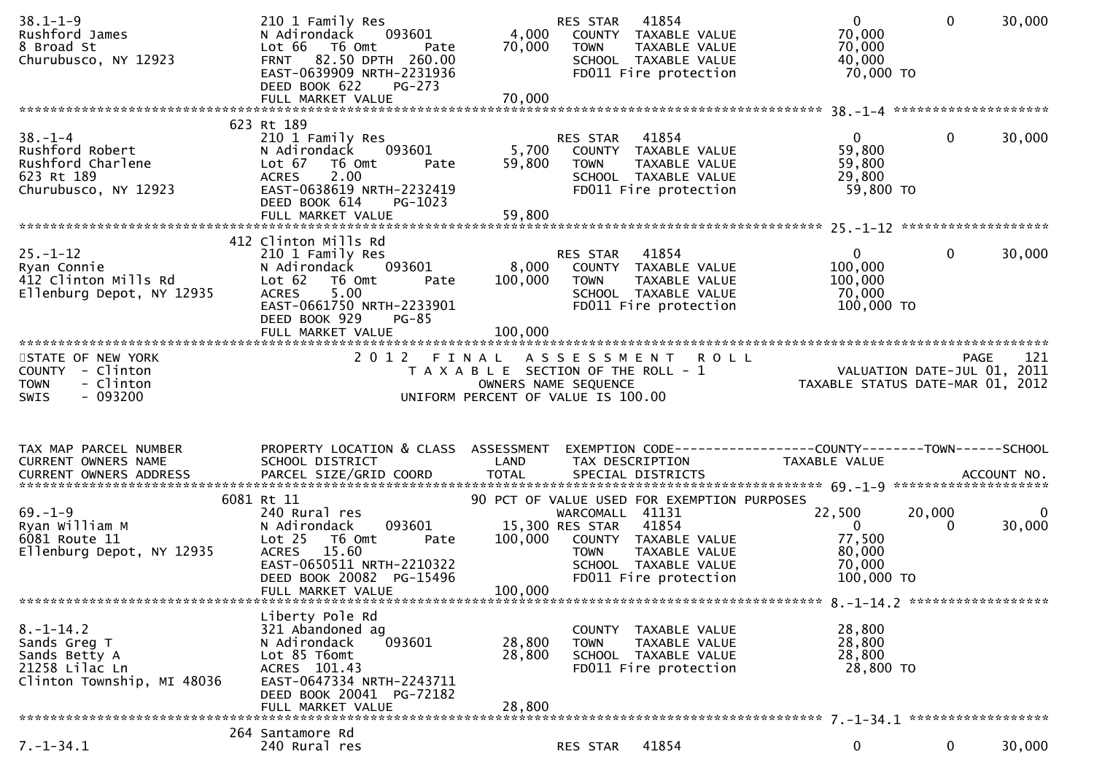| $38.1 - 1 - 9$<br>Rushford James<br>8 Broad St<br>Churubusco, NY 12923                           | 210 1 Family Res<br>093601<br>N Adirondack<br>Lot 66 T6 Omt<br>Pate<br>FRNT 82.50 DPTH 260.00<br>EAST-0639909 NRTH-2231936<br>DEED BOOK 622<br><b>PG-273</b>                | 4,000<br>70,000             | 41854<br>RES STAR<br>COUNTY TAXABLE VALUE<br>TAXABLE VALUE<br><b>TOWN</b><br>SCHOOL TAXABLE VALUE<br>FD011 Fire protection                           | $\overline{0}$<br>70,000<br>70,000<br>40,000<br>70,000 TO                      | $\mathbf 0$<br>30,000                      |
|--------------------------------------------------------------------------------------------------|-----------------------------------------------------------------------------------------------------------------------------------------------------------------------------|-----------------------------|------------------------------------------------------------------------------------------------------------------------------------------------------|--------------------------------------------------------------------------------|--------------------------------------------|
|                                                                                                  |                                                                                                                                                                             |                             |                                                                                                                                                      |                                                                                |                                            |
| $38. - 1 - 4$<br>Rushford Robert<br>Rushford Charlene<br>623 Rt 189<br>Churubusco, NY 12923      | 623 Rt 189<br>210 1 Family Res<br>N Adirondack<br>093601<br>Lot 67<br>T6 Omt<br>Pate<br>2.00<br><b>ACRES</b><br>EAST-0638619 NRTH-2232419<br>DEED BOOK 614<br>PG-1023       | 5,700<br>59,800             | RES STAR<br>41854<br>COUNTY TAXABLE VALUE<br><b>TOWN</b><br>TAXABLE VALUE<br>SCHOOL TAXABLE VALUE<br>FD011 Fire protection                           | $\overline{0}$<br>59,800<br>59,800<br>29,800<br>59,800 TO                      | 30,000<br>$\mathbf{0}$                     |
|                                                                                                  | 412 Clinton Mills Rd                                                                                                                                                        |                             |                                                                                                                                                      |                                                                                |                                            |
| $25. - 1 - 12$<br>Ryan Connie<br>412 Clinton Mills Rd<br>Ellenburg Depot, NY 12935               | 210 1 Family Res<br>093601<br>N Adirondack<br>Lot 62<br>T6 Omt<br>Pate<br>5.00<br><b>ACRES</b><br>EAST-0661750 NRTH-2233901<br>DEED BOOK 929<br>PG-85                       | 8,000<br>100,000<br>100,000 | 41854<br>RES STAR<br>COUNTY TAXABLE VALUE<br>TAXABLE VALUE<br>TOWN<br>SCHOOL TAXABLE VALUE<br>FD011 Fire protection                                  | $\overline{0}$<br>100,000<br>100,000<br>70,000<br>100,000 TO                   | 30,000<br>$\mathbf{0}$                     |
|                                                                                                  |                                                                                                                                                                             |                             |                                                                                                                                                      |                                                                                |                                            |
| STATE OF NEW YORK<br>COUNTY - Clinton<br>- Clinton<br><b>TOWN</b><br>$-093200$<br>SWIS           |                                                                                                                                                                             |                             | 2012 FINAL ASSESSMENT ROLL<br>T A X A B L E SECTION OF THE ROLL - 1<br>OWNERS NAME SEQUENCE<br>UNIFORM PERCENT OF VALUE IS 100.00                    | TAXABLE STATUS DATE-MAR 01, 2012                                               | 121<br>PAGE<br>VALUATION DATE-JUL 01, 2011 |
| TAX MAP PARCEL NUMBER<br>CURRENT OWNERS NAME                                                     | PROPERTY LOCATION & CLASS ASSESSMENT<br>SCHOOL DISTRICT                                                                                                                     | LAND                        | EXEMPTION CODE-----------------COUNTY--------TOWN------SCHOOL<br>TAX DESCRIPTION                                                                     | TAXABLE VALUE                                                                  |                                            |
|                                                                                                  | 6081 Rt 11                                                                                                                                                                  |                             | 90 PCT OF VALUE USED FOR EXEMPTION PURPOSES                                                                                                          |                                                                                |                                            |
| $69. - 1 - 9$<br>Ryan William M                                                                  | 240 Rural res                                                                                                                                                               |                             |                                                                                                                                                      |                                                                                |                                            |
| 6081 Route 11<br>Ellenburg Depot, NY 12935                                                       | 093601<br>N Adirondack<br>Lot 25<br>T6 Omt<br>Pate<br><b>ACRES</b><br>15.60<br>EAST-0650511 NRTH-2210322<br>DEED BOOK 20082 PG-15496<br>FULL MARKET VALUE                   | 100,000<br>100,000          | WARCOMALL 41131<br>15,300 RES STAR<br>41854<br>COUNTY TAXABLE VALUE<br>TAXABLE VALUE<br><b>TOWN</b><br>SCHOOL TAXABLE VALUE<br>FD011 Fire protection | 22,500<br>20,000<br>$\overline{0}$<br>77,500<br>80,000<br>70,000<br>100,000 TO | $\mathbf{0}$<br>30,000<br>$\Omega$         |
|                                                                                                  |                                                                                                                                                                             |                             |                                                                                                                                                      |                                                                                |                                            |
| $8. - 1 - 14.2$<br>Sands Greg T<br>Sands Betty A<br>21258 Lilac Ln<br>Clinton Township, MI 48036 | Liberty Pole Rd<br>321 Abandoned ag<br>N Adirondack<br>093601<br>Lot 85 T6omt<br>ACRES 101.43<br>EAST-0647334 NRTH-2243711<br>DEED BOOK 20041 PG-72182<br>FULL MARKET VALUE | 28,800<br>28,800<br>28,800  | COUNTY TAXABLE VALUE<br><b>TOWN</b><br>TAXABLE VALUE<br>SCHOOL TAXABLE VALUE<br>FD011 Fire protection                                                | 28,800<br>28,800<br>28,800<br>28,800 TO                                        |                                            |
|                                                                                                  | 264 Santamore Rd                                                                                                                                                            |                             |                                                                                                                                                      |                                                                                |                                            |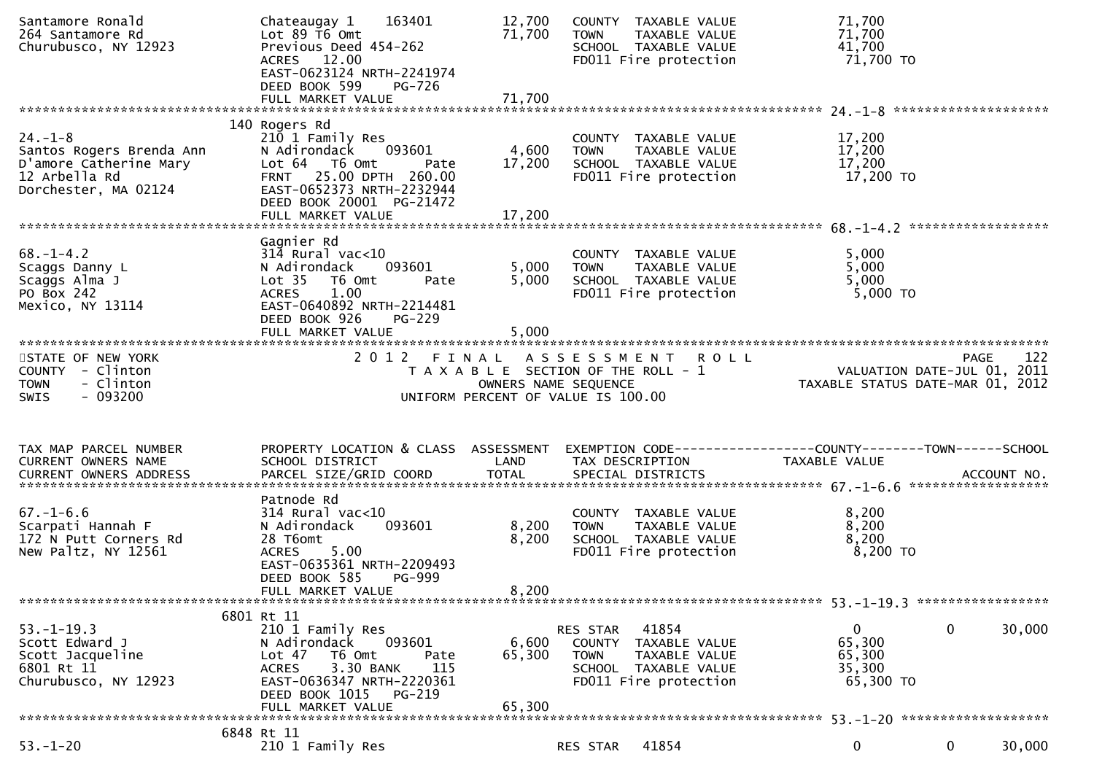| Santamore Ronald<br>264 Santamore Rd<br>Churubusco, NY 12923                                                 | 163401<br>Chateaugay 1<br>Lot $89$ T6 Omt<br>Previous Deed 454-262<br>ACRES 12.00<br>EAST-0623124 NRTH-2241974<br>DEED BOOK 599<br>PG-726                                                              | 12,700<br>71,700          | COUNTY TAXABLE VALUE<br>TAXABLE VALUE<br><b>TOWN</b><br>SCHOOL TAXABLE VALUE<br>FD011 Fire protection                   | 71,700<br>71,700<br>41,700<br>71,700 TO                                                       |
|--------------------------------------------------------------------------------------------------------------|--------------------------------------------------------------------------------------------------------------------------------------------------------------------------------------------------------|---------------------------|-------------------------------------------------------------------------------------------------------------------------|-----------------------------------------------------------------------------------------------|
|                                                                                                              | 140 Rogers Rd                                                                                                                                                                                          |                           |                                                                                                                         |                                                                                               |
| $24. - 1 - 8$<br>Santos Rogers Brenda Ann<br>D'amore Catherine Mary<br>12 Arbella Rd<br>Dorchester, MA 02124 | 210 1 Family Res<br>N Adirondack<br>093601<br>Lot 64 T6 Omt<br>Pate<br>FRNT 25.00 DPTH 260.00<br>EAST-0652373 NRTH-2232944<br>DEED BOOK 20001 PG-21472                                                 | 4,600<br>17,200           | COUNTY TAXABLE VALUE<br>TAXABLE VALUE<br><b>TOWN</b><br>SCHOOL TAXABLE VALUE<br>FD011 Fire protection                   | 17,200<br>17,200<br>17,200<br>17,200 TO                                                       |
|                                                                                                              |                                                                                                                                                                                                        |                           |                                                                                                                         |                                                                                               |
| $68. - 1 - 4.2$<br>Scaggs Danny L<br>Scaggs Alma J<br>PO Box 242<br>Mexico, NY 13114                         | Gagnier Rd<br>$314$ Rural vac<10<br>N Adirondack<br>093601<br>Lot <sub>35</sub><br>T6 Omt<br>Pate<br>1.00<br>ACRES<br>EAST-0640892 NRTH-2214481<br>DEED BOOK 926<br><b>PG-229</b><br>FULL MARKET VALUE | 5,000<br>5,000<br>5,000   | COUNTY TAXABLE VALUE<br>TAXABLE VALUE<br>TOWN<br>SCHOOL TAXABLE VALUE<br>FD011 Fire protection                          | 5,000<br>5,000<br>5,000<br>5,000 TO                                                           |
|                                                                                                              |                                                                                                                                                                                                        |                           |                                                                                                                         |                                                                                               |
| STATE OF NEW YORK<br>COUNTY - Clinton<br><b>TOWN</b><br>- Clinton<br>- 093200<br>SWIS                        |                                                                                                                                                                                                        | OWNERS NAME SEQUENCE      | 2012 FINAL ASSESSMENT ROLL<br>$T$ A $X$ A $B$ L E SECTION OF THE ROLL - 1<br>UNIFORM PERCENT OF VALUE IS 100.00         | 122<br><b>PAGE</b><br>rast<br>VALUATION DATE-JUL 01, 2011<br>TAXABLE STATUS DATE-MAR 01, 2012 |
|                                                                                                              |                                                                                                                                                                                                        |                           |                                                                                                                         |                                                                                               |
|                                                                                                              |                                                                                                                                                                                                        |                           |                                                                                                                         |                                                                                               |
| TAX MAP PARCEL NUMBER<br>CURRENT OWNERS NAME                                                                 | PROPERTY LOCATION & CLASS ASSESSMENT<br>SCHOOL DISTRICT                                                                                                                                                | LAND                      | TAX DESCRIPTION                                                                                                         | EXEMPTION CODE------------------COUNTY--------TOWN------SCHOOL<br>TAXABLE VALUE               |
|                                                                                                              |                                                                                                                                                                                                        |                           |                                                                                                                         |                                                                                               |
| $67. - 1 - 6.6$<br>Scarpati Hannah F<br>172 N Putt Corners Rd<br>New Paltz, NY 12561                         | Patnode Rd<br>$314$ Rural vac< $10$<br>093601<br>N Adirondack<br>28 T6omt<br>5.00<br><b>ACRES</b><br>EAST-0635361 NRTH-2209493<br><b>PG-999</b><br>DEED BOOK 585                                       | 8,200<br>8,200            | COUNTY TAXABLE VALUE<br>TAXABLE VALUE<br><b>TOWN</b><br>SCHOOL TAXABLE VALUE<br>FD011 Fire protection                   | 8,200<br>8,200<br>8,200<br>$8,200$ TO                                                         |
|                                                                                                              | FULL MARKET VALUE                                                                                                                                                                                      | 8,200                     |                                                                                                                         |                                                                                               |
|                                                                                                              | 6801 Rt 11                                                                                                                                                                                             |                           |                                                                                                                         |                                                                                               |
| $53. - 1 - 19.3$<br>Scott Edward J<br>Scott Jacqueline<br>6801 Rt 11<br>Churubusco, NY 12923                 | 210 1 Family Res<br>N Adirondack<br>093601<br>T6 Omt<br>Lot 47<br>Pate<br>3.30 BANK<br>115<br><b>ACRES</b><br>EAST-0636347 NRTH-2220361<br>DEED BOOK 1015 PG-219<br>FULL MARKET VALUE                  | 6,600<br>65,300<br>65,300 | RES STAR 41854<br>COUNTY TAXABLE VALUE<br>TAXABLE VALUE<br><b>TOWN</b><br>SCHOOL TAXABLE VALUE<br>FD011 Fire protection | $\mathbf 0$<br>$\mathbf{0}$<br>30,000<br>65,300<br>65,300<br>35,300<br>65,300 TO              |
|                                                                                                              | 6848 Rt 11                                                                                                                                                                                             |                           |                                                                                                                         |                                                                                               |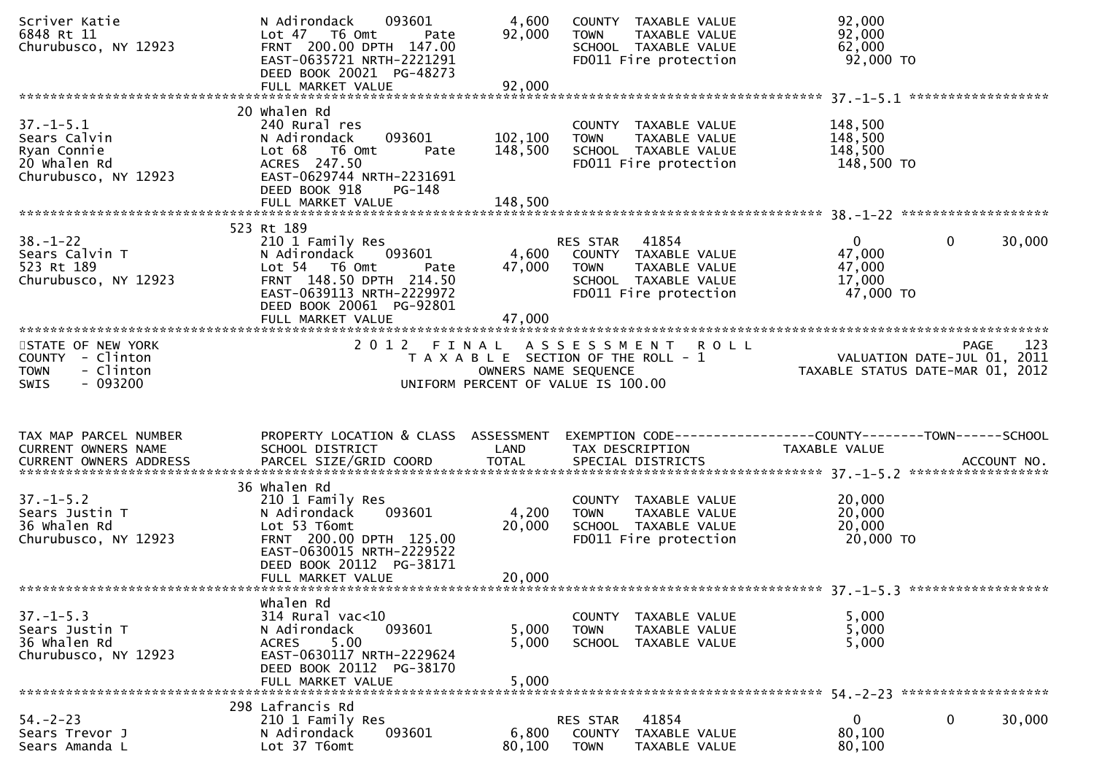| Scriver Katie<br>6848 Rt 11<br>Churubusco, NY 12923                                    | 093601<br>N Adirondack<br>Lot 47 T6 Omt<br>Pate<br>FRNT 200.00 DPTH 147.00<br>EAST-0635721 NRTH-2221291<br>DEED BOOK 20021 PG-48273                                                 | 4,600<br>92,000                                                                                     | <b>TOWN</b>                   | COUNTY TAXABLE VALUE<br>TAXABLE VALUE<br>SCHOOL TAXABLE VALUE<br>FD011 Fire protection | 92,000<br>92,000<br>62,000<br>92,000 TO                                                   |             |             |
|----------------------------------------------------------------------------------------|-------------------------------------------------------------------------------------------------------------------------------------------------------------------------------------|-----------------------------------------------------------------------------------------------------|-------------------------------|----------------------------------------------------------------------------------------|-------------------------------------------------------------------------------------------|-------------|-------------|
|                                                                                        | FULL MARKET VALUE                                                                                                                                                                   | 92,000                                                                                              |                               |                                                                                        |                                                                                           |             |             |
| $37. - 1 - 5.1$<br>Sears Calvin<br>Ryan Connie<br>20 Whalen Rd<br>Churubusco, NY 12923 | 20 whalen Rd<br>240 Rural res<br>093601<br>N Adirondack<br>Lot 68 T6 Omt<br>Pate<br>ACRES 247.50<br>EAST-0629744 NRTH-2231691<br>DEED BOOK 918<br>$PG-148$                          | 102,100<br>148,500                                                                                  | <b>TOWN</b>                   | COUNTY TAXABLE VALUE<br>TAXABLE VALUE<br>SCHOOL TAXABLE VALUE<br>FD011 Fire protection | 148,500<br>148,500<br>148,500<br>148,500 TO                                               |             |             |
|                                                                                        | FULL MARKET VALUE                                                                                                                                                                   | 148,500                                                                                             |                               |                                                                                        |                                                                                           |             |             |
|                                                                                        | 523 Rt 189                                                                                                                                                                          |                                                                                                     |                               |                                                                                        |                                                                                           |             |             |
| $38. - 1 - 22$<br>Sears Calvin T<br>523 Rt 189<br>Churubusco, NY 12923                 | 210 1 Family Res<br>093601<br>N Adirondack<br>Lot 54 T6 Omt<br>Pate<br>FRNT 148.50 DPTH 214.50<br>EAST-0639113 NRTH-2229972<br>DEED BOOK 20061 PG-92801                             | 4,600<br>47,000                                                                                     | RES STAR 41854<br><b>TOWN</b> | COUNTY TAXABLE VALUE<br>TAXABLE VALUE<br>SCHOOL TAXABLE VALUE<br>FD011 Fire protection | $\mathbf{0}$<br>47,000<br>47,000<br>17,000<br>47,000 TO                                   | $\mathbf 0$ | 30,000      |
|                                                                                        |                                                                                                                                                                                     |                                                                                                     |                               |                                                                                        |                                                                                           |             |             |
| STATE OF NEW YORK<br>COUNTY - Clinton<br>- Clinton<br><b>TOWN</b><br>- 093200<br>SWIS  |                                                                                                                                                                                     | T A X A B L E SECTION OF THE ROLL - 1<br>OWNERS NAME SEQUENCE<br>UNIFORM PERCENT OF VALUE IS 100.00 |                               | 2012 FINAL ASSESSMENT ROLL                                                             | PAGE<br>,VALUATION DATE-JUL 01<br>TAXARLE STATUS NIT-<br>TAXABLE STATUS DATE-MAR 01, 2012 | <b>PAGE</b> | 123<br>2011 |
| TAX MAP PARCEL NUMBER<br>CURRENT OWNERS NAME                                           | PROPERTY LOCATION & CLASS ASSESSMENT<br>SCHOOL DISTRICT                                                                                                                             | LAND                                                                                                |                               | TAX DESCRIPTION                                                                        | EXEMPTION CODE------------------COUNTY--------TOWN------SCHOOL<br>TAXABLE VALUE           |             |             |
| $37. - 1 - 5.2$<br>Sears Justin T<br>36 Whalen Rd<br>Churubusco, NY 12923              | 36 Whalen Rd<br>210 1 Family Res<br>093601<br>N Adirondack<br>Lot 53 T6omt<br>FRNT 200.00 DPTH 125.00<br>EAST-0630015 NRTH-2229522<br>DEED BOOK 20112 PG-38171<br>FULL MARKET VALUE | 4,200<br>20,000<br>20,000                                                                           | <b>TOWN</b>                   | COUNTY TAXABLE VALUE<br>TAXABLE VALUE<br>SCHOOL TAXABLE VALUE<br>FD011 Fire protection | 20,000<br>20,000<br>20,000<br>20,000 TO                                                   |             |             |
|                                                                                        | Whalen Rd                                                                                                                                                                           |                                                                                                     |                               |                                                                                        |                                                                                           |             |             |
| $37. - 1 - 5.3$<br>Sears Justin T<br>36 Whalen Rd<br>Churubusco, NY 12923              | $314$ Rural vac<10<br>N Adirondack<br>093601<br><b>ACRES</b><br>5.00<br>EAST-0630117 NRTH-2229624<br>DEED BOOK 20112 PG-38170<br>FULL MARKET VALUE                                  | 5,000<br>5,000<br>5,000                                                                             | <b>TOWN</b>                   | COUNTY TAXABLE VALUE<br>TAXABLE VALUE<br>SCHOOL TAXABLE VALUE                          | 5,000<br>5,000<br>5,000                                                                   |             |             |
|                                                                                        | 298 Lafrancis Rd                                                                                                                                                                    |                                                                                                     |                               |                                                                                        |                                                                                           |             |             |
| $54. - 2 - 23$<br>Sears Trevor J                                                       | 210 1 Family Res                                                                                                                                                                    |                                                                                                     | RES STAR                      | 41854                                                                                  | 0                                                                                         | 0           | 30,000      |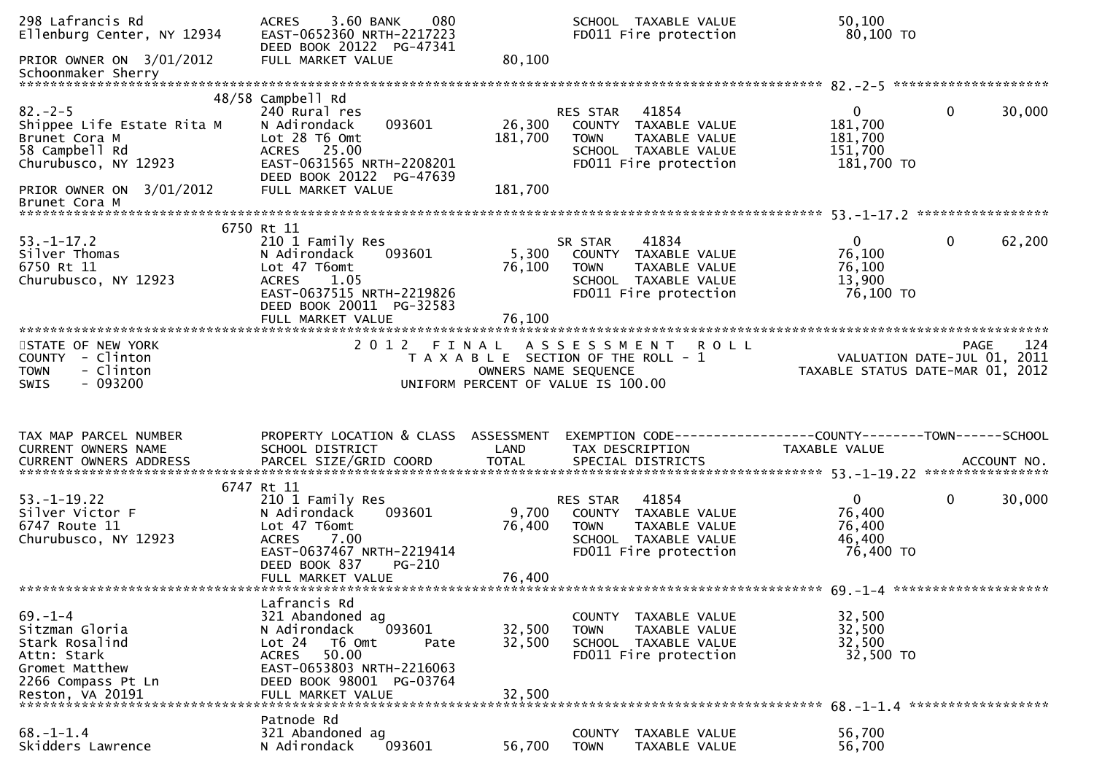| 298 Lafrancis Rd<br>Ellenburg Center, NY 12934                                                           | <b>ACRES</b><br>3.60 BANK<br>080<br>EAST-0652360 NRTH-2217223<br>DEED BOOK 20122 PG-47341                                                                                      |                           | SCHOOL TAXABLE VALUE<br>FD011 Fire protection                                                                                          | 50,100<br>80,100 TO                                             |                       |
|----------------------------------------------------------------------------------------------------------|--------------------------------------------------------------------------------------------------------------------------------------------------------------------------------|---------------------------|----------------------------------------------------------------------------------------------------------------------------------------|-----------------------------------------------------------------|-----------------------|
| PRIOR OWNER ON 3/01/2012<br>Schoonmaker Sherry                                                           | FULL MARKET VALUE                                                                                                                                                              | 80,100                    |                                                                                                                                        |                                                                 |                       |
|                                                                                                          |                                                                                                                                                                                |                           |                                                                                                                                        |                                                                 |                       |
| $82 - 2 - 5$<br>Shippee Life Estate Rita M<br>Brunet Cora M<br>58 Campbell Rd<br>Churubusco, NY 12923    | 48/58 Campbell Rd<br>240 Rural res<br>093601<br>N Adirondack<br>Lot 28 T6 Omt<br>ACRES 25.00<br>EAST-0631565 NRTH-2208201<br>DEED BOOK 20122 PG-47639                          | 26,300<br>181,700         | 41854<br>RES STAR<br>COUNTY TAXABLE VALUE<br>TAXABLE VALUE<br><b>TOWN</b><br>SCHOOL TAXABLE VALUE<br>FD011 Fire protection             | $\Omega$<br>181,700<br>181,700<br>151,700<br>181,700 TO         | $\mathbf 0$<br>30,000 |
| PRIOR OWNER ON 3/01/2012<br>Brunet Cora M                                                                | FULL MARKET VALUE                                                                                                                                                              | 181,700                   |                                                                                                                                        |                                                                 |                       |
|                                                                                                          |                                                                                                                                                                                |                           |                                                                                                                                        |                                                                 |                       |
| $53. - 1 - 17.2$<br>Silver Thomas<br>6750 Rt 11<br>Churubusco, NY 12923                                  | 6750 Rt 11<br>210 1 Family Res<br>093601<br>N Adirondack<br>Lot 47 T6omt<br><b>ACRES</b><br>1.05<br>EAST-0637515 NRTH-2219826<br>DEED BOOK 20011 PG-32583<br>FULL MARKET VALUE | 5,300<br>76,100<br>76,100 | 41834<br>SR STAR<br>COUNTY TAXABLE VALUE<br><b>TOWN</b><br>TAXABLE VALUE<br>SCHOOL TAXABLE VALUE<br>FD011 Fire protection              | $\mathbf{0}$<br>76,100<br>76,100<br>13,900<br>76,100 TO         | $\mathbf 0$<br>62,200 |
|                                                                                                          |                                                                                                                                                                                |                           |                                                                                                                                        |                                                                 |                       |
| STATE OF NEW YORK<br>COUNTY - Clinton<br><b>TOWN</b><br>- Clinton<br>$-093200$<br><b>SWIS</b>            | 2012                                                                                                                                                                           |                           | <b>ROLL</b><br>FINAL ASSESSMENT<br>T A X A B L E SECTION OF THE ROLL - 1<br>OWNERS NAME SEQUENCE<br>UNIFORM PERCENT OF VALUE IS 100.00 | VALUATION DATE-JUL 01, 2011<br>TAXABLE STATUS DATE-MAR 01, 2012 | 124<br><b>PAGE</b>    |
|                                                                                                          |                                                                                                                                                                                |                           |                                                                                                                                        |                                                                 |                       |
| TAX MAP PARCEL NUMBER<br>CURRENT OWNERS NAME                                                             | PROPERTY LOCATION & CLASS ASSESSMENT<br>SCHOOL DISTRICT                                                                                                                        | LAND                      | EXEMPTION CODE------------------COUNTY--------TOWN------SCHOOL<br>TAX DESCRIPTION                                                      | TAXABLE VALUE                                                   | ACCOUNT NO.           |
|                                                                                                          | 6747 Rt 11                                                                                                                                                                     |                           |                                                                                                                                        |                                                                 | ****************      |
| $53. - 1 - 19.22$<br>Silver Victor F<br>6747 Route 11<br>Churubusco, NY 12923                            | 210 1 Family Res<br>N Adirondack<br>093601<br>Lot 47 T6omt<br><b>ACRES</b><br>7.00<br>EAST-0637467 NRTH-2219414<br>DEED BOOK 837<br>$PG-210$<br>FULL MARKET VALUE              | 9,700<br>76,400<br>76,400 | 41854<br>RES STAR<br>COUNTY TAXABLE VALUE<br><b>TOWN</b><br>TAXABLE VALUE<br>SCHOOL TAXABLE VALUE<br>FD011 Fire protection             | $\mathbf 0$<br>76,400<br>76,400<br>46,400<br>76,400 TO          | $\mathbf 0$<br>30,000 |
|                                                                                                          |                                                                                                                                                                                |                           |                                                                                                                                        |                                                                 |                       |
| $69. - 1 - 4$<br>Sitzman Gloria<br>Stark Rosalind<br>Attn: Stark<br>Gromet Matthew<br>2266 Compass Pt Ln | Lafrancis Rd<br>321 Abandoned ag<br>093601<br>N Adirondack<br>Lot 24<br>T6 Omt<br>Pate                                                                                         | 32,500<br>32,500          | TAXABLE VALUE<br>COUNTY<br><b>TOWN</b><br>TAXABLE VALUE<br>SCHOOL TAXABLE VALUE<br>FD011 Fire protection                               | 32,500<br>32,500<br>32,500<br>32,500 TO                         |                       |
|                                                                                                          | 50.00<br><b>ACRES</b><br>EAST-0653803 NRTH-2216063<br>DEED BOOK 98001 PG-03764                                                                                                 |                           |                                                                                                                                        |                                                                 |                       |
|                                                                                                          | Patnode Rd                                                                                                                                                                     |                           |                                                                                                                                        |                                                                 |                       |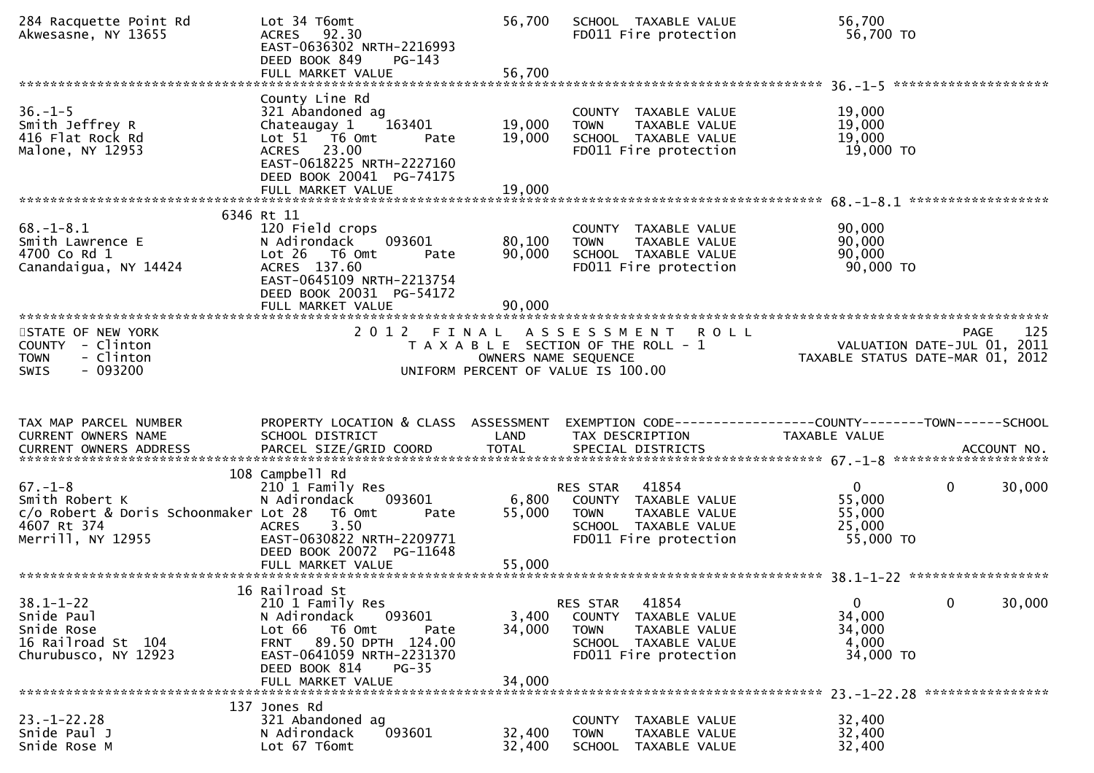| 284 Racquette Point Rd<br>Akwesasne, NY 13655                                                                | Lot 34 T6omt<br>ACRES 92.30<br>EAST-0636302 NRTH-2216993<br>DEED BOOK 849<br>$PG-143$<br>FULL MARKET VALUE                                                                                       | 56,700<br>56,700           | SCHOOL TAXABLE VALUE<br>FD011 Fire protection                                                                                        | 56,700<br>56,700 TO                                                             |
|--------------------------------------------------------------------------------------------------------------|--------------------------------------------------------------------------------------------------------------------------------------------------------------------------------------------------|----------------------------|--------------------------------------------------------------------------------------------------------------------------------------|---------------------------------------------------------------------------------|
|                                                                                                              | County Line Rd                                                                                                                                                                                   |                            |                                                                                                                                      |                                                                                 |
| $36. - 1 - 5$<br>Smith Jeffrey R<br>416 Flat Rock Rd<br>Malone, NY 12953                                     | 321 Abandoned ag<br>Chateaugay 1<br>163401<br>Lot 51 76 0mt<br>Pate<br>ACRES 23.00<br>EAST-0618225 NRTH-2227160<br>DEED BOOK 20041 PG-74175<br>FULL MARKET VALUE                                 | 19,000<br>19,000<br>19,000 | COUNTY TAXABLE VALUE<br><b>TAXABLE VALUE</b><br><b>TOWN</b><br>SCHOOL TAXABLE VALUE<br>FD011 Fire protection                         | 19,000<br>19,000<br>19,000<br>19,000 TO                                         |
|                                                                                                              |                                                                                                                                                                                                  |                            |                                                                                                                                      | *****************                                                               |
| $68. - 1 - 8.1$<br>Smith Lawrence E<br>4700 Co Rd 1<br>Canandaigua, NY 14424                                 | 6346 Rt 11<br>120 Field crops<br>093601<br>N Adirondack<br>Lot 26<br>T6 Omt<br>Pate<br>ACRES 137.60<br>EAST-0645109 NRTH-2213754<br>DEED BOOK 20031 PG-54172<br>FULL MARKET VALUE                | 80,100<br>90,000<br>90,000 | COUNTY TAXABLE VALUE<br>TAXABLE VALUE<br><b>TOWN</b><br>SCHOOL TAXABLE VALUE<br>FD011 Fire protection                                | 90,000<br>90,000<br>90,000<br>90,000 TO                                         |
|                                                                                                              |                                                                                                                                                                                                  |                            |                                                                                                                                      |                                                                                 |
| STATE OF NEW YORK<br>COUNTY - Clinton<br><b>TOWN</b><br>- Clinton<br>$-093200$<br><b>SWIS</b>                |                                                                                                                                                                                                  | OWNERS NAME SEQUENCE       | 2012 FINAL ASSESSMENT<br><b>ROLL</b><br>T A X A B L E SECTION OF THE ROLL - 1<br>UNIFORM PERCENT OF VALUE IS 100.00                  | 125<br>PAGE<br>VALUATION DATE-JUL 01, 2011<br>TAXABLE STATUS DATE-MAR 01, 2012  |
|                                                                                                              |                                                                                                                                                                                                  |                            |                                                                                                                                      |                                                                                 |
|                                                                                                              |                                                                                                                                                                                                  |                            |                                                                                                                                      |                                                                                 |
| TAX MAP PARCEL NUMBER<br>CURRENT OWNERS NAME                                                                 | PROPERTY LOCATION & CLASS ASSESSMENT<br>SCHOOL DISTRICT                                                                                                                                          | LAND                       | TAX DESCRIPTION                                                                                                                      | EXEMPTION CODE-----------------COUNTY-------TOWN------SCHOOL<br>TAXABLE VALUE   |
|                                                                                                              |                                                                                                                                                                                                  |                            |                                                                                                                                      |                                                                                 |
| $67. - 1 - 8$<br>Smith Robert K<br>c/o Robert & Doris Schoonmaker Lot 28<br>4607 Rt 374<br>Merrill, NY 12955 | 108 Campbell Rd<br>210 1 Family Res<br>N Adirondack<br>093601<br>T6 Omt<br>Pate<br>3.50<br><b>ACRES</b><br>EAST-0630822 NRTH-2209771<br>DEED BOOK 20072 PG-11648                                 | 6,800<br>55,000            | 41854<br>RES STAR<br>COUNTY TAXABLE VALUE<br>TAXABLE VALUE<br><b>TOWN</b><br>SCHOOL TAXABLE VALUE<br>FD011 Fire protection           | $\mathbf 0$<br>$\mathbf 0$<br>30,000<br>55,000<br>55,000<br>25,000<br>55,000 TO |
|                                                                                                              |                                                                                                                                                                                                  |                            |                                                                                                                                      |                                                                                 |
| $38.1 - 1 - 22$<br>Snide Paul<br>Snide Rose<br>16 Railroad St 104<br>Churubusco, NY 12923                    | 16 Railroad St<br>210 1 Family Res<br>N Adirondack<br>093601<br>Lot 66<br>T6 Omt<br>Pate<br>FRNT 89.50 DPTH 124.00<br>EAST-0641059 NRTH-2231370<br>DEED BOOK 814<br>$PG-35$<br>FULL MARKET VALUE | 3,400<br>34,000<br>34,000  | 41854<br>RES STAR<br><b>COUNTY</b><br>TAXABLE VALUE<br><b>TOWN</b><br>TAXABLE VALUE<br>SCHOOL TAXABLE VALUE<br>FD011 Fire protection | $\mathbf 0$<br>0<br>30,000<br>34,000<br>34,000<br>4,000<br>34,000 TO            |
|                                                                                                              | 137 Jones Rd                                                                                                                                                                                     |                            |                                                                                                                                      |                                                                                 |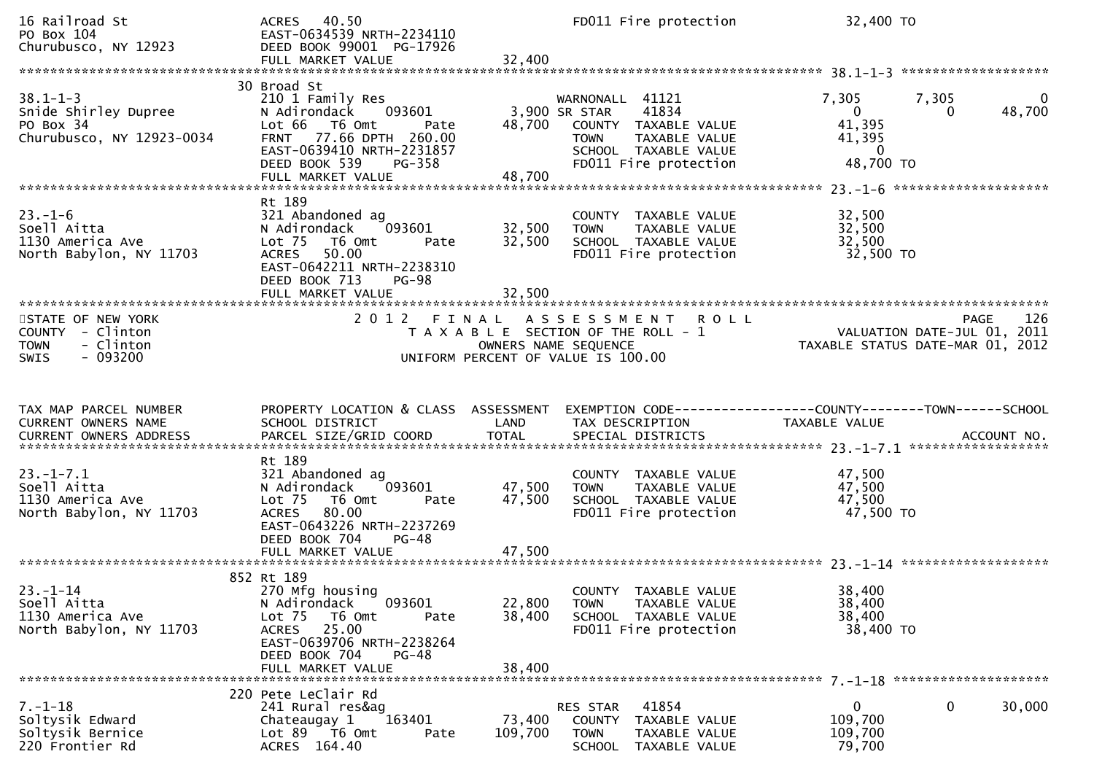| 16 Railroad St<br>PO Box 104<br>Churubusco, NY 12923                                          | ACRES 40.50<br>EAST-0634539 NRTH-2234110<br>DEED BOOK 99001 PG-17926                                                                                                                  |                            | FD011 Fire protection                                                                                                                       | 32,400 TO                                                              |                                      |
|-----------------------------------------------------------------------------------------------|---------------------------------------------------------------------------------------------------------------------------------------------------------------------------------------|----------------------------|---------------------------------------------------------------------------------------------------------------------------------------------|------------------------------------------------------------------------|--------------------------------------|
| $38.1 - 1 - 3$<br>Snide Shirley Dupree<br>PO Box 34<br>Churubusco, NY 12923-0034              | 30 Broad St<br>210 1 Family Res<br>N Adirondack<br>093601<br>Lot 66 T6 Omt<br>Pate<br>FRNT 77.66 DPTH 260.00<br>EAST-0639410 NRTH-2231857<br>DEED BOOK 539<br>PG-358                  | 48,700                     | WARNONALL 41121<br>3,900 SR STAR<br>41834<br>COUNTY TAXABLE VALUE<br>TOWN<br>TAXABLE VALUE<br>SCHOOL TAXABLE VALUE<br>FD011 Fire protection | 7,305<br>$\mathbf{0}$<br>41,395<br>41,395<br>$\mathbf{0}$<br>48,700 TO | 7,305<br>$\mathbf{0}$<br>48,700<br>0 |
| $23. - 1 - 6$<br>Soell Aitta<br>1130 America Ave<br>North Babylon, NY 11703                   | Rt 189<br>321 Abandoned ag<br>093601<br>N Adirondack<br>Lot 75  T6 Omt<br>Pate<br>ACRES 50.00<br>EAST-0642211 NRTH-2238310<br>DEED BOOK 713<br><b>PG-98</b><br>FULL MARKET VALUE      | 32,500<br>32,500<br>32,500 | COUNTY TAXABLE VALUE<br><b>TOWN</b><br>TAXABLE VALUE<br>SCHOOL TAXABLE VALUE<br>FD011 Fire protection                                       | 32,500<br>32,500<br>32,500<br>32,500 TO                                |                                      |
| STATE OF NEW YORK<br>COUNTY - Clinton<br>- Clinton<br><b>TOWN</b><br>$-093200$<br><b>SWIS</b> | 2012 FINAL                                                                                                                                                                            | OWNERS NAME SEQUENCE       | A S S E S S M E N T R O L L<br>T A X A B L E SECTION OF THE ROLL - 1<br>UNIFORM PERCENT OF VALUE IS 100.00                                  | VALUATION DATE-JUL 01, 2011<br>TAXABLE STATUS DATE-MAR 01, 2012        | PAGE<br>126                          |
|                                                                                               |                                                                                                                                                                                       |                            |                                                                                                                                             |                                                                        |                                      |
| TAX MAP PARCEL NUMBER<br>CURRENT OWNERS NAME<br><b>CURRENT OWNERS ADDRESS</b>                 | PROPERTY LOCATION & CLASS ASSESSMENT<br>SCHOOL DISTRICT<br>PARCEL SIZE/GRID COORD                                                                                                     | LAND<br><b>TOTAL</b>       | EXEMPTION CODE------------------COUNTY--------TOWN------SCHOOL<br>TAX DESCRIPTION<br>SPECIAL DISTRICTS                                      | TAXABLE VALUE                                                          | ACCOUNT NO.                          |
| $23. - 1 - 7.1$<br>Soell Aitta<br>1130 America Ave<br>North Babylon, NY 11703                 | Rt 189<br>321 Abandoned ag<br>093601<br>N Adirondack<br>Lot 75 T6 Omt<br>Pate<br>80.00<br>ACRES<br>EAST-0643226 NRTH-2237269<br>DEED BOOK 704<br>$PG-48$<br>FULL MARKET VALUE         | 47,500<br>47,500<br>47,500 | COUNTY TAXABLE VALUE<br>TAXABLE VALUE<br><b>TOWN</b><br>SCHOOL TAXABLE VALUE<br>FD011 Fire protection                                       | 47,500<br>47,500<br>47,500<br>47,500 TO                                |                                      |
| $23. - 1 - 14$<br>Soell Aitta<br>1130 America Ave<br>North Babylon, NY 11703                  | 852 Rt 189<br>270 Mfg housing<br>093601<br>N Adirondack<br>Lot 75<br>T6 Omt<br>Pate<br>ACRES 25.00<br>EAST-0639706 NRTH-2238264<br>DEED BOOK 704<br><b>PG-48</b><br>FULL MARKET VALUE | 22,800<br>38,400<br>38,400 | COUNTY TAXABLE VALUE<br><b>TOWN</b><br>TAXABLE VALUE<br>SCHOOL TAXABLE VALUE<br>FD011 Fire protection                                       | 38,400<br>38,400<br>38,400<br>38,400 TO                                |                                      |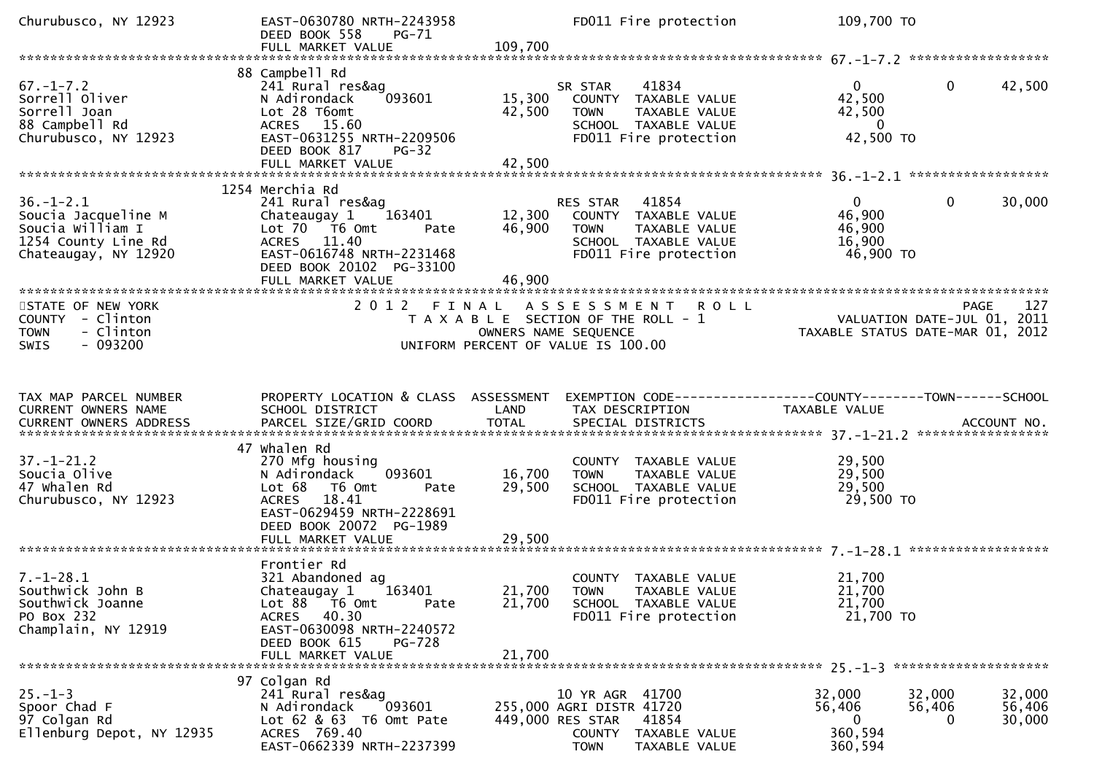| Churubusco, NY 12923                                                                                      | EAST-0630780 NRTH-2243958<br>DEED BOOK 558<br>PG-71<br>FULL MARKET VALUE                                                                                                        | 109,700                                                                                         |                                                                                | FD011 Fire protection                                                                              | 109,700 TO                                                                     |                       |                            |
|-----------------------------------------------------------------------------------------------------------|---------------------------------------------------------------------------------------------------------------------------------------------------------------------------------|-------------------------------------------------------------------------------------------------|--------------------------------------------------------------------------------|----------------------------------------------------------------------------------------------------|--------------------------------------------------------------------------------|-----------------------|----------------------------|
|                                                                                                           |                                                                                                                                                                                 |                                                                                                 |                                                                                |                                                                                                    |                                                                                |                       |                            |
| $67. - 1 - 7.2$<br>Sorrell Oliver<br>Sorrell Joan<br>88 Campbell Rd<br>Churubusco, NY 12923               | 88 Campbell Rd<br>241 Rural res&ag<br>N Adirondack<br>093601<br>Lot 28 T6omt<br>ACRES 15.60<br>EAST-0631255 NRTH-2209506<br>DEED BOOK 817<br>PG-32<br>FULL MARKET VALUE         | 15,300<br>42,500<br>42,500                                                                      | SR STAR<br><b>TOWN</b>                                                         | 41834<br>COUNTY TAXABLE VALUE<br>TAXABLE VALUE<br>SCHOOL TAXABLE VALUE<br>FD011 Fire protection    | $\overline{0}$<br>42,500<br>42,500<br>$\overline{\phantom{0}}$<br>42,500 TO    | $\mathbf{0}$          | 42,500                     |
|                                                                                                           | 1254 Merchia Rd                                                                                                                                                                 |                                                                                                 |                                                                                |                                                                                                    |                                                                                |                       |                            |
| $36. - 1 - 2.1$<br>Soucia Jacqueline M<br>Soucia William I<br>1254 County Line Rd<br>Chateaugay, NY 12920 | 241 Rural res&ag<br>163401<br>Chateaugay 1<br>Lot $70$ $\overline{76}$ Omt<br>Pate<br>ACRES 11.40<br>EAST-0616748 NRTH-2231468<br>DEED BOOK 20102 PG-33100<br>FULL MARKET VALUE | 12,300<br>46,900<br>46,900                                                                      | RES STAR 41854<br><b>TOWN</b>                                                  | COUNTY TAXABLE VALUE<br>TAXABLE VALUE<br>SCHOOL TAXABLE VALUE<br>FD011 Fire protection             | 0<br>46,900<br>46,900<br>16,900<br>46,900 TO                                   | $\mathbf{0}$          | 30,000                     |
| STATE OF NEW YORK<br>COUNTY - Clinton<br>- Clinton<br><b>TOWN</b><br>$-093200$<br><b>SWIS</b>             | 2 0 1 2                                                                                                                                                                         | FINAL ASSESSMENT<br>T A X A B L E SECTION OF THE ROLL - 1<br>UNIFORM PERCENT OF VALUE IS 100.00 | OWNERS NAME SEQUENCE                                                           | <b>ROLL</b>                                                                                        | <br>VALUATION DATE-JUL 01, 2011<br>TAXABLE STATUS DATE-MAR 01, 2012            | PAGE                  | 127                        |
|                                                                                                           |                                                                                                                                                                                 |                                                                                                 |                                                                                |                                                                                                    |                                                                                |                       |                            |
| TAX MAP PARCEL NUMBER<br>CURRENT OWNERS NAME                                                              | PROPERTY LOCATION & CLASS ASSESSMENT<br>SCHOOL DISTRICT                                                                                                                         | LAND                                                                                            | TAX DESCRIPTION                                                                |                                                                                                    | EXEMPTION CODE-----------------COUNTY--------TOWN------SCHOOL<br>TAXABLE VALUE |                       |                            |
| $37. - 1 - 21.2$<br>Soucia Olive<br>47 whalen Rd<br>Churubusco, NY 12923                                  | 47 whalen Rd<br>270 Mfg housing<br>093601<br>N Adirondack<br>T6 Omt<br>Lot 68<br>Pate<br>18.41<br><b>ACRES</b><br>EAST-0629459 NRTH-2228691                                     | 16,700<br>29,500                                                                                | TOWN                                                                           | COUNTY TAXABLE VALUE<br>TAXABLE VALUE<br>SCHOOL TAXABLE VALUE<br>FD011 Fire protection             | 29,500<br>29,500<br>29,500<br>29,500 TO                                        |                       |                            |
|                                                                                                           | DEED BOOK 20072 PG-1989                                                                                                                                                         |                                                                                                 |                                                                                |                                                                                                    |                                                                                |                       |                            |
|                                                                                                           | Frontier Rd                                                                                                                                                                     |                                                                                                 |                                                                                |                                                                                                    |                                                                                |                       |                            |
| $7.-1-28.1$<br>Southwick John B<br>Southwick Joanne<br>PO Box 232<br>Champlain, NY 12919                  | 321 Abandoned ag<br>Chateaugay 1<br>163401<br>Lot 88 T6 Omt<br>Pate<br>40.30<br>ACRES<br>EAST-0630098 NRTH-2240572<br>DEED BOOK 615<br><b>PG-728</b>                            | 21,700                                                                                          |                                                                                | COUNTY TAXABLE VALUE<br>21,700 TOWN TAXABLE VALUE<br>SCHOOL TAXABLE VALUE<br>FD011 Fire protection | 21,700<br>21,700<br>21,700<br>21,700 TO                                        |                       |                            |
|                                                                                                           | FULL MARKET VALUE                                                                                                                                                               | 21,700                                                                                          |                                                                                |                                                                                                    |                                                                                |                       |                            |
| $25. - 1 - 3$<br>Spoor Chad F<br>97 Colgan Rd<br>Ellenburg Depot, NY 12935                                | 97 Colgan Rd<br>241 Rural res&ag<br>093601<br>N Adirondack<br>Lot 62 & 63 T6 Omt Pate<br>ACRES 769.40<br>EAST-0662339 NRTH-2237399                                              |                                                                                                 | 10 YR AGR 41700<br>255,000 AGRI DISTR 41720<br>449,000 RES STAR<br><b>TOWN</b> | 41854<br>COUNTY TAXABLE VALUE<br>TAXABLE VALUE                                                     | 32,000<br>56,406<br>$\overline{0}$<br>360,594<br>360,594                       | 32,000<br>56,406<br>0 | 32,000<br>56,406<br>30,000 |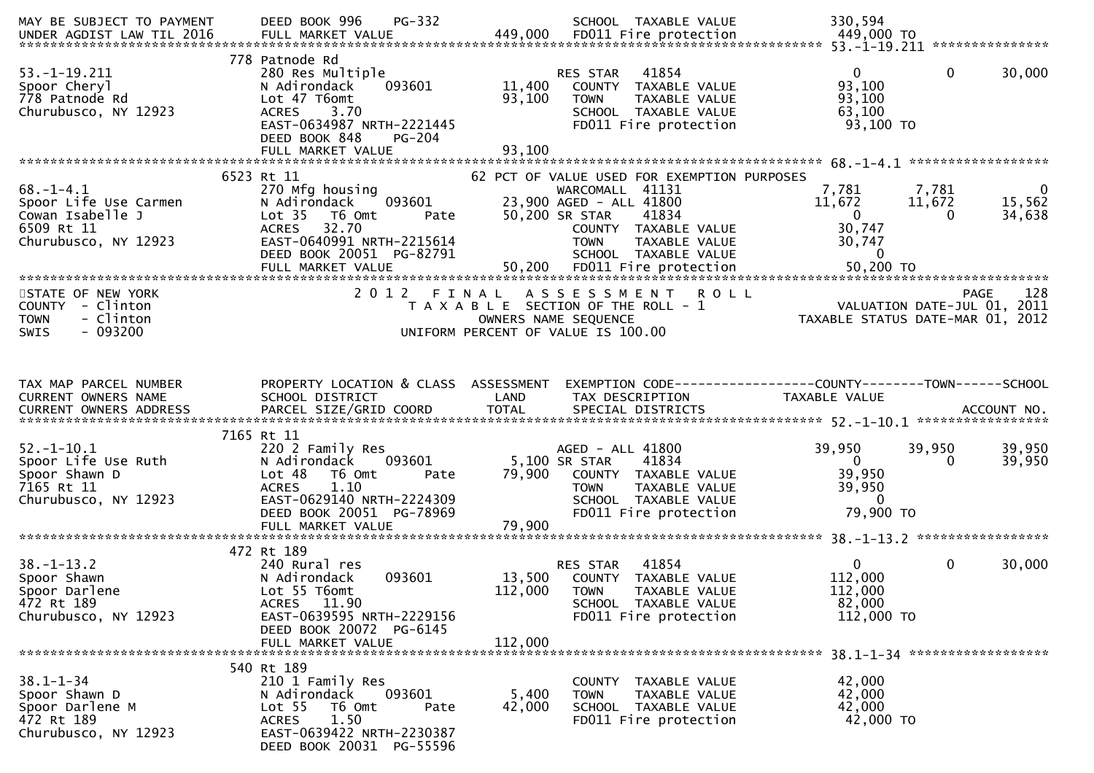| MAY BE SUBJECT TO PAYMENT                                                                          | PG-332<br>DEED BOOK 996                                                                                                                                                                  |                            | SCHOOL TAXABLE VALUE                                                                                                                                                                                 | 330,594                                                                                       |                                                                                   |
|----------------------------------------------------------------------------------------------------|------------------------------------------------------------------------------------------------------------------------------------------------------------------------------------------|----------------------------|------------------------------------------------------------------------------------------------------------------------------------------------------------------------------------------------------|-----------------------------------------------------------------------------------------------|-----------------------------------------------------------------------------------|
| $53. - 1 - 19.211$<br>Spoor Cheryl<br>778 Patnode Rd<br>Churubusco, NY 12923                       | 778 Patnode Rd<br>280 Res Multiple<br>093601<br>N Adirondack<br>Lot 47 T6omt<br>3.70<br><b>ACRES</b><br>EAST-0634987 NRTH-2221445<br>DEED BOOK 848<br><b>PG-204</b><br>FULL MARKET VALUE | 11,400<br>93,100<br>93,100 | 41854<br>RES STAR<br>COUNTY TAXABLE VALUE<br><b>TOWN</b><br>TAXABLE VALUE<br>SCHOOL TAXABLE VALUE<br>FD011 Fire protection                                                                           | $\overline{0}$<br>93,100<br>93,100<br>63,100<br>93,100 TO                                     | $\mathbf{0}$<br>30,000                                                            |
|                                                                                                    |                                                                                                                                                                                          |                            |                                                                                                                                                                                                      |                                                                                               |                                                                                   |
| $68. - 1 - 4.1$<br>Spoor Life Use Carmen<br>Cowan Isabelle J<br>6509 Rt 11<br>Churubusco, NY 12923 | 6523 Rt 11<br>270 Mfg housing<br>093601<br>N Adirondack<br>Lot <sub>35</sub><br>T6 Omt<br>Pate<br>32.70<br><b>ACRES</b><br>EAST-0640991 NRTH-2215614<br>DEED BOOK 20051 PG-82791         |                            | 62 PCT OF VALUE USED FOR EXEMPTION PURPOSES<br>WARCOMALL 41131<br>23,900 AGED - ALL 41800<br>50,200 SR STAR<br>41834<br>COUNTY TAXABLE VALUE<br>TAXABLE VALUE<br><b>TOWN</b><br>SCHOOL TAXABLE VALUE | 7,781<br>11,672<br>$\overline{\mathbf{0}}$<br>30,747<br>30,747<br>$\overline{0}$<br>50,200 TO | 7,781<br>$\overline{0}$<br>11,672<br>15,562<br>34,638<br>$\overline{\phantom{0}}$ |
| STATE OF NEW YORK<br>COUNTY - Clinton<br><b>TOWN</b><br>- Clinton<br>$-093200$<br><b>SWIS</b>      | 2012 FINAL                                                                                                                                                                               |                            | A S S E S S M E N T<br><b>ROLL</b><br>T A X A B L E SECTION OF THE ROLL - 1<br>OWNERS NAME SEQUENCE<br>UNIFORM PERCENT OF VALUE IS 100.00                                                            | VALUATION DATE-JUL 01, 2011<br>TAXABLE STATUS DATE-MAR 01, 2012                               | 128<br><b>PAGE</b>                                                                |
| TAX MAP PARCEL NUMBER<br>CURRENT OWNERS NAME                                                       | PROPERTY LOCATION & CLASS ASSESSMENT<br>SCHOOL DISTRICT                                                                                                                                  | LAND                       | EXEMPTION CODE------------------COUNTY--------TOWN------SCHOOL<br>TAX DESCRIPTION                                                                                                                    | TAXABLE VALUE                                                                                 |                                                                                   |
| $52. - 1 - 10.1$<br>Spoor Life Use Ruth<br>Spoor Shawn D<br>7165 Rt 11<br>Churubusco, NY 12923     | 7165 Rt 11<br>220 2 Family Res<br>N Adirondack 093601<br>Lot 48<br>T6 Omt<br>Pate<br><b>ACRES</b><br>1.10<br>EAST-0629140 NRTH-2224309<br>DEED BOOK 20051 PG-78969<br>FULL MARKET VALUE  | 5,100 SR STAR<br>79,900    | AGED - ALL 41800<br>41834<br>79,900 COUNTY TAXABLE VALUE<br><b>TOWN</b><br>TAXABLE VALUE<br>SCHOOL TAXABLE VALUE<br>FD011 Fire protection                                                            | 39,950<br>$\overline{0}$<br>39,950<br>39,950<br>$\Omega$<br>79,900 TO                         | 39,950<br>39,950<br>39,950<br>$\Omega$                                            |
|                                                                                                    |                                                                                                                                                                                          |                            |                                                                                                                                                                                                      |                                                                                               |                                                                                   |
| $38. - 1 - 13.2$<br>Spoor Shawn<br>Spoor Darlene<br>472 Rt 189<br>Churubusco, NY 12923             | 472 Rt 189<br>240 Rural res<br>093601<br>N Adirondack<br>Lot 55 T6omt<br>ACRES 11.90<br>EAST-0639595 NRTH-2229156<br>DEED BOOK 20072 PG-6145<br>FULL MARKET VALUE                        | 112,000<br>112,000         | RES STAR 41854<br>13,500 COUNTY TAXABLE VALUE<br><b>TOWN</b><br>TAXABLE VALUE<br>SCHOOL TAXABLE VALUE<br>FD011 Fire protection                                                                       | $\overline{0}$<br>112,000<br>112,000<br>82,000<br>112,000 TO                                  | $\mathbf 0$<br>30,000                                                             |
|                                                                                                    | 540 Rt 189                                                                                                                                                                               |                            |                                                                                                                                                                                                      |                                                                                               | 38.1-1-34 *******************                                                     |
| $38.1 - 1 - 34$<br>Spoor Shawn D<br>Spoor Darlene M<br>472 Rt 189<br>Churubusco, NY 12923          | 210 1 Family Res<br>N Adirondack<br>093601<br>Lot <sub>55</sub><br>T6 Omt<br>Pate<br>1.50<br><b>ACRES</b><br>EAST-0639422 NRTH-2230387<br>DEED BOOK 20031 PG-55596                       | 5,400<br>42,000            | COUNTY TAXABLE VALUE<br>TAXABLE VALUE<br><b>TOWN</b><br>SCHOOL TAXABLE VALUE<br>FD011 Fire protection                                                                                                | 42,000<br>42,000<br>42,000<br>42,000 TO                                                       |                                                                                   |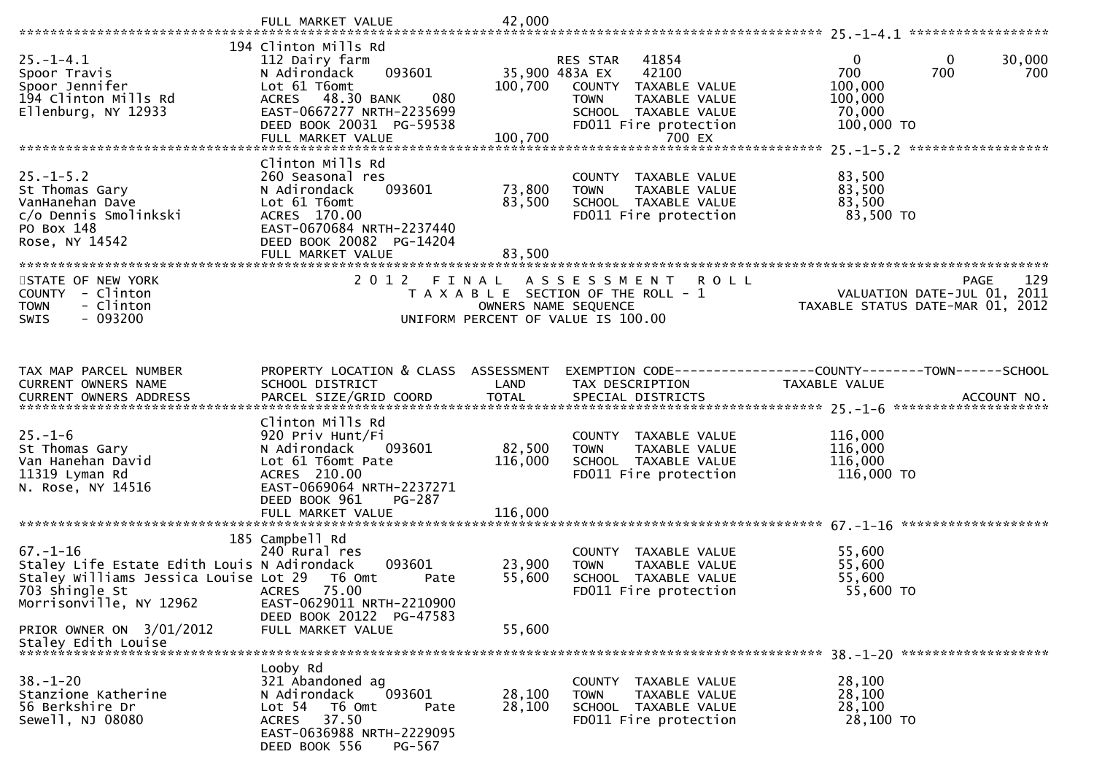|                                                                                                                                                            | FULL MARKET VALUE                                                                                                                                                    | 42,000            |                                                                                                                                                       |                                                                                               |
|------------------------------------------------------------------------------------------------------------------------------------------------------------|----------------------------------------------------------------------------------------------------------------------------------------------------------------------|-------------------|-------------------------------------------------------------------------------------------------------------------------------------------------------|-----------------------------------------------------------------------------------------------|
|                                                                                                                                                            |                                                                                                                                                                      |                   |                                                                                                                                                       |                                                                                               |
| $25. - 1 - 4.1$<br>Spoor Travis<br>Spoor Jennifer<br>194 Clinton Mills Rd<br>Ellenburg, NY 12933                                                           | 194 Clinton Mills Rd<br>112 Dairy farm<br>093601<br>N Adirondack<br>Lot 61 T6omt<br>ACRES 48.30 BANK<br>080<br>EAST-0667277 NRTH-2235699<br>DEED BOOK 20031 PG-59538 | 100,700           | 41854<br>RES STAR<br>35,900 483A EX<br>42100<br>COUNTY TAXABLE VALUE<br><b>TOWN</b><br>TAXABLE VALUE<br>SCHOOL TAXABLE VALUE<br>FD011 Fire protection | 0<br>$\mathbf 0$<br>30,000<br>700<br>700<br>700<br>100,000<br>100,000<br>70,000<br>100,000 TO |
|                                                                                                                                                            | FULL MARKET VALUE                                                                                                                                                    | 100,700           | 700 EX                                                                                                                                                |                                                                                               |
|                                                                                                                                                            |                                                                                                                                                                      |                   |                                                                                                                                                       |                                                                                               |
| $25. - 1 - 5.2$<br>St Thomas Gary<br>VanHanehan Dave<br>c/o Dennis Smolinkski<br>PO Box 148<br>Rose, NY 14542                                              | Clinton Mills Rd<br>260 Seasonal res<br>093601<br>N Adirondack<br>Lot 61 T6omt<br>ACRES 170.00<br>EAST-0670684 NRTH-2237440<br>DEED BOOK 20082 PG-14204              | 73,800<br>83,500  | COUNTY TAXABLE VALUE<br>TAXABLE VALUE<br><b>TOWN</b><br>SCHOOL TAXABLE VALUE<br>FD011 Fire protection                                                 | 83,500<br>83,500<br>83,500<br>83,500 TO                                                       |
|                                                                                                                                                            | FULL MARKET VALUE                                                                                                                                                    | 83,500            |                                                                                                                                                       |                                                                                               |
|                                                                                                                                                            |                                                                                                                                                                      |                   |                                                                                                                                                       |                                                                                               |
| STATE OF NEW YORK<br>COUNTY - Clinton<br>- Clinton<br><b>TOWN</b><br>$-093200$<br>SWIS                                                                     | 2012 FINAL                                                                                                                                                           |                   | ASSESSMENT ROLL<br>T A X A B L E SECTION OF THE ROLL - 1<br>OWNERS NAME SEQUENCE<br>UNIFORM PERCENT OF VALUE IS 100.00                                | 129<br><b>PAGE</b><br>VALUATION DATE-JUL 01, 2011<br>TAXABLE STATUS DATE-MAR 01, 2012         |
| TAX MAP PARCEL NUMBER                                                                                                                                      | PROPERTY LOCATION & CLASS ASSESSMENT                                                                                                                                 |                   |                                                                                                                                                       | EXEMPTION CODE-----------------COUNTY-------TOWN------SCHOOL                                  |
| CURRENT OWNERS NAME                                                                                                                                        | SCHOOL DISTRICT                                                                                                                                                      | LAND              | TAX DESCRIPTION                                                                                                                                       | <b>TAXABLE VALUE</b>                                                                          |
|                                                                                                                                                            | Clinton Mills Rd                                                                                                                                                     |                   |                                                                                                                                                       |                                                                                               |
| $25. - 1 - 6$<br>St Thomas Gary<br>Van Hanehan David<br>11319 Lyman Rd<br>N. Rose, NY 14516                                                                | 920 Priv Hunt/Fi<br>N Adirondack<br>093601<br>Lot 61 T6omt Pate<br>ACRES 210.00<br>EAST-0669064 NRTH-2237271<br>DEED BOOK 961<br>PG-287                              | 82,500<br>116,000 | COUNTY TAXABLE VALUE<br><b>TOWN</b><br>TAXABLE VALUE<br>SCHOOL TAXABLE VALUE<br>FD011 Fire protection                                                 | 116,000<br>116,000<br>116,000<br>116,000 TO                                                   |
|                                                                                                                                                            | FULL MARKET VALUE                                                                                                                                                    | 116,000           |                                                                                                                                                       |                                                                                               |
| $67. - 1 - 16$<br>Staley Life Estate Edith Louis N Adirondack<br>Staley Williams Jessica Louise Lot 29 T6 Omt<br>703 Shingle St<br>Morrisonville, NY 12962 | 185 Campbell Rd<br>240 Rural res<br>093601<br>Pate<br>75.00<br>ACRES<br>EAST-0629011 NRTH-2210900                                                                    | 23,900<br>55,600  | COUNTY TAXABLE VALUE<br><b>TOWN</b><br>TAXABLE VALUE<br>SCHOOL TAXABLE VALUE<br>FD011 Fire protection                                                 | 55,600<br>55,600<br>55,600<br>55,600 TO                                                       |
| PRIOR OWNER ON 3/01/2012<br>Staley Edith Louise                                                                                                            | DEED BOOK 20122 PG-47583<br>FULL MARKET VALUE                                                                                                                        | 55,600            |                                                                                                                                                       |                                                                                               |
|                                                                                                                                                            | Looby Rd                                                                                                                                                             |                   |                                                                                                                                                       |                                                                                               |
| $38. - 1 - 20$<br>Stanzione Katherine<br>56 Berkshire Dr<br>Sewell, NJ 08080                                                                               | 321 Abandoned ag<br>093601<br>N Adirondack<br>Lot <sub>54</sub><br>T6 Omt<br>Pate<br>37.50<br>ACRES<br>EAST-0636988 NRTH-2229095<br>PG-567<br>DEED BOOK 556          | 28,100<br>28,100  | COUNTY TAXABLE VALUE<br><b>TOWN</b><br>TAXABLE VALUE<br>SCHOOL TAXABLE VALUE<br>FD011 Fire protection                                                 | 28,100<br>28,100<br>28,100<br>28,100 TO                                                       |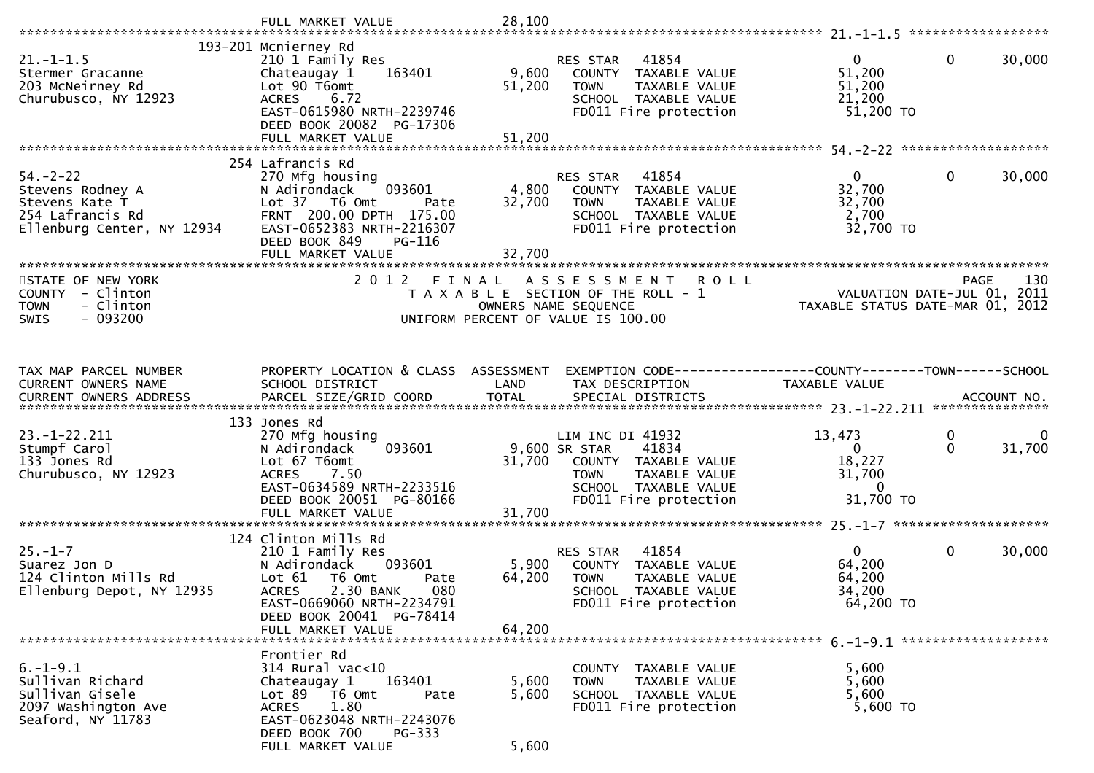|                                          | FULL MARKET VALUE                                    | 28,100 |                                                              |                                  |              |             |
|------------------------------------------|------------------------------------------------------|--------|--------------------------------------------------------------|----------------------------------|--------------|-------------|
|                                          | 193-201 Mcnierney Rd                                 |        |                                                              |                                  |              |             |
| $21. - 1 - 1.5$                          | 210 1 Family Res                                     |        | 41854<br><b>RES STAR</b>                                     | $\overline{0}$                   | $\mathbf{0}$ | 30,000      |
| Stermer Gracanne                         | 163401<br>Chateaugay 1                               | 9,600  | COUNTY<br>TAXABLE VALUE                                      | 51,200                           |              |             |
| 203 McNeirney Rd                         | Lot 90 T6omt                                         | 51,200 | <b>TOWN</b><br>TAXABLE VALUE                                 | 51,200                           |              |             |
| Churubusco, NY 12923                     | ACRES 6.72                                           |        | SCHOOL TAXABLE VALUE                                         | 21,200                           |              |             |
|                                          | EAST-0615980 NRTH-2239746                            |        | FD011 Fire protection                                        | $51,200$ TO                      |              |             |
|                                          | DEED BOOK 20082 PG-17306                             | 51,200 |                                                              |                                  |              |             |
|                                          | FULL MARKET VALUE                                    |        |                                                              |                                  |              |             |
|                                          | 254 Lafrancis Rd                                     |        |                                                              |                                  |              |             |
| $54. - 2 - 22$                           | 270 Mfg housing                                      |        | RES STAR<br>41854                                            | $\mathbf{0}$                     | $\mathbf{0}$ | 30,000      |
| Stevens Rodney A                         | 093601<br>N Adirondack                               | 4,800  | COUNTY TAXABLE VALUE                                         | 32,700                           |              |             |
| Stevens Kate T                           | Lot 37 T6 Omt<br>Pate                                | 32,700 | <b>TOWN</b><br>TAXABLE VALUE                                 | 32,700                           |              |             |
| 254 Lafrancis Rd                         | FRNT 200.00 DPTH 175.00                              |        | SCHOOL TAXABLE VALUE                                         | 2,700                            |              |             |
| Ellenburg Center, NY 12934               | EAST-0652383 NRTH-2216307<br>DEED BOOK 849<br>PG-116 |        | FD011 Fire protection                                        | 32,700 TO                        |              |             |
|                                          | FULL MARKET VALUE                                    | 32,700 |                                                              |                                  |              |             |
|                                          |                                                      |        |                                                              |                                  |              |             |
| STATE OF NEW YORK                        | 2 0 1 2                                              | FINAL  | A S S E S S M E N T<br><b>ROLL</b>                           |                                  | <b>PAGE</b>  | 130         |
| COUNTY - Clinton                         |                                                      |        | T A X A B L E SECTION OF THE ROLL - 1                        | VALUATION DATE-JUL 01, 2011      |              |             |
| <b>TOWN</b><br>- Clinton                 |                                                      |        | OWNERS NAME SEQUENCE                                         | TAXABLE STATUS DATE-MAR 01, 2012 |              |             |
| $-093200$<br><b>SWIS</b>                 |                                                      |        | UNIFORM PERCENT OF VALUE IS 100.00                           |                                  |              |             |
|                                          |                                                      |        |                                                              |                                  |              |             |
|                                          |                                                      |        |                                                              |                                  |              |             |
| TAX MAP PARCEL NUMBER                    | PROPERTY LOCATION & CLASS ASSESSMENT                 |        | EXEMPTION CODE-----------------COUNTY--------TOWN-----SCHOOL |                                  |              |             |
| CURRENT OWNERS NAME                      | SCHOOL DISTRICT                                      | LAND   | TAX DESCRIPTION                                              | TAXABLE VALUE                    |              |             |
|                                          |                                                      |        |                                                              |                                  |              |             |
|                                          |                                                      |        |                                                              |                                  |              |             |
|                                          |                                                      |        |                                                              |                                  |              |             |
| $23. - 1 - 22.211$                       | 133 Jones Rd                                         |        | LIM INC DI 41932                                             |                                  | 0            | $\mathbf 0$ |
| Stumpf Carol                             | 270 Mfg housing<br>093601<br>N Adirondack            |        | 9,600 SR STAR<br>41834                                       | 13,473<br>$\Omega$               | $\Omega$     | 31,700      |
| 133 Jones Rd                             | Lot 67 T6omt                                         | 31,700 | COUNTY TAXABLE VALUE                                         | 18,227                           |              |             |
| Churubusco, NY 12923                     | 7.50<br><b>ACRES</b>                                 |        | <b>TOWN</b><br>TAXABLE VALUE                                 | 31,700                           |              |             |
|                                          | EAST-0634589 NRTH-2233516                            |        | SCHOOL TAXABLE VALUE                                         | $\mathbf{0}$                     |              |             |
|                                          | DEED BOOK 20051 PG-80166                             |        | FD011 Fire protection                                        | 31,700 TO                        |              |             |
|                                          | FULL MARKET VALUE                                    | 31,700 |                                                              |                                  |              |             |
|                                          | 124 Clinton Mills Rd                                 |        |                                                              |                                  |              |             |
| $25. - 1 - 7$                            | 210 1 Family Res                                     |        | 41854<br>RES STAR                                            | $\overline{0}$                   | 0            | 30,000      |
| Suarez Jon D                             | N Adirondack<br>093601                               | 5,900  | COUNTY<br>TAXABLE VALUE                                      | 64,200                           |              |             |
| 124 Clinton Mills Rd                     | Lot 61<br>T6 Omt<br>Pate                             | 64,200 | <b>TOWN</b><br>TAXABLE VALUE                                 | 64,200                           |              |             |
| Ellenburg Depot, NY 12935                | 2.30 BANK<br><b>ACRES</b><br>080                     |        | SCHOOL<br>TAXABLE VALUE                                      | 34,200                           |              |             |
|                                          | EAST-0669060 NRTH-2234791                            |        | FD011 Fire protection                                        | 64,200 TO                        |              |             |
|                                          | DEED BOOK 20041 PG-78414<br>FULL MARKET VALUE        | 64,200 |                                                              |                                  |              |             |
|                                          |                                                      |        |                                                              |                                  |              |             |
|                                          | Frontier Rd                                          |        |                                                              |                                  |              |             |
| $6. -1 - 9.1$                            | $314$ Rural vac<10                                   |        | COUNTY TAXABLE VALUE                                         | 5,600                            |              |             |
| Sullivan Richard                         | Chateaugay 1<br>163401                               | 5,600  | TAXABLE VALUE<br><b>TOWN</b>                                 | 5,600                            |              |             |
| Sullivan Gisele                          | Lot $89$ $\overline{76}$ Omt<br>Pate<br>1.80         | 5,600  | SCHOOL TAXABLE VALUE                                         | 5,600                            |              |             |
| 2097 Washington Ave<br>Seaford, NY 11783 | <b>ACRES</b><br>EAST-0623048 NRTH-2243076            |        | FD011 Fire protection                                        | 5,600 TO                         |              |             |
|                                          | DEED BOOK 700<br>$PG-333$<br>FULL MARKET VALUE       | 5,600  |                                                              |                                  |              |             |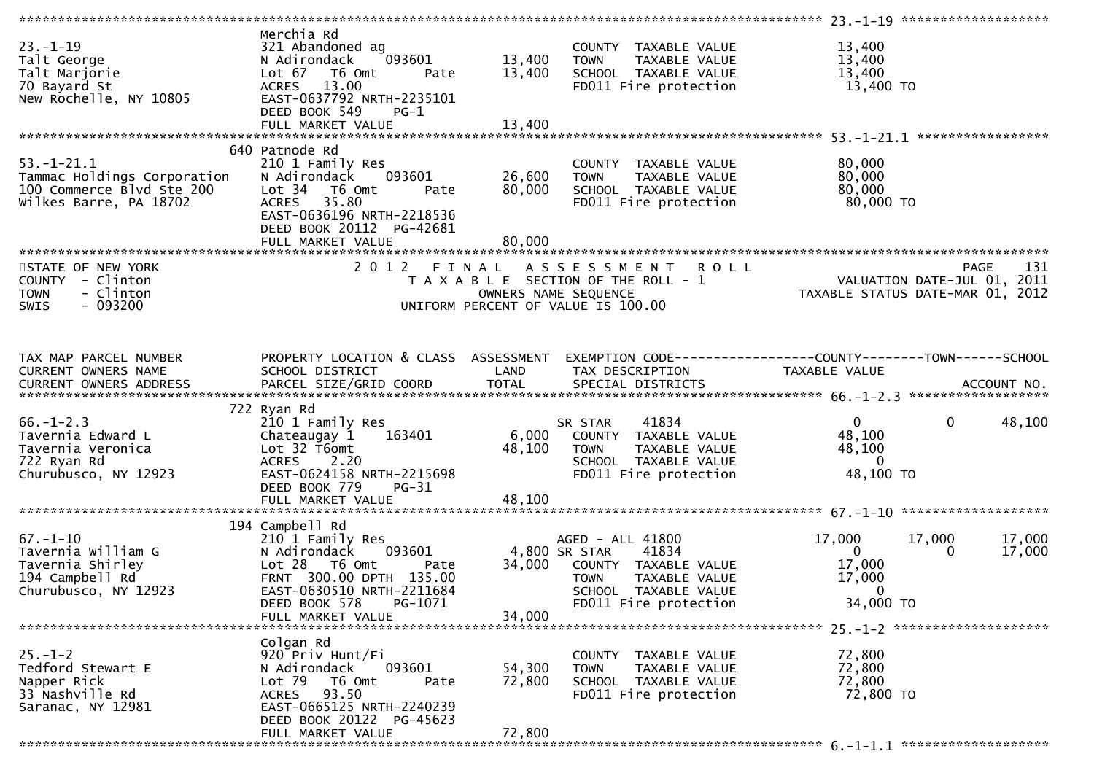|                                                                                                     |                                                                                                                                                                                                 |                            |                                                                                                                                                     | **************** 23.-1-19 ********************                     |                                            |                  |
|-----------------------------------------------------------------------------------------------------|-------------------------------------------------------------------------------------------------------------------------------------------------------------------------------------------------|----------------------------|-----------------------------------------------------------------------------------------------------------------------------------------------------|--------------------------------------------------------------------|--------------------------------------------|------------------|
| $23 - 1 - 19$<br>Talt George<br>Talt Marjorie<br>70 Bayard St<br>New Rochelle, NY 10805             | Merchia Rd<br>321 Abandoned ag<br>093601<br>N Adirondack<br>T6 Omt<br>Lot 67<br>Pate<br>13.00<br><b>ACRES</b><br>EAST-0637792 NRTH-2235101<br>DEED BOOK 549<br>PG-1                             | 13,400<br>13,400           | COUNTY TAXABLE VALUE<br><b>TOWN</b><br>TAXABLE VALUE<br>SCHOOL TAXABLE VALUE<br>FD011 Fire protection                                               | 13,400<br>13,400<br>13,400<br>13,400 TO                            |                                            |                  |
| $53.-1-21.1$<br>Tammac Holdings Corporation<br>100 Commerce Blvd Ste 200<br>Wilkes Barre, PA 18702  | 640 Patnode Rd<br>210 1 Family Res<br>093601<br>N Adirondack<br>T6 Omt<br>Lot 34<br>Pate<br>35.80<br><b>ACRES</b><br>EAST-0636196 NRTH-2218536<br>DEED BOOK 20112 PG-42681<br>FULL MARKET VALUE | 26,600<br>80,000<br>80,000 | COUNTY TAXABLE VALUE<br><b>TOWN</b><br>TAXABLE VALUE<br>SCHOOL TAXABLE VALUE<br>FD011 Fire protection                                               | 80,000<br>80,000<br>80,000<br>80,000 TO                            |                                            |                  |
| STATE OF NEW YORK<br>COUNTY - Clinton<br>- Clinton<br><b>TOWN</b><br><b>SWIS</b><br>- 093200        | 2012 FINAL                                                                                                                                                                                      |                            | A S S E S S M E N T<br><b>ROLL</b><br>T A X A B L E SECTION OF THE ROLL - 1<br>OWNERS NAME SEQUENCE<br>UNIFORM PERCENT OF VALUE IS 100.00           | TAXABLE STATUS DATE-MAR 01, 2012                                   | <b>PAGE</b><br>VALUATION DATE-JUL 01, 2011 | 131              |
| TAX MAP PARCEL NUMBER<br>CURRENT OWNERS NAME                                                        | PROPERTY LOCATION & CLASS ASSESSMENT<br>SCHOOL DISTRICT                                                                                                                                         | LAND                       | EXEMPTION CODE-----------------COUNTY-------TOWN------SCHOOL<br>TAX DESCRIPTION                                                                     | TAXABLE VALUE                                                      |                                            |                  |
| $66. - 1 - 2.3$<br>Tavernia Edward L<br>Tavernia Veronica<br>722 Ryan Rd<br>Churubusco, NY 12923    | 722 Ryan Rd<br>210 1 Family Res<br>163401<br>Chateaugay 1<br>Lot 32 T6omt<br><b>ACRES</b><br>2.20<br>EAST-0624158 NRTH-2215698<br>DEED BOOK 779<br>$PG-31$<br>FULL MARKET VALUE                 | 6,000<br>48,100<br>48,100  | 41834<br>SR STAR<br>COUNTY TAXABLE VALUE<br>TOWN<br>TAXABLE VALUE<br>SCHOOL TAXABLE VALUE<br>FD011 Fire protection                                  | $\overline{0}$<br>48,100<br>48,100<br>$\Omega$<br>48,100 TO        | $\mathbf{0}$                               | 48,100           |
| $67. - 1 - 10$<br>Tavernia William G<br>Tavernia Shirley<br>194 Campbell Rd<br>Churubusco, NY 12923 | 194 Campbell Rd<br>210 1 Family Res<br>N Adirondack<br>093601<br>Lot 28 T6 Omt<br>Pate<br>FRNT 300.00 DPTH 135.00<br>EAST-0630510 NRTH-2211684<br>DEED BOOK 578<br>PG-1071<br>FULL MARKET VALUE | 34,000<br>34,000           | AGED - ALL 41800<br>41834<br>4,800 SR STAR<br>COUNTY TAXABLE VALUE<br><b>TOWN</b><br>TAXABLE VALUE<br>SCHOOL TAXABLE VALUE<br>FD011 Fire protection | 17,000<br>$\Omega$<br>17,000<br>17,000<br>$\mathbf 0$<br>34,000 TO | 17,000<br>$\Omega$                         | 17,000<br>17,000 |
| $25. - 1 - 2$<br>Tedford Stewart E<br>Napper Rick<br>33 Nashville Rd<br>Saranac, NY 12981           | Colgan Rd<br>920 Priv Hunt/Fi<br>093601<br>N Adirondack<br>Lot 79<br>T6 Omt<br>Pate<br>ACRES 93.50<br>EAST-0665125 NRTH-2240239<br>DEED BOOK 20122 PG-45623<br>FULL MARKET VALUE                | 54,300<br>72,800<br>72,800 | COUNTY TAXABLE VALUE<br><b>TOWN</b><br>TAXABLE VALUE<br>SCHOOL TAXABLE VALUE<br>FD011 Fire protection                                               | 72,800<br>72,800<br>72,800<br>72,800 TO                            |                                            |                  |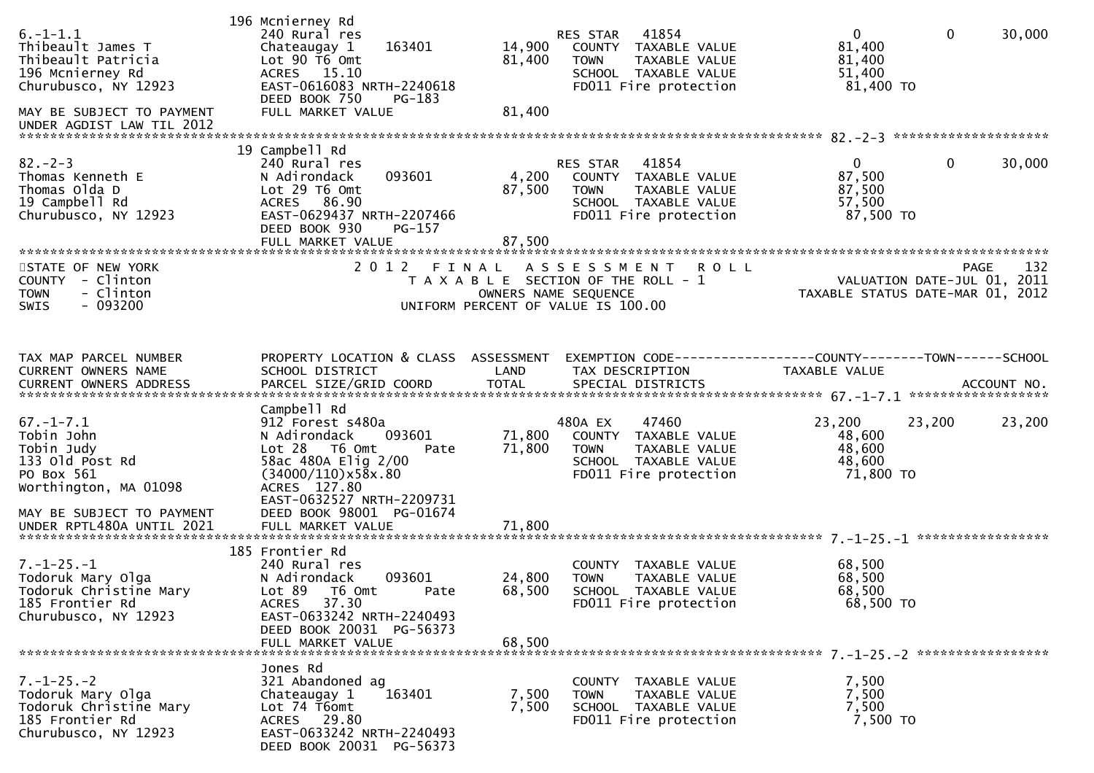| $6. -1 - 1.1$<br>Thibeault James T<br>Thibeault Patricia<br>196 Mcnierney Rd<br>Churubusco, NY 12923<br>MAY BE SUBJECT TO PAYMENT<br>UNDER AGDIST LAW TIL 2012  | 196 Mcnierney Rd<br>240 Rural res<br>163401<br>Chateaugay 1<br>Lot 90 T6 Omt<br>ACRES 15.10<br>EAST-0616083 NRTH-2240618<br>DEED BOOK 750<br>PG-183<br>FULL MARKET VALUE                                            | 14,900<br>81,400<br>81,400 | 41854<br>RES STAR<br>COUNTY TAXABLE VALUE<br>TAXABLE VALUE<br><b>TOWN</b><br>SCHOOL TAXABLE VALUE<br>FD011 Fire protection | $\mathbf 0$<br>$\overline{0}$<br>30,000<br>81,400<br>81,400<br>51,400<br>81,400 TO    |     |
|-----------------------------------------------------------------------------------------------------------------------------------------------------------------|---------------------------------------------------------------------------------------------------------------------------------------------------------------------------------------------------------------------|----------------------------|----------------------------------------------------------------------------------------------------------------------------|---------------------------------------------------------------------------------------|-----|
| $82 - 2 - 3$<br>Thomas Kenneth E<br>Thomas Olda D<br>19 Campbell Rd<br>Churubusco, NY 12923                                                                     | 19 Campbell Rd<br>240 Rural res<br>093601<br>N Adirondack<br>Lot 29 T6 Omt<br>ACRES 86.90<br>EAST-0629437 NRTH-2207466<br>DEED BOOK 930<br>PG-157<br>FULL MARKET VALUE                                              | 4,200<br>87,500<br>87,500  | RES STAR<br>41854<br>COUNTY TAXABLE VALUE<br><b>TOWN</b><br>TAXABLE VALUE<br>SCHOOL TAXABLE VALUE<br>FD011 Fire protection | $\mathbf{0}$<br>$\mathbf 0$<br>30,000<br>87,500<br>87,500<br>57,500<br>87,500 TO      |     |
| STATE OF NEW YORK<br>COUNTY - Clinton<br>- Clinton<br><b>TOWN</b><br>$-093200$<br><b>SWIS</b>                                                                   | 2012 FINAL                                                                                                                                                                                                          |                            | ASSESSMENT ROLL<br>T A X A B L E SECTION OF THE ROLL - 1<br>OWNERS NAME SEQUENCE<br>UNIFORM PERCENT OF VALUE IS 100.00     | PAGE<br>VALUATION DATE-JUL $\overline{0}1$ , 2011<br>TAXABLE STATUS DATE-MAR 01, 2012 | 132 |
| TAX MAP PARCEL NUMBER<br>CURRENT OWNERS NAME                                                                                                                    | PROPERTY LOCATION & CLASS ASSESSMENT<br>SCHOOL DISTRICT                                                                                                                                                             | LAND                       | TAX DESCRIPTION                                                                                                            | EXEMPTION CODE-----------------COUNTY-------TOWN------SCHOOL<br><b>TAXABLE VALUE</b>  |     |
| $67. - 1 - 7.1$<br>Tobin John<br>Tobin Judy<br>133 old Post Rd<br>PO Box 561<br>Worthington, MA 01098<br>MAY BE SUBJECT TO PAYMENT<br>UNDER RPTL480A UNTIL 2021 | Campbell Rd<br>912 Forest s480a<br>N Adirondack<br>093601<br>$Lot 28$ T6 Omt<br>Pate<br>58ac 480A Elig 2/00<br>$(34000/110) \times 58x.80$<br>ACRES 127.80<br>EAST-0632527 NRTH-2209731<br>DEED BOOK 98001 PG-01674 | 71,800<br>71,800           | 480A EX<br>47460<br>COUNTY TAXABLE VALUE<br><b>TOWN</b><br>TAXABLE VALUE<br>SCHOOL TAXABLE VALUE<br>FD011 Fire protection  | 23,200<br>23,200<br>23,200<br>48,600<br>48,600<br>48,600<br>71,800 TO                 |     |
| $7. - 1 - 25. - 1$<br>Todoruk Mary Olga<br>Todoruk Christine Mary<br>185 Frontier Rd<br>Churubusco, NY 12923                                                    | 185 Frontier Rd<br>240 Rural res<br>093601<br>N Adirondack<br>Lot 89 T6 Omt<br>Pate<br>ACRES 37.30<br>EAST-0633242 NRTH-2240493<br>DEED BOOK 20031 PG-56373<br>FULL MARKET VALUE                                    | 24,800<br>68,500<br>68,500 | COUNTY TAXABLE VALUE<br><b>TOWN</b><br><b>TAXABLE VALUE</b><br>SCHOOL TAXABLE VALUE<br>FD011 Fire protection               | 68,500<br>68,500<br>68,500<br>68,500 TO                                               |     |
| $7. - 1 - 25. - 2$<br>Todoruk Mary Olga<br>Todoruk Christine Mary<br>185 Frontier Rd<br>Churubusco, NY 12923                                                    | Jones Rd<br>321 Abandoned ag<br>163401<br>Chateaugay 1<br>Lot 74 T6omt<br>ACRES 29.80<br>EAST-0633242 NRTH-2240493<br>DEED BOOK 20031 PG-56373                                                                      | 7,500<br>7,500             | COUNTY TAXABLE VALUE<br>TAXABLE VALUE<br>TOWN<br>SCHOOL TAXABLE VALUE<br>FD011 Fire protection                             | 7,500<br>7,500<br>7,500<br>7,500 TO                                                   |     |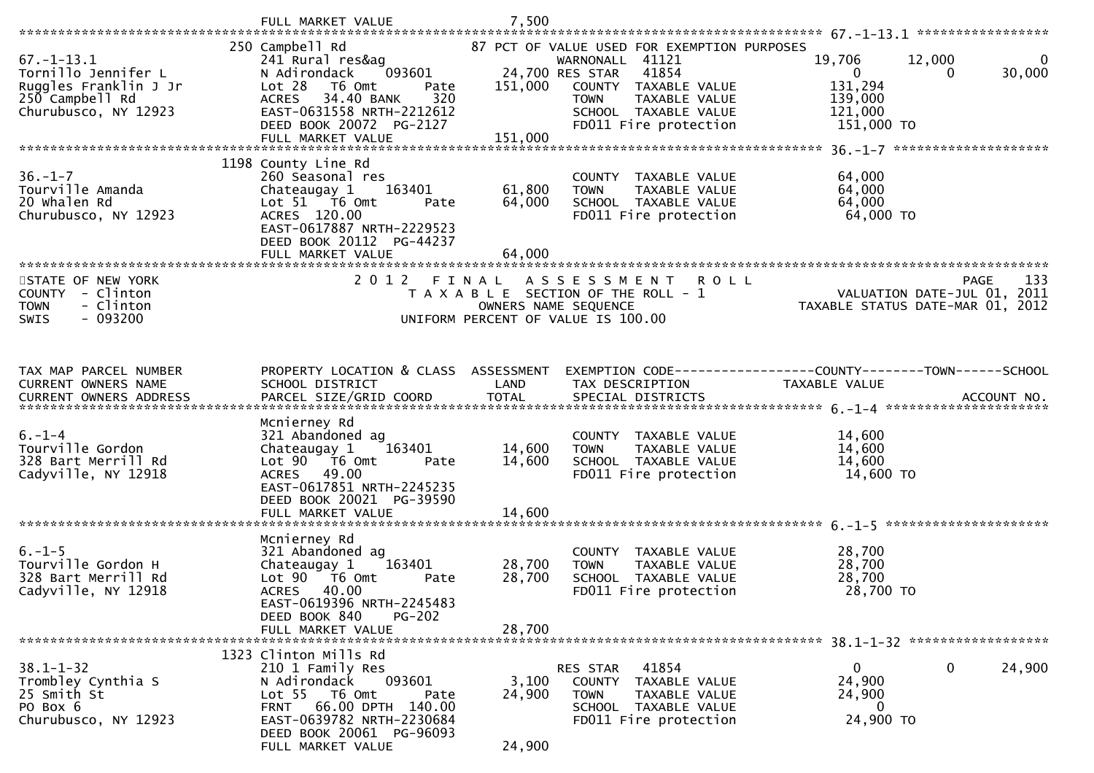|                                   | FULL MARKET VALUE                                      | 7,500                |                                                      |                                                               |                    |
|-----------------------------------|--------------------------------------------------------|----------------------|------------------------------------------------------|---------------------------------------------------------------|--------------------|
|                                   | 250 Campbell Rd                                        |                      | 87 PCT OF VALUE USED FOR EXEMPTION PURPOSES          |                                                               |                    |
| $67. - 1 - 13.1$                  | 241 Rural res&ag                                       |                      | WARNONALL 41121                                      | 19,706<br>12,000                                              | 0                  |
| Tornillo Jennifer L               | 093601<br>N Adirondack                                 |                      | 24,700 RES STAR<br>41854                             | $\overline{0}$<br>$\Omega$                                    | 30,000             |
| Ruggles Franklin J Jr             | Lot 28<br>T6 Omt<br>Pate                               | 151,000              | COUNTY TAXABLE VALUE                                 | 131,294                                                       |                    |
| 250 Campbell Rd                   | 34.40 BANK<br><b>ACRES</b><br>320                      |                      | <b>TAXABLE VALUE</b><br><b>TOWN</b>                  | 139,000                                                       |                    |
| Churubusco, NY 12923              | EAST-0631558 NRTH-2212612<br>DEED BOOK 20072 PG-2127   |                      | SCHOOL TAXABLE VALUE<br>FD011 Fire protection        | 121,000<br>151,000 TO                                         |                    |
|                                   | FULL MARKET VALUE                                      | 151,000              |                                                      |                                                               |                    |
|                                   |                                                        |                      |                                                      |                                                               |                    |
|                                   | 1198 County Line Rd                                    |                      |                                                      |                                                               |                    |
| $36. - 1 - 7$<br>Tourville Amanda | 260 Seasonal res                                       |                      | COUNTY TAXABLE VALUE                                 | 64,000                                                        |                    |
| 20 Whalen Rd                      | 163401<br>Chateaugay 1<br>Lot 51 76 0mt<br>Pate        | 61,800<br>64,000     | <b>TOWN</b><br>TAXABLE VALUE<br>SCHOOL TAXABLE VALUE | 64,000<br>64,000                                              |                    |
| Churubusco, NY 12923              | ACRES 120.00                                           |                      | FD011 Fire protection                                | 64,000 TO                                                     |                    |
|                                   | EAST-0617887 NRTH-2229523                              |                      |                                                      |                                                               |                    |
|                                   | DEED BOOK 20112 PG-44237                               |                      |                                                      |                                                               |                    |
| ************************          | FULL MARKET VALUE                                      | 64,000               |                                                      |                                                               |                    |
| STATE OF NEW YORK                 | 2012 FINAL                                             |                      | A S S E S S M E N T<br><b>ROLL</b>                   |                                                               | <b>PAGE</b><br>133 |
| COUNTY - Clinton                  |                                                        |                      | T A X A B L E SECTION OF THE ROLL - 1                | VALUATION DATE-JUL 01, 2011                                   |                    |
| - Clinton<br><b>TOWN</b>          |                                                        | OWNERS NAME SEQUENCE |                                                      | TAXABLE STATUS DATE-MAR 01, 2012                              |                    |
| $-093200$<br><b>SWIS</b>          |                                                        |                      | UNIFORM PERCENT OF VALUE IS 100.00                   |                                                               |                    |
|                                   |                                                        |                      |                                                      |                                                               |                    |
|                                   |                                                        |                      |                                                      |                                                               |                    |
| TAX MAP PARCEL NUMBER             | PROPERTY LOCATION & CLASS ASSESSMENT                   |                      |                                                      | EXEMPTION CODE-----------------COUNTY--------TOWN------SCHOOL |                    |
| CURRENT OWNERS NAME               | SCHOOL DISTRICT                                        | LAND                 | TAX DESCRIPTION                                      | <b>TAXABLE VALUE</b>                                          |                    |
|                                   |                                                        |                      |                                                      |                                                               |                    |
|                                   |                                                        |                      |                                                      |                                                               |                    |
|                                   |                                                        |                      |                                                      |                                                               |                    |
|                                   | Mcnierney Rd                                           |                      |                                                      |                                                               |                    |
| $6. - 1 - 4$<br>Tourville Gordon  | 321 Abandoned ag<br>163401                             |                      | COUNTY TAXABLE VALUE<br>TAXABLE VALUE<br><b>TOWN</b> | 14,600                                                        |                    |
| 328 Bart Merrill Rd               | Chateaugay 1<br>Lot $90$ $\overline{76}$ Omt<br>Pate   | 14,600<br>14,600     | SCHOOL TAXABLE VALUE                                 | 14,600<br>14,600                                              |                    |
| Cadyville, NY 12918               | ACRES 49.00                                            |                      | FD011 Fire protection                                | 14,600 TO                                                     |                    |
|                                   | EAST-0617851 NRTH-2245235                              |                      |                                                      |                                                               |                    |
|                                   | DEED BOOK 20021 PG-39590                               |                      |                                                      |                                                               |                    |
|                                   | FULL MARKET VALUE                                      | 14,600               |                                                      |                                                               |                    |
|                                   | Mcnierney Rd                                           |                      |                                                      |                                                               |                    |
| $6. - 1 - 5$                      | 321 Abandoned ag                                       |                      | COUNTY TAXABLE VALUE                                 | 28,700                                                        |                    |
| Tourville Gordon H                | Chateaugay 1<br>163401                                 | 28,700               | TAXABLE VALUE<br><b>TOWN</b>                         | 28,700                                                        |                    |
| 328 Bart Merrill Rd               | Lot 90<br>T6 Omt<br>Pate                               | 28,700               | SCHOOL TAXABLE VALUE                                 | 28,700                                                        |                    |
| Cadyville, NY 12918               | 40.00<br><b>ACRES</b>                                  |                      | FD011 Fire protection                                | 28,700 TO                                                     |                    |
|                                   | EAST-0619396 NRTH-2245483<br>DEED BOOK 840<br>$PG-202$ |                      |                                                      |                                                               |                    |
|                                   | FULL MARKET VALUE                                      | 28,700               |                                                      |                                                               |                    |
| ************************          |                                                        |                      |                                                      |                                                               |                    |
| $38.1 - 1 - 32$                   | 1323 Clinton Mills Rd                                  |                      |                                                      | 0<br>$\mathbf 0$                                              |                    |
| Trombley Cynthia S                | 210 1 Family Res<br>N Adirondack<br>093601             | 3,100                | RES STAR<br>41854<br>COUNTY<br>TAXABLE VALUE         | 24,900                                                        | 24,900             |
| 25 Smith St                       | Lot 55 T6 Omt<br>Pate                                  | 24,900               | <b>TOWN</b><br>TAXABLE VALUE                         | 24,900                                                        |                    |
| PO Box 6                          | FRNT 66.00 DPTH 140.00                                 |                      | SCHOOL TAXABLE VALUE                                 | $\Omega$                                                      |                    |
| Churubusco, NY 12923              | EAST-0639782 NRTH-2230684<br>DEED BOOK 20061 PG-96093  |                      | FD011 Fire protection                                | 24,900 TO                                                     |                    |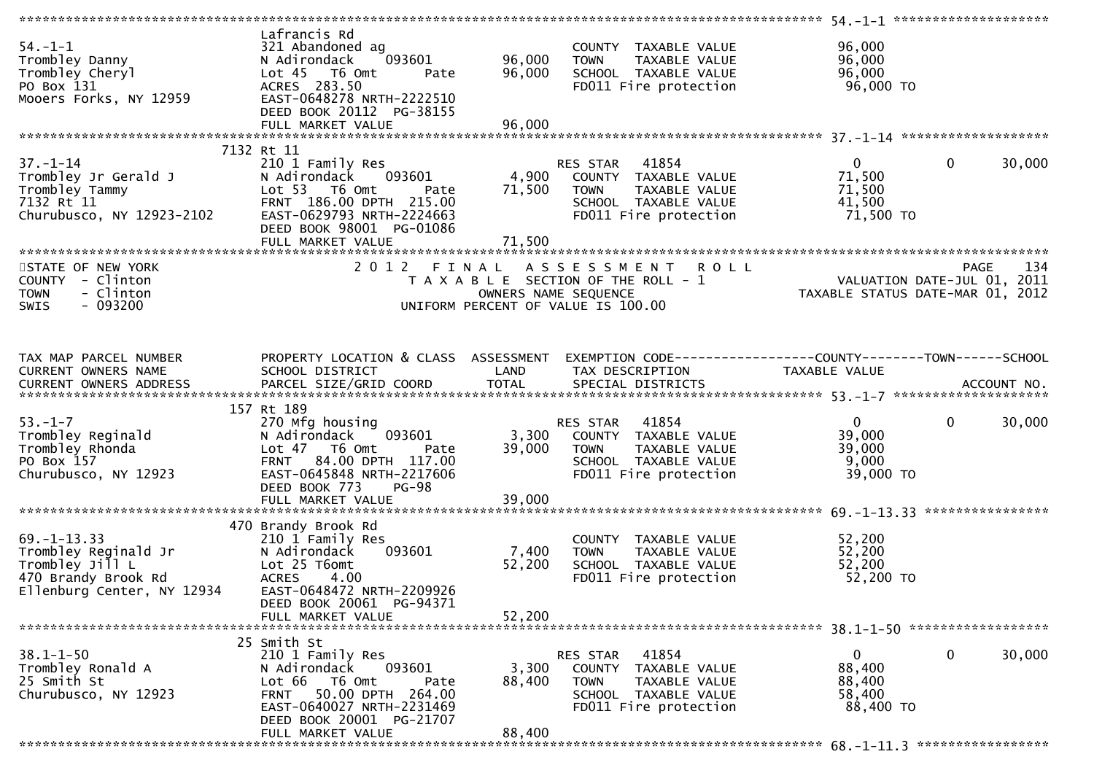|                                                                                                                   |                                                                                                                                                                                   |                            |                                                                                                                            | *************** 54.-1-1 ********************                    |                       |
|-------------------------------------------------------------------------------------------------------------------|-----------------------------------------------------------------------------------------------------------------------------------------------------------------------------------|----------------------------|----------------------------------------------------------------------------------------------------------------------------|-----------------------------------------------------------------|-----------------------|
| $54. - 1 - 1$<br>Trombley Danny<br>Trombley Cheryl<br>PO Box 131<br>Mooers Forks, NY 12959                        | Lafrancis Rd<br>321 Abandoned ag<br>093601<br>N Adirondack<br>Lot 45 T6 Omt<br>Pate<br>ACRES 283.50<br>EAST-0648278 NRTH-2222510<br>DEED BOOK 20112 PG-38155<br>FULL MARKET VALUE | 96,000<br>96,000<br>96,000 | COUNTY TAXABLE VALUE<br>TAXABLE VALUE<br><b>TOWN</b><br>SCHOOL TAXABLE VALUE<br>FD011 Fire protection                      | 96,000<br>96,000<br>96,000<br>96,000 TO                         |                       |
|                                                                                                                   |                                                                                                                                                                                   |                            |                                                                                                                            |                                                                 |                       |
| $37. - 1 - 14$<br>Trombley Jr Gerald J<br>Trombley Tammy<br>7132 Rt 11<br>Churubusco, NY 12923-2102               | 7132 Rt 11<br>210 1 Family Res<br>093601<br>N Adirondack<br>Lot 53 T6 Omt<br>Pate<br>FRNT 186.00 DPTH 215.00<br>EAST-0629793 NRTH-2224663<br>DEED BOOK 98001 PG-01086             | 4,900<br>71,500            | 41854<br>RES STAR<br>COUNTY TAXABLE VALUE<br>TAXABLE VALUE<br><b>TOWN</b><br>SCHOOL TAXABLE VALUE<br>FD011 Fire protection | $\overline{0}$<br>71,500<br>71,500<br>41,500<br>71,500 TO       | $\mathbf 0$<br>30,000 |
|                                                                                                                   |                                                                                                                                                                                   |                            |                                                                                                                            |                                                                 |                       |
| STATE OF NEW YORK<br>COUNTY - Clinton<br><b>TOWN</b><br>- Clinton<br>SWIS<br>- 093200                             | 2012 FINAL                                                                                                                                                                        | OWNERS NAME SEQUENCE       | <b>ROLL</b><br>A S S E S S M E N T<br>T A X A B L E SECTION OF THE ROLL - 1<br>UNIFORM PERCENT OF VALUE IS 100.00          | VALUATION DATE-JUL 01, 2011<br>TAXABLE STATUS DATE-MAR 01, 2012 | PAGE<br>134           |
| TAX MAP PARCEL NUMBER                                                                                             | PROPERTY LOCATION & CLASS ASSESSMENT                                                                                                                                              |                            | EXEMPTION CODE-----------------COUNTY-------TOWN------SCHOOL<br>TAX DESCRIPTION                                            | TAXABLE VALUE                                                   |                       |
| CURRENT OWNERS NAME                                                                                               | SCHOOL DISTRICT                                                                                                                                                                   | LAND                       |                                                                                                                            |                                                                 |                       |
|                                                                                                                   | 157 Rt 189                                                                                                                                                                        |                            |                                                                                                                            |                                                                 |                       |
| $53. - 1 - 7$<br>Trombley Reginald<br>Trombley Rhonda<br>PO Box 157<br>Churubusco, NY 12923                       | 270 Mfg housing<br>093601<br>N Adirondack<br>Lot 47 T6 Omt<br>Pate<br>84.00 DPTH 117.00<br><b>FRNT</b><br>EAST-0645848 NRTH-2217606<br>DEED BOOK 773<br>$PG-98$                   | 3,300<br>39,000            | 41854<br>RES STAR<br>COUNTY TAXABLE VALUE<br>TAXABLE VALUE<br>TOWN<br>SCHOOL TAXABLE VALUE<br>FD011 Fire protection        | $\mathbf{0}$<br>39,000<br>39,000<br>9,000<br>39,000 TO          | $\mathbf 0$<br>30,000 |
|                                                                                                                   | FULL MARKET VALUE                                                                                                                                                                 | 39,000                     |                                                                                                                            |                                                                 |                       |
|                                                                                                                   |                                                                                                                                                                                   |                            |                                                                                                                            |                                                                 |                       |
| $69. - 1 - 13.33$<br>Trombley Reginald Jr<br>Trombley Jill L<br>470 Brandy Brook Rd<br>Ellenburg Center, NY 12934 | 470 Brandy Brook Rd<br>210 1 Family Res<br>N Adirondack<br>093601<br>Lot 25 T6omt<br><b>ACRES</b><br>4.00<br>EAST-0648472 NRTH-2209926<br>DEED BOOK 20061 PG-94371                | 7,400<br>52,200            | COUNTY TAXABLE VALUE<br>TAXABLE VALUE<br><b>TOWN</b><br>SCHOOL TAXABLE VALUE<br>FD011 Fire protection                      | 52,200<br>52,200<br>52,200<br>52,200 TO                         |                       |
|                                                                                                                   | FULL MARKET VALUE                                                                                                                                                                 | 52,200                     |                                                                                                                            |                                                                 |                       |
|                                                                                                                   |                                                                                                                                                                                   |                            |                                                                                                                            |                                                                 |                       |
| $38.1 - 1 - 50$<br>Trombley Ronald A<br>25 Smith St<br>Churubusco, NY 12923                                       | 25 Smith St<br>210 1 Family Res<br>093601<br>N Adirondack<br>Lot 66 T6 Omt<br>Pate<br>FRNT 50.00 DPTH 264.00<br>EAST-0640027 NRTH-2231469<br>DEED BOOK 20001 PG-21707             | 3,300<br>88,400            | RES STAR<br>41854<br>COUNTY TAXABLE VALUE<br><b>TOWN</b><br>TAXABLE VALUE<br>SCHOOL TAXABLE VALUE<br>FD011 Fire protection | $\mathbf{0}$<br>88,400<br>88,400<br>58,400<br>88,400 TO         | 0<br>30,000           |
|                                                                                                                   | FULL MARKET VALUE                                                                                                                                                                 | 88,400                     |                                                                                                                            |                                                                 |                       |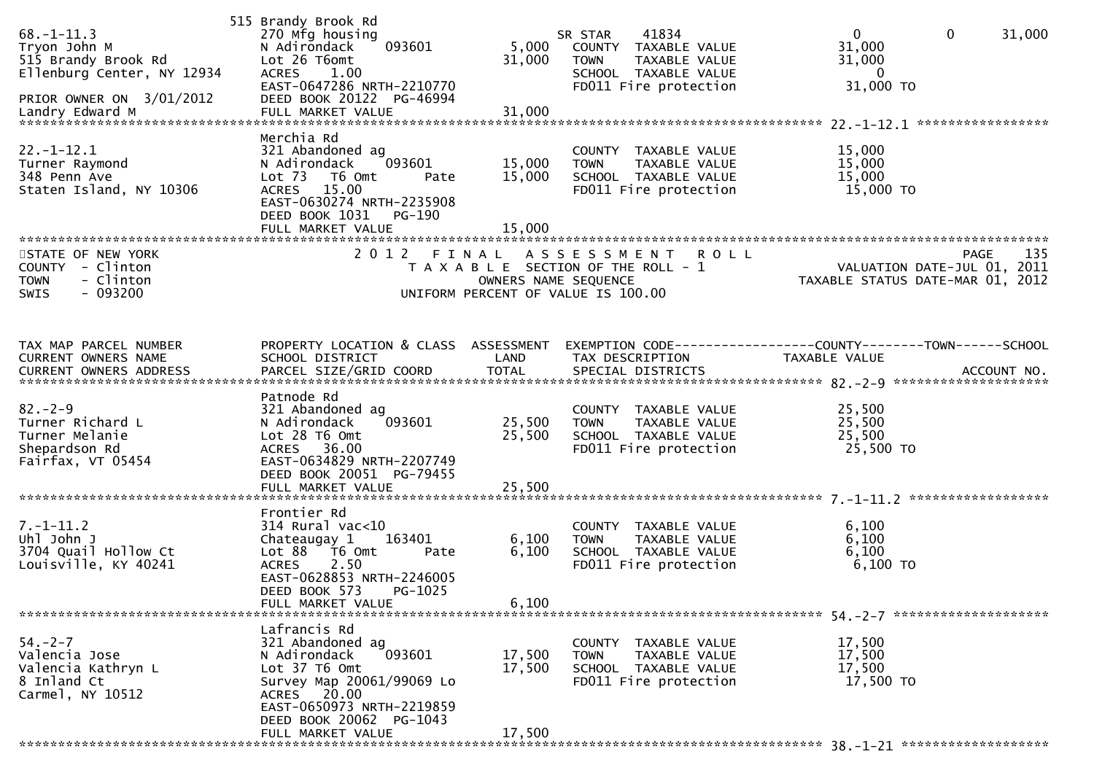| $68. - 1 - 11.3$<br>Tryon John M<br>515 Brandy Brook Rd<br>Ellenburg Center, NY 12934<br>PRIOR OWNER ON 3/01/2012 | 515 Brandy Brook Rd<br>270 Mfg housing<br>093601<br>N Adirondack<br>Lot 26 T6omt<br>1.00<br><b>ACRES</b><br>EAST-0647286 NRTH-2210770<br>DEED BOOK 20122 PG-46994                                    | 5,000<br>31,000            | 41834<br>SR STAR<br>COUNTY TAXABLE VALUE<br><b>TOWN</b><br>TAXABLE VALUE<br>SCHOOL TAXABLE VALUE<br>FD011 Fire protection          | $\mathbf 0$<br>$\mathbf{0}$<br>31,000<br>31,000<br>31,000<br>$\bf{0}$<br>31,000 TO |
|-------------------------------------------------------------------------------------------------------------------|------------------------------------------------------------------------------------------------------------------------------------------------------------------------------------------------------|----------------------------|------------------------------------------------------------------------------------------------------------------------------------|------------------------------------------------------------------------------------|
| $22. - 1 - 12.1$<br>Turner Raymond<br>348 Penn Ave<br>Staten Island, NY 10306                                     | Merchia Rd<br>321 Abandoned ag<br>093601<br>N Adirondack<br>Lot $73$<br>T6 Omt<br>Pate<br>ACRES 15.00<br>EAST-0630274 NRTH-2235908<br>DEED BOOK 1031<br>PG-190<br>FULL MARKET VALUE                  | 15,000<br>15,000<br>15,000 | COUNTY TAXABLE VALUE<br>TAXABLE VALUE<br><b>TOWN</b><br>SCHOOL TAXABLE VALUE<br>FD011 Fire protection                              | *****************<br>15,000<br>15,000<br>15,000<br>15,000 TO                       |
| STATE OF NEW YORK<br>COUNTY - Clinton<br>- Clinton<br><b>TOWN</b><br>$-093200$<br><b>SWIS</b>                     | 2012 FINAL                                                                                                                                                                                           |                            | A S S E S S M E N T R O L L<br>T A X A B L E SECTION OF THE ROLL - 1<br>OWNERS NAME SEQUENCE<br>UNIFORM PERCENT OF VALUE IS 100.00 | 135<br>PAGE<br>VALUATION DATE-JUL 01, 2011<br>TAXABLE STATUS DATE-MAR 01, 2012     |
| TAX MAP PARCEL NUMBER<br>CURRENT OWNERS NAME                                                                      | PROPERTY LOCATION & CLASS ASSESSMENT<br>SCHOOL DISTRICT                                                                                                                                              | LAND                       | TAX DESCRIPTION                                                                                                                    | EXEMPTION CODE------------------COUNTY--------TOWN------SCHOOL<br>TAXABLE VALUE    |
| $82 - 2 - 9$<br>Turner Richard L<br>Turner Melanie<br>Shepardson Rd<br>Fairfax, VT 05454                          | Patnode Rd<br>321 Abandoned ag<br>093601<br>N Adirondack<br>Lot 28 T6 Omt<br>ACRES 36.00<br>EAST-0634829 NRTH-2207749<br>DEED BOOK 20051 PG-79455                                                    | 25,500<br>25,500           | COUNTY TAXABLE VALUE<br>TAXABLE VALUE<br><b>TOWN</b><br>SCHOOL TAXABLE VALUE<br>FD011 Fire protection                              | 25,500<br>25,500<br>25,500<br>25,500 TO                                            |
| $7. - 1 - 11.2$<br>Uhl John J<br>3704 Quail Hollow Ct<br>Louisville, KY 40241                                     | Frontier Rd<br>314 Rural vac<10<br>163401<br>Chateaugay 1<br>Lot 88 T6 Omt<br>Pate<br>2.50<br><b>ACRES</b><br>EAST-0628853 NRTH-2246005<br>DEED BOOK 573<br>PG-1025<br>FULL MARKET VALUE             | 6,100<br>6,100<br>6,100    | COUNTY TAXABLE VALUE<br><b>TOWN</b><br>TAXABLE VALUE<br>SCHOOL TAXABLE VALUE<br>FD011 Fire protection                              | 6,100<br>6,100<br>6,100<br>6,100 TO                                                |
| $54. - 2 - 7$<br>Valencia Jose<br>Valencia Kathryn L<br>8 Inland Ct<br>Carmel, NY 10512                           | Lafrancis Rd<br>321 Abandoned ag<br>N Adirondack<br>093601<br>Lot 37 T6 Omt<br>Survey Map 20061/99069 Lo<br>ACRES 20.00<br>EAST-0650973 NRTH-2219859<br>DEED BOOK 20062 PG-1043<br>FULL MARKET VALUE | 17,500<br>17,500<br>17,500 | COUNTY TAXABLE VALUE<br>TAXABLE VALUE<br><b>TOWN</b><br>SCHOOL TAXABLE VALUE<br>FD011 Fire protection                              | 17,500<br>17,500<br>17,500<br>17,500 TO                                            |
|                                                                                                                   |                                                                                                                                                                                                      |                            |                                                                                                                                    |                                                                                    |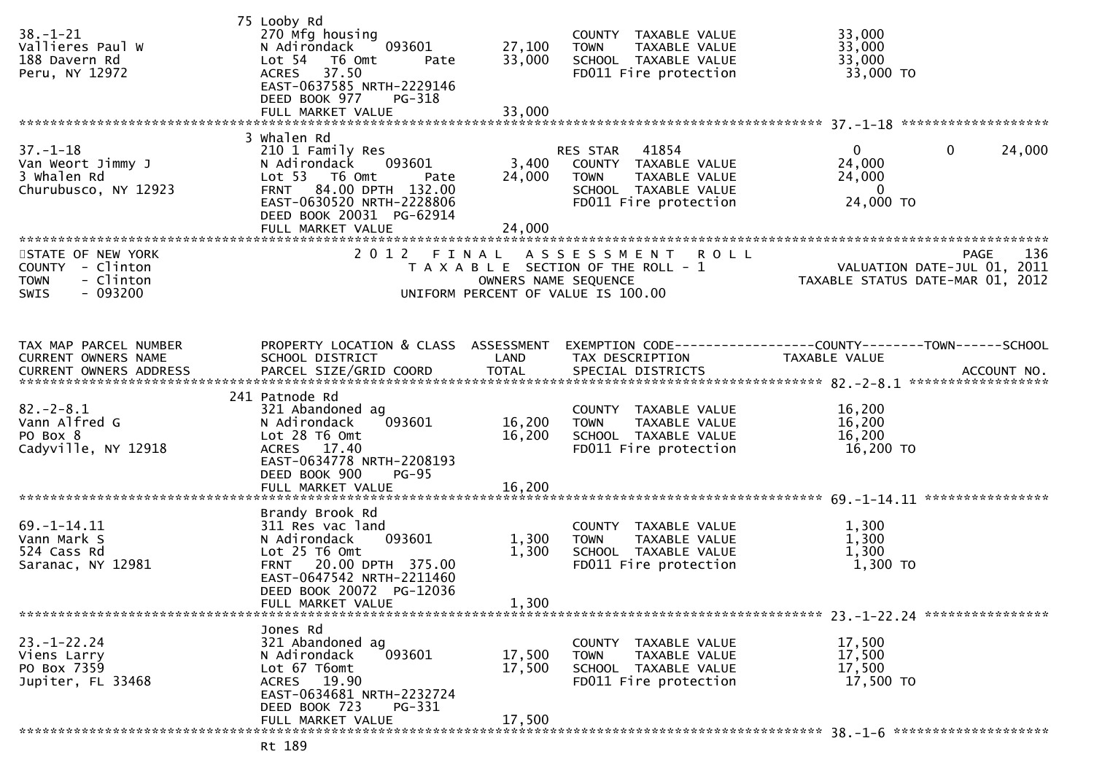| $38. - 1 - 21$<br>Vallieres Paul W<br>188 Davern Rd<br>Peru, NY 12972      | 75 Looby Rd<br>270 Mfg housing<br>093601<br>N Adirondack<br>Lot 54 T6 Omt<br>Pate<br>ACRES 37.50<br>EAST-0637585 NRTH-2229146<br>DEED BOOK 977<br>PG-318                                   | 27,100<br>33,000          | COUNTY TAXABLE VALUE<br>TAXABLE VALUE<br><b>TOWN</b><br>SCHOOL TAXABLE VALUE<br>FD011 Fire protection                   | 33,000<br>33,000<br>33,000<br>33,000 TO                         |                       |
|----------------------------------------------------------------------------|--------------------------------------------------------------------------------------------------------------------------------------------------------------------------------------------|---------------------------|-------------------------------------------------------------------------------------------------------------------------|-----------------------------------------------------------------|-----------------------|
|                                                                            |                                                                                                                                                                                            |                           |                                                                                                                         |                                                                 |                       |
| $37. - 1 - 18$<br>Van Weort Jimmy J<br>3 Whalen Rd<br>Churubusco, NY 12923 | 3 Whalen Rd<br>210 1 Family Res<br>093601<br>N Adirondack<br>Lot 53 T6 Omt<br>Pate<br>FRNT 84.00 DPTH 132.00<br>EAST-0630520 NRTH-2228806<br>DEED BOOK 20031 PG-62914<br>FULL MARKET VALUE | 3,400<br>24,000<br>24,000 | RES STAR 41854<br>COUNTY TAXABLE VALUE<br>TAXABLE VALUE<br><b>TOWN</b><br>SCHOOL TAXABLE VALUE<br>FD011 Fire protection | $\mathbf{0}$<br>24,000<br>24,000<br>$\overline{0}$<br>24,000 TO | $\mathbf 0$<br>24,000 |
| STATE OF NEW YORK                                                          | 2 0 1 2<br>FINAL                                                                                                                                                                           |                           | <b>ROLL</b>                                                                                                             |                                                                 | 136<br>PAGE           |
| COUNTY - Clinton<br>- Clinton<br><b>TOWN</b><br>$-093200$<br>SWIS          |                                                                                                                                                                                            | OWNERS NAME SEQUENCE      | A S S E S S M E N T<br>T A X A B L E SECTION OF THE ROLL - 1<br>UNIFORM PERCENT OF VALUE IS 100.00                      | VALUATION DATE-JUL 01, 2011<br>TAXABLE STATUS DATE-MAR 01, 2012 |                       |
| TAX MAP PARCEL NUMBER                                                      | PROPERTY LOCATION & CLASS ASSESSMENT                                                                                                                                                       |                           | EXEMPTION CODE------------------COUNTY--------TOWN------SCHOOL                                                          |                                                                 |                       |
| <b>CURRENT OWNERS NAME</b>                                                 | SCHOOL DISTRICT                                                                                                                                                                            | LAND                      | TAX DESCRIPTION                                                                                                         | TAXABLE VALUE                                                   |                       |
|                                                                            | 241 Patnode Rd                                                                                                                                                                             |                           |                                                                                                                         |                                                                 |                       |
| $82. - 2 - 8.1$                                                            | 321 Abandoned ag                                                                                                                                                                           |                           | COUNTY TAXABLE VALUE                                                                                                    | 16,200                                                          |                       |
| Vann Alfred G<br>PO Box 8                                                  | 093601<br>N Adirondack<br>Lot 28 T6 Omt                                                                                                                                                    | 16,200<br>16,200          | TAXABLE VALUE<br><b>TOWN</b><br>SCHOOL TAXABLE VALUE                                                                    | 16,200<br>16,200                                                |                       |
| Cadyville, NY 12918                                                        | ACRES 17.40<br>EAST-0634778 NRTH-2208193<br>DEED BOOK 900<br><b>PG-95</b>                                                                                                                  |                           | FD011 Fire protection                                                                                                   | 16,200 TO                                                       |                       |
|                                                                            |                                                                                                                                                                                            |                           |                                                                                                                         |                                                                 |                       |
|                                                                            | Brandy Brook Rd                                                                                                                                                                            |                           |                                                                                                                         |                                                                 |                       |
| $69. - 1 - 14.11$                                                          | 311 Res vac land                                                                                                                                                                           |                           | COUNTY TAXABLE VALUE                                                                                                    | 1,300                                                           |                       |
| Vann Mark S                                                                | 093601<br>N Adirondack                                                                                                                                                                     | 1,300                     | TAXABLE VALUE<br><b>TOWN</b>                                                                                            | 1,300                                                           |                       |
| 524 Cass Rd<br>Saranac, NY 12981                                           | Lot 25 T6 Omt<br>FRNT 20.00 DPTH 375.00                                                                                                                                                    | 1,300                     | SCHOOL TAXABLE VALUE<br>FD011 Fire protection                                                                           | 1,300<br>1,300 TO                                               |                       |
|                                                                            | EAST-0647542 NRTH-2211460<br>DEED BOOK 20072 PG-12036<br>FULL MARKET VALUE                                                                                                                 | 1,300                     |                                                                                                                         |                                                                 |                       |
|                                                                            |                                                                                                                                                                                            |                           |                                                                                                                         |                                                                 |                       |
| $23. - 1 - 22.24$                                                          | Jones Rd                                                                                                                                                                                   |                           |                                                                                                                         |                                                                 |                       |
| Viens Larry                                                                | 321 Abandoned ag<br>093601<br>N Adirondack                                                                                                                                                 | 17,500                    | COUNTY TAXABLE VALUE<br>TAXABLE VALUE<br><b>TOWN</b>                                                                    | 17,500<br>17,500                                                |                       |
| PO Box 7359                                                                | Lot 67 T6omt                                                                                                                                                                               | 17,500                    | SCHOOL TAXABLE VALUE                                                                                                    | 17,500                                                          |                       |
| Jupiter, FL 33468                                                          | ACRES 19.90<br>EAST-0634681 NRTH-2232724<br>DEED BOOK 723<br>PG-331                                                                                                                        |                           | FD011 Fire protection                                                                                                   | 17,500 TO                                                       |                       |
|                                                                            | FULL MARKET VALUE                                                                                                                                                                          | 17,500                    |                                                                                                                         |                                                                 |                       |
|                                                                            |                                                                                                                                                                                            |                           |                                                                                                                         |                                                                 |                       |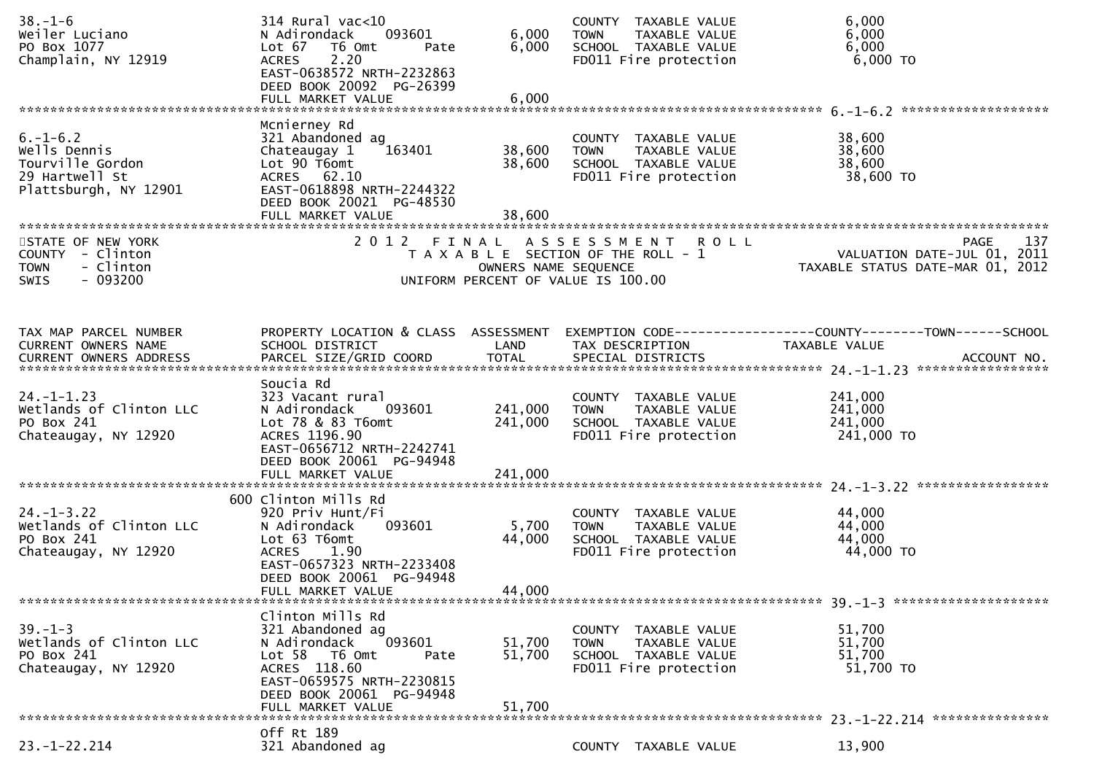| $38. - 1 - 6$<br>Weiler Luciano<br>PO Box 1077<br>Champlain, NY 12919                         | 314 Rural vac<10<br>093601<br>N Adirondack<br>Lot 67<br>T6 Omt<br>Pate<br>2.20<br><b>ACRES</b><br>EAST-0638572 NRTH-2232863<br>DEED BOOK 20092 PG-26399<br>FULL MARKET VALUE             | 6,000<br>6,000<br>6,000    | COUNTY TAXABLE VALUE<br>TAXABLE VALUE<br><b>TOWN</b><br>SCHOOL TAXABLE VALUE<br>FD011 Fire protection     | 6,000<br>6,000<br>6,000<br>$6,000$ TO                                          |
|-----------------------------------------------------------------------------------------------|------------------------------------------------------------------------------------------------------------------------------------------------------------------------------------------|----------------------------|-----------------------------------------------------------------------------------------------------------|--------------------------------------------------------------------------------|
| $6. - 1 - 6.2$<br>Wells Dennis<br>Tourville Gordon<br>29 Hartwell St<br>Plattsburgh, NY 12901 | Mcnierney Rd<br>321 Abandoned ag<br>Chateaugay 1<br>163401<br>Lot 90 T6omt<br>ACRES 62.10<br>EAST-0618898 NRTH-2244322<br>DEED BOOK 20021 PG-48530<br>FULL MARKET VALUE                  | 38,600<br>38,600<br>38,600 | COUNTY TAXABLE VALUE<br>TAXABLE VALUE<br><b>TOWN</b><br>SCHOOL TAXABLE VALUE<br>FD011 Fire protection     | 38,600<br>38,600<br>38,600<br>38,600 TO                                        |
| STATE OF NEW YORK<br>COUNTY - Clinton<br>- Clinton<br><b>TOWN</b><br>$-093200$<br><b>SWIS</b> |                                                                                                                                                                                          | OWNERS NAME SEQUENCE       | 2012 FINAL ASSESSMENT ROLL<br>T A X A B L E SECTION OF THE ROLL - 1<br>UNIFORM PERCENT OF VALUE IS 100.00 | 137<br>PAGE<br>VALUATION DATE-JUL 01, 2011<br>TAXABLE STATUS DATE-MAR 01, 2012 |
| TAX MAP PARCEL NUMBER<br>CURRENT OWNERS NAME                                                  | PROPERTY LOCATION & CLASS ASSESSMENT<br>SCHOOL DISTRICT                                                                                                                                  | LAND                       | TAX DESCRIPTION                                                                                           | EXEMPTION CODE-----------------COUNTY-------TOWN------SCHOOL<br>TAXABLE VALUE  |
| $24. - 1 - 1.23$<br>Wetlands of Clinton LLC<br>PO Box 241<br>Chateaugay, NY 12920             | Soucia Rd<br>323 Vacant rural<br>N Adirondack<br>093601<br>Lot 78 & 83 T6omt<br>ACRES 1196.90<br>EAST-0656712 NRTH-2242741<br>DEED BOOK 20061 PG-94948                                   | 241,000<br>241,000         | COUNTY TAXABLE VALUE<br>TAXABLE VALUE<br><b>TOWN</b><br>SCHOOL TAXABLE VALUE<br>FD011 Fire protection     | 241,000<br>241,000<br>241,000<br>241,000 TO                                    |
| $24. - 1 - 3.22$<br>Wetlands of Clinton LLC<br>PO Box 241<br>Chateaugay, NY 12920             | 600 Clinton Mills Rd<br>920 Priv Hunt/Fi<br>093601<br>N Adirondack<br>Lot 63 T6omt<br><b>ACRES</b><br>1.90<br>EAST-0657323 NRTH-2233408<br>DEED BOOK 20061 PG-94948<br>FULL MARKET VALUE | 5,700<br>44,000<br>44,000  | COUNTY TAXABLE VALUE<br><b>TOWN</b><br>TAXABLE VALUE<br>SCHOOL TAXABLE VALUE<br>FD011 Fire protection     | 44,000<br>44,000<br>44,000<br>44,000 TO                                        |
| $39. - 1 - 3$<br>Wetlands of Clinton LLC<br>PO Box 241<br>Chateaugay, NY 12920                | Clinton Mills Rd<br>321 Abandoned ag<br>093601<br>N Adirondack<br>Lot 58 T6 Omt<br>Pate<br>ACRES 118.60<br>EAST-0659575 NRTH-2230815<br>DEED BOOK 20061 PG-94948<br>FULL MARKET VALUE    | 51,700<br>51,700<br>51,700 | COUNTY TAXABLE VALUE<br><b>TOWN</b><br>TAXABLE VALUE<br>SCHOOL TAXABLE VALUE<br>FD011 Fire protection     | 51,700<br>51,700<br>51,700<br>51,700 TO                                        |
| $23. - 1 - 22.214$                                                                            | Off Rt 189<br>321 Abandoned ag                                                                                                                                                           |                            | COUNTY TAXABLE VALUE                                                                                      | 13,900                                                                         |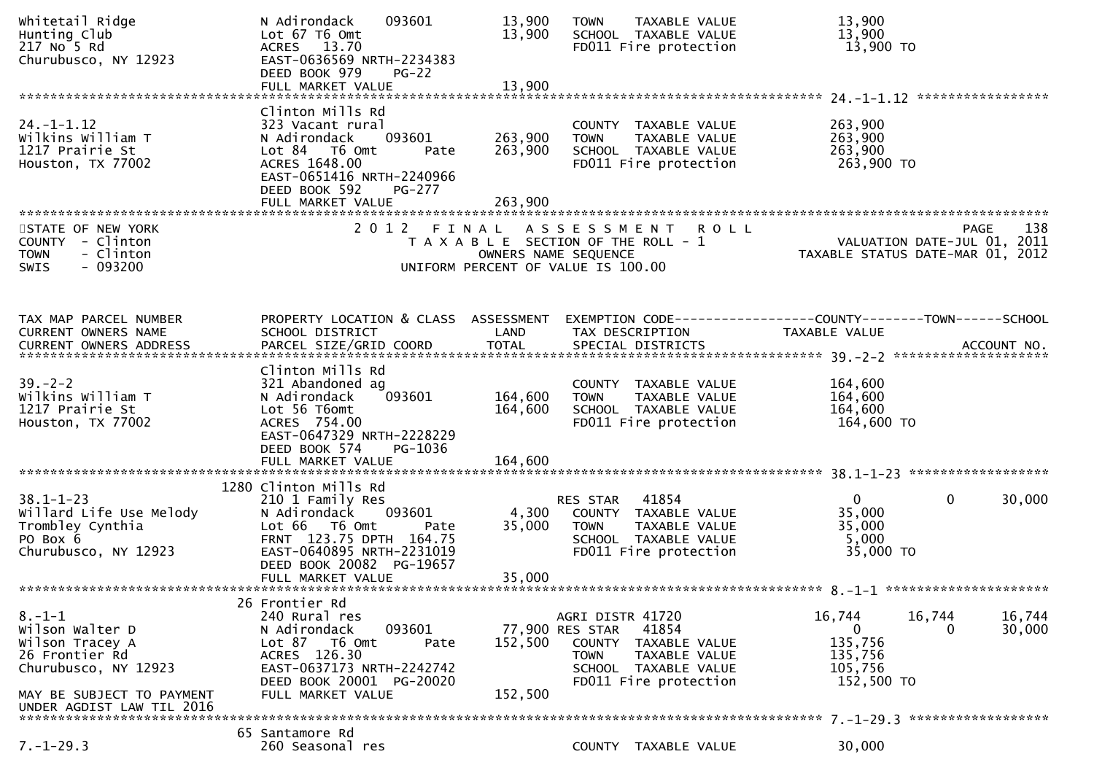| Whitetail Ridge<br>Hunting Club<br>217 No 5 Rd<br>Churubusco, NY 12923                                                                                 | 093601<br>N Adirondack<br>Lot 67 T6 Omt<br>ACRES 13.70<br>EAST-0636569 NRTH-2234383<br>DEED BOOK 979<br>$PG-22$<br>FULL MARKET VALUE                                                                  | 13,900<br>13,900<br>13,900    | TAXABLE VALUE<br><b>TOWN</b><br>SCHOOL TAXABLE VALUE<br>FD011 Fire protection                                                                                   | 13,900<br>13,900<br>13,900 TO                                                        |                    |
|--------------------------------------------------------------------------------------------------------------------------------------------------------|-------------------------------------------------------------------------------------------------------------------------------------------------------------------------------------------------------|-------------------------------|-----------------------------------------------------------------------------------------------------------------------------------------------------------------|--------------------------------------------------------------------------------------|--------------------|
| $24. - 1 - 1.12$<br>Wilkins William T<br>1217 Prairie St<br>Houston, TX 77002                                                                          | Clinton Mills Rd<br>323 Vacant rural<br>093601<br>N Adirondack<br>Lot 84 T6 Omt<br>Pate<br>ACRES 1648.00<br>EAST-0651416 NRTH-2240966<br>DEED BOOK 592<br>PG-277<br>FULL MARKET VALUE                 | 263,900<br>263,900<br>263,900 | COUNTY TAXABLE VALUE<br><b>TOWN</b><br>TAXABLE VALUE<br>SCHOOL TAXABLE VALUE<br>FD011 Fire protection                                                           | 263,900<br>263,900<br>263,900<br>263,900 TO                                          |                    |
| STATE OF NEW YORK<br>COUNTY - Clinton<br>- Clinton<br><b>TOWN</b><br>$-093200$<br><b>SWIS</b>                                                          | 2 0 1 2                                                                                                                                                                                               | OWNERS NAME SEQUENCE          | FINAL ASSESSMENT ROLL<br>T A X A B L E SECTION OF THE ROLL - 1<br>UNIFORM PERCENT OF VALUE IS 100.00                                                            | VALUATION DATE-JUL 01, 2011<br>TAXABLE STATUS DATE-MAR 01, 2012                      | 138<br><b>PAGE</b> |
| TAX MAP PARCEL NUMBER<br>CURRENT OWNERS NAME                                                                                                           | PROPERTY LOCATION & CLASS ASSESSMENT<br>SCHOOL DISTRICT                                                                                                                                               | LAND                          | EXEMPTION CODE-----------------COUNTY-------TOWN------SCHOOL<br>TAX DESCRIPTION                                                                                 | TAXABLE VALUE                                                                        |                    |
| $39. - 2 - 2$<br>Wilkins William T<br>1217 Prairie St<br>Houston, TX 77002                                                                             | Clinton Mills Rd<br>321 Abandoned ag<br>093601<br>N Adirondack<br>Lot 56 T6omt<br>ACRES 754.00<br>EAST-0647329 NRTH-2228229<br>DEED BOOK 574<br>PG-1036                                               | 164,600<br>164,600            | COUNTY TAXABLE VALUE<br>TAXABLE VALUE<br><b>TOWN</b><br>SCHOOL TAXABLE VALUE<br>FD011 Fire protection                                                           | 164,600<br>164,600<br>164,600<br>164,600 TO                                          |                    |
| $38.1 - 1 - 23$<br>Willard Life Use Melody<br>Trombley Cynthia<br>PO Box 6<br>Churubusco, NY 12923                                                     | 1280 Clinton Mills Rd<br>210 1 Family Res<br>093601<br>N Adirondack<br>Lot 66 T6 Omt<br>Pate<br>FRNT 123.75 DPTH 164.75<br>EAST-0640895 NRTH-2231019<br>DEED BOOK 20082 PG-19657<br>FULL MARKET VALUE | 4,300<br>35,000<br>35,000     | 41854<br>RES STAR<br>COUNTY TAXABLE VALUE<br><b>TOWN</b><br>TAXABLE VALUE<br>SCHOOL TAXABLE VALUE<br>FD011 Fire protection                                      | $\mathbf{0}$<br>$\mathbf{0}$<br>35,000<br>35,000<br>5,000<br>35,000 TO               | 30,000             |
| $8. - 1 - 1$<br>wilson walter D<br>Wilson Tracey A<br>26 Frontier Rd<br>Churubusco, NY 12923<br>MAY BE SUBJECT TO PAYMENT<br>UNDER AGDIST LAW TIL 2016 | 26 Frontier Rd<br>240 Rural res<br>N Adirondack<br>093601<br>Lot 87 76 0mt<br>Pate<br>ACRES 126.30<br>EAST-0637173 NRTH-2242742<br>DEED BOOK 20001 PG-20020<br>FULL MARKET VALUE                      | 152,500<br>152,500            | AGRI DISTR 41720<br>77,900 RES STAR<br>41854<br><b>COUNTY</b><br>TAXABLE VALUE<br>TAXABLE VALUE<br><b>TOWN</b><br>SCHOOL TAXABLE VALUE<br>FD011 Fire protection | 16,744<br>16,744<br>$\mathbf{0}$<br>0<br>135,756<br>135,756<br>105,756<br>152,500 TO | 16,744<br>30,000   |
| $7. - 1 - 29.3$                                                                                                                                        | 65 Santamore Rd<br>260 Seasonal res                                                                                                                                                                   |                               | COUNTY TAXABLE VALUE                                                                                                                                            | 30,000                                                                               |                    |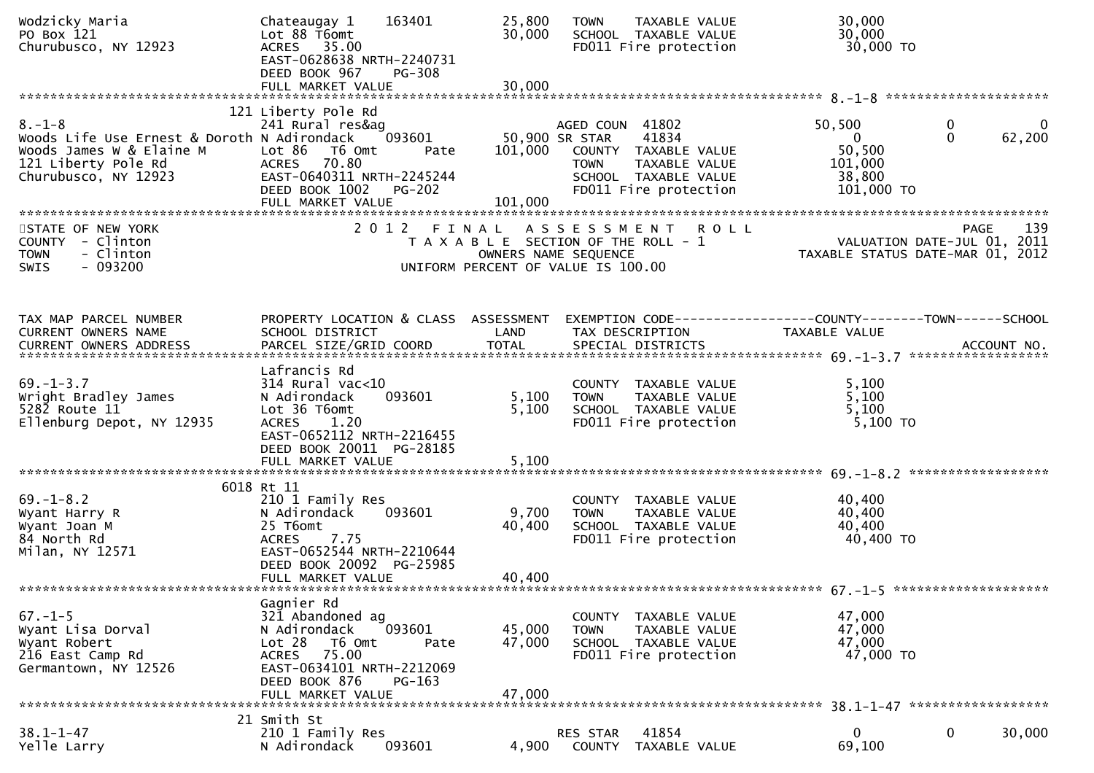| Wodzicky Maria<br>PO Box 121<br>Churubusco, NY 12923                                                                                   | 163401<br>Chateaugay 1<br>Lot 88 T6omt<br>ACRES 35.00<br>EAST-0628638 NRTH-2240731<br>DEED BOOK 967<br><b>PG-308</b>                                                               | 25,800<br>30,000           | TAXABLE VALUE<br><b>TOWN</b><br>SCHOOL TAXABLE VALUE<br>FD011 Fire protection                                                                       | 30,000<br>30,000<br>30,000 TO                                                                 |             |
|----------------------------------------------------------------------------------------------------------------------------------------|------------------------------------------------------------------------------------------------------------------------------------------------------------------------------------|----------------------------|-----------------------------------------------------------------------------------------------------------------------------------------------------|-----------------------------------------------------------------------------------------------|-------------|
|                                                                                                                                        |                                                                                                                                                                                    |                            |                                                                                                                                                     |                                                                                               |             |
| $8. - 1 - 8$<br>Woods Life Use Ernest & Doroth N Adirondack<br>Woods James W & Elaine M<br>121 Liberty Pole Rd<br>Churubusco, NY 12923 | 121 Liberty Pole Rd<br>241 Rural res&ag<br>093601<br>Lot 86 T6 Omt<br>Pate<br>ACRES 70.80<br>EAST-0640311 NRTH-2245244<br>DEED BOOK 1002 PG-202<br>FULL MARKET VALUE               | 101,000<br>101,000         | AGED COUN 41802<br>50,900 SR STAR<br>41834<br>COUNTY TAXABLE VALUE<br><b>TOWN</b><br>TAXABLE VALUE<br>SCHOOL TAXABLE VALUE<br>FD011 Fire protection | 50,500<br>$\bf{0}$<br>$\Omega$<br>$\overline{0}$<br>50,500<br>101,000<br>38,800<br>101,000 TO | 0<br>62,200 |
| STATE OF NEW YORK<br>COUNTY - Clinton<br>- Clinton<br><b>TOWN</b><br>$-093200$<br><b>SWIS</b>                                          | 2 0 1 2                                                                                                                                                                            | FINAL                      | ASSESSMENT ROLL<br>T A X A B L E SECTION OF THE ROLL - 1<br>OWNERS NAME SEQUENCE<br>UNIFORM PERCENT OF VALUE IS 100.00                              | PAGE<br>VALUATION DATE-JUL 01, 2011<br>TAXABLE STATUS DATE-MAR 01, 2012                       | 139         |
| TAX MAP PARCEL NUMBER<br>CURRENT OWNERS NAME<br><b>CURRENT OWNERS ADDRESS</b>                                                          | PROPERTY LOCATION & CLASS ASSESSMENT<br>SCHOOL DISTRICT<br>PARCEL SIZE/GRID COORD                                                                                                  | LAND<br><b>TOTAL</b>       | TAX DESCRIPTION<br>SPECIAL DISTRICTS                                                                                                                | EXEMPTION CODE------------------COUNTY--------TOWN------SCHOOL<br>TAXABLE VALUE               | ACCOUNT NO. |
| $69. - 1 - 3.7$<br>Wright Bradley James<br>$528\overline{2}$ Route $11$<br>Ellenburg Depot, NY 12935                                   | Lafrancis Rd<br>$314$ Rural vac<10<br>093601<br>N Adirondack<br>Lot 36 T6omt<br><b>ACRES</b><br>1.20<br>EAST-0652112 NRTH-2216455<br>DEED BOOK 20011 PG-28185<br>FULL MARKET VALUE | 5,100<br>5,100<br>5,100    | COUNTY TAXABLE VALUE<br><b>TOWN</b><br>TAXABLE VALUE<br>SCHOOL TAXABLE VALUE<br>FD011 Fire protection                                               | 5,100<br>5,100<br>5,100<br>5,100 TO                                                           |             |
| $69. - 1 - 8.2$<br>Wyant Harry R<br>Wyant Joan M<br>84 North Rd<br>Milan, NY 12571                                                     | 6018 Rt 11<br>210 1 Family Res<br>N Adirondack<br>093601<br>25 T6omt<br>7.75<br><b>ACRES</b><br>EAST-0652544 NRTH-2210644<br>DEED BOOK 20092 PG-25985<br>FULL MARKET VALUE         | 9,700<br>40,400<br>40,400  | COUNTY TAXABLE VALUE<br><b>TOWN</b><br>TAXABLE VALUE<br>SCHOOL TAXABLE VALUE<br>FD011 Fire protection                                               | 40,400<br>40,400<br>40,400<br>40,400 TO                                                       |             |
| $67. - 1 - 5$<br>Wyant Lisa Dorval<br>Wyant Robert<br>216 East Camp Rd<br>Germantown, NY 12526                                         | Gagnier Rd<br>321 Abandoned ag<br>N Adirondack<br>093601<br>Lot 28 T6 Omt<br>Pate<br>75.00<br>ACRES<br>EAST-0634101 NRTH-2212069<br>DEED BOOK 876<br>$PG-163$<br>FULL MARKET VALUE | 45,000<br>47,000<br>47,000 | COUNTY<br>TAXABLE VALUE<br>TAXABLE VALUE<br><b>TOWN</b><br>SCHOOL TAXABLE VALUE<br>FD011 Fire protection                                            | 47,000<br>47,000<br>47,000<br>47,000 TO                                                       |             |
| $38.1 - 1 - 47$<br>Yelle Larry                                                                                                         | 21 Smith St<br>210 1 Family Res<br>093601<br>N Adirondack                                                                                                                          | 4,900                      | RES STAR<br>41854<br>TAXABLE VALUE<br><b>COUNTY</b>                                                                                                 | $\mathbf{0}$<br>0<br>69,100                                                                   | 30,000      |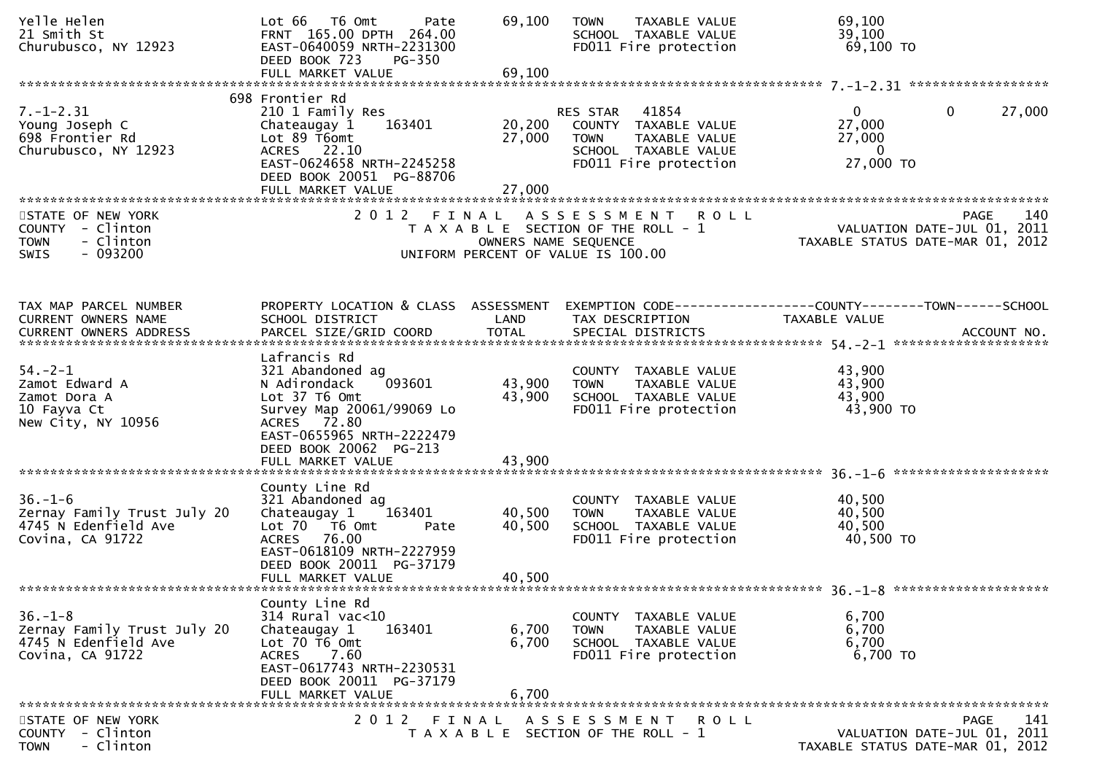| Yelle Helen<br>21 Smith St<br>Churubusco, NY 12923                                       | Lot 66  T6 0mt<br>Pate<br>FRNT 165.00 DPTH 264.00<br>EAST-0640059 NRTH-2231300<br>DEED BOOK 723<br>PG-350<br>FULL MARKET VALUE                                                                      | 69,100<br>69,100           | <b>TOWN</b><br>TAXABLE VALUE<br>SCHOOL TAXABLE VALUE<br>FD011 Fire protection                                              | 69,100<br>39,100<br>69,100 TO                             |                                                   |
|------------------------------------------------------------------------------------------|-----------------------------------------------------------------------------------------------------------------------------------------------------------------------------------------------------|----------------------------|----------------------------------------------------------------------------------------------------------------------------|-----------------------------------------------------------|---------------------------------------------------|
|                                                                                          | 698 Frontier Rd                                                                                                                                                                                     |                            |                                                                                                                            |                                                           |                                                   |
| $7. - 1 - 2.31$<br>Young Joseph C<br>698 Frontier Rd<br>Churubusco, NY 12923             | 210 1 Family Res<br>163401<br>Chateaugay 1<br>Lot 89 T6omt<br>ACRES 22.10<br>EAST-0624658 NRTH-2245258<br>DEED BOOK 20051 PG-88706                                                                  | 20,200<br>27,000           | RES STAR<br>41854<br>COUNTY TAXABLE VALUE<br><b>TOWN</b><br>TAXABLE VALUE<br>SCHOOL TAXABLE VALUE<br>FD011 Fire protection | $\mathbf{0}$<br>27,000<br>27,000<br>$\Omega$<br>27,000 TO | $\mathbf{0}$<br>27,000                            |
|                                                                                          | FULL MARKET VALUE                                                                                                                                                                                   | 27,000                     |                                                                                                                            |                                                           |                                                   |
| STATE OF NEW YORK<br>COUNTY - Clinton<br><b>TOWN</b><br>- Clinton<br>$-093200$<br>SWIS   | 2012 FINAL                                                                                                                                                                                          | OWNERS NAME SEQUENCE       | A S S E S S M E N T R O L L<br>T A X A B L E SECTION OF THE ROLL - 1<br>UNIFORM PERCENT OF VALUE IS 100.00                 | TAXABLE STATUS DATE-MAR 01, 2012                          | <b>PAGE</b><br>140<br>VALUATION DATE-JUL 01, 2011 |
| TAX MAP PARCEL NUMBER<br>CURRENT OWNERS NAME                                             | PROPERTY LOCATION & CLASS ASSESSMENT<br>SCHOOL DISTRICT                                                                                                                                             | LAND                       | EXEMPTION CODE-----------------COUNTY-------TOWN------SCHOOL<br>TAX DESCRIPTION                                            | <b>TAXABLE VALUE</b>                                      |                                                   |
|                                                                                          |                                                                                                                                                                                                     |                            |                                                                                                                            |                                                           |                                                   |
| $54. - 2 - 1$<br>Zamot Edward A<br>Zamot Dora A<br>10 Fayva Ct<br>New City, NY 10956     | Lafrancis Rd<br>321 Abandoned ag<br>093601<br>N Adirondack<br>Lot 37 T6 Omt<br>Survey Map 20061/99069 Lo<br>ACRES 72.80<br>EAST-0655965 NRTH-2222479<br>DEED BOOK 20062 PG-213<br>FULL MARKET VALUE | 43,900<br>43,900<br>43,900 | COUNTY TAXABLE VALUE<br>TAXABLE VALUE<br><b>TOWN</b><br>SCHOOL TAXABLE VALUE<br>FD011 Fire protection                      | 43,900<br>43,900<br>43,900<br>43,900 TO                   |                                                   |
|                                                                                          | County Line Rd                                                                                                                                                                                      |                            |                                                                                                                            |                                                           |                                                   |
| $36. - 1 - 6$<br>Zernay Family Trust July 20<br>4745 N Edenfield Ave<br>Covina, CA 91722 | 321 Abandoned ag<br>163401<br>Chateaugay 1<br>Lot 70  T6 0mt<br>Pate<br>76.00<br>ACRES<br>EAST-0618109 NRTH-2227959<br>DEED BOOK 20011 PG-37179<br>FULL MARKET VALUE                                | 40,500<br>40,500<br>40,500 | COUNTY TAXABLE VALUE<br><b>TOWN</b><br>TAXABLE VALUE<br>SCHOOL TAXABLE VALUE<br>FD011 Fire protection                      | 40,500<br>40,500<br>40,500<br>40,500 TO                   |                                                   |
|                                                                                          |                                                                                                                                                                                                     |                            |                                                                                                                            |                                                           |                                                   |
| $36. - 1 - 8$<br>Zernay Family Trust July 20<br>4745 N Edenfield Ave<br>Covina, CA 91722 | County Line Rd<br>314 Rural vac<10<br>Chateaugay 1<br>163401<br>Lot 70 T6 Omt<br>7.60<br>ACRES<br>EAST-0617743 NRTH-2230531<br>DEED BOOK 20011 PG-37179<br>FULL MARKET VALUE                        | 6,700<br>6,700<br>6,700    | COUNTY TAXABLE VALUE<br><b>TOWN</b><br>TAXABLE VALUE<br>SCHOOL TAXABLE VALUE<br>FD011 Fire protection                      | 6,700<br>6,700<br>6,700<br>6,700 TO                       |                                                   |
|                                                                                          |                                                                                                                                                                                                     |                            |                                                                                                                            |                                                           |                                                   |
| STATE OF NEW YORK<br>COUNTY - Clinton<br>- Clinton<br><b>TOWN</b>                        | 2 0 1 2                                                                                                                                                                                             | FINAL                      | A S S E S S M E N T R O L L<br>T A X A B L E SECTION OF THE ROLL - 1                                                       | TAXABLE STATUS DATE-MAR 01, 2012                          | PAGE<br>141<br>VALUATION DATE-JUL 01, 2011        |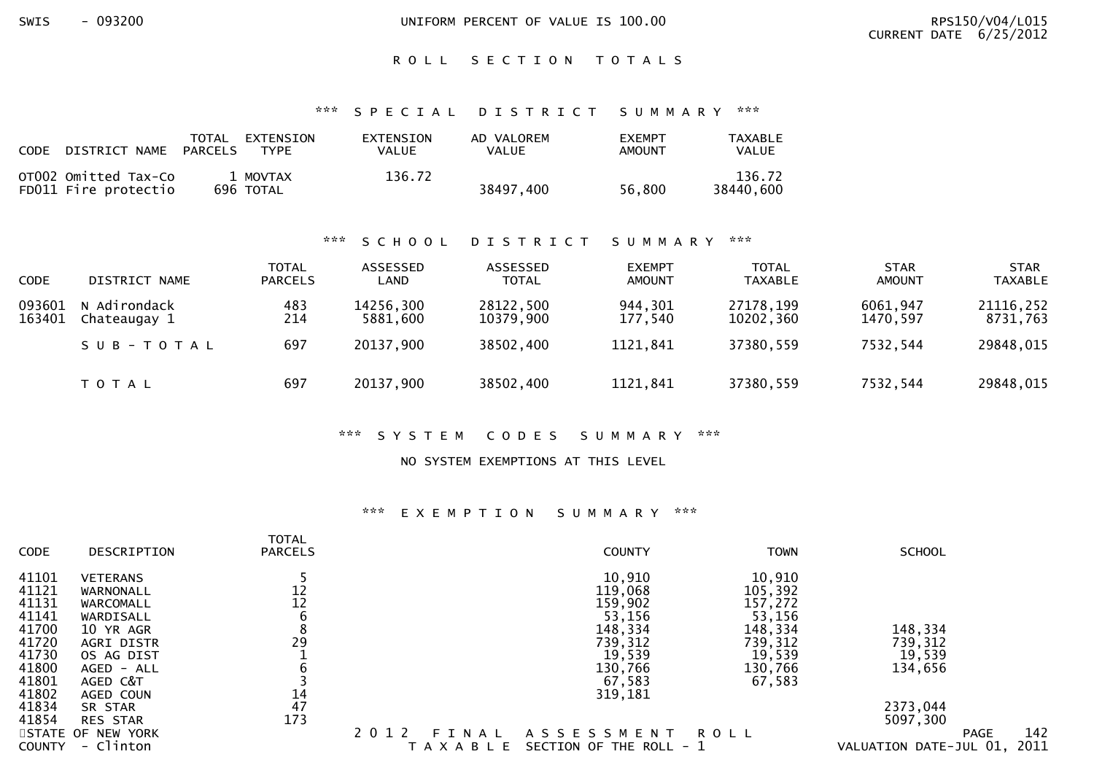SWIS - 093200 UNIFORM PERCENT OF VALUE IS 100.00 RPS150/V04/L015

#### ROLL SECTION TOTALS

#### \*\*\* S P E C I A L D I S T R I C T S U M M A R Y \*\*\*

| <b>CODE</b><br>DISTRICT NAME                 | TOTAL<br>EXTENSION<br><b>PARCELS</b><br>TYPF. | EXTENSION<br>VALUE | AD VALOREM<br>VALUE | <b>FXEMPT</b><br>AMOUNT | <b>TAXABLE</b><br><b>VALUE</b> |
|----------------------------------------------|-----------------------------------------------|--------------------|---------------------|-------------------------|--------------------------------|
| OT002 Omitted Tax-Co<br>FD011 Fire protectio | 1 MOVTAX<br>696 TOTAL                         | 136.72             | 38497,400           | 56.800                  | 136.72<br>38440,600            |

#### \*\*\* S C H O O L D I S T R I C T S U M M A R Y \*\*\*

| <b>CODE</b>      | DISTRICT NAME                | TOTAL<br><b>PARCELS</b> | <b>ASSESSED</b><br>LAND | ASSESSED<br><b>TOTAL</b> | <b>EXEMPT</b><br><b>AMOUNT</b> | <b>TOTAL</b><br><b>TAXABLE</b> | <b>STAR</b><br><b>AMOUNT</b> | <b>STAR</b><br><b>TAXABLE</b> |
|------------------|------------------------------|-------------------------|-------------------------|--------------------------|--------------------------------|--------------------------------|------------------------------|-------------------------------|
| 093601<br>163401 | N Adirondack<br>Chateaugay 1 | 483<br>214              | 14256,300<br>5881,600   | 28122,500<br>10379,900   | 944,301<br>177,540             | 27178,199<br>10202,360         | 6061,947<br>1470,597         | 21116,252<br>8731,763         |
|                  | SUB-TOTAL                    | 697                     | 20137,900               | 38502,400                | 1121,841                       | 37380.559                      | 7532,544                     | 29848,015                     |
|                  | T O T A L                    | 697                     | 20137,900               | 38502,400                | 1121,841                       | 37380,559                      | 7532,544                     | 29848,015                     |

#### \*\*\* S Y S T E M C O D E S S U M M A R Y \*\*\*

#### NO SYSTEM EXEMPTIONS AT THIS LEVEL

#### \*\*\* E X E M P T I O N S U M M A R Y \*\*\*

| <b>CODE</b>   | DESCRIPTION       | <b>TOTAL</b><br><b>PARCELS</b> | <b>COUNTY</b>                            | <b>TOWN</b> | <b>SCHOOL</b>                  |
|---------------|-------------------|--------------------------------|------------------------------------------|-------------|--------------------------------|
| 41101         | <b>VETERANS</b>   |                                | 10,910                                   | 10,910      |                                |
| 41121         | WARNONALL         | 12                             | 119,068                                  | 105,392     |                                |
| 41131         | WARCOMALL         |                                | 159,902                                  | 157,272     |                                |
| 41141         | WARDISALL         | $\frac{12}{6}$                 | 53,156                                   | 53,156      |                                |
| 41700         | 10 YR AGR         | 8                              | 148,334                                  | 148,334     | 148,334                        |
| 41720         | <b>AGRI DISTR</b> | 29                             | 739, 312                                 | 739, 312    | 739,312                        |
| 41730         | OS AG DIST        |                                | 19,539                                   | 19,539      | 19,539                         |
| 41800         | AGED - ALL        | b                              | 130,766                                  | 130,766     | 134,656                        |
| 41801         | AGED C&T          |                                | 67,583                                   | 67,583      |                                |
| 41802         | AGED COUN         | 14                             | 319,181                                  |             |                                |
| 41834         | SR STAR           | 47                             |                                          |             | 2373,044                       |
| 41854         | <b>RES STAR</b>   | 173                            |                                          |             | 5097,300                       |
|               | STATE OF NEW YORK |                                | 2 0 1 2<br>A S S E S S M E N T<br>FINAL  | <b>ROLL</b> | 142<br><b>PAGE</b>             |
| <b>COUNTY</b> | - Clinton         |                                | SECTION OF THE ROLL - 1<br><b>AXABLE</b> |             | 2011<br>VALUATION DATE-JUL 01, |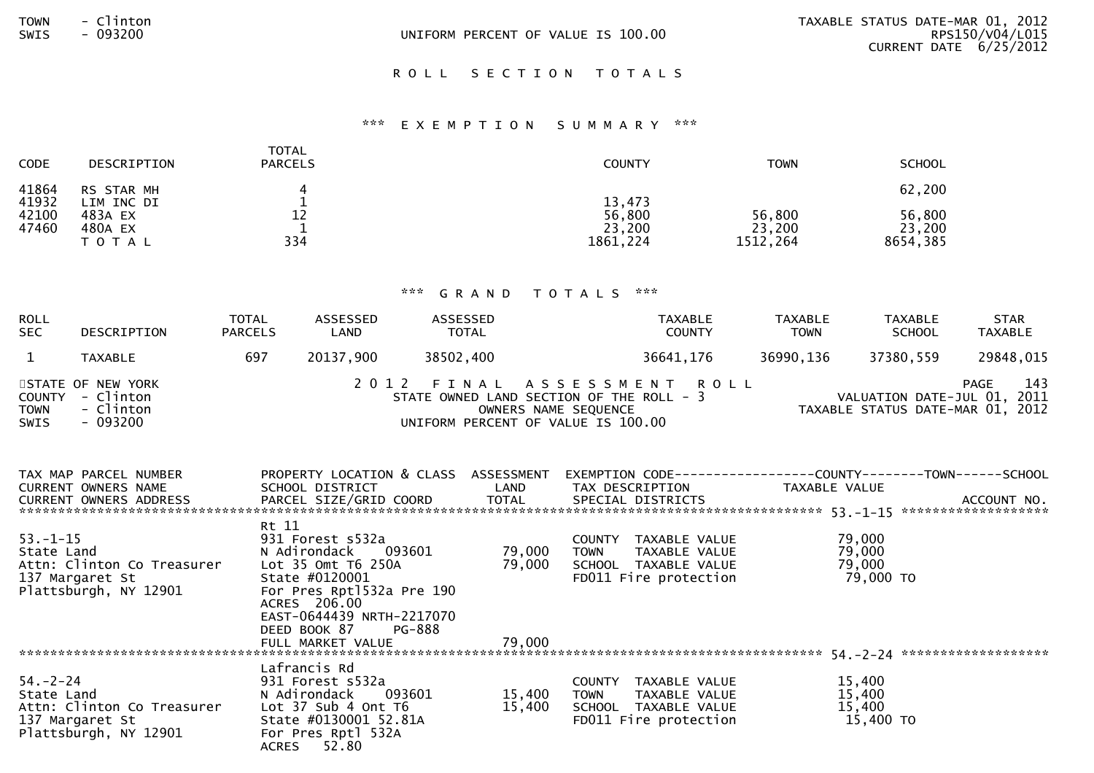| <b>TOWN</b> | CITATOR |
|-------------|---------|
| SWTS        | 093200  |

## ROLL SECTION TOTALS

#### \*\*\* E X E M P T I O N S U M M A R Y \*\*\*

| <b>CODE</b>    | DESCRIPTION                     | TOTAL<br><b>PARCELS</b> | <b>COUNTY</b>                 | <b>TOWN</b>                  | <b>SCHOOL</b>                |
|----------------|---------------------------------|-------------------------|-------------------------------|------------------------------|------------------------------|
| 41864<br>41932 | RS STAR MH<br>LIM INC DI        |                         | 13,473                        |                              | 62,200                       |
| 42100<br>47460 | 483A EX<br>480A EX<br>T O T A L | 12<br>334               | 56,800<br>23,200<br>1861, 224 | 56,800<br>23,200<br>1512,264 | 56,800<br>23,200<br>8654,385 |

# \*\*\* G R A N D T O T A L S \*\*\*

| <b>ROLL</b><br><b>SEC</b>                   | DESCRIPTION                                                                               | TOTAL<br><b>PARCELS</b> | ASSESSED<br>LAND                                                                                                                      | ASSESSED<br>TOTAL                  |                  |             | <b>TAXABLE</b><br><b>COUNTY</b>                                                                                                              | TAXABLE<br><b>TOWN</b> | <b>TAXABLE</b><br><b>SCHOOL</b>         | <b>STAR</b><br>TAXABLE |
|---------------------------------------------|-------------------------------------------------------------------------------------------|-------------------------|---------------------------------------------------------------------------------------------------------------------------------------|------------------------------------|------------------|-------------|----------------------------------------------------------------------------------------------------------------------------------------------|------------------------|-----------------------------------------|------------------------|
| $\mathbf{1}$                                | <b>TAXABLE</b>                                                                            | 697                     | 20137,900                                                                                                                             | 38502,400                          |                  |             | 36641,176                                                                                                                                    | 36990,136              | 37380,559                               | 29848,015              |
| <b>COUNTY</b><br><b>TOWN</b><br><b>SWIS</b> | STATE OF NEW YORK<br>- Clinton<br>- Clinton<br>- 093200                                   |                         |                                                                                                                                       | UNIFORM PERCENT OF VALUE IS 100.00 |                  |             | 2012 FINAL ASSESSMENT ROLL<br>STATE OWNED LAND SECTION OF THE ROLL - 3<br>OWNERS NAME SEQUENCE THE ROLL - 3 TAXABLE STATUS DATE-MAR 01, 2012 |                        |                                         | 143<br>PAGE            |
|                                             | TAX MAP PARCEL NUMBER<br><b>CURRENT OWNERS NAME</b>                                       |                         | SCHOOL DISTRICT                                                                                                                       | <b>Example 12</b> LAND             |                  |             | PROPERTY LOCATION & CLASS  ASSESSMENT  EXEMPTION CODE----------------COUNTY-------TOWN------SCHOOL<br>TAX DESCRIPTION TAXABLE VALUE          |                        |                                         |                        |
| $53. - 1 - 15$<br>State Land                | Attn: Clinton Co Treasurer Lot 35 Omt T6 250A<br>137 Margaret St<br>Plattsburgh, NY 12901 | Rt 11                   | 931 Forest s532a<br>State #0120001<br>For Pres Rpt1532a Pre 190<br>ACRES 206.00<br>EAST-0644439 NRTH-2217070                          | N Adirondack 093601 79,000         | 79,000           | <b>TOWN</b> | COUNTY TAXABLE VALUE<br>TAXABLE VALUE<br>SCHOOL TAXABLE VALUE<br>FDO11 Fire protection                                                       |                        | 79,000<br>79,000<br>79,000<br>79,000 TO |                        |
|                                             |                                                                                           |                         | DEED BOOK 87<br>FULL MARKET VALUE                                                                                                     | PG-888                             | 79,000           |             |                                                                                                                                              |                        |                                         |                        |
| $54. - 2 - 24$<br>State Land                | Attn: Clinton Co Treasurer<br>137 Margaret St<br>Plattsburgh, NY 12901                    |                         | Lafrancis Rd<br>931 Forest s532a<br>N Adirondack<br>Lot 37 Sub 4 Ont T6<br>State #0130001 52.81A<br>For Pres Rptl 532A<br>ACRES 52.80 | 093601                             | 15,400<br>15,400 | <b>TOWN</b> | COUNTY TAXABLE VALUE<br>TAXABLE VALUE<br>SCHOOL TAXABLE VALUE<br>FD011 Fire protection                                                       |                        | 15,400<br>15,400<br>15,400<br>15,400 TO |                        |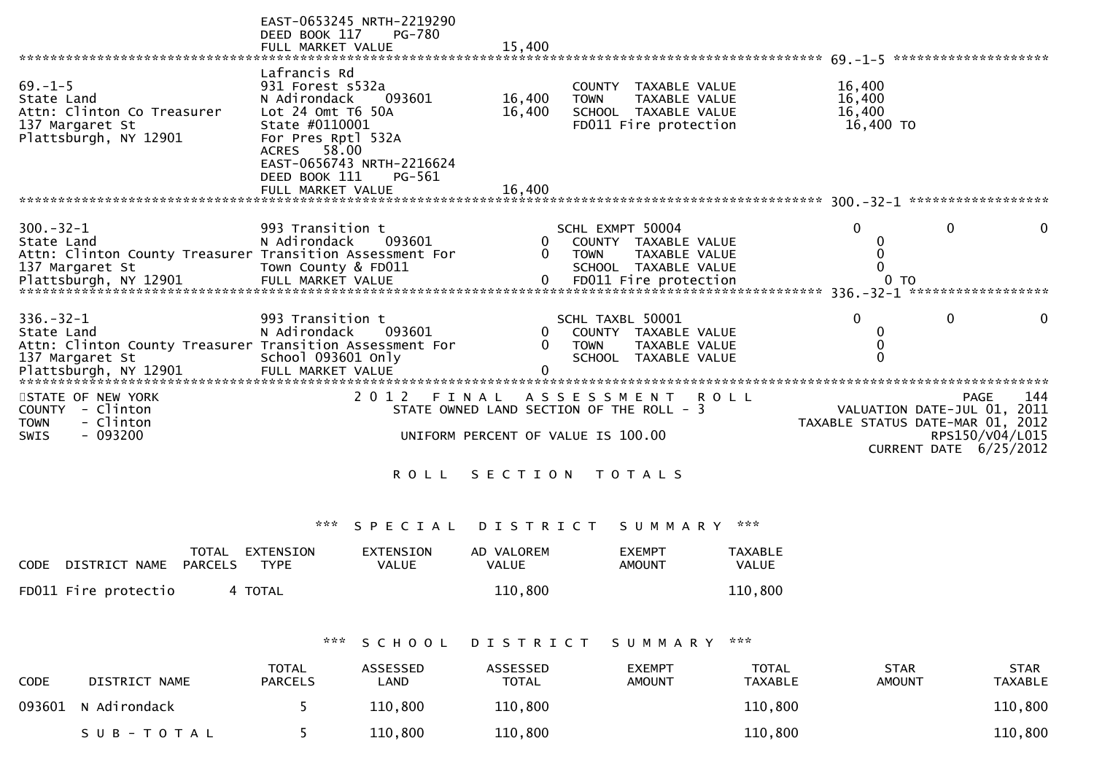|                                                                                                                                      | EAST-0653245 NRTH-2219290<br>DEED BOOK 117<br>FULL MARKET VALUE                                                | <b>PG-780</b>                          | 15,400                          |                                                                                                                 |                                                                                        |                                             |                                         |                                                    |  |
|--------------------------------------------------------------------------------------------------------------------------------------|----------------------------------------------------------------------------------------------------------------|----------------------------------------|---------------------------------|-----------------------------------------------------------------------------------------------------------------|----------------------------------------------------------------------------------------|---------------------------------------------|-----------------------------------------|----------------------------------------------------|--|
|                                                                                                                                      |                                                                                                                |                                        |                                 |                                                                                                                 |                                                                                        |                                             |                                         |                                                    |  |
| $69. - 1 - 5$<br>State Land<br>Attn: Clinton Co Treasurer<br>137 Margaret St                                                         | Lafrancis Rd<br>931 Forest s532a<br>N Adirondack<br>093601<br>Lot $24$ Omt T6 $50A$<br>State #0110001          |                                        | 16,400<br>16,400                | <b>COUNTY</b><br>TAXABLE VALUE<br><b>TOWN</b><br>TAXABLE VALUE<br>SCHOOL TAXABLE VALUE<br>FD011 Fire protection |                                                                                        |                                             | 16,400<br>16,400<br>16,400<br>16,400 TO |                                                    |  |
| Plattsburgh, NY 12901                                                                                                                | For Pres Rptl 532A<br><b>ACRES</b><br>58.00<br>EAST-0656743 NRTH-2216624<br>DEED BOOK 111<br>FULL MARKET VALUE | PG-561                                 | 16,400                          |                                                                                                                 |                                                                                        |                                             |                                         |                                                    |  |
|                                                                                                                                      |                                                                                                                |                                        |                                 |                                                                                                                 |                                                                                        |                                             |                                         |                                                    |  |
| $300 - 32 - 1$<br>State Land<br>Attn: Clinton County Treasurer Transition Assessment For<br>137 Margaret St<br>Plattsburgh, NY 12901 | 993 Transition t<br>N Adirondack<br>Town County & FD011<br>FULL MARKET VALUE                                   | 093601                                 | 0<br>0<br>0                     | SCHL EXMPT 50004<br><b>TOWN</b>                                                                                 | COUNTY TAXABLE VALUE<br>TAXABLE VALUE<br>SCHOOL TAXABLE VALUE<br>FD011 Fire protection |                                             | $\Omega$<br>0<br>$\Omega$<br>0<br>0 TO  | 0<br>$\Omega$<br>336. - 32 - 1 ******************* |  |
|                                                                                                                                      |                                                                                                                |                                        |                                 |                                                                                                                 |                                                                                        |                                             | $\Omega$                                |                                                    |  |
| $336. - 32 - 1$                                                                                                                      | 993 Transition t                                                                                               |                                        |                                 | SCHL TAXBL 50001                                                                                                |                                                                                        |                                             |                                         | 0<br>$\mathbf{0}$                                  |  |
| State Land<br>Attn: Clinton County Treasurer Transition Assessment For                                                               | N Adirondack                                                                                                   | 093601                                 | 0                               | <b>COUNTY</b><br><b>TOWN</b>                                                                                    | TAXABLE VALUE<br>TAXABLE VALUE                                                         |                                             | 0<br>$\Omega$                           |                                                    |  |
| 137 Margaret St                                                                                                                      | School 093601 Only                                                                                             |                                        |                                 |                                                                                                                 | SCHOOL TAXABLE VALUE                                                                   |                                             | $\Omega$                                |                                                    |  |
| Plattsburgh, NY 12901                                                                                                                | FULL MARKET VALUE                                                                                              |                                        | $\Omega$                        |                                                                                                                 |                                                                                        |                                             |                                         |                                                    |  |
|                                                                                                                                      |                                                                                                                |                                        |                                 |                                                                                                                 |                                                                                        |                                             |                                         |                                                    |  |
| STATE OF NEW YORK                                                                                                                    |                                                                                                                | 2 0 1 2<br>FINAL                       |                                 | A S S E S S M E N T                                                                                             |                                                                                        | ROLL                                        |                                         | <b>PAGE</b><br>144                                 |  |
| <b>COUNTY</b><br>- Clinton                                                                                                           |                                                                                                                | STATE OWNED LAND SECTION OF THE ROLL - |                                 |                                                                                                                 |                                                                                        |                                             |                                         | VALUATION DATE-JUL 01, 2011                        |  |
| <b>TOWN</b><br>- Clinton                                                                                                             |                                                                                                                |                                        |                                 |                                                                                                                 |                                                                                        |                                             |                                         | TAXABLE STATUS DATE-MAR 01, 2012                   |  |
| $-093200$<br><b>SWIS</b>                                                                                                             | UNIFORM PERCENT OF VALUE IS 100.00                                                                             |                                        |                                 |                                                                                                                 |                                                                                        | RPS150/V04/L015<br>CURRENT DATE $6/25/2012$ |                                         |                                                    |  |
|                                                                                                                                      |                                                                                                                |                                        |                                 |                                                                                                                 |                                                                                        |                                             |                                         |                                                    |  |
|                                                                                                                                      |                                                                                                                | <b>ROLL</b>                            | SECTION                         | T O T A L S                                                                                                     |                                                                                        |                                             |                                         |                                                    |  |
|                                                                                                                                      | ***                                                                                                            | SPECIAL                                | DISTRICT                        |                                                                                                                 | SUMMARY                                                                                | ***                                         |                                         |                                                    |  |
| TOTAL<br><b>PARCELS</b><br>DISTRICT NAME<br><b>CODE</b>                                                                              | <b>EXTENSION</b><br><b>TYPE</b>                                                                                | EXTENSION<br><b>VALUE</b>              | AD VALOREM<br><b>VALUE</b>      |                                                                                                                 | <b>EXEMPT</b><br><b>AMOUNT</b>                                                         | TAXABLE<br><b>VALUE</b>                     |                                         |                                                    |  |
| FD011 Fire protectio                                                                                                                 | 4 TOTAL                                                                                                        |                                        | 110,800                         |                                                                                                                 |                                                                                        | 110,800                                     |                                         |                                                    |  |
|                                                                                                                                      |                                                                                                                | SCHOOL                                 | D I S T R I C T                 |                                                                                                                 | S U M M A R Y                                                                          |                                             |                                         |                                                    |  |
|                                                                                                                                      |                                                                                                                |                                        |                                 |                                                                                                                 |                                                                                        |                                             |                                         |                                                    |  |
| <b>CODE</b><br>DISTRICT NAME                                                                                                         | <b>TOTAL</b><br><b>PARCELS</b>                                                                                 | <b>ASSESSED</b><br>LAND                | <b>ASSESSED</b><br><b>TOTAL</b> |                                                                                                                 | <b>EXEMPT</b><br><b>AMOUNT</b>                                                         | <b>TOTAL</b><br><b>TAXABLE</b>              | <b>STAR</b><br>AMOUNT                   | <b>STAR</b><br><b>TAXABLE</b>                      |  |

093601 N Adirondack 5 110,800 110,800 110,800 110,800 110,800 110,800 110,800

SUB-TOTAL 5 110,800 110,800 110,800 110,800 110,800 110,800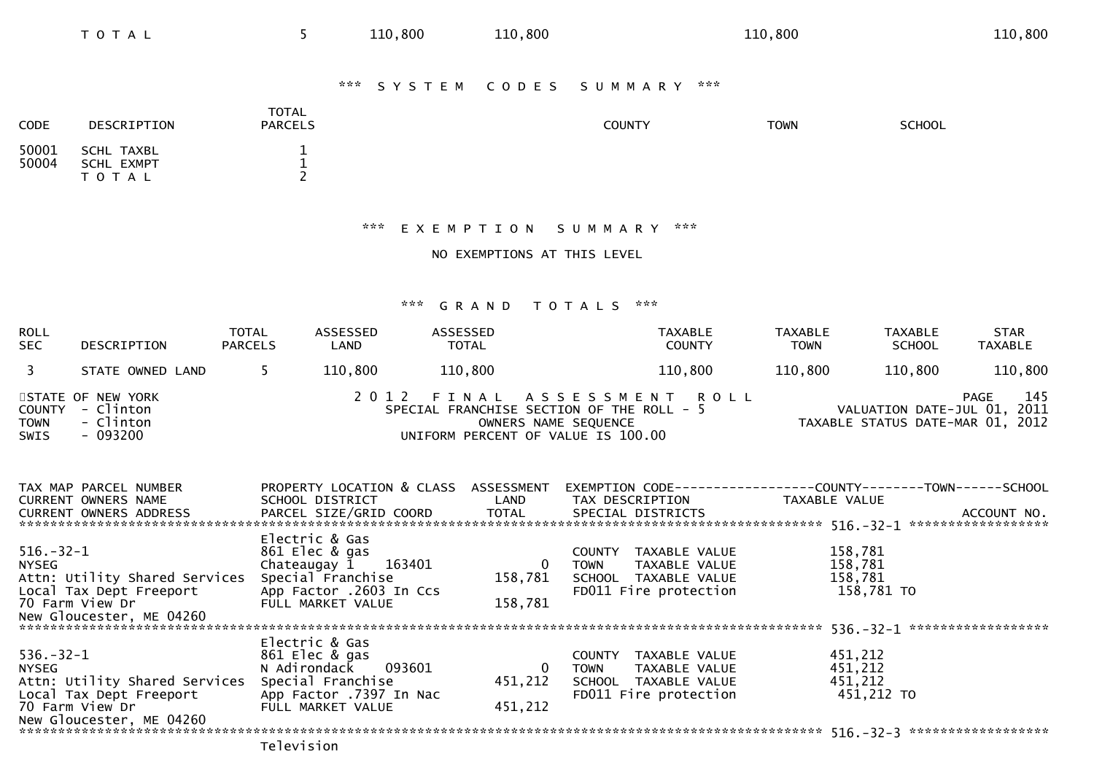| <b>CODE</b>    | DESCRIPTION                           | <b>TOTAL</b><br><b>PARCELS</b> | COUNTY | <b>TOWN</b> | <b>SCHOOL</b> |
|----------------|---------------------------------------|--------------------------------|--------|-------------|---------------|
| 50001<br>50004 | SCHL TAXBL<br>SCHL EXMPT<br>T O T A L |                                |        |             |               |

## \*\*\* E X E M P T I O N S U M M A R Y \*\*\*

NO EXEMPTIONS AT THIS LEVEL

## \*\*\* G R A N D T O T A L S \*\*\*

| <b>ROLL</b><br><b>SEC</b> | DESCRIPTION                                                    | <b>TOTAL</b><br><b>PARCELS</b> | ASSESSED<br>LAND | ASSESSED<br><b>TOTAL</b>           | <b>TAXABLE</b><br><b>COUNTY</b>                                                                 | <b>TAXABLE</b><br><b>TOWN</b> | <b>TAXABLE</b><br><b>SCHOOL</b>                                 | <b>STAR</b><br>TAXABLE |
|---------------------------|----------------------------------------------------------------|--------------------------------|------------------|------------------------------------|-------------------------------------------------------------------------------------------------|-------------------------------|-----------------------------------------------------------------|------------------------|
|                           | STATE OWNED LAND                                               |                                | 110,800          | 110,800                            | 110,800                                                                                         | 110,800                       | 110,800                                                         | 110,800                |
| <b>TOWN</b><br>SWIS       | STATE OF NEW YORK<br>COUNTY - Clinton<br>- Clinton<br>- 093200 |                                |                  | UNIFORM PERCENT OF VALUE IS 100.00 | 2012 FINAL ASSESSMENT ROLL<br>SPECIAL FRANCHISE SECTION OF THE ROLL - 5<br>OWNERS NAME SEQUENCE |                               | VALUATION DATE-JUL 01, 2011<br>TAXABLE STATUS DATE-MAR 01, 2012 | 145<br>PAGE            |

| TAX MAP PARCEL NUMBER         | PROPERTY LOCATION & CLASS ASSESSMENT |                  | EXEMPTION CODE---              | --------------COUNTY--------TOWN------SCHOOL |  |
|-------------------------------|--------------------------------------|------------------|--------------------------------|----------------------------------------------|--|
| CURRENT OWNERS NAME           | SCHOOL DISTRICT LAND                 |                  | TAX DESCRIPTION                | TAXABLE VALUE                                |  |
| <b>CURRENT OWNERS ADDRESS</b> | PARCEL SIZE/GRID COORD               | TOTAL            | SPECIAL DISTRICTS              | ACCOUNT NO.                                  |  |
|                               |                                      |                  |                                | ******************                           |  |
|                               | Electric & Gas                       |                  |                                |                                              |  |
| $516.-32-1$                   | 861 Elec & gas                       |                  | TAXABLE VALUE<br><b>COUNTY</b> | 158,781                                      |  |
| <b>NYSEG</b>                  | Chateaugay $1$ 163401                | $\bf{0}$         | TAXABLE VALUE<br><b>TOWN</b>   | 158,781                                      |  |
| Attn: Utility Shared Services | Special Franchise                    | 158,781          | SCHOOL TAXABLE VALUE           | 158,781                                      |  |
| Local Tax Dept Freeport       | App Factor .2603 In Ccs              |                  | FD011 Fire protection          | 158,781 TO                                   |  |
| 70 Farm View Dr               | FULL MARKET VALUE                    | 158,781          |                                |                                              |  |
| New Gloucester, ME 04260      |                                      |                  |                                |                                              |  |
|                               |                                      |                  |                                | ******************<br>$536. - 32 - 1$        |  |
|                               | Electric & Gas                       |                  |                                |                                              |  |
| $536. - 32 - 1$               | 861 Elec & gas                       |                  | TAXABLE VALUE<br>COUNTY        | 451,212                                      |  |
| NYSEG                         | N Adirondack 093601                  | $\boldsymbol{0}$ | TAXABLE VALUE<br><b>TOWN</b>   | 451,212                                      |  |
| Attn: Utility Shared Services | Special Franchise                    | 451,212          | SCHOOL TAXABLE VALUE           | 451,212                                      |  |
| Local Tax Dept Freeport       | App Factor .7397 In Nac              |                  | FD011 Fire protection          | 451,212 TO                                   |  |
| 70 Farm View Dr               | FULL MARKET VALUE                    | 451,212          |                                |                                              |  |
| New Gloucester, ME 04260      |                                      |                  |                                |                                              |  |
|                               |                                      |                  |                                | ******************<br>$516. - 32 - 3$        |  |
|                               |                                      |                  |                                |                                              |  |

Television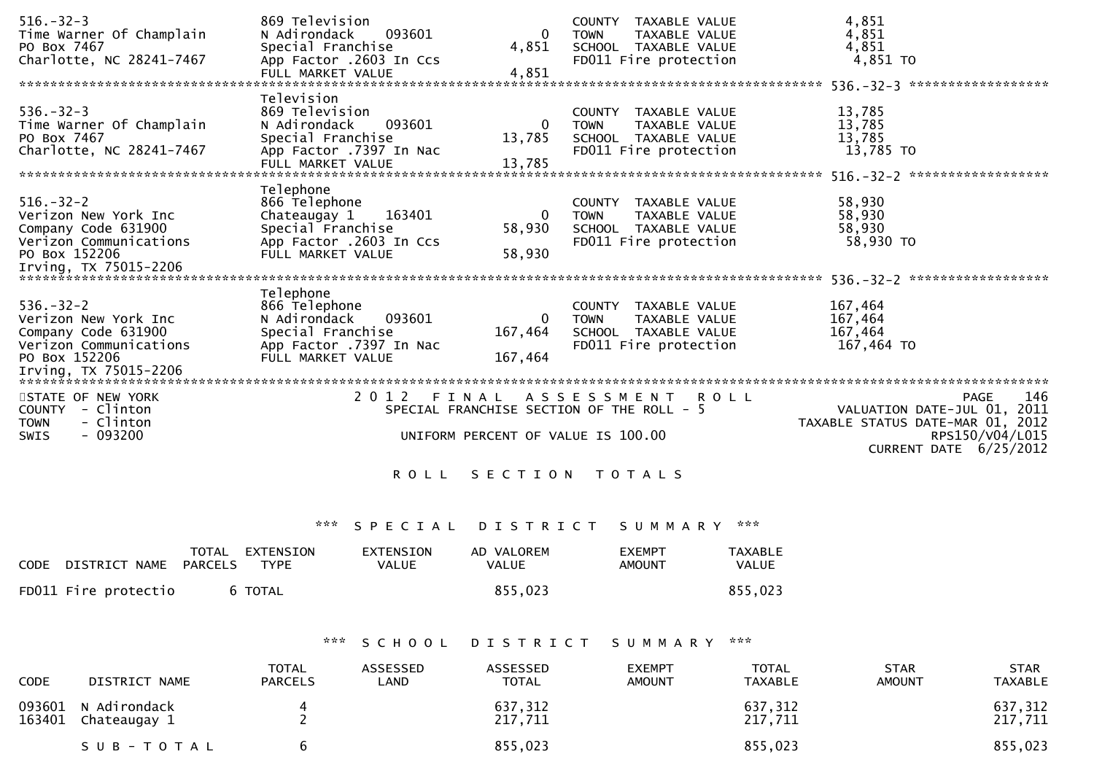| $516. - 32 - 3$          | 869 Television                            |                |             | COUNTY TAXABLE VALUE  | 4,851                             |
|--------------------------|-------------------------------------------|----------------|-------------|-----------------------|-----------------------------------|
| Time Warner Of Champlain | N Adirondack<br>093601                    | $\mathbf{0}$   | <b>TOWN</b> | TAXABLE VALUE         | 4,851                             |
| PO Box 7467              | Special Franchise                         | 4,851          |             | SCHOOL TAXABLE VALUE  | 4,851                             |
| Charlotte, NC 28241-7467 | App Factor .2603 In Ccs                   |                |             | FD011 Fire protection | 4,851 TO                          |
|                          | FULL MARKET VALUE                         | 4,851          |             |                       |                                   |
|                          |                                           |                |             |                       | 536. - 32 - 3 ******************* |
|                          | Television                                |                |             |                       |                                   |
| $536. - 32 - 3$          | 869 Television                            |                |             | COUNTY TAXABLE VALUE  | 13,785                            |
| Time Warner Of Champlain | N Adirondack<br>093601                    | 0              | TOWN        | TAXABLE VALUE         | 13,785                            |
| PO Box 7467              | Special Franchise                         | 13,785         |             | SCHOOL TAXABLE VALUE  | 13,785                            |
| Charlotte, NC 28241-7467 | App Factor .7397 In Nac                   |                |             | FD011 Fire protection | 13,785 TO                         |
|                          | FULL MARKET VALUE                         | 13,785         |             |                       |                                   |
|                          |                                           |                |             |                       |                                   |
|                          | Telephone                                 |                |             |                       |                                   |
| $516. - 32 - 2$          | 866 Telephone                             |                |             | COUNTY TAXABLE VALUE  | 58,930                            |
| Verizon New York Inc     | 163401<br>Chateaugay 1                    | $\mathbf{0}$   | <b>TOWN</b> | TAXABLE VALUE         | 58,930                            |
| Company Code 631900      | Special Franchise                         | 58,930         |             | SCHOOL TAXABLE VALUE  | 58,930                            |
| Verizon Communications   | App Factor .2603 In Ccs                   |                |             | FD011 Fire protection | 58,930 TO                         |
| PO Box 152206            | FULL MARKET VALUE                         | 58,930         |             |                       |                                   |
| Irving, TX 75015-2206    |                                           |                |             |                       |                                   |
|                          |                                           |                |             |                       |                                   |
|                          | Telephone                                 |                |             |                       |                                   |
| $536. - 32 - 2$          | 866 Telephone                             |                |             | COUNTY TAXABLE VALUE  | 167,464                           |
| Verizon New York Inc     | 093601<br>N Adirondack                    | 0              | <b>TOWN</b> | TAXABLE VALUE         | 167,464                           |
| Company Code 631900      | Special Franchise                         | 167,464        |             | SCHOOL TAXABLE VALUE  | 167,464                           |
| Verizon Communications   | App Factor .7397 In Nac                   |                |             | FD011 Fire protection | 167,464 TO                        |
| PO Box 152206            | FULL MARKET VALUE                         | 167,464        |             |                       |                                   |
|                          |                                           |                |             |                       |                                   |
|                          |                                           |                |             |                       |                                   |
| STATE OF NEW YORK        | 2 0 1 2                                   |                |             | FINAL ASSESSMENT ROLL | 146<br><b>PAGE</b>                |
| COUNTY - Clinton         | SPECIAL FRANCHISE SECTION OF THE ROLL - 5 |                |             |                       | VALUATION DATE-JUL 01, 2011       |
| - Clinton<br><b>TOWN</b> |                                           |                |             |                       | TAXABLE STATUS DATE-MAR 01, 2012  |
| $-093200$<br><b>SWIS</b> | UNIFORM PERCENT OF VALUE IS 100.00        |                |             |                       | RPS150/V04/L015                   |
|                          |                                           |                |             |                       | CURRENT DATE 6/25/2012            |
|                          |                                           |                |             |                       |                                   |
|                          | R O L L                                   | SECTION TOTALS |             |                       |                                   |
|                          |                                           |                |             |                       |                                   |

# \*\*\* S P E C I A L D I S T R I C T S U M M A R Y \*\*\*

| CODE                 | TOTAL   | EXTENSION   | EXTENSION | AD VALOREM   | <b>FXFMPT</b> | <b>TAXABLE</b> |
|----------------------|---------|-------------|-----------|--------------|---------------|----------------|
| DISTRICT NAME        | PARCELS | <b>TYPE</b> | VALUE     | <b>VALUE</b> | AMOUNT        | <b>VALUE</b>   |
| FD011 Fire protectio |         | 6 TOTAL     |           | 855,023      |               | 855,023        |

# \*\*\* S C H O O L D I S T R I C T S U M M A R Y \*\*\*

| <b>CODE</b> | DISTRICT NAME                       | <b>TOTAL</b><br><b>PARCELS</b> | ASSESSED<br>LAND | ASSESSED<br><b>TOTAL</b> | <b>EXEMPT</b><br><b>AMOUNT</b> | <b>TOTAL</b><br>TAXABLE | <b>STAR</b><br><b>AMOUNT</b> | STAR<br>TAXABLE    |
|-------------|-------------------------------------|--------------------------------|------------------|--------------------------|--------------------------------|-------------------------|------------------------------|--------------------|
| 163401      | 093601 N Adirondack<br>Chateaugay 1 |                                |                  | 637,312<br>217,711       |                                | 637,312<br>217,711      |                              | 637,312<br>217,711 |
|             | SUB-TOTAL                           |                                |                  | 855,023                  |                                | 855,023                 |                              | 855,023            |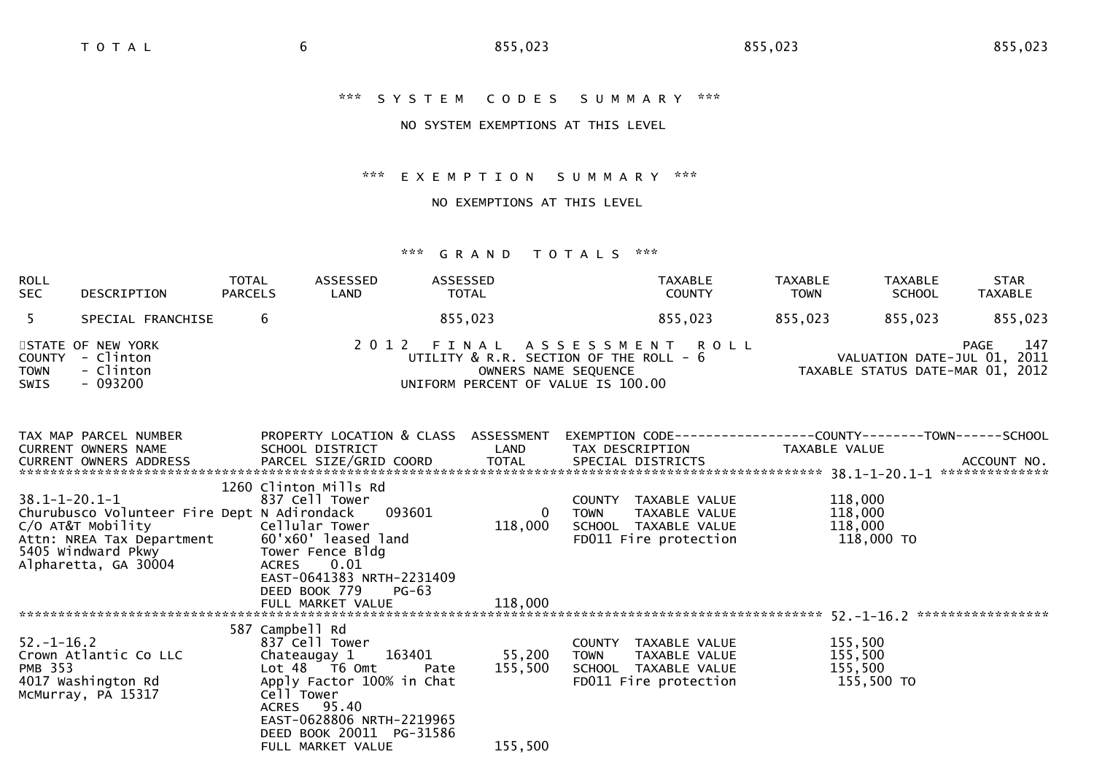# \*\*\* S Y S T E M C O D E S S U M M A R Y \*\*\*

# NO SYSTEM EXEMPTIONS AT THIS LEVEL

#### \*\*\* E X E M P T I O N S U M M A R Y \*\*\*

# NO EXEMPTIONS AT THIS LEVEL

| <b>ROLL</b><br><b>SEC</b>                   | DESCRIPTION                                                                                                                                                                                                                                          | TOTAL<br><b>PARCELS</b> | ASSESSED<br>LAND                                                                                                                                             | ASSESSED<br>TOTAL                                                            |                           | TAXABLE<br><b>COUNTY</b>                                                                    | TAXABLE<br><b>TOWN</b>        | TAXABLE<br><b>SCHOOL</b> | <b>STAR</b><br><b>TAXABLE</b>                                                  |
|---------------------------------------------|------------------------------------------------------------------------------------------------------------------------------------------------------------------------------------------------------------------------------------------------------|-------------------------|--------------------------------------------------------------------------------------------------------------------------------------------------------------|------------------------------------------------------------------------------|---------------------------|---------------------------------------------------------------------------------------------|-------------------------------|--------------------------|--------------------------------------------------------------------------------|
| 5                                           | SPECIAL FRANCHISE                                                                                                                                                                                                                                    | 6                       |                                                                                                                                                              | 855,023                                                                      |                           | 855,023                                                                                     | 855,023 855,023               |                          | 855,023                                                                        |
| <b>COUNTY</b><br><b>TOWN</b><br><b>SWIS</b> | STATE OF NEW YORK<br>- Clinton<br>- Clinton<br>- 093200                                                                                                                                                                                              |                         |                                                                                                                                                              | UTILITY & R.R. SECTION OF THE ROLL - 6<br>UNIFORM PERCENT OF VALUE IS 100.00 | OWNERS NAME SEQUENCE      | 2012 FINAL ASSESSMENT ROLL                                                                  |                               |                          | 147<br>PAGE<br>VALUATION DATE-JUL 01, 2011<br>TAXABLE STATUS DATE-MAR 01, 2012 |
|                                             | TAX MAP PARCEL NUMBER<br>CURRENT OWNERS NAME                                                                                                                                                                                                         |                         | PROPERTY LOCATION & CLASS ASSESSMENT EXEMPTION CODE-----------------COUNTY--------TOWN------SCHOOL<br>SCHOOL DISTRICT                                        | <b>Example 12 DE LAND</b>                                                    |                           | TAX DESCRIPTION TAXABLE VALUE                                                               |                               |                          |                                                                                |
|                                             | $38.1 - 1 - 20.1 - 1$<br>Churubusco Volunteer Fire Dept N Adirondack<br>C/O AT&T Mobility                                                                                                                                                            |                         | 1260 Clinton Mills Rd<br>837 Cell Tower<br>Cellular Tower<br>EAST-0641383 NRTH-2231409                                                                       | 093601                                                                       | $\overline{0}$<br>118,000 | COUNTY TAXABLE VALUE<br>TOWN TAXABLE VALUE<br>SCHOOL TAXABLE VALUE<br>FDO11 Fire protection | 118,000<br>118,000<br>118,000 | 118,000 TO               |                                                                                |
|                                             |                                                                                                                                                                                                                                                      |                         | DEED BOOK 779<br>FULL MARKET VALUE                                                                                                                           | $PG-63$<br>118,000                                                           |                           |                                                                                             |                               |                          |                                                                                |
| $52. - 1 - 16.2$                            | Crown Atlantic Co LLC<br>PMB 353<br>4017 Washington Rd<br>4017 Washington Rd<br>4017 Washington Rd<br>4017 Washington Rd<br>4017 Washington Rd<br>4017 Washington Rd<br>4017 Washington Rd<br>4017 Washington Rd<br>4017 Washington Rd<br>4017 Washi |                         | 587 Campbell Rd<br>837 Cell Tower<br>Chateaugay 1 163401 55,200<br>ACRES 95.40<br>EAST-0628806 NRTH-2219965<br>DEED BOOK 20011 PG-31586<br>FULL MARKET VALUE | 155,500                                                                      | <b>TOWN</b><br>155,500    | COUNTY TAXABLE VALUE<br>TOWN TAXABLE VALUE<br>SCHOOL TAXABLE VALUE<br>FD011 Fire protection | 155,500<br>155,500<br>155,500 | 155,500 TO               |                                                                                |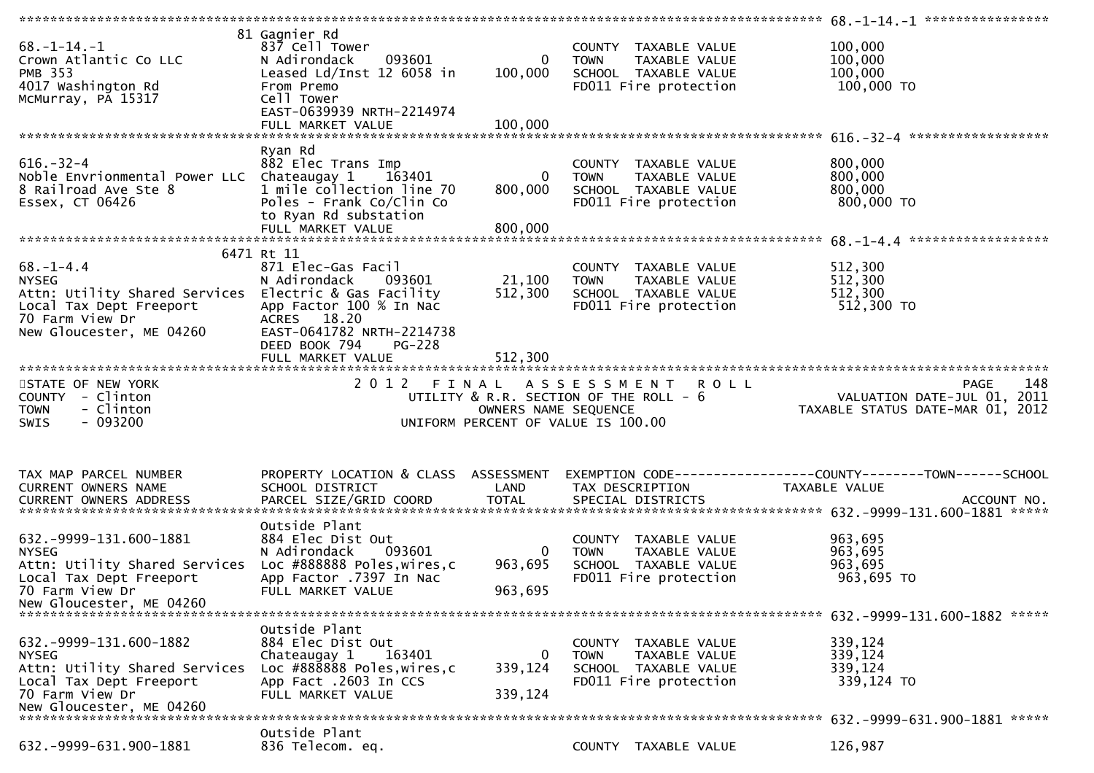| $68. - 1 - 14. - 1$<br>Crown Atlantic Co LLC<br><b>PMB 353</b><br>4017 Washington Rd<br>McMurray, PA 15317                                                                            | 81 Gagnier Rd<br>837 Cell Tower<br>093601<br>N Adirondack<br>Leased $Ld/Inst$ 12 6058 in<br>From Premo<br>Cell Tower<br>EAST-0639939 NRTH-2214974<br>FULL MARKET VALUE | $\mathbf{0}$<br>100,000<br>100,000   | COUNTY TAXABLE VALUE<br><b>TOWN</b><br>TAXABLE VALUE<br>SCHOOL TAXABLE VALUE<br>FD011 Fire protection              | 100,000<br>100,000<br>100,000<br>100,000 TO                                           |
|---------------------------------------------------------------------------------------------------------------------------------------------------------------------------------------|------------------------------------------------------------------------------------------------------------------------------------------------------------------------|--------------------------------------|--------------------------------------------------------------------------------------------------------------------|---------------------------------------------------------------------------------------|
|                                                                                                                                                                                       |                                                                                                                                                                        |                                      |                                                                                                                    |                                                                                       |
| $616. - 32 - 4$<br>Noble Envrionmental Power LLC Chateaugay 1 163401<br>8 Railroad Ave Ste 8<br>Essex, CT 06426                                                                       | Ryan Rd<br>882 Elec Trans Imp<br>1 mile collection line 70<br>Poles - Frank Co/Clin Co<br>to Ryan Rd substation<br>FULL MARKET VALUE                                   | $\mathbf{0}$<br>800,000<br>800,000   | COUNTY TAXABLE VALUE<br><b>TOWN</b><br>TAXABLE VALUE<br>SCHOOL TAXABLE VALUE<br>FD011 Fire protection              | 800,000<br>800,000<br>800,000<br>800,000 TO                                           |
|                                                                                                                                                                                       | 6471 Rt 11                                                                                                                                                             |                                      |                                                                                                                    |                                                                                       |
| $68. - 1 - 4.4$<br><b>NYSEG</b><br>Attn: Utility Shared Services Electric & Gas Facility<br>Local Tax Dept Freeport<br>70 Farm View Dr<br>o raim view Dr.<br>New Gloucester, ME 04260 | 871 Elec-Gas Facil<br>N Adirondack<br>093601<br>App Factor 100 % In Nac<br>ACRES 18.20<br>EAST-0641782 NRTH-2214738<br>DEED BOOK 794<br>$PG-228$                       | 21,100<br>512,300                    | COUNTY TAXABLE VALUE<br>TAXABLE VALUE<br><b>TOWN</b><br>SCHOOL TAXABLE VALUE<br>FD011 Fire protection              | 512,300<br>512,300<br>512,300<br>512,300 TO                                           |
|                                                                                                                                                                                       |                                                                                                                                                                        | 512,300                              |                                                                                                                    |                                                                                       |
|                                                                                                                                                                                       |                                                                                                                                                                        |                                      |                                                                                                                    |                                                                                       |
|                                                                                                                                                                                       |                                                                                                                                                                        |                                      |                                                                                                                    |                                                                                       |
| STATE OF NEW YORK<br>COUNTY - Clinton<br>- Clinton<br>TOWN<br>$-093200$<br>SWIS                                                                                                       | 2 0 1 2<br>FINAL                                                                                                                                                       | OWNERS NAME SEQUENCE                 | A S S E S S M E N T<br><b>ROLL</b><br>UTILITY & R.R. SECTION OF THE ROLL - 6<br>UNIFORM PERCENT OF VALUE IS 100.00 | 148<br><b>PAGE</b><br>VALUATION DATE-JUL 01, 2011<br>TAXABLE STATUS DATE-MAR 01, 2012 |
| TAX MAP PARCEL NUMBER<br><b>CURRENT OWNERS NAME</b>                                                                                                                                   | PROPERTY LOCATION & CLASS ASSESSMENT<br>SCHOOL DISTRICT                                                                                                                | LAND                                 | TAX DESCRIPTION                                                                                                    | EXEMPTION        CODE-----------------COUNTY-------TOWN------SCHOOL<br>TAXABLE VALUE  |
| CURRENT OWNERS ADDRESS                                                                                                                                                                | PARCEL SIZE/GRID COORD                                                                                                                                                 | <b>TOTAL</b>                         | SPECIAL DISTRICTS                                                                                                  | ACCOUNT NO.                                                                           |
| 632. - 9999 - 131. 600 - 1881<br><b>NYSEG</b><br>Attn: Utility Shared Services<br>Local Tax Dept Freeport<br>70 Farm View Dr<br>New Gloucester, ME 04260                              | Outside Plant<br>884 Elec Dist Out<br>N Adirondack<br>093601<br>Loc #888888 Poles, wires, c<br>App Factor .7397 In Nac<br>FULL MARKET VALUE                            | $\overline{0}$<br>963,695<br>963,695 | COUNTY TAXABLE VALUE<br><b>TOWN</b><br>TAXABLE VALUE<br>SCHOOL TAXABLE VALUE<br>FD011 Fire protection              | 963,695<br>963,695<br>963,695<br>963,695 TO                                           |
|                                                                                                                                                                                       |                                                                                                                                                                        |                                      |                                                                                                                    |                                                                                       |
| 632. - 9999 - 131. 600 - 1882<br><b>NYSEG</b><br>Attn: Utility Shared Services<br>Local Tax Dept Freeport<br>70 Farm View Dr<br>New Gloucester, ME 04260                              | Outside Plant<br>884 Elec Dist Out<br>Chateaugay 1<br>163401<br>Loc #888888 Poles, wires, c<br>App Fact .2603 In CCS<br>FULL MARKET VALUE                              | 0<br>339,124<br>339,124              | COUNTY<br>TAXABLE VALUE<br><b>TOWN</b><br>TAXABLE VALUE<br>SCHOOL TAXABLE VALUE<br>FD011 Fire protection           | 339,124<br>339,124<br>339,124<br>339,124 TO                                           |
|                                                                                                                                                                                       | Outside Plant                                                                                                                                                          |                                      |                                                                                                                    | 632. -9999-631.900-1881 *****                                                         |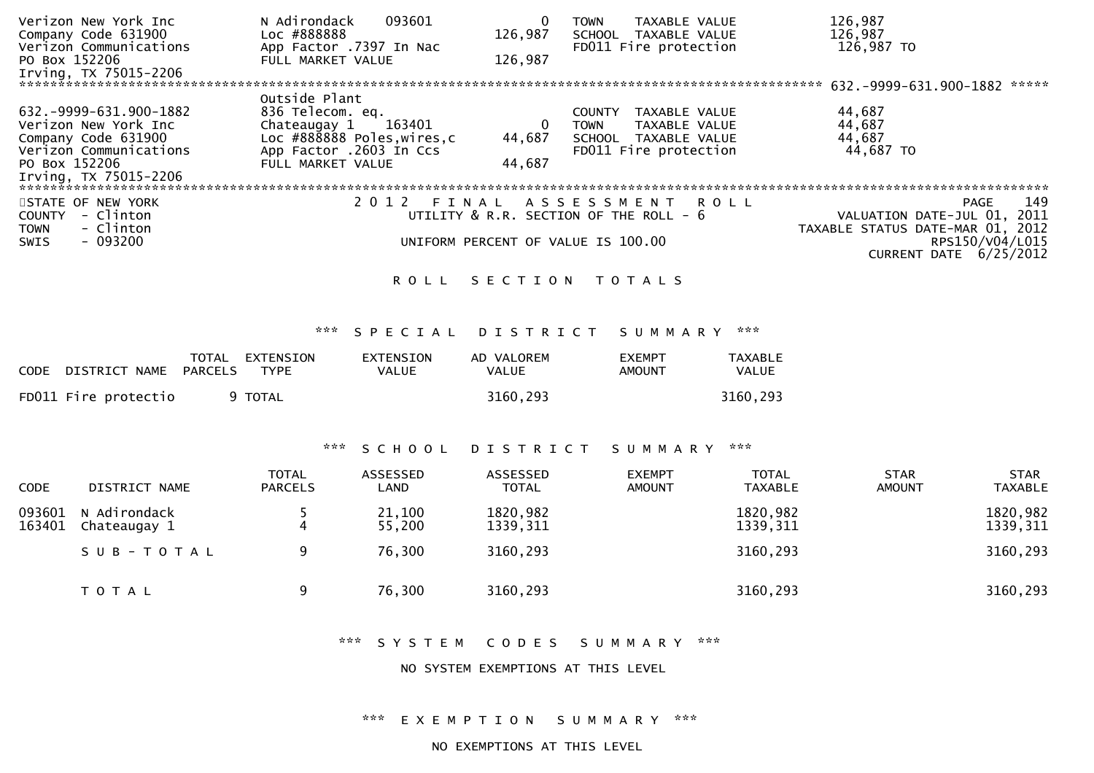| Verizon New York Inc<br>Company Code 631900<br>Verizon Communications                                                                      | N Adirondack<br>093601<br>Loc #888888<br>App Factor .7397 In Nac                                                                        | 0<br>126,987                         | TAXABLE VALUE<br><b>TOWN</b><br>SCHOOL<br>TAXABLE VALUE<br>FD011 Fire protection                                | 126,987<br>126,987<br>126,987 TO                                               |
|--------------------------------------------------------------------------------------------------------------------------------------------|-----------------------------------------------------------------------------------------------------------------------------------------|--------------------------------------|-----------------------------------------------------------------------------------------------------------------|--------------------------------------------------------------------------------|
| PO Box 152206<br>Irving, TX 75015-2206                                                                                                     | FULL MARKET VALUE                                                                                                                       | 126,987                              |                                                                                                                 | 632.-9999-631.900-1882<br>*****                                                |
| 632. -9999-631.900-1882<br>Verizon New York Inc<br>Company Code 631900<br>Verizon Communications<br>PO Box 152206<br>Irving, TX 75015-2206 | Outside Plant<br>836 Telecom. eq.<br>Chateaugay 1 163401<br>Loc #888888 Poles, wires, c<br>App Factor .2603 In Ccs<br>FULL MARKET VALUE | $\boldsymbol{0}$<br>44,687<br>44,687 | TAXABLE VALUE<br><b>COUNTY</b><br>TAXABLE VALUE<br><b>TOWN</b><br>SCHOOL TAXABLE VALUE<br>FD011 Fire protection | 44,687<br>44,687<br>44,687<br>44,687 TO                                        |
|                                                                                                                                            |                                                                                                                                         |                                      |                                                                                                                 |                                                                                |
| STATE OF NEW YORK<br>- Clinton<br><b>COUNTY</b><br>- Clinton<br><b>TOWN</b>                                                                |                                                                                                                                         |                                      | 2012 FINAL ASSESSMENT ROLL<br>UTILITY & R.R. SECTION OF THE ROLL - 6                                            | 149<br>PAGE<br>VALUATION DATE-JUL 01, 2011<br>TAXABLE STATUS DATE-MAR 01, 2012 |
| - 093200<br><b>SWIS</b>                                                                                                                    |                                                                                                                                         |                                      | UNIFORM PERCENT OF VALUE IS 100.00                                                                              | RPS150/V04/L015<br>CURRENT DATE 6/25/2012                                      |
|                                                                                                                                            | ROLL                                                                                                                                    |                                      | SECTION TOTALS                                                                                                  |                                                                                |

# \*\*\* S P E C I A L D I S T R I C T S U M M A R Y \*\*\*

| CODE                  | TOTAL EXTENSION | EXTENSION | AD VALOREM   | <b>EXEMPT</b> | TAXABLE  |
|-----------------------|-----------------|-----------|--------------|---------------|----------|
| DISTRICT NAME PARCELS | TYPE            | VALUE     | <b>VALUE</b> | AMOUNT        | VALUE    |
| FD011 Fire protectio  | 9 TOTAL         |           | 3160.293     |               | 3160.293 |

# \*\*\* S C H O O L D I S T R I C T S U M M A R Y \*\*\*

| <b>CODE</b>      | DISTRICT NAME                | TOTAL<br><b>PARCELS</b> | ASSESSED<br>LAND | <b>ASSESSED</b><br><b>TOTAL</b> | <b>EXEMPT</b><br><b>AMOUNT</b> | <b>TOTAL</b><br>TAXABLE | <b>STAR</b><br>AMOUNT | <b>STAR</b><br><b>TAXABLE</b> |
|------------------|------------------------------|-------------------------|------------------|---------------------------------|--------------------------------|-------------------------|-----------------------|-------------------------------|
| 093601<br>163401 | N Adirondack<br>Chateaugay 1 | 4                       | 21,100<br>55,200 | 1820,982<br>1339, 311           |                                | 1820,982<br>1339, 311   |                       | 1820,982<br>1339, 311         |
|                  | SUB-TOTAL                    | 9                       | 76,300           | 3160,293                        |                                | 3160,293                |                       | 3160,293                      |
|                  | T O T A L                    | 9                       | 76,300           | 3160,293                        |                                | 3160,293                |                       | 3160,293                      |

\*\*\* S Y S T E M C O D E S S U M M A R Y \*\*\*

NO SYSTEM EXEMPTIONS AT THIS LEVEL

\*\*\* E X E M P T I O N S U M M A R Y \*\*\*

NO EXEMPTIONS AT THIS LEVEL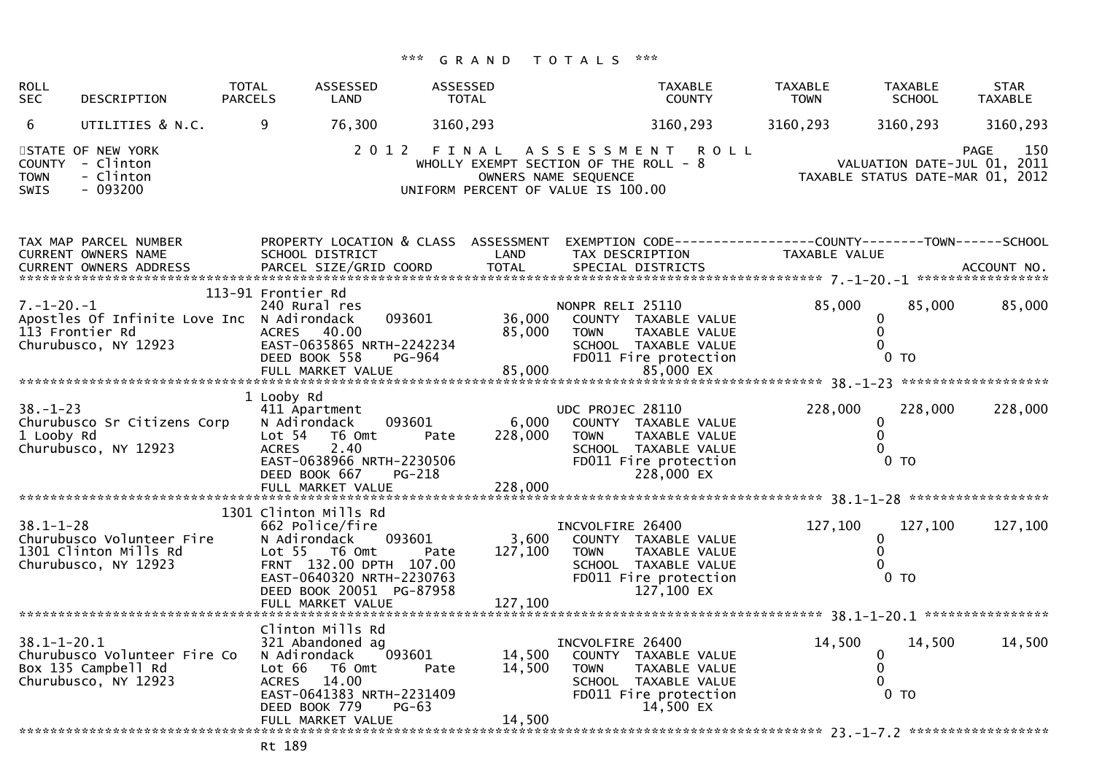| <b>ROLL</b><br><b>SEC</b>                   | DESCRIPTION                                                                           | <b>TOTAL</b><br><b>PARCELS</b>       | <b>ASSESSED</b><br>LAND                                                                                                                                         | <b>ASSESSED</b><br><b>TOTAL</b>     | <b>TAXABLE</b><br><b>COUNTY</b>                                                                                                                | <b>TAXABLE</b><br><b>TOWN</b>    | <b>TAXABLE</b><br><b>SCHOOL</b>                                  | <b>STAR</b><br><b>TAXABLE</b> |
|---------------------------------------------|---------------------------------------------------------------------------------------|--------------------------------------|-----------------------------------------------------------------------------------------------------------------------------------------------------------------|-------------------------------------|------------------------------------------------------------------------------------------------------------------------------------------------|----------------------------------|------------------------------------------------------------------|-------------------------------|
| 6                                           | UTILITIES & N.C.                                                                      | 9                                    | 76,300                                                                                                                                                          | 3160,293                            | 3160,293                                                                                                                                       | 3160,293                         | 3160,293                                                         | 3160,293                      |
| <b>COUNTY</b><br><b>TOWN</b><br><b>SWIS</b> | STATE OF NEW YORK<br>- Clinton<br>- Clinton<br>$-093200$                              |                                      |                                                                                                                                                                 | UNIFORM PERCENT OF VALUE IS 100.00  | 2012 FINAL ASSESSMENT<br><b>ROLL</b><br>WHOLLY EXEMPT SECTION OF THE ROLL - 8<br>OWNERS NAME SEQUENCE                                          | TAXABLE STATUS DATE-MAR 01, 2012 | VALUATION DATE-JUL 01, 2011                                      | PAGE<br>150                   |
|                                             | TAX MAP PARCEL NUMBER<br><b>CURRENT OWNERS NAME</b>                                   |                                      | PROPERTY LOCATION & CLASS ASSESSMENT<br>SCHOOL DISTRICT                                                                                                         | LAND                                | EXEMPTION CODE-----------------COUNTY--------TOWN------SCHOOL<br>TAX DESCRIPTION                                                               | TAXABLE VALUE                    |                                                                  |                               |
| $7. - 1 - 20. - 1$                          | Apostles Of Infinite Love Inc N Adirondack<br>113 Frontier Rd<br>Churubusco, NY 12923 | 113-91 Frontier Rd                   | 240 Rural res<br>093601<br>ACRES 40.00<br>EAST-0635865 NRTH-2242234<br>DEED BOOK 558<br>PG-964                                                                  | 36,000<br>85,000                    | NONPR RELI 25110<br>COUNTY TAXABLE VALUE<br><b>TOWN</b><br><b>TAXABLE VALUE</b><br>SCHOOL TAXABLE VALUE<br>FD011 Fire protection               | 85,000                           | 85,000<br>0<br>$\mathbf 0$<br>$\Omega$<br>$0$ TO                 | 85,000                        |
| $38. - 1 - 23$<br>1 Looby Rd                | Churubusco Sr Citizens Corp<br>Churubusco, NY 12923                                   | 1 Looby Rd<br>Lot 54<br><b>ACRES</b> | 411 Apartment<br>N Adirondack<br>093601<br>T6 Omt<br>2.40<br>EAST-0638966 NRTH-2230506<br>DEED BOOK 667<br>PG-218<br>FULL MARKET VALUE                          | 6,000<br>228,000<br>Pate<br>228,000 | UDC PROJEC 28110<br>COUNTY TAXABLE VALUE<br><b>TAXABLE VALUE</b><br><b>TOWN</b><br>SCHOOL TAXABLE VALUE<br>FD011 Fire protection<br>228,000 EX | 228,000                          | 228,000<br>0<br>$\mathbf{0}$<br>$\Omega$<br>0 <sub>T</sub>       | 228,000                       |
|                                             |                                                                                       |                                      |                                                                                                                                                                 |                                     |                                                                                                                                                |                                  |                                                                  |                               |
| $38.1 - 1 - 28$                             | Churubusco Volunteer Fire<br>1301 Clinton Mills Rd<br>Churubusco, NY 12923            | 1301 Clinton Mills Rd                | 662 Police/fire<br>093601<br>N Adirondack<br>Lot $55$ T6 Omt<br>FRNT 132.00 DPTH 107.00<br>EAST-0640320 NRTH-2230763<br>DEED BOOK 20051 PG-87958                | 3,600<br>127,100<br>Pate            | INCVOLFIRE 26400<br>COUNTY TAXABLE VALUE<br><b>TOWN</b><br>TAXABLE VALUE<br>SCHOOL TAXABLE VALUE<br>FD011 Fire protection<br>127,100 EX        | 127,100                          | 127.100<br>$\Omega$<br>$\mathbf 0$<br>$\Omega$<br>0 <sub>T</sub> | 127,100                       |
|                                             |                                                                                       |                                      | FULL MARKET VALUE                                                                                                                                               | 127,100                             |                                                                                                                                                |                                  |                                                                  |                               |
| $38.1 - 1 - 20.1$                           | Churubusco Volunteer Fire Co<br>Box 135 Campbell Rd<br>Churubusco, NY 12923           | Lot 66<br><b>ACRES</b>               | Clinton Mills Rd<br>321 Abandoned ag<br>N Adirondack<br>093601<br>T6 Omt<br>14.00<br>EAST-0641383 NRTH-2231409<br>DEED BOOK 779<br>$PG-63$<br>FULL MARKET VALUE | 14,500<br>14,500<br>Pate<br>14,500  | INCVOLFIRE 26400<br>COUNTY TAXABLE VALUE<br><b>TOWN</b><br><b>TAXABLE VALUE</b><br>SCHOOL TAXABLE VALUE<br>FD011 Fire protection<br>14,500 EX  | 14,500                           | 14,500<br>$\mathbf{0}$<br>0<br>$\Omega$<br>$0$ TO                | 14,500                        |
|                                             |                                                                                       |                                      |                                                                                                                                                                 |                                     |                                                                                                                                                |                                  |                                                                  |                               |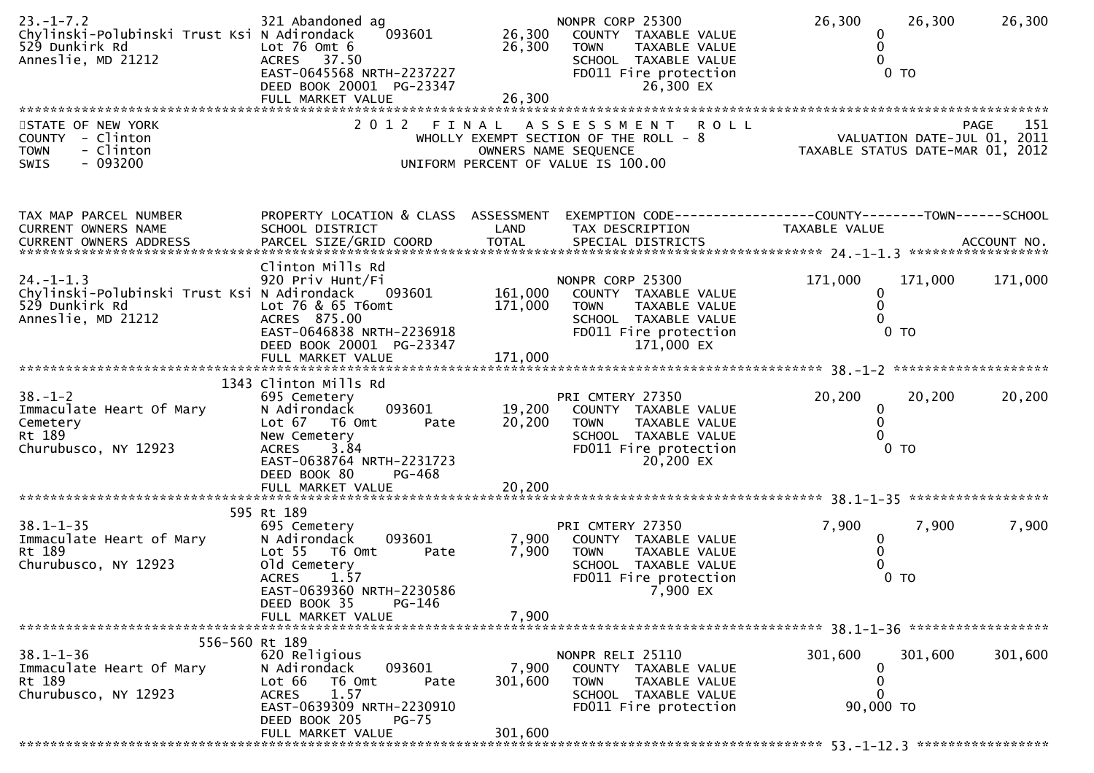| $23. - 1 - 7.2$<br>Chylinski-Polubinski Trust Ksi N Adirondack<br>529 Dunkirk Rd<br>Anneslie, MD 21212 | 321 Abandoned ag<br>093601<br>Lot $76$ Omt $6$<br>ACRES 37.50<br>EAST-0645568 NRTH-2237227<br>DEED BOOK 20001 PG-23347                                                                                       | 26,300<br>26,300            | NONPR CORP 25300<br>COUNTY TAXABLE VALUE<br>TAXABLE VALUE<br><b>TOWN</b><br>SCHOOL TAXABLE VALUE<br>FD011 Fire protection<br>26,300 EX    | 26,300<br>26,300<br>0<br>0<br>0 <sub>T</sub>                                  | 26,300             |
|--------------------------------------------------------------------------------------------------------|--------------------------------------------------------------------------------------------------------------------------------------------------------------------------------------------------------------|-----------------------------|-------------------------------------------------------------------------------------------------------------------------------------------|-------------------------------------------------------------------------------|--------------------|
| STATE OF NEW YORK<br>COUNTY - Clinton<br>- Clinton<br><b>TOWN</b><br>$-093200$<br>SWIS                 | 2012 FINAL                                                                                                                                                                                                   |                             | A S S E S S M E N T<br><b>ROLL</b><br>WHOLLY EXEMPT SECTION OF THE ROLL - 8<br>OWNERS NAME SEQUENCE<br>UNIFORM PERCENT OF VALUE IS 100.00 | VALUATION DATE-JUL 01, 2011<br>TAXABLE STATUS DATE-MAR 01, 2012               | 151<br><b>PAGE</b> |
| TAX MAP PARCEL NUMBER<br>CURRENT OWNERS NAME                                                           | PROPERTY LOCATION & CLASS ASSESSMENT<br>SCHOOL DISTRICT                                                                                                                                                      | LAND                        | TAX DESCRIPTION                                                                                                                           | EXEMPTION CODE-----------------COUNTY-------TOWN------SCHOOL<br>TAXABLE VALUE |                    |
| $24. - 1 - 1.3$<br>Chylinski-Polubinski Trust Ksi N Adirondack<br>529 Dunkirk Rd<br>Anneslie, MD 21212 | Clinton Mills Rd<br>920 Priv Hunt/Fi<br>093601<br>Lot 76 & 65 T6omt<br>ACRES 875.00<br>EAST-0646838 NRTH-2236918<br>DEED BOOK 20001 PG-23347                                                                 | 161,000<br>171,000          | NONPR CORP 25300<br>COUNTY TAXABLE VALUE<br>TAXABLE VALUE<br><b>TOWN</b><br>SCHOOL TAXABLE VALUE<br>FD011 Fire protection<br>171,000 EX   | 171,000<br>171,000<br>0<br>0<br>0 <sub>T</sub>                                | 171,000            |
| $38. - 1 - 2$<br>Immaculate Heart Of Mary<br>Cemetery<br>Rt 189<br>Churubusco, NY 12923                | 1343 Clinton Mills Rd<br>695 Cemetery<br>093601<br>N Adirondack<br>Lot 67 T6 Omt<br>Pate<br>New Cemetery<br>3.84<br><b>ACRES</b><br>EAST-0638764 NRTH-2231723<br>DEED BOOK 80<br>PG-468<br>FULL MARKET VALUE | 19,200<br>20,200<br>20,200  | PRI CMTERY 27350<br>COUNTY TAXABLE VALUE<br><b>TOWN</b><br>TAXABLE VALUE<br>SCHOOL TAXABLE VALUE<br>FD011 Fire protection<br>20,200 EX    | 20,200<br>20,200<br>0<br>0<br>$0$ TO                                          | 20,200             |
| $38.1 - 1 - 35$<br>Immaculate Heart of Mary<br>Rt 189<br>Churubusco, NY 12923                          | 595 Rt 189<br>695 Cemetery<br>093601<br>N Adirondack<br>Lot 55 T6 Omt<br>Pate<br>old Cemetery<br><b>ACRES</b><br>1.57<br>EAST-0639360 NRTH-2230586<br>PG-146<br>DEED BOOK 35<br>FULL MARKET VALUE            | 7,900<br>7,900<br>7,900     | PRI CMTERY 27350<br>COUNTY TAXABLE VALUE<br><b>TOWN</b><br>TAXABLE VALUE<br>SCHOOL TAXABLE VALUE<br>FD011 Fire protection<br>7,900 EX     | 7,900<br>7,900<br>0<br>0<br>$0$ TO                                            | 7,900              |
| 556-560 Rt 189                                                                                         |                                                                                                                                                                                                              |                             |                                                                                                                                           |                                                                               |                    |
| $38.1 - 1 - 36$<br>Immaculate Heart Of Mary<br>Rt 189<br>Churubusco, NY 12923                          | 620 Religious<br>N Adirondack<br>093601<br>Lot 66<br>T6 Omt<br>Pate<br>1.57<br><b>ACRES</b><br>EAST-0639309 NRTH-2230910<br>DEED BOOK 205<br>$PG-75$<br>FULL MARKET VALUE                                    | 7,900<br>301,600<br>301,600 | NONPR RELI 25110<br>COUNTY TAXABLE VALUE<br><b>TOWN</b><br>TAXABLE VALUE<br>SCHOOL TAXABLE VALUE<br>FD011 Fire protection                 | 301,600<br>301,600<br>0<br>0<br>0<br>90,000 TO                                | 301,600            |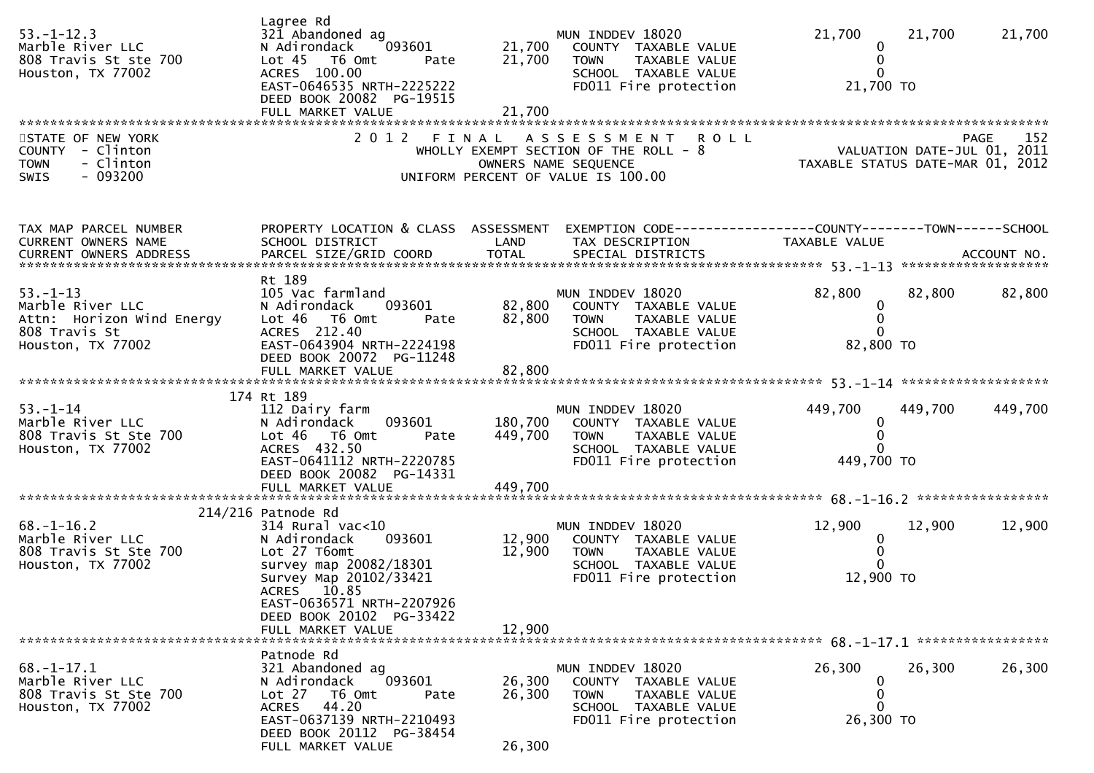| $53. - 1 - 12.3$<br>Marble River LLC<br>808 Travis St ste 700<br>Houston, TX 77002                    | Lagree Rd<br>321 Abandoned ag<br>093601<br>N Adirondack<br>Lot 45 T6 Omt<br>Pate<br>ACRES 100.00<br>EAST-0646535 NRTH-2225222<br>DEED BOOK 20082 PG-19515                                     | 21,700<br>21,700              | MUN INDDEV 18020<br>COUNTY TAXABLE VALUE<br><b>TOWN</b><br>TAXABLE VALUE<br>SCHOOL TAXABLE VALUE<br>FD011 Fire protection                   | 21,700<br>0<br>0<br>$\Omega$<br>21,700 TO                                                                       | 21,700  | 21,700  |
|-------------------------------------------------------------------------------------------------------|-----------------------------------------------------------------------------------------------------------------------------------------------------------------------------------------------|-------------------------------|---------------------------------------------------------------------------------------------------------------------------------------------|-----------------------------------------------------------------------------------------------------------------|---------|---------|
| STATE OF NEW YORK<br>COUNTY - Clinton<br>- Clinton<br><b>TOWN</b><br>SWIS<br>- 093200                 |                                                                                                                                                                                               |                               | 2012 FINAL ASSESSMENT<br><b>ROLL</b><br>WHOLLY EXEMPT SECTION OF THE ROLL - 8<br>OWNERS NAME SEQUENCE<br>UNIFORM PERCENT OF VALUE IS 100.00 | PAGE 152<br>VALUATION DATE-JUL 01, 2011<br>TAXARLE STATUS DATE ULL 01, 2011<br>TAXABLE STATUS DATE-MAR 01, 2012 |         | 152     |
| TAX MAP PARCEL NUMBER<br>CURRENT OWNERS NAME                                                          | PROPERTY LOCATION & CLASS ASSESSMENT<br>SCHOOL DISTRICT                                                                                                                                       | LAND                          | EXEMPTION CODE------------------COUNTY--------TOWN------SCHOOL<br>TAX DESCRIPTION                                                           | TAXABLE VALUE                                                                                                   |         |         |
| $53. - 1 - 13$<br>Marble River LLC<br>Attn: Horizon Wind Energy<br>808 Travis St<br>Houston, TX 77002 | Rt 189<br>105 Vac farmland<br>N Adirondack<br>093601<br>Lot 46 T6 Omt<br>Pate<br>ACRES 212.40<br>EAST-0643904 NRTH-2224198<br>DEED BOOK 20072 PG-11248                                        | 82,800<br>82,800              | MUN INDDEV 18020<br>COUNTY TAXABLE VALUE<br>TAXABLE VALUE<br><b>TOWN</b><br>SCHOOL TAXABLE VALUE<br>FD011 Fire protection                   | 82,800<br>$\boldsymbol{0}$<br>0<br>82,800 TO                                                                    | 82,800  | 82,800  |
|                                                                                                       | FULL MARKET VALUE                                                                                                                                                                             | 82,800                        |                                                                                                                                             |                                                                                                                 |         |         |
| $53. - 1 - 14$<br>Marble River LLC<br>808 Travis St Ste 700<br>Houston, TX 77002                      | 174 Rt 189<br>112 Dairy farm<br>N Adirondack<br>093601<br>Lot 46 T6 Omt<br>Pate<br>ACRES 432.50<br>EAST-0641112 NRTH-2220785<br>DEED BOOK 20082 PG-14331<br>FULL MARKET VALUE                 | 180,700<br>449,700<br>449,700 | MUN INDDEV 18020<br>COUNTY TAXABLE VALUE<br><b>TOWN</b><br>TAXABLE VALUE<br>SCHOOL TAXABLE VALUE<br>FD011 Fire protection                   | 449,700<br>0<br>0<br>449,700 TO                                                                                 | 449,700 | 449,700 |
|                                                                                                       | $214/216$ Patnode Rd                                                                                                                                                                          |                               |                                                                                                                                             |                                                                                                                 |         |         |
| $68. - 1 - 16.2$<br>Marble River LLC<br>808 Travis St Ste 700<br>Houston, TX 77002                    | $314$ Rural vac<10<br>093601<br>N Adirondack<br>Lot 27 T6omt<br>survey map 20082/18301<br>Survey Map 20102/33421<br>ACRES 10.85<br>EAST-0636571 NRTH-2207926<br>DEED BOOK 20102 PG-33422      | 12,900<br>12,900              | MUN INDDEV 18020<br>COUNTY TAXABLE VALUE<br>TAXABLE VALUE<br>TOWN<br>SCHOOL TAXABLE VALUE<br>FD011 Fire protection                          | 12,900<br>$\mathbf 0$<br>$\mathbf 0$<br>12,900 TO                                                               | 12,900  | 12,900  |
| ******************************                                                                        | FULL MARKET VALUE                                                                                                                                                                             | 12,900                        |                                                                                                                                             |                                                                                                                 |         |         |
| $68. - 1 - 17.1$<br>Marble River LLC<br>808 Travis St Ste 700<br>Houston, TX 77002                    | Patnode Rd<br>321 Abandoned ag<br>093601<br>N Adirondack<br>Lot $27$<br>T6 Omt<br>Pate<br>44.20<br><b>ACRES</b><br>EAST-0637139 NRTH-2210493<br>DEED BOOK 20112 PG-38454<br>FULL MARKET VALUE | 26,300<br>26,300<br>26,300    | MUN INDDEV 18020<br>COUNTY TAXABLE VALUE<br><b>TOWN</b><br>TAXABLE VALUE<br>SCHOOL TAXABLE VALUE<br>FD011 Fire protection                   | 26,300<br>0<br>0<br>0<br>26,300 TO                                                                              | 26,300  | 26,300  |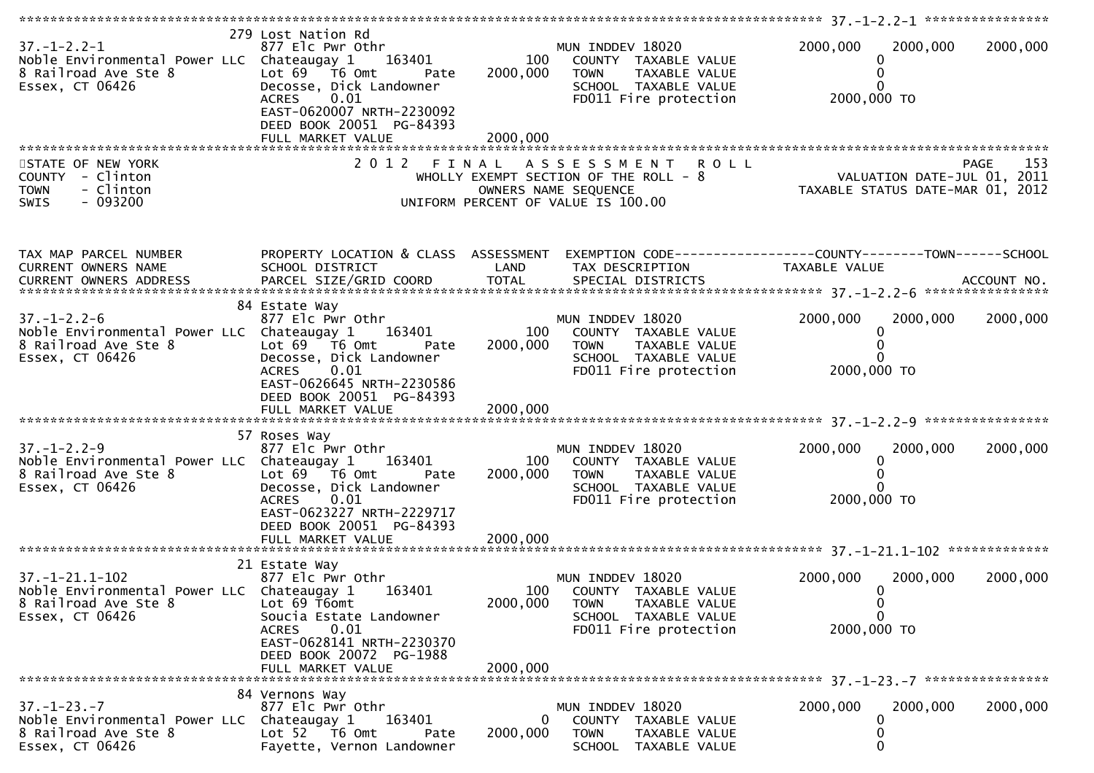| $37. - 1 - 2.2 - 1$<br>Noble Environmental Power LLC Chateaugay 1<br>8 Railroad Ave Ste 8<br>Essex, CT 06426    | 279 Lost Nation Rd<br>877 Elc Pwr Othr<br>163401<br>Lot $69$ $\overline{16}$ Omt<br>Pate<br>Decosse, Dick Landowner<br>0.01<br><b>ACRES</b><br>EAST-0620007 NRTH-2230092<br>DEED BOOK 20051 PG-84393                 | 100<br>2000,000             | MUN INDDEV 18020<br>COUNTY TAXABLE VALUE<br><b>TOWN</b><br>TAXABLE VALUE<br>SCHOOL TAXABLE VALUE<br>FD011 Fire protection         | 2000,000<br>0<br>0<br>2000,000 TO                        | 2000,000<br>2000,000                                                           |
|-----------------------------------------------------------------------------------------------------------------|----------------------------------------------------------------------------------------------------------------------------------------------------------------------------------------------------------------------|-----------------------------|-----------------------------------------------------------------------------------------------------------------------------------|----------------------------------------------------------|--------------------------------------------------------------------------------|
|                                                                                                                 | FULL MARKET VALUE                                                                                                                                                                                                    | 2000,000                    |                                                                                                                                   |                                                          |                                                                                |
| STATE OF NEW YORK<br>COUNTY - Clinton<br>- Clinton<br><b>TOWN</b><br>- 093200<br><b>SWIS</b>                    |                                                                                                                                                                                                                      |                             | 2012 FINAL ASSESSMENT ROLL<br>WHOLLY EXEMPT SECTION OF THE ROLL - 8<br>OWNERS NAME SEQUENCE<br>UNIFORM PERCENT OF VALUE IS 100.00 |                                                          | 153<br>PAGE<br>VALUATION DATE-JUL 01, 2011<br>TAXABLE STATUS DATE-MAR 01, 2012 |
| TAX MAP PARCEL NUMBER<br>CURRENT OWNERS NAME                                                                    | PROPERTY LOCATION & CLASS ASSESSMENT<br>SCHOOL DISTRICT                                                                                                                                                              | LAND                        | EXEMPTION CODE------------------COUNTY--------TOWN------SCHOOL<br>TAX DESCRIPTION                                                 | TAXABLE VALUE                                            |                                                                                |
| $37. - 1 - 2.2 - 6$<br>Noble Environmental Power LLC Chateaugay 1<br>8 Railroad Ave Ste 8<br>Essex, CT 06426    | 84 Estate Way<br>877 Elc Pwr Othr<br>163401<br>Lot $69$ $\overline{76}$ Omt<br>Pate<br>Decosse, Dick Landowner<br>0.01<br><b>ACRES</b><br>EAST-0626645 NRTH-2230586<br>DEED BOOK 20051 PG-84393<br>FULL MARKET VALUE | 100<br>2000,000<br>2000,000 | MUN INDDEV 18020<br>COUNTY TAXABLE VALUE<br><b>TOWN</b><br>TAXABLE VALUE<br>SCHOOL TAXABLE VALUE<br>FD011 Fire protection         | 2000,000<br>0<br>2000,000 TO                             | 2000,000<br>2000,000                                                           |
|                                                                                                                 |                                                                                                                                                                                                                      |                             |                                                                                                                                   |                                                          |                                                                                |
| $37. - 1 - 2.2 - 9$<br>Noble Environmental Power LLC Chateaugay 1<br>8 Railroad Ave Ste 8<br>Essex, CT 06426    | 57 Roses Way<br>877 Elc Pwr Othr<br>163401<br>Lot $69$ $\overline{76}$ Omt<br>Pate<br>Decosse, Dick Landowner<br>0.01<br><b>ACRES</b><br>EAST-0623227 NRTH-2229717<br>DEED BOOK 20051 PG-84393                       | 100<br>2000,000             | MUN INDDEV 18020<br>COUNTY TAXABLE VALUE<br><b>TOWN</b><br><b>TAXABLE VALUE</b><br>SCHOOL TAXABLE VALUE<br>FD011 Fire protection  | 2000,000<br>0<br>0<br>$\Omega$<br>2000,000 TO            | 2000,000<br>2000,000                                                           |
|                                                                                                                 |                                                                                                                                                                                                                      |                             |                                                                                                                                   |                                                          |                                                                                |
| $37. - 1 - 21.1 - 102$<br>Noble Environmental Power LLC Chateaugay 1<br>8 Railroad Ave Ste 8<br>Essex, CT 06426 | 21 Estate Way<br>877 Elc Pwr Othr<br>163401<br>Lot 69 T6omt<br>Soucia Estate Landowner<br>0.01<br><b>ACRES</b><br>EAST-0628141 NRTH-2230370<br>DEED BOOK 20072 PG-1988                                               | 100<br>2000,000             | MUN INDDEV 18020<br>COUNTY TAXABLE VALUE<br><b>TOWN</b><br>TAXABLE VALUE<br>SCHOOL TAXABLE VALUE<br>FD011 Fire protection         | 2000,000<br>0<br>$\bf{0}$<br>$\mathbf{0}$<br>2000,000 TO | 2000,000<br>2000,000                                                           |
|                                                                                                                 | FULL MARKET VALUE                                                                                                                                                                                                    | 2000,000                    |                                                                                                                                   |                                                          |                                                                                |
|                                                                                                                 | 84 Vernons Way                                                                                                                                                                                                       |                             |                                                                                                                                   |                                                          |                                                                                |
| $37. - 1 - 23. - 7$<br>Noble Environmental Power LLC<br>8 Railroad Ave Ste 8<br>Essex, CT 06426                 | 877 Elc Pwr Othr<br>Chateaugay 1<br>163401<br>Lot $52$ T6 Omt<br>Pate<br>Fayette, Vernon Landowner                                                                                                                   | 0<br>2000,000               | MUN INDDEV 18020<br>COUNTY TAXABLE VALUE<br><b>TOWN</b><br>TAXABLE VALUE<br>SCHOOL TAXABLE VALUE                                  | 2000,000<br>0<br>0<br>0                                  | 2000,000<br>2000,000                                                           |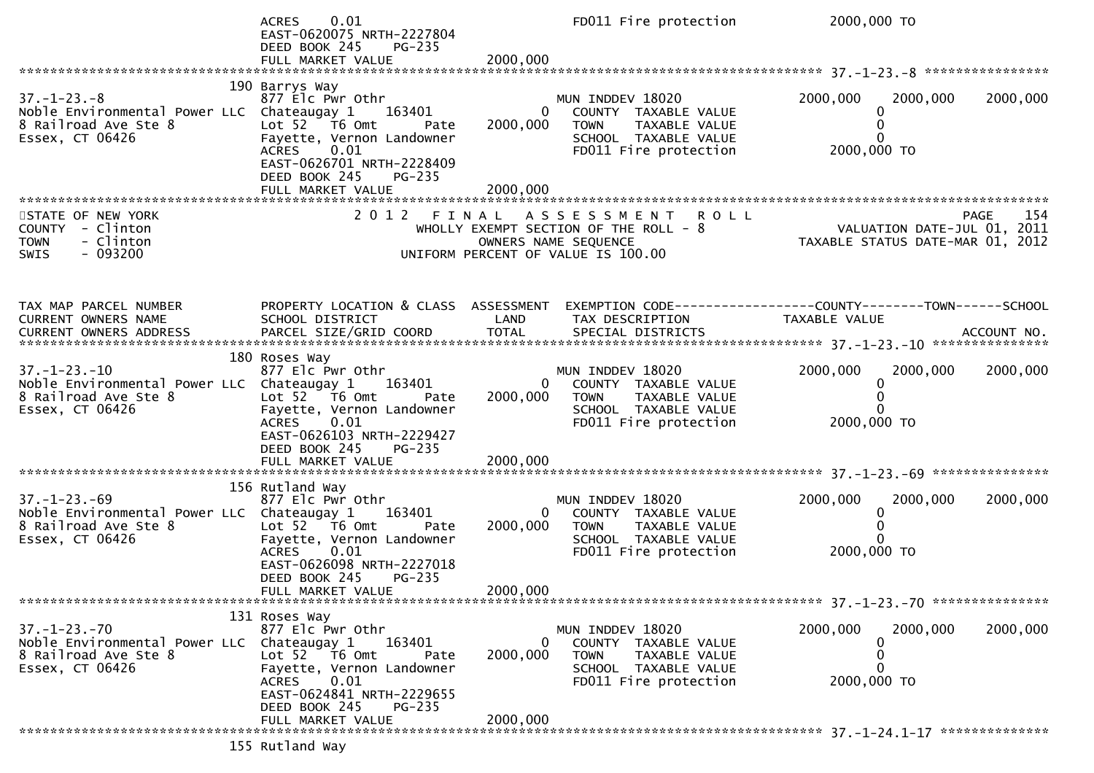|                                                                                                               | 0.01<br>ACRES<br>EAST-0620075 NRTH-2227804<br>DEED BOOK 245<br>PG-235<br>FULL MARKET VALUE                                                                                                             | 2000,000                             | FD011 Fire protection                                                                                                     | 2000,000 TO                                                                                                      |          |
|---------------------------------------------------------------------------------------------------------------|--------------------------------------------------------------------------------------------------------------------------------------------------------------------------------------------------------|--------------------------------------|---------------------------------------------------------------------------------------------------------------------------|------------------------------------------------------------------------------------------------------------------|----------|
|                                                                                                               |                                                                                                                                                                                                        |                                      |                                                                                                                           |                                                                                                                  |          |
| $37. - 1 - 23. - 8$<br>Noble Environmental Power LLC Chateaugay 1<br>8 Railroad Ave Ste 8<br>Essex, CT 06426  | 190 Barrys Way<br>877 Elc Pwr Othr<br>163401<br>Lot 52 T6 Omt<br>Pate<br>Fayette, Vernon Landowner<br><b>ACRES</b><br>0.01<br>EAST-0626701 NRTH-2228409<br>DEED BOOK 245<br><b>PG-235</b>              | $\mathbf{0}$<br>2000,000             | MUN INDDEV 18020<br>COUNTY TAXABLE VALUE<br><b>TOWN</b><br>TAXABLE VALUE<br>SCHOOL TAXABLE VALUE<br>FD011 Fire protection | 2000,000<br>2000,000<br>0<br>0<br>0<br>2000,000 TO                                                               | 2000,000 |
|                                                                                                               |                                                                                                                                                                                                        |                                      |                                                                                                                           |                                                                                                                  |          |
| STATE OF NEW YORK<br>COUNTY - Clinton<br>- Clinton<br><b>TOWN</b><br>$-093200$<br>SWIS                        |                                                                                                                                                                                                        | OWNERS NAME SEQUENCE                 | 2012 FINAL ASSESSMENT<br><b>ROLL</b><br>WHOLLY EXEMPT SECTION OF THE ROLL - 8<br>UNIFORM PERCENT OF VALUE IS 100.00       | PAGE 154<br>VALUATION DATE-JUL 01, 2011<br>TAXARLE STATUS DATE 1115 01, 2011<br>TAXABLE STATUS DATE-MAR 01, 2012 |          |
| TAX MAP PARCEL NUMBER<br>CURRENT OWNERS NAME                                                                  | PROPERTY LOCATION & CLASS ASSESSMENT<br>SCHOOL DISTRICT                                                                                                                                                | LAND                                 | TAX DESCRIPTION                                                                                                           | EXEMPTION CODE------------------COUNTY--------TOWN------SCHOOL<br>TAXABLE VALUE                                  |          |
| $37. - 1 - 23. - 10$<br>Noble Environmental Power LLC Chateaugay 1<br>8 Railroad Ave Ste 8<br>Essex, CT 06426 | 180 Roses Way<br>877 Elc Pwr Othr<br>163401<br>Lot 52 T6 Omt<br>Pate<br>Fayette, Vernon Landowner<br>0.01<br><b>ACRES</b><br>EAST-0626103 NRTH-2229427<br>DEED BOOK 245<br>PG-235<br>FULL MARKET VALUE | $\mathbf{0}$<br>2000,000<br>2000,000 | MUN INDDEV 18020<br>COUNTY TAXABLE VALUE<br>TAXABLE VALUE<br><b>TOWN</b><br>SCHOOL TAXABLE VALUE<br>FD011 Fire protection | 2000,000<br>2000,000<br>0<br>0<br>0<br>2000,000 TO                                                               | 2000,000 |
|                                                                                                               | 156 Rutland Way                                                                                                                                                                                        |                                      |                                                                                                                           |                                                                                                                  |          |
| $37. - 1 - 23. - 69$<br>Noble Environmental Power LLC Chateaugay 1<br>8 Railroad Ave Ste 8<br>Essex, CT 06426 | 877 Elc Pwr Othr<br>163401<br>Lot 52 T6 Omt<br>Pate<br>Fayette, Vernon Landowner<br><b>ACRES</b><br>0.01<br>EAST-0626098 NRTH-2227018<br>DEED BOOK 245<br>PG-235                                       | $\overline{0}$<br>2000,000           | MUN INDDEV 18020<br>COUNTY TAXABLE VALUE<br><b>TOWN</b><br>TAXABLE VALUE<br>SCHOOL TAXABLE VALUE<br>FD011 Fire protection | 2000,000<br>2000,000<br>0<br>0<br>0<br>2000,000 TO                                                               | 2000,000 |
|                                                                                                               | FULL MARKET VALUE                                                                                                                                                                                      | 2000,000                             |                                                                                                                           |                                                                                                                  |          |
| $37. - 1 - 23. - 70$<br>Noble Environmental Power LLC Chateaugay 1<br>8 Railroad Ave Ste 8<br>Essex, CT 06426 | 131 Roses Way<br>877 Elc Pwr Othr<br>163401<br>Lot 52  T6 Omt<br>Pate<br>Fayette, Vernon Landowner<br>ACRES<br>0.01<br>EAST-0624841 NRTH-2229655<br>DEED BOOK 245<br>$PG-235$                          | 0<br>2000,000                        | MUN INDDEV 18020<br>COUNTY TAXABLE VALUE<br><b>TOWN</b><br>TAXABLE VALUE<br>SCHOOL TAXABLE VALUE<br>FD011 Fire protection | 2000,000<br>2000,000<br>0<br>0<br>0<br>2000,000 TO                                                               | 2000,000 |
|                                                                                                               | FULL MARKET VALUE                                                                                                                                                                                      | 2000,000                             |                                                                                                                           |                                                                                                                  |          |
|                                                                                                               | 155 Rutland Way                                                                                                                                                                                        |                                      |                                                                                                                           |                                                                                                                  |          |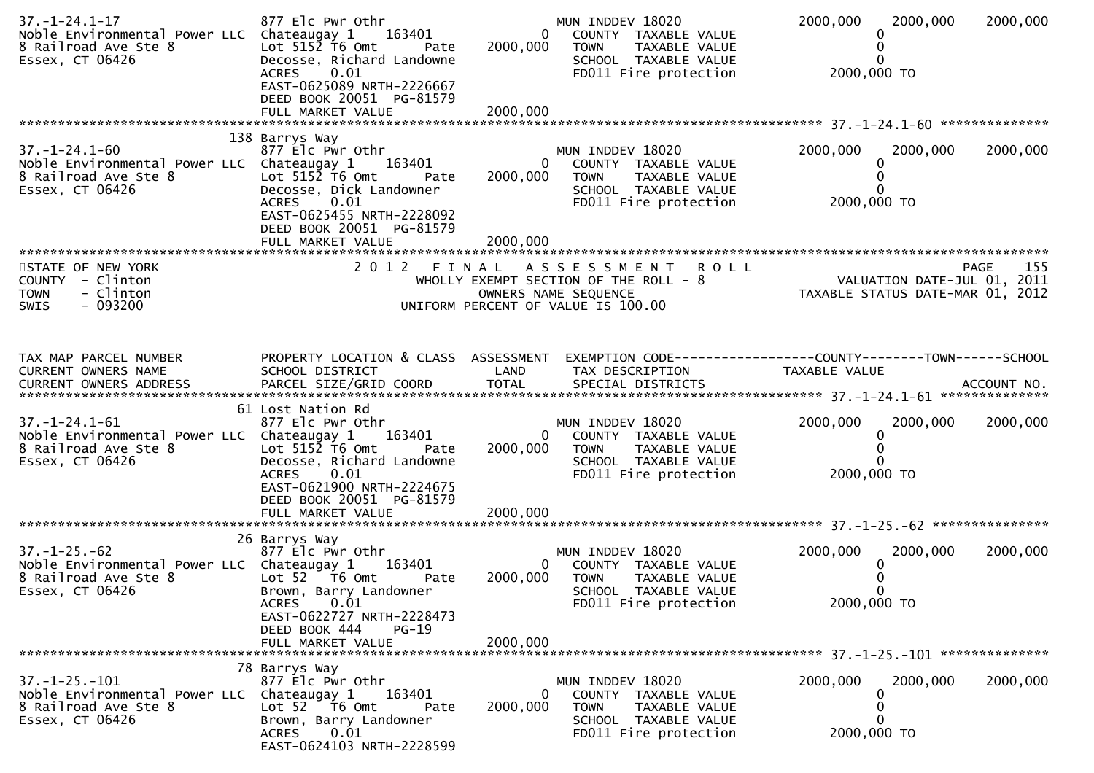| $37. - 1 - 24.1 - 17$<br>Noble Environmental Power LLC Chateaugay 1<br>8 Railroad Ave Ste 8<br>Essex, CT 06426                                                | 877 Elc Pwr Othr<br>163401<br>Lot $515\overline{2}$ T6 Omt<br>Pate<br>Decosse, Richard Landowne<br>0.01<br><b>ACRES</b><br>EAST-0625089 NRTH-2226667<br>DEED BOOK 20051 PG-81579<br>FULL MARKET VALUE   | 2000,000<br>2000,000     | MUN INDDEV 18020<br>COUNTY TAXABLE VALUE<br>$\mathbf{0}$<br><b>TOWN</b><br>TAXABLE VALUE<br>SCHOOL TAXABLE VALUE<br>FD011 Fire protection | 2000,000<br>2000,000<br>2000,000 TO                                                                    | 2000,000 |
|---------------------------------------------------------------------------------------------------------------------------------------------------------------|---------------------------------------------------------------------------------------------------------------------------------------------------------------------------------------------------------|--------------------------|-------------------------------------------------------------------------------------------------------------------------------------------|--------------------------------------------------------------------------------------------------------|----------|
|                                                                                                                                                               | 138 Barrys Way                                                                                                                                                                                          |                          |                                                                                                                                           |                                                                                                        |          |
| $37. - 1 - 24.1 - 60$<br>Noble Environmental Power LLC Chateaugay 1<br>8 Railroad Ave Ste 8<br>Essex, CT 06426                                                | 877 Elc Pwr Othr<br>163401<br>Lot $515\overline{2}$ T6 Omt<br>Pate<br>Decosse, Dick Landowner<br>0.01<br><b>ACRES</b><br>EAST-0625455 NRTH-2228092<br>DEED BOOK 20051 PG-81579                          | $\mathbf{0}$<br>2000,000 | MUN INDDEV 18020<br>COUNTY TAXABLE VALUE<br><b>TOWN</b><br>TAXABLE VALUE<br>SCHOOL TAXABLE VALUE<br>FD011 Fire protection                 | 2000,000<br>2000,000<br>2000,000 TO                                                                    | 2000,000 |
|                                                                                                                                                               |                                                                                                                                                                                                         |                          |                                                                                                                                           |                                                                                                        |          |
| STATE OF NEW YORK<br>COUNTY - Clinton<br>- Clinton<br><b>TOWN</b><br>SWIS<br>- 093200                                                                         |                                                                                                                                                                                                         |                          | 2012 FINAL ASSESSMENT ROLL<br>WHOLLY EXEMPT SECTION OF THE ROLL - 8<br>OWNERS NAME SEQUENCE<br>UNIFORM PERCENT OF VALUE IS 100.00         | PAGE 155<br>VALUATION DATE-JUL 01, 2011<br>TAXARLE STATUS DATE !!!<br>TAXABLE STATUS DATE-MAR 01, 2012 |          |
| TAX MAP PARCEL NUMBER<br>CURRENT OWNERS NAME<br>.4CCOUNT NO . PARCEL SIZE/GRID COORD TOTAL SPECIAL DISTRICTS AND MERS ADDRESS MECOUNT NO . AND MANUSCRIPT WAS | PROPERTY LOCATION & CLASS ASSESSMENT<br>SCHOOL DISTRICT                                                                                                                                                 | LAND                     | EXEMPTION CODE-----------------COUNTY-------TOWN------SCHOOL<br>TAX DESCRIPTION                                                           | TAXABLE VALUE                                                                                          |          |
| $37. - 1 - 24.1 - 61$<br>Noble Environmental Power LLC Chateaugay 1<br>8 Railroad Ave Ste 8<br>Essex, CT 06426                                                | 61 Lost Nation Rd<br>877 Elc Pwr Othr<br>163401<br>Lot $5152$ T6 Omt<br>Pate<br>Decosse, Richard Landowne<br>0.01<br><b>ACRES</b><br>EAST-0621900 NRTH-2224675<br>DEED BOOK 20051 PG-81579              | 2000,000                 | MUN INDDEV 18020<br>0 COUNTY TAXABLE VALUE<br><b>TOWN</b><br>TAXABLE VALUE<br>SCHOOL TAXABLE VALUE<br>FD011 Fire protection               | 2000,000<br>2000,000<br>2000,000 TO                                                                    | 2000,000 |
|                                                                                                                                                               | 26 Barrys Way                                                                                                                                                                                           |                          |                                                                                                                                           |                                                                                                        |          |
| $37. - 1 - 25. - 62$<br>Noble Environmental Power LLC Chateaugay 1<br>8 Railroad Ave Ste 8<br>Essex, CT 06426                                                 | 877 Elc Pwr Othr<br>163401<br>Lot $52$ $\overline{76}$ Omt<br>Pate<br>Brown, Barry Landowner<br>0.01<br><b>ACRES</b><br>EAST-0622727 NRTH-2228473<br>DEED BOOK 444<br><b>PG-19</b><br>FULL MARKET VALUE | 2000,000<br>2000,000     | MUN INDDEV 18020<br>0<br>COUNTY TAXABLE VALUE<br><b>TOWN</b><br><b>TAXABLE VALUE</b><br>SCHOOL TAXABLE VALUE<br>FD011 Fire protection     | 2000,000<br>2000,000<br>2000,000 TO                                                                    | 2000,000 |
| *******************************                                                                                                                               |                                                                                                                                                                                                         |                          |                                                                                                                                           |                                                                                                        |          |
| $37. - 1 - 25. - 101$<br>Noble Environmental Power LLC<br>8 Railroad Ave Ste 8<br>Essex, CT 06426                                                             | 78 Barrys Way<br>877 Elc Pwr Othr<br>Chateaugay 1<br>163401<br>Lot 52  T6 Omt<br>Pate<br>Brown, Barry Landowner<br>0.01<br><b>ACRES</b><br>EAST-0624103 NRTH-2228599                                    | 0<br>2000,000            | MUN INDDEV 18020<br>COUNTY TAXABLE VALUE<br><b>TOWN</b><br>TAXABLE VALUE<br>SCHOOL TAXABLE VALUE<br>FD011 Fire protection                 | 2000,000<br>2000,000<br>0<br>2000,000 TO                                                               | 2000,000 |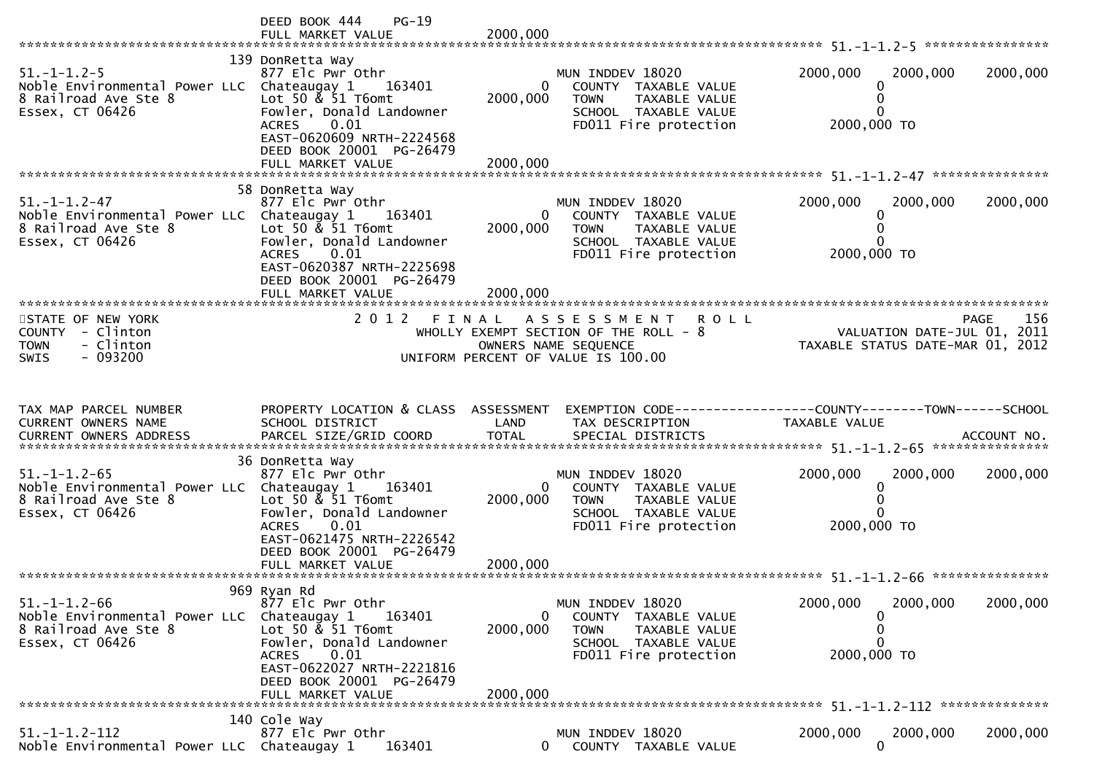|                                                                                                               | DEED BOOK 444<br>$PG-19$<br>FULL MARKET VALUE                                                                                                                                                                    | 2000,000                         |                                                                                                                                           |                                                                 |             |
|---------------------------------------------------------------------------------------------------------------|------------------------------------------------------------------------------------------------------------------------------------------------------------------------------------------------------------------|----------------------------------|-------------------------------------------------------------------------------------------------------------------------------------------|-----------------------------------------------------------------|-------------|
| $51. - 1 - 1.2 - 5$<br>Noble Environmental Power LLC Chateaugay 1<br>8 Railroad Ave Ste 8<br>Essex, CT 06426  | 139 DonRetta Way<br>877 Elc Pwr Othr<br>163401<br>Lot 50 & 51 T6omt<br>Fowler, Donald Landowner<br>0.01<br><b>ACRES</b><br>EAST-0620609 NRTH-2224568<br>DEED BOOK 20001 PG-26479<br>FULL MARKET VALUE            | 0<br>2000,000<br>2000,000        | MUN INDDEV 18020<br>COUNTY TAXABLE VALUE<br><b>TOWN</b><br>TAXABLE VALUE<br>SCHOOL TAXABLE VALUE<br>FD011 Fire protection                 | 2000,000<br>2000,000<br>0<br>0<br>2000,000 TO                   | 2000,000    |
| $51. - 1 - 1.2 - 47$<br>Noble Environmental Power LLC Chateaugay 1<br>8 Railroad Ave Ste 8<br>Essex, CT 06426 | 58 DonRetta Way<br>877 Elc Pwr Othr<br>163401<br>Lot 50 & 51 T6omt<br>Fowler, Donald Landowner<br>0.01<br><b>ACRES</b><br>EAST-0620387 NRTH-2225698<br>DEED BOOK 20001 PG-26479<br>FULL MARKET VALUE             | $\Omega$<br>2000,000<br>2000,000 | MUN INDDEV 18020<br>COUNTY TAXABLE VALUE<br>TAXABLE VALUE<br><b>TOWN</b><br>SCHOOL TAXABLE VALUE<br>FD011 Fire protection                 | 2000,000<br>2000,000<br>0<br>0<br>0<br>2000,000 TO              | 2000,000    |
| STATE OF NEW YORK<br>COUNTY - Clinton<br><b>TOWN</b><br>- Clinton<br>$-093200$<br>SWIS                        | 2 0 1 2<br>FINAL                                                                                                                                                                                                 |                                  | <b>ROLL</b><br>A S S E S S M E N T<br>WHOLLY EXEMPT SECTION OF THE ROLL - 8<br>OWNERS NAME SEQUENCE<br>UNIFORM PERCENT OF VALUE IS 100.00 | VALUATION DATE-JUL 01, 2011<br>TAXABLE STATUS DATE-MAR 01, 2012 | 156<br>PAGE |
|                                                                                                               |                                                                                                                                                                                                                  |                                  |                                                                                                                                           |                                                                 |             |
| TAX MAP PARCEL NUMBER<br>CURRENT OWNERS NAME<br>CURRENT OWNERS ADDRESS                                        | PROPERTY LOCATION & CLASS ASSESSMENT<br>SCHOOL DISTRICT<br>PARCEL SIZE/GRID COORD                                                                                                                                | LAND<br><b>TOTAL</b>             | TAX DESCRIPTION<br>SPECIAL DISTRICTS                                                                                                      | TAXABLE VALUE                                                   | ACCOUNT NO. |
| $51. - 1 - 1.2 - 65$<br>Noble Environmental Power LLC Chateaugay 1<br>8 Railroad Ave Ste 8<br>Essex, CT 06426 | 36 DonRetta Way<br>877 Elc Pwr Othr<br>163401<br>Lot 50 $\&$ 51 T6omt<br>Fowler, Donald Landowner<br>ACRES 0.01<br>EAST-0621475 NRTH-2226542<br>DEED BOOK 20001 PG-26479                                         | $\mathbf{0}$<br>2000,000         | MUN INDDEV 18020<br>COUNTY TAXABLE VALUE<br><b>TOWN</b><br>TAXABLE VALUE<br>SCHOOL TAXABLE VALUE<br>FD011 Fire protection                 | 2000,000<br>2000,000<br>0<br>0<br>0<br>2000,000 TO              | 2000,000    |
| $51. - 1 - 1.2 - 66$<br>Noble Environmental Power LLC<br>8 Railroad Ave Ste 8<br>Essex, CT 06426              | 969 Ryan Rd<br>877 Elc Pwr Othr<br>Chateaugay 1<br>163401<br>Lot 50 & 51 T6omt<br>Fowler, Donald Landowner<br>0.01<br><b>ACRES</b><br>EAST-0622027 NRTH-2221816<br>DEED BOOK 20001 PG-26479<br>FULL MARKET VALUE | 0<br>2000,000<br>2000.000        | MUN INDDEV 18020<br>COUNTY TAXABLE VALUE<br><b>TOWN</b><br>TAXABLE VALUE<br>SCHOOL TAXABLE VALUE<br>FD011 Fire protection                 | 2000,000<br>2000,000<br>0<br>0<br>0<br>2000,000 TO              | 2000,000    |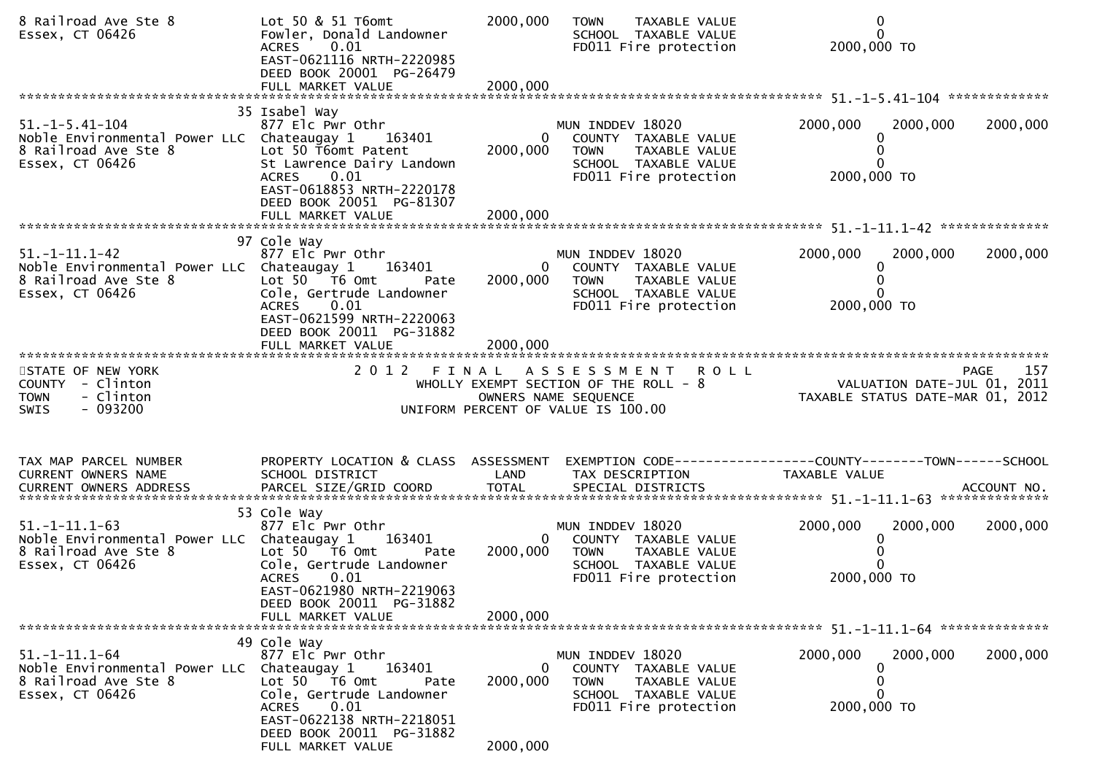| 8 Railroad Ave Ste 8<br>Essex, CT 06426                                                                        | Lot 50 & 51 T6omt<br>Fowler, Donald Landowner<br>0.01<br><b>ACRES</b><br>EAST-0621116 NRTH-2220985<br>DEED BOOK 20001 PG-26479                                                      | 2000,000                   | TAXABLE VALUE<br><b>TOWN</b><br>SCHOOL TAXABLE VALUE<br>FD011 Fire protection                                                     | 0<br>$\Omega$<br>2000,000 TO                                                            |          |
|----------------------------------------------------------------------------------------------------------------|-------------------------------------------------------------------------------------------------------------------------------------------------------------------------------------|----------------------------|-----------------------------------------------------------------------------------------------------------------------------------|-----------------------------------------------------------------------------------------|----------|
|                                                                                                                |                                                                                                                                                                                     |                            |                                                                                                                                   |                                                                                         |          |
| $51. -1 - 5.41 - 104$<br>Noble Environmental Power LLC Chateaugay 1<br>8 Railroad Ave Ste 8<br>Essex, CT 06426 | 35 Isabel Way<br>877 Elc Pwr Othr<br>163401<br>Lot 50 T6omt Patent<br>St Lawrence Dairy Landown<br>0.01<br><b>ACRES</b><br>EAST-0618853 NRTH-2220178<br>DEED BOOK 20051 PG-81307    | $\mathbf{0}$<br>2000,000   | MUN INDDEV 18020<br>COUNTY TAXABLE VALUE<br>TAXABLE VALUE<br>TOWN<br>SCHOOL TAXABLE VALUE<br>FD011 Fire protection                | 2000,000<br>2000,000<br>2000,000 TO                                                     | 2000,000 |
|                                                                                                                |                                                                                                                                                                                     |                            |                                                                                                                                   |                                                                                         |          |
| $51. - 1 - 11.1 - 42$<br>Noble Environmental Power LLC Chateaugay 1<br>8 Railroad Ave Ste 8<br>Essex, CT 06426 | 97 Cole Way<br>877 Elc Pwr Othr<br>163401<br>Lot $50$ $\overline{76}$ Omt<br>Pate<br>Cole, Gertrude Landowner<br>0.01<br><b>ACRES</b><br>EAST-0621599 NRTH-2220063                  | $\overline{0}$<br>2000,000 | MUN INDDEV 18020<br>COUNTY TAXABLE VALUE<br><b>TOWN</b><br>TAXABLE VALUE<br>SCHOOL TAXABLE VALUE<br>FD011 Fire protection         | 2000,000<br>2000,000<br>0<br>2000,000 TO                                                | 2000,000 |
|                                                                                                                | DEED BOOK 20011 PG-31882<br>FULL MARKET VALUE                                                                                                                                       | 2000,000                   |                                                                                                                                   |                                                                                         |          |
|                                                                                                                |                                                                                                                                                                                     |                            |                                                                                                                                   |                                                                                         |          |
| STATE OF NEW YORK<br>COUNTY - Clinton<br>- Clinton<br><b>TOWN</b><br>- 093200<br>SWIS                          |                                                                                                                                                                                     |                            | 2012 FINAL ASSESSMENT ROLL<br>WHOLLY EXEMPT SECTION OF THE ROLL - 8<br>OWNERS NAME SEQUENCE<br>UNIFORM PERCENT OF VALUE IS 100.00 | <b>PAGE</b><br>74GE<br>2011 VALUATION DATE-JUL<br>2012 TAXABLE STATUS DATE-MAR 01, 2012 | 157      |
| TAX MAP PARCEL NUMBER<br>CURRENT OWNERS NAME                                                                   | PROPERTY LOCATION & CLASS ASSESSMENT<br>SCHOOL DISTRICT                                                                                                                             | LAND                       | TAX DESCRIPTION                                                                                                                   | EXEMPTION CODE-----------------COUNTY--------TOWN------SCHOOL<br>TAXABLE VALUE          |          |
|                                                                                                                |                                                                                                                                                                                     |                            |                                                                                                                                   |                                                                                         |          |
|                                                                                                                |                                                                                                                                                                                     |                            |                                                                                                                                   |                                                                                         |          |
| $51. - 1 - 11.1 - 63$<br>Noble Environmental Power LLC Chateaugay 1<br>8 Railroad Ave Ste 8<br>Essex, CT 06426 | 53 Cole Way<br>877 Elc Pwr Othr<br>163401<br>Lot $50 - 76$ Omt<br>Pate<br>Cole, Gertrude Landowner<br><b>ACRES</b><br>0.01<br>EAST-0621980 NRTH-2219063<br>DEED BOOK 20011 PG-31882 | $\overline{0}$<br>2000,000 | MUN INDDEV 18020<br>COUNTY TAXABLE VALUE<br><b>TOWN</b><br>TAXABLE VALUE<br>SCHOOL TAXABLE VALUE<br>FD011 Fire protection         | 2000,000<br>2000,000<br>2000,000 TO                                                     | 2000,000 |
|                                                                                                                | FULL MARKET VALUE                                                                                                                                                                   | 2000,000                   |                                                                                                                                   |                                                                                         |          |
|                                                                                                                | 49 Cole Way                                                                                                                                                                         |                            |                                                                                                                                   |                                                                                         |          |
| $51. - 1 - 11.1 - 64$<br>Noble Environmental Power LLC<br>8 Railroad Ave Ste 8<br>Essex, CT 06426              | 877 Elc Pwr Othr<br>163401<br>Chateaugay 1<br>Lot 50 T6 Omt<br>Pate<br>Cole, Gertrude Landowner<br>0.01<br><b>ACRES</b><br>EAST-0622138 NRTH-2218051                                | $\mathbf{0}$<br>2000,000   | MUN INDDEV 18020<br>COUNTY TAXABLE VALUE<br><b>TOWN</b><br>TAXABLE VALUE<br>SCHOOL TAXABLE VALUE<br>FD011 Fire protection         | 2000,000<br>2000,000<br>0<br>0<br>2000,000 TO                                           | 2000,000 |
|                                                                                                                | DEED BOOK 20011 PG-31882<br>FULL MARKET VALUE                                                                                                                                       | 2000,000                   |                                                                                                                                   |                                                                                         |          |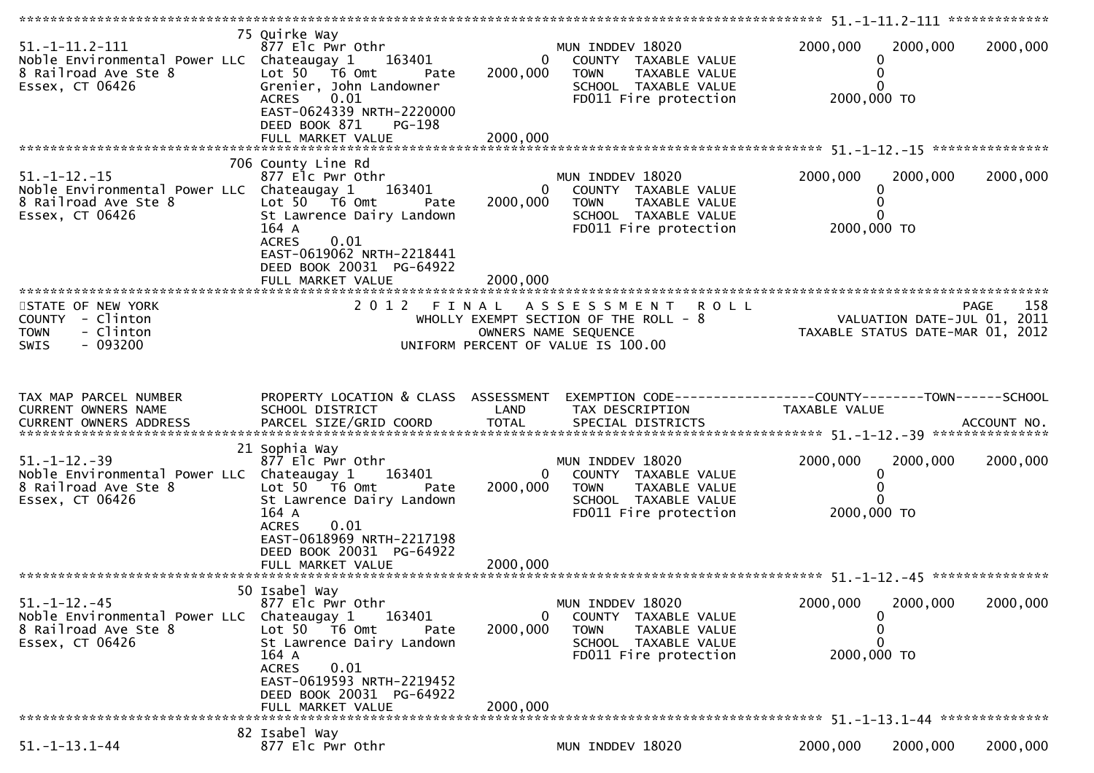| $51. -1 - 11.2 - 111$<br>Noble Environmental Power LLC Chateaugay 1 163401<br>8 Railroad Ave Ste 8<br>Essex, CT 06426 | 75 Quirke Way<br>877 Elc Pwr Othr<br>Lot $50$ $\overline{16}$ Omt<br>Pate<br>Grenier, John Landowner<br>0.01<br><b>ACRES</b><br>EAST-0624339 NRTH-2220000<br>DEED BOOK 871<br>PG-198<br>FULL MARKET VALUE | $\overline{0}$<br>2000,000<br>2000,000 | MUN INDDEV 18020<br>COUNTY TAXABLE VALUE<br><b>TOWN</b><br>TAXABLE VALUE<br>SCHOOL TAXABLE VALUE<br>FD011 Fire protection | 2000,000<br>2000,000<br>0<br>0<br>0<br>2000,000 TO                                    | 2000,000    |
|-----------------------------------------------------------------------------------------------------------------------|-----------------------------------------------------------------------------------------------------------------------------------------------------------------------------------------------------------|----------------------------------------|---------------------------------------------------------------------------------------------------------------------------|---------------------------------------------------------------------------------------|-------------|
|                                                                                                                       |                                                                                                                                                                                                           |                                        |                                                                                                                           |                                                                                       |             |
| $51. - 1 - 12. - 15$<br>Noble Environmental Power LLC Chateaugay 1 163401<br>8 Railroad Ave Ste 8<br>Essex, CT 06426  | 706 County Line Rd<br>877 Elc Pwr Othr<br>Lot $50 - 76$ Omt<br>Pate<br>St Lawrence Dairy Landown<br>164 A<br><b>ACRES</b><br>0.01<br>EAST-0619062 NRTH-2218441<br>DEED BOOK 20031 PG-64922                | 0<br>2000,000                          | MUN INDDEV 18020<br>COUNTY TAXABLE VALUE<br>TAXABLE VALUE<br><b>TOWN</b><br>SCHOOL TAXABLE VALUE<br>FD011 Fire protection | 2000,000<br>2000,000<br>0<br>0<br>$\Omega$<br>2000,000 TO                             | 2000,000    |
|                                                                                                                       | FULL MARKET VALUE                                                                                                                                                                                         | 2000.000                               |                                                                                                                           |                                                                                       |             |
| STATE OF NEW YORK<br>COUNTY - Clinton<br>- Clinton<br><b>TOWN</b><br>$-093200$<br><b>SWIS</b>                         | 2012<br>FINAL                                                                                                                                                                                             |                                        | ASSESSMENT ROLL<br>WHOLLY EXEMPT SECTION OF THE ROLL - 8<br>OWNERS NAME SEQUENCE<br>UNIFORM PERCENT OF VALUE IS 100.00    | PAGE 158<br>2011 ROLL - 8 VALUATION DATE-JUL<br>2012 TAXABLE STATUS DATE-MAR 01, 2012 | PAGE<br>158 |
|                                                                                                                       |                                                                                                                                                                                                           |                                        |                                                                                                                           |                                                                                       |             |
|                                                                                                                       |                                                                                                                                                                                                           |                                        |                                                                                                                           |                                                                                       |             |
| TAX MAP PARCEL NUMBER<br>CURRENT OWNERS NAME<br>CURRENT OWNERS ADDRESS                                                | PROPERTY LOCATION & CLASS ASSESSMENT<br>SCHOOL DISTRICT                                                                                                                                                   | LAND                                   | EXEMPTION CODE------------------COUNTY--------TOWN------SCHOOL<br>TAX DESCRIPTION                                         | TAXABLE VALUE                                                                         |             |
|                                                                                                                       |                                                                                                                                                                                                           |                                        |                                                                                                                           |                                                                                       |             |
| $51. - 1 - 12. - 39$<br>Noble Environmental Power LLC Chateaugay 1 163401<br>8 Railroad Ave Ste 8<br>Essex, CT 06426  | 21 Sophia Way<br>877 Elc Pwr Othr<br>Lot $50$ $\overline{16}$ Omt<br>Pate<br>St Lawrence Dairy Landown<br>164 A                                                                                           | $\overline{0}$<br>2000,000             | MUN INDDEV 18020<br>COUNTY TAXABLE VALUE<br><b>TOWN</b><br>TAXABLE VALUE<br>SCHOOL TAXABLE VALUE<br>FD011 Fire protection | 2000,000<br>2000,000<br>0<br>0<br>0<br>2000,000 TO                                    | 2000,000    |
|                                                                                                                       | <b>ACRES</b><br>0.01<br>EAST-0618969 NRTH-2217198<br>DEED BOOK 20031 PG-64922                                                                                                                             |                                        |                                                                                                                           |                                                                                       |             |
| $51. - 1 - 12. - 45$<br>Noble Environmental Power LLC<br>8 Railroad Ave Ste 8<br>Essex, CT 06426                      | 50 Isabel Way<br>877 Elc Pwr Othr<br>Chateaugay 1<br>163401<br>Lot 50 T6 Omt<br>Pate<br>St Lawrence Dairy Landown<br>164 A<br>0.01<br><b>ACRES</b>                                                        | 0<br>2000,000                          | MUN INDDEV 18020<br>COUNTY TAXABLE VALUE<br><b>TOWN</b><br>TAXABLE VALUE<br>SCHOOL TAXABLE VALUE<br>FD011 Fire protection | 2000,000<br>2000,000<br>0<br>0<br>0<br>2000,000 TO                                    | 2000,000    |
|                                                                                                                       | EAST-0619593 NRTH-2219452<br>DEED BOOK 20031 PG-64922<br>FULL MARKET VALUE                                                                                                                                | 2000,000                               |                                                                                                                           |                                                                                       |             |
| $51. - 1 - 13.1 - 44$                                                                                                 | 82 Isabel Way<br>877 Elc Pwr Othr                                                                                                                                                                         |                                        | MUN INDDEV 18020                                                                                                          | 2000,000<br>2000,000                                                                  | 2000,000    |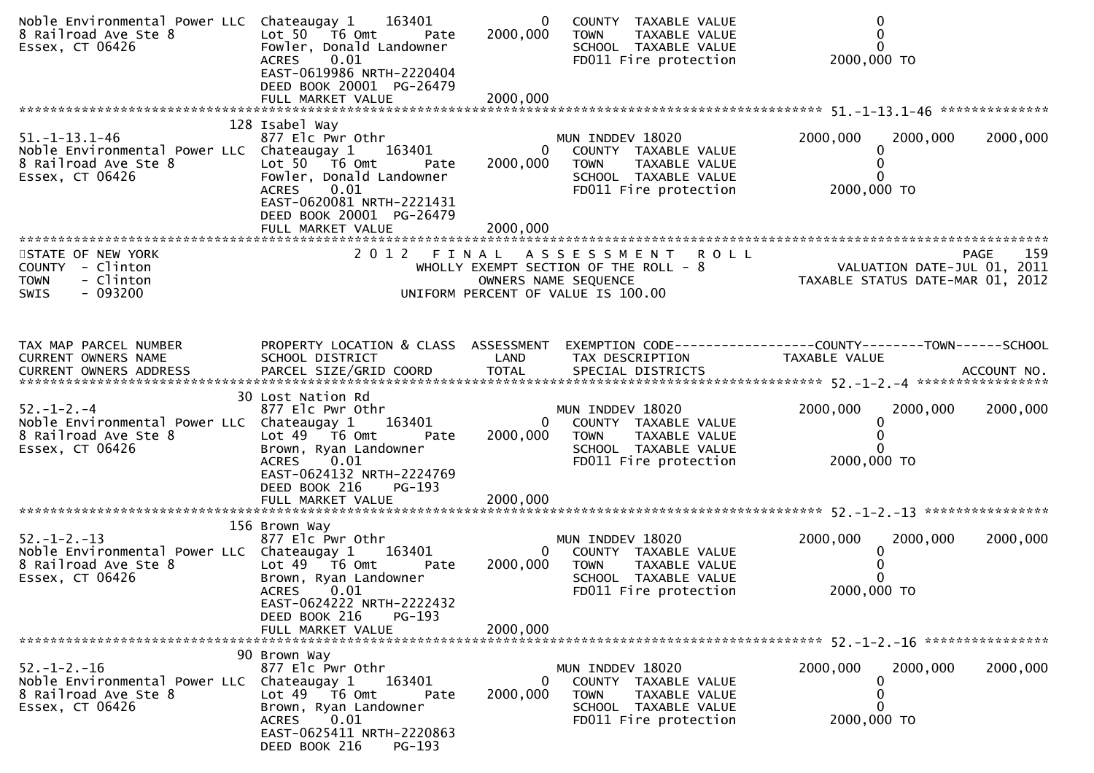| Noble Environmental Power LLC Chateaugay 1 163401<br>8 Railroad Ave Ste 8<br>Essex, CT 06426                   | Lot 50 T6 Omt<br>Pate<br>Fowler, Donald Landowner<br>ACRES 0.01<br>EAST-0619986 NRTH-2220404<br>DEED BOOK 20001 PG-26479                                                                                               | $\bf{0}$<br>2000,000      | COUNTY TAXABLE VALUE<br>TAXABLE VALUE<br>TOWN<br>SCHOOL TAXABLE VALUE<br>FD011 Fire protection                                    | 0<br>$\mathbf 0$<br>$\mathbf{0}$<br>2000,000 TO                                                                                                                                               |
|----------------------------------------------------------------------------------------------------------------|------------------------------------------------------------------------------------------------------------------------------------------------------------------------------------------------------------------------|---------------------------|-----------------------------------------------------------------------------------------------------------------------------------|-----------------------------------------------------------------------------------------------------------------------------------------------------------------------------------------------|
|                                                                                                                |                                                                                                                                                                                                                        |                           |                                                                                                                                   |                                                                                                                                                                                               |
| $51. - 1 - 13.1 - 46$<br>Noble Environmental Power LLC Chateaugay 1<br>8 Railroad Ave Ste 8<br>Essex, CT 06426 | 128 Isabel Way<br>877 Elc Pwr Othr<br>163401<br>Lot $50$ $\overline{76}$ Omt<br>Pate<br>Fowler, Donald Landowner<br><b>ACRES</b><br>0.01<br>EAST-0620081 NRTH-2221431<br>DEED BOOK 20001 PG-26479<br>FULL MARKET VALUE | 0<br>2000,000<br>2000,000 | MUN INDDEV 18020<br>COUNTY TAXABLE VALUE<br><b>TOWN</b><br>TAXABLE VALUE<br>SCHOOL TAXABLE VALUE<br>FD011 Fire protection         | 2000,000<br>2000,000<br>2000,000<br>0<br>2000,000 то                                                                                                                                          |
| STATE OF NEW YORK<br>COUNTY - Clinton<br>- Clinton<br><b>TOWN</b><br>$-093200$<br>SWIS                         |                                                                                                                                                                                                                        |                           | 2012 FINAL ASSESSMENT ROLL<br>WHOLLY EXEMPT SECTION OF THE ROLL - 8<br>OWNERS NAME SEQUENCE<br>UNIFORM PERCENT OF VALUE IS 100.00 | 159<br>PAGE<br>PAGE 159<br>VALUATION DATE-JUL 01, 2011<br>TAXABLE STATUS DATE-MAR 01, 2012                                                                                                    |
| TAX MAP PARCEL NUMBER<br>CURRENT OWNERS NAME                                                                   | PROPERTY LOCATION & CLASS ASSESSMENT<br>SCHOOL DISTRICT                                                                                                                                                                | <b>Example 12</b>         | TAX DESCRIPTION                                                                                                                   | EXEMPTION CODE-----------------COUNTY-------TOWN------SCHOOL<br>TAXABLE VALUE<br>CURRENT OWNERS ADDRESS PARCEL SIZE/GRID COORD TOTAL SPECIAL DISTRICTS 70. THE SPECIAL RESPOND TO ACCOUNT NO. |
| $52 - 1 - 2 - 4$<br>Noble Environmental Power LLC Chateaugay 1<br>8 Railroad Ave Ste 8<br>Essex, CT 06426      | 30 Lost Nation Rd<br>877 Elc Pwr Othr<br>163401<br>Lot $49$ $\overline{76}$ Omt<br>Pate<br>Brown, Ryan Landowner<br>ACRES<br>0.01<br>EAST-0624132 NRTH-2224769<br>DEED BOOK 216<br>$PG-193$<br>FULL MARKET VALUE       | 2000,000<br>2000,000      | MUN INDDEV 18020<br>COUNTY TAXABLE VALUE<br><b>TOWN</b><br>TAXABLE VALUE<br>SCHOOL TAXABLE VALUE<br>FD011 Fire protection         | 2000,000<br>2000,000<br>2000,000<br>$\bf{0}$<br>2000,000 TO                                                                                                                                   |
|                                                                                                                |                                                                                                                                                                                                                        |                           |                                                                                                                                   |                                                                                                                                                                                               |
| $52. - 1 - 2. - 13$<br>Noble Environmental Power LLC Chateaugay 1<br>8 Railroad Ave Ste 8<br>Essex, CT 06426   | 156 Brown Way<br>877 Elc Pwr Othr<br>163401<br>Lot 49 T6 Omt<br>Pate<br>Brown, Ryan Landowner<br><b>ACRES</b><br>0.01<br>EAST-0624222 NRTH-2222432<br>DEED BOOK 216<br>$PG-193$                                        | 2000,000                  | MUN INDDEV 18020<br>0 COUNTY TAXABLE VALUE<br><b>TOWN</b><br>TAXABLE VALUE<br>SCHOOL TAXABLE VALUE<br>FD011 Fire protection       | 2000,000<br>2000,000<br>2000,000<br>$\Omega$<br>2000,000 TO                                                                                                                                   |
|                                                                                                                | FULL MARKET VALUE                                                                                                                                                                                                      | 2000,000                  |                                                                                                                                   |                                                                                                                                                                                               |
| $52. - 1 - 2. - 16$<br>Noble Environmental Power LLC<br>8 Railroad Ave Ste 8<br>Essex, CT 06426                | 90 Brown Way<br>877 Elc Pwr Othr<br>Chateaugay 1<br>163401<br>Lot 49 T6 Omt<br>Pate<br>Brown, Ryan Landowner<br>0.01<br><b>ACRES</b><br>EAST-0625411 NRTH-2220863<br>DEED BOOK 216<br>$PG-193$                         | 2000,000                  | MUN INDDEV 18020<br>COUNTY TAXABLE VALUE<br><b>TOWN</b><br>TAXABLE VALUE<br>SCHOOL TAXABLE VALUE<br>FD011 Fire protection         | 2000,000<br>2000,000<br>2000,000<br>$\bf{0}$<br>0<br>0<br>2000,000 TO                                                                                                                         |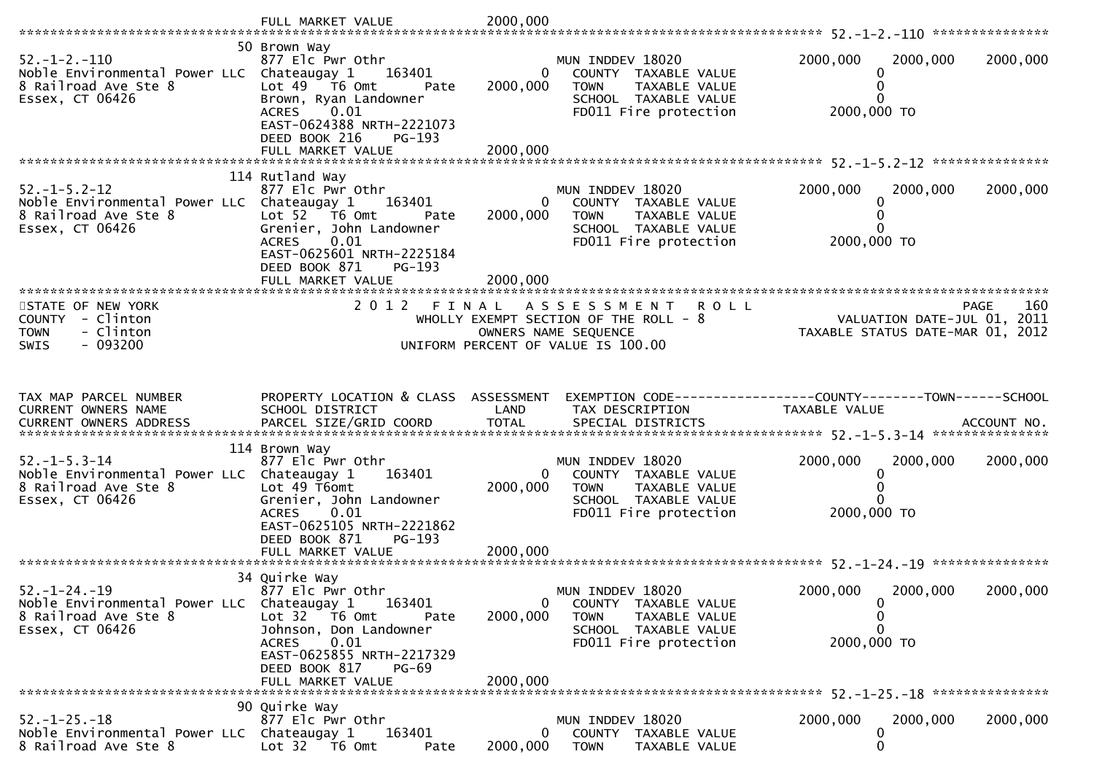|                                                                                                                                                                                                                                                                               | FULL MARKET VALUE                                                                                                                                                                                         | 2000,000                               |                                                                                                                           |                                                                 |             |
|-------------------------------------------------------------------------------------------------------------------------------------------------------------------------------------------------------------------------------------------------------------------------------|-----------------------------------------------------------------------------------------------------------------------------------------------------------------------------------------------------------|----------------------------------------|---------------------------------------------------------------------------------------------------------------------------|-----------------------------------------------------------------|-------------|
| $52. - 1 - 2. - 110$<br>Noble Environmental Power LLC Chateaugay 1<br>8 Railroad Ave Ste 8<br>Essex, CT 06426                                                                                                                                                                 | 50 Brown Way<br>877 Elc Pwr Othr<br>163401<br>Lot 49 T6 Omt<br>Pate<br>Brown, Ryan Landowner<br>0.01<br>ACRES<br>EAST-0624388 NRTH-2221073<br>DEED BOOK 216<br>PG-193<br>FULL MARKET VALUE                | $\Omega$<br>2000,000<br>2000,000       | MUN INDDEV 18020<br>COUNTY TAXABLE VALUE<br>TAXABLE VALUE<br><b>TOWN</b><br>SCHOOL TAXABLE VALUE<br>FD011 Fire protection | 2000,000<br>2000,000<br>0<br>0<br>0<br>2000,000 TO              | 2000,000    |
|                                                                                                                                                                                                                                                                               |                                                                                                                                                                                                           |                                        |                                                                                                                           |                                                                 |             |
| $52. - 1 - 5.2 - 12$<br>Noble Environmental Power LLC Chateaugay 1<br>8 Railroad Ave Ste 8<br>Essex, CT 06426                                                                                                                                                                 | 114 Rutland Way<br>877 Elc Pwr Othr<br>163401<br>Lot 52 T6 Omt<br>Pate<br>Grenier, John Landowner<br>0.01<br><b>ACRES</b><br>EAST-0625601 NRTH-2225184<br>DEED BOOK 871<br>$PG-193$<br>FULL MARKET VALUE  | $\mathbf{0}$<br>2000,000<br>2000,000   | MUN INDDEV 18020<br>COUNTY TAXABLE VALUE<br>TAXABLE VALUE<br><b>TOWN</b><br>SCHOOL TAXABLE VALUE<br>FD011 Fire protection | 2000,000<br>2000,000<br>0<br>0<br>0<br>2000,000 TO              | 2000,000    |
| STATE OF NEW YORK                                                                                                                                                                                                                                                             | 2 0 1 2                                                                                                                                                                                                   | FINAL                                  | <b>ROLL</b><br>A S S E S S M E N T                                                                                        |                                                                 | 160<br>PAGE |
| COUNTY - Clinton<br>- Clinton<br><b>TOWN</b><br>$-093200$<br><b>SWIS</b>                                                                                                                                                                                                      |                                                                                                                                                                                                           |                                        | WHOLLY EXEMPT SECTION OF THE ROLL - 8<br>OWNERS NAME SEQUENCE<br>UNIFORM PERCENT OF VALUE IS 100.00                       | VALUATION DATE-JUL 01, 2011<br>TAXABLE STATUS DATE-MAR 01, 2012 |             |
|                                                                                                                                                                                                                                                                               |                                                                                                                                                                                                           |                                        |                                                                                                                           |                                                                 |             |
| TAX MAP PARCEL NUMBER<br>CURRENT OWNERS NAME<br>.CURRENT OWNERS ADDRESS PARCEL SIZE/GRID COORD TOTAL SPECIAL DISTRICTS (ACCOUNT NO ACCOUNT NO ACCOUNT NO AND ASSESS TO A AND A AND A A SERVER A SERVER AND A A SERVER AND A A SERVER AND A SERVER AND TOTAL SPECIAL DISTRICTS | PROPERTY LOCATION & CLASS ASSESSMENT<br>SCHOOL DISTRICT                                                                                                                                                   | LAND                                   | TAX DESCRIPTION                                                                                                           | TAXABLE VALUE                                                   |             |
|                                                                                                                                                                                                                                                                               | 114 Brown Way                                                                                                                                                                                             |                                        |                                                                                                                           |                                                                 |             |
| $52. - 1 - 5.3 - 14$<br>Noble Environmental Power LLC Chateaugay 1<br>8 Railroad Ave Ste 8<br>Essex, CT 06426                                                                                                                                                                 | 877 Elc Pwr Othr<br>163401<br>Lot 49 T6omt<br>Grenier, John Landowner<br>0.01<br><b>ACRES</b><br>EAST-0625105 NRTH-2221862<br>DEED BOOK 871<br>$PG-193$                                                   | $\overline{0}$<br>2000,000<br>2000,000 | MUN INDDEV 18020<br>COUNTY TAXABLE VALUE<br><b>TOWN</b><br>TAXABLE VALUE<br>SCHOOL TAXABLE VALUE<br>FD011 Fire protection | 2000,000<br>2000,000<br>0<br>0<br>2000,000 TO                   | 2000,000    |
|                                                                                                                                                                                                                                                                               | FULL MARKET VALUE                                                                                                                                                                                         |                                        |                                                                                                                           |                                                                 |             |
| $52. - 1 - 24. - 19$<br>Noble Environmental Power LLC Chateaugay 1<br>8 Railroad Ave Ste 8<br>Essex, CT 06426                                                                                                                                                                 | 34 Quirke Way<br>877 Elc Pwr Othr<br>163401<br>Lot 32 T6 Omt<br>Pate<br>Johnson, Don Landowner<br>0.01<br><b>ACRES</b><br>EAST-0625855 NRTH-2217329<br>DEED BOOK 817<br><b>PG-69</b><br>FULL MARKET VALUE | 0<br>2000,000<br>2000,000              | MUN INDDEV 18020<br>COUNTY TAXABLE VALUE<br><b>TOWN</b><br>TAXABLE VALUE<br>SCHOOL TAXABLE VALUE<br>FD011 Fire protection | 2000,000<br>2000,000<br>0<br>0<br>0<br>2000,000 TO              | 2000,000    |
|                                                                                                                                                                                                                                                                               |                                                                                                                                                                                                           |                                        |                                                                                                                           |                                                                 |             |
| $52. - 1 - 25. - 18$<br>Noble Environmental Power LLC Chateaugay 1<br>8 Railroad Ave Ste 8                                                                                                                                                                                    | 90 Quirke Way<br>877 Elc Pwr Othr<br>163401<br>Lot 32 T6 Omt<br>Pate                                                                                                                                      | $\mathbf{0}$<br>2000,000               | MUN INDDEV 18020<br>COUNTY TAXABLE VALUE<br><b>TOWN</b><br>TAXABLE VALUE                                                  | 2000,000<br>2000,000<br>0<br>0                                  | 2000,000    |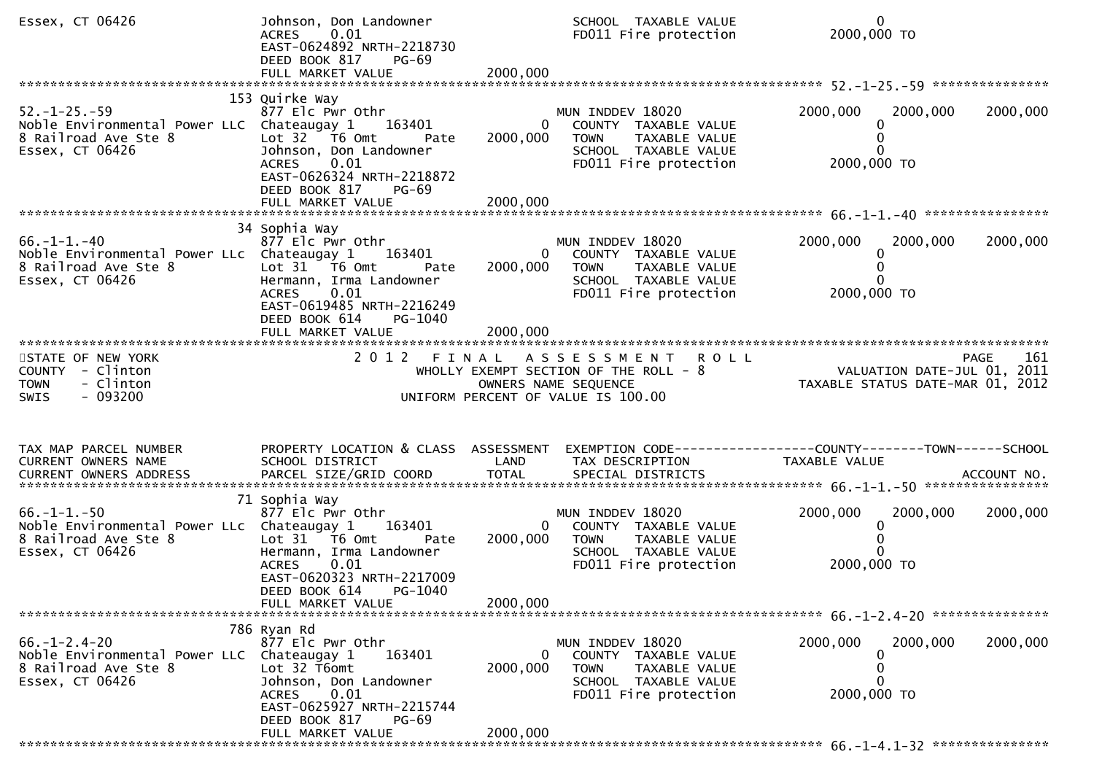| Essex, CT 06426                                                                                                      | Johnson, Don Landowner<br>ACRES 0.01<br>EAST-0624892 NRTH-2218730<br>DEED BOOK 817<br>PG-69                                                                                                 |                          | SCHOOL TAXABLE VALUE<br>FD011 Fire protection                                                                                     | $\mathbf{0}$<br>2000,000 TO                                                   |             |
|----------------------------------------------------------------------------------------------------------------------|---------------------------------------------------------------------------------------------------------------------------------------------------------------------------------------------|--------------------------|-----------------------------------------------------------------------------------------------------------------------------------|-------------------------------------------------------------------------------|-------------|
|                                                                                                                      |                                                                                                                                                                                             |                          |                                                                                                                                   |                                                                               |             |
| $52. - 1 - 25. - 59$<br>Noble Environmental Power LLC Chateaugay 1 163401<br>8 Railroad Ave Ste 8<br>Essex, CT 06426 | 153 Quirke Way<br>877 Elc Pwr Othr<br>Lot $32$ $\overline{76}$ Omt<br>Pate<br>Johnson, Don Landowner<br>0.01<br>ACRES<br>EAST-0626324 NRTH-2218872<br>DEED BOOK 817<br>PG-69                | 2000,000                 | MUN INDDEV 18020<br>0 COUNTY TAXABLE VALUE<br><b>TOWN</b><br>TAXABLE VALUE<br>SCHOOL TAXABLE VALUE<br>FD011 Fire protection       | 2000,000<br>2000,000<br>0<br>2000,000 TO                                      | 2000,000    |
|                                                                                                                      |                                                                                                                                                                                             |                          |                                                                                                                                   |                                                                               |             |
| $66. - 1 - 1. - 40$<br>Noble Environmental Power LLc Chateaugay 1<br>8 Railroad Ave Ste 8<br>Essex, CT 06426         | 34 Sophia Way<br>877 Elc Pwr Othr<br>163401<br>Lot 31 76 0mt<br>Pate<br>Hermann, Irma Landowner<br>0.01<br><b>ACRES</b><br>EAST-0619485 NRTH-2216249<br>DEED BOOK 614<br>PG-1040            | 2000,000                 | MUN INDDEV 18020<br>0 COUNTY TAXABLE VALUE<br>TAXABLE VALUE<br><b>TOWN</b><br>SCHOOL TAXABLE VALUE<br>FD011 Fire protection       | 2000,000<br>2000,000<br>2000,000 TO                                           | 2000,000    |
|                                                                                                                      |                                                                                                                                                                                             |                          |                                                                                                                                   |                                                                               |             |
| STATE OF NEW YORK<br>COUNTY - Clinton<br>- Clinton<br><b>TOWN</b><br>- 093200<br>SWIS                                |                                                                                                                                                                                             |                          | 2012 FINAL ASSESSMENT ROLL<br>WHOLLY EXEMPT SECTION OF THE ROLL - 8<br>OWNERS NAME SEQUENCE<br>UNIFORM PERCENT OF VALUE IS 100.00 |                                                                               | PAGE<br>161 |
| TAX MAP PARCEL NUMBER<br>CURRENT OWNERS NAME<br>CURRENT OWNERS ADDRESS                                               | PROPERTY LOCATION & CLASS ASSESSMENT<br>SCHOOL DISTRICT                                                                                                                                     | LAND                     | TAX DESCRIPTION                                                                                                                   | EXEMPTION CODE-----------------COUNTY-------TOWN------SCHOOL<br>TAXABLE VALUE |             |
| $66. -1 - 1. -50$<br>Noble Environmental Power LLc Chateaugay 1 163401<br>8 Railroad Ave Ste 8<br>Essex, CT 06426    | 71 Sophia Way<br>877 Elc Pwr Othr<br>Lot 31 T6 Omt<br>Pate<br>Hermann, Irma Landowner<br>0.01<br><b>ACRES</b><br>EAST-0620323 NRTH-2217009<br>DEED BOOK 614<br>PG-1040<br>FULL MARKET VALUE | 2000,000<br>2000,000     | MUN INDDEV 18020<br>0 COUNTY TAXABLE VALUE<br>TOWN TAXABLE VALUE<br>SCHOOL TAXABLE VALUE<br>FD011 Fire protection                 | 2000,000<br>2000,000<br>$\mathbf{0}$<br>2000,000 TO                           | 2000,000    |
|                                                                                                                      | 786 Ryan Rd                                                                                                                                                                                 |                          |                                                                                                                                   |                                                                               |             |
| $66. - 1 - 2.4 - 20$<br>Noble Environmental Power LLC Chateaugay 1<br>8 Railroad Ave Ste 8<br>Essex, CT 06426        | 877 Elc Pwr Othr<br>163401<br>Lot 32 T6omt<br>Johnson, Don Landowner<br>0.01<br><b>ACRES</b><br>EAST-0625927 NRTH-2215744<br>DEED BOOK 817<br>PG-69                                         | $\mathbf{0}$<br>2000,000 | MUN INDDEV 18020<br>COUNTY TAXABLE VALUE<br><b>TOWN</b><br>TAXABLE VALUE<br>SCHOOL TAXABLE VALUE<br>FD011 Fire protection         | 2000,000<br>2000,000<br>2000,000 TO                                           | 2000,000    |
|                                                                                                                      | FULL MARKET VALUE                                                                                                                                                                           | 2000,000                 |                                                                                                                                   |                                                                               |             |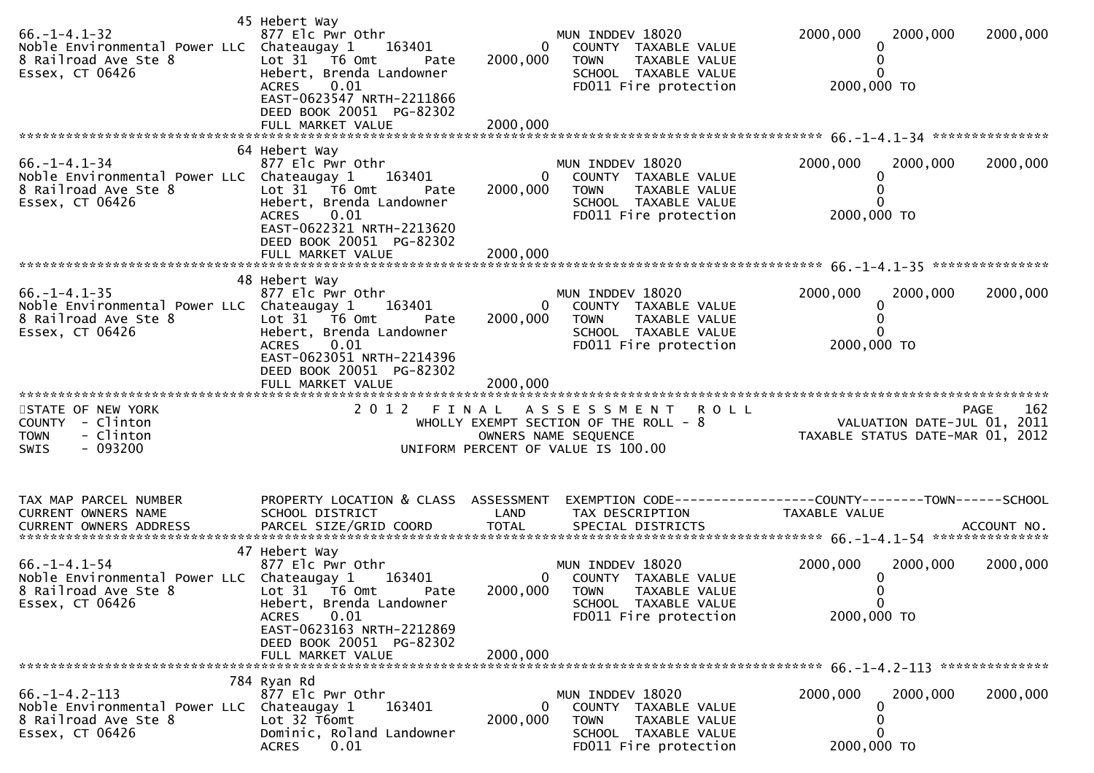| $66. - 1 - 4.1 - 32$<br>Noble Environmental Power LLC Chateaugay 1<br>8 Railroad Ave Ste 8<br>Essex, CT 06426 | 45 Hebert Way<br>877 Elc Pwr Othr<br>163401<br>Lot 31 76 0mt<br>Pate<br>Hebert, Brenda Landowner<br>0.01<br><b>ACRES</b><br>EAST-0623547 NRTH-2211866<br>DEED BOOK 20051 PG-82302<br>FULL MARKET VALUE | 0<br>2000,000<br>2000,000        | MUN INDDEV 18020<br>COUNTY TAXABLE VALUE<br><b>TOWN</b><br>TAXABLE VALUE<br>SCHOOL TAXABLE VALUE<br>FD011 Fire protection                | 2000,000<br>2000,000<br>2000,000<br>0<br>0<br>2000,000 TO                       |     |
|---------------------------------------------------------------------------------------------------------------|--------------------------------------------------------------------------------------------------------------------------------------------------------------------------------------------------------|----------------------------------|------------------------------------------------------------------------------------------------------------------------------------------|---------------------------------------------------------------------------------|-----|
| $66. -1 - 4.1 - 34$<br>Noble Environmental Power LLC Chateaugay 1<br>8 Railroad Ave Ste 8<br>Essex, CT 06426  | 64 Hebert Way<br>877 Elc Pwr Othr<br>163401<br>Lot 31 T6 Omt<br>Pate<br>Hebert, Brenda Landowner<br><b>ACRES</b><br>0.01<br>EAST-0622321 NRTH-2213620<br>DEED BOOK 20051 PG-82302                      | $\overline{0}$<br>2000,000       | MUN INDDEV 18020<br>COUNTY TAXABLE VALUE<br><b>TOWN</b><br>TAXABLE VALUE<br>SCHOOL TAXABLE VALUE<br>FD011 Fire protection                | 2000,000<br>2000,000<br>2000,000<br>0<br>0<br>0<br>2000,000 TO                  |     |
| $66. - 1 - 4.1 - 35$<br>Noble Environmental Power LLC Chateaugay 1<br>8 Railroad Ave Ste 8<br>Essex, CT 06426 | 48 Hebert Way<br>877 Elc Pwr Othr<br>163401<br>Lot 31 76 0mt<br>Pate<br>Hebert, Brenda Landowner<br>0.01<br><b>ACRES</b><br>EAST-0623051 NRTH-2214396<br>DEED BOOK 20051 PG-82302<br>FULL MARKET VALUE | $\Omega$<br>2000,000<br>2000,000 | MUN INDDEV 18020<br>COUNTY TAXABLE VALUE<br>TAXABLE VALUE<br>TOWN<br>SCHOOL TAXABLE VALUE<br>FD011 Fire protection                       | 2000,000<br>2000,000<br>2000,000<br>0<br>0<br>2000,000 TO                       |     |
| STATE OF NEW YORK<br>COUNTY - Clinton<br><b>TOWN</b><br>- Clinton<br>$-093200$<br><b>SWIS</b>                 |                                                                                                                                                                                                        |                                  | 2012 FINAL ASSESSMENT ROLL<br>WHOLLY EXEMPT SECTION OF THE ROLL - 8<br>OWNERS NAME SEQUENCE<br>UNIFORM PERCENT OF VALUE IS 100.00        | <b>PAGE</b><br>VALUATION DATE-JUL 01, 2011<br>TAXABLE STATUS DATE-MAR 01, 2012  | 162 |
| TAX MAP PARCEL NUMBER<br>CURRENT OWNERS NAME                                                                  | PROPERTY LOCATION & CLASS ASSESSMENT<br>SCHOOL DISTRICT                                                                                                                                                | LAND                             | TAX DESCRIPTION                                                                                                                          | EXEMPTION CODE------------------COUNTY--------TOWN------SCHOOL<br>TAXABLE VALUE |     |
| $66. - 1 - 4.1 - 54$<br>Noble Environmental Power LLC Chateaugay 1<br>8 Railroad Ave Ste 8<br>Essex, CT 06426 | 47 Hebert Way<br>877 Elc Pwr Othr<br>163401<br>Lot 31 76 0mt<br>Pate<br>Hebert, Brenda Landowner<br><b>ACRES</b><br>0.01<br>EAST-0623163 NRTH-2212869<br>DEED BOOK 20051 PG-82302                      | 2000,000                         | MUN INDDEV 18020<br>COUNTY TAXABLE VALUE<br>$\mathbf{0}$<br>2000,000 TOWN TAXABLE VALUE<br>SCHOOL TAXABLE VALUE<br>FD011 Fire protection | 2000,000<br>2000,000<br>2000,000<br>$\bf{0}$<br>0<br>$\mathbf 0$<br>2000,000 TO |     |
|                                                                                                               | FULL MARKET VALUE                                                                                                                                                                                      |                                  |                                                                                                                                          |                                                                                 |     |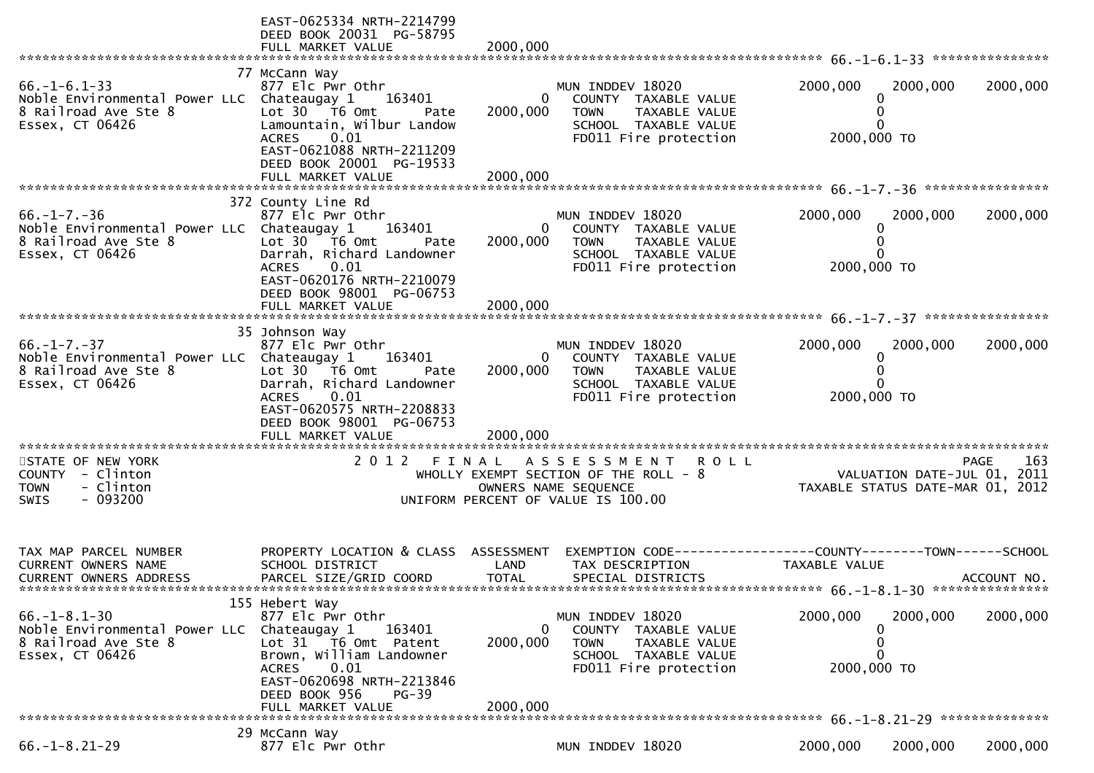|                                                                                                               | EAST-0625334 NRTH-2214799<br>DEED BOOK 20031 PG-58795<br>FULL MARKET VALUE                                                                                                                                             | 2000,000                             |                                                                                                                                         |                                                                 |          |             |
|---------------------------------------------------------------------------------------------------------------|------------------------------------------------------------------------------------------------------------------------------------------------------------------------------------------------------------------------|--------------------------------------|-----------------------------------------------------------------------------------------------------------------------------------------|-----------------------------------------------------------------|----------|-------------|
|                                                                                                               |                                                                                                                                                                                                                        |                                      |                                                                                                                                         |                                                                 |          |             |
| $66. - 1 - 6.1 - 33$<br>Noble Environmental Power LLC Chateaugay 1<br>8 Railroad Ave Ste 8<br>Essex, CT 06426 | 77 McCann Way<br>877 Elc Pwr Othr<br>163401<br>Lot $30 - 76$ Omt<br>Pate<br>Lamountain, Wilbur Landow<br><b>ACRES</b><br>0.01<br>EAST-0621088 NRTH-2211209<br>DEED BOOK 20001 PG-19533                                 | $\mathbf{0}$<br>2000,000             | MUN INDDEV 18020<br>COUNTY TAXABLE VALUE<br>TAXABLE VALUE<br><b>TOWN</b><br>SCHOOL TAXABLE VALUE<br>FD011 Fire protection               | 2000,000<br>$\Omega$<br>O<br>0<br>2000,000 TO                   | 2000,000 | 2000,000    |
|                                                                                                               |                                                                                                                                                                                                                        |                                      |                                                                                                                                         |                                                                 |          |             |
|                                                                                                               |                                                                                                                                                                                                                        |                                      |                                                                                                                                         |                                                                 |          |             |
| $66. - 1 - 7. - 36$<br>Noble Environmental Power LLC Chateaugay 1<br>8 Railroad Ave Ste 8<br>Essex, CT 06426  | 372 County Line Rd<br>877 Elc Pwr Othr<br>163401<br>Lot 30 T6 Omt<br>Pate<br>Darrah, Richard Landowner<br>0.01<br><b>ACRES</b><br>EAST-0620176 NRTH-2210079<br>DEED BOOK 98001 PG-06753<br>FULL MARKET VALUE           | $\mathbf{0}$<br>2000,000<br>2000,000 | MUN INDDEV 18020<br>COUNTY TAXABLE VALUE<br><b>TOWN</b><br>TAXABLE VALUE<br>SCHOOL TAXABLE VALUE<br>FD011 Fire protection               | 2000,000<br>$\Omega$<br>2000,000 TO                             | 2000,000 | 2000,000    |
|                                                                                                               |                                                                                                                                                                                                                        |                                      |                                                                                                                                         |                                                                 |          |             |
| $66. - 1 - 7. - 37$<br>Noble Environmental Power LLC Chateaugay 1<br>8 Railroad Ave Ste 8<br>Essex, CT 06426  | 35 Johnson Way<br>877 Elc Pwr Othr<br>163401<br>Lot $30 - 76$ Omt<br>Pate<br>Darrah, Richard Landowner<br>0.01<br><b>ACRES</b><br>EAST-0620575 NRTH-2208833<br>DEED BOOK 98001 PG-06753<br>FULL MARKET VALUE           | 2000,000<br>2000,000                 | MUN INDDEV 18020<br>COUNTY TAXABLE VALUE<br>TOWN<br>TAXABLE VALUE<br>SCHOOL TAXABLE VALUE<br>FD011 Fire protection                      | 2000,000<br>0<br>O<br>2000,000 TO                               | 2000,000 | 2000,000    |
| **********************                                                                                        |                                                                                                                                                                                                                        |                                      |                                                                                                                                         |                                                                 |          |             |
| STATE OF NEW YORK<br>COUNTY - Clinton<br>- Clinton<br><b>TOWN</b><br>- 093200<br><b>SWIS</b>                  | 2 0 1 2                                                                                                                                                                                                                |                                      | <b>ROLL</b><br>FINAL ASSESSMENT<br>WHOLLY EXEMPT SECTION OF THE ROLL $-8$<br>OWNERS NAME SEQUENCE<br>UNIFORM PERCENT OF VALUE IS 100.00 | VALUATION DATE-JUL 01, 2011<br>TAXABLE STATUS DATE-MAR 01, 2012 |          | 163<br>PAGE |
| TAX MAP PARCEL NUMBER<br>CURRENT OWNERS NAME<br>CURRENT OWNERS ADDRESS                                        | PROPERTY LOCATION & CLASS ASSESSMENT<br>SCHOOL DISTRICT<br>PARCEL SIZE/GRID COORD                                                                                                                                      | LAND<br><b>TOTAL</b>                 | EXEMPTION CODE-----------------COUNTY-------TOWN------SCHOOL<br>TAX DESCRIPTION<br>SPECIAL DISTRICTS                                    | TAXABLE VALUE                                                   |          | ACCOUNT NO. |
| $66. - 1 - 8.1 - 30$<br>Noble Environmental Power LLC<br>8 Railroad Ave Ste 8<br>Essex, CT 06426              | 155 Hebert Way<br>877 Elc Pwr Othr<br>Chateaugay 1<br>163401<br>Lot 31 T6 Omt Patent<br>Brown, William Landowner<br>0.01<br><b>ACRES</b><br>EAST-0620698 NRTH-2213846<br>DEED BOOK 956<br>$PG-39$<br>FULL MARKET VALUE | 0<br>2000,000<br>2000,000            | MUN INDDEV 18020<br>COUNTY TAXABLE VALUE<br><b>TOWN</b><br>TAXABLE VALUE<br>SCHOOL TAXABLE VALUE<br>FD011 Fire protection               | 2000,000<br>0<br>0<br>2000,000 TO                               | 2000,000 | 2000,000    |
|                                                                                                               |                                                                                                                                                                                                                        |                                      |                                                                                                                                         |                                                                 |          |             |
| $66. - 1 - 8.21 - 29$                                                                                         | 29 McCann Way<br>877 Elc Pwr Othr                                                                                                                                                                                      |                                      | MUN INDDEV 18020                                                                                                                        | 2000,000                                                        | 2000,000 | 2000,000    |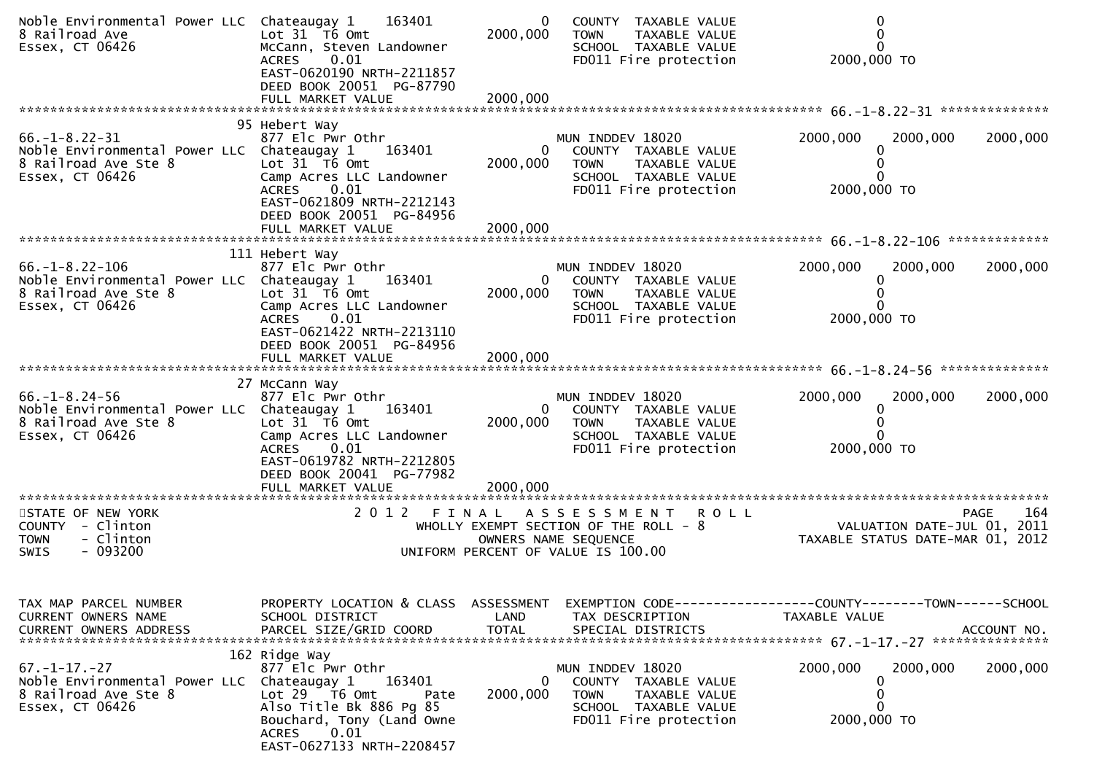| Noble Environmental Power LLC Chateaugay 1<br>8 Railroad Ave<br>Essex, CT 06426                                                            | 163401<br>Lot 31 T6 Omt<br>McCann, Steven Landowner<br>0.01<br><b>ACRES</b><br>EAST-0620190 NRTH-2211857<br>DEED BOOK 20051 PG-87790<br>FULL MARKET VALUE                                                                  | 0<br>2000,000<br>2000,000 | COUNTY TAXABLE VALUE<br>TAXABLE VALUE<br><b>TOWN</b><br>SCHOOL TAXABLE VALUE<br>FD011 Fire protection                               | $\Omega$<br>2000,000 TO                                                                                           |          |
|--------------------------------------------------------------------------------------------------------------------------------------------|----------------------------------------------------------------------------------------------------------------------------------------------------------------------------------------------------------------------------|---------------------------|-------------------------------------------------------------------------------------------------------------------------------------|-------------------------------------------------------------------------------------------------------------------|----------|
|                                                                                                                                            |                                                                                                                                                                                                                            |                           |                                                                                                                                     |                                                                                                                   |          |
| $66. - 1 - 8.22 - 31$<br>Noble Environmental Power LLC Chateaugay 1<br>8 Railroad Ave Ste 8<br>Essex, CT 06426                             | 95 Hebert Way<br>877 Elc Pwr Othr<br>163401<br>Lot $31$ T6 Omt<br>Camp Acres LLC Landowner<br>0.01<br><b>ACRES</b><br>EAST-0621809 NRTH-2212143<br>DEED BOOK 20051 PG-84956                                                | 0<br>2000,000             | MUN INDDEV 18020<br>COUNTY TAXABLE VALUE<br><b>TOWN</b><br>TAXABLE VALUE<br>SCHOOL TAXABLE VALUE<br>FD011 Fire protection           | 2000,000<br>2000,000<br>0<br>0<br>2000,000 TO                                                                     | 2000,000 |
|                                                                                                                                            | 111 Hebert Way                                                                                                                                                                                                             |                           |                                                                                                                                     |                                                                                                                   |          |
| $66. - 1 - 8.22 - 106$<br>Noble Environmental Power LLC Chateaugay 1<br>8 Railroad Ave Ste 8<br>Essex, CT 06426                            | 877 Elc Pwr Othr<br>163401<br>Lot 31 76 0mt<br>Camp Acres LLC Landowner<br>0.01<br><b>ACRES</b><br>EAST-0621422 NRTH-2213110                                                                                               | $\mathbf{0}$<br>2000,000  | MUN INDDEV 18020<br>COUNTY TAXABLE VALUE<br><b>TOWN</b><br>TAXABLE VALUE<br>SCHOOL TAXABLE VALUE<br>FD011 Fire protection           | 2000,000<br>2000,000<br>0<br>O.<br>2000,000 TO                                                                    | 2000,000 |
|                                                                                                                                            | DEED BOOK 20051 PG-84956                                                                                                                                                                                                   |                           |                                                                                                                                     |                                                                                                                   |          |
|                                                                                                                                            |                                                                                                                                                                                                                            |                           |                                                                                                                                     |                                                                                                                   |          |
| $66. - 1 - 8.24 - 56$<br>Noble Environmental Power LLC Chateaugay 1<br>8 Railroad Ave Ste 8<br>Essex, CT 06426<br>************************ | 27 McCann Way<br>877 Elc Pwr Othr<br>163401<br>Lot 31 T6 Omt<br>Camp Acres LLC Landowner<br>0.01<br><b>ACRES</b><br>EAST-0619782 NRTH-2212805<br>DEED BOOK 20041 PG-77982<br>FULL MARKET VALUE<br>************************ | 2000,000<br>2000,000      | MUN INDDEV 18020<br>COUNTY TAXABLE VALUE<br><b>TOWN</b><br>TAXABLE VALUE<br>SCHOOL TAXABLE VALUE<br>FD011 Fire protection           | 2000,000<br>2000,000<br>0<br>2000,000 TO                                                                          | 2000,000 |
| STATE OF NEW YORK<br>COUNTY - Clinton<br>- Clinton<br><b>TOWN</b><br>$-093200$<br><b>SWIS</b>                                              | 2 0 1 2                                                                                                                                                                                                                    | FINAL                     | A S S E S S M E N T R O L L<br>WHOLLY EXEMPT SECTION OF THE ROLL $-8$<br>OWNERS NAME SEQUENCE<br>UNIFORM PERCENT OF VALUE IS 100.00 | <b>PAGE</b><br>VALUATION DATE-JUL 01, 2011<br>TAXABLE STATUS DATE-MAR 01, 2012                                    | 164      |
| TAX MAP PARCEL NUMBER<br>CURRENT OWNERS NAME                                                                                               | SCHOOL DISTRICT                                                                                                                                                                                                            | LAND                      | TAX DESCRIPTION                                                                                                                     | PROPERTY LOCATION & CLASS ASSESSMENT EXEMPTION CODE----------------COUNTY-------TOWN------SCHOOL<br>TAXABLE VALUE |          |
| $67. - 1 - 17. - 27$<br>Noble Environmental Power LLC<br>8 Railroad Ave Ste 8<br>Essex, CT 06426                                           | 162 Ridge Way<br>877 Elc Pwr Othr<br>163401<br>Chateaugay 1<br>Lot 29 T6 Omt<br>Pate<br>Also Title Bk 886 Pg 85<br>Bouchard, Tony (Land Owne<br>0.01<br><b>ACRES</b><br>EAST-0627133 NRTH-2208457                          | 2000,000                  | MUN INDDEV 18020<br>COUNTY TAXABLE VALUE<br><b>TOWN</b><br>TAXABLE VALUE<br>SCHOOL TAXABLE VALUE<br>FD011 Fire protection           | 2000,000<br>2000,000<br>0<br>0<br>0<br>2000,000 TO                                                                | 2000,000 |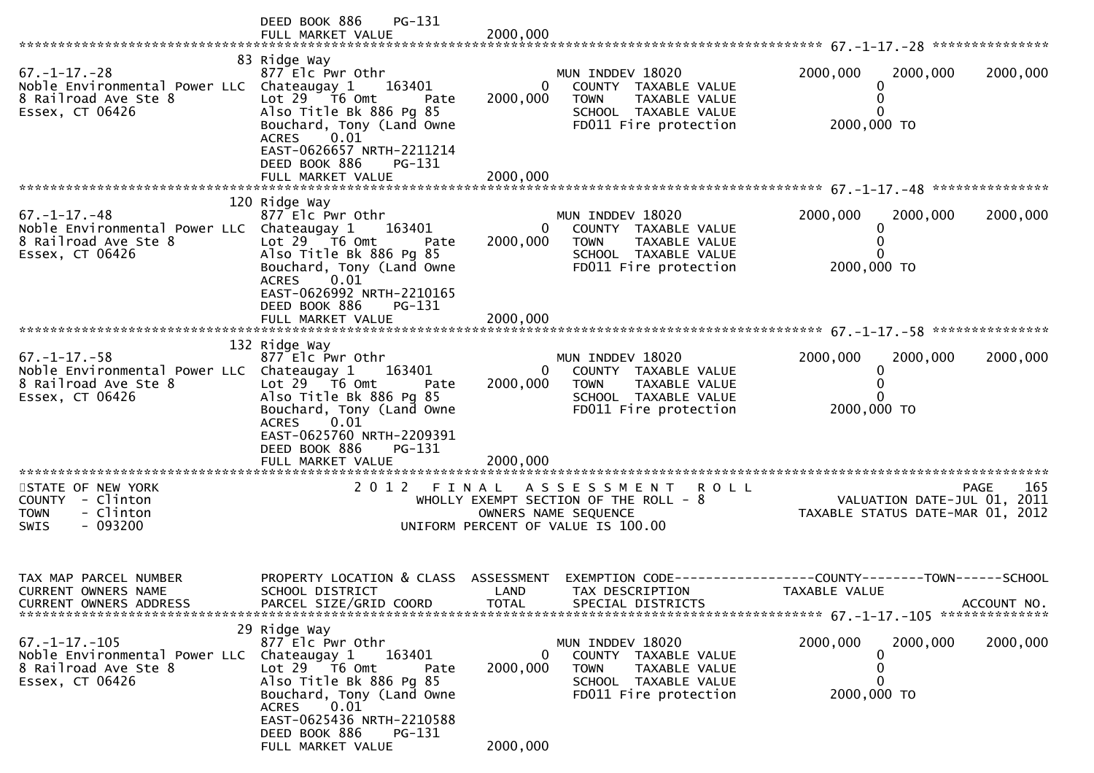|                                                                                                                      | PG-131<br>DEED BOOK 886                                                                                                                                                   |                          |                                                                                                                                    |                                                                               |             |
|----------------------------------------------------------------------------------------------------------------------|---------------------------------------------------------------------------------------------------------------------------------------------------------------------------|--------------------------|------------------------------------------------------------------------------------------------------------------------------------|-------------------------------------------------------------------------------|-------------|
|                                                                                                                      |                                                                                                                                                                           |                          |                                                                                                                                    |                                                                               |             |
| $67. - 1 - 17. - 28$<br>Noble Environmental Power LLC Chateaugay 1<br>8 Railroad Ave Ste 8<br>Essex, CT 06426        | 83 Ridge Way<br>877 Elc Pwr Othr<br>163401<br>Lot 29 T6 Omt<br>Pate<br>Also Title Bk 886 Pg 85<br>Bouchard, Tony (Land Owne<br>0.01<br>ACRES<br>EAST-0626657 NRTH-2211214 | 0<br>2000,000            | MUN INDDEV 18020<br>COUNTY TAXABLE VALUE<br><b>TOWN</b><br>TAXABLE VALUE<br>SCHOOL TAXABLE VALUE<br>FD011 Fire protection          | 2000,000<br>2000,000<br>2000,000 TO                                           | 2000,000    |
|                                                                                                                      | DEED BOOK 886<br>PG-131                                                                                                                                                   |                          |                                                                                                                                    |                                                                               |             |
|                                                                                                                      |                                                                                                                                                                           |                          |                                                                                                                                    |                                                                               |             |
|                                                                                                                      |                                                                                                                                                                           |                          |                                                                                                                                    |                                                                               |             |
| $67. - 1 - 17. - 48$<br>Noble Environmental Power LLC Chateaugay 1<br>8 Railroad Ave Ste 8<br>Essex, CT 06426        | 120 Ridge Way<br>877 Elc Pwr Othr<br>163401<br>Lot 29  T6 0mt<br>Pate<br>Also Title Bk 886 Pg 85<br>Bouchard, Tony (Land Owne<br>0.01<br><b>ACRES</b>                     | $\mathbf{0}$<br>2000,000 | MUN INDDEV 18020<br>COUNTY TAXABLE VALUE<br>TAXABLE VALUE<br><b>TOWN</b><br>SCHOOL TAXABLE VALUE<br>FD011 Fire protection          | 2000,000<br>2000,000<br>2000,000 TO                                           | 2000,000    |
|                                                                                                                      | EAST-0626992 NRTH-2210165<br>DEED BOOK 886<br>PG-131                                                                                                                      |                          |                                                                                                                                    |                                                                               |             |
|                                                                                                                      | 132 Ridge Way                                                                                                                                                             |                          |                                                                                                                                    |                                                                               |             |
| $67. - 1 - 17. - 58$<br>Noble Environmental Power LLC Chateaugay 1 163401<br>8 Railroad Ave Ste 8<br>Essex, CT 06426 | 877 Elc Pwr Othr<br>Lot 29 T6 Omt<br>Pate<br>Also Title Bk 886 Pg 85<br>Bouchard, Tony (Land Owne                                                                         | 2000,000                 | MUN INDDEV 18020<br>$\mathbf{0}$<br>COUNTY TAXABLE VALUE<br>TAXABLE VALUE<br>TOWN<br>SCHOOL TAXABLE VALUE<br>FD011 Fire protection | 2000,000<br>2000,000<br>2000,000 TO                                           | 2000,000    |
|                                                                                                                      | 0.01<br><b>ACRES</b><br>EAST-0625760 NRTH-2209391<br>DEED BOOK 886<br>PG-131<br>FULL MARKET VALUE                                                                         | 2000,000                 |                                                                                                                                    |                                                                               |             |
| STATE OF NEW YORK                                                                                                    |                                                                                                                                                                           |                          | 2012 FINAL ASSESSMENT ROLL                                                                                                         | <b>PAGE</b>                                                                   | 165         |
| COUNTY - Clinton<br>- Clinton<br><b>TOWN</b><br>- 093200<br><b>SWIS</b>                                              |                                                                                                                                                                           |                          | WHOLLY EXEMPT SECTION OF THE ROLL - 8<br>OWNERS NAME SEQUENCE<br>UNIFORM PERCENT OF VALUE IS 100.00                                | VALUATION DATE-JUL 01, 2011<br>TAXABLE STATUS DATE-MAR 01, 2012               |             |
|                                                                                                                      |                                                                                                                                                                           |                          |                                                                                                                                    |                                                                               |             |
| TAX MAP PARCEL NUMBER<br>CURRENT OWNERS NAME<br><b>CURRENT OWNERS ADDRESS</b>                                        | PROPERTY LOCATION & CLASS ASSESSMENT<br>SCHOOL DISTRICT<br>PARCEL SIZE/GRID COORD                                                                                         | LAND<br><b>TOTAL</b>     | TAX DESCRIPTION<br>SPECIAL DISTRICTS                                                                                               | EXEMPTION CODE-----------------COUNTY-------TOWN------SCHOOL<br>TAXABLE VALUE | ACCOUNT NO. |
|                                                                                                                      | 29 Ridge Way                                                                                                                                                              |                          |                                                                                                                                    |                                                                               |             |
| $67. - 1 - 17. - 105$<br>Noble Environmental Power LLC<br>8 Railroad Ave Ste 8<br>Essex, CT 06426                    | 877 Elc Pwr Othr<br>Chateaugay 1<br>163401<br>Lot 29 T6 Omt<br>Pate<br>Also Title Bk 886 Pg 85<br>Bouchard, Tony (Land Owne<br>0.01<br><b>ACRES</b>                       | 0<br>2000,000            | MUN INDDEV 18020<br>COUNTY TAXABLE VALUE<br>TAXABLE VALUE<br><b>TOWN</b><br>SCHOOL TAXABLE VALUE<br>FD011 Fire protection          | 2000,000<br>2000,000<br>0<br>0<br>0<br>2000,000 TO                            | 2000,000    |
|                                                                                                                      | EAST-0625436 NRTH-2210588<br>DEED BOOK 886<br>PG-131<br>FULL MARKET VALUE                                                                                                 | 2000,000                 |                                                                                                                                    |                                                                               |             |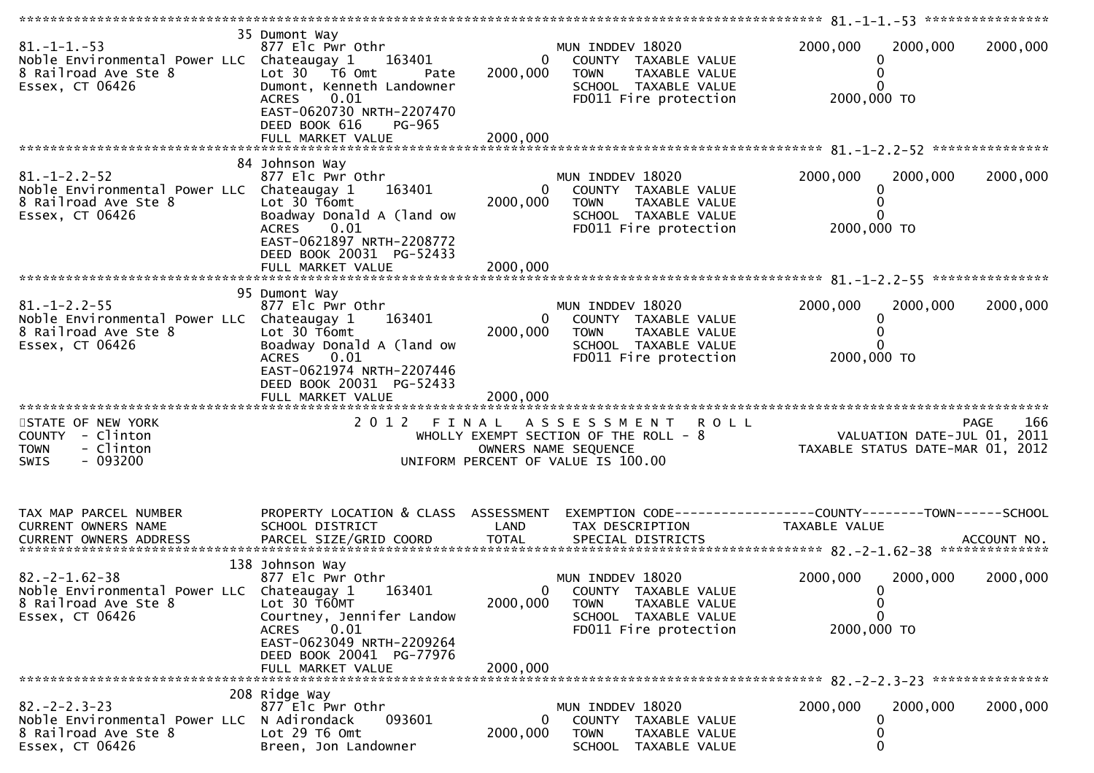| $81. -1 -1. -53$<br>Noble Environmental Power LLC Chateaugay 1<br>8 Railroad Ave Ste 8<br>Essex, CT 06426            | 35 Dumont Way<br>877 Elc Pwr Othr<br>163401<br>Lot $30 - 76$ Omt<br>Pate<br>Dumont, Kenneth Landowner<br>0.01<br><b>ACRES</b><br>EAST-0620730 NRTH-2207470<br>DEED BOOK 616<br>PG-965<br>FULL MARKET VALUE | $\overline{0}$<br>2000,000<br>2000,000 | MUN INDDEV 18020<br>COUNTY TAXABLE VALUE<br><b>TOWN</b><br>TAXABLE VALUE<br>SCHOOL TAXABLE VALUE<br>FD011 Fire protection                 | 2000,000<br>0<br>0<br>2000,000 TO                        | 2000,000<br>2000,000                                                   |
|----------------------------------------------------------------------------------------------------------------------|------------------------------------------------------------------------------------------------------------------------------------------------------------------------------------------------------------|----------------------------------------|-------------------------------------------------------------------------------------------------------------------------------------------|----------------------------------------------------------|------------------------------------------------------------------------|
|                                                                                                                      | 84 Johnson Way                                                                                                                                                                                             |                                        |                                                                                                                                           |                                                          |                                                                        |
| $81. - 1 - 2.2 - 52$<br>Noble Environmental Power LLC Chateaugay 1<br>8 Railroad Ave Ste 8<br>Essex, CT 06426        | 877 Elc Pwr Othr<br>163401<br>Lot 30 T6omt<br>Boadway Donald A (land ow<br>0.01<br><b>ACRES</b><br>EAST-0621897 NRTH-2208772<br>DEED BOOK 20031 PG-52433                                                   | $\mathbf{0}$<br>2000,000               | MUN INDDEV 18020<br>COUNTY TAXABLE VALUE<br><b>TOWN</b><br>TAXABLE VALUE<br>SCHOOL TAXABLE VALUE<br>FD011 Fire protection                 | 2000,000<br>0<br>0<br>2000,000 TO                        | 2000,000<br>2000,000                                                   |
|                                                                                                                      |                                                                                                                                                                                                            |                                        |                                                                                                                                           |                                                          |                                                                        |
|                                                                                                                      |                                                                                                                                                                                                            |                                        |                                                                                                                                           |                                                          |                                                                        |
| $81. - 1 - 2.2 - 55$<br>Noble Environmental Power LLC Chateaugay 1<br>8 Railroad Ave Ste 8<br>Essex, CT 06426        | 95 Dumont Way<br>877 Elc Pwr Othr<br>163401<br>Lot 30 T6omt<br>Boadway Donald A (land ow<br>ACRES 0.01<br>EAST-0621974 NRTH-2207446<br>DEED BOOK 20031 PG-52433                                            | $\overline{0}$<br>2000,000             | MUN INDDEV 18020<br>COUNTY TAXABLE VALUE<br>TAXABLE VALUE<br><b>TOWN</b><br>SCHOOL TAXABLE VALUE<br>FD011 Fire protection                 | 2000,000<br>0<br>0<br>2000,000 TO                        | 2000,000<br>2000,000                                                   |
| STATE OF NEW YORK                                                                                                    |                                                                                                                                                                                                            |                                        | 2012 FINAL ASSESSMENT ROLL                                                                                                                |                                                          | 166<br><b>PAGE</b>                                                     |
| COUNTY - Clinton<br><b>TOWN</b><br>- Clinton<br>$-093200$<br><b>SWIS</b>                                             |                                                                                                                                                                                                            |                                        | WHOLLY EXEMPT SECTION OF THE ROLL - 8<br>OWNERS NAME SEQUENCE<br>UNIFORM PERCENT OF VALUE IS 100.00                                       |                                                          | 200<br>VALUATION DATE-JUL 01, 2011<br>TAXABLE STATUS DATE-MAR 01, 2012 |
|                                                                                                                      |                                                                                                                                                                                                            |                                        |                                                                                                                                           |                                                          |                                                                        |
| TAX MAP PARCEL NUMBER                                                                                                | PROPERTY LOCATION & CLASS ASSESSMENT                                                                                                                                                                       |                                        |                                                                                                                                           |                                                          |                                                                        |
| CURRENT OWNERS NAME                                                                                                  | SCHOOL DISTRICT                                                                                                                                                                                            | LAND                                   | TAX DESCRIPTION                                                                                                                           | TAXABLE VALUE                                            |                                                                        |
|                                                                                                                      |                                                                                                                                                                                                            |                                        |                                                                                                                                           |                                                          |                                                                        |
| $82. -2 - 1.62 - 38$<br>Noble Environmental Power LLC Chateaugay 1 163401<br>8 Railroad Ave Ste 8<br>Essex, CT 06426 | 138 Johnson Way<br>877 Elc Pwr Othr<br>Lot 30 T60MT<br>Courtney, Jennifer Landow<br>0.01<br><b>ACRES</b>                                                                                                   | 2000,000                               | MUN INDDEV 18020<br>$\mathbf{0}$<br>COUNTY TAXABLE VALUE<br><b>TOWN</b><br>TAXABLE VALUE<br>SCHOOL TAXABLE VALUE<br>FD011 Fire protection | 2000,000<br>0<br>$\bf{0}$<br>$\mathbf{0}$<br>2000,000 TO | 2000,000<br>2000,000                                                   |
|                                                                                                                      | EAST-0623049 NRTH-2209264<br>DEED BOOK 20041 PG-77976                                                                                                                                                      |                                        |                                                                                                                                           |                                                          |                                                                        |
|                                                                                                                      | FULL MARKET VALUE                                                                                                                                                                                          | 2000,000                               |                                                                                                                                           |                                                          |                                                                        |
|                                                                                                                      | 208 Ridge Way                                                                                                                                                                                              |                                        |                                                                                                                                           |                                                          |                                                                        |
| $82 - 2 - 2 - 3 - 23$<br>Noble Environmental Power LLC<br>8 Railroad Ave Ste 8<br>Essex, CT 06426                    | 877 Elc Pwr Othr<br>N Adirondack<br>093601<br>Lot 29 T6 Omt<br>Breen, Jon Landowner                                                                                                                        | 0<br>2000,000                          | MUN INDDEV 18020<br>COUNTY<br>TAXABLE VALUE<br><b>TOWN</b><br>TAXABLE VALUE<br><b>SCHOOL</b><br>TAXABLE VALUE                             | 2000,000<br>0<br>0<br>$\mathbf{0}$                       | 2000,000<br>2000,000                                                   |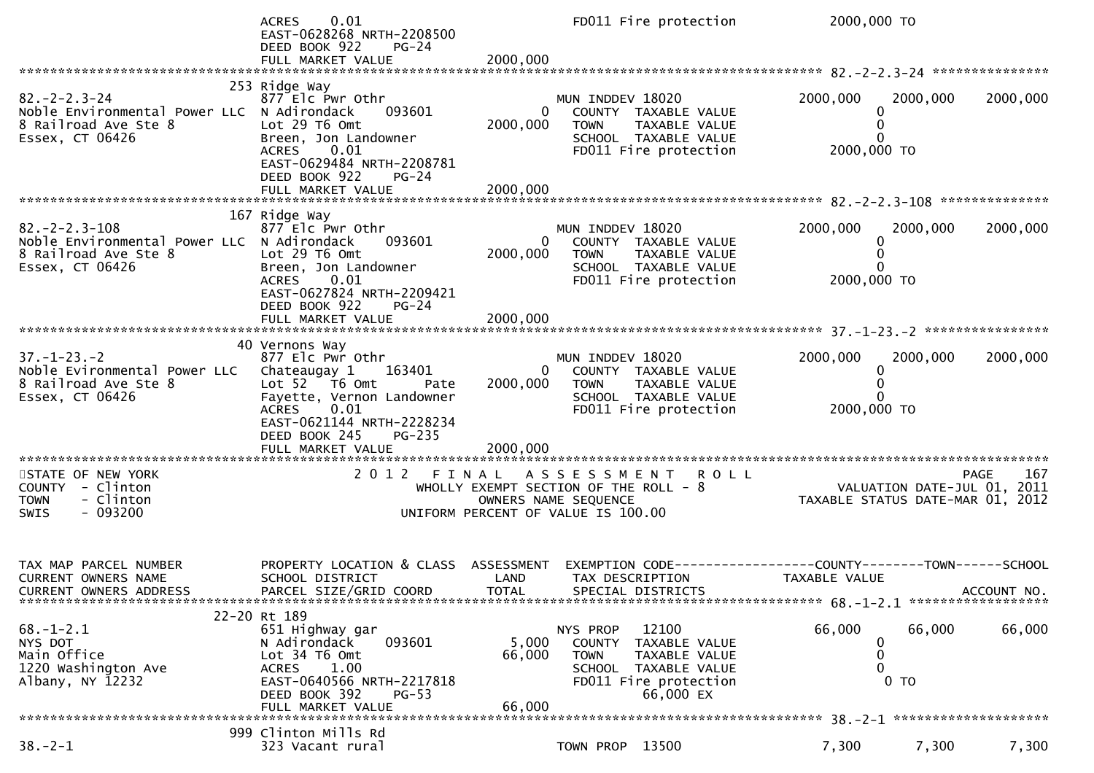|                                                                                                                 | 0.01<br><b>ACRES</b><br>EAST-0628268 NRTH-2208500<br>DEED BOOK 922<br><b>PG-24</b>                                                                                                                                             |                           | FD011 Fire protection                                                                                                                   | 2000,000 TO                                                     |          |             |
|-----------------------------------------------------------------------------------------------------------------|--------------------------------------------------------------------------------------------------------------------------------------------------------------------------------------------------------------------------------|---------------------------|-----------------------------------------------------------------------------------------------------------------------------------------|-----------------------------------------------------------------|----------|-------------|
|                                                                                                                 |                                                                                                                                                                                                                                |                           |                                                                                                                                         |                                                                 |          |             |
| $82 - 2 - 2 - 3 - 24$<br>Noble Environmental Power LLC N Adirondack<br>8 Railroad Ave Ste 8<br>Essex, CT 06426  | 253 Ridge Way<br>877 Elc Pwr Othr<br>093601<br>Lot 29 T6 Omt<br>Breen, Jon Landowner<br><b>ACRES</b><br>0.01<br>EAST-0629484 NRTH-2208781<br>DEED BOOK 922<br>$PG-24$                                                          | $\bf{0}$<br>2000,000      | MUN INDDEV 18020<br>COUNTY TAXABLE VALUE<br><b>TOWN</b><br>TAXABLE VALUE<br>SCHOOL TAXABLE VALUE<br>FD011 Fire protection               | 2000,000<br>0<br>0<br>0<br>2000,000 TO                          | 2000,000 | 2000,000    |
|                                                                                                                 |                                                                                                                                                                                                                                |                           |                                                                                                                                         |                                                                 |          |             |
| $82 - 2 - 2 - 3 - 108$<br>Noble Environmental Power LLC N Adirondack<br>8 Railroad Ave Ste 8<br>Essex, CT 06426 | 167 Ridge Way<br>877 Elc Pwr Othr<br>093601<br>Lot 29 T6 Omt<br>Breen, Jon Landowner<br>0.01<br><b>ACRES</b><br>EAST-0627824 NRTH-2209421<br>DEED BOOK 922<br>$PG-24$                                                          | 2000,000                  | MUN INDDEV 18020<br>$\overline{0}$<br>COUNTY TAXABLE VALUE<br>TAXABLE VALUE<br>TOWN<br>SCHOOL TAXABLE VALUE<br>FD011 Fire protection    | 2000,000<br>0<br>$\mathbf{0}$<br>2000,000 TO                    | 2000,000 | 2000,000    |
|                                                                                                                 |                                                                                                                                                                                                                                |                           |                                                                                                                                         |                                                                 |          |             |
| $37. - 1 - 23. - 2$<br>Noble Evironmental Power LLC<br>8 Railroad Ave Ste 8<br>Essex, CT 06426                  | 40 Vernons Way<br>877 Elc Pwr Othr<br>Chateaugay 1<br>163401<br>Lot 52 T6 Omt<br>Pate<br>Fayette, Vernon Landowner<br><b>ACRES</b><br>0.01<br>EAST-0621144 NRTH-2228234<br>DEED BOOK 245<br><b>PG-235</b><br>FULL MARKET VALUE | 2000,000<br>2000,000      | MUN INDDEV 18020<br>0 COUNTY TAXABLE VALUE<br>TAXABLE VALUE<br>TOWN<br>SCHOOL TAXABLE VALUE<br>FD011 Fire protection                    | 2000,000<br>0<br>0<br>2000,000 TO                               | 2000,000 | 2000,000    |
| **********************                                                                                          |                                                                                                                                                                                                                                |                           |                                                                                                                                         |                                                                 |          |             |
| STATE OF NEW YORK<br>COUNTY - Clinton<br>- Clinton<br><b>TOWN</b><br>$-093200$<br>SWIS                          |                                                                                                                                                                                                                                |                           | 2012 FINAL ASSESSMENT ROLL<br>WHOLLY EXEMPT SECTION OF THE ROLL - $8$<br>OWNERS NAME SEQUENCE<br>UNIFORM PERCENT OF VALUE IS 100.00     | VALUATION DATE-JUL 01, 2011<br>TAXABLE STATUS DATE-MAR 01, 2012 |          | 167<br>PAGE |
| TAX MAP PARCEL NUMBER<br>CURRENT OWNERS NAME<br>CURRENT OWNERS ADDRESS                                          | PROPERTY LOCATION & CLASS ASSESSMENT<br>SCHOOL DISTRICT<br>PARCEL SIZE/GRID COORD                                                                                                                                              | LAND<br><b>TOTAL</b>      | EXEMPTION CODE------------------COUNTY--------TOWN------SCHOOL<br>TAX DESCRIPTION<br>SPECIAL DISTRICTS                                  | TAXABLE VALUE                                                   |          | ACCOUNT NO. |
| $68. - 1 - 2.1$<br>NYS DOT<br>Main Office<br>1220 Washington Ave<br>Albany, NY 12232                            | 22-20 Rt 189<br>651 Highway gar<br>093601<br>N Adirondack<br>Lot 34 T6 Omt<br>ACRES<br>1.00<br>EAST-0640566 NRTH-2217818<br>DEED BOOK 392<br>$PG-53$<br>FULL MARKET VALUE                                                      | 5,000<br>66,000<br>66,000 | 12100<br>NYS PROP<br>COUNTY TAXABLE VALUE<br><b>TOWN</b><br>TAXABLE VALUE<br>SCHOOL TAXABLE VALUE<br>FD011 Fire protection<br>66,000 EX | 66,000<br>0<br>0<br>0<br>$0$ TO                                 | 66,000   | 66,000      |
|                                                                                                                 |                                                                                                                                                                                                                                |                           |                                                                                                                                         |                                                                 |          |             |
| $38. - 2 - 1$                                                                                                   | 999 Clinton Mills Rd<br>323 Vacant rural                                                                                                                                                                                       |                           | TOWN PROP 13500                                                                                                                         | 7,300                                                           | 7,300    | 7,300       |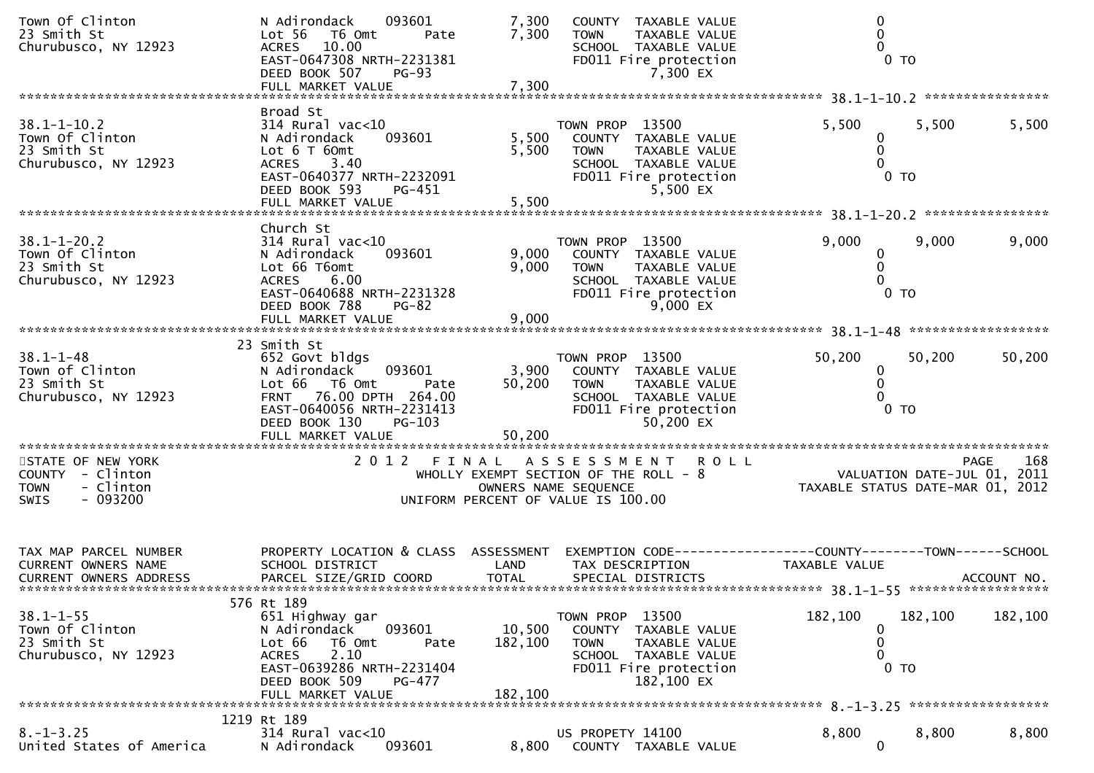| Town Of Clinton<br>23 Smith St<br>Churubusco, NY 12923                                                  | 093601<br>N Adirondack<br>Lot 56<br>T6 Omt<br>Pate<br>ACRES 10.00<br>EAST-0647308 NRTH-2231381<br>DEED BOOK 507<br>$PG-93$<br>FULL MARKET VALUE                                                     | 7,300<br>7,300<br>7,300      | <b>COUNTY</b><br>TAXABLE VALUE<br><b>TOWN</b><br><b>TAXABLE VALUE</b><br>SCHOOL TAXABLE VALUE<br>FD011 Fire protection<br>7,300 EX               | 0<br>0<br>$\mathbf{0}$                                          | $0$ TO                   |                    |
|---------------------------------------------------------------------------------------------------------|-----------------------------------------------------------------------------------------------------------------------------------------------------------------------------------------------------|------------------------------|--------------------------------------------------------------------------------------------------------------------------------------------------|-----------------------------------------------------------------|--------------------------|--------------------|
|                                                                                                         |                                                                                                                                                                                                     |                              |                                                                                                                                                  |                                                                 |                          |                    |
| $38.1 - 1 - 10.2$<br>Town Of Clinton<br>23 Smith St<br>Churubusco, NY 12923                             | Broad St<br>$314$ Rural vac< $10$<br>093601<br>N Adirondack<br>Lot 6 T 60mt<br>ACRES 3.40<br>EAST-0640377 NRTH-2232091<br>DEED BOOK 593<br>PG-451                                                   | 5,500<br>5,500               | TOWN PROP 13500<br>COUNTY TAXABLE VALUE<br>TAXABLE VALUE<br><b>TOWN</b><br>SCHOOL TAXABLE VALUE<br>FD011 Fire protection<br>5,500 EX             | 5,500<br>0<br>0<br>0                                            | 5,500<br>$0$ TO          | 5,500              |
|                                                                                                         | FULL MARKET VALUE                                                                                                                                                                                   | 5,500                        |                                                                                                                                                  |                                                                 |                          |                    |
| $38.1 - 1 - 20.2$<br>Town Of Clinton<br>23 Smith St<br>Churubusco, NY 12923                             | Church St<br>$314$ Rural vac< $10$<br>N Adirondack<br>093601<br>Lot 66 T6omt<br>6.00<br><b>ACRES</b><br>EAST-0640688 NRTH-2231328<br>DEED BOOK 788<br>$PG-82$<br>FULL MARKET VALUE                  | 9,000<br>9,000<br>9,000      | TOWN PROP 13500<br>COUNTY TAXABLE VALUE<br><b>TOWN</b><br>TAXABLE VALUE<br>SCHOOL TAXABLE VALUE<br>FD011 Fire protection<br>9,000 EX             | 9,000<br>0<br>0<br>$\mathbf{0}$                                 | 9,000<br>$0$ TO          | 9,000              |
|                                                                                                         |                                                                                                                                                                                                     |                              |                                                                                                                                                  |                                                                 |                          |                    |
| $38.1 - 1 - 48$<br>Town of Clinton<br>23 Smith St<br>Churubusco, NY 12923                               | 23 Smith St<br>652 Govt bldgs<br>N Adirondack<br>093601<br>Lot 66 T6 Omt<br>Pate<br>76.00 DPTH 264.00<br><b>FRNT</b><br>EAST-0640056 NRTH-2231413<br>DEED BOOK 130<br>$PG-103$<br>FULL MARKET VALUE | 3,900<br>50,200<br>50,200    | TOWN PROP 13500<br>COUNTY TAXABLE VALUE<br>TAXABLE VALUE<br><b>TOWN</b><br>SCHOOL TAXABLE VALUE<br>FD011 Fire protection<br>50,200 EX            | 50,200<br>0<br>$\mathbf{0}$<br>0                                | 50,200<br>0 <sub>T</sub> | 50,200             |
| **********************                                                                                  |                                                                                                                                                                                                     |                              |                                                                                                                                                  |                                                                 |                          |                    |
| STATE OF NEW YORK<br><b>COUNTY</b><br>- Clinton<br>- Clinton<br><b>TOWN</b><br>$-093200$<br><b>SWIS</b> | 2 0 1 2                                                                                                                                                                                             | FINAL                        | <b>ROLL</b><br>A S S E S S M E N T<br>WHOLLY EXEMPT SECTION OF THE ROLL - 8<br>OWNERS NAME SEQUENCE<br>UNIFORM PERCENT OF VALUE IS 100.00        | VALUATION DATE-JUL 01, 2011<br>TAXABLE STATUS DATE-MAR 01, 2012 |                          | 168<br><b>PAGE</b> |
| TAX MAP PARCEL NUMBER<br>CURRENT OWNERS NAME<br><b>CURRENT OWNERS ADDRESS</b>                           | PROPERTY LOCATION & CLASS ASSESSMENT<br>SCHOOL DISTRICT<br>PARCEL SIZE/GRID COORD                                                                                                                   | LAND<br><b>TOTAL</b>         | EXEMPTION CODE-----------------COUNTY--------TOWN------SCHOOL<br>TAX DESCRIPTION<br>SPECIAL DISTRICTS                                            | TAXABLE VALUE                                                   |                          | ACCOUNT NO.        |
| $38.1 - 1 - 55$<br>Town Of Clinton<br>23 Smith St<br>Churubusco, NY 12923                               | 576 Rt 189<br>651 Highway gar<br>N Adirondack<br>093601<br>Lot 66<br>T6 Omt<br>Pate<br>2.10<br><b>ACRES</b><br>EAST-0639286 NRTH-2231404<br>DEED BOOK 509<br>PG-477<br>FULL MARKET VALUE            | 10,500<br>182,100<br>182,100 | TOWN PROP 13500<br><b>COUNTY</b><br>TAXABLE VALUE<br><b>TOWN</b><br>TAXABLE VALUE<br>SCHOOL TAXABLE VALUE<br>FD011 Fire protection<br>182,100 EX | 182,100<br>$\bf{0}$<br>0<br>0                                   | 182,100<br>$0$ TO        | 182,100            |
|                                                                                                         | 1219 Rt 189                                                                                                                                                                                         |                              |                                                                                                                                                  |                                                                 |                          |                    |
| $8. - 1 - 3.25$<br>United States of America                                                             | $314$ Rural vac<10<br>093601<br>N Adirondack                                                                                                                                                        | 8,800                        | US PROPETY 14100<br>COUNTY TAXABLE VALUE                                                                                                         | 8,800<br>0                                                      | 8,800                    | 8,800              |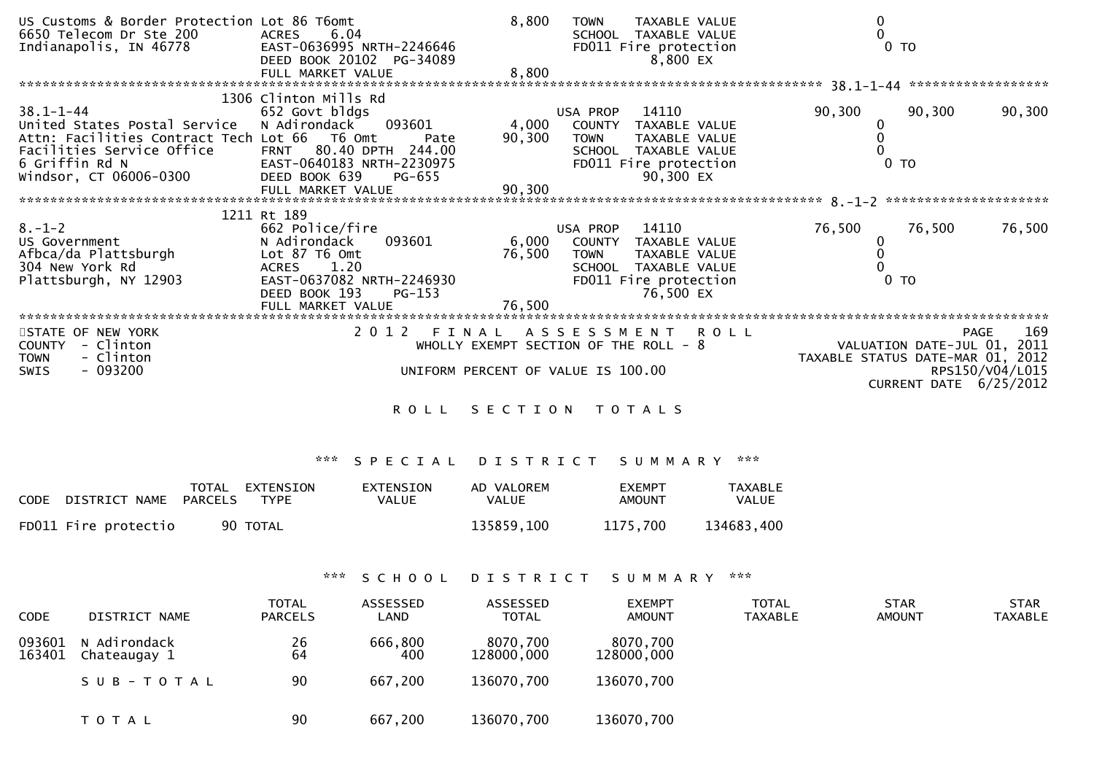| US Customs & Border Protection Lot 86 T6omt  |                                                   | 8,800           | <b>TOWN</b>    | TAXABLE VALUE                          | 0                                |                             |                    |
|----------------------------------------------|---------------------------------------------------|-----------------|----------------|----------------------------------------|----------------------------------|-----------------------------|--------------------|
| 6650 Telecom Dr Ste 200                      | 6.04<br><b>ACRES</b>                              |                 |                | SCHOOL TAXABLE VALUE                   | $\mathbf 0$                      |                             |                    |
| Indianapolis, IN 46778                       | EAST-0636995 NRTH-2246646                         |                 |                | FD011 Fire protection                  |                                  | $0$ TO                      |                    |
|                                              | DEED BOOK 20102 PG-34089                          |                 |                | 8,800 EX                               |                                  |                             |                    |
|                                              | FULL MARKET VALUE                                 | 8,800           |                |                                        |                                  |                             |                    |
|                                              |                                                   |                 |                |                                        |                                  |                             |                    |
|                                              | 1306 Clinton Mills Rd                             |                 |                |                                        |                                  |                             |                    |
| $38.1 - 1 - 44$                              | 652 Govt bldgs                                    |                 | USA PROP       | 14110                                  | 90,300                           | 90,300                      | 90,300             |
| United States Postal Service                 | 093601<br>N Adirondack                            | 4,000           |                | COUNTY TAXABLE VALUE                   |                                  |                             |                    |
| Attn: Facilities Contract Tech Lot 66 T6 Omt | Pate                                              | 90,300          | <b>TOWN</b>    | TAXABLE VALUE                          |                                  |                             |                    |
| Facilities Service Office                    | FRNT 80.40 DPTH 244.00                            |                 |                | SCHOOL TAXABLE VALUE                   |                                  |                             |                    |
|                                              | EAST-0640183 NRTH-2230975                         |                 |                | FD011 Fire protection                  |                                  | $0$ TO                      |                    |
| 6 Griffin Rd N<br>Windsor, CT 06006-0300     | DEED BOOK 639<br>PG-655                           |                 |                | 90,300 EX                              |                                  |                             |                    |
|                                              | FULL MARKET VALUE                                 | 90,300          |                |                                        |                                  |                             |                    |
|                                              |                                                   |                 |                |                                        |                                  |                             |                    |
|                                              | 1211 Rt 189                                       |                 |                |                                        |                                  |                             |                    |
| $8. - 1 - 2$                                 | 662 Police/fire                                   |                 | USA PROP 14110 |                                        |                                  | 76,500                      |                    |
|                                              |                                                   |                 |                |                                        | 76,500                           |                             | 76,500             |
| US Government                                | 093601<br>N Adirondack                            |                 |                | 6,000 COUNTY TAXABLE VALUE             |                                  |                             |                    |
| Afbca/da Plattsburgh                         | Lot 87 T6 Omt                                     | 76,500          | <b>TOWN</b>    | TAXABLE VALUE                          |                                  |                             |                    |
| 304 New York Rd                              | ACRES 1.20                                        |                 |                | SCHOOL TAXABLE VALUE                   |                                  |                             |                    |
| Plattsburgh, NY 12903                        | EAST-0637082 NRTH-2246930                         |                 |                | FD011 Fire protection                  |                                  | 0 <sub>T</sub>              |                    |
|                                              | DEED BOOK 193<br>PG-153                           |                 |                | 76,500 EX                              |                                  |                             |                    |
|                                              | FULL MARKET VALUE<br>**************************** |                 |                |                                        |                                  |                             |                    |
|                                              |                                                   |                 |                |                                        |                                  |                             |                    |
| STATE OF NEW YORK                            |                                                   |                 |                | 2012 FINAL ASSESSMENT ROLL             |                                  |                             | 169<br><b>PAGE</b> |
| COUNTY - Clinton                             |                                                   |                 |                | WHOLLY EXEMPT SECTION OF THE ROLL $-8$ |                                  | VALUATION DATE-JUL 01, 2011 |                    |
| - Clinton<br><b>TOWN</b>                     |                                                   |                 |                |                                        | TAXABLE STATUS DATE-MAR 01, 2012 |                             |                    |
| $-093200$<br><b>SWIS</b>                     | UNIFORM PERCENT OF VALUE IS 100.00                |                 |                |                                        |                                  |                             | RPS150/V04/L015    |
|                                              |                                                   |                 |                |                                        |                                  | CURRENT DATE 6/25/2012      |                    |
|                                              |                                                   |                 |                |                                        |                                  |                             |                    |
|                                              | ROLL SECTION TOTALS                               |                 |                |                                        |                                  |                             |                    |
|                                              |                                                   |                 |                |                                        |                                  |                             |                    |
|                                              |                                                   |                 |                |                                        |                                  |                             |                    |
|                                              |                                                   |                 |                |                                        |                                  |                             |                    |
|                                              | ***<br>SPECIAL                                    | D I S T R I C T |                | SUMMARY ***                            |                                  |                             |                    |

| CODE                  | TOTAL EXTENSION | EXTENSION | AD VALOREM   | <b>FXFMPT</b> | TAXABLE      |
|-----------------------|-----------------|-----------|--------------|---------------|--------------|
| DISTRICT NAME PARCELS | TYPF            | VALUE     | <b>VALUE</b> | AMOUNT        | <b>VALUE</b> |
| FD011 Fire protectio  | 90 TOTAL        |           | 135859,100   | 1175.700      | 134683,400   |

\*\*\* S C H O O L D I S T R I C T S U M M A R Y \*\*\*

| <b>CODE</b>      | DISTRICT NAME                | <b>TOTAL</b><br><b>PARCELS</b> | ASSESSED<br>LAND | ASSESSED<br><b>TOTAL</b> | <b>EXEMPT</b><br>AMOUNT | <b>TOTAL</b><br><b>TAXABLE</b> | <b>STAR</b><br>AMOUNT | <b>STAR</b><br>TAXABLE |
|------------------|------------------------------|--------------------------------|------------------|--------------------------|-------------------------|--------------------------------|-----------------------|------------------------|
| 093601<br>163401 | N Adirondack<br>Chateaugay 1 | 26<br>64                       | 666,800<br>400   | 8070,700<br>128000,000   | 8070,700<br>128000,000  |                                |                       |                        |
|                  | SUB-TOTAL                    | 90                             | 667,200          | 136070,700               | 136070,700              |                                |                       |                        |
|                  | T O T A L                    | 90                             | 667,200          | 136070,700               | 136070,700              |                                |                       |                        |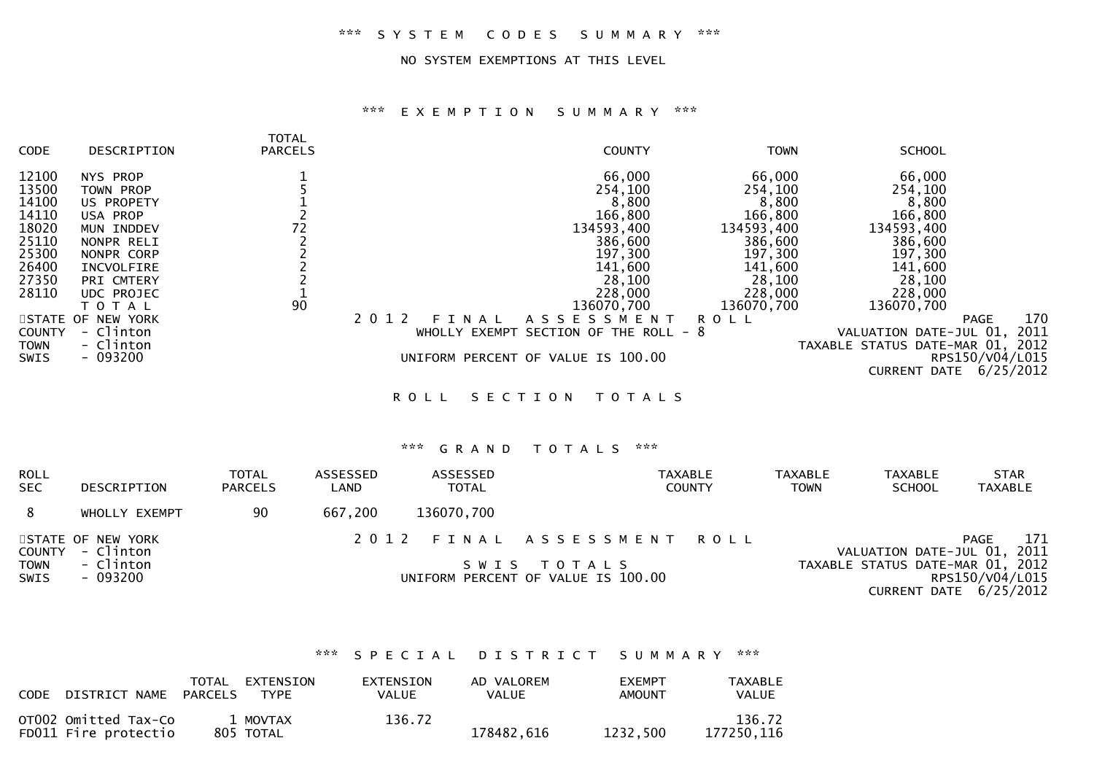#### NO SYSTEM EXEMPTIONS AT THIS LEVEL

# \*\*\* E X E M P T I O N S U M M A R Y \*\*\*

| <b>CODE</b>   | DESCRIPTION       | <b>TOTAL</b><br><b>PARCELS</b> | <b>COUNTY</b>                            | <b>TOWN</b> | <b>SCHOOL</b>                    |
|---------------|-------------------|--------------------------------|------------------------------------------|-------------|----------------------------------|
| 12100         | NYS PROP          |                                | 66,000                                   | 66,000      | 66,000                           |
| 13500         | TOWN PROP         |                                | 254,100                                  | 254,100     | 254,100                          |
| 14100         | US PROPETY        |                                | 8,800                                    | 8,800       | 8,800                            |
| 14110         | USA PROP          |                                | 166,800                                  | 166,800     | 166,800                          |
| 18020         | MUN INDDEV        | 72                             | 134593,400                               | 134593,400  | 134593,400                       |
| 25110         | NONPR RELI        |                                | 386,600                                  | 386,600     | 386,600                          |
| 25300         | NONPR CORP        |                                | 197,300                                  | 197,300     | 197,300                          |
| 26400         | INCVOLFIRE        |                                | 141,600                                  | 141,600     | 141,600                          |
| 27350         | PRI CMTERY        |                                | 28,100                                   | 28,100      | 28,100                           |
| 28110         | UDC PROJEC        |                                | 228,000                                  | 228,000     | 228,000                          |
|               | TOTAL             | 90                             | 136070,700                               | 136070,700  | 136070,700                       |
|               | STATE OF NEW YORK |                                | 2 0 1 2<br>A S S E S S M E N T<br>FINAL  | <b>ROLL</b> | 170<br>PAGE                      |
| <b>COUNTY</b> | - Clinton         |                                | SECTION OF THE ROLL - 8<br>WHOLLY EXEMPT |             | VALUATION DATE-JUL 01, 2011      |
| TOWN          | - Clinton         |                                |                                          |             | TAXABLE STATUS DATE-MAR 01, 2012 |
| SWIS          | $-093200$         |                                | UNIFORM PERCENT OF VALUE IS 100.00       |             | RPS150/V04/L015                  |
|               |                   |                                |                                          |             | 6/25/2012<br><b>CURRENT DATE</b> |
|               |                   |                                | SECTION<br><b>ROLL</b><br>T O T A L S    |             |                                  |
|               |                   |                                |                                          |             |                                  |

# \*\*\* G R A N D T O T A L S \*\*\*

| <b>ROLL</b><br><b>SEC</b> | DESCRIPTION                    | <b>TOTAL</b><br><b>PARCELS</b> | ASSESSED<br>LAND | <b>ASSESSED</b><br><b>TOTAL</b> | <b>TAXABLE</b><br><b>COUNTY</b>                   | <b>TAXABLE</b><br><b>TOWN</b> | <b>TAXABLE</b><br><b>SCHOOL</b> | <b>STAR</b><br><b>TAXABLE</b>                                                   |
|---------------------------|--------------------------------|--------------------------------|------------------|---------------------------------|---------------------------------------------------|-------------------------------|---------------------------------|---------------------------------------------------------------------------------|
|                           | WHOLLY EXEMPT                  | 90                             | 667,200          | 136070,700                      |                                                   |                               |                                 |                                                                                 |
| COUNTY                    | STATE OF NEW YORK<br>- Clinton |                                |                  |                                 | 2012 FINAL ASSESSMENT ROLL                        |                               |                                 | 171<br>PAGE<br>VALUATION DATE-JUL 01, 2011                                      |
| <b>TOWN</b><br>SWIS       | - Clinton<br>- 093200          |                                |                  |                                 | SWIS TOTALS<br>UNIFORM PERCENT OF VALUE IS 100.00 |                               |                                 | TAXABLE STATUS DATE-MAR 01, 2012<br>RPS150/V04/L015<br>CURRENT DATE $6/25/2012$ |

# \*\*\* S P E C I A L D I S T R I C T S U M M A R Y \*\*\*

| CODE | DISTRICT NAME                                | TOTAL<br>PARCELS | EXTENSION<br><b>TYPE</b> | EXTENSION<br>VALUE | AD VALOREM<br><b>VALUE</b> | <b>EXEMPT</b><br>AMOUNT | TAXABLE<br>VALUE     |
|------|----------------------------------------------|------------------|--------------------------|--------------------|----------------------------|-------------------------|----------------------|
|      | OTOO2 Omitted Tax-Co<br>FD011 Fire protectio |                  | 1 MOVTAX<br>805 TOTAL    | 136.72             | 178482.616                 | 1232.500                | 136.72<br>177250.116 |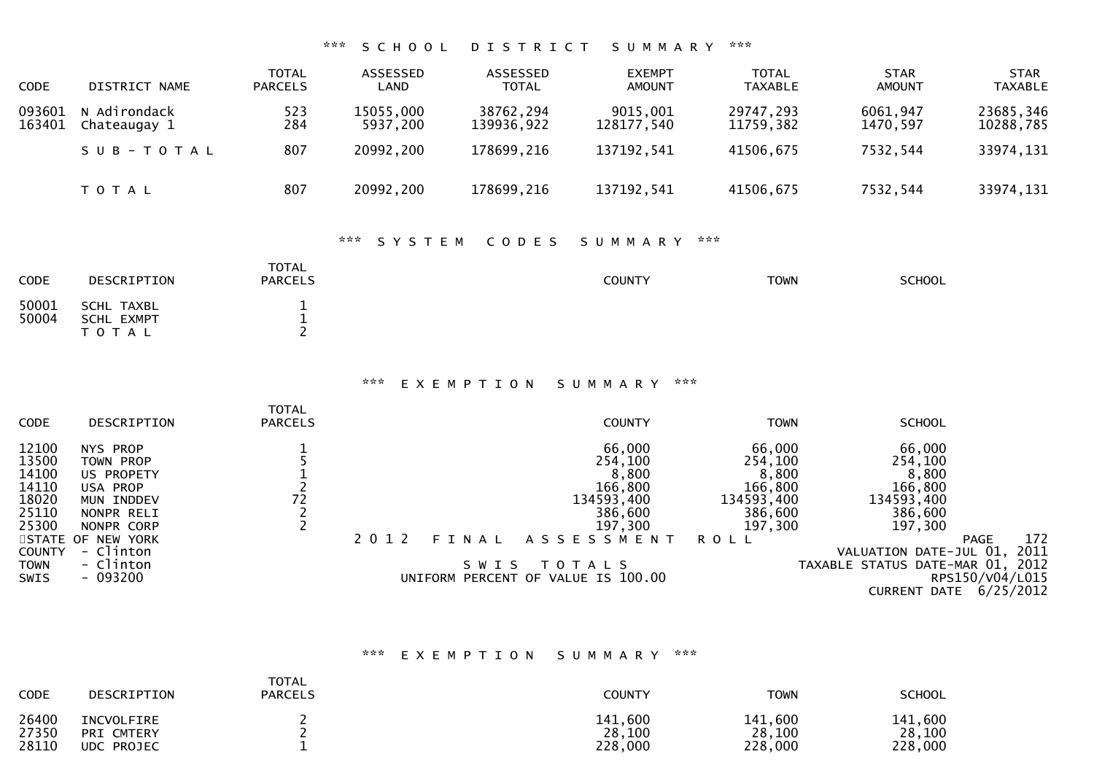# \*\*\* S C H O O L D I S T R I C T S U M M A R Y \*\*\*

| <b>CODE</b>      | DISTRICT NAME              | TOTAL<br><b>PARCELS</b> | ASSESSED<br>LAND      | ASSESSED<br><b>TOTAL</b> | <b>EXEMPT</b><br><b>AMOUNT</b> | TOTAL<br><b>TAXABLE</b> | <b>STAR</b><br><b>AMOUNT</b> | <b>STAR</b><br><b>TAXABLE</b> |
|------------------|----------------------------|-------------------------|-----------------------|--------------------------|--------------------------------|-------------------------|------------------------------|-------------------------------|
| 093601<br>163401 | Adirondack<br>Chateaugay 1 | 523<br>284              | 15055,000<br>5937,200 | 38762,294<br>139936,922  | 9015,001<br>128177,540         | 29747,293<br>11759,382  | 6061,947<br>1470,597         | 23685,346<br>10288,785        |
|                  | SUB-TOTAL                  | 807                     | 20992,200             | 178699,216               | 137192,541                     | 41506,675               | 7532,544                     | 33974,131                     |
|                  | T O T A L                  | 807                     | 20992,200             | 178699,216               | 137192,541                     | 41506,675               | 7532,544                     | 33974,131                     |

# \*\*\* S Y S T E M C O D E S S U M M A R Y \*\*\*

| <b>CODE</b>    | DESCRIPTION                              | <b>TOTAL</b><br><b>PARCELS</b> | <b>COUNTY</b> | <b>TOWN</b> | <b>SCHOOL</b> |
|----------------|------------------------------------------|--------------------------------|---------------|-------------|---------------|
| 50001<br>50004 | SCHL TAXBL<br><b>SCHL EXMPT</b><br>TOTAL |                                |               |             |               |

#### \*\*\* E X E M P T I O N S U M M A R Y \*\*\*

| <b>CODE</b>         | DESCRIPTION                    | <b>TOTAL</b><br><b>PARCELS</b> |         |         |             | <b>COUNTY</b>                      | <b>TOWN</b>        | <b>SCHOOL</b>                    |                               |
|---------------------|--------------------------------|--------------------------------|---------|---------|-------------|------------------------------------|--------------------|----------------------------------|-------------------------------|
| 12100<br>13500      | NYS PROP<br>TOWN PROP          |                                |         |         |             | 66,000<br>254,100                  | 66,000<br>254,100  | 66,000<br>254,100                |                               |
| 14100<br>14110      | US PROPETY<br>USA PROP         |                                |         |         |             | 8,800<br>166,800                   | 8,800<br>166,800   | 8,800<br>166,800                 |                               |
| 18020               | MUN INDDEV                     | 72                             |         |         |             | 134593,400                         | 134593,400         | 134593,400                       |                               |
| 25110<br>25300      | NONPR RELI<br>NONPR CORP       |                                |         |         |             | 386,600<br>197,300                 | 386,600<br>197,300 | 386,600<br>197,300               |                               |
| <b>COUNTY</b>       | STATE OF NEW YORK<br>- Clinton |                                | 2 0 1 2 | FINAL   |             | ASSESSMENT                         | <b>ROLL</b>        | VALUATION DATE-JUL 01,           | 172<br><b>PAGE</b><br>2011    |
| <b>TOWN</b><br>SWIS | - Clinton<br>$-093200$         |                                |         | S W I S | T O T A L S | UNIFORM PERCENT OF VALUE IS 100.00 |                    | TAXABLE STATUS DATE-MAR 01, 2012 | RPS150/V04/L015               |
|                     |                                |                                |         |         |             |                                    |                    |                                  | <b>CURRENT DATE 6/25/2012</b> |

# \*\*\* E X E M P T I O N S U M M A R Y \*\*\*

| <b>CODE</b> | DESCRIPTION | <b>TOTAL</b><br><b>PARCELS</b> | <b>COUNTY</b> | TOWN    | <b>SCHOOL</b> |
|-------------|-------------|--------------------------------|---------------|---------|---------------|
| 26400       | INCVOLFIRE  |                                | 141,600       | 141,600 | 141,600       |
| 27350       | PRI CMTERY  |                                | 28,100        | 28,100  | 28,100        |
| 28110       | UDC PROJEC  |                                | 228,000       | 228,000 | 228,000       |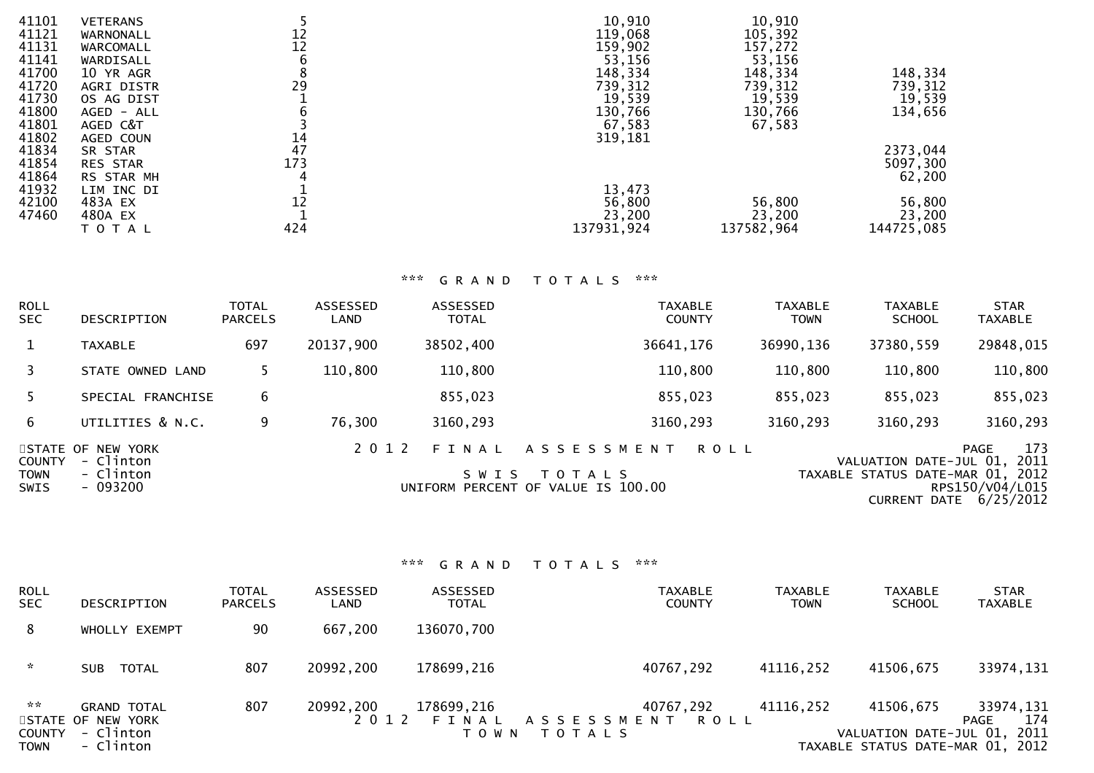| 41101 | <b>VETERANS</b> |     | 10,910     | 10,910     |            |
|-------|-----------------|-----|------------|------------|------------|
| 41121 | WARNONALL       | 12  | 119,068    | 105,392    |            |
| 41131 | WARCOMALL       | 12  | 159,902    | 157,272    |            |
| 41141 | WARDISALL       | 6   | 53,156     | 53,156     |            |
| 41700 | 10 YR AGR       | 8   | 148,334    | 148,334    | 148,334    |
| 41720 | AGRI DISTR      | 29  | 739,312    | 739,312    | 739,312    |
| 41730 | OS AG DIST      |     | 19,539     | 19,539     | 19,539     |
| 41800 | AGED - ALL      | 6   | 130,766    | 130,766    | 134,656    |
| 41801 | AGED C&T        |     | 67,583     | 67,583     |            |
| 41802 | AGED COUN       | 14  | 319,181    |            |            |
| 41834 | SR STAR         | 47  |            |            | 2373,044   |
| 41854 | <b>RES STAR</b> | 173 |            |            | 5097,300   |
| 41864 | RS STAR MH      |     |            |            | 62,200     |
| 41932 | LIM INC DI      |     | 13,473     |            |            |
| 42100 | 483A EX         | 12  | 56,800     | 56,800     | 56,800     |
| 47460 | 480A EX         |     | 23,200     | 23,200     | 23,200     |
|       | T O T A L       | 424 | 137931,924 | 137582,964 | 144725,085 |
|       |                 |     |            |            |            |

# \*\*\* G R A N D T O T A L S \*\*\*

| <b>ROLL</b><br><b>SEC</b>                   | DESCRIPTION                                             | <b>TOTAL</b><br><b>PARCELS</b> | ASSESSED<br>LAND | ASSESSED<br><b>TOTAL</b> | <b>TAXABLE</b><br><b>COUNTY</b>                                                | <b>TAXABLE</b><br><b>TOWN</b> | <b>TAXABLE</b><br><b>SCHOOL</b>                                 | <b>STAR</b><br><b>TAXABLE</b>                                   |
|---------------------------------------------|---------------------------------------------------------|--------------------------------|------------------|--------------------------|--------------------------------------------------------------------------------|-------------------------------|-----------------------------------------------------------------|-----------------------------------------------------------------|
| $\mathbf{1}$                                | <b>TAXABLE</b>                                          | 697                            | 20137,900        | 38502,400                | 36641,176                                                                      | 36990,136                     | 37380,559                                                       | 29848,015                                                       |
| 3                                           | STATE OWNED LAND                                        |                                | 110,800          | 110,800                  | 110,800                                                                        | 110,800                       | 110,800                                                         | 110,800                                                         |
| 5.                                          | SPECIAL FRANCHISE                                       | 6                              |                  | 855,023                  | 855,023                                                                        | 855,023                       | 855,023                                                         | 855,023                                                         |
| 6                                           | UTILITIES & N.C.                                        | 9                              | 76,300           | 3160,293                 | 3160,293                                                                       | 3160,293                      | 3160,293                                                        | 3160,293                                                        |
| <b>COUNTY</b><br><b>TOWN</b><br><b>SWIS</b> | STATE OF NEW YORK<br>- Clinton<br>- Clinton<br>- 093200 |                                | 2 0 1 2          | FINAL<br>S W I S         | ASSESSMENT<br><b>ROLL</b><br>T O T A L S<br>UNIFORM PERCENT OF VALUE IS 100.00 |                               | VALUATION DATE-JUL 01, 2011<br>TAXABLE STATUS DATE-MAR 01, 2012 | 173<br><b>PAGE</b><br>RPS150/V04/L015<br>CURRENT DATE 6/25/2012 |

| <b>ROLL</b><br><b>SEC</b>                        | DESCRIPTION                                                       | <b>TOTAL</b><br><b>PARCELS</b> | ASSESSED<br>LAND     | ASSESSED<br><b>TOTAL</b>       | <b>TAXABLE</b><br><b>COUNTY</b>                         | <b>TAXABLE</b><br><b>TOWN</b> | <b>TAXABLE</b><br><b>SCHOOL</b>                                              | <b>STAR</b><br>TAXABLE          |
|--------------------------------------------------|-------------------------------------------------------------------|--------------------------------|----------------------|--------------------------------|---------------------------------------------------------|-------------------------------|------------------------------------------------------------------------------|---------------------------------|
| 8                                                | WHOLLY EXEMPT                                                     | 90                             | 667,200              | 136070,700                     |                                                         |                               |                                                                              |                                 |
| $\mathcal{H}$                                    | TOTAL<br>SUB                                                      | 807                            | 20992,200            | 178699,216                     | 40767,292                                               | 41116,252                     | 41506,675                                                                    | 33974,131                       |
| <b>ARCHITECT</b><br><b>COUNTY</b><br><b>TOWN</b> | <b>GRAND TOTAL</b><br>STATE OF NEW YORK<br>- Clinton<br>- Clinton | 807                            | 20992,200<br>2 0 1 2 | 178699,216<br>FINAL<br>T O W N | 40767,292<br>A S S E S S M E N T<br>ROLL<br>T O T A L S | 41116,252                     | 41506,675<br>VALUATION DATE-JUL 01, 2011<br>TAXABLE STATUS DATE-MAR 01, 2012 | 33974,131<br>174<br><b>PAGE</b> |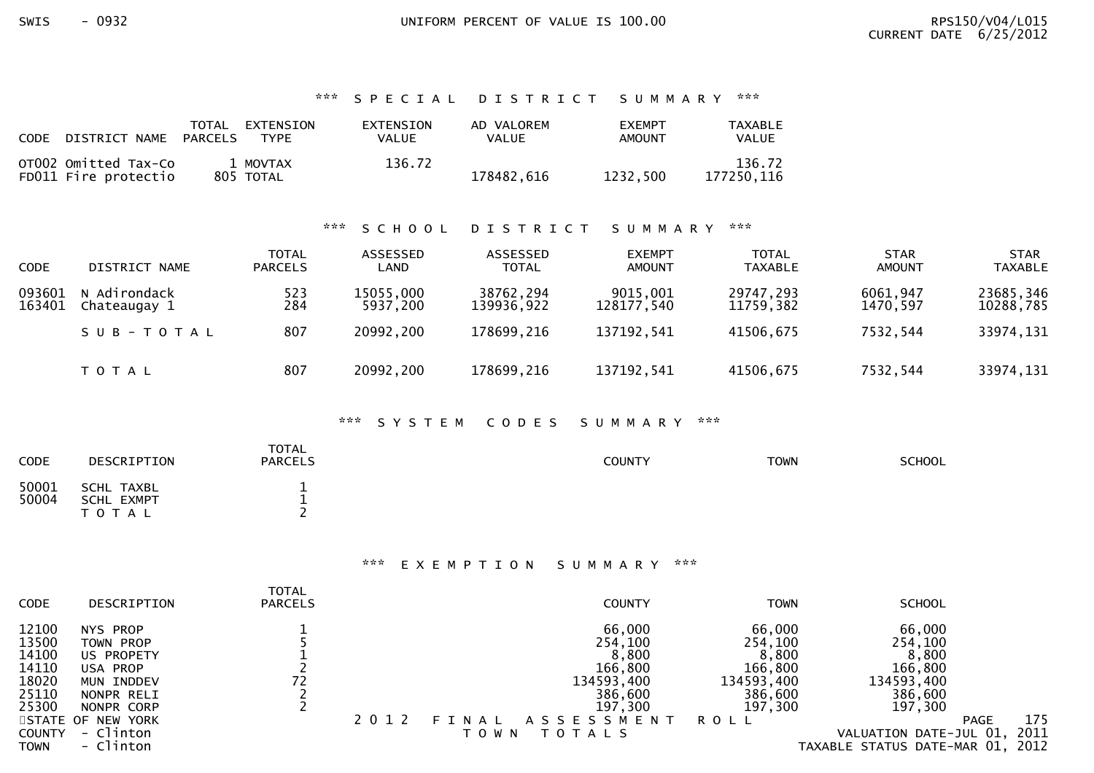# \*\*\* S P E C I A L D I S T R I C T S U M M A R Y \*\*\*

| CODE | DISTRICT NAME                                | TOTAL<br><b>PARCELS</b> | EXTENSION<br><b>TYPF</b> | <b>EXTENSION</b><br><b>VALUE</b> | AD VALOREM<br>VALUE | <b>FXEMPT</b><br>AMOUNT | TAXABLE<br>VALUE     |
|------|----------------------------------------------|-------------------------|--------------------------|----------------------------------|---------------------|-------------------------|----------------------|
|      | OTO02 Omitted Tax-Co<br>FD011 Fire protectio |                         | 1 MOVTAX<br>805 TOTAL    | 136.72                           | 178482.616          | 1232.500                | 136.72<br>177250.116 |

# \*\*\* S C H O O L D I S T R I C T S U M M A R Y \*\*\*

| <b>CODE</b>      | DISTRICT NAME                | <b>TOTAL</b><br><b>PARCELS</b> | <b>ASSESSED</b><br>LAND | ASSESSED<br>TOTAL       | <b>EXEMPT</b><br><b>AMOUNT</b> | <b>TOTAL</b><br><b>TAXABLE</b> | <b>STAR</b><br><b>AMOUNT</b> | <b>STAR</b><br><b>TAXABLE</b> |
|------------------|------------------------------|--------------------------------|-------------------------|-------------------------|--------------------------------|--------------------------------|------------------------------|-------------------------------|
| 093601<br>163401 | N Adirondack<br>Chateaugay 1 | 523<br>284                     | 15055,000<br>5937,200   | 38762,294<br>139936,922 | 9015,001<br>128177.540         | 29747,293<br>11759,382         | 6061,947<br>1470.597         | 23685,346<br>10288,785        |
|                  | SUB-TOTAL                    | 807                            | 20992,200               | 178699,216              | 137192,541                     | 41506,675                      | 7532,544                     | 33974,131                     |
|                  | T O T A L                    | 807                            | 20992,200               | 178699,216              | 137192,541                     | 41506,675                      | 7532,544                     | 33974,131                     |

# \*\*\* S Y S T E M C O D E S S U M M A R Y \*\*\*

| <b>CODE</b> | DESCRIPTION | <b>TOTAL</b><br><b>PARCELS</b> | COUNTY | <b>TOWN</b> | <b>SCHOOL</b> |
|-------------|-------------|--------------------------------|--------|-------------|---------------|
| 50001       | SCHL TAXBL  |                                |        |             |               |
| 50004       | SCHL EXMPT  |                                |        |             |               |
|             | T O T A L   |                                |        |             |               |

#### \*\*\* E X E M P T I O N S U M M A R Y \*\*\*

| <b>CODE</b>                                                                                 | DESCRIPTION                                                                                                                              | <b>TOTAL</b><br><b>PARCELS</b> |         |                  | <b>COUNTY</b>                                                                                          | <b>TOWN</b>                                                                          | <b>SCHOOL</b>                                                                                                                           |             |             |
|---------------------------------------------------------------------------------------------|------------------------------------------------------------------------------------------------------------------------------------------|--------------------------------|---------|------------------|--------------------------------------------------------------------------------------------------------|--------------------------------------------------------------------------------------|-----------------------------------------------------------------------------------------------------------------------------------------|-------------|-------------|
| 12100<br>13500<br>14100<br>14110<br>18020<br>25110<br>25300<br><b>COUNTY</b><br><b>TOWN</b> | NYS PROP<br>TOWN PROP<br>US PROPETY<br>USA PROP<br>MUN INDDEV<br>NONPR RELI<br>NONPR CORP<br>STATE OF NEW YORK<br>- Clinton<br>- Clinton | 72                             | 2 0 1 2 | FINAL<br>T O W N | 66,000<br>254,100<br>8,800<br>166,800<br>134593,400<br>386,600<br>197,300<br>ASSESSMENT<br>T O T A L S | 66,000<br>254,100<br>8,800<br>166,800<br>134593,400<br>386,600<br>197,300<br>R O L L | 66,000<br>254,100<br>8,800<br>166,800<br>134593,400<br>386,600<br>197,300<br>VALUATION DATE-JUL 01,<br>TAXABLE STATUS DATE-MAR 01, 2012 | <b>PAGE</b> | 175<br>2011 |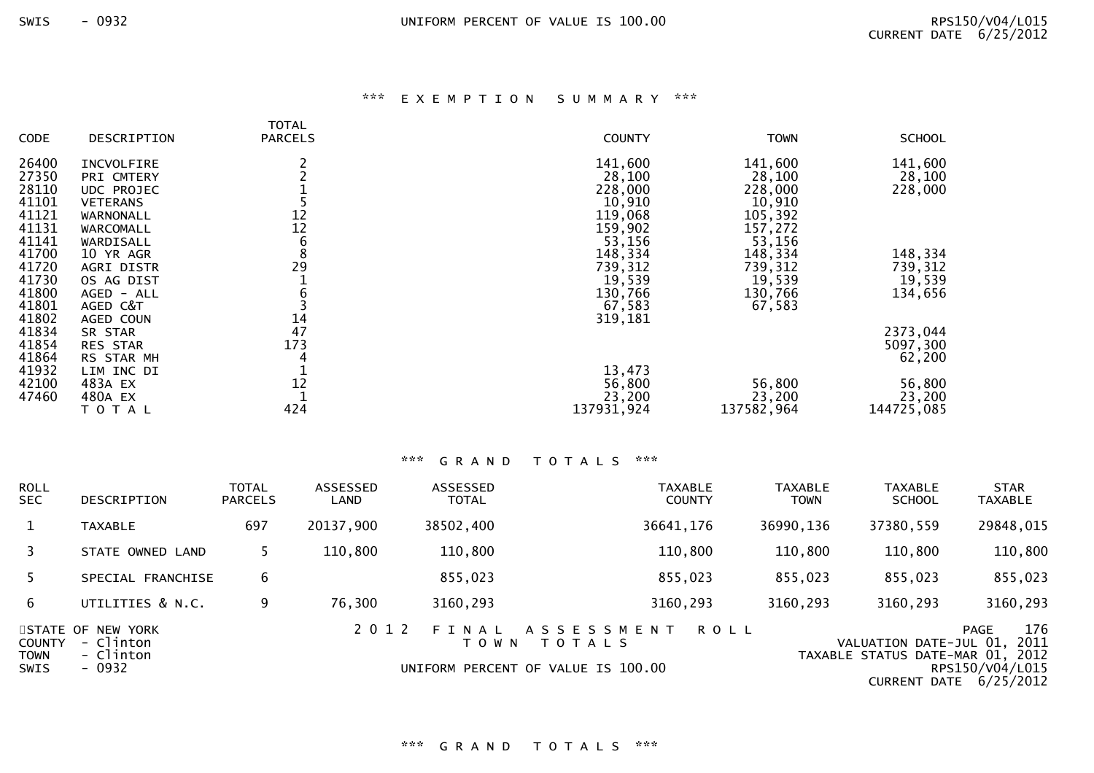# \*\*\* E X E M P T I O N S U M M A R Y \*\*\*

| <b>CODE</b> | DESCRIPTION     | TOTAL<br><b>PARCELS</b> | <b>COUNTY</b> | <b>TOWN</b> | <b>SCHOOL</b> |
|-------------|-----------------|-------------------------|---------------|-------------|---------------|
| 26400       | INCVOLFIRE      |                         | 141,600       | 141,600     | 141,600       |
| 27350       | PRI CMTERY      |                         | 28,100        | 28,100      | 28,100        |
| 28110       | UDC PROJEC      |                         | 228,000       | 228,000     | 228,000       |
| 41101       | <b>VETERANS</b> |                         | 10,910        | 10,910      |               |
| 41121       | WARNONALL       | 12                      | 119,068       | 105,392     |               |
| 41131       | WARCOMALL       | 12                      | 159,902       | 157,272     |               |
| 41141       | WARDISALL       | 6                       | 53,156        | 53,156      |               |
| 41700       | 10 YR AGR       | 8                       | 148,334       | 148,334     | 148,334       |
| 41720       | AGRI DISTR      | 29                      | 739,312       | 739,312     | 739,312       |
| 41730       | OS AG DIST      |                         | 19,539        | 19,539      | 19,539        |
| 41800       | AGED - ALL      | 6                       | 130,766       | 130,766     | 134,656       |
| 41801       | AGED C&T        |                         | 67,583        | 67,583      |               |
| 41802       | AGED COUN       | 14                      | 319,181       |             |               |
| 41834       | SR STAR         | 47                      |               |             | 2373,044      |
| 41854       | <b>RES STAR</b> | 173                     |               |             | 5097,300      |
| 41864       | RS STAR MH      |                         |               |             | 62,200        |
| 41932       | LIM INC DI      |                         | 13,473        |             |               |
| 42100       | 483A EX         | 12                      | 56,800        | 56,800      | 56,800        |
| 47460       | 480A EX         | 424                     | 23,200        | 23,200      | 23,200        |
|             | TOTAL           |                         | 137931,924    | 137582,964  | 144725,085    |

| <b>ROLL</b><br>SEC.                         | DESCRIPTION                                           | <b>TOTAL</b><br><b>PARCELS</b> | ASSESSED<br>LAND | <b>ASSESSED</b><br><b>TOTAL</b> | <b>TAXABLE</b><br><b>COUNTY</b>                                                         | <b>TAXABLE</b><br><b>TOWN</b> | <b>TAXABLE</b><br><b>SCHOOL</b>                            | <b>STAR</b><br><b>TAXABLE</b>                                             |
|---------------------------------------------|-------------------------------------------------------|--------------------------------|------------------|---------------------------------|-----------------------------------------------------------------------------------------|-------------------------------|------------------------------------------------------------|---------------------------------------------------------------------------|
| $\mathbf{1}$                                | <b>TAXABLE</b>                                        | 697                            | 20137,900        | 38502,400                       | 36641,176                                                                               | 36990,136                     | 37380,559                                                  | 29848,015                                                                 |
| 3                                           | STATE OWNED LAND                                      |                                | 110,800          | 110,800                         | 110,800                                                                                 | 110,800                       | 110,800                                                    | 110,800                                                                   |
|                                             | SPECIAL FRANCHISE                                     | 6                              |                  | 855,023                         | 855,023                                                                                 | 855,023                       | 855,023                                                    | 855,023                                                                   |
| 6                                           | UTILITIES & N.C.                                      | 9                              | 76,300           | 3160,293                        | 3160,293                                                                                | 3160,293                      | 3160,293                                                   | 3160,293                                                                  |
| <b>COUNTY</b><br><b>TOWN</b><br><b>SWIS</b> | STATE OF NEW YORK<br>- Clinton<br>- Clinton<br>- 0932 |                                | 2 0 1 2          | F T<br>N A L<br>T O W N         | A S S E S S M E N T<br><b>ROLL</b><br>T O T A L S<br>UNIFORM PERCENT OF VALUE IS 100.00 |                               | VALUATION DATE-JUL 01,<br>TAXABLE STATUS DATE-MAR 01, 2012 | 176<br><b>PAGE</b><br>2011<br>RPS150/V04/L015<br>CURRENT DATE $6/25/2012$ |